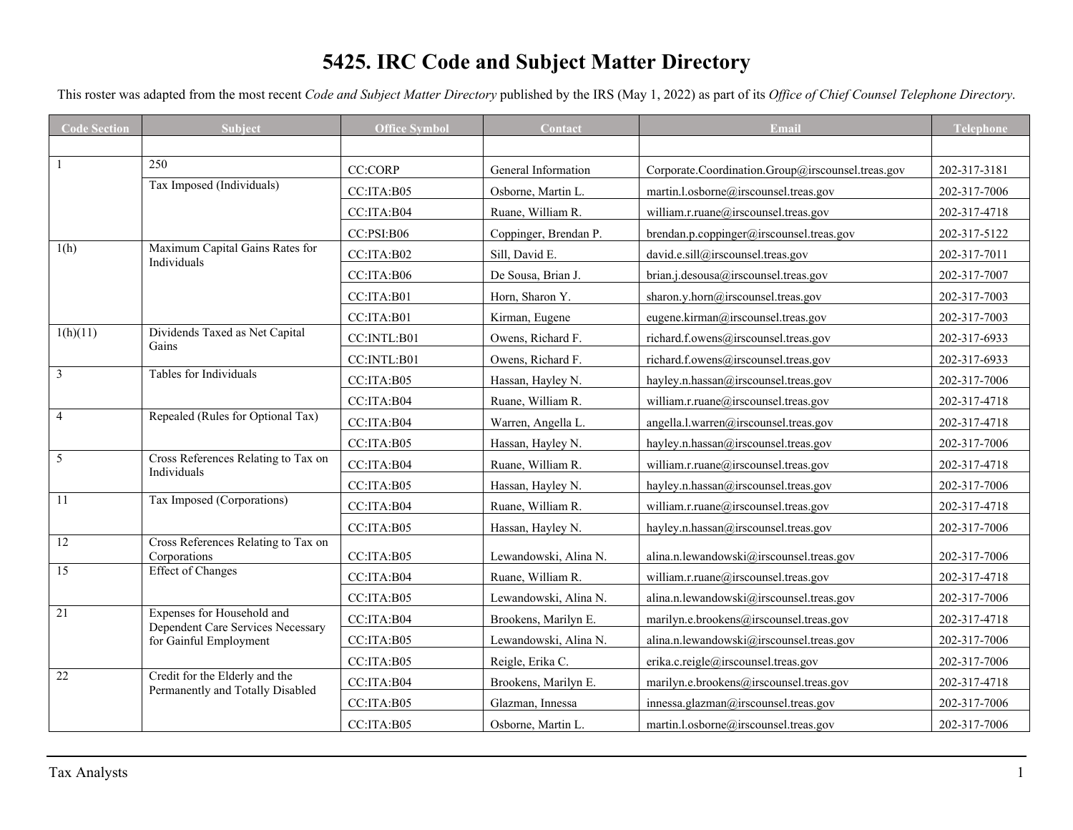## **5425. IRC Code and Subject Matter Directory**

This roster was adapted from the most recent *Code and Subject Matter Directory* published by the IRS (May 1, 2022) as part of its *Office of Chief Counsel Telephone Directory*.

| <b>Code Section</b> | Subject                                                                                                                                                                                                                                                                                                                                                                                                      | <b>Office Symbol</b> | Contact               | <b>Email</b>                                      | Telephone    |
|---------------------|--------------------------------------------------------------------------------------------------------------------------------------------------------------------------------------------------------------------------------------------------------------------------------------------------------------------------------------------------------------------------------------------------------------|----------------------|-----------------------|---------------------------------------------------|--------------|
|                     |                                                                                                                                                                                                                                                                                                                                                                                                              |                      |                       |                                                   |              |
|                     |                                                                                                                                                                                                                                                                                                                                                                                                              | <b>CC:CORP</b>       | General Information   | Corporate.Coordination.Group@irscounsel.treas.gov | 202-317-3181 |
|                     |                                                                                                                                                                                                                                                                                                                                                                                                              | CC:ITA:B05           | Osborne, Martin L.    | martin.l.osborne@irscounsel.treas.gov             | 202-317-7006 |
|                     |                                                                                                                                                                                                                                                                                                                                                                                                              | CC:ITA:B04           | Ruane, William R.     | william.r.ruane@irscounsel.treas.gov              | 202-317-4718 |
|                     |                                                                                                                                                                                                                                                                                                                                                                                                              | CC:PSI:B06           | Coppinger, Brendan P. | brendan.p.coppinger@irscounsel.treas.gov          | 202-317-5122 |
| 1(h)                |                                                                                                                                                                                                                                                                                                                                                                                                              | CC:ITA:B02           | Sill, David E.        | david.e.sill@irscounsel.treas.gov                 | 202-317-7011 |
|                     |                                                                                                                                                                                                                                                                                                                                                                                                              | CC:ITA:B06           | De Sousa, Brian J.    | brian.j.desousa@irscounsel.treas.gov              | 202-317-7007 |
|                     |                                                                                                                                                                                                                                                                                                                                                                                                              | CC:ITA:B01           | Horn, Sharon Y.       | sharon.y.horn@irscounsel.treas.gov                | 202-317-7003 |
|                     |                                                                                                                                                                                                                                                                                                                                                                                                              | CC:ITA:B01           | Kirman, Eugene        | eugene.kirman@irscounsel.treas.gov                | 202-317-7003 |
| 1(h)(11)            |                                                                                                                                                                                                                                                                                                                                                                                                              | CC:INTL:B01          | Owens, Richard F.     | richard.f.owens@irscounsel.treas.gov              | 202-317-6933 |
|                     |                                                                                                                                                                                                                                                                                                                                                                                                              | CC:INTL:B01          | Owens, Richard F.     | richard.f.owens@irscounsel.treas.gov              | 202-317-6933 |
| 3                   |                                                                                                                                                                                                                                                                                                                                                                                                              | CC:ITA:B05           | Hassan, Hayley N.     | hayley.n.hassan@irscounsel.treas.gov              | 202-317-7006 |
|                     |                                                                                                                                                                                                                                                                                                                                                                                                              | CC:ITA:B04           | Ruane, William R.     | william.r.ruane@irscounsel.treas.gov              | 202-317-4718 |
| $\overline{4}$      | Repealed (Rules for Optional Tax)                                                                                                                                                                                                                                                                                                                                                                            | CC:ITA:B04           | Warren, Angella L.    | angella.l.warren@irscounsel.treas.gov             | 202-317-4718 |
|                     |                                                                                                                                                                                                                                                                                                                                                                                                              | CC:ITA:B05           | Hassan, Hayley N.     | hayley.n.hassan@irscounsel.treas.gov              | 202-317-7006 |
| 5                   |                                                                                                                                                                                                                                                                                                                                                                                                              | CC:ITA:B04           | Ruane, William R.     | william.r.ruane@irscounsel.treas.gov              | 202-317-4718 |
|                     |                                                                                                                                                                                                                                                                                                                                                                                                              | CC:ITA:B05           | Hassan, Hayley N.     | hayley.n.hassan@irscounsel.treas.gov              | 202-317-7006 |
| 11                  |                                                                                                                                                                                                                                                                                                                                                                                                              | CC:ITA:B04           | Ruane, William R.     | william.r.ruane@irscounsel.treas.gov              | 202-317-4718 |
|                     |                                                                                                                                                                                                                                                                                                                                                                                                              | CC:ITA:B05           | Hassan, Hayley N.     | hayley.n.hassan@irscounsel.treas.gov              | 202-317-7006 |
| 12                  |                                                                                                                                                                                                                                                                                                                                                                                                              | CC:ITA:B05           | Lewandowski, Alina N. | alina.n.lewandowski@irscounsel.treas.gov          | 202-317-7006 |
| 15                  | <b>Effect of Changes</b>                                                                                                                                                                                                                                                                                                                                                                                     | CC:ITA:B04           | Ruane, William R.     | william.r.ruane@irscounsel.treas.gov              | 202-317-4718 |
|                     |                                                                                                                                                                                                                                                                                                                                                                                                              | CC:ITA:B05           | Lewandowski, Alina N. | alina.n.lewandowski@irscounsel.treas.gov          | 202-317-7006 |
| 21                  | Expenses for Household and                                                                                                                                                                                                                                                                                                                                                                                   | CC:ITA:B04           | Brookens, Marilyn E.  | marilyn.e.brookens@irscounsel.treas.gov           | 202-317-4718 |
|                     |                                                                                                                                                                                                                                                                                                                                                                                                              | CC:ITA:B05           | Lewandowski, Alina N. | alina.n.lewandowski@irscounsel.treas.gov          | 202-317-7006 |
|                     |                                                                                                                                                                                                                                                                                                                                                                                                              | CC:ITA:B05           | Reigle, Erika C.      | erika.c.reigle@irscounsel.treas.gov               | 202-317-7006 |
| $22\,$              | Credit for the Elderly and the                                                                                                                                                                                                                                                                                                                                                                               | CC:ITA:B04           | Brookens, Marilyn E.  | marilyn.e.brookens@irscounsel.treas.gov           | 202-317-4718 |
|                     |                                                                                                                                                                                                                                                                                                                                                                                                              | CC:ITA:B05           | Glazman, Innessa      | innessa.glazman@irscounsel.treas.gov              | 202-317-7006 |
|                     | 250<br>Tax Imposed (Individuals)<br>Maximum Capital Gains Rates for<br><b>Individuals</b><br>Dividends Taxed as Net Capital<br>Gains<br>Tables for Individuals<br>Cross References Relating to Tax on<br>Individuals<br>Tax Imposed (Corporations)<br>Cross References Relating to Tax on<br>Corporations<br>Dependent Care Services Necessary<br>for Gainful Employment<br>Permanently and Totally Disabled | CC:ITA:B05           | Osborne, Martin L.    | martin.l.osborne@irscounsel.treas.gov             | 202-317-7006 |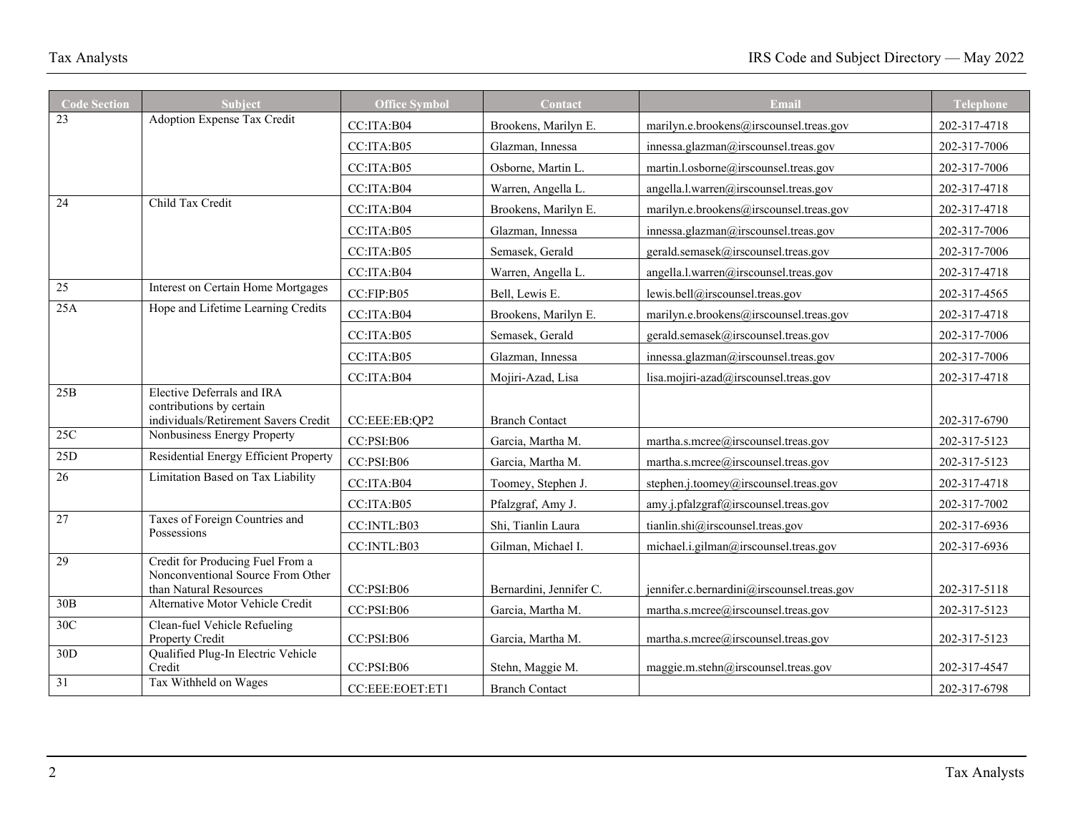| <b>Code Section</b> | Subject                                                                                               | <b>Office Symbol</b> | Contact                 | Email                                      | <b>Telephone</b> |
|---------------------|-------------------------------------------------------------------------------------------------------|----------------------|-------------------------|--------------------------------------------|------------------|
| 23                  | Adoption Expense Tax Credit                                                                           | CC:ITA:B04           | Brookens, Marilyn E.    | marilyn.e.brookens@irscounsel.treas.gov    | 202-317-4718     |
|                     |                                                                                                       | CC:ITA:B05           | Glazman, Innessa        | innessa.glazman@irscounsel.treas.gov       | 202-317-7006     |
|                     |                                                                                                       | CC:ITA:B05           | Osborne, Martin L.      | martin.l.osborne@irscounsel.treas.gov      | 202-317-7006     |
|                     |                                                                                                       | CC:ITA:B04           | Warren, Angella L.      | angella.l.warren@irscounsel.treas.gov      | 202-317-4718     |
| 24                  | Child Tax Credit                                                                                      | CC:ITA:B04           | Brookens, Marilyn E.    | marilyn.e.brookens@irscounsel.treas.gov    | 202-317-4718     |
|                     |                                                                                                       | CC:ITA:B05           | Glazman, Innessa        | innessa.glazman@irscounsel.treas.gov       | 202-317-7006     |
|                     |                                                                                                       | CC:ITA:B05           | Semasek, Gerald         | gerald.semasek@irscounsel.treas.gov        | 202-317-7006     |
|                     |                                                                                                       | CC:ITA:B04           | Warren, Angella L.      | angella.l.warren@irscounsel.treas.gov      | 202-317-4718     |
| $\overline{25}$     | Interest on Certain Home Mortgages                                                                    | CC:FIP:B05           | Bell, Lewis E.          | lewis.bell@irscounsel.treas.gov            | 202-317-4565     |
| 25A                 | Hope and Lifetime Learning Credits                                                                    | CC:ITA:B04           | Brookens, Marilyn E.    | marilyn.e.brookens@irscounsel.treas.gov    | 202-317-4718     |
|                     |                                                                                                       | CC:ITA:B05           | Semasek, Gerald         | gerald.semasek@irscounsel.treas.gov        | 202-317-7006     |
|                     |                                                                                                       | CC:ITA:B05           | Glazman, Innessa        | innessa.glazman@irscounsel.treas.gov       | 202-317-7006     |
|                     |                                                                                                       | CC:ITA:B04           | Mojiri-Azad, Lisa       | lisa.mojiri-azad@irscounsel.treas.gov      | 202-317-4718     |
| $25B$               | <b>Elective Deferrals and IRA</b><br>contributions by certain<br>individuals/Retirement Savers Credit | CC:EEE:EB:QP2        | <b>Branch Contact</b>   |                                            | 202-317-6790     |
| 25C                 | Nonbusiness Energy Property                                                                           | CC:PSI:B06           | Garcia, Martha M.       | martha.s.mcree@irscounsel.treas.gov        | 202-317-5123     |
| 25D                 | <b>Residential Energy Efficient Property</b>                                                          | CC:PSI:B06           | Garcia, Martha M.       | martha.s.mcree@irscounsel.treas.gov        | 202-317-5123     |
| 26                  | Limitation Based on Tax Liability                                                                     | CC:ITA:B04           | Toomey, Stephen J.      | stephen.j.toomey@irscounsel.treas.gov      | 202-317-4718     |
|                     |                                                                                                       | CC:ITA:B05           | Pfalzgraf, Amy J.       | amy.j.pfalzgraf@irscounsel.treas.gov       | 202-317-7002     |
| $27\,$              | Taxes of Foreign Countries and<br>Possessions                                                         | CC:INTL:B03          | Shi, Tianlin Laura      | tianlin.shi@irscounsel.treas.gov           | 202-317-6936     |
|                     |                                                                                                       | CC:INTL:B03          | Gilman, Michael I.      | michael.i.gilman@irscounsel.treas.gov      | 202-317-6936     |
| 29                  | Credit for Producing Fuel From a<br>Nonconventional Source From Other<br>than Natural Resources       | CC:PSI:B06           | Bernardini, Jennifer C. | jennifer.c.bernardini@irscounsel.treas.gov | 202-317-5118     |
| 30B                 | Alternative Motor Vehicle Credit                                                                      | CC:PSI:B06           | Garcia, Martha M.       | martha.s.mcree@irscounsel.treas.gov        | 202-317-5123     |
| 30<                 | Clean-fuel Vehicle Refueling<br>Property Credit                                                       | CC:PSI:B06           | Garcia, Martha M.       | martha.s.mcree@irscounsel.treas.gov        | 202-317-5123     |
| 30D                 | Qualified Plug-In Electric Vehicle<br>Credit                                                          | CC:PSI:B06           | Stehn, Maggie M.        | maggie.m.stehn@irscounsel.treas.gov        | 202-317-4547     |
| 31                  | Tax Withheld on Wages                                                                                 | CC:EEE:EOET:ET1      | <b>Branch Contact</b>   |                                            | 202-317-6798     |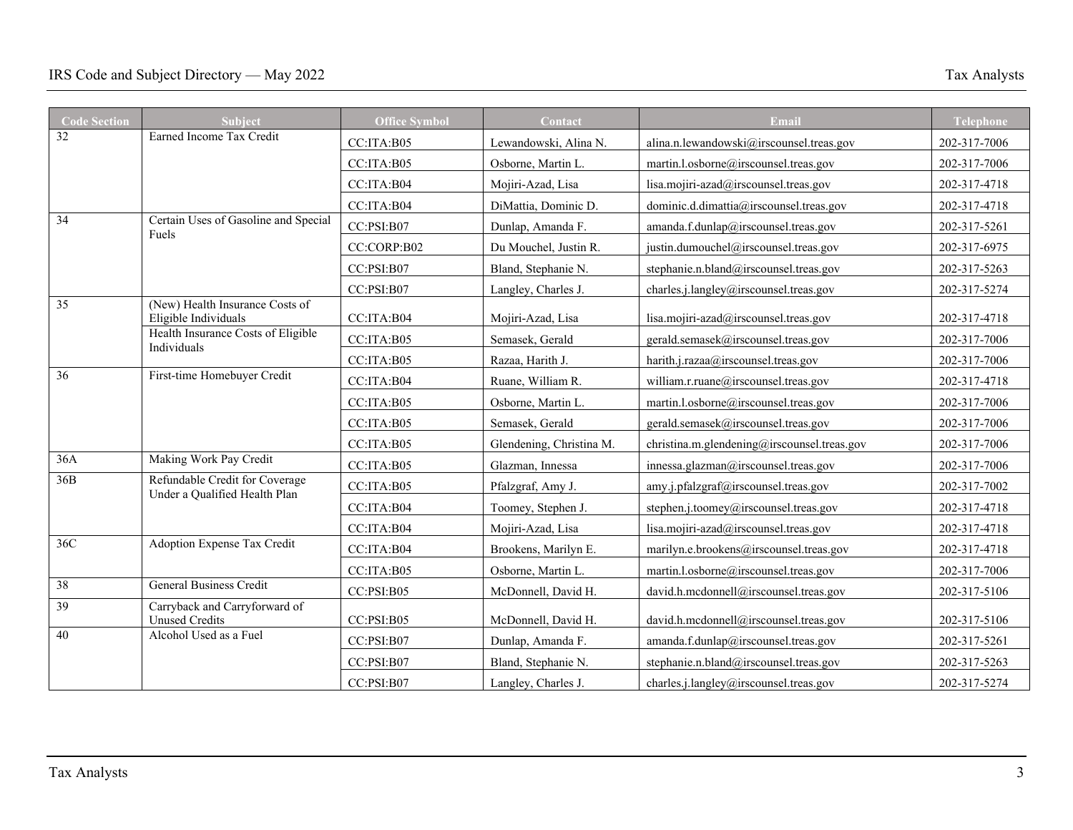| <b>Code Section</b> | <b>Subject</b>                                                  | <b>Office Symbol</b> | <b>Contact</b>           | Email                                       | <b>Telephone</b> |
|---------------------|-----------------------------------------------------------------|----------------------|--------------------------|---------------------------------------------|------------------|
| $\overline{32}$     | Earned Income Tax Credit                                        | CC:ITA:B05           | Lewandowski, Alina N.    | alina.n.lewandowski@irscounsel.treas.gov    | 202-317-7006     |
|                     |                                                                 | CC:ITA:B05           | Osborne, Martin L.       | martin.l.osborne@irscounsel.treas.gov       | 202-317-7006     |
|                     |                                                                 | CC:ITA:B04           | Mojiri-Azad, Lisa        | lisa.mojiri-azad@irscounsel.treas.gov       | 202-317-4718     |
|                     |                                                                 | CC:ITA:B04           | DiMattia, Dominic D.     | dominic.d.dimattia@irscounsel.treas.gov     | 202-317-4718     |
| 34                  | Certain Uses of Gasoline and Special<br>Fuels                   | CC:PSI:B07           | Dunlap, Amanda F.        | amanda.f.dunlap@irscounsel.treas.gov        | 202-317-5261     |
|                     |                                                                 | CC:CORP:B02          | Du Mouchel, Justin R.    | justin.dumouchel@irscounsel.treas.gov       | 202-317-6975     |
|                     |                                                                 | CC:PSI:B07           | Bland, Stephanie N.      | stephanie.n.bland@irscounsel.treas.gov      | 202-317-5263     |
|                     |                                                                 | CC:PSI:B07           | Langley, Charles J.      | charles.j.langley@irscounsel.treas.gov      | 202-317-5274     |
| $\overline{35}$     | (New) Health Insurance Costs of<br>Eligible Individuals         | CC:ITA:B04           | Mojiri-Azad, Lisa        | lisa.mojiri-azad@irscounsel.treas.gov       | 202-317-4718     |
|                     | Health Insurance Costs of Eligible<br>Individuals               | CC:ITA:B05           | Semasek, Gerald          | gerald.semasek@irscounsel.treas.gov         | 202-317-7006     |
|                     |                                                                 | CC:ITA:B05           | Razaa, Harith J.         | harith.j.razaa@irscounsel.treas.gov         | 202-317-7006     |
| 36                  | First-time Homebuyer Credit                                     | CC:ITA:B04           | Ruane, William R.        | william.r.ruane@irscounsel.treas.gov        | 202-317-4718     |
|                     |                                                                 | CC:ITA:B05           | Osborne, Martin L.       | martin.l.osborne@irscounsel.treas.gov       | 202-317-7006     |
|                     |                                                                 | CC:ITA:B05           | Semasek, Gerald          | gerald.semasek@irscounsel.treas.gov         | 202-317-7006     |
|                     |                                                                 | CC:ITA:B05           | Glendening, Christina M. | christina.m.glendening@irscounsel.treas.gov | 202-317-7006     |
| 36A                 | Making Work Pay Credit                                          | CC:ITA:B05           | Glazman, Innessa         | innessa.glazman@irscounsel.treas.gov        | 202-317-7006     |
| 36B                 | Refundable Credit for Coverage<br>Under a Qualified Health Plan | CC:ITA:B05           | Pfalzgraf, Amy J.        | amy.j.pfalzgraf@irscounsel.treas.gov        | 202-317-7002     |
|                     |                                                                 | CC:ITA:B04           | Toomey, Stephen J.       | stephen.j.toomey@irscounsel.treas.gov       | 202-317-4718     |
|                     |                                                                 | CC:ITA:B04           | Mojiri-Azad, Lisa        | lisa.mojiri-azad@irscounsel.treas.gov       | 202-317-4718     |
| 36C                 | Adoption Expense Tax Credit                                     | CC:ITA:B04           | Brookens, Marilyn E.     | marilyn.e.brookens@irscounsel.treas.gov     | 202-317-4718     |
|                     |                                                                 | CC:ITA:B05           | Osborne, Martin L.       | martin.l.osborne@irscounsel.treas.gov       | 202-317-7006     |
| $\overline{38}$     | <b>General Business Credit</b>                                  | CC:PSI:B05           | McDonnell, David H.      | david.h.mcdonnell@irscounsel.treas.gov      | 202-317-5106     |
| $\overline{39}$     | Carryback and Carryforward of<br><b>Unused Credits</b>          | CC:PSI:B05           | McDonnell, David H.      | david.h.mcdonnell@irscounsel.treas.gov      | 202-317-5106     |
| 40                  | Alcohol Used as a Fuel                                          | CC:PSI:B07           | Dunlap, Amanda F.        | amanda.f.dunlap@irscounsel.treas.gov        | 202-317-5261     |
|                     |                                                                 | CC:PSI:B07           | Bland, Stephanie N.      | stephanie.n.bland@irscounsel.treas.gov      | 202-317-5263     |
|                     |                                                                 | CC:PSI:B07           | Langley, Charles J.      | charles.j.langley@irscounsel.treas.gov      | 202-317-5274     |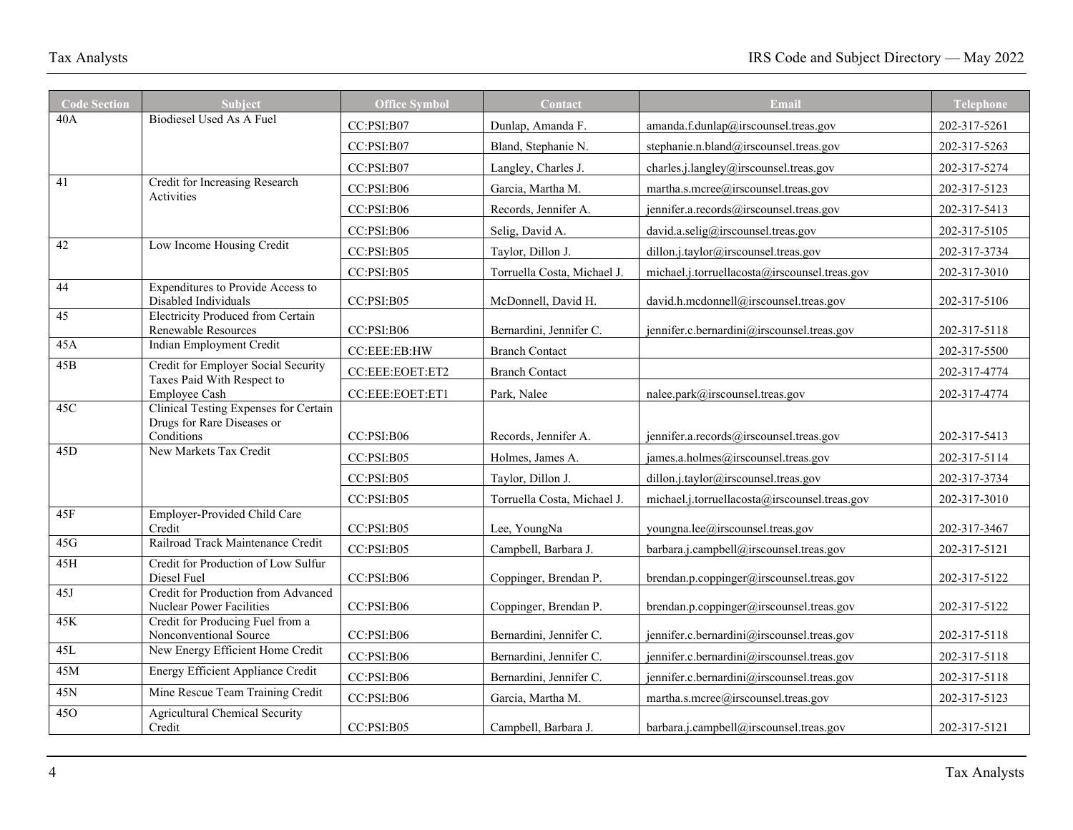| <b>Code Section</b> | <b>Subject</b>                                                                    | <b>Office Symbol</b> | Contact                     | Email                                         | <b>Telephone</b> |
|---------------------|-----------------------------------------------------------------------------------|----------------------|-----------------------------|-----------------------------------------------|------------------|
| 40A                 | Biodiesel Used As A Fuel                                                          | CC:PSI:B07           | Dunlap, Amanda F.           | amanda.f.dunlap@irscounsel.treas.gov          | 202-317-5261     |
|                     |                                                                                   | CC:PSI:B07           | Bland, Stephanie N.         | stephanie.n.bland@irscounsel.treas.gov        | 202-317-5263     |
|                     |                                                                                   | CC:PSI:B07           | Langley, Charles J.         | charles.j.langley@irscounsel.treas.gov        | 202-317-5274     |
| 41                  | Credit for Increasing Research<br>Activities                                      | CC:PSI:B06           | Garcia, Martha M.           | martha.s.mcree@irscounsel.treas.gov           | 202-317-5123     |
|                     |                                                                                   | CC:PSI:B06           | Records, Jennifer A.        | jennifer.a.records@irscounsel.treas.gov       | 202-317-5413     |
|                     |                                                                                   | CC:PSI:B06           | Selig, David A.             | david.a.selig@irscounsel.treas.gov            | 202-317-5105     |
| 42                  | Low Income Housing Credit                                                         | CC:PSI:B05           | Taylor, Dillon J.           | dillon.j.taylor@irscounsel.treas.gov          | 202-317-3734     |
|                     |                                                                                   | CC:PSI:B05           | Torruella Costa, Michael J. | michael.j.torruellacosta@irscounsel.treas.gov | 202-317-3010     |
| 44                  | <b>Expenditures to Provide Access to</b><br>Disabled Individuals                  | CC:PSI:B05           | McDonnell, David H.         | david.h.mcdonnell@irscounsel.treas.gov        | 202-317-5106     |
| $\overline{45}$     | <b>Electricity Produced from Certain</b><br>Renewable Resources                   | CC:PSI:B06           | Bernardini, Jennifer C.     | jennifer.c.bernardini@irscounsel.treas.gov    | 202-317-5118     |
| 45A                 | Indian Employment Credit                                                          | CC:EEE:EB:HW         | <b>Branch Contact</b>       |                                               | 202-317-5500     |
| 45B                 | Credit for Employer Social Security<br>Taxes Paid With Respect to                 | CC:EEE:EOET:ET2      | <b>Branch Contact</b>       |                                               | 202-317-4774     |
|                     | Employee Cash                                                                     | CC:EEE:EOET:ET1      | Park, Nalee                 | nalee.park@irscounsel.treas.gov               | 202-317-4774     |
| 45C                 | Clinical Testing Expenses for Certain<br>Drugs for Rare Diseases or<br>Conditions | CC:PSI:B06           | Records, Jennifer A.        | jennifer.a.records@irscounsel.treas.gov       | 202-317-5413     |
| 45D                 | New Markets Tax Credit                                                            | CC:PSI:B05           | Holmes, James A.            | james.a.holmes@irscounsel.treas.gov           | 202-317-5114     |
|                     |                                                                                   | CC:PSI:B05           | Taylor, Dillon J.           | dillon.j.taylor@irscounsel.treas.gov          | 202-317-3734     |
|                     |                                                                                   | CC:PSI:B05           | Torruella Costa, Michael J. | michael.j.torruellacosta@irscounsel.treas.gov | 202-317-3010     |
| 45F                 | Employer-Provided Child Care<br>Credit                                            | CC:PSI:B05           | Lee, YoungNa                | youngna.lee@irscounsel.treas.gov              | 202-317-3467     |
| 45G                 | Railroad Track Maintenance Credit                                                 | CC:PSI:B05           | Campbell, Barbara J.        | barbara.j.campbell@irscounsel.treas.gov       | 202-317-5121     |
| 45H                 | Credit for Production of Low Sulfur<br>Diesel Fuel                                | CC:PSI:B06           | Coppinger, Brendan P.       | brendan.p.coppinger@irscounsel.treas.gov      | 202-317-5122     |
| 45J                 | Credit for Production from Advanced<br>Nuclear Power Facilities                   | CC:PSI:B06           | Coppinger, Brendan P.       | brendan.p.coppinger@irscounsel.treas.gov      | 202-317-5122     |
| 45K                 | Credit for Producing Fuel from a<br>Nonconventional Source                        | CC:PSI:B06           | Bernardini, Jennifer C.     | jennifer.c.bernardini@irscounsel.treas.gov    | 202-317-5118     |
| 45L                 | New Energy Efficient Home Credit                                                  | CC:PSI:B06           | Bernardini, Jennifer C.     | jennifer.c.bernardini@irscounsel.treas.gov    | 202-317-5118     |
| 45M                 | <b>Energy Efficient Appliance Credit</b>                                          | CC:PSI:B06           | Bernardini, Jennifer C.     | jennifer.c.bernardini@irscounsel.treas.gov    | 202-317-5118     |
| 45N                 | Mine Rescue Team Training Credit                                                  | CC:PSI:B06           | Garcia, Martha M.           | martha.s.mcree@irscounsel.treas.gov           | 202-317-5123     |
| 450                 | Agricultural Chemical Security<br>Credit                                          | CC:PSI:B05           | Campbell, Barbara J.        | barbara.j.campbell@irscounsel.treas.gov       | 202-317-5121     |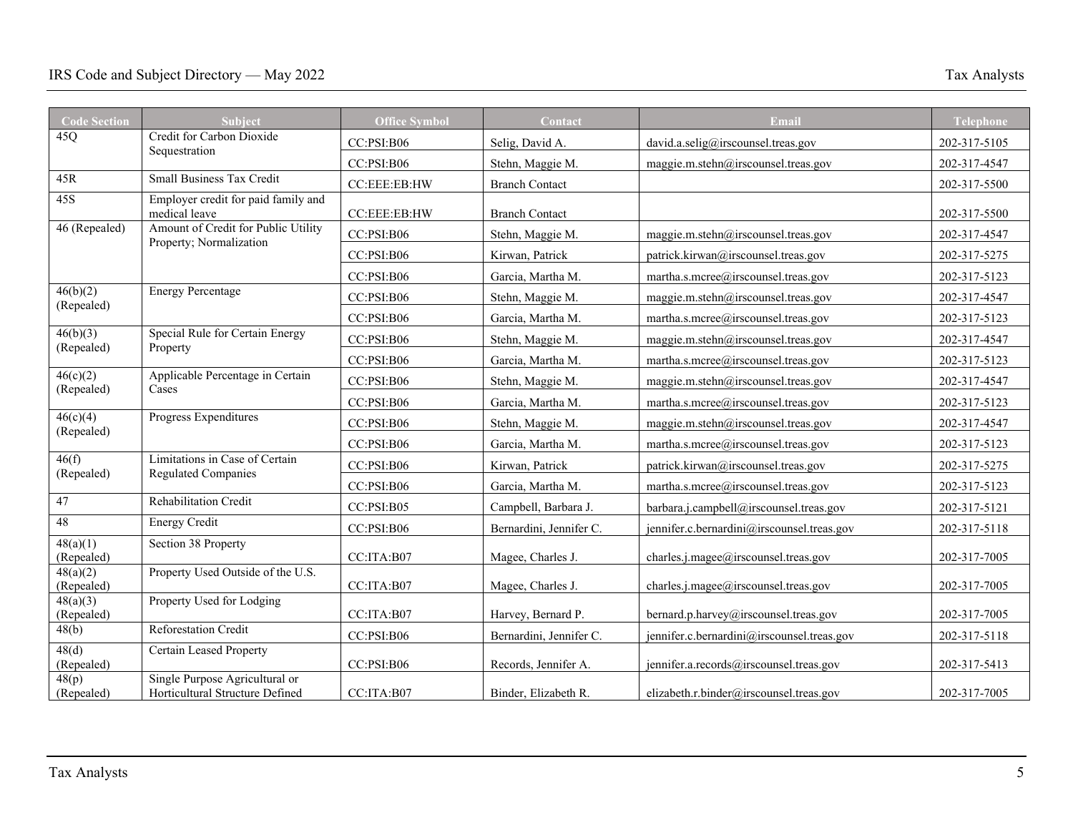| <b>Code Section</b>                | Subject                                                           | <b>Office Symbol</b> | Contact                 | Email                                      | <b>Telephone</b> |
|------------------------------------|-------------------------------------------------------------------|----------------------|-------------------------|--------------------------------------------|------------------|
| 45Q                                | Credit for Carbon Dioxide<br>Sequestration                        | CC:PSI:B06           | Selig, David A.         | david.a.selig@irscounsel.treas.gov         | 202-317-5105     |
|                                    |                                                                   | CC:PSI:B06           | Stehn, Maggie M.        | maggie.m.stehn@irscounsel.treas.gov        | 202-317-4547     |
| 45R                                | <b>Small Business Tax Credit</b>                                  | CC:EEE:EB:HW         | <b>Branch Contact</b>   |                                            | 202-317-5500     |
| 45S                                | Employer credit for paid family and<br>medical leave              | CC:EEE:EB:HW         | <b>Branch Contact</b>   |                                            | 202-317-5500     |
| 46 (Repealed)                      | Amount of Credit for Public Utility                               | CC:PSI:B06           | Stehn, Maggie M.        | maggie.m.stehn@irscounsel.treas.gov        | 202-317-4547     |
|                                    | Property; Normalization                                           | CC:PSI: B06          | Kirwan, Patrick         | patrick.kirwan@irscounsel.treas.gov        | 202-317-5275     |
|                                    |                                                                   | CC:PSI:B06           | Garcia, Martha M.       | martha.s.mcree@irscounsel.treas.gov        | 202-317-5123     |
| 46(b)(2)<br>(Repealed)             | <b>Energy Percentage</b>                                          | CC:PSI: B06          | Stehn, Maggie M.        | maggie.m.stehn@irscounsel.treas.gov        | 202-317-4547     |
|                                    |                                                                   | CC:PSI:B06           | Garcia, Martha M.       | martha.s.mcree@irscounsel.treas.gov        | 202-317-5123     |
| 46(b)(3)<br>(Repealed)             | Special Rule for Certain Energy<br>Property                       | CC:PSI:B06           | Stehn, Maggie M.        | maggie.m.stehn@irscounsel.treas.gov        | 202-317-4547     |
|                                    |                                                                   | CC:PSI:B06           | Garcia, Martha M.       | martha.s.mcree@irscounsel.treas.gov        | 202-317-5123     |
| 46(c)(2)<br>(Repealed)             | Applicable Percentage in Certain<br>Cases                         | CC:PSI: B06          | Stehn, Maggie M.        | maggie.m.stehn@irscounsel.treas.gov        | 202-317-4547     |
|                                    |                                                                   | CC:PSI: B06          | Garcia, Martha M.       | martha.s.mcree@irscounsel.treas.gov        | 202-317-5123     |
| 46(c)(4)<br>(Repealed)             | Progress Expenditures                                             | CC:PSI:B06           | Stehn, Maggie M.        | maggie.m.stehn@irscounsel.treas.gov        | 202-317-4547     |
|                                    |                                                                   | CC:PSI: B06          | Garcia, Martha M.       | martha.s.mcree@irscounsel.treas.gov        | 202-317-5123     |
| 46(f)<br>(Repealed)                | Limitations in Case of Certain<br><b>Regulated Companies</b>      | CC:PSI:B06           | Kirwan, Patrick         | patrick.kirwan@irscounsel.treas.gov        | 202-317-5275     |
|                                    |                                                                   | CC:PSI: B06          | Garcia, Martha M.       | martha.s.mcree@irscounsel.treas.gov        | 202-317-5123     |
| 47                                 | Rehabilitation Credit                                             | CC:PSI:B05           | Campbell, Barbara J.    | barbara.j.campbell@irscounsel.treas.gov    | 202-317-5121     |
| 48                                 | <b>Energy Credit</b>                                              | CC:PSI:B06           | Bernardini, Jennifer C. | jennifer.c.bernardini@irscounsel.treas.gov | 202-317-5118     |
| 48(a)(1)<br>(Repealed)             | Section 38 Property                                               | CC:ITA:B07           | Magee, Charles J.       | charles.j.magee@irscounsel.treas.gov       | 202-317-7005     |
| 48(a)(2)<br>(Repealed)             | Property Used Outside of the U.S.                                 | CC:ITA:B07           | Magee, Charles J.       | charles.j.magee@irscounsel.treas.gov       | 202-317-7005     |
| $\frac{1}{48(a)(3)}$<br>(Repealed) | Property Used for Lodging                                         | CC:ITA:B07           | Harvey, Bernard P.      | bernard.p.harvey@irscounsel.treas.gov      | 202-317-7005     |
| 48(b)                              | <b>Reforestation Credit</b>                                       | CC:PSI:B06           | Bernardini, Jennifer C. | jennifer.c.bernardini@irscounsel.treas.gov | 202-317-5118     |
| 48(d)<br>(Repealed)                | Certain Leased Property                                           | CC:PSI: B06          | Records, Jennifer A.    | jennifer.a.records@irscounsel.treas.gov    | 202-317-5413     |
| 48(p)<br>(Repealed)                | Single Purpose Agricultural or<br>Horticultural Structure Defined | CC:ITA:B07           | Binder, Elizabeth R.    | elizabeth.r.binder@irscounsel.treas.gov    | 202-317-7005     |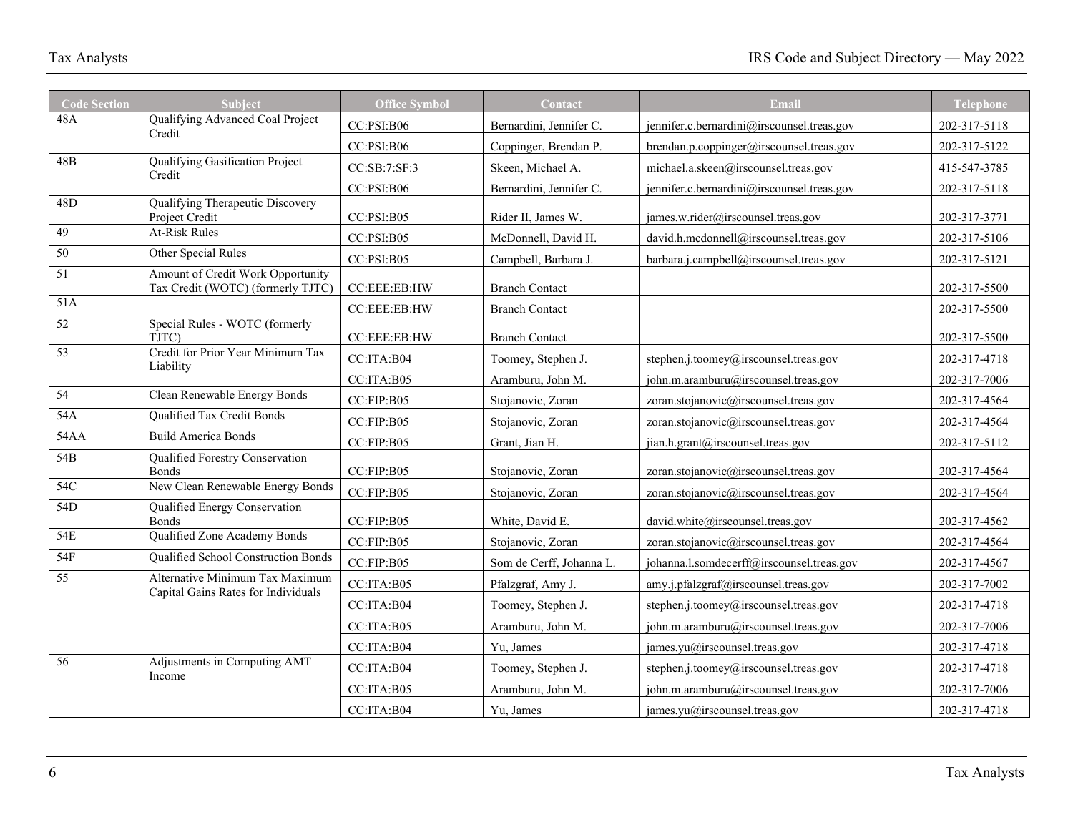| <b>Code Section</b> | Subject                                                                | <b>Office Symbol</b> | Contact                  | Email                                      | Telephone    |
|---------------------|------------------------------------------------------------------------|----------------------|--------------------------|--------------------------------------------|--------------|
| 48A                 | Qualifying Advanced Coal Project<br>Credit                             | CC:PSI:B06           | Bernardini, Jennifer C.  | jennifer.c.bernardini@irscounsel.treas.gov | 202-317-5118 |
|                     |                                                                        | CC:PSI:B06           | Coppinger, Brendan P.    | brendan.p.coppinger@irscounsel.treas.gov   | 202-317-5122 |
| 48B                 | <b>Qualifying Gasification Project</b><br>Credit                       | CC:SB:7:SF:3         | Skeen, Michael A.        | michael.a.skeen@irscounsel.treas.gov       | 415-547-3785 |
|                     |                                                                        | CC:PSI:B06           | Bernardini, Jennifer C.  | jennifer.c.bernardini@irscounsel.treas.gov | 202-317-5118 |
| 48D                 | Qualifying Therapeutic Discovery<br>Project Credit                     | CC:PSI: B05          | Rider II. James W.       | james.w.rider@irscounsel.treas.gov         | 202-317-3771 |
| 49                  | <b>At-Risk Rules</b>                                                   | CC:PSI:B05           | McDonnell, David H.      | david.h.mcdonnell@irscounsel.treas.gov     | 202-317-5106 |
| $\overline{50}$     | Other Special Rules                                                    | CC:PSI:B05           | Campbell, Barbara J.     | barbara.j.campbell@irscounsel.treas.gov    | 202-317-5121 |
| 51                  | Amount of Credit Work Opportunity<br>Tax Credit (WOTC) (formerly TJTC) | CC:EEE:EB:HW         | <b>Branch Contact</b>    |                                            | 202-317-5500 |
| 51A                 |                                                                        | CC:EEE:EB:HW         | <b>Branch Contact</b>    |                                            | 202-317-5500 |
| $\overline{52}$     | Special Rules - WOTC (formerly<br>TJTC)                                | CC:EEE:EB:HW         | <b>Branch Contact</b>    |                                            | 202-317-5500 |
| $\overline{53}$     | Credit for Prior Year Minimum Tax<br>Liability                         | CC:ITA:B04           | Toomey, Stephen J.       | stephen.j.toomey@irscounsel.treas.gov      | 202-317-4718 |
|                     |                                                                        | CC:ITA:B05           | Aramburu, John M.        | john.m.aramburu@irscounsel.treas.gov       | 202-317-7006 |
| 54                  | Clean Renewable Energy Bonds                                           | CC:FIP:B05           | Stojanovic, Zoran        | zoran.stojanovic@irscounsel.treas.gov      | 202-317-4564 |
| 54A                 | Qualified Tax Credit Bonds                                             | CC:FIP:B05           | Stojanovic, Zoran        | zoran.stojanovic@irscounsel.treas.gov      | 202-317-4564 |
| 54AA                | <b>Build America Bonds</b>                                             | CC:FIP:B05           | Grant, Jian H.           | jian.h.grant@irscounsel.treas.gov          | 202-317-5112 |
| 54B                 | Qualified Forestry Conservation<br><b>Bonds</b>                        | CC:FIP:B05           | Stojanovic, Zoran        | zoran.stojanovic@irscounsel.treas.gov      | 202-317-4564 |
| $\overline{54C}$    | New Clean Renewable Energy Bonds                                       | CC:FIP:B05           | Stojanovic, Zoran        | zoran.stojanovic@irscounsel.treas.gov      | 202-317-4564 |
| 54D                 | Qualified Energy Conservation<br><b>Bonds</b>                          | CC:FIP:B05           | White, David E.          | david.white@irscounsel.treas.gov           | 202-317-4562 |
| 54E                 | Qualified Zone Academy Bonds                                           | CC:FIP:B05           | Stojanovic, Zoran        | zoran.stojanovic@irscounsel.treas.gov      | 202-317-4564 |
| 54F                 | Qualified School Construction Bonds                                    | CC:FIP:B05           | Som de Cerff, Johanna L. | johanna.l.somdecerff@irscounsel.treas.gov  | 202-317-4567 |
| 55                  | Alternative Minimum Tax Maximum<br>Capital Gains Rates for Individuals | CC:ITA:B05           | Pfalzgraf, Amy J.        | amy.j.pfalzgraf@irscounsel.treas.gov       | 202-317-7002 |
|                     |                                                                        | CC:ITA:B04           | Toomey, Stephen J.       | stephen.j.toomey@irscounsel.treas.gov      | 202-317-4718 |
|                     |                                                                        | CC:ITA:B05           | Aramburu, John M.        | john.m.aramburu@irscounsel.treas.gov       | 202-317-7006 |
|                     |                                                                        | CC:ITA:B04           | Yu, James                | james.yu@irscounsel.treas.gov              | 202-317-4718 |
| 56                  | Adjustments in Computing AMT<br>Income                                 | CC:ITA:B04           | Toomey, Stephen J.       | stephen.j.toomey@irscounsel.treas.gov      | 202-317-4718 |
|                     |                                                                        | CC:ITA:B05           | Aramburu, John M.        | john.m.aramburu@irscounsel.treas.gov       | 202-317-7006 |
|                     |                                                                        | CC:ITA:B04           | Yu, James                | james.yu@irscounsel.treas.gov              | 202-317-4718 |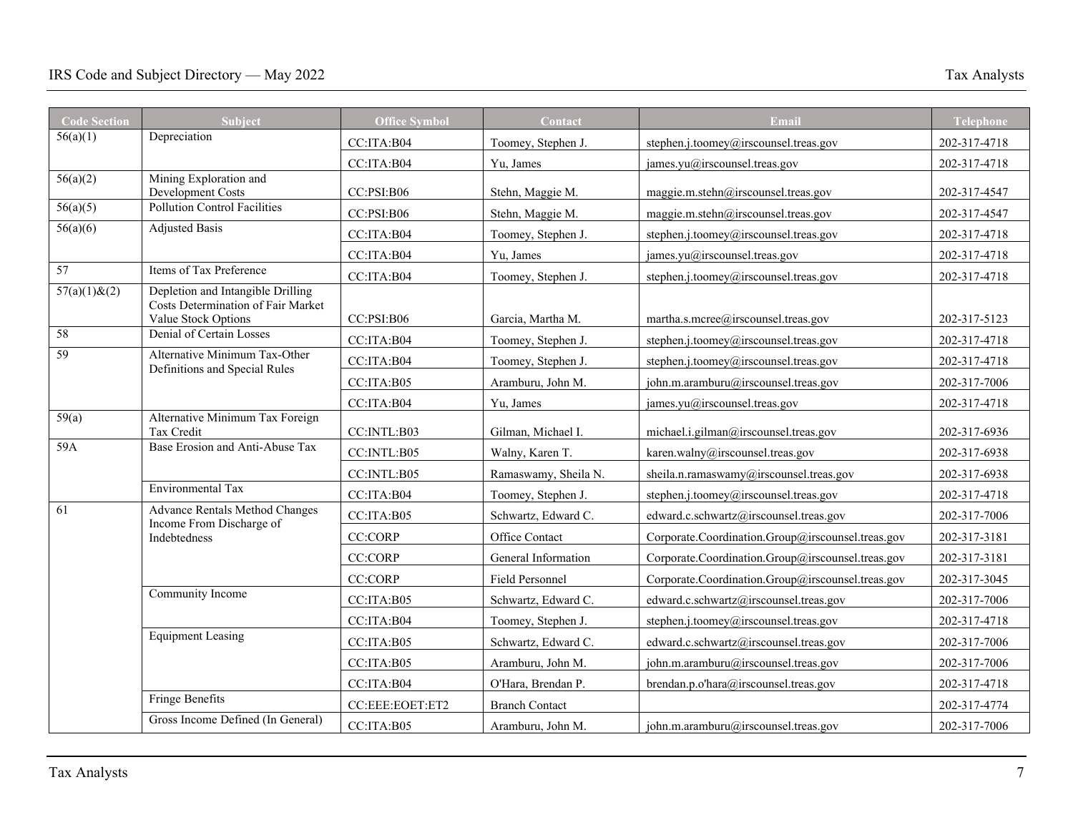| <b>Code Section</b> | Subject                                                                                        | <b>Office Symbol</b> | Contact                | Email                                             | <b>Telephone</b> |
|---------------------|------------------------------------------------------------------------------------------------|----------------------|------------------------|---------------------------------------------------|------------------|
| 56(a)(1)            | Depreciation                                                                                   | CC:ITA:B04           | Toomey, Stephen J.     | stephen.j.toomey@irscounsel.treas.gov             | 202-317-4718     |
|                     |                                                                                                | CC:ITA:B04           | Yu, James              | james.yu@irscounsel.treas.gov                     | 202-317-4718     |
| 56(a)(2)            | Mining Exploration and<br>Development Costs                                                    | CC:PSI: B06          |                        |                                                   |                  |
| 56(a)(5)            | <b>Pollution Control Facilities</b>                                                            |                      | Stehn, Maggie M.       | maggie.m.stehn@irscounsel.treas.gov               | 202-317-4547     |
| 56(a)(6)            | <b>Adjusted Basis</b>                                                                          | CC:PSI:B06           | Stehn, Maggie M.       | maggie.m.stehn@irscounsel.treas.gov               | 202-317-4547     |
|                     |                                                                                                | CC:ITA:B04           | Toomey, Stephen J.     | stephen.j.toomey@irscounsel.treas.gov             | 202-317-4718     |
|                     |                                                                                                | CC:ITA:B04           | Yu, James              | james.yu@irscounsel.treas.gov                     | 202-317-4718     |
| $\overline{57}$     | Items of Tax Preference                                                                        | CC:ITA:B04           | Toomey, Stephen J.     | stephen.j.toomey@irscounsel.treas.gov             | 202-317-4718     |
| $57(a)(1)$ &(2)     | Depletion and Intangible Drilling<br>Costs Determination of Fair Market<br>Value Stock Options | CC:PSI: B06          | Garcia, Martha M.      | martha.s.mcree@irscounsel.treas.gov               | 202-317-5123     |
| $\overline{58}$     | Denial of Certain Losses                                                                       | CC:ITA:B04           | Toomey, Stephen J.     | stephen.j.toomey@irscounsel.treas.gov             | 202-317-4718     |
| 59                  | Alternative Minimum Tax-Other                                                                  | CC:ITA:B04           | Toomey, Stephen J.     | stephen.j.toomey@irscounsel.treas.gov             | 202-317-4718     |
|                     | Definitions and Special Rules                                                                  | CC:ITA:B05           | Aramburu, John M.      | john.m.aramburu@irscounsel.treas.gov              | 202-317-7006     |
|                     |                                                                                                | CC:ITA:B04           | Yu, James              | james.yu@irscounsel.treas.gov                     | 202-317-4718     |
| 59(a)               | Alternative Minimum Tax Foreign<br>Tax Credit                                                  | CC:INTL:B03          | Gilman, Michael I.     | michael.i.gilman@irscounsel.treas.gov             | 202-317-6936     |
| 59A                 | Base Erosion and Anti-Abuse Tax                                                                | CC:INTL:B05          | Walny, Karen T.        | karen.walny@irscounsel.treas.gov                  | 202-317-6938     |
|                     |                                                                                                | CC:INTL:B05          | Ramaswamy, Sheila N.   | sheila.n.ramaswamy@irscounsel.treas.gov           | 202-317-6938     |
|                     | <b>Environmental Tax</b>                                                                       | CC:ITA:B04           | Toomey, Stephen J.     | stephen.j.toomey@irscounsel.treas.gov             | 202-317-4718     |
| 61                  | Advance Rentals Method Changes<br>Income From Discharge of                                     | CC:ITA:B05           | Schwartz, Edward C.    | edward.c.schwartz@irscounsel.treas.gov            | 202-317-7006     |
|                     | Indebtedness                                                                                   | <b>CC:CORP</b>       | Office Contact         | Corporate.Coordination.Group@irscounsel.treas.gov | 202-317-3181     |
|                     |                                                                                                | <b>CC:CORP</b>       | General Information    | Corporate.Coordination.Group@irscounsel.treas.gov | 202-317-3181     |
|                     |                                                                                                | <b>CC:CORP</b>       | <b>Field Personnel</b> | Corporate.Coordination.Group@irscounsel.treas.gov | 202-317-3045     |
|                     | Community Income                                                                               | CC:ITA:B05           | Schwartz, Edward C.    | edward.c.schwartz@irscounsel.treas.gov            | 202-317-7006     |
|                     |                                                                                                | CC:ITA:B04           | Toomey, Stephen J.     | stephen.j.toomey@irscounsel.treas.gov             | 202-317-4718     |
|                     | <b>Equipment Leasing</b>                                                                       | CC:ITA:B05           | Schwartz, Edward C.    | edward.c.schwartz@irscounsel.treas.gov            | 202-317-7006     |
|                     |                                                                                                | CC:ITA:B05           | Aramburu, John M.      | john.m.aramburu@irscounsel.treas.gov              | 202-317-7006     |
|                     |                                                                                                | CC:ITA:B04           | O'Hara, Brendan P.     | brendan.p.o'hara@irscounsel.treas.gov             | 202-317-4718     |
|                     | Fringe Benefits                                                                                | CC:EEE:EOET:ET2      | <b>Branch Contact</b>  |                                                   | 202-317-4774     |
|                     | Gross Income Defined (In General)                                                              | CC:ITA:B05           | Aramburu, John M.      | john.m.aramburu@irscounsel.treas.gov              | 202-317-7006     |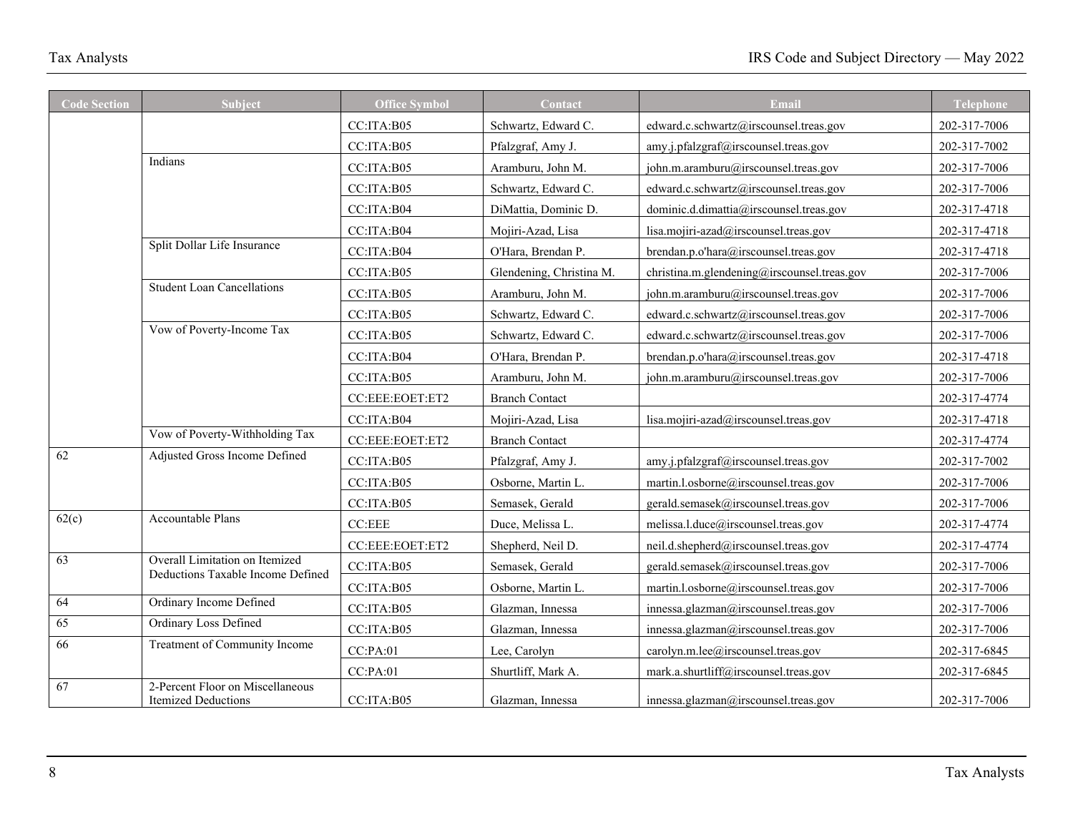| <b>Code Section</b> | <b>Subject</b>                                                      | <b>Office Symbol</b> | Contact                  | Email                                       | <b>Telephone</b> |
|---------------------|---------------------------------------------------------------------|----------------------|--------------------------|---------------------------------------------|------------------|
|                     |                                                                     | CC:ITA:B05           | Schwartz, Edward C.      | edward.c.schwartz@irscounsel.treas.gov      | 202-317-7006     |
|                     |                                                                     | CC:ITA:B05           | Pfalzgraf, Amy J.        | amy.j.pfalzgraf@irscounsel.treas.gov        | 202-317-7002     |
|                     | Indians                                                             | CC:ITA:B05           | Aramburu, John M.        | john.m.aramburu@irscounsel.treas.gov        | 202-317-7006     |
|                     |                                                                     | CC:ITA:B05           | Schwartz, Edward C.      | edward.c.schwartz@irscounsel.treas.gov      | 202-317-7006     |
|                     |                                                                     | CC:ITA:B04           | DiMattia, Dominic D.     | dominic.d.dimattia@irscounsel.treas.gov     | 202-317-4718     |
|                     |                                                                     | CC:ITA:B04           | Mojiri-Azad, Lisa        | lisa.mojiri-azad@irscounsel.treas.gov       | 202-317-4718     |
|                     | Split Dollar Life Insurance                                         | CC:ITA:B04           | O'Hara, Brendan P.       | brendan.p.o'hara@irscounsel.treas.gov       | 202-317-4718     |
|                     |                                                                     | CC:ITA:B05           | Glendening, Christina M. | christina.m.glendening@irscounsel.treas.gov | 202-317-7006     |
|                     | <b>Student Loan Cancellations</b>                                   | CC:ITA:B05           | Aramburu, John M.        | john.m.aramburu@irscounsel.treas.gov        | 202-317-7006     |
|                     |                                                                     | CC:ITA:B05           | Schwartz, Edward C.      | edward.c.schwartz@irscounsel.treas.gov      | 202-317-7006     |
|                     | Vow of Poverty-Income Tax                                           | CC:ITA:B05           | Schwartz, Edward C.      | edward.c.schwartz@irscounsel.treas.gov      | 202-317-7006     |
|                     |                                                                     | CC:ITA:B04           | O'Hara, Brendan P.       | brendan.p.o'hara@irscounsel.treas.gov       | 202-317-4718     |
|                     |                                                                     | CC:ITA:B05           | Aramburu, John M.        | john.m.aramburu@irscounsel.treas.gov        | 202-317-7006     |
|                     |                                                                     | CC:EEE:EOET:ET2      | <b>Branch Contact</b>    |                                             | 202-317-4774     |
|                     |                                                                     | CC:ITA:B04           | Mojiri-Azad, Lisa        | lisa.mojiri-azad@irscounsel.treas.gov       | 202-317-4718     |
|                     | Vow of Poverty-Withholding Tax                                      | CC:EEE:EOET:ET2      | <b>Branch Contact</b>    |                                             | 202-317-4774     |
| 62                  | Adjusted Gross Income Defined                                       | CC:ITA:B05           | Pfalzgraf, Amy J.        | amy.j.pfalzgraf@irscounsel.treas.gov        | 202-317-7002     |
|                     |                                                                     | CC:ITA:B05           | Osborne, Martin L.       | martin.l.osborne@irscounsel.treas.gov       | 202-317-7006     |
|                     |                                                                     | CC:ITA:B05           | Semasek, Gerald          | gerald.semasek@irscounsel.treas.gov         | 202-317-7006     |
| 62(c)               | Accountable Plans                                                   | <b>CC:EEE</b>        | Duce, Melissa L.         | melissa.l.duce@irscounsel.treas.gov         | 202-317-4774     |
|                     |                                                                     | CC:EEE:EOET:ET2      | Shepherd, Neil D.        | neil.d.shepherd@irscounsel.treas.gov        | 202-317-4774     |
| 63                  | Overall Limitation on Itemized<br>Deductions Taxable Income Defined | CC:ITA:B05           | Semasek, Gerald          | gerald.semasek@irscounsel.treas.gov         | 202-317-7006     |
|                     |                                                                     | CC:ITA:B05           | Osborne, Martin L.       | martin.l.osborne@irscounsel.treas.gov       | 202-317-7006     |
| 64                  | Ordinary Income Defined                                             | CC:ITA:B05           | Glazman, Innessa         | innessa.glazman@irscounsel.treas.gov        | 202-317-7006     |
| 65                  | Ordinary Loss Defined                                               | CC:ITA:B05           | Glazman, Innessa         | innessa.glazman@irscounsel.treas.gov        | 202-317-7006     |
| 66                  | Treatment of Community Income                                       | CC:PA:01             | Lee, Carolyn             | carolyn.m.lee@irscounsel.treas.gov          | 202-317-6845     |
|                     |                                                                     | CC:PA:01             | Shurtliff, Mark A.       | mark.a.shurtliff@irscounsel.treas.gov       | 202-317-6845     |
| 67                  | 2-Percent Floor on Miscellaneous<br><b>Itemized Deductions</b>      | CC:ITA:B05           | Glazman, Innessa         | innessa.glazman@irscounsel.treas.gov        | 202-317-7006     |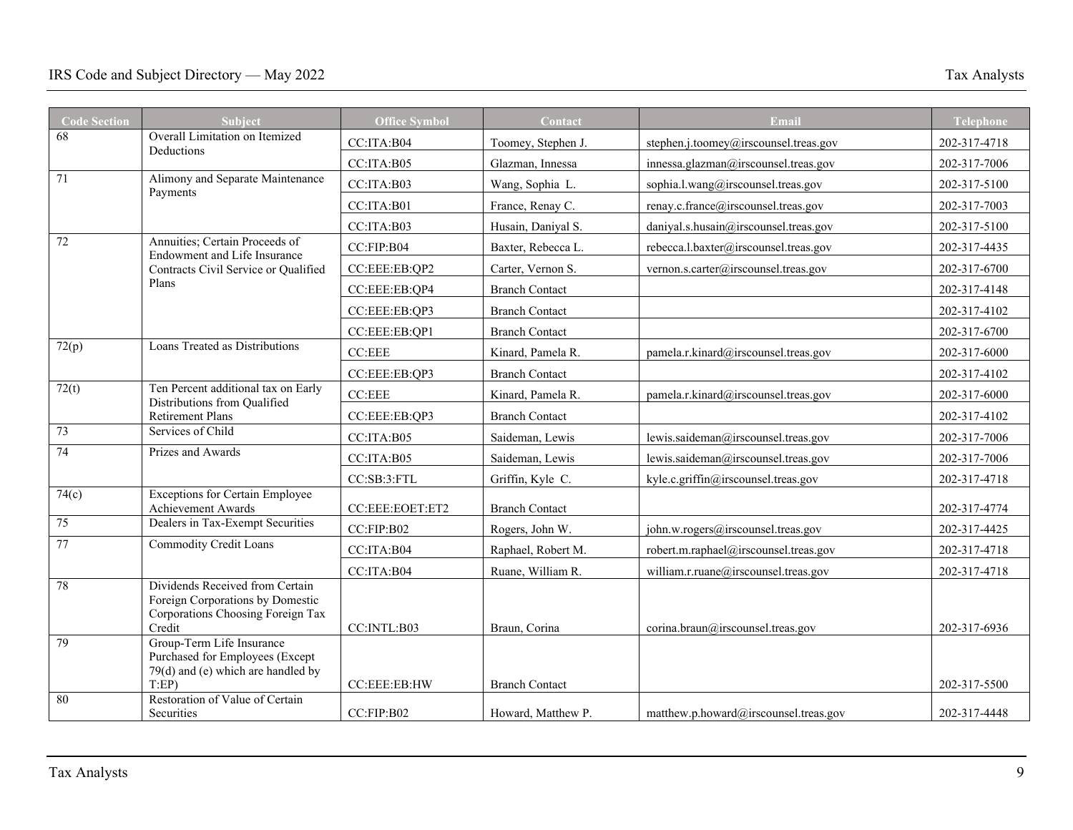| <b>Code Section</b> | <b>Subject</b>                                                                                                     | <b>Office Symbol</b> | Contact               | Email                                 | <b>Telephone</b> |
|---------------------|--------------------------------------------------------------------------------------------------------------------|----------------------|-----------------------|---------------------------------------|------------------|
| 68                  | Overall Limitation on Itemized<br>Deductions                                                                       | CC:ITA:B04           | Toomey, Stephen J.    | stephen.j.toomey@irscounsel.treas.gov | 202-317-4718     |
|                     |                                                                                                                    | CC:ITA:B05           | Glazman, Innessa      | innessa.glazman@irscounsel.treas.gov  | 202-317-7006     |
| $\overline{71}$     | Alimony and Separate Maintenance                                                                                   | CC:ITA:B03           | Wang, Sophia L.       | sophia.l.wang@irscounsel.treas.gov    | 202-317-5100     |
|                     | Payments                                                                                                           | CC:ITA:B01           | France, Renay C.      | renay.c.france@irscounsel.treas.gov   | 202-317-7003     |
|                     |                                                                                                                    | CC:ITA:B03           | Husain, Daniyal S.    | daniyal.s.husain@irscounsel.treas.gov | 202-317-5100     |
| $\overline{72}$     | Annuities; Certain Proceeds of<br>Endowment and Life Insurance                                                     | CC:FIP:B04           | Baxter, Rebecca L.    | rebecca.l.baxter@irscounsel.treas.gov | 202-317-4435     |
|                     | Contracts Civil Service or Qualified                                                                               | CC:EEE:EB:QP2        | Carter, Vernon S.     | vernon.s.carter@irscounsel.treas.gov  | 202-317-6700     |
|                     | Plans                                                                                                              | CC:EEE:EB:QP4        | <b>Branch Contact</b> |                                       | 202-317-4148     |
|                     |                                                                                                                    | CC:EEE:EB:QP3        | <b>Branch Contact</b> |                                       | 202-317-4102     |
|                     |                                                                                                                    | CC:EEE:EB:QP1        | <b>Branch Contact</b> |                                       | 202-317-6700     |
| 72(p)               | Loans Treated as Distributions                                                                                     | CC:EEE               | Kinard, Pamela R.     | pamela.r.kinard@irscounsel.treas.gov  | 202-317-6000     |
|                     |                                                                                                                    | CC:EEE:EB:OP3        | <b>Branch Contact</b> |                                       | 202-317-4102     |
| 72(t)               | Ten Percent additional tax on Early                                                                                | CC:EEE               | Kinard, Pamela R.     | pamela.r.kinard@irscounsel.treas.gov  | 202-317-6000     |
|                     | Distributions from Qualified<br><b>Retirement Plans</b>                                                            | CC:EEE:EB:QP3        | <b>Branch Contact</b> |                                       | 202-317-4102     |
| $\overline{73}$     | Services of Child                                                                                                  | CC:ITA:B05           | Saideman, Lewis       | lewis.saideman@irscounsel.treas.gov   | 202-317-7006     |
| 74                  | Prizes and Awards                                                                                                  | CC:ITA: B05          | Saideman, Lewis       | lewis.saideman@irscounsel.treas.gov   | 202-317-7006     |
|                     |                                                                                                                    | CC:SB:3:FTL          | Griffin, Kyle C.      | kyle.c.griffin@irscounsel.treas.gov   | 202-317-4718     |
| 74(c)               | <b>Exceptions for Certain Employee</b><br>Achievement Awards                                                       | CC:EEE:EOET:ET2      | <b>Branch Contact</b> |                                       | 202-317-4774     |
| $\overline{75}$     | Dealers in Tax-Exempt Securities                                                                                   | CC:FIP:B02           | Rogers, John W.       | john.w.rogers@irscounsel.treas.gov    | 202-317-4425     |
| 77                  | <b>Commodity Credit Loans</b>                                                                                      | CC:ITA:B04           | Raphael, Robert M.    | robert.m.raphael@irscounsel.treas.gov | 202-317-4718     |
|                     |                                                                                                                    | CC:ITA:B04           | Ruane, William R.     | william.r.ruane@irscounsel.treas.gov  | 202-317-4718     |
| 78                  | Dividends Received from Certain<br>Foreign Corporations by Domestic<br>Corporations Choosing Foreign Tax<br>Credit | CC:INTL:B03          | Braun, Corina         | corina.braun@irscounsel.treas.gov     | 202-317-6936     |
| 79                  | Group-Term Life Insurance<br>Purchased for Employees (Except<br>79(d) and (e) which are handled by<br>T:EP         | CC:EEE:EB:HW         | <b>Branch Contact</b> |                                       | 202-317-5500     |
| 80                  | Restoration of Value of Certain<br>Securities                                                                      | CC:FIP:B02           | Howard, Matthew P.    | matthew.p.howard@irscounsel.treas.gov | 202-317-4448     |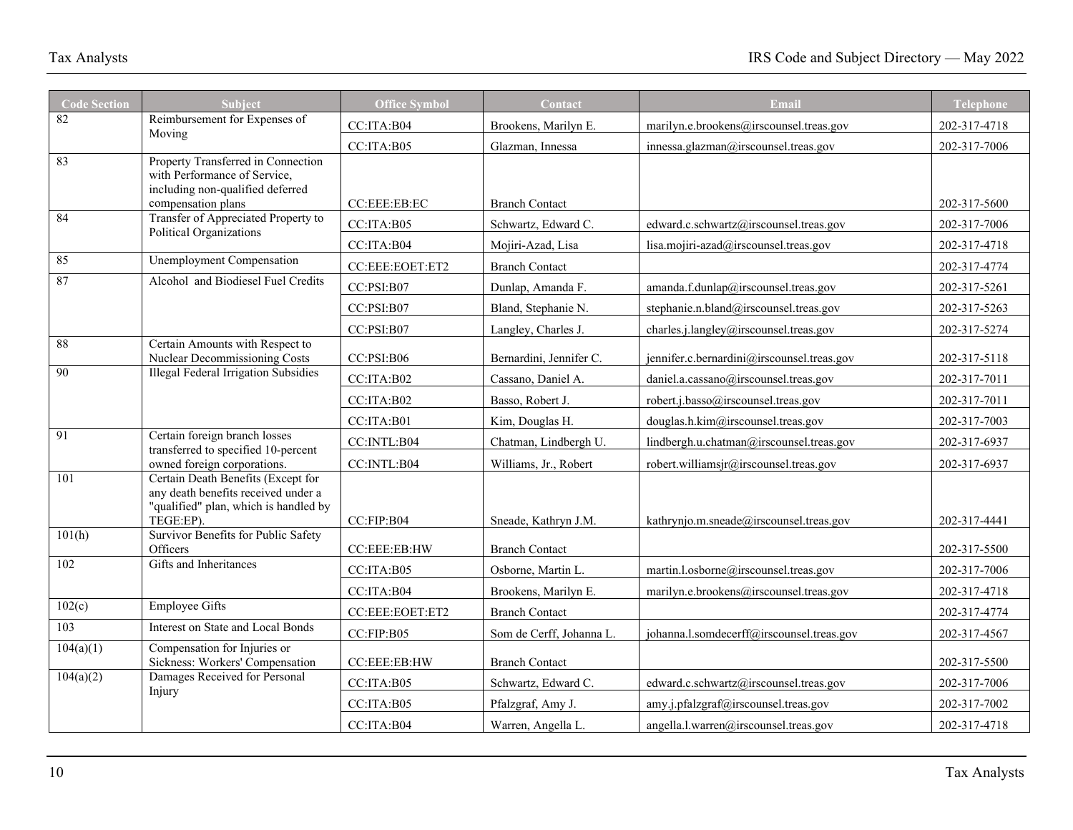| <b>Code Section</b> | <b>Subject</b>                                                                                                                  | <b>Office Symbol</b> | Contact                  | Email                                      | <b>Telephone</b> |
|---------------------|---------------------------------------------------------------------------------------------------------------------------------|----------------------|--------------------------|--------------------------------------------|------------------|
| 82                  | Reimbursement for Expenses of<br>Moving                                                                                         | CC:ITA:B04           | Brookens, Marilyn E.     | marilyn.e.brookens@irscounsel.treas.gov    | 202-317-4718     |
|                     |                                                                                                                                 | CC:ITA:B05           | Glazman, Innessa         | innessa.glazman@irscounsel.treas.gov       | 202-317-7006     |
| 83                  | Property Transferred in Connection<br>with Performance of Service,<br>including non-qualified deferred<br>compensation plans    | CC:EEE:EB:EC         | <b>Branch Contact</b>    |                                            | 202-317-5600     |
| 84                  | Transfer of Appreciated Property to                                                                                             | CC:ITA:B05           | Schwartz, Edward C.      | edward.c.schwartz@irscounsel.treas.gov     | 202-317-7006     |
|                     | Political Organizations                                                                                                         | CC:ITA:B04           | Mojiri-Azad, Lisa        | lisa.mojiri-azad@irscounsel.treas.gov      | 202-317-4718     |
| 85                  | <b>Unemployment Compensation</b>                                                                                                | CC:EEE:EOET:ET2      | <b>Branch Contact</b>    |                                            | 202-317-4774     |
| 87                  | Alcohol and Biodiesel Fuel Credits                                                                                              | CC:PSI:B07           | Dunlap, Amanda F.        | amanda.f.dunlap@irscounsel.treas.gov       | 202-317-5261     |
|                     |                                                                                                                                 | CC:PSI:B07           | Bland, Stephanie N.      | stephanie.n.bland@irscounsel.treas.gov     | 202-317-5263     |
|                     |                                                                                                                                 | CC:PSI:B07           | Langley, Charles J.      | charles.j.langley@irscounsel.treas.gov     | 202-317-5274     |
| 88                  | Certain Amounts with Respect to<br>Nuclear Decommissioning Costs                                                                | CC:PSI:B06           | Bernardini, Jennifer C.  | jennifer.c.bernardini@irscounsel.treas.gov | 202-317-5118     |
| 90                  | <b>Illegal Federal Irrigation Subsidies</b>                                                                                     | CC:ITA:B02           | Cassano, Daniel A.       | daniel.a.cassano@irscounsel.treas.gov      | 202-317-7011     |
|                     |                                                                                                                                 | CC:ITA:B02           | Basso, Robert J.         | robert.j.basso@irscounsel.treas.gov        | 202-317-7011     |
|                     |                                                                                                                                 | CC:ITA:B01           | Kim, Douglas H.          | douglas.h.kim@irscounsel.treas.gov         | 202-317-7003     |
| 91                  | Certain foreign branch losses<br>transferred to specified 10-percent                                                            | CC:INTL:B04          | Chatman, Lindbergh U.    | lindbergh.u.chatman@irscounsel.treas.gov   | 202-317-6937     |
|                     | owned foreign corporations.                                                                                                     | CC:INTL:B04          | Williams, Jr., Robert    | robert.williamsjr@irscounsel.treas.gov     | 202-317-6937     |
| 101                 | Certain Death Benefits (Except for<br>any death benefits received under a<br>"qualified" plan, which is handled by<br>TEGE:EP). | CC:FIP:B04           | Sneade, Kathryn J.M.     | kathrynjo.m.sneade@irscounsel.treas.gov    | 202-317-4441     |
| 101(h)              | Survivor Benefits for Public Safety<br>Officers                                                                                 | CC:EEE:EB:HW         | <b>Branch Contact</b>    |                                            | 202-317-5500     |
| 102                 | Gifts and Inheritances                                                                                                          | CC:ITA:B05           | Osborne, Martin L.       | martin.l.osborne@irscounsel.treas.gov      | 202-317-7006     |
|                     |                                                                                                                                 | CC:ITA:B04           | Brookens, Marilyn E.     | marilyn.e.brookens@irscounsel.treas.gov    | 202-317-4718     |
| 102(c)              | <b>Employee Gifts</b>                                                                                                           | CC:EEE:EOET:ET2      | <b>Branch Contact</b>    |                                            | 202-317-4774     |
| 103                 | Interest on State and Local Bonds                                                                                               | CC:FIP:B05           | Som de Cerff, Johanna L. | johanna.l.somdecerff@irscounsel.treas.gov  | 202-317-4567     |
| 104(a)(1)           | Compensation for Injuries or<br>Sickness: Workers' Compensation                                                                 | CC:EEE:EB:HW         | <b>Branch Contact</b>    |                                            | 202-317-5500     |
| 104(a)(2)           | Damages Received for Personal<br>Injury                                                                                         | CC:ITA:B05           | Schwartz, Edward C.      | edward.c.schwartz@irscounsel.treas.gov     | 202-317-7006     |
|                     |                                                                                                                                 | CC:ITA:B05           | Pfalzgraf, Amy J.        | amy.j.pfalzgraf@irscounsel.treas.gov       | 202-317-7002     |
|                     |                                                                                                                                 | CC:ITA:B04           | Warren, Angella L.       | angella.l.warren@irscounsel.treas.gov      | 202-317-4718     |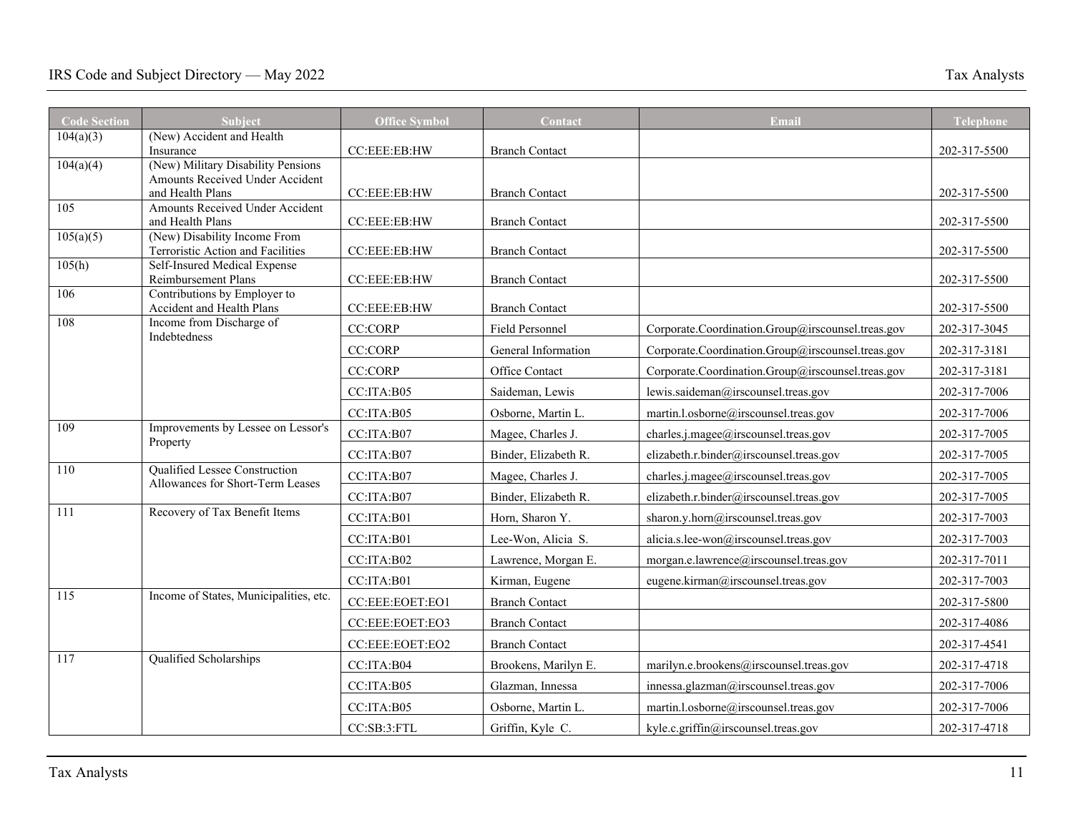| <b>Code Section</b> | Subject                                                           | <b>Office Symbol</b> | Contact               | Email                                             | <b>Telephone</b> |
|---------------------|-------------------------------------------------------------------|----------------------|-----------------------|---------------------------------------------------|------------------|
| 104(a)(3)           | (New) Accident and Health                                         |                      |                       |                                                   |                  |
|                     | Insurance<br>(New) Military Disability Pensions                   | CC:EEE:EB:HW         | <b>Branch Contact</b> |                                                   | 202-317-5500     |
| 104(a)(4)           | Amounts Received Under Accident                                   |                      |                       |                                                   |                  |
|                     | and Health Plans                                                  | CC:EEE:EB:HW         | <b>Branch Contact</b> |                                                   | 202-317-5500     |
| 105                 | Amounts Received Under Accident                                   |                      |                       |                                                   |                  |
| 105(a)(5)           | and Health Plans<br>(New) Disability Income From                  | CC:EEE:EB:HW         | <b>Branch Contact</b> |                                                   | 202-317-5500     |
|                     | Terroristic Action and Facilities                                 | CC:EEE:EB:HW         | <b>Branch Contact</b> |                                                   | 202-317-5500     |
| 105(h)              | Self-Insured Medical Expense                                      |                      |                       |                                                   |                  |
|                     | Reimbursement Plans                                               | CC:EEE:EB:HW         | <b>Branch Contact</b> |                                                   | 202-317-5500     |
| 106                 | Contributions by Employer to<br>Accident and Health Plans         | CC:EEE:EB:HW         | <b>Branch Contact</b> |                                                   | 202-317-5500     |
| 108                 | Income from Discharge of                                          | <b>CC:CORP</b>       | Field Personnel       | Corporate.Coordination.Group@irscounsel.treas.gov | 202-317-3045     |
|                     | Indebtedness                                                      | <b>CC:CORP</b>       | General Information   | Corporate.Coordination.Group@irscounsel.treas.gov | 202-317-3181     |
|                     |                                                                   | <b>CC:CORP</b>       | Office Contact        | Corporate.Coordination.Group@irscounsel.treas.gov | 202-317-3181     |
|                     |                                                                   | CC:ITA:B05           | Saideman, Lewis       | lewis.saideman@irscounsel.treas.gov               | 202-317-7006     |
|                     |                                                                   | CC:ITA:B05           | Osborne, Martin L.    | martin.l.osborne@irscounsel.treas.gov             | 202-317-7006     |
| 109                 | Improvements by Lessee on Lessor's                                | CC:ITA:B07           | Magee, Charles J.     | charles.j.magee@irscounsel.treas.gov              | 202-317-7005     |
|                     | Property                                                          | CC:ITA:B07           | Binder, Elizabeth R.  | elizabeth.r.binder@irscounsel.treas.gov           | 202-317-7005     |
| 110                 | Qualified Lessee Construction<br>Allowances for Short-Term Leases | CC:ITA:B07           | Magee, Charles J.     | charles.j.magee@irscounsel.treas.gov              | 202-317-7005     |
|                     |                                                                   | CC:ITA:B07           | Binder, Elizabeth R.  | elizabeth.r.binder@irscounsel.treas.gov           | 202-317-7005     |
| $\overline{111}$    | Recovery of Tax Benefit Items                                     | CC:ITA:B01           | Horn, Sharon Y.       | sharon.y.horn@irscounsel.treas.gov                | 202-317-7003     |
|                     |                                                                   | CC:ITA:B01           | Lee-Won, Alicia S.    | alicia.s.lee-won@irscounsel.treas.gov             | 202-317-7003     |
|                     |                                                                   | CC:ITA:B02           | Lawrence, Morgan E.   | morgan.e.lawrence@irscounsel.treas.gov            | 202-317-7011     |
|                     |                                                                   | CC:ITA:B01           | Kirman, Eugene        | eugene.kirman@irscounsel.treas.gov                | 202-317-7003     |
| 115                 | Income of States, Municipalities, etc.                            | CC:EEE:EOET:EO1      | <b>Branch Contact</b> |                                                   | 202-317-5800     |
|                     |                                                                   | CC:EEE:EOET:EO3      | <b>Branch Contact</b> |                                                   | 202-317-4086     |
|                     |                                                                   | CC:EEE:EOET:EO2      | <b>Branch Contact</b> |                                                   | 202-317-4541     |
| 117                 | Qualified Scholarships                                            | CC:ITA:B04           | Brookens, Marilyn E.  | marilyn.e.brookens@irscounsel.treas.gov           | 202-317-4718     |
|                     |                                                                   | CC:ITA:B05           | Glazman, Innessa      | innessa.glazman@irscounsel.treas.gov              | 202-317-7006     |
|                     |                                                                   | CC:ITA:B05           | Osborne, Martin L.    | martin.l.osborne@irscounsel.treas.gov             | 202-317-7006     |
|                     |                                                                   | CC:SB:3:FTL          | Griffin, Kyle C.      | $kyle.c.griffin@irscounsel.$ treas.gov            | 202-317-4718     |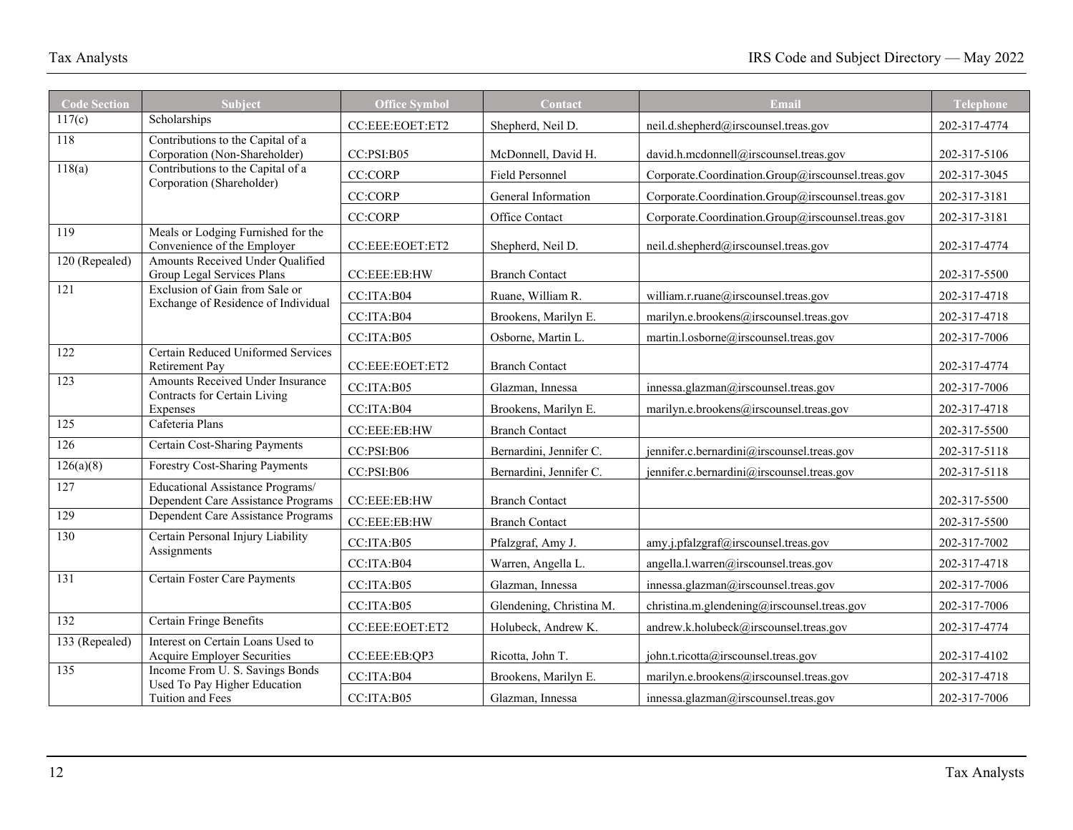| <b>Code Section</b> | Subject                                                                 | <b>Office Symbol</b> | Contact                  | Email                                             | <b>Telephone</b> |
|---------------------|-------------------------------------------------------------------------|----------------------|--------------------------|---------------------------------------------------|------------------|
| 117(c)              | Scholarships                                                            | CC:EEE:EOET:ET2      | Shepherd, Neil D.        | neil.d.shepherd@irscounsel.treas.gov              | 202-317-4774     |
| 118                 | Contributions to the Capital of a<br>Corporation (Non-Shareholder)      | CC:PSI:B05           | McDonnell, David H.      | david.h.mcdonnell@irscounsel.treas.gov            | 202-317-5106     |
| 118(a)              | Contributions to the Capital of a<br>Corporation (Shareholder)          | <b>CC:CORP</b>       | Field Personnel          | Corporate.Coordination.Group@irscounsel.treas.gov | 202-317-3045     |
|                     |                                                                         | <b>CC:CORP</b>       | General Information      | Corporate.Coordination.Group@irscounsel.treas.gov | 202-317-3181     |
|                     |                                                                         | <b>CC:CORP</b>       | Office Contact           | Corporate.Coordination.Group@irscounsel.treas.gov | 202-317-3181     |
| 119                 | Meals or Lodging Furnished for the<br>Convenience of the Employer       | CC:EEE:EOET:ET2      | Shepherd, Neil D.        | neil.d.shepherd@irscounsel.treas.gov              | 202-317-4774     |
| 120 (Repealed)      | Amounts Received Under Qualified<br>Group Legal Services Plans          | CC:EEE:EB:HW         | <b>Branch Contact</b>    |                                                   | 202-317-5500     |
| $\overline{121}$    | Exclusion of Gain from Sale or<br>Exchange of Residence of Individual   | CC:ITA:B04           | Ruane, William R.        | william.r.ruane@irscounsel.treas.gov              | 202-317-4718     |
|                     |                                                                         | CC:ITA:B04           | Brookens, Marilyn E.     | marilyn.e.brookens@irscounsel.treas.gov           | 202-317-4718     |
|                     |                                                                         | CC:ITA:B05           | Osborne, Martin L.       | martin.l.osborne@irscounsel.treas.gov             | 202-317-7006     |
| 122                 | <b>Certain Reduced Uniformed Services</b><br>Retirement Pay             | CC:EEE:EOET:ET2      | <b>Branch Contact</b>    |                                                   | 202-317-4774     |
| 123                 | <b>Amounts Received Under Insurance</b><br>Contracts for Certain Living | CC:ITA:B05           | Glazman, Innessa         | innessa.glazman@irscounsel.treas.gov              | 202-317-7006     |
|                     | Expenses                                                                | CC:ITA:B04           | Brookens, Marilyn E.     | marilyn.e.brookens@irscounsel.treas.gov           | 202-317-4718     |
| $\overline{125}$    | Cafeteria Plans                                                         | CC:EEE:EB:HW         | <b>Branch Contact</b>    |                                                   | 202-317-5500     |
| 126                 | Certain Cost-Sharing Payments                                           | CC:PSI:B06           | Bernardini, Jennifer C.  | jennifer.c.bernardini@irscounsel.treas.gov        | 202-317-5118     |
| 126(a)(8)           | Forestry Cost-Sharing Payments                                          | CC:PSI:B06           | Bernardini, Jennifer C.  | jennifer.c.bernardini@irscounsel.treas.gov        | 202-317-5118     |
| 127                 | Educational Assistance Programs/<br>Dependent Care Assistance Programs  | CC:EEE:EB:HW         | <b>Branch Contact</b>    |                                                   | 202-317-5500     |
| 129                 | Dependent Care Assistance Programs                                      | CC:EEE:EB:HW         | <b>Branch Contact</b>    |                                                   | 202-317-5500     |
| 130                 | Certain Personal Injury Liability                                       | CC:ITA:B05           | Pfalzgraf, Amy J.        | amy.j.pfalzgraf@irscounsel.treas.gov              | 202-317-7002     |
|                     | Assignments                                                             | CC:ITA:B04           | Warren, Angella L.       | angella.l.warren@irscounsel.treas.gov             | 202-317-4718     |
| 131                 | Certain Foster Care Payments                                            | CC:ITA:B05           | Glazman, Innessa         | innessa.glazman@irscounsel.treas.gov              | 202-317-7006     |
|                     |                                                                         | CC:ITA:B05           | Glendening, Christina M. | christina.m.glendening@irscounsel.treas.gov       | 202-317-7006     |
| 132                 | Certain Fringe Benefits                                                 | CC:EEE:EOET:ET2      | Holubeck, Andrew K.      | andrew.k.holubeck@irscounsel.treas.gov            | 202-317-4774     |
| 133 (Repealed)      | Interest on Certain Loans Used to<br><b>Acquire Employer Securities</b> | CC:EEE:EB:QP3        | Ricotta, John T.         | john.t.ricotta@irscounsel.treas.gov               | 202-317-4102     |
| 135                 | Income From U.S. Savings Bonds                                          | CC:ITA:B04           | Brookens, Marilyn E.     | marilyn.e.brookens@irscounsel.treas.gov           | 202-317-4718     |
|                     | Used To Pay Higher Education<br>Tuition and Fees                        | CC:ITA:B05           | Glazman, Innessa         | innessa.glazman@irscounsel.treas.gov              | 202-317-7006     |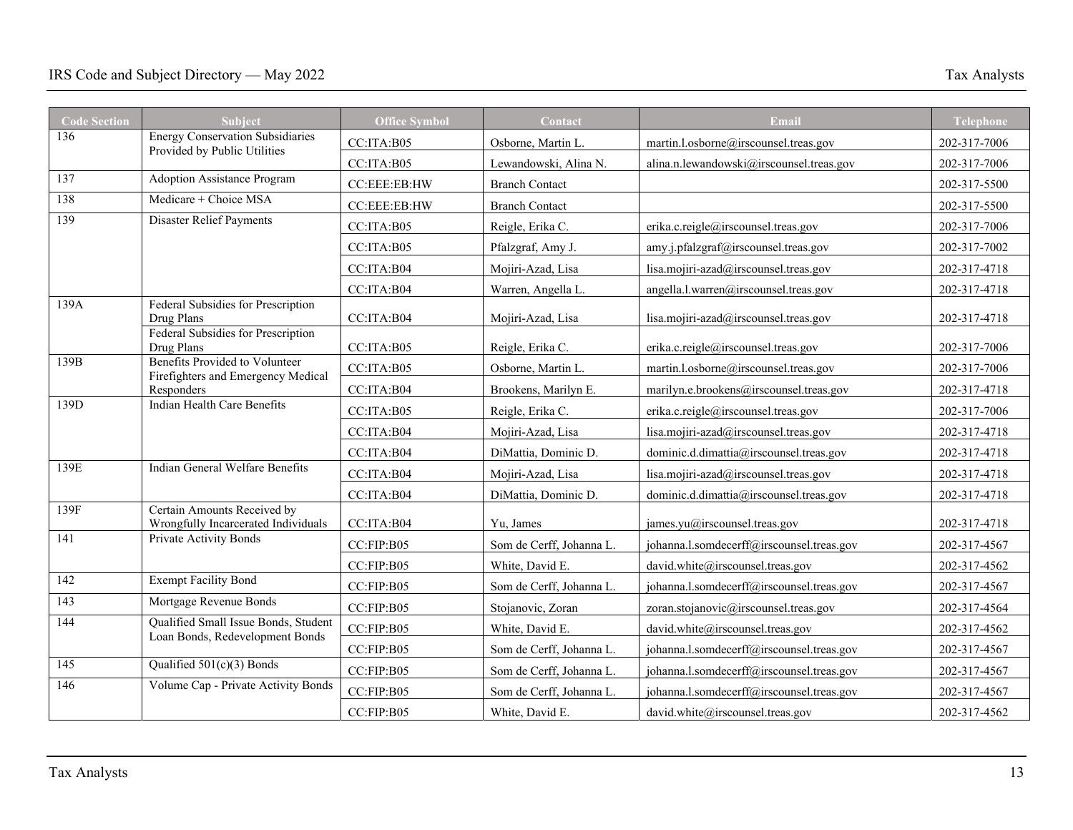| <b>Code Section</b> | Subject                                                                     | <b>Office Symbol</b> | Contact                  | Email                                     | <b>Telephone</b> |
|---------------------|-----------------------------------------------------------------------------|----------------------|--------------------------|-------------------------------------------|------------------|
| 136                 | <b>Energy Conservation Subsidiaries</b><br>Provided by Public Utilities     | CC:ITA:B05           | Osborne, Martin L.       | martin.l.osborne@irscounsel.treas.gov     | 202-317-7006     |
|                     |                                                                             | CC:ITA:B05           | Lewandowski, Alina N.    | alina.n.lewandowski@irscounsel.treas.gov  | 202-317-7006     |
| 137                 | <b>Adoption Assistance Program</b>                                          | CC:EEE:EB:HW         | <b>Branch Contact</b>    |                                           | 202-317-5500     |
| 138                 | Medicare + Choice MSA                                                       | CC:EEE:EB:HW         | <b>Branch Contact</b>    |                                           | 202-317-5500     |
| 139                 | Disaster Relief Payments                                                    | CC:ITA:B05           | Reigle, Erika C.         | erika.c.reigle@irscounsel.treas.gov       | 202-317-7006     |
|                     |                                                                             | CC:ITA:B05           | Pfalzgraf, Amy J.        | amy.j.pfalzgraf@irscounsel.treas.gov      | 202-317-7002     |
|                     |                                                                             | CC:ITA:B04           | Mojiri-Azad, Lisa        | lisa.mojiri-azad@irscounsel.treas.gov     | 202-317-4718     |
|                     |                                                                             | CC:ITA:B04           | Warren, Angella L.       | angella.l.warren@irscounsel.treas.gov     | 202-317-4718     |
| 139A                | Federal Subsidies for Prescription                                          |                      |                          |                                           |                  |
|                     | Drug Plans<br>Federal Subsidies for Prescription                            | CC:ITA:B04           | Mojiri-Azad, Lisa        | lisa.mojiri-azad@irscounsel.treas.gov     | 202-317-4718     |
|                     | Drug Plans                                                                  | CC:ITA:B05           | Reigle, Erika C.         | erika.c.reigle@irscounsel.treas.gov       | 202-317-7006     |
| 139B                | <b>Benefits Provided to Volunteer</b><br>Firefighters and Emergency Medical | CC:ITA:B05           | Osborne, Martin L.       | martin.l.osborne@irscounsel.treas.gov     | 202-317-7006     |
|                     | Responders                                                                  | CC:ITA:B04           | Brookens, Marilyn E.     | marilyn.e.brookens@irscounsel.treas.gov   | 202-317-4718     |
| 139D                | Indian Health Care Benefits                                                 | CC:ITA:B05           | Reigle, Erika C.         | erika.c.reigle@irscounsel.treas.gov       | 202-317-7006     |
|                     |                                                                             | CC:ITA:B04           | Mojiri-Azad, Lisa        | lisa.mojiri-azad@irscounsel.treas.gov     | 202-317-4718     |
|                     |                                                                             | CC:ITA:B04           | DiMattia, Dominic D.     | dominic.d.dimattia@irscounsel.treas.gov   | 202-317-4718     |
| 139E                | Indian General Welfare Benefits                                             | CC:ITA:B04           | Mojiri-Azad, Lisa        | lisa.mojiri-azad@irscounsel.treas.gov     | 202-317-4718     |
|                     |                                                                             | CC:ITA:B04           | DiMattia, Dominic D.     | dominic.d.dimattia@irscounsel.treas.gov   | 202-317-4718     |
| 139F                | Certain Amounts Received by<br>Wrongfully Incarcerated Individuals          | CC:ITA:B04           | Yu, James                | james.yu@irscounsel.treas.gov             | 202-317-4718     |
| 141                 | Private Activity Bonds                                                      | CC:FIP:B05           | Som de Cerff, Johanna L. | johanna.l.somdecerff@irscounsel.treas.gov | 202-317-4567     |
|                     |                                                                             | CC:FIP:B05           | White, David E.          | david.white@irscounsel.treas.gov          | 202-317-4562     |
| 142                 | <b>Exempt Facility Bond</b>                                                 | CC:FIP:B05           | Som de Cerff, Johanna L. | johanna.l.somdecerff@irscounsel.treas.gov | 202-317-4567     |
| 143                 | Mortgage Revenue Bonds                                                      | CC:FIP:B05           | Stojanovic, Zoran        | zoran.stojanovic@irscounsel.treas.gov     | 202-317-4564     |
| 144                 | Qualified Small Issue Bonds, Student                                        | CC:FIP:B05           | White, David E.          | david.white@irscounsel.treas.gov          | 202-317-4562     |
|                     | Loan Bonds, Redevelopment Bonds                                             | CC:FIP:B05           | Som de Cerff, Johanna L. | johanna.l.somdecerff@irscounsel.treas.gov | 202-317-4567     |
| 145                 | Qualified 501(c)(3) Bonds                                                   | CC:FIP:B05           | Som de Cerff, Johanna L. | johanna.l.somdecerff@irscounsel.treas.gov | 202-317-4567     |
| 146                 | Volume Cap - Private Activity Bonds                                         | CC:FIP:B05           | Som de Cerff, Johanna L. | johanna.l.somdecerff@irscounsel.treas.gov | 202-317-4567     |
|                     |                                                                             | CC:FIP:B05           | White, David E.          | david.white@irscounsel.treas.gov          | 202-317-4562     |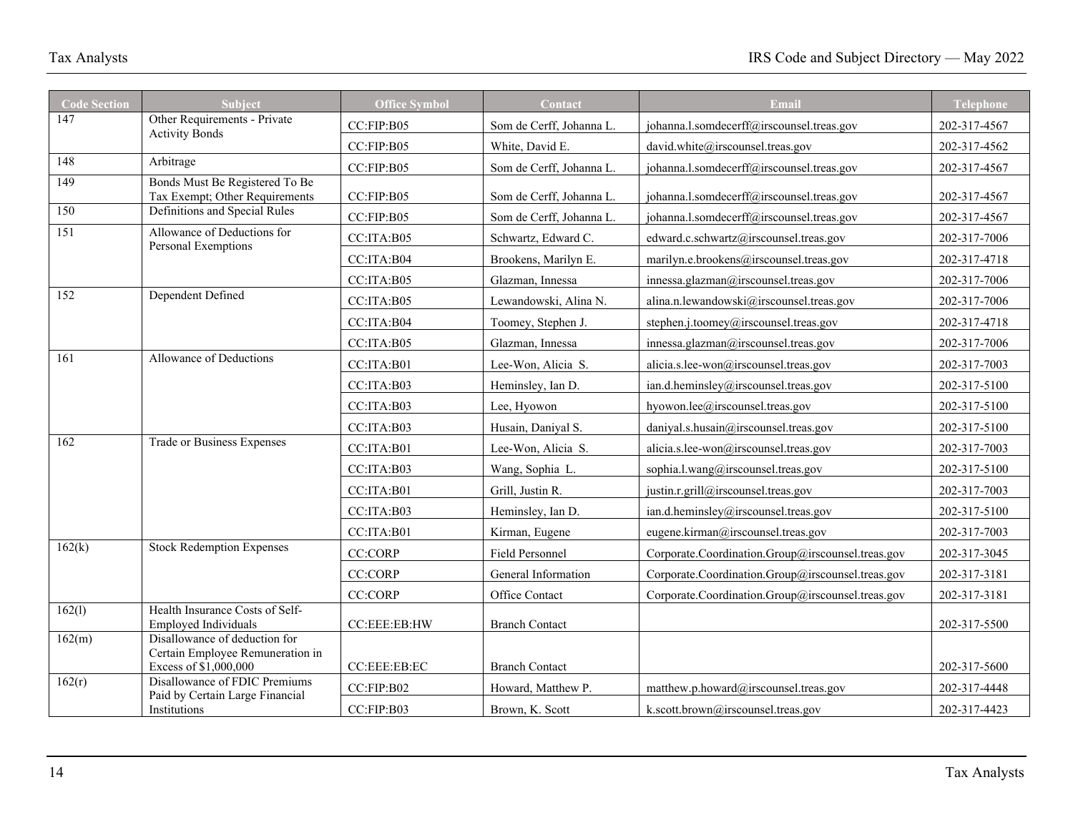| <b>Code Section</b> | <b>Subject</b>                                                                             | <b>Office Symbol</b>   | Contact                  | Email                                             | <b>Telephone</b> |
|---------------------|--------------------------------------------------------------------------------------------|------------------------|--------------------------|---------------------------------------------------|------------------|
| 147                 | Other Requirements - Private<br><b>Activity Bonds</b>                                      | CC:FIP:B <sub>05</sub> | Som de Cerff, Johanna L. | johanna.l.somdecerff@irscounsel.treas.gov         | 202-317-4567     |
|                     |                                                                                            | CC:FIP:B05             | White, David E.          | david.white@irscounsel.treas.gov                  | 202-317-4562     |
| 148                 | Arbitrage                                                                                  | CC:FIP:B05             | Som de Cerff, Johanna L. | johanna.l.somdecerff@irscounsel.treas.gov         | 202-317-4567     |
| 149                 | Bonds Must Be Registered To Be<br>Tax Exempt; Other Requirements                           | CC:FIP:B05             | Som de Cerff, Johanna L. | johanna.l.somdecerff@irscounsel.treas.gov         | 202-317-4567     |
| 150                 | Definitions and Special Rules                                                              | CC:FIP:B05             | Som de Cerff, Johanna L. | johanna.l.somdecerff@irscounsel.treas.gov         | 202-317-4567     |
| 151                 | Allowance of Deductions for<br>Personal Exemptions                                         | CC:ITA:B05             | Schwartz, Edward C.      | edward.c.schwartz@irscounsel.treas.gov            | 202-317-7006     |
|                     |                                                                                            | CC:ITA:B04             | Brookens, Marilyn E.     | marilyn.e.brookens@irscounsel.treas.gov           | 202-317-4718     |
|                     |                                                                                            | CC:ITA:B05             | Glazman, Innessa         | innessa.glazman@irscounsel.treas.gov              | 202-317-7006     |
| 152                 | Dependent Defined                                                                          | CC:ITA:B05             | Lewandowski, Alina N.    | alina.n.lewandowski@irscounsel.treas.gov          | 202-317-7006     |
|                     |                                                                                            | CC:ITA:B04             | Toomey, Stephen J.       | stephen.j.toomey@irscounsel.treas.gov             | 202-317-4718     |
|                     |                                                                                            | CC:ITA:B05             | Glazman, Innessa         | innessa.glazman@irscounsel.treas.gov              | 202-317-7006     |
| 161                 | Allowance of Deductions                                                                    | CC:ITA:B01             | Lee-Won, Alicia S.       | alicia.s.lee-won@irscounsel.treas.gov             | 202-317-7003     |
|                     |                                                                                            | CC:ITA:B03             | Heminsley, Ian D.        | ian.d.heminsley@irscounsel.treas.gov              | 202-317-5100     |
|                     |                                                                                            | CC:ITA:B03             | Lee, Hyowon              | hyowon.lee@irscounsel.treas.gov                   | 202-317-5100     |
|                     |                                                                                            | CC:ITA:B03             | Husain, Daniyal S.       | daniyal.s.husain@irscounsel.treas.gov             | 202-317-5100     |
| 162                 | Trade or Business Expenses                                                                 | CC:ITA:B01             | Lee-Won, Alicia S.       | alicia.s.lee-won@irscounsel.treas.gov             | 202-317-7003     |
|                     |                                                                                            | CC:ITA:B03             | Wang, Sophia L.          | sophia.l.wang@irscounsel.treas.gov                | 202-317-5100     |
|                     |                                                                                            | CC:ITA:B01             | Grill, Justin R.         | justin.r.grill@irscounsel.treas.gov               | 202-317-7003     |
|                     |                                                                                            | CC:ITA:B03             | Heminsley, Ian D.        | ian.d.heminsley@irscounsel.treas.gov              | 202-317-5100     |
|                     |                                                                                            | CC:ITA:B01             | Kirman, Eugene           | eugene.kirman@irscounsel.treas.gov                | 202-317-7003     |
| 162(k)              | <b>Stock Redemption Expenses</b>                                                           | <b>CC:CORP</b>         | Field Personnel          | Corporate.Coordination.Group@irscounsel.treas.gov | 202-317-3045     |
|                     |                                                                                            | <b>CC:CORP</b>         | General Information      | Corporate.Coordination.Group@irscounsel.treas.gov | 202-317-3181     |
|                     |                                                                                            | <b>CC:CORP</b>         | Office Contact           | Corporate.Coordination.Group@irscounsel.treas.gov | 202-317-3181     |
| 162(1)              | Health Insurance Costs of Self-<br><b>Employed Individuals</b>                             | CC:EEE:EB:HW           | <b>Branch Contact</b>    |                                                   | 202-317-5500     |
| 162(m)              | Disallowance of deduction for<br>Certain Employee Remuneration in<br>Excess of \$1,000,000 | CC:EEE:EB:EC           | <b>Branch Contact</b>    |                                                   | 202-317-5600     |
| 162(r)              | Disallowance of FDIC Premiums<br>Paid by Certain Large Financial                           | CC:FIP:B02             | Howard, Matthew P.       | matthew.p.howard@irscounsel.treas.gov             | 202-317-4448     |
|                     | Institutions                                                                               | CC:FIP:B03             | Brown, K. Scott          | k.scott.brown@irscounsel.treas.gov                | 202-317-4423     |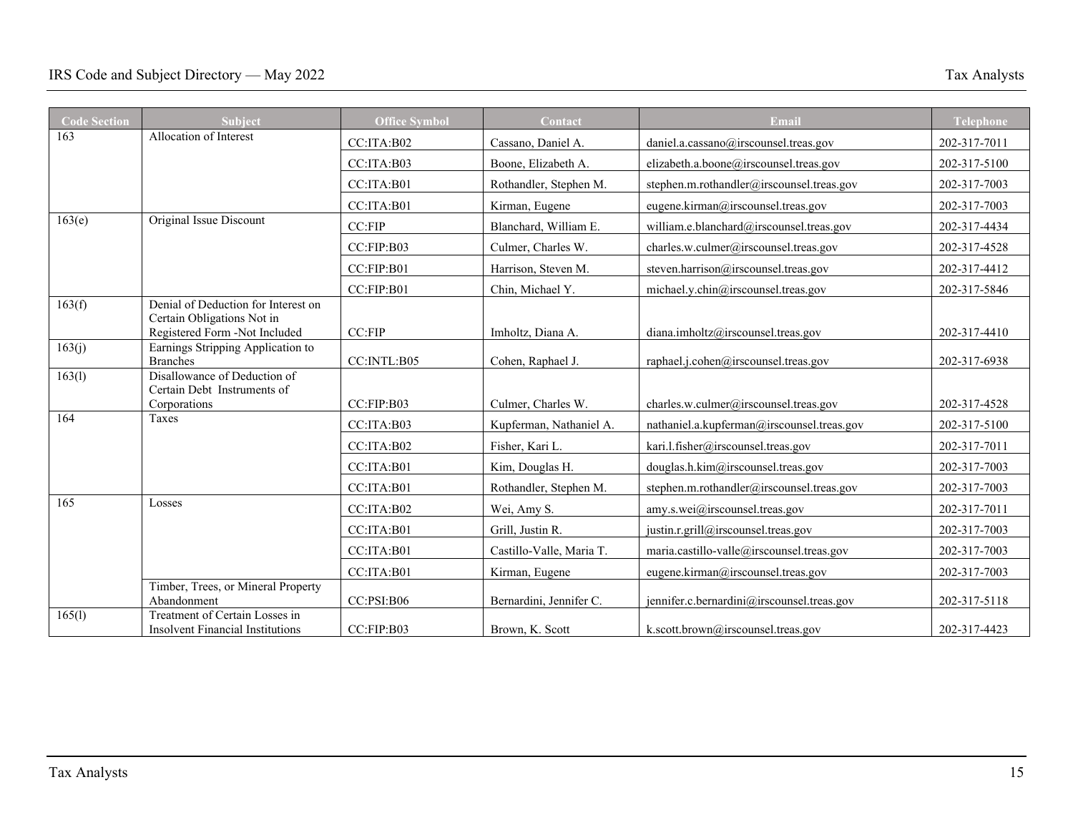| <b>Code Section</b> | <b>Subject</b>                                                            | <b>Office Symbol</b> | Contact                  | Email                                      | Telephone    |
|---------------------|---------------------------------------------------------------------------|----------------------|--------------------------|--------------------------------------------|--------------|
| 163                 | Allocation of Interest                                                    | CC:ITA:B02           | Cassano, Daniel A.       | daniel.a.cassano@irscounsel.treas.gov      | 202-317-7011 |
|                     |                                                                           | CC:ITA:B03           | Boone, Elizabeth A.      | elizabeth.a.boone@irscounsel.treas.gov     | 202-317-5100 |
|                     |                                                                           | CC:ITA:B01           | Rothandler, Stephen M.   | stephen.m.rothandler@irscounsel.treas.gov  | 202-317-7003 |
|                     |                                                                           | CC:ITA:B01           | Kirman, Eugene           | eugene.kirman@irscounsel.treas.gov         | 202-317-7003 |
| 163(e)              | Original Issue Discount                                                   | CC:FIP               | Blanchard, William E.    | william.e.blanchard@irscounsel.treas.gov   | 202-317-4434 |
|                     |                                                                           | CC:FIP:B03           | Culmer, Charles W.       | charles.w.culmer@irscounsel.treas.gov      | 202-317-4528 |
|                     |                                                                           | CC:FIP:B01           | Harrison, Steven M.      | steven.harrison@irscounsel.treas.gov       | 202-317-4412 |
|                     |                                                                           | CC:FIP:B01           | Chin, Michael Y.         | michael.y.chin@irscounsel.treas.gov        | 202-317-5846 |
| 163(f)              | Denial of Deduction for Interest on<br>Certain Obligations Not in         |                      |                          |                                            |              |
|                     | Registered Form -Not Included                                             | CC:FIP               | Imholtz, Diana A.        | diana.imholtz@irscounsel.treas.gov         | 202-317-4410 |
| 163(j)              | Earnings Stripping Application to<br><b>Branches</b>                      | CC:INTL:B05          | Cohen, Raphael J.        | raphael.j.cohen@irscounsel.treas.gov       | 202-317-6938 |
| 163(1)              | Disallowance of Deduction of                                              |                      |                          |                                            |              |
|                     | Certain Debt Instruments of<br>Corporations                               | CC:FIP:B03           | Culmer, Charles W.       | charles.w.culmer@irscounsel.treas.gov      | 202-317-4528 |
| 164                 | Taxes                                                                     | CC:ITA:B03           | Kupferman, Nathaniel A.  | nathaniel.a.kupferman@irscounsel.treas.gov | 202-317-5100 |
|                     |                                                                           | CC:ITA:B02           | Fisher, Kari L.          | kari.l.fisher@irscounsel.treas.gov         | 202-317-7011 |
|                     |                                                                           | CC:ITA:B01           | Kim, Douglas H.          | douglas.h.kim@irscounsel.treas.gov         | 202-317-7003 |
|                     |                                                                           | CC:ITA:B01           | Rothandler, Stephen M.   | stephen.m.rothandler@irscounsel.treas.gov  | 202-317-7003 |
| 165                 | Losses                                                                    | CC:ITA:B02           | Wei, Amy S.              | amy.s.wei@irscounsel.treas.gov             | 202-317-7011 |
|                     |                                                                           | CC:ITA:B01           | Grill, Justin R.         | justin.r.grill@irscounsel.treas.gov        | 202-317-7003 |
|                     |                                                                           | CC:ITA:B01           | Castillo-Valle, Maria T. | maria.castillo-valle@irscounsel.treas.gov  | 202-317-7003 |
|                     |                                                                           | CC:ITA:B01           | Kirman, Eugene           | eugene.kirman@irscounsel.treas.gov         | 202-317-7003 |
|                     | Timber, Trees, or Mineral Property<br>Abandonment                         | CC:PSI:B06           | Bernardini, Jennifer C.  | jennifer.c.bernardini@irscounsel.treas.gov | 202-317-5118 |
| 165(1)              | Treatment of Certain Losses in<br><b>Insolvent Financial Institutions</b> | CC:FIP:B03           | Brown, K. Scott          | k.scott.brown@irscounsel.treas.gov         | 202-317-4423 |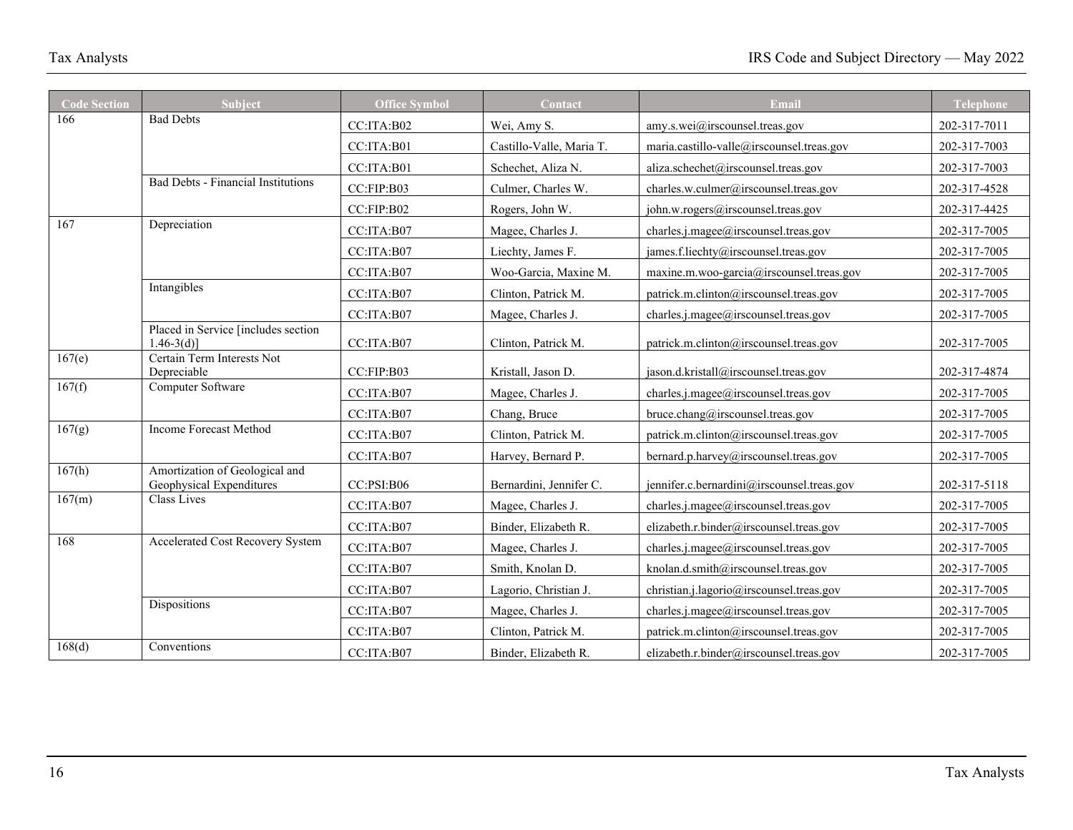| <b>Code Section</b> | Subject                                                    | <b>Office Symbol</b> | Contact                  | Email                                      | <b>Telephone</b> |
|---------------------|------------------------------------------------------------|----------------------|--------------------------|--------------------------------------------|------------------|
| 166                 | <b>Bad Debts</b>                                           | CC:ITA:B02           | Wei, Amy S.              | amy.s.wei@irscounsel.treas.gov             | 202-317-7011     |
|                     |                                                            | CC:ITA:B01           | Castillo-Valle, Maria T. | maria.castillo-valle@irscounsel.treas.gov  | 202-317-7003     |
|                     |                                                            | CC:ITA:B01           | Schechet, Aliza N.       | aliza.schechet@irscounsel.treas.gov        | 202-317-7003     |
|                     | <b>Bad Debts - Financial Institutions</b>                  | CC:FIP:B03           | Culmer, Charles W.       | charles.w.culmer@irscounsel.treas.gov      | 202-317-4528     |
|                     |                                                            | CC:FIP:B02           | Rogers, John W.          | john.w.rogers@irscounsel.treas.gov         | 202-317-4425     |
| 167                 | Depreciation                                               | CC:ITA:B07           | Magee, Charles J.        | charles.j.magee@irscounsel.treas.gov       | 202-317-7005     |
|                     |                                                            | CC:ITA:B07           | Liechty, James F.        | james.f.liechty@irscounsel.treas.gov       | 202-317-7005     |
|                     |                                                            | CC:ITA:B07           | Woo-Garcia, Maxine M.    | maxine.m.woo-garcia@irscounsel.treas.gov   | 202-317-7005     |
|                     | Intangibles                                                | CC:ITA:B07           | Clinton, Patrick M.      | patrick.m.clinton@irscounsel.treas.gov     | 202-317-7005     |
|                     |                                                            | CC:ITA:B07           | Magee, Charles J.        | charles.j.magee@irscounsel.treas.gov       | 202-317-7005     |
|                     | Placed in Service [includes section<br>$1.46 - 3(d)$ ]     | CC:ITA:B07           | Clinton, Patrick M.      | patrick.m.clinton@irscounsel.treas.gov     | 202-317-7005     |
| 167(e)              | Certain Term Interests Not<br>Depreciable                  | CC:FIP:B03           | Kristall, Jason D.       | jason.d.kristall@irscounsel.treas.gov      | 202-317-4874     |
| 167(f)              | Computer Software                                          | CC:ITA:B07           | Magee, Charles J.        | charles.j.magee@irscounsel.treas.gov       | 202-317-7005     |
|                     |                                                            | CC:ITA:B07           | Chang, Bruce             | bruce.chang@irscounsel.treas.gov           | 202-317-7005     |
| 167(g)              | Income Forecast Method                                     | CC:ITA:B07           | Clinton, Patrick M.      | patrick.m.clinton@irscounsel.treas.gov     | 202-317-7005     |
|                     |                                                            | CC:ITA:B07           | Harvey, Bernard P.       | bernard.p.harvey@irscounsel.treas.gov      | 202-317-7005     |
| 167(h)              | Amortization of Geological and<br>Geophysical Expenditures | CC:PSI:B06           | Bernardini, Jennifer C.  | jennifer.c.bernardini@irscounsel.treas.gov | 202-317-5118     |
| 167(m)              | <b>Class Lives</b>                                         | CC:ITA:B07           | Magee, Charles J.        | charles.j.magee@irscounsel.treas.gov       | 202-317-7005     |
|                     |                                                            | CC:ITA:B07           | Binder, Elizabeth R.     | elizabeth.r.binder@irscounsel.treas.gov    | 202-317-7005     |
| 168                 | <b>Accelerated Cost Recovery System</b>                    | CC:ITA:B07           | Magee, Charles J.        | charles.j.magee@irscounsel.treas.gov       | 202-317-7005     |
|                     |                                                            | CC:ITA:B07           | Smith, Knolan D.         | knolan.d.smith@irscounsel.treas.gov        | 202-317-7005     |
|                     |                                                            | CC:ITA:B07           | Lagorio, Christian J.    | christian.j.lagorio@irscounsel.treas.gov   | 202-317-7005     |
|                     | Dispositions                                               | CC:ITA:B07           | Magee, Charles J.        | charles.j.magee@irscounsel.treas.gov       | 202-317-7005     |
|                     |                                                            | CC:ITA:B07           | Clinton, Patrick M.      | patrick.m.clinton@irscounsel.treas.gov     | 202-317-7005     |
| 168(d)              | Conventions                                                | CC:ITA:B07           | Binder, Elizabeth R.     | elizabeth.r.binder@irscounsel.treas.gov    | 202-317-7005     |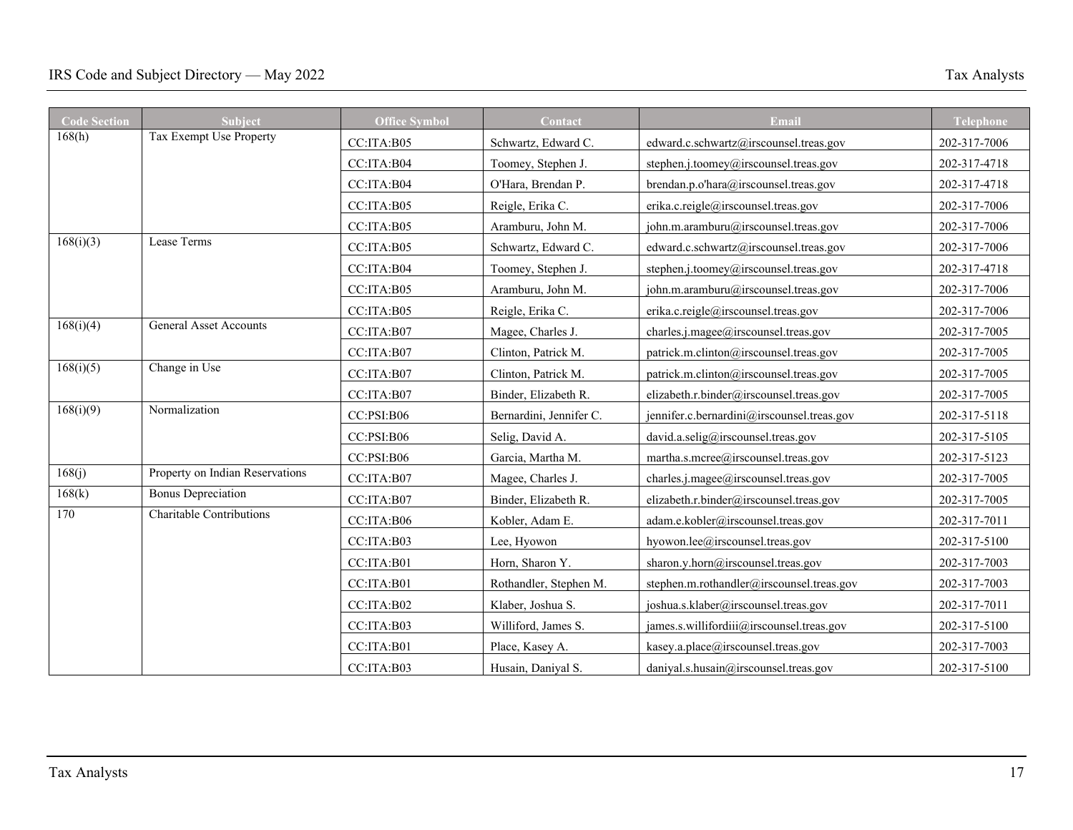| <b>Code Section</b> | <b>Subject</b>                  | <b>Office Symbol</b> | Contact                 | Email                                      | <b>Telephone</b> |
|---------------------|---------------------------------|----------------------|-------------------------|--------------------------------------------|------------------|
| 168(h)              | Tax Exempt Use Property         | CC:ITA:B05           | Schwartz, Edward C.     | edward.c.schwartz@irscounsel.treas.gov     | 202-317-7006     |
|                     |                                 | CC:ITA:B04           | Toomey, Stephen J.      | stephen.j.toomey@irscounsel.treas.gov      | 202-317-4718     |
|                     |                                 | CC:ITA:B04           | O'Hara, Brendan P.      | brendan.p.o'hara@irscounsel.treas.gov      | 202-317-4718     |
|                     |                                 | CC:ITA:B05           | Reigle, Erika C.        | erika.c.reigle@irscounsel.treas.gov        | 202-317-7006     |
|                     |                                 | CC:ITA:B05           | Aramburu, John M.       | john.m.aramburu@irscounsel.treas.gov       | 202-317-7006     |
| 168(i)(3)           | Lease Terms                     | CC:ITA:B05           | Schwartz, Edward C.     | edward.c.schwartz@irscounsel.treas.gov     | 202-317-7006     |
|                     |                                 | CC:ITA:B04           | Toomey, Stephen J.      | stephen.j.toomey@irscounsel.treas.gov      | 202-317-4718     |
|                     |                                 | CC:ITA:B05           | Aramburu, John M.       | john.m.aramburu@irscounsel.treas.gov       | 202-317-7006     |
|                     |                                 | CC:ITA:B05           | Reigle, Erika C.        | erika.c.reigle@irscounsel.treas.gov        | 202-317-7006     |
| 168(i)(4)           | <b>General Asset Accounts</b>   | CC:ITA:B07           | Magee, Charles J.       | charles.j.magee@irscounsel.treas.gov       | 202-317-7005     |
|                     |                                 | CC:ITA:B07           | Clinton, Patrick M.     | patrick.m.clinton@irscounsel.treas.gov     | 202-317-7005     |
| 168(i)(5)           | Change in Use                   | CC:ITA:B07           | Clinton, Patrick M.     | patrick.m.clinton@irscounsel.treas.gov     | 202-317-7005     |
|                     |                                 | CC:ITA:B07           | Binder, Elizabeth R.    | elizabeth.r.binder@irscounsel.treas.gov    | 202-317-7005     |
| 168(i)(9)           | Normalization                   | CC:PSI:B06           | Bernardini, Jennifer C. | jennifer.c.bernardini@irscounsel.treas.gov | 202-317-5118     |
|                     |                                 | CC:PSI:B06           | Selig, David A.         | david.a.selig@irscounsel.treas.gov         | 202-317-5105     |
|                     |                                 | CC:PSI:B06           | Garcia, Martha M.       | martha.s.mcree@irscounsel.treas.gov        | 202-317-5123     |
| 168(j)              | Property on Indian Reservations | CC:ITA:B07           | Magee, Charles J.       | charles.j.magee@irscounsel.treas.gov       | 202-317-7005     |
| 168(k)              | <b>Bonus Depreciation</b>       | CC:ITA:B07           | Binder, Elizabeth R.    | elizabeth.r.binder@irscounsel.treas.gov    | 202-317-7005     |
| 170                 | <b>Charitable Contributions</b> | CC:ITA:B06           | Kobler, Adam E.         | adam.e.kobler@irscounsel.treas.gov         | 202-317-7011     |
|                     |                                 | CC:ITA:B03           | Lee, Hyowon             | hyowon.lee@irscounsel.treas.gov            | 202-317-5100     |
|                     |                                 | CC:ITA:B01           | Horn, Sharon Y.         | sharon.y.horn@irscounsel.treas.gov         | 202-317-7003     |
|                     |                                 | CC:ITA:B01           | Rothandler, Stephen M.  | stephen.m.rothandler@irscounsel.treas.gov  | 202-317-7003     |
|                     |                                 | CC:ITA:B02           | Klaber, Joshua S.       | joshua.s.klaber@irscounsel.treas.gov       | 202-317-7011     |
|                     |                                 | CC:ITA:B03           | Williford, James S.     | james.s.willifordiii@irscounsel.treas.gov  | 202-317-5100     |
|                     |                                 | CC:ITA:B01           | Place, Kasey A.         | kasey.a.place@irscounsel.treas.gov         | 202-317-7003     |
|                     |                                 | CC:ITA:B03           | Husain, Daniyal S.      | daniyal.s.husain@irscounsel.treas.gov      | 202-317-5100     |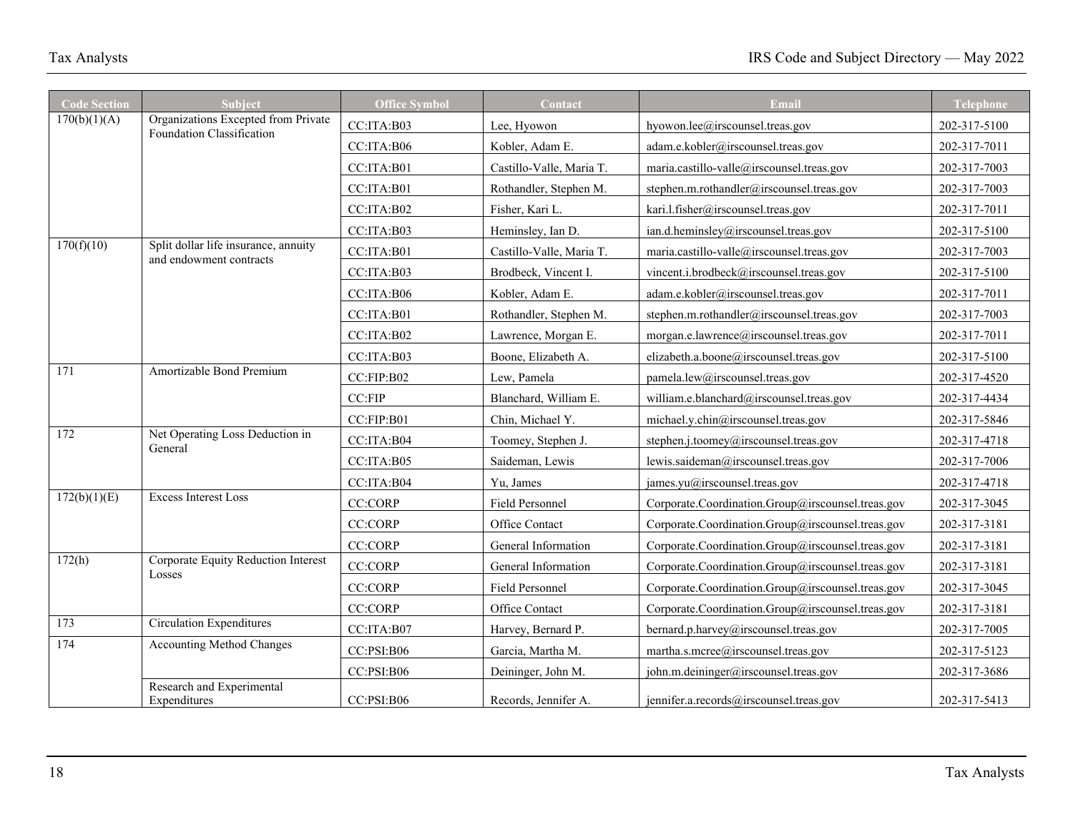| <b>Code Section</b> | <b>Subject</b>                                                   | <b>Office Symbol</b> | Contact                            | Email                                             | <b>Telephone</b> |
|---------------------|------------------------------------------------------------------|----------------------|------------------------------------|---------------------------------------------------|------------------|
| 170(b)(1)(A)        | Organizations Excepted from Private<br>Foundation Classification | CC:ITA:B03           | Lee. Hvowon                        | hyowon.lee@irscounsel.treas.gov                   | 202-317-5100     |
|                     | CC:ITA:B06                                                       | Kobler, Adam E.      | adam.e.kobler@irscounsel.treas.gov | 202-317-7011                                      |                  |
|                     |                                                                  | CC:ITA:B01           | Castillo-Valle, Maria T.           | maria.castillo-valle@irscounsel.treas.gov         | 202-317-7003     |
|                     |                                                                  | CC:ITA:B01           | Rothandler, Stephen M.             | stephen.m.rothandler@irscounsel.treas.gov         | 202-317-7003     |
|                     |                                                                  | CC:ITA:B02           | Fisher, Kari L.                    | kari.l.fisher@irscounsel.treas.gov                | 202-317-7011     |
|                     |                                                                  | CC:ITA:B03           | Heminsley, Ian D.                  | ian.d.heminsley@irscounsel.treas.gov              | 202-317-5100     |
| 170(f)(10)          | Split dollar life insurance, annuity                             | CC:ITA:B01           | Castillo-Valle, Maria T.           | maria.castillo-valle@irscounsel.treas.gov         | 202-317-7003     |
|                     | and endowment contracts                                          | CC:ITA:B03           | Brodbeck, Vincent I.               | vincent.i.brodbeck@irscounsel.treas.gov           | 202-317-5100     |
|                     |                                                                  | CC:ITA:B06           | Kobler, Adam E.                    | adam.e.kobler@irscounsel.treas.gov                | 202-317-7011     |
|                     |                                                                  | CC:ITA:B01           | Rothandler, Stephen M.             | stephen.m.rothandler@irscounsel.treas.gov         | 202-317-7003     |
|                     |                                                                  | CC:ITA:B02           | Lawrence, Morgan E.                | morgan.e.lawrence@irscounsel.treas.gov            | 202-317-7011     |
|                     |                                                                  | CC:ITA:B03           | Boone, Elizabeth A.                | elizabeth.a.boone@irscounsel.treas.gov            | 202-317-5100     |
| 171                 | Amortizable Bond Premium                                         | CC:FIP:B02           | Lew, Pamela                        | pamela.lew@irscounsel.treas.gov                   | 202-317-4520     |
|                     |                                                                  | CC:FIP               | Blanchard, William E.              | william.e.blanchard@irscounsel.treas.gov          | 202-317-4434     |
|                     |                                                                  | CC:FIP:B01           | Chin, Michael Y.                   | michael.y.chin@irscounsel.treas.gov               | 202-317-5846     |
| 172                 | Net Operating Loss Deduction in<br>General                       | CC:ITA:B04           | Toomey, Stephen J.                 | stephen.j.toomey@irscounsel.treas.gov             | 202-317-4718     |
|                     |                                                                  | CC:ITA:B05           | Saideman, Lewis                    | lewis.saideman@irscounsel.treas.gov               | 202-317-7006     |
|                     |                                                                  | CC:ITA:B04           | Yu, James                          | james.yu@irscounsel.treas.gov                     | 202-317-4718     |
| 172(b)(1)(E)        | <b>Excess Interest Loss</b>                                      | <b>CC:CORP</b>       | Field Personnel                    | Corporate.Coordination.Group@irscounsel.treas.gov | 202-317-3045     |
|                     |                                                                  | <b>CC:CORP</b>       | Office Contact                     | Corporate.Coordination.Group@irscounsel.treas.gov | 202-317-3181     |
|                     |                                                                  | <b>CC:CORP</b>       | General Information                | Corporate.Coordination.Group@irscounsel.treas.gov | 202-317-3181     |
| 172(h)              | Corporate Equity Reduction Interest<br>Losses                    | <b>CC:CORP</b>       | General Information                | Corporate.Coordination.Group@irscounsel.treas.gov | 202-317-3181     |
|                     |                                                                  | <b>CC:CORP</b>       | Field Personnel                    | Corporate.Coordination.Group@irscounsel.treas.gov | 202-317-3045     |
|                     |                                                                  | <b>CC:CORP</b>       | Office Contact                     | Corporate.Coordination.Group@irscounsel.treas.gov | 202-317-3181     |
| 173                 | <b>Circulation Expenditures</b>                                  | CC:ITA:B07           | Harvey, Bernard P.                 | bernard.p.harvey@irscounsel.treas.gov             | 202-317-7005     |
| 174                 | <b>Accounting Method Changes</b>                                 | CC:PSI:B06           | Garcia, Martha M.                  | martha.s.mcree@irscounsel.treas.gov               | 202-317-5123     |
|                     |                                                                  | CC:PSI:B06           | Deininger, John M.                 | john.m.deininger@irscounsel.treas.gov             | 202-317-3686     |
|                     | Research and Experimental<br>Expenditures                        | CC:PSI:B06           | Records, Jennifer A.               | jennifer.a.records@irscounsel.treas.gov           | 202-317-5413     |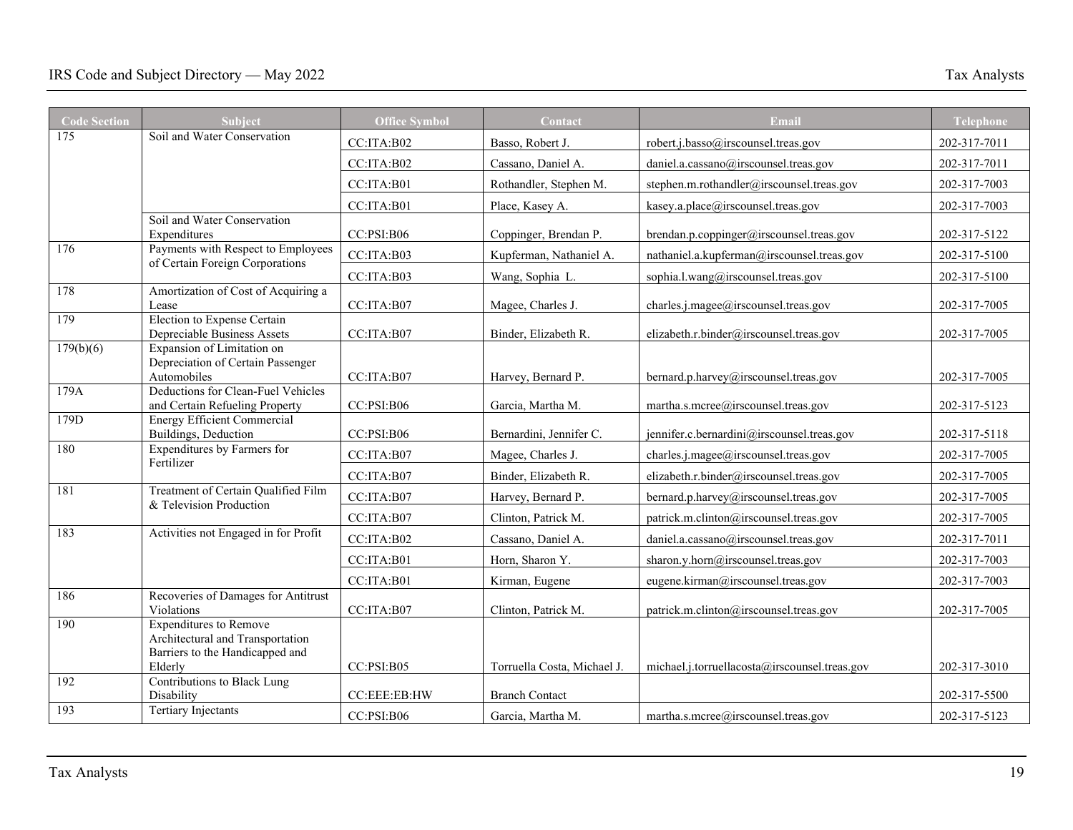| <b>Code Section</b> | <b>Subject</b>                                                                                                  | <b>Office Symbol</b> | <b>Contact</b>              | Email                                         | Telephone    |
|---------------------|-----------------------------------------------------------------------------------------------------------------|----------------------|-----------------------------|-----------------------------------------------|--------------|
| $\overline{175}$    | Soil and Water Conservation                                                                                     | CC:ITA:B02           | Basso, Robert J.            | robert.j.basso@irscounsel.treas.gov           | 202-317-7011 |
|                     |                                                                                                                 | CC:ITA:B02           | Cassano, Daniel A.          | daniel.a.cassano@irscounsel.treas.gov         | 202-317-7011 |
|                     |                                                                                                                 | CC:ITA:B01           | Rothandler, Stephen M.      | stephen.m.rothandler@irscounsel.treas.gov     | 202-317-7003 |
|                     |                                                                                                                 | CC:ITA:B01           | Place, Kasey A.             | kasey.a.place@irscounsel.treas.gov            | 202-317-7003 |
|                     | Soil and Water Conservation<br>Expenditures                                                                     | CC:PSI:B06           | Coppinger, Brendan P.       | brendan.p.coppinger@irscounsel.treas.gov      | 202-317-5122 |
| 176                 | Payments with Respect to Employees<br>of Certain Foreign Corporations                                           | CC:ITA:B03           | Kupferman, Nathaniel A.     | nathaniel.a.kupferman@irscounsel.treas.gov    | 202-317-5100 |
|                     |                                                                                                                 | CC:ITA:B03           | Wang, Sophia L.             | sophia.l.wang@irscounsel.treas.gov            | 202-317-5100 |
| 178                 | Amortization of Cost of Acquiring a<br>Lease                                                                    | CC:ITA:B07           | Magee, Charles J.           | charles.j.magee@irscounsel.treas.gov          | 202-317-7005 |
| 179                 | Election to Expense Certain<br>Depreciable Business Assets                                                      | CC:ITA:B07           | Binder, Elizabeth R.        | elizabeth.r.binder@irscounsel.treas.gov       | 202-317-7005 |
| 179(b)(6)           | Expansion of Limitation on<br>Depreciation of Certain Passenger<br>Automobiles                                  | CC:ITA:B07           | Harvey, Bernard P.          | bernard.p.harvey@irscounsel.treas.gov         | 202-317-7005 |
| 179A                | Deductions for Clean-Fuel Vehicles<br>and Certain Refueling Property                                            | CC:PSI:B06           | Garcia, Martha M.           | martha.s.mcree@irscounsel.treas.gov           | 202-317-5123 |
| 179D                | <b>Energy Efficient Commercial</b><br>Buildings, Deduction                                                      | CC:PSI:B06           | Bernardini, Jennifer C.     | jennifer.c.bernardini@irscounsel.treas.gov    | 202-317-5118 |
| 180                 | Expenditures by Farmers for<br>Fertilizer                                                                       | CC:ITA:B07           | Magee, Charles J.           | charles.j.magee@irscounsel.treas.gov          | 202-317-7005 |
|                     |                                                                                                                 | CC:ITA:B07           | Binder, Elizabeth R.        | elizabeth.r.binder@irscounsel.treas.gov       | 202-317-7005 |
| 181                 | Treatment of Certain Qualified Film<br>& Television Production                                                  | CC:ITA:B07           | Harvey, Bernard P.          | bernard.p.harvey@irscounsel.treas.gov         | 202-317-7005 |
|                     |                                                                                                                 | CC:ITA:B07           | Clinton, Patrick M.         | patrick.m.clinton@irscounsel.treas.gov        | 202-317-7005 |
| 183                 | Activities not Engaged in for Profit                                                                            | CC:ITA:B02           | Cassano, Daniel A.          | daniel.a.cassano@irscounsel.treas.gov         | 202-317-7011 |
|                     |                                                                                                                 | CC:ITA:B01           | Horn, Sharon Y.             | sharon.y.horn@irscounsel.treas.gov            | 202-317-7003 |
|                     |                                                                                                                 | CC:ITA:B01           | Kirman, Eugene              | eugene.kirman@irscounsel.treas.gov            | 202-317-7003 |
| 186                 | Recoveries of Damages for Antitrust<br>Violations                                                               | CC:ITA:B07           | Clinton, Patrick M.         | patrick.m.clinton@irscounsel.treas.gov        | 202-317-7005 |
| 190                 | <b>Expenditures to Remove</b><br>Architectural and Transportation<br>Barriers to the Handicapped and<br>Elderly | CC:PSI:B05           | Torruella Costa, Michael J. | michael.j.torruellacosta@irscounsel.treas.gov | 202-317-3010 |
| 192                 | Contributions to Black Lung<br>Disability                                                                       | CC:EEE:EB:HW         | <b>Branch Contact</b>       |                                               | 202-317-5500 |
| 193                 | <b>Tertiary Injectants</b>                                                                                      | CC:PSI: B06          | Garcia, Martha M.           | martha.s.mcree@irscounsel.treas.gov           | 202-317-5123 |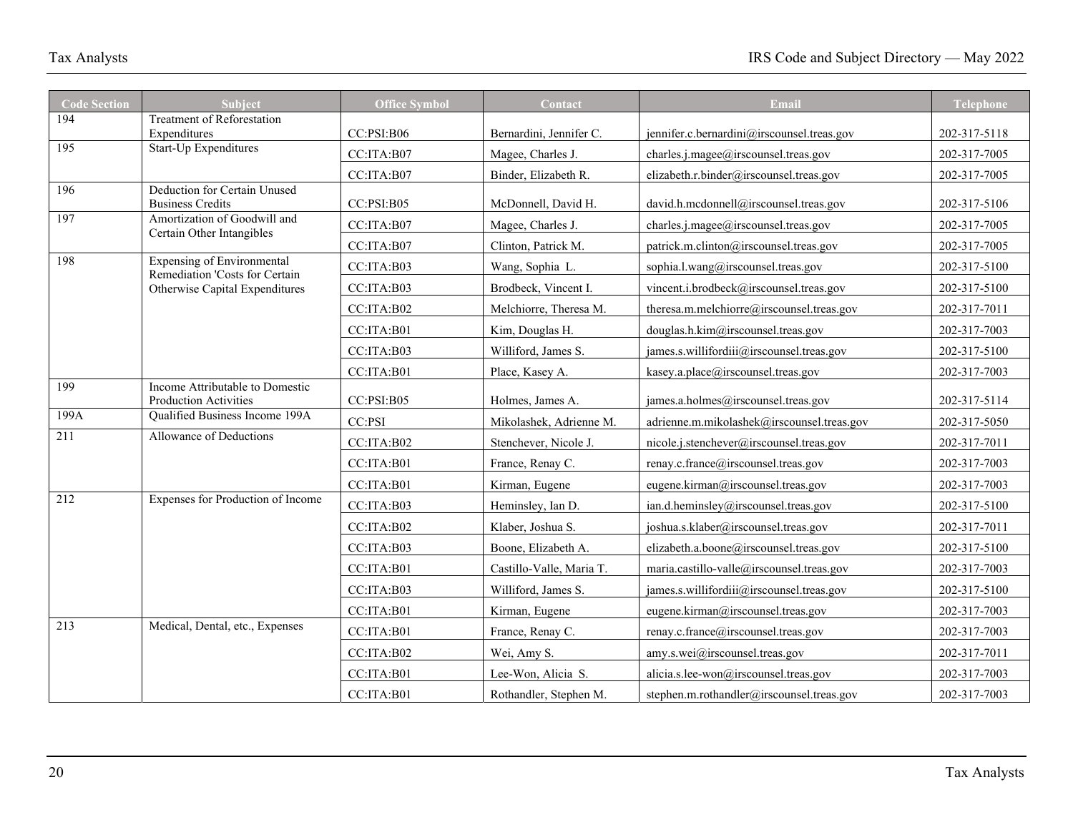| <b>Code Section</b> | Subject                                                          | <b>Office Symbol</b> | Contact                  | Email                                      | <b>Telephone</b> |
|---------------------|------------------------------------------------------------------|----------------------|--------------------------|--------------------------------------------|------------------|
| 194                 | Treatment of Reforestation<br>Expenditures                       | CC:PSI:B06           | Bernardini, Jennifer C.  | jennifer.c.bernardini@irscounsel.treas.gov | 202-317-5118     |
| 195                 | Start-Up Expenditures                                            | CC:ITA:B07           | Magee, Charles J.        | charles.j.magee@irscounsel.treas.gov       | 202-317-7005     |
|                     |                                                                  | CC:ITA:B07           | Binder, Elizabeth R.     | elizabeth.r.binder@irscounsel.treas.gov    | 202-317-7005     |
| 196                 | Deduction for Certain Unused<br><b>Business Credits</b>          | CC:PSI:B05           | McDonnell, David H.      | david.h.mcdonnell@irscounsel.treas.gov     | 202-317-5106     |
| 197                 | Amortization of Goodwill and                                     | CC:ITA:B07           | Magee, Charles J.        | charles.j.magee@irscounsel.treas.gov       | 202-317-7005     |
|                     | Certain Other Intangibles                                        | CC:ITA:B07           | Clinton, Patrick M.      | patrick.m.clinton@irscounsel.treas.gov     | 202-317-7005     |
| 198                 | <b>Expensing of Environmental</b>                                | CC:ITA:B03           | Wang, Sophia L.          | sophia.l.wang@irscounsel.treas.gov         | 202-317-5100     |
|                     | Remediation 'Costs for Certain<br>Otherwise Capital Expenditures | CC:ITA:B03           | Brodbeck, Vincent I.     | vincent.i.brodbeck@irscounsel.treas.gov    | 202-317-5100     |
|                     |                                                                  | CC:ITA:B02           | Melchiorre, Theresa M.   | theresa.m.melchiorre@irscounsel.treas.gov  | 202-317-7011     |
|                     |                                                                  | CC:ITA:B01           | Kim, Douglas H.          | douglas.h.kim@irscounsel.treas.gov         | 202-317-7003     |
|                     |                                                                  | CC:ITA:B03           | Williford, James S.      | james.s.willifordiii@irscounsel.treas.gov  | 202-317-5100     |
|                     |                                                                  | CC:ITA:B01           | Place, Kasey A.          | kasey.a.place@irscounsel.treas.gov         | 202-317-7003     |
| 199                 | Income Attributable to Domestic<br>Production Activities         | CC:PSI:B05           | Holmes, James A.         | james.a.holmes@irscounsel.treas.gov        | 202-317-5114     |
| 199A                | Qualified Business Income 199A                                   | CC:PSI               | Mikolashek, Adrienne M.  | adrienne.m.mikolashek@irscounsel.treas.gov | 202-317-5050     |
| $\overline{211}$    | Allowance of Deductions                                          | CC:ITA:B02           | Stenchever, Nicole J.    | nicole.j.stenchever@irscounsel.treas.gov   | 202-317-7011     |
|                     |                                                                  | CC:ITA:B01           | France, Renay C.         | renay.c.france@irscounsel.treas.gov        | 202-317-7003     |
|                     |                                                                  | CC:ITA:B01           | Kirman, Eugene           | eugene.kirman@irscounsel.treas.gov         | 202-317-7003     |
| 212                 | Expenses for Production of Income                                | CC:ITA:B03           | Heminsley, Ian D.        | ian.d.heminsley@irscounsel.treas.gov       | 202-317-5100     |
|                     |                                                                  | CC:ITA:B02           | Klaber, Joshua S.        | joshua.s.klaber@irscounsel.treas.gov       | 202-317-7011     |
|                     |                                                                  | CC:ITA:B03           | Boone, Elizabeth A.      | elizabeth.a.boone@irscounsel.treas.gov     | 202-317-5100     |
|                     |                                                                  | CC:ITA:B01           | Castillo-Valle, Maria T. | maria.castillo-valle@irscounsel.treas.gov  | 202-317-7003     |
|                     |                                                                  | CC:ITA:B03           | Williford, James S.      | james.s.willifordiii@irscounsel.treas.gov  | 202-317-5100     |
|                     |                                                                  | CC:ITA:B01           | Kirman, Eugene           | eugene.kirman@irscounsel.treas.gov         | 202-317-7003     |
| 213                 | Medical, Dental, etc., Expenses                                  | CC:ITA:B01           | France, Renay C.         | renay.c.france@irscounsel.treas.gov        | 202-317-7003     |
|                     |                                                                  | CC:ITA:B02           | Wei, Amy S.              | amy.s.wei@irscounsel.treas.gov             | 202-317-7011     |
|                     |                                                                  | CC:ITA:B01           | Lee-Won, Alicia S.       | alicia.s.lee-won@irscounsel.treas.gov      | 202-317-7003     |
|                     |                                                                  | CC:ITA:B01           | Rothandler, Stephen M.   | stephen.m.rothandler@irscounsel.treas.gov  | 202-317-7003     |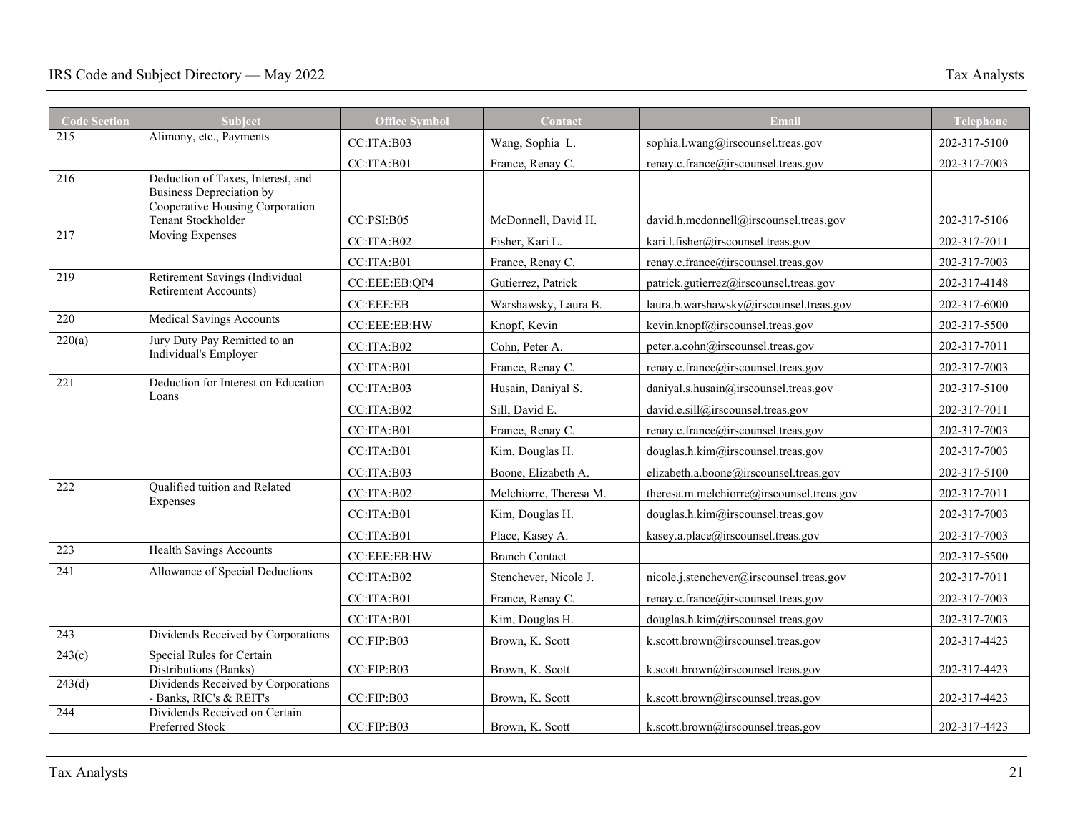| <b>Code Section</b> | <b>Subject</b>                                                                                                                | <b>Office Symbol</b> | Contact                | <b>Email</b>                              | <b>Telephone</b> |
|---------------------|-------------------------------------------------------------------------------------------------------------------------------|----------------------|------------------------|-------------------------------------------|------------------|
| 215                 | Alimony, etc., Payments                                                                                                       | CC:ITA:B03           | Wang, Sophia L.        | sophia.l.wang@irscounsel.treas.gov        | 202-317-5100     |
|                     |                                                                                                                               | CC:ITA:B01           | France, Renay C.       | renay.c.france@irscounsel.treas.gov       | 202-317-7003     |
| 216                 | Deduction of Taxes, Interest, and<br><b>Business Depreciation by</b><br>Cooperative Housing Corporation<br>Tenant Stockholder | CC:PSI: B05          | McDonnell, David H.    | david.h.mcdonnell@irscounsel.treas.gov    | 202-317-5106     |
| 217                 | Moving Expenses                                                                                                               | CC:ITA:B02           | Fisher, Kari L.        | kari.l.fisher@irscounsel.treas.gov        | 202-317-7011     |
|                     |                                                                                                                               | CC:ITA:B01           | France, Renay C.       | renay.c.france@irscounsel.treas.gov       | 202-317-7003     |
| 219                 | Retirement Savings (Individual                                                                                                | CC:EEE:EB:QP4        | Gutierrez, Patrick     | patrick.gutierrez@irscounsel.treas.gov    | 202-317-4148     |
|                     | Retirement Accounts)                                                                                                          | CC: EEE: EB          | Warshawsky, Laura B.   | laura.b.warshawsky@irscounsel.treas.gov   | 202-317-6000     |
| 220                 | <b>Medical Savings Accounts</b>                                                                                               | CC:EEE:EB:HW         | Knopf, Kevin           | kevin.knopf@irscounsel.treas.gov          | 202-317-5500     |
| 220(a)              | Jury Duty Pay Remitted to an                                                                                                  | CC:ITA:B02           | Cohn, Peter A.         | peter.a.cohn@irscounsel.treas.gov         | 202-317-7011     |
|                     | Individual's Employer                                                                                                         | CC:ITA:B01           | France, Renay C.       | renay.c.france@irscounsel.treas.gov       | 202-317-7003     |
| 221                 | Deduction for Interest on Education                                                                                           | CC:ITA:B03           | Husain, Daniyal S.     | daniyal.s.husain@irscounsel.treas.gov     | 202-317-5100     |
|                     | Loans                                                                                                                         | CC:ITA:B02           | Sill, David E.         | david.e.sill@irscounsel.treas.gov         | 202-317-7011     |
|                     |                                                                                                                               | CC:ITA:B01           | France, Renay C.       | renay.c.france@irscounsel.treas.gov       | 202-317-7003     |
|                     |                                                                                                                               | CC:ITA:B01           | Kim, Douglas H.        | douglas.h.kim@irscounsel.treas.gov        | 202-317-7003     |
|                     |                                                                                                                               | CC:ITA:B03           | Boone, Elizabeth A.    | elizabeth.a.boone@irscounsel.treas.gov    | 202-317-5100     |
| 222                 | Qualified tuition and Related                                                                                                 | CC:ITA:B02           | Melchiorre, Theresa M. | theresa.m.melchiorre@irscounsel.treas.gov | 202-317-7011     |
|                     | Expenses                                                                                                                      | CC:ITA:B01           | Kim, Douglas H.        | douglas.h.kim@irscounsel.treas.gov        | 202-317-7003     |
|                     |                                                                                                                               | CC:ITA:B01           | Place, Kasey A.        | kasey.a.place@irscounsel.treas.gov        | 202-317-7003     |
| 223                 | <b>Health Savings Accounts</b>                                                                                                | CC:EEE:EB:HW         | <b>Branch Contact</b>  |                                           | 202-317-5500     |
| $\overline{241}$    | Allowance of Special Deductions                                                                                               | CC:ITA:B02           | Stenchever, Nicole J.  | nicole.j.stenchever@irscounsel.treas.gov  | 202-317-7011     |
|                     |                                                                                                                               | CC:ITA:B01           | France, Renay C.       | renay.c.france@irscounsel.treas.gov       | 202-317-7003     |
|                     |                                                                                                                               | CC:ITA:B01           | Kim, Douglas H.        | douglas.h.kim@irscounsel.treas.gov        | 202-317-7003     |
| 243                 | Dividends Received by Corporations                                                                                            | CC:FIP:B03           | Brown, K. Scott        | k.scott.brown@irscounsel.treas.gov        | 202-317-4423     |
| 243(c)              | Special Rules for Certain<br>Distributions (Banks)                                                                            | CC:FIP:B03           | Brown, K. Scott        | k.scott.brown@irscounsel.treas.gov        | 202-317-4423     |
| 243(d)              | Dividends Received by Corporations<br>- Banks, RIC's & REIT's                                                                 | CC:FIP:B03           | Brown, K. Scott        | k.scott.brown@irscounsel.treas.gov        | 202-317-4423     |
| 244                 | Dividends Received on Certain<br>Preferred Stock                                                                              | CC:FIP:B03           | Brown, K. Scott        | k.scott.brown@irscounsel.treas.gov        | 202-317-4423     |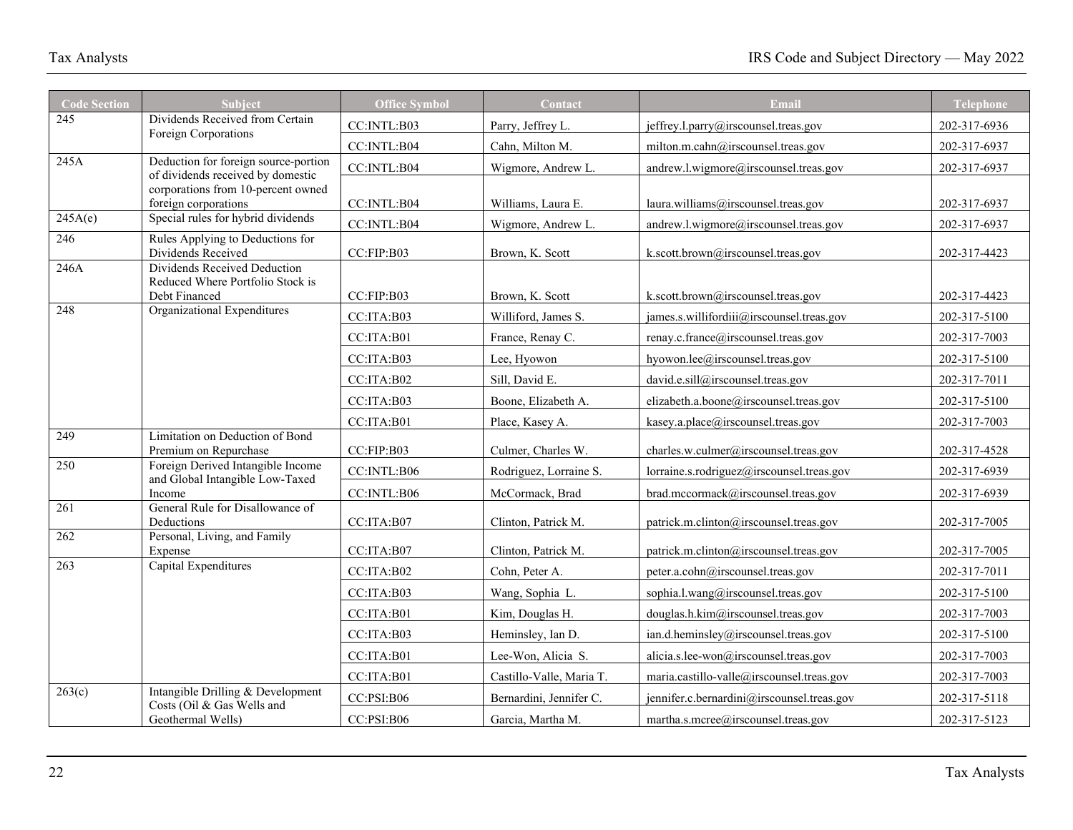| <b>Code Section</b> | <b>Subject</b>                                                            | <b>Office Symbol</b> | Contact                  | Email                                      | Telephone    |
|---------------------|---------------------------------------------------------------------------|----------------------|--------------------------|--------------------------------------------|--------------|
| $\overline{245}$    | Dividends Received from Certain<br>Foreign Corporations                   | CC:INTL:B03          | Parry, Jeffrey L.        | jeffrey.l.parry@irscounsel.treas.gov       | 202-317-6936 |
|                     |                                                                           | CC:INTL:B04          | Cahn, Milton M.          | milton.m.cahn@irscounsel.treas.gov         | 202-317-6937 |
| 245A                | Deduction for foreign source-portion<br>of dividends received by domestic | CC:INTL:B04          | Wigmore, Andrew L.       | andrew.l.wigmore@irscounsel.treas.gov      | 202-317-6937 |
|                     | corporations from 10-percent owned                                        |                      |                          |                                            |              |
|                     | foreign corporations                                                      | CC:INTL:B04          | Williams, Laura E.       | laura.williams@irscounsel.treas.gov        | 202-317-6937 |
| 245A(e)             | Special rules for hybrid dividends                                        | CC:INTL:B04          | Wigmore, Andrew L.       | andrew.l.wigmore@irscounsel.treas.gov      | 202-317-6937 |
| 246                 | Rules Applying to Deductions for<br>Dividends Received                    | CC:FIP:B03           | Brown, K. Scott          | k.scott.brown@irscounsel.treas.gov         | 202-317-4423 |
| 246A                | Dividends Received Deduction                                              |                      |                          |                                            |              |
|                     | Reduced Where Portfolio Stock is<br>Debt Financed                         | CC:FIP:B03           | Brown, K. Scott          | k.scott.brown@irscounsel.treas.gov         | 202-317-4423 |
| 248                 | Organizational Expenditures                                               | CC:ITA:B03           | Williford, James S.      | james.s.willifordiii@irscounsel.treas.gov  | 202-317-5100 |
|                     |                                                                           | CC:ITA:B01           | France, Renay C.         | renay.c.france@irscounsel.treas.gov        | 202-317-7003 |
|                     |                                                                           | CC:ITA:B03           | Lee, Hyowon              | hyowon.lee@irscounsel.treas.gov            | 202-317-5100 |
|                     |                                                                           | CC:ITA:B02           | Sill, David E.           | david.e.sill@irscounsel.treas.gov          | 202-317-7011 |
|                     |                                                                           | CC:ITA:B03           | Boone, Elizabeth A.      | elizabeth.a.boone@irscounsel.treas.gov     | 202-317-5100 |
|                     |                                                                           | CC:ITA:B01           | Place, Kasey A.          | kasey.a.place@irscounsel.treas.gov         | 202-317-7003 |
| 249                 | Limitation on Deduction of Bond<br>Premium on Repurchase                  | CC:FIP:B03           | Culmer, Charles W.       | charles.w.culmer@irscounsel.treas.gov      | 202-317-4528 |
| 250                 | Foreign Derived Intangible Income                                         | CC:INTL:B06          | Rodriguez, Lorraine S.   | lorraine.s.rodriguez@irscounsel.treas.gov  | 202-317-6939 |
|                     | and Global Intangible Low-Taxed<br>Income                                 | CC:INTL:B06          | McCormack, Brad          | brad.mccormack@irscounsel.treas.gov        | 202-317-6939 |
| $\overline{261}$    | General Rule for Disallowance of                                          |                      |                          |                                            |              |
| $\overline{262}$    | Deductions<br>Personal, Living, and Family                                | CC:ITA:B07           | Clinton, Patrick M.      | patrick.m.clinton@irscounsel.treas.gov     | 202-317-7005 |
|                     | Expense                                                                   | CC:ITA:B07           | Clinton, Patrick M.      | patrick.m.clinton@irscounsel.treas.gov     | 202-317-7005 |
| 263                 | Capital Expenditures                                                      | CC:ITA:B02           | Cohn, Peter A.           | peter.a.cohn@irscounsel.treas.gov          | 202-317-7011 |
|                     |                                                                           | CC:ITA:B03           | Wang, Sophia L.          | sophia.l.wang@irscounsel.treas.gov         | 202-317-5100 |
|                     |                                                                           | CC:ITA:B01           | Kim, Douglas H.          | douglas.h.kim@irscounsel.treas.gov         | 202-317-7003 |
|                     |                                                                           | CC:ITA:B03           | Heminsley, Ian D.        | ian.d.heminsley@irscounsel.treas.gov       | 202-317-5100 |
|                     |                                                                           | CC:ITA:B01           | Lee-Won, Alicia S.       | alicia.s.lee-won@irscounsel.treas.gov      | 202-317-7003 |
|                     |                                                                           | CC:ITA:B01           | Castillo-Valle, Maria T. | maria.castillo-valle@irscounsel.treas.gov  | 202-317-7003 |
| 263(c)              | Intangible Drilling & Development<br>Costs (Oil & Gas Wells and           | CC:PSI:B06           | Bernardini, Jennifer C.  | jennifer.c.bernardini@irscounsel.treas.gov | 202-317-5118 |
|                     | Geothermal Wells)                                                         | CC:PSI:B06           | Garcia, Martha M.        | martha.s.mcree@irscounsel.treas.gov        | 202-317-5123 |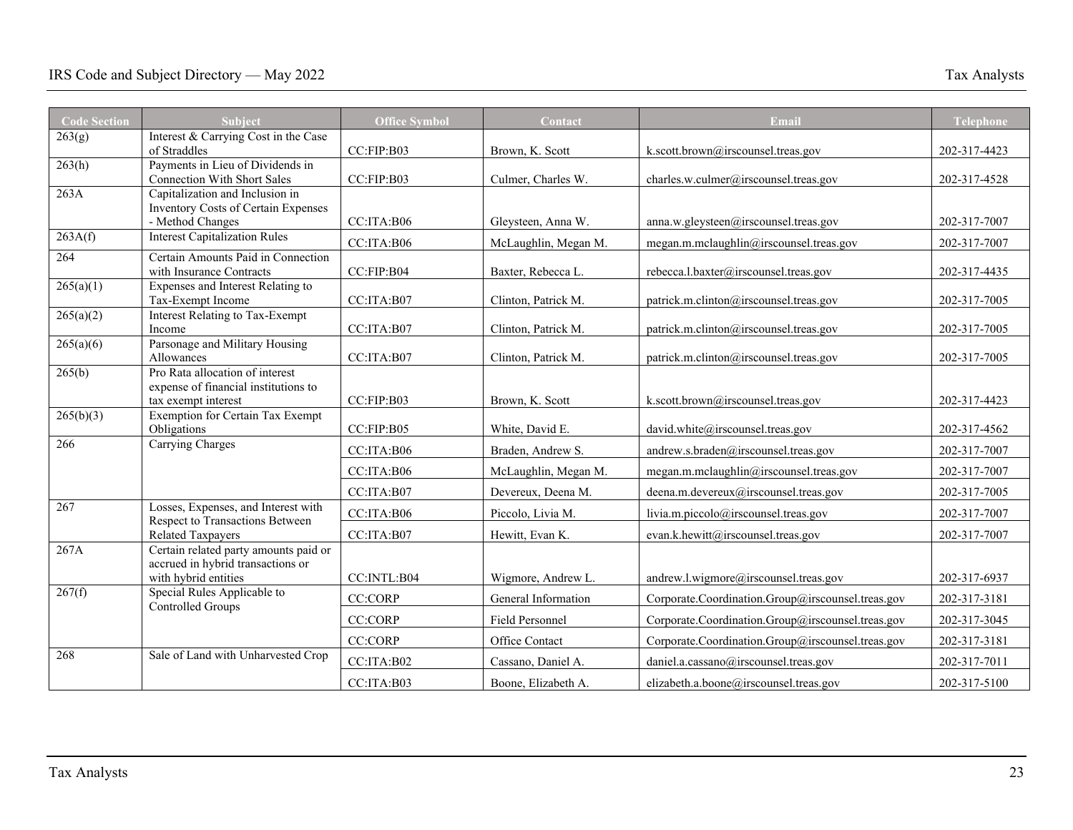| <b>Code Section</b> | <b>Subject</b>                                                         | <b>Office Symbol</b> | Contact              | Email                                             | Telephone    |
|---------------------|------------------------------------------------------------------------|----------------------|----------------------|---------------------------------------------------|--------------|
| $\overline{263(g)}$ | Interest & Carrying Cost in the Case                                   |                      |                      |                                                   |              |
|                     | of Straddles                                                           | CC:FIP:B03           | Brown, K. Scott      | k.scott.brown@irscounsel.treas.gov                | 202-317-4423 |
| 263(h)              | Payments in Lieu of Dividends in<br><b>Connection With Short Sales</b> | CC:FIP:B03           | Culmer, Charles W.   | charles.w.culmer@irscounsel.treas.gov             | 202-317-4528 |
| 263A                | Capitalization and Inclusion in                                        |                      |                      |                                                   |              |
|                     | Inventory Costs of Certain Expenses                                    |                      |                      |                                                   |              |
|                     | - Method Changes                                                       | CC:ITA:B06           | Gleysteen, Anna W.   | anna.w.gleysteen@irscounsel.treas.gov             | 202-317-7007 |
| 263A(f)             | <b>Interest Capitalization Rules</b>                                   | CC:ITA:B06           | McLaughlin, Megan M. | megan.m.mclaughlin@irscounsel.treas.gov           | 202-317-7007 |
| 264                 | Certain Amounts Paid in Connection                                     |                      |                      |                                                   |              |
|                     | with Insurance Contracts                                               | CC:FIP:B04           | Baxter, Rebecca L.   | rebecca.l.baxter@irscounsel.treas.gov             | 202-317-4435 |
| 265(a)(1)           | Expenses and Interest Relating to<br>Tax-Exempt Income                 | CC:ITA:B07           | Clinton, Patrick M.  |                                                   |              |
| 265(a)(2)           | <b>Interest Relating to Tax-Exempt</b>                                 |                      |                      | patrick.m.clinton@irscounsel.treas.gov            | 202-317-7005 |
|                     | Income                                                                 | CC:ITA:B07           | Clinton, Patrick M.  | patrick.m.clinton@irscounsel.treas.gov            | 202-317-7005 |
| 265(a)(6)           | Parsonage and Military Housing                                         |                      |                      |                                                   |              |
|                     | Allowances                                                             | CC:ITA:B07           | Clinton, Patrick M.  | patrick.m.clinton@irscounsel.treas.gov            | 202-317-7005 |
| 265(b)              | Pro Rata allocation of interest                                        |                      |                      |                                                   |              |
|                     | expense of financial institutions to<br>tax exempt interest            | CC:FIP:B03           | Brown, K. Scott      | k.scott.brown@irscounsel.treas.gov                | 202-317-4423 |
| 265(b)(3)           | Exemption for Certain Tax Exempt                                       |                      |                      |                                                   |              |
|                     | Obligations                                                            | CC:FIP:B05           | White, David E.      | david.white@irscounsel.treas.gov                  | 202-317-4562 |
| 266                 | Carrying Charges                                                       | CC:ITA:B06           | Braden, Andrew S.    | andrew.s.braden@irscounsel.treas.gov              | 202-317-7007 |
|                     |                                                                        | CC:ITA:B06           | McLaughlin, Megan M. | megan.m.mclaughlin@irscounsel.treas.gov           | 202-317-7007 |
|                     |                                                                        | CC:ITA:B07           | Devereux, Deena M.   | deena.m.devereux@irscounsel.treas.gov             | 202-317-7005 |
| 267                 | Losses, Expenses, and Interest with                                    | CC:ITA:B06           | Piccolo, Livia M.    | livia.m.piccolo@irscounsel.treas.gov              | 202-317-7007 |
|                     | Respect to Transactions Between<br><b>Related Taxpayers</b>            | CC:ITA:B07           | Hewitt, Evan K.      | evan.k.hewitt@irscounsel.treas.gov                | 202-317-7007 |
| 267A                | Certain related party amounts paid or                                  |                      |                      |                                                   |              |
|                     | accrued in hybrid transactions or                                      |                      |                      |                                                   |              |
|                     | with hybrid entities                                                   | CC:INTL:B04          | Wigmore, Andrew L.   | andrew.l.wigmore@irscounsel.treas.gov             | 202-317-6937 |
| 267(f)              | Special Rules Applicable to<br>Controlled Groups                       | <b>CC:CORP</b>       | General Information  | Corporate.Coordination.Group@irscounsel.treas.gov | 202-317-3181 |
|                     |                                                                        | <b>CC:CORP</b>       | Field Personnel      | Corporate.Coordination.Group@irscounsel.treas.gov | 202-317-3045 |
|                     |                                                                        | <b>CC:CORP</b>       | Office Contact       | Corporate.Coordination.Group@irscounsel.treas.gov | 202-317-3181 |
| 268                 | Sale of Land with Unharvested Crop                                     | CC:ITA:B02           | Cassano, Daniel A.   | daniel.a.cassano@irscounsel.treas.gov             | 202-317-7011 |
|                     |                                                                        | CC:ITA:B03           | Boone, Elizabeth A.  | elizabeth.a.boone@irscounsel.treas.gov            | 202-317-5100 |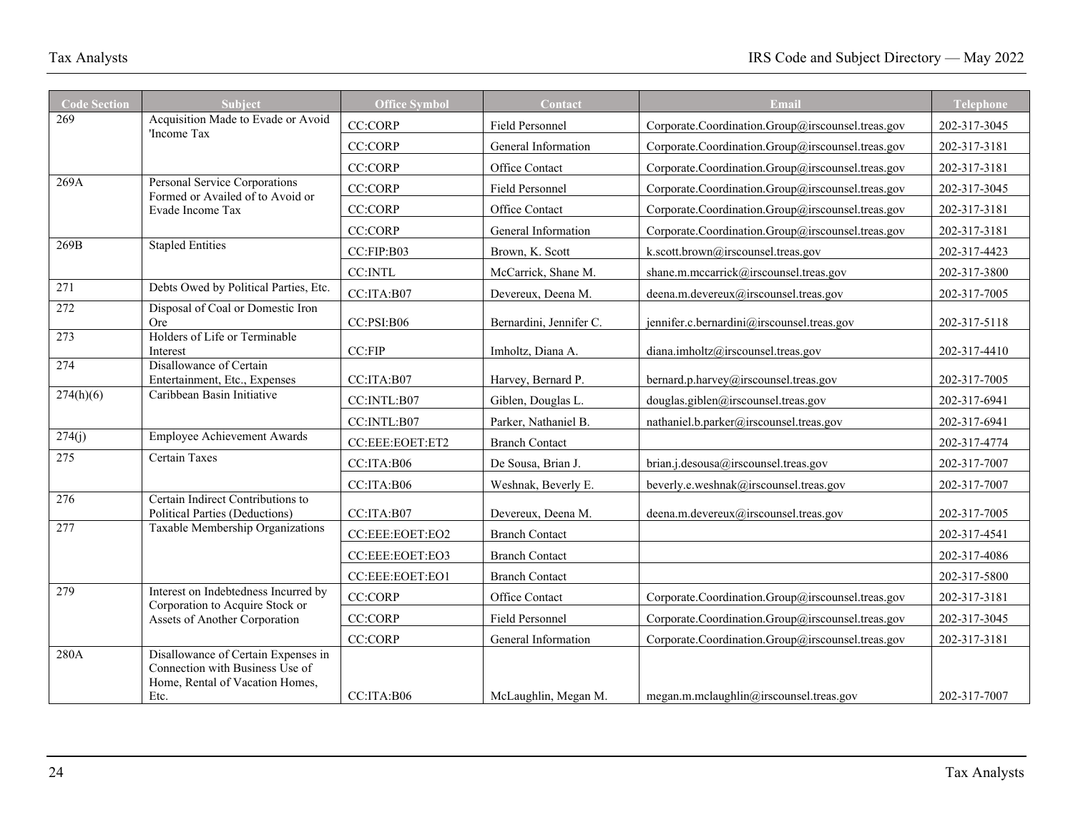| <b>Code Section</b> | <b>Subject</b>                                                                                                    | <b>Office Symbol</b> | Contact                 | Email                                             | <b>Telephone</b> |
|---------------------|-------------------------------------------------------------------------------------------------------------------|----------------------|-------------------------|---------------------------------------------------|------------------|
| 269                 | Acquisition Made to Evade or Avoid<br>'Income Tax                                                                 | <b>CC:CORP</b>       | Field Personnel         | Corporate.Coordination.Group@irscounsel.treas.gov | 202-317-3045     |
|                     |                                                                                                                   | <b>CC:CORP</b>       | General Information     | Corporate.Coordination.Group@irscounsel.treas.gov | 202-317-3181     |
|                     |                                                                                                                   | <b>CC:CORP</b>       | Office Contact          | Corporate.Coordination.Group@irscounsel.treas.gov | 202-317-3181     |
| 269A                | Personal Service Corporations<br>Formed or Availed of to Avoid or                                                 | <b>CC:CORP</b>       | Field Personnel         | Corporate.Coordination.Group@irscounsel.treas.gov | 202-317-3045     |
|                     | Evade Income Tax                                                                                                  | CC:CORP              | Office Contact          | Corporate.Coordination.Group@irscounsel.treas.gov | 202-317-3181     |
|                     |                                                                                                                   | <b>CC:CORP</b>       | General Information     | Corporate.Coordination.Group@irscounsel.treas.gov | 202-317-3181     |
| 269B                | <b>Stapled Entities</b>                                                                                           | CC:FIP:B03           | Brown, K. Scott         | k.scott.brown@irscounsel.treas.gov                | 202-317-4423     |
|                     |                                                                                                                   | <b>CC:INTL</b>       | McCarrick, Shane M.     | shane.m.mccarrick@irscounsel.treas.gov            | 202-317-3800     |
| 271                 | Debts Owed by Political Parties, Etc.                                                                             | CC:ITA:B07           | Devereux, Deena M.      | deena.m.devereux@irscounsel.treas.gov             | 202-317-7005     |
| $\overline{272}$    | Disposal of Coal or Domestic Iron<br>Ore                                                                          | CC:PSI:B06           | Bernardini, Jennifer C. | jennifer.c.bernardini@irscounsel.treas.gov        | 202-317-5118     |
| $\overline{273}$    | Holders of Life or Terminable<br>Interest                                                                         | CC:FIP               | Imholtz, Diana A.       | diana.imholtz@irscounsel.treas.gov                | 202-317-4410     |
| 274                 | Disallowance of Certain                                                                                           |                      |                         |                                                   |                  |
| 274(h)(6)           | Entertainment, Etc., Expenses<br>Caribbean Basin Initiative                                                       | CC:ITA:B07           | Harvey, Bernard P.      | bernard.p.harvey@irscounsel.treas.gov             | 202-317-7005     |
|                     |                                                                                                                   | CC:INTL:B07          | Giblen, Douglas L.      | douglas.giblen@irscounsel.treas.gov               | 202-317-6941     |
|                     | <b>Employee Achievement Awards</b>                                                                                | CC:INTL:B07          | Parker, Nathaniel B.    | nathaniel.b.parker@irscounsel.treas.gov           | 202-317-6941     |
| 274(j)              |                                                                                                                   | CC:EEE:EOET:ET2      | <b>Branch Contact</b>   |                                                   | 202-317-4774     |
| 275                 | Certain Taxes                                                                                                     | CC:ITA:B06           | De Sousa, Brian J.      | brian.j.desousa@irscounsel.treas.gov              | 202-317-7007     |
|                     |                                                                                                                   | CC:ITA:B06           | Weshnak, Beverly E.     | beverly.e.weshnak@irscounsel.treas.gov            | 202-317-7007     |
| 276                 | Certain Indirect Contributions to<br>Political Parties (Deductions)                                               | CC:ITA:B07           | Devereux, Deena M.      | deena.m.devereux@irscounsel.treas.gov             | 202-317-7005     |
| 277                 | Taxable Membership Organizations                                                                                  | CC:EEE:EOET:EO2      | <b>Branch Contact</b>   |                                                   | 202-317-4541     |
|                     |                                                                                                                   | CC:EEE:EOET:EO3      | <b>Branch Contact</b>   |                                                   | 202-317-4086     |
|                     |                                                                                                                   | CC:EEE:EOET:EO1      | <b>Branch Contact</b>   |                                                   | 202-317-5800     |
| 279                 | Interest on Indebtedness Incurred by                                                                              | <b>CC:CORP</b>       | Office Contact          | Corporate.Coordination.Group@irscounsel.treas.gov | 202-317-3181     |
|                     | Corporation to Acquire Stock or<br>Assets of Another Corporation                                                  | <b>CC:CORP</b>       | Field Personnel         | Corporate.Coordination.Group@irscounsel.treas.gov | 202-317-3045     |
|                     |                                                                                                                   | <b>CC:CORP</b>       | General Information     | Corporate.Coordination.Group@irscounsel.treas.gov | 202-317-3181     |
| 280A                | Disallowance of Certain Expenses in<br>Connection with Business Use of<br>Home, Rental of Vacation Homes,<br>Etc. | CC:ITA:B06           | McLaughlin, Megan M.    | megan.m.mclaughlin@irscounsel.treas.gov           | 202-317-7007     |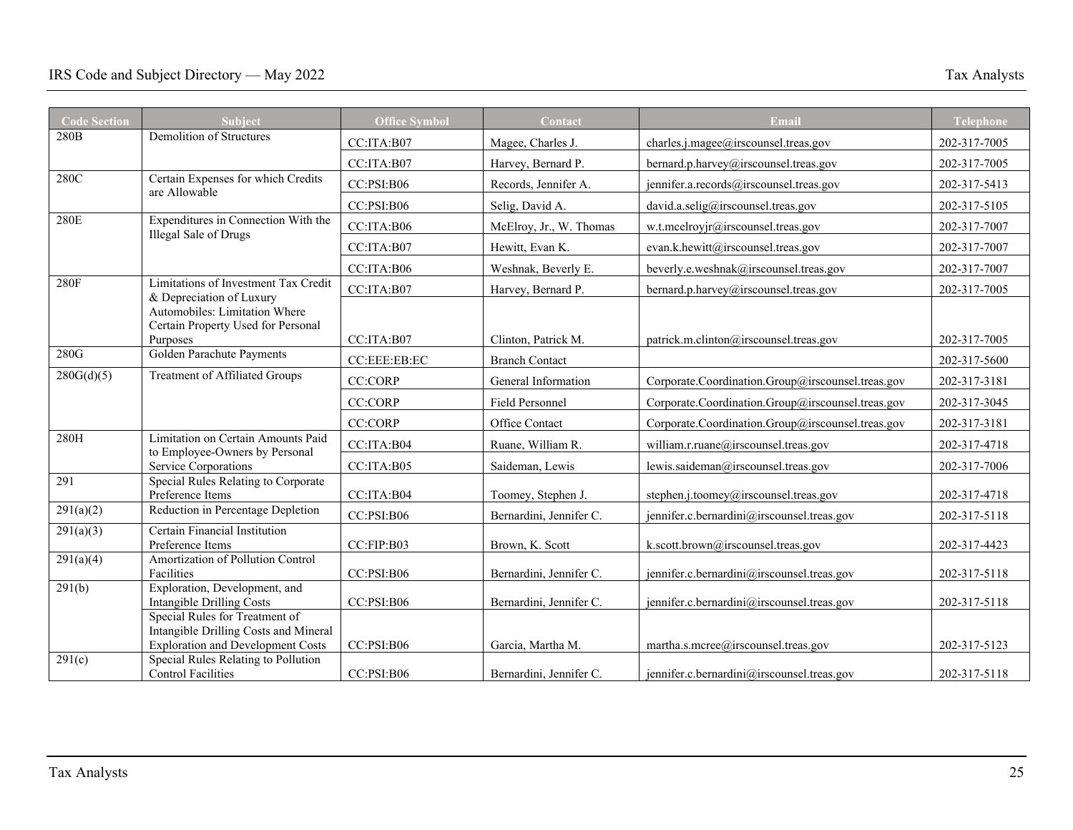| <b>Code Section</b> | <b>Subject</b>                                                                    | <b>Office Symbol</b> | Contact                 | Email                                             | Telephone    |
|---------------------|-----------------------------------------------------------------------------------|----------------------|-------------------------|---------------------------------------------------|--------------|
| 280 <sub>B</sub>    | Demolition of Structures                                                          | CC:ITA:B07           | Magee, Charles J.       | charles.j.magee@irscounsel.treas.gov              | 202-317-7005 |
|                     |                                                                                   | CC:ITA:B07           | Harvey, Bernard P.      | bernard.p.harvey@irscounsel.treas.gov             | 202-317-7005 |
| 280C                | Certain Expenses for which Credits<br>are Allowable                               | CC:PSI:B06           | Records, Jennifer A.    | jennifer.a.records@irscounsel.treas.gov           | 202-317-5413 |
|                     |                                                                                   | CC:PSI:B06           | Selig, David A.         | david.a.selig@irscounsel.treas.gov                | 202-317-5105 |
| 280E                | Expenditures in Connection With the<br>Illegal Sale of Drugs                      | CC:ITA:B06           | McElroy, Jr., W. Thomas | w.t.mcelroyjr@irscounsel.treas.gov                | 202-317-7007 |
|                     |                                                                                   | CC:ITA:B07           | Hewitt, Evan K.         | evan.k.hewitt@irscounsel.treas.gov                | 202-317-7007 |
|                     |                                                                                   | CC:ITA:B06           | Weshnak, Beverly E.     | beverly.e.weshnak@irscounsel.treas.gov            | 202-317-7007 |
| 280F                | Limitations of Investment Tax Credit<br>& Depreciation of Luxury                  | CC:ITA:B07           | Harvey, Bernard P.      | bernard.p.harvey@irscounsel.treas.gov             | 202-317-7005 |
|                     | Automobiles: Limitation Where                                                     |                      |                         |                                                   |              |
|                     | Certain Property Used for Personal<br>Purposes                                    | CC:ITA:B07           | Clinton, Patrick M.     | patrick.m.clinton@irscounsel.treas.gov            | 202-317-7005 |
| 280G                | Golden Parachute Payments                                                         | CC:EEE:EB:EC         | <b>Branch Contact</b>   |                                                   | 202-317-5600 |
| 280G(d)(5)          | <b>Treatment of Affiliated Groups</b>                                             | <b>CC:CORP</b>       | General Information     | Corporate.Coordination.Group@irscounsel.treas.gov | 202-317-3181 |
|                     |                                                                                   | <b>CC:CORP</b>       | Field Personnel         | Corporate.Coordination.Group@irscounsel.treas.gov | 202-317-3045 |
|                     |                                                                                   | <b>CC:CORP</b>       | Office Contact          | Corporate.Coordination.Group@irscounsel.treas.gov | 202-317-3181 |
| 280H                | Limitation on Certain Amounts Paid                                                | CC:ITA:B04           | Ruane, William R.       | william.r.ruane@irscounsel.treas.gov              | 202-317-4718 |
|                     | to Employee-Owners by Personal<br>Service Corporations                            | CC:ITA:B05           | Saideman, Lewis         | lewis.saideman@irscounsel.treas.gov               | 202-317-7006 |
| 291                 | Special Rules Relating to Corporate                                               |                      |                         |                                                   |              |
| 291(a)(2)           | Preference Items<br>Reduction in Percentage Depletion                             | CC:ITA:B04           | Toomey, Stephen J.      | stephen.j.toomey@irscounsel.treas.gov             | 202-317-4718 |
|                     | Certain Financial Institution                                                     | CC:PSI:B06           | Bernardini, Jennifer C. | jennifer.c.bernardini@irscounsel.treas.gov        | 202-317-5118 |
| 291(a)(3)           | Preference Items                                                                  | CC:FIP:B03           | Brown, K. Scott         | k.scott.brown@irscounsel.treas.gov                | 202-317-4423 |
| 291(a)(4)           | Amortization of Pollution Control                                                 |                      |                         |                                                   |              |
|                     | Facilities                                                                        | CC:PSI:B06           | Bernardini, Jennifer C. | jennifer.c.bernardini@irscounsel.treas.gov        | 202-317-5118 |
| 291(b)              | Exploration, Development, and<br>Intangible Drilling Costs                        | CC:PSI:B06           | Bernardini, Jennifer C. | jennifer.c.bernardini@irscounsel.treas.gov        | 202-317-5118 |
|                     | Special Rules for Treatment of                                                    |                      |                         |                                                   |              |
|                     | Intangible Drilling Costs and Mineral<br><b>Exploration and Development Costs</b> | CC:PSI:B06           | Garcia, Martha M.       | martha.s.mcree@irscounsel.treas.gov               | 202-317-5123 |
| 291(c)              | Special Rules Relating to Pollution<br><b>Control Facilities</b>                  | CC:PSI:B06           | Bernardini, Jennifer C. | jennifer.c.bernardini@irscounsel.treas.gov        | 202-317-5118 |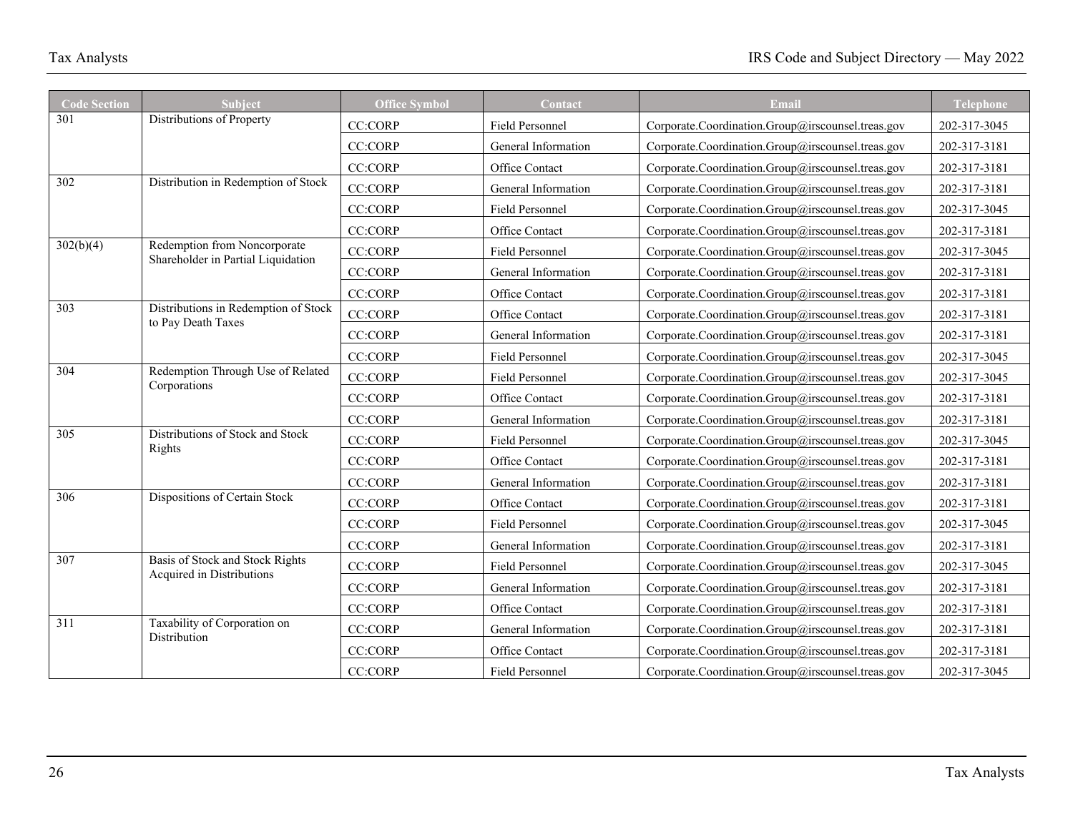| <b>Code Section</b> | <b>Subject</b>                                                     | <b>Office Symbol</b> | Contact                | Email                                             | <b>Telephone</b> |
|---------------------|--------------------------------------------------------------------|----------------------|------------------------|---------------------------------------------------|------------------|
| 301                 | Distributions of Property                                          | <b>CC:CORP</b>       | Field Personnel        | Corporate.Coordination.Group@irscounsel.treas.gov | 202-317-3045     |
|                     |                                                                    | <b>CC:CORP</b>       | General Information    | Corporate.Coordination.Group@irscounsel.treas.gov | 202-317-3181     |
|                     |                                                                    | <b>CC:CORP</b>       | Office Contact         | Corporate.Coordination.Group@irscounsel.treas.gov | 202-317-3181     |
| 302                 | Distribution in Redemption of Stock                                | <b>CC:CORP</b>       | General Information    | Corporate.Coordination.Group@irscounsel.treas.gov | 202-317-3181     |
|                     |                                                                    | <b>CC:CORP</b>       | <b>Field Personnel</b> | Corporate.Coordination.Group@irscounsel.treas.gov | 202-317-3045     |
|                     |                                                                    | <b>CC:CORP</b>       | Office Contact         | Corporate.Coordination.Group@irscounsel.treas.gov | 202-317-3181     |
| 302(b)(4)           | Redemption from Noncorporate<br>Shareholder in Partial Liquidation | <b>CC:CORP</b>       | Field Personnel        | Corporate.Coordination.Group@irscounsel.treas.gov | 202-317-3045     |
|                     |                                                                    | <b>CC:CORP</b>       | General Information    | Corporate.Coordination.Group@irscounsel.treas.gov | 202-317-3181     |
|                     |                                                                    | <b>CC:CORP</b>       | Office Contact         | Corporate.Coordination.Group@irscounsel.treas.gov | 202-317-3181     |
| 303                 | Distributions in Redemption of Stock<br>to Pay Death Taxes         | <b>CC:CORP</b>       | Office Contact         | Corporate.Coordination.Group@irscounsel.treas.gov | 202-317-3181     |
|                     |                                                                    | <b>CC:CORP</b>       | General Information    | Corporate.Coordination.Group@irscounsel.treas.gov | 202-317-3181     |
|                     |                                                                    | CC:CORP              | Field Personnel        | Corporate.Coordination.Group@irscounsel.treas.gov | 202-317-3045     |
| 304                 | Redemption Through Use of Related<br>Corporations                  | <b>CC:CORP</b>       | <b>Field Personnel</b> | Corporate.Coordination.Group@irscounsel.treas.gov | 202-317-3045     |
|                     |                                                                    | CC:CORP              | Office Contact         | Corporate.Coordination.Group@irscounsel.treas.gov | 202-317-3181     |
|                     |                                                                    | <b>CC:CORP</b>       | General Information    | Corporate.Coordination.Group@irscounsel.treas.gov | 202-317-3181     |
| 305                 | Distributions of Stock and Stock<br>Rights                         | <b>CC:CORP</b>       | Field Personnel        | Corporate.Coordination.Group@irscounsel.treas.gov | 202-317-3045     |
|                     |                                                                    | <b>CC:CORP</b>       | Office Contact         | Corporate.Coordination.Group@irscounsel.treas.gov | 202-317-3181     |
|                     |                                                                    | <b>CC:CORP</b>       | General Information    | Corporate.Coordination.Group@irscounsel.treas.gov | 202-317-3181     |
| 306                 | Dispositions of Certain Stock                                      | <b>CC:CORP</b>       | Office Contact         | Corporate.Coordination.Group@irscounsel.treas.gov | 202-317-3181     |
|                     |                                                                    | <b>CC:CORP</b>       | Field Personnel        | Corporate.Coordination.Group@irscounsel.treas.gov | 202-317-3045     |
|                     |                                                                    | <b>CC:CORP</b>       | General Information    | Corporate.Coordination.Group@irscounsel.treas.gov | 202-317-3181     |
| 307                 | Basis of Stock and Stock Rights<br>Acquired in Distributions       | <b>CC:CORP</b>       | Field Personnel        | Corporate.Coordination.Group@irscounsel.treas.gov | 202-317-3045     |
|                     |                                                                    | <b>CC:CORP</b>       | General Information    | Corporate.Coordination.Group@irscounsel.treas.gov | 202-317-3181     |
|                     |                                                                    | <b>CC:CORP</b>       | Office Contact         | Corporate.Coordination.Group@irscounsel.treas.gov | 202-317-3181     |
| 311                 | Taxability of Corporation on<br>Distribution                       | <b>CC:CORP</b>       | General Information    | Corporate.Coordination.Group@irscounsel.treas.gov | 202-317-3181     |
|                     |                                                                    | <b>CC:CORP</b>       | Office Contact         | Corporate.Coordination.Group@irscounsel.treas.gov | 202-317-3181     |
|                     |                                                                    | <b>CC:CORP</b>       | Field Personnel        | Corporate.Coordination.Group@irscounsel.treas.gov | 202-317-3045     |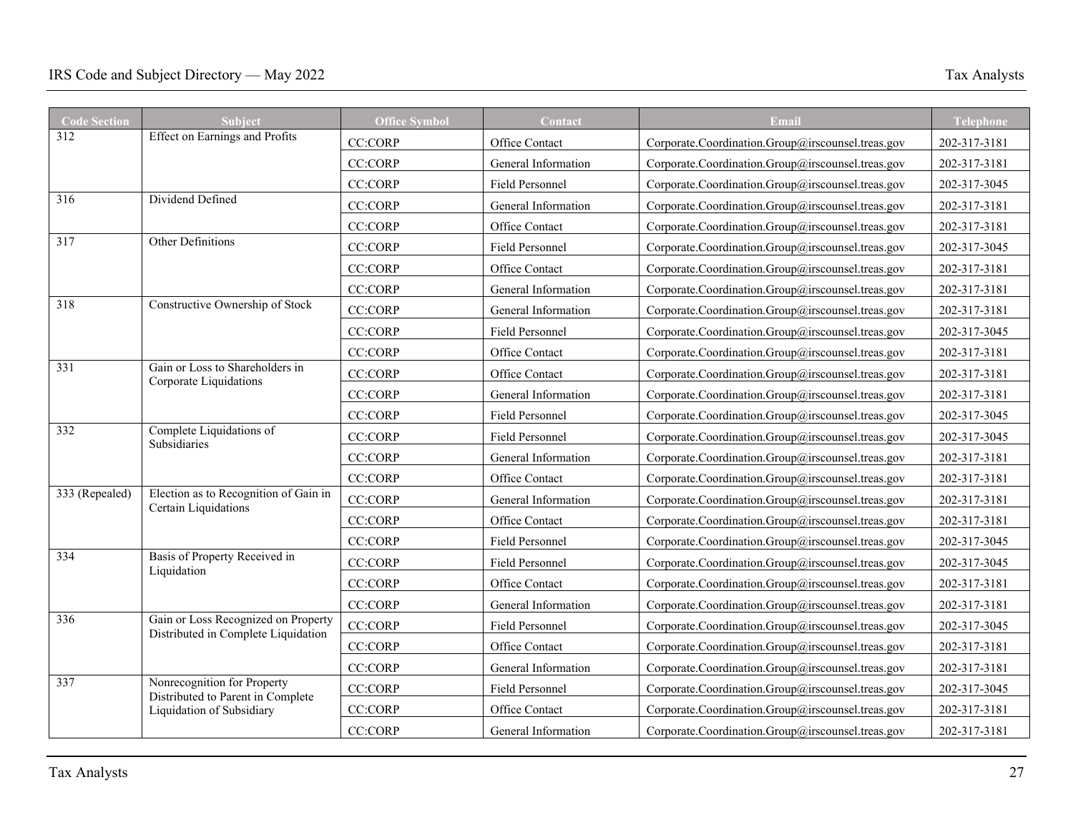| <b>Code Section</b>         | <b>Subject</b>                                                             | <b>Office Symbol</b> | Contact                | Email                                             | Telephone    |
|-----------------------------|----------------------------------------------------------------------------|----------------------|------------------------|---------------------------------------------------|--------------|
| 312                         | Effect on Earnings and Profits                                             | <b>CC:CORP</b>       | Office Contact         | Corporate.Coordination.Group@irscounsel.treas.gov | 202-317-3181 |
|                             |                                                                            | <b>CC:CORP</b>       | General Information    | Corporate.Coordination.Group@irscounsel.treas.gov | 202-317-3181 |
|                             |                                                                            | <b>CC:CORP</b>       | Field Personnel        | Corporate.Coordination.Group@irscounsel.treas.gov | 202-317-3045 |
| 316                         | Dividend Defined                                                           | <b>CC:CORP</b>       | General Information    | Corporate.Coordination.Group@irscounsel.treas.gov | 202-317-3181 |
|                             |                                                                            | <b>CC:CORP</b>       | Office Contact         | Corporate.Coordination.Group@irscounsel.treas.gov | 202-317-3181 |
| 317                         | Other Definitions                                                          | <b>CC:CORP</b>       | Field Personnel        | Corporate.Coordination.Group@irscounsel.treas.gov | 202-317-3045 |
|                             |                                                                            | <b>CC:CORP</b>       | Office Contact         | Corporate.Coordination.Group@irscounsel.treas.gov | 202-317-3181 |
|                             |                                                                            | <b>CC:CORP</b>       | General Information    | Corporate.Coordination.Group@irscounsel.treas.gov | 202-317-3181 |
| 318                         | Constructive Ownership of Stock                                            | <b>CC:CORP</b>       | General Information    | Corporate.Coordination.Group@irscounsel.treas.gov | 202-317-3181 |
|                             |                                                                            | <b>CC:CORP</b>       | Field Personnel        | Corporate.Coordination.Group@irscounsel.treas.gov | 202-317-3045 |
|                             |                                                                            | <b>CC:CORP</b>       | Office Contact         | Corporate.Coordination.Group@irscounsel.treas.gov | 202-317-3181 |
| 331                         | Gain or Loss to Shareholders in<br>Corporate Liquidations                  | <b>CC:CORP</b>       | Office Contact         | Corporate.Coordination.Group@irscounsel.treas.gov | 202-317-3181 |
|                             |                                                                            | <b>CC:CORP</b>       | General Information    | Corporate.Coordination.Group@irscounsel.treas.gov | 202-317-3181 |
|                             |                                                                            | <b>CC:CORP</b>       | <b>Field Personnel</b> | Corporate.Coordination.Group@irscounsel.treas.gov | 202-317-3045 |
| 332                         | Complete Liquidations of<br>Subsidiaries                                   | <b>CC:CORP</b>       | Field Personnel        | Corporate.Coordination.Group@irscounsel.treas.gov | 202-317-3045 |
|                             |                                                                            | <b>CC:CORP</b>       | General Information    | Corporate.Coordination.Group@irscounsel.treas.gov | 202-317-3181 |
|                             |                                                                            | <b>CC:CORP</b>       | Office Contact         | Corporate.Coordination.Group@irscounsel.treas.gov | 202-317-3181 |
| $\overline{333}$ (Repealed) | Election as to Recognition of Gain in<br>Certain Liquidations              | <b>CC:CORP</b>       | General Information    | Corporate.Coordination.Group@irscounsel.treas.gov | 202-317-3181 |
|                             |                                                                            | <b>CC:CORP</b>       | Office Contact         | Corporate.Coordination.Group@irscounsel.treas.gov | 202-317-3181 |
|                             |                                                                            | <b>CC:CORP</b>       | Field Personnel        | Corporate.Coordination.Group@irscounsel.treas.gov | 202-317-3045 |
| 334                         | Basis of Property Received in<br>Liquidation                               | <b>CC:CORP</b>       | Field Personnel        | Corporate.Coordination.Group@irscounsel.treas.gov | 202-317-3045 |
|                             |                                                                            | <b>CC:CORP</b>       | Office Contact         | Corporate.Coordination.Group@irscounsel.treas.gov | 202-317-3181 |
|                             |                                                                            | <b>CC:CORP</b>       | General Information    | Corporate.Coordination.Group@irscounsel.treas.gov | 202-317-3181 |
| 336                         | Gain or Loss Recognized on Property<br>Distributed in Complete Liquidation | <b>CC:CORP</b>       | Field Personnel        | Corporate.Coordination.Group@irscounsel.treas.gov | 202-317-3045 |
|                             |                                                                            | <b>CC:CORP</b>       | Office Contact         | Corporate.Coordination.Group@irscounsel.treas.gov | 202-317-3181 |
|                             |                                                                            | <b>CC:CORP</b>       | General Information    | Corporate.Coordination.Group@irscounsel.treas.gov | 202-317-3181 |
| 337                         | Nonrecognition for Property<br>Distributed to Parent in Complete           | <b>CC:CORP</b>       | Field Personnel        | Corporate.Coordination.Group@irscounsel.treas.gov | 202-317-3045 |
|                             | Liquidation of Subsidiary                                                  | <b>CC:CORP</b>       | Office Contact         | Corporate.Coordination.Group@irscounsel.treas.gov | 202-317-3181 |
|                             |                                                                            | <b>CC:CORP</b>       | General Information    | Corporate.Coordination.Group@irscounsel.treas.gov | 202-317-3181 |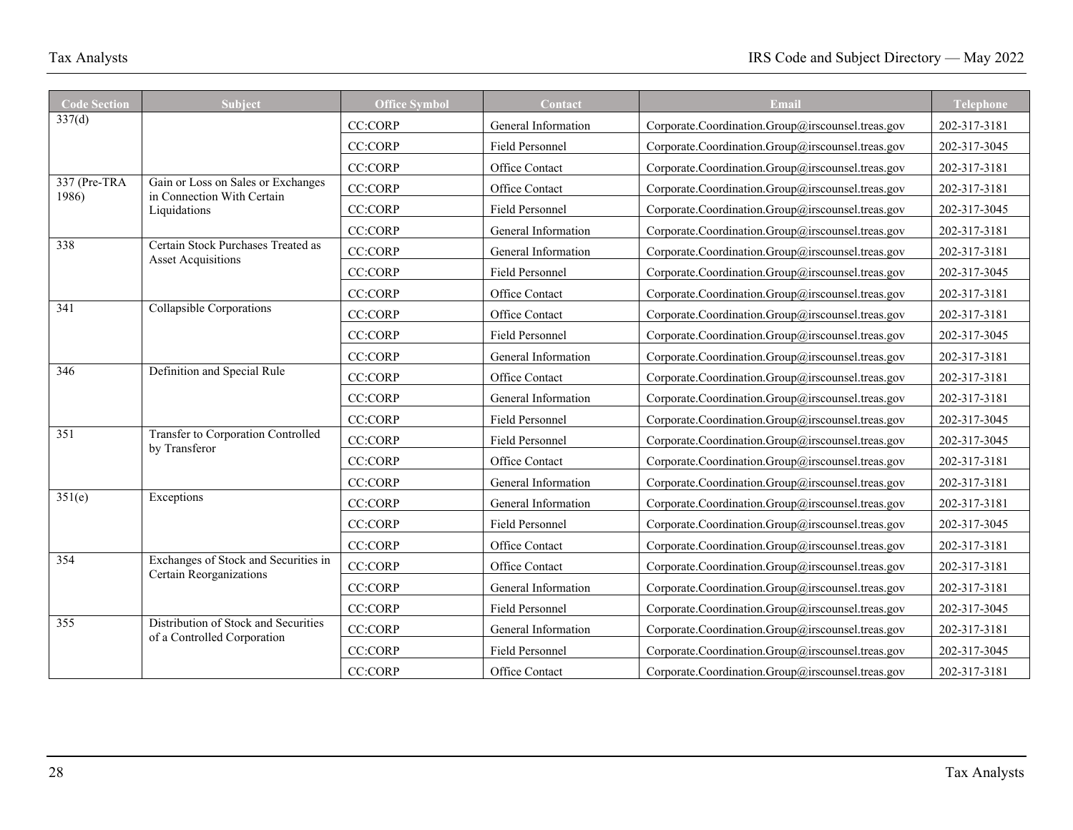| <b>Code Section</b>   | Subject                                                             | <b>Office Symbol</b> | Contact                | Email                                             | <b>Telephone</b> |
|-----------------------|---------------------------------------------------------------------|----------------------|------------------------|---------------------------------------------------|------------------|
| 337(d)                |                                                                     | <b>CC:CORP</b>       | General Information    | Corporate.Coordination.Group@irscounsel.treas.gov | 202-317-3181     |
|                       |                                                                     | <b>CC:CORP</b>       | Field Personnel        | Corporate.Coordination.Group@irscounsel.treas.gov | 202-317-3045     |
|                       |                                                                     | <b>CC:CORP</b>       | Office Contact         | Corporate.Coordination.Group@irscounsel.treas.gov | 202-317-3181     |
| 337 (Pre-TRA<br>1986) | Gain or Loss on Sales or Exchanges<br>in Connection With Certain    | <b>CC:CORP</b>       | Office Contact         | Corporate.Coordination.Group@irscounsel.treas.gov | 202-317-3181     |
|                       | Liquidations                                                        | <b>CC:CORP</b>       | Field Personnel        | Corporate.Coordination.Group@irscounsel.treas.gov | 202-317-3045     |
|                       |                                                                     | <b>CC:CORP</b>       | General Information    | Corporate.Coordination.Group@irscounsel.treas.gov | 202-317-3181     |
| 338                   | Certain Stock Purchases Treated as                                  | <b>CC:CORP</b>       | General Information    | Corporate.Coordination.Group@irscounsel.treas.gov | 202-317-3181     |
|                       | <b>Asset Acquisitions</b>                                           | CC:CORP              | Field Personnel        | Corporate.Coordination.Group@irscounsel.treas.gov | 202-317-3045     |
|                       |                                                                     | <b>CC:CORP</b>       | Office Contact         | Corporate.Coordination.Group@irscounsel.treas.gov | 202-317-3181     |
| 341                   | Collapsible Corporations                                            | <b>CC:CORP</b>       | Office Contact         | Corporate.Coordination.Group@irscounsel.treas.gov | 202-317-3181     |
|                       |                                                                     | <b>CC:CORP</b>       | <b>Field Personnel</b> | Corporate.Coordination.Group@irscounsel.treas.gov | 202-317-3045     |
|                       |                                                                     | <b>CC:CORP</b>       | General Information    | Corporate.Coordination.Group@irscounsel.treas.gov | 202-317-3181     |
| 346                   | Definition and Special Rule                                         | <b>CC:CORP</b>       | Office Contact         | Corporate.Coordination.Group@irscounsel.treas.gov | 202-317-3181     |
|                       |                                                                     | <b>CC:CORP</b>       | General Information    | Corporate.Coordination.Group@irscounsel.treas.gov | 202-317-3181     |
|                       |                                                                     | <b>CC:CORP</b>       | Field Personnel        | Corporate.Coordination.Group@irscounsel.treas.gov | 202-317-3045     |
| 351                   | Transfer to Corporation Controlled<br>by Transferor                 | <b>CC:CORP</b>       | Field Personnel        | Corporate.Coordination.Group@irscounsel.treas.gov | 202-317-3045     |
|                       |                                                                     | CC:CORP              | Office Contact         | Corporate.Coordination.Group@irscounsel.treas.gov | 202-317-3181     |
|                       |                                                                     | <b>CC:CORP</b>       | General Information    | Corporate.Coordination.Group@irscounsel.treas.gov | 202-317-3181     |
| 351(e)                | Exceptions                                                          | <b>CC:CORP</b>       | General Information    | Corporate.Coordination.Group@irscounsel.treas.gov | 202-317-3181     |
|                       |                                                                     | <b>CC:CORP</b>       | <b>Field Personnel</b> | Corporate.Coordination.Group@irscounsel.treas.gov | 202-317-3045     |
|                       |                                                                     | <b>CC:CORP</b>       | Office Contact         | Corporate.Coordination.Group@irscounsel.treas.gov | 202-317-3181     |
| 354                   | Exchanges of Stock and Securities in<br>Certain Reorganizations     | <b>CC:CORP</b>       | Office Contact         | Corporate.Coordination.Group@irscounsel.treas.gov | 202-317-3181     |
|                       |                                                                     | <b>CC:CORP</b>       | General Information    | Corporate.Coordination.Group@irscounsel.treas.gov | 202-317-3181     |
|                       |                                                                     | <b>CC:CORP</b>       | <b>Field Personnel</b> | Corporate.Coordination.Group@irscounsel.treas.gov | 202-317-3045     |
| 355                   | Distribution of Stock and Securities<br>of a Controlled Corporation | <b>CC:CORP</b>       | General Information    | Corporate.Coordination.Group@irscounsel.treas.gov | 202-317-3181     |
|                       |                                                                     | <b>CC:CORP</b>       | Field Personnel        | Corporate.Coordination.Group@irscounsel.treas.gov | 202-317-3045     |
|                       |                                                                     | <b>CC:CORP</b>       | Office Contact         | Corporate.Coordination.Group@irscounsel.treas.gov | 202-317-3181     |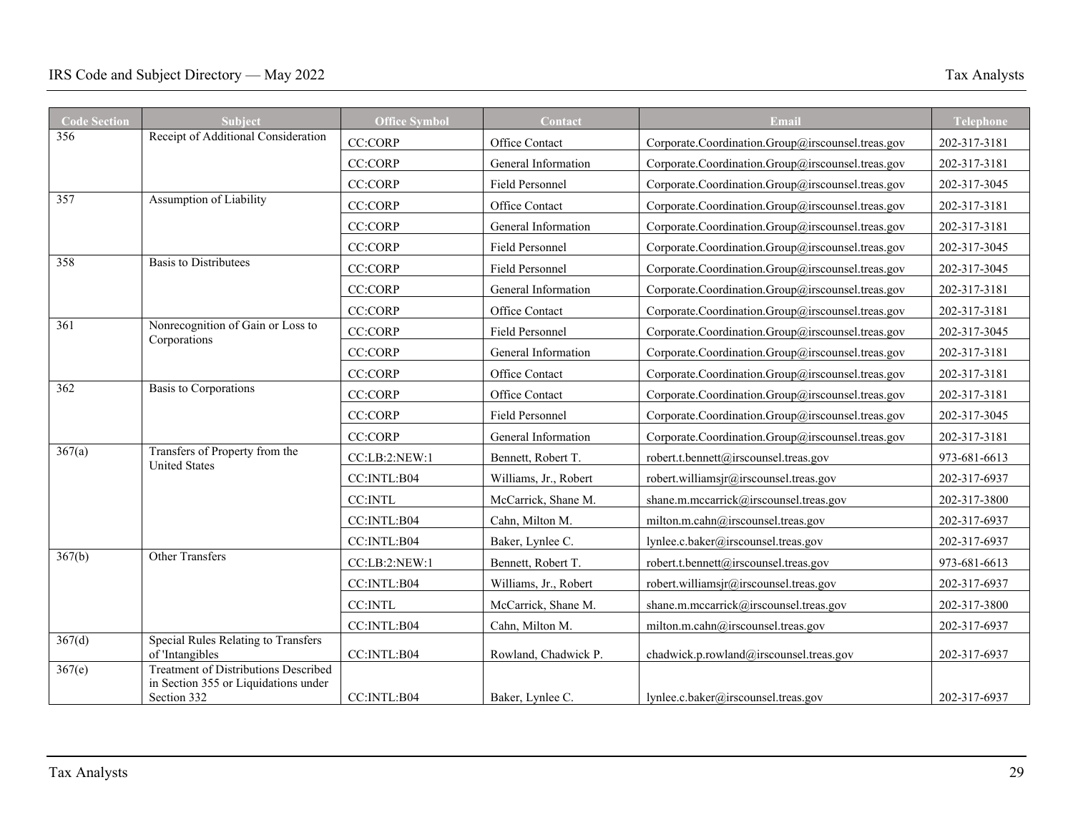| <b>Code Section</b> | <b>Subject</b>                                                                                     | <b>Office Symbol</b> | Contact                | Email                                             | <b>Telephone</b> |
|---------------------|----------------------------------------------------------------------------------------------------|----------------------|------------------------|---------------------------------------------------|------------------|
| 356                 | Receipt of Additional Consideration                                                                | <b>CC:CORP</b>       | Office Contact         | Corporate.Coordination.Group@irscounsel.treas.gov | 202-317-3181     |
|                     |                                                                                                    | <b>CC:CORP</b>       | General Information    | Corporate.Coordination.Group@irscounsel.treas.gov | 202-317-3181     |
|                     |                                                                                                    | <b>CC:CORP</b>       | Field Personnel        | Corporate.Coordination.Group@irscounsel.treas.gov | 202-317-3045     |
| 357                 | Assumption of Liability                                                                            | <b>CC:CORP</b>       | Office Contact         | Corporate.Coordination.Group@irscounsel.treas.gov | 202-317-3181     |
|                     |                                                                                                    | <b>CC:CORP</b>       | General Information    | Corporate.Coordination.Group@irscounsel.treas.gov | 202-317-3181     |
|                     |                                                                                                    | <b>CC:CORP</b>       | Field Personnel        | Corporate.Coordination.Group@irscounsel.treas.gov | 202-317-3045     |
| 358                 | <b>Basis to Distributees</b>                                                                       | <b>CC:CORP</b>       | <b>Field Personnel</b> | Corporate.Coordination.Group@irscounsel.treas.gov | 202-317-3045     |
|                     |                                                                                                    | CC:CORP              | General Information    | Corporate.Coordination.Group@irscounsel.treas.gov | 202-317-3181     |
|                     |                                                                                                    | <b>CC:CORP</b>       | Office Contact         | Corporate.Coordination.Group@irscounsel.treas.gov | 202-317-3181     |
| 361                 | Nonrecognition of Gain or Loss to<br>Corporations                                                  | <b>CC:CORP</b>       | Field Personnel        | Corporate.Coordination.Group@irscounsel.treas.gov | 202-317-3045     |
|                     |                                                                                                    | <b>CC:CORP</b>       | General Information    | Corporate.Coordination.Group@irscounsel.treas.gov | 202-317-3181     |
|                     |                                                                                                    | <b>CC:CORP</b>       | Office Contact         | Corporate.Coordination.Group@irscounsel.treas.gov | 202-317-3181     |
| 362                 | Basis to Corporations                                                                              | <b>CC:CORP</b>       | Office Contact         | Corporate.Coordination.Group@irscounsel.treas.gov | 202-317-3181     |
|                     |                                                                                                    | <b>CC:CORP</b>       | Field Personnel        | Corporate.Coordination.Group@irscounsel.treas.gov | 202-317-3045     |
|                     |                                                                                                    | <b>CC:CORP</b>       | General Information    | Corporate.Coordination.Group@irscounsel.treas.gov | 202-317-3181     |
| 367(a)              | Transfers of Property from the<br><b>United States</b>                                             | CC:LB:2:NEW:1        | Bennett, Robert T.     | robert.t.bennett@irscounsel.treas.gov             | 973-681-6613     |
|                     |                                                                                                    | CC:INTL:B04          | Williams, Jr., Robert  | robert.williamsjr@irscounsel.treas.gov            | 202-317-6937     |
|                     |                                                                                                    | <b>CC:INTL</b>       | McCarrick, Shane M.    | shane.m.mccarrick@irscounsel.treas.gov            | 202-317-3800     |
|                     |                                                                                                    | CC:INTL:B04          | Cahn, Milton M.        | milton.m.cahn@irscounsel.treas.gov                | 202-317-6937     |
|                     |                                                                                                    | CC:INTL:B04          | Baker, Lynlee C.       | lynlee.c.baker@irscounsel.treas.gov               | 202-317-6937     |
| 367(b)              | <b>Other Transfers</b>                                                                             | CC:LB:2:NEW:1        | Bennett, Robert T.     | robert.t.bennett@irscounsel.treas.gov             | 973-681-6613     |
|                     |                                                                                                    | CC:INTL:B04          | Williams, Jr., Robert  | robert.williamsjr@irscounsel.treas.gov            | 202-317-6937     |
|                     |                                                                                                    | <b>CC:INTL</b>       | McCarrick, Shane M.    | shane.m.mccarrick@irscounsel.treas.gov            | 202-317-3800     |
|                     |                                                                                                    | CC:INTL:B04          | Cahn, Milton M.        | milton.m.cahn@irscounsel.treas.gov                | 202-317-6937     |
| 367(d)              | Special Rules Relating to Transfers<br>of 'Intangibles                                             | CC:INTL:B04          | Rowland, Chadwick P.   | chadwick.p.rowland@irscounsel.treas.gov           | 202-317-6937     |
| 367(e)              | <b>Treatment of Distributions Described</b><br>in Section 355 or Liquidations under<br>Section 332 | CC:INTL:B04          | Baker, Lynlee C.       | lynlee.c.baker@irscounsel.treas.gov               | 202-317-6937     |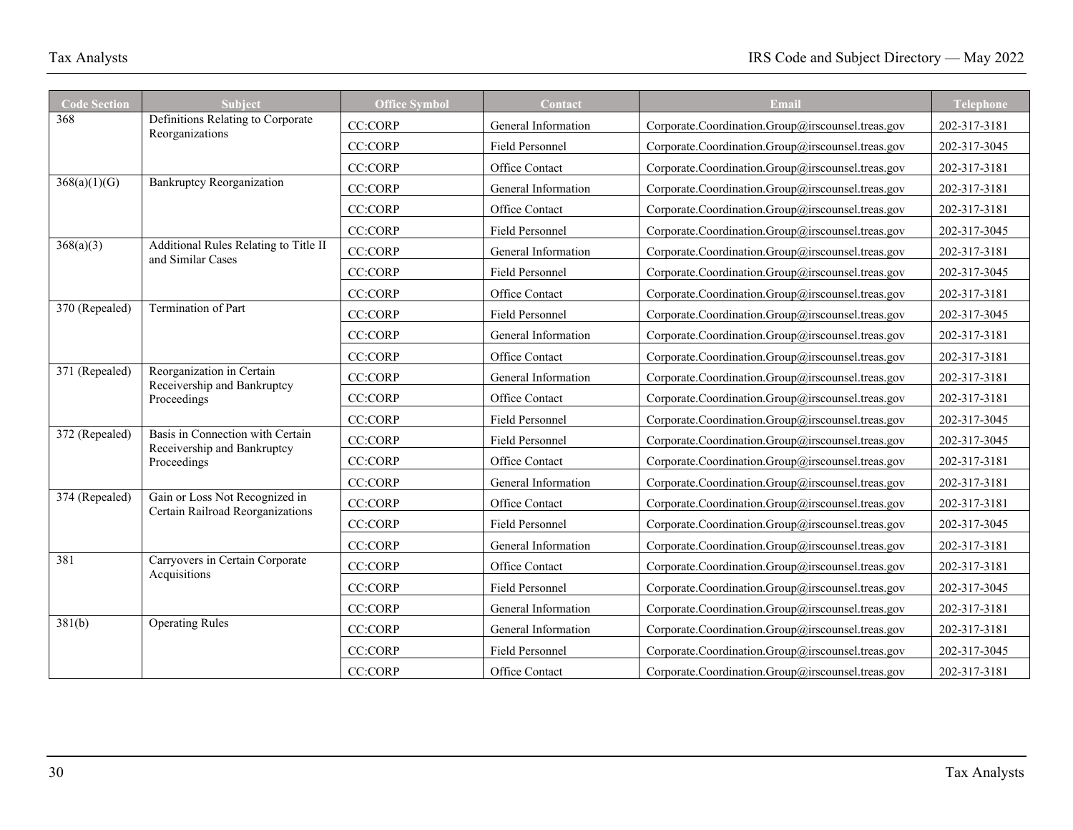| <b>Code Section</b>         | <b>Subject</b>                                                     | <b>Office Symbol</b> | Contact                | Email                                             | <b>Telephone</b> |
|-----------------------------|--------------------------------------------------------------------|----------------------|------------------------|---------------------------------------------------|------------------|
| 368                         | Definitions Relating to Corporate                                  | <b>CC:CORP</b>       | General Information    | Corporate.Coordination.Group@irscounsel.treas.gov | 202-317-3181     |
|                             | Reorganizations                                                    | <b>CC:CORP</b>       | <b>Field Personnel</b> | Corporate.Coordination.Group@irscounsel.treas.gov | 202-317-3045     |
|                             |                                                                    | <b>CC:CORP</b>       | Office Contact         | Corporate.Coordination.Group@irscounsel.treas.gov | 202-317-3181     |
| 368(a)(1)(G)                | <b>Bankruptcy Reorganization</b>                                   | <b>CC:CORP</b>       | General Information    | Corporate.Coordination.Group@irscounsel.treas.gov | 202-317-3181     |
|                             |                                                                    | <b>CC:CORP</b>       | Office Contact         | Corporate.Coordination.Group@irscounsel.treas.gov | 202-317-3181     |
|                             |                                                                    | <b>CC:CORP</b>       | Field Personnel        | Corporate.Coordination.Group@irscounsel.treas.gov | 202-317-3045     |
| 368(a)(3)                   | Additional Rules Relating to Title II<br>and Similar Cases         | <b>CC:CORP</b>       | General Information    | Corporate.Coordination.Group@irscounsel.treas.gov | 202-317-3181     |
|                             |                                                                    | <b>CC:CORP</b>       | Field Personnel        | Corporate.Coordination.Group@irscounsel.treas.gov | 202-317-3045     |
|                             |                                                                    | <b>CC:CORP</b>       | Office Contact         | Corporate.Coordination.Group@irscounsel.treas.gov | 202-317-3181     |
| 370 (Repealed)              | Termination of Part                                                | <b>CC:CORP</b>       | Field Personnel        | Corporate.Coordination.Group@irscounsel.treas.gov | 202-317-3045     |
|                             |                                                                    | <b>CC:CORP</b>       | General Information    | Corporate.Coordination.Group@irscounsel.treas.gov | 202-317-3181     |
|                             |                                                                    | <b>CC:CORP</b>       | Office Contact         | Corporate.Coordination.Group@irscounsel.treas.gov | 202-317-3181     |
| $\overline{371}$ (Repealed) | Reorganization in Certain<br>Receivership and Bankruptcy           | <b>CC:CORP</b>       | General Information    | Corporate.Coordination.Group@irscounsel.treas.gov | 202-317-3181     |
|                             | Proceedings                                                        | <b>CC:CORP</b>       | Office Contact         | Corporate.Coordination.Group@irscounsel.treas.gov | 202-317-3181     |
|                             |                                                                    | <b>CC:CORP</b>       | Field Personnel        | Corporate.Coordination.Group@irscounsel.treas.gov | 202-317-3045     |
| 372 (Repealed)              | Basis in Connection with Certain<br>Receivership and Bankruptcy    | <b>CC:CORP</b>       | Field Personnel        | Corporate.Coordination.Group@irscounsel.treas.gov | 202-317-3045     |
|                             | Proceedings                                                        | <b>CC:CORP</b>       | Office Contact         | Corporate.Coordination.Group@irscounsel.treas.gov | 202-317-3181     |
|                             |                                                                    | <b>CC:CORP</b>       | General Information    | Corporate.Coordination.Group@irscounsel.treas.gov | 202-317-3181     |
| $\overline{374}$ (Repealed) | Gain or Loss Not Recognized in<br>Certain Railroad Reorganizations | <b>CC:CORP</b>       | Office Contact         | Corporate.Coordination.Group@irscounsel.treas.gov | 202-317-3181     |
|                             |                                                                    | <b>CC:CORP</b>       | <b>Field Personnel</b> | Corporate.Coordination.Group@irscounsel.treas.gov | 202-317-3045     |
|                             |                                                                    | <b>CC:CORP</b>       | General Information    | Corporate.Coordination.Group@irscounsel.treas.gov | 202-317-3181     |
| 381                         | Carryovers in Certain Corporate<br>Acquisitions                    | <b>CC:CORP</b>       | Office Contact         | Corporate.Coordination.Group@irscounsel.treas.gov | 202-317-3181     |
|                             |                                                                    | <b>CC:CORP</b>       | <b>Field Personnel</b> | Corporate.Coordination.Group@irscounsel.treas.gov | 202-317-3045     |
|                             |                                                                    | <b>CC:CORP</b>       | General Information    | Corporate.Coordination.Group@irscounsel.treas.gov | 202-317-3181     |
| 381(b)                      | <b>Operating Rules</b>                                             | <b>CC:CORP</b>       | General Information    | Corporate.Coordination.Group@irscounsel.treas.gov | 202-317-3181     |
|                             |                                                                    | <b>CC:CORP</b>       | Field Personnel        | Corporate.Coordination.Group@irscounsel.treas.gov | 202-317-3045     |
|                             |                                                                    | CC:CORP              | Office Contact         | Corporate.Coordination.Group@irscounsel.treas.gov | 202-317-3181     |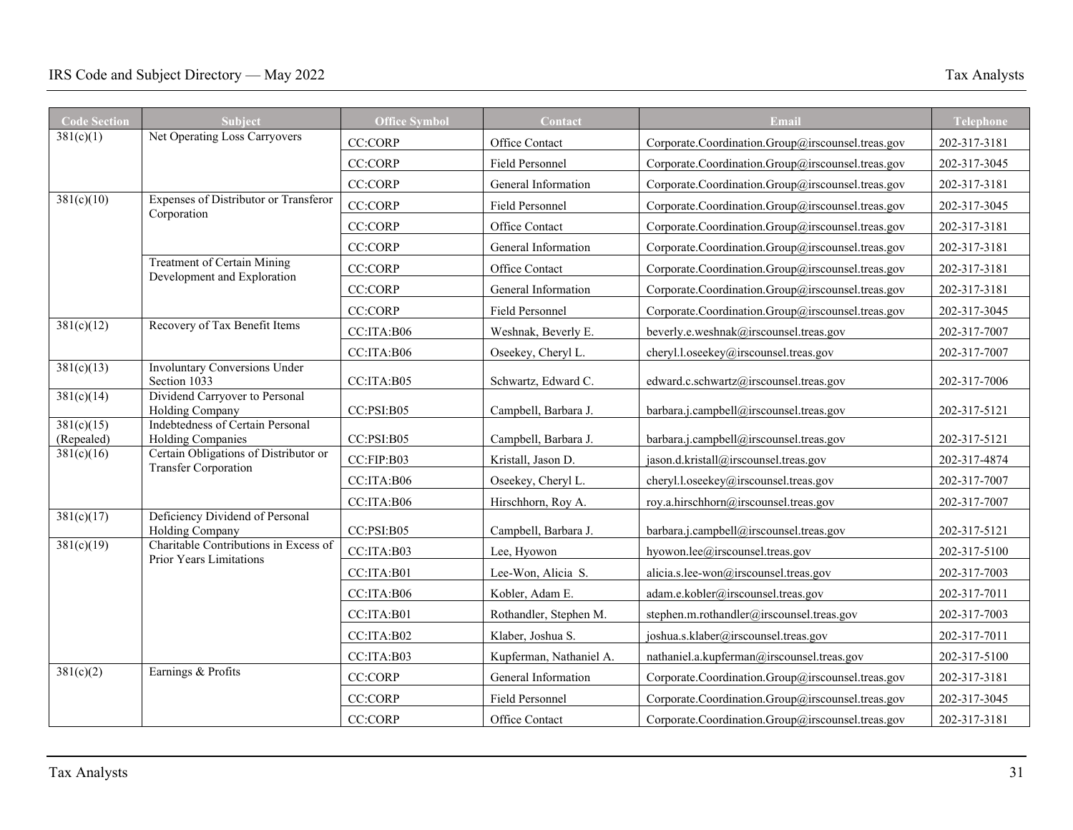| <b>Code Section</b>      | Subject                                                      | <b>Office Symbol</b> | Contact                 | Email                                             | <b>Telephone</b> |
|--------------------------|--------------------------------------------------------------|----------------------|-------------------------|---------------------------------------------------|------------------|
| 381(c)(1)                | Net Operating Loss Carryovers                                | <b>CC:CORP</b>       | Office Contact          | Corporate.Coordination.Group@irscounsel.treas.gov | 202-317-3181     |
|                          |                                                              | <b>CC:CORP</b>       | Field Personnel         | Corporate.Coordination.Group@irscounsel.treas.gov | 202-317-3045     |
|                          |                                                              | CC:CORP              | General Information     | Corporate.Coordination.Group@irscounsel.treas.gov | 202-317-3181     |
| 381(c)(10)               | Expenses of Distributor or Transferor<br>Corporation         | CC:CORP              | Field Personnel         | Corporate.Coordination.Group@irscounsel.treas.gov | 202-317-3045     |
|                          |                                                              | CC:CORP              | Office Contact          | Corporate.Coordination.Group@irscounsel.treas.gov | 202-317-3181     |
|                          |                                                              | <b>CC:CORP</b>       | General Information     | Corporate.Coordination.Group@irscounsel.treas.gov | 202-317-3181     |
|                          | <b>Treatment of Certain Mining</b>                           | <b>CC:CORP</b>       | Office Contact          | Corporate.Coordination.Group@irscounsel.treas.gov | 202-317-3181     |
|                          | Development and Exploration                                  | CC:CORP              | General Information     | Corporate.Coordination.Group@irscounsel.treas.gov | 202-317-3181     |
|                          |                                                              | <b>CC:CORP</b>       | Field Personnel         | Corporate.Coordination.Group@irscounsel.treas.gov | 202-317-3045     |
| 381(c)(12)               | Recovery of Tax Benefit Items                                | CC:ITA:B06           | Weshnak, Beverly E.     | beverly.e.weshnak@irscounsel.treas.gov            | 202-317-7007     |
|                          |                                                              | CC:ITA:B06           | Oseekey, Cheryl L.      | cheryl.l.oseekey@irscounsel.treas.gov             | 202-317-7007     |
| 381(c)(13)               | <b>Involuntary Conversions Under</b><br>Section 1033         | CC:ITA:B05           | Schwartz, Edward C.     | edward.c.schwartz@irscounsel.treas.gov            | 202-317-7006     |
| 381(c)(14)               | Dividend Carryover to Personal<br>Holding Company            | CC:PSI: B05          | Campbell, Barbara J.    | barbara.j.campbell@irscounsel.treas.gov           | 202-317-5121     |
| 381(c)(15)<br>(Repealed) | Indebtedness of Certain Personal<br><b>Holding Companies</b> | CC:PSI:B05           | Campbell, Barbara J.    | barbara.j.campbell@irscounsel.treas.gov           | 202-317-5121     |
| 381(c)(16)               | Certain Obligations of Distributor or                        | CC:FIP:B03           | Kristall, Jason D.      | jason.d.kristall@irscounsel.treas.gov             | 202-317-4874     |
|                          | <b>Transfer Corporation</b>                                  | CC:ITA:B06           | Oseekey, Cheryl L.      | cheryl.l.oseekey@irscounsel.treas.gov             | 202-317-7007     |
|                          |                                                              | CC:ITA:B06           | Hirschhorn, Roy A.      | roy.a.hirschhorn@irscounsel.treas.gov             | 202-317-7007     |
| 381(c)(17)               | Deficiency Dividend of Personal<br>Holding Company           | CC:PSI:B05           | Campbell, Barbara J.    | barbara.j.campbell@irscounsel.treas.gov           | 202-317-5121     |
| $\frac{381(c)(19)}{2}$   | Charitable Contributions in Excess of                        | CC:ITA:B03           | Lee, Hyowon             | hyowon.lee@irscounsel.treas.gov                   | 202-317-5100     |
|                          | Prior Years Limitations                                      | CC:ITA:B01           | Lee-Won, Alicia S.      | alicia.s.lee-won@irscounsel.treas.gov             | 202-317-7003     |
|                          |                                                              | CC:ITA:B06           | Kobler, Adam E.         | adam.e.kobler@irscounsel.treas.gov                | 202-317-7011     |
|                          |                                                              | CC:ITA:B01           | Rothandler, Stephen M.  | stephen.m.rothandler@irscounsel.treas.gov         | 202-317-7003     |
|                          |                                                              | CC:ITA:B02           | Klaber, Joshua S.       | joshua.s.klaber@irscounsel.treas.gov              | 202-317-7011     |
|                          |                                                              | CC:ITA:B03           | Kupferman, Nathaniel A. | nathaniel.a.kupferman@irscounsel.treas.gov        | 202-317-5100     |
| 381(c)(2)                | Earnings & Profits                                           | <b>CC:CORP</b>       | General Information     | Corporate.Coordination.Group@irscounsel.treas.gov | 202-317-3181     |
|                          |                                                              | <b>CC:CORP</b>       | Field Personnel         | Corporate.Coordination.Group@irscounsel.treas.gov | 202-317-3045     |
|                          |                                                              | <b>CC:CORP</b>       | Office Contact          | Corporate.Coordination.Group@irscounsel.treas.gov | 202-317-3181     |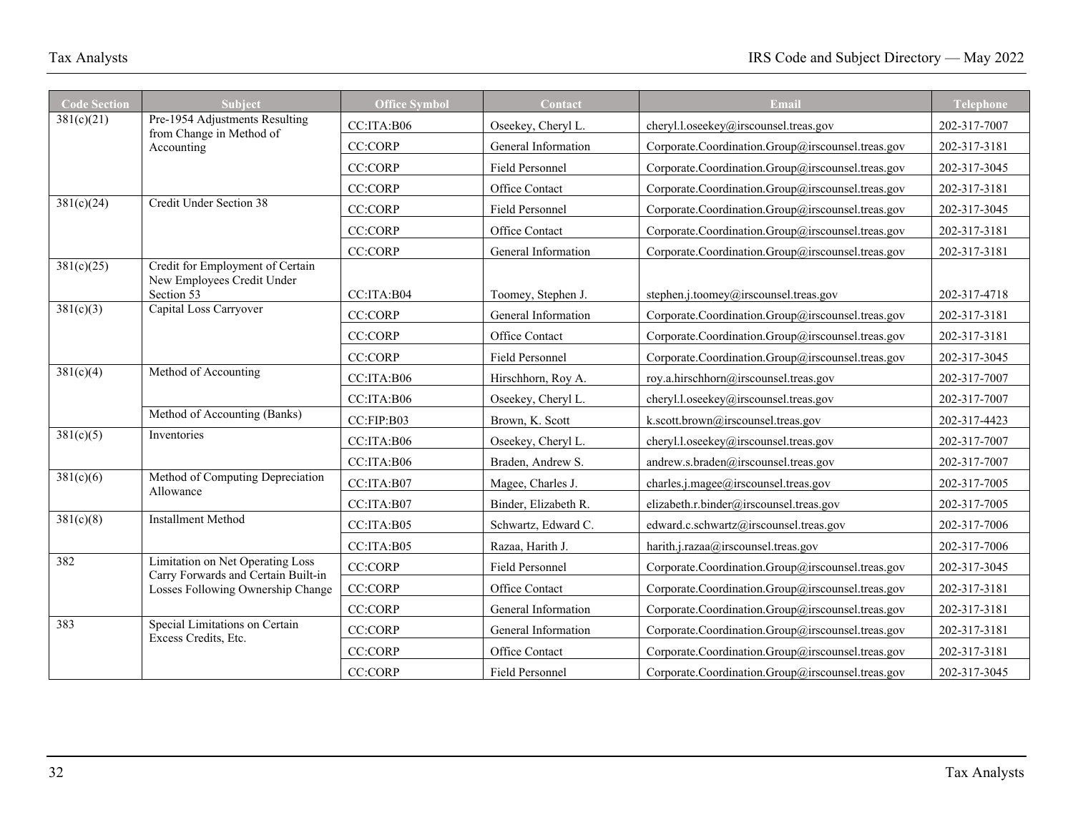| <b>Code Section</b>     | Subject                                                                      | <b>Office Symbol</b>     | Contact              | Email                                                                                      | Telephone    |
|-------------------------|------------------------------------------------------------------------------|--------------------------|----------------------|--------------------------------------------------------------------------------------------|--------------|
| $\overline{381(c)(21)}$ | Pre-1954 Adjustments Resulting<br>from Change in Method of                   | CC:ITA:B06               | Oseekey, Cheryl L.   | cheryl.l.oseekey@irscounsel.treas.gov                                                      | 202-317-7007 |
|                         | Accounting                                                                   | <b>CC:CORP</b>           | General Information  | Corporate.Coordination.Group@irscounsel.treas.gov                                          | 202-317-3181 |
|                         |                                                                              | <b>CC:CORP</b>           | Field Personnel      | Corporate.Coordination.Group@irscounsel.treas.gov                                          | 202-317-3045 |
|                         |                                                                              | <b>CC:CORP</b>           | Office Contact       | Corporate.Coordination.Group@irscounsel.treas.gov                                          | 202-317-3181 |
| 381(c)(24)              | Credit Under Section 38                                                      | <b>CC:CORP</b>           | Field Personnel      | Corporate.Coordination.Group@irscounsel.treas.gov                                          | 202-317-3045 |
|                         |                                                                              | <b>CC:CORP</b>           | Office Contact       | Corporate.Coordination.Group@irscounsel.treas.gov                                          | 202-317-3181 |
|                         |                                                                              | CC:CORP                  | General Information  | Corporate.Coordination.Group@irscounsel.treas.gov                                          | 202-317-3181 |
| 381(c)(25)              | Credit for Employment of Certain<br>New Employees Credit Under<br>Section 53 | CC:ITA:B04               | Toomey, Stephen J.   | stephen.j.toomey@irscounsel.treas.gov                                                      | 202-317-4718 |
| 381(c)(3)               | Capital Loss Carryover                                                       | <b>CC:CORP</b>           | General Information  | Corporate.Coordination.Group@irscounsel.treas.gov                                          | 202-317-3181 |
|                         |                                                                              | <b>CC:CORP</b>           | Office Contact       | Corporate.Coordination.Group@irscounsel.treas.gov                                          | 202-317-3181 |
|                         |                                                                              | <b>CC:CORP</b>           | Field Personnel      |                                                                                            |              |
| 381(c)(4)               | Method of Accounting                                                         |                          |                      | Corporate.Coordination.Group@irscounsel.treas.gov<br>roy.a.hirschhorn@irscounsel.treas.gov | 202-317-3045 |
|                         |                                                                              | CC:ITA:B06<br>CC:ITA:B06 | Hirschhorn, Roy A.   |                                                                                            | 202-317-7007 |
|                         | Method of Accounting (Banks)                                                 |                          | Oseekey, Cheryl L.   | cheryl.l.oseekey@irscounsel.treas.gov                                                      | 202-317-7007 |
| 381(c)(5)               | Inventories                                                                  | CC:FIP:B03               | Brown, K. Scott      | k.scott.brown@irscounsel.treas.gov                                                         | 202-317-4423 |
|                         |                                                                              | CC:ITA:B06               | Oseekey, Cheryl L.   | cheryl.l.oseekey@irscounsel.treas.gov                                                      | 202-317-7007 |
| 381(c)(6)               | Method of Computing Depreciation                                             | CC:ITA:B06               | Braden, Andrew S.    | andrew.s.braden@irscounsel.treas.gov                                                       | 202-317-7007 |
|                         | Allowance                                                                    | CC:ITA:B07               | Magee, Charles J.    | charles.j.magee@irscounsel.treas.gov                                                       | 202-317-7005 |
| 381(c)(8)               | Installment Method                                                           | CC:ITA:B07               | Binder, Elizabeth R. | elizabeth.r.binder@irscounsel.treas.gov                                                    | 202-317-7005 |
|                         |                                                                              | CC:ITA:B05               | Schwartz, Edward C.  | edward.c.schwartz@irscounsel.treas.gov                                                     | 202-317-7006 |
|                         |                                                                              | CC:ITA:B05               | Razaa, Harith J.     | harith.j.razaa@irscounsel.treas.gov                                                        | 202-317-7006 |
| 382                     | Limitation on Net Operating Loss<br>Carry Forwards and Certain Built-in      | <b>CC:CORP</b>           | Field Personnel      | Corporate.Coordination.Group@irscounsel.treas.gov                                          | 202-317-3045 |
|                         | Losses Following Ownership Change                                            | <b>CC:CORP</b>           | Office Contact       | Corporate.Coordination.Group@irscounsel.treas.gov                                          | 202-317-3181 |
|                         |                                                                              | CC:CORP                  | General Information  | Corporate.Coordination.Group@irscounsel.treas.gov                                          | 202-317-3181 |
| 383                     | Special Limitations on Certain<br>Excess Credits, Etc.                       | <b>CC:CORP</b>           | General Information  | Corporate.Coordination.Group@irscounsel.treas.gov                                          | 202-317-3181 |
|                         |                                                                              | <b>CC:CORP</b>           | Office Contact       | Corporate.Coordination.Group@irscounsel.treas.gov                                          | 202-317-3181 |
|                         |                                                                              | CC:CORP                  | Field Personnel      | Corporate.Coordination.Group@irscounsel.treas.gov                                          | 202-317-3045 |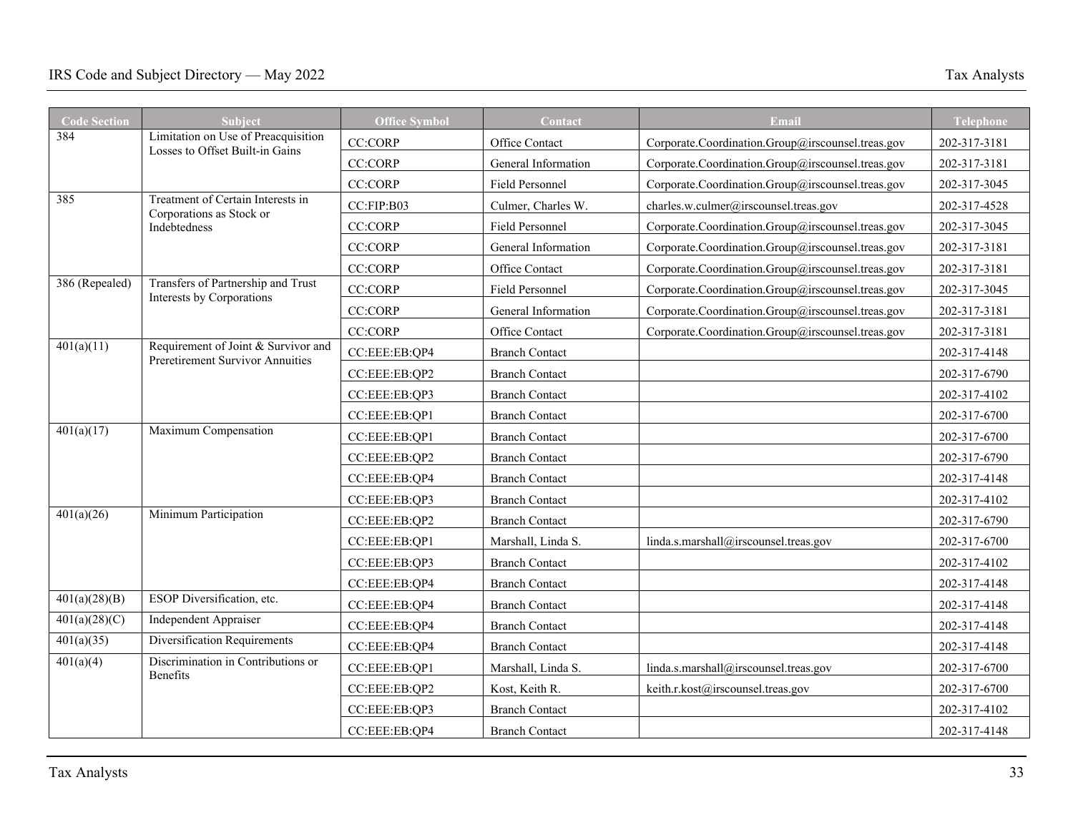| <b>Code Section</b>        | <b>Subject</b>                                                          | <b>Office Symbol</b> | Contact               | Email                                             | <b>Telephone</b> |
|----------------------------|-------------------------------------------------------------------------|----------------------|-----------------------|---------------------------------------------------|------------------|
| 384                        | Limitation on Use of Preacquisition<br>Losses to Offset Built-in Gains  | <b>CC:CORP</b>       | Office Contact        | Corporate.Coordination.Group@irscounsel.treas.gov | 202-317-3181     |
|                            |                                                                         | <b>CC:CORP</b>       | General Information   | Corporate.Coordination.Group@irscounsel.treas.gov | 202-317-3181     |
|                            |                                                                         | <b>CC:CORP</b>       | Field Personnel       | Corporate.Coordination.Group@irscounsel.treas.gov | 202-317-3045     |
| 385                        | Treatment of Certain Interests in<br>Corporations as Stock or           | CC:FIP:B03           | Culmer, Charles W.    | charles.w.culmer@irscounsel.treas.gov             | 202-317-4528     |
|                            | Indebtedness                                                            | <b>CC:CORP</b>       | Field Personnel       | Corporate.Coordination.Group@irscounsel.treas.gov | 202-317-3045     |
|                            |                                                                         | <b>CC:CORP</b>       | General Information   | Corporate.Coordination.Group@irscounsel.treas.gov | 202-317-3181     |
|                            |                                                                         | <b>CC:CORP</b>       | Office Contact        | Corporate.Coordination.Group@irscounsel.treas.gov | 202-317-3181     |
| 386 (Repealed)             | Transfers of Partnership and Trust<br>Interests by Corporations         | <b>CC:CORP</b>       | Field Personnel       | Corporate.Coordination.Group@irscounsel.treas.gov | 202-317-3045     |
|                            |                                                                         | <b>CC:CORP</b>       | General Information   | Corporate.Coordination.Group@irscounsel.treas.gov | 202-317-3181     |
|                            |                                                                         | <b>CC:CORP</b>       | Office Contact        | Corporate.Coordination.Group@irscounsel.treas.gov | 202-317-3181     |
| 401(a)(11)                 | Requirement of Joint & Survivor and<br>Preretirement Survivor Annuities | CC:EEE:EB:QP4        | <b>Branch Contact</b> |                                                   | 202-317-4148     |
|                            |                                                                         | CC:EEE:EB:QP2        | <b>Branch Contact</b> |                                                   | 202-317-6790     |
|                            |                                                                         | CC:EEE:EB:QP3        | <b>Branch Contact</b> |                                                   | 202-317-4102     |
|                            |                                                                         | CC:EEE:EB:OP1        | <b>Branch Contact</b> |                                                   | 202-317-6700     |
| 401(a)(17)                 | Maximum Compensation                                                    | CC:EEE:EB:QP1        | <b>Branch Contact</b> |                                                   | 202-317-6700     |
|                            |                                                                         | CC:EEE:EB:QP2        | <b>Branch Contact</b> |                                                   | 202-317-6790     |
|                            |                                                                         | CC:EEE:EB:QP4        | <b>Branch Contact</b> |                                                   | 202-317-4148     |
|                            |                                                                         | CC:EEE:EB:QP3        | <b>Branch Contact</b> |                                                   | 202-317-4102     |
| 401(a)(26)                 | Minimum Participation                                                   | CC:EEE:EB:QP2        | <b>Branch Contact</b> |                                                   | 202-317-6790     |
|                            |                                                                         | CC:EEE:EB:QP1        | Marshall, Linda S.    | linda.s.marshall@irscounsel.treas.gov             | 202-317-6700     |
|                            |                                                                         | CC:EEE:EB:QP3        | <b>Branch Contact</b> |                                                   | 202-317-4102     |
|                            |                                                                         | CC:EEE:EB:QP4        | <b>Branch Contact</b> |                                                   | 202-317-4148     |
| 401(a)(28)(B)              | ESOP Diversification, etc.                                              | CC:EEE:EB:QP4        | <b>Branch Contact</b> |                                                   | 202-317-4148     |
| $\overline{401(a)(28)(C)}$ | <b>Independent Appraiser</b>                                            | CC:EEE:EB:QP4        | <b>Branch Contact</b> |                                                   | 202-317-4148     |
| 401(a)(35)                 | Diversification Requirements                                            | CC:EEE:EB:QP4        | <b>Branch Contact</b> |                                                   | 202-317-4148     |
| 401(a)(4)                  | Discrimination in Contributions or<br>Benefits                          | CC:EEE:EB:QP1        | Marshall, Linda S.    | linda.s.marshall@irscounsel.treas.gov             | 202-317-6700     |
|                            |                                                                         | CC:EEE:EB:QP2        | Kost, Keith R.        | keith.r.kost@irscounsel.treas.gov                 | 202-317-6700     |
|                            |                                                                         | CC:EEE:EB:QP3        | <b>Branch Contact</b> |                                                   | 202-317-4102     |
|                            |                                                                         | CC:EEE:EB:QP4        | <b>Branch Contact</b> |                                                   | 202-317-4148     |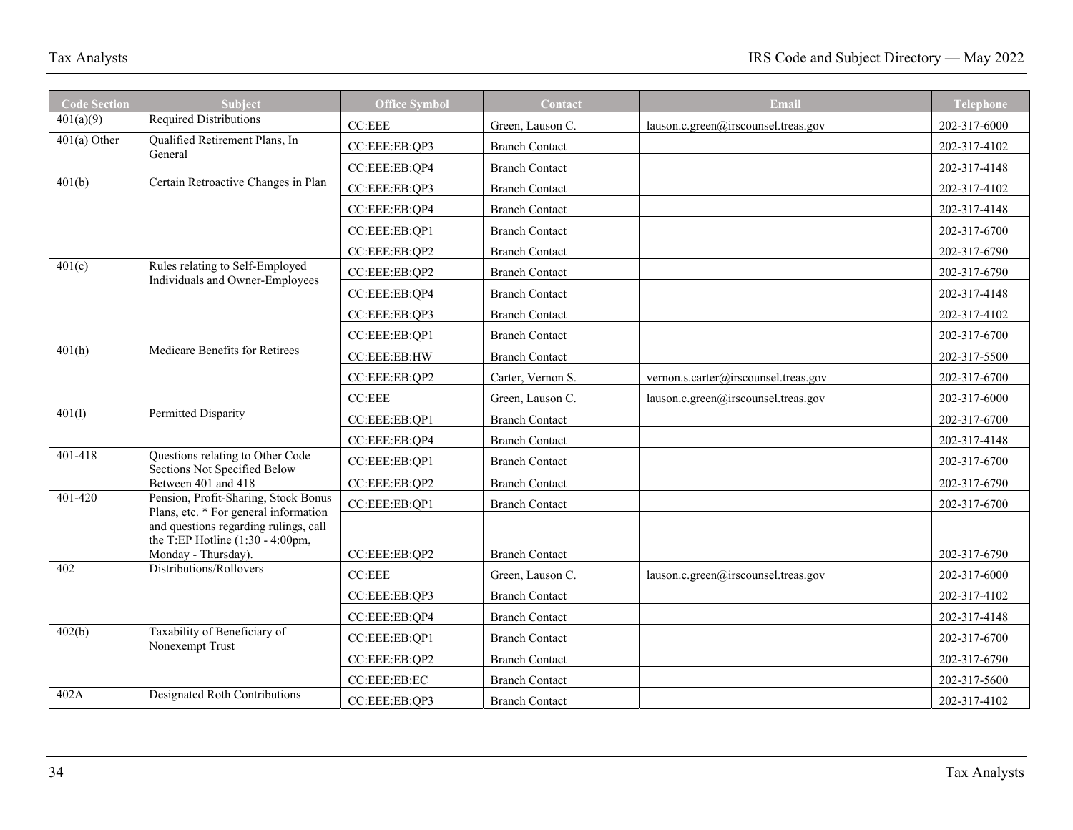| <b>Code Section</b> | Subject                                                                        | <b>Office Symbol</b>        | Contact               | Email                                | Telephone    |
|---------------------|--------------------------------------------------------------------------------|-----------------------------|-----------------------|--------------------------------------|--------------|
| 401(a)(9)           | <b>Required Distributions</b>                                                  | CC:EEE                      | Green, Lauson C.      | lauson.c.green@irscounsel.treas.gov  | 202-317-6000 |
| $401(a)$ Other      | Qualified Retirement Plans, In<br>General                                      | CC:EEE:EB:QP3               | <b>Branch Contact</b> |                                      | 202-317-4102 |
|                     |                                                                                | CC:EEE:EB:QP4               | <b>Branch Contact</b> |                                      | 202-317-4148 |
| 401(b)              | Certain Retroactive Changes in Plan                                            | CC:EEE:EB:QP3               | <b>Branch Contact</b> |                                      | 202-317-4102 |
|                     |                                                                                | CC:EEE:EB:QP4               | <b>Branch Contact</b> |                                      | 202-317-4148 |
|                     |                                                                                | CC:EEE:EB:QP1               | <b>Branch Contact</b> |                                      | 202-317-6700 |
|                     |                                                                                | CC:EEE:EB:QP2               | <b>Branch Contact</b> |                                      | 202-317-6790 |
| 401(c)              | Rules relating to Self-Employed                                                | CC:EEE:EB:QP2               | <b>Branch Contact</b> |                                      | 202-317-6790 |
|                     | Individuals and Owner-Employees                                                | CC:EEE:EB:QP4               | <b>Branch Contact</b> |                                      | 202-317-4148 |
|                     |                                                                                | CC:EEE:EB:QP3               | <b>Branch Contact</b> |                                      | 202-317-4102 |
|                     |                                                                                | CC:EEE:EB:QP1               | <b>Branch Contact</b> |                                      | 202-317-6700 |
| 401(h)              | Medicare Benefits for Retirees                                                 | CC:EEE:EB:HW                | <b>Branch Contact</b> |                                      | 202-317-5500 |
|                     |                                                                                | CC:EEE:EB:QP2               | Carter, Vernon S.     | vernon.s.carter@irscounsel.treas.gov | 202-317-6700 |
|                     |                                                                                | $\mathsf{CC:} \mathsf{EEE}$ | Green, Lauson C.      | lauson.c.green@irscounsel.treas.gov  | 202-317-6000 |
| 401(1)              | Permitted Disparity                                                            | CC:EEE:EB:QP1               | <b>Branch Contact</b> |                                      | 202-317-6700 |
|                     |                                                                                | CC:EEE:EB:QP4               | <b>Branch Contact</b> |                                      | 202-317-4148 |
| 401-418             | Questions relating to Other Code                                               | CC:EEE:EB:QP1               | <b>Branch Contact</b> |                                      | 202-317-6700 |
|                     | Sections Not Specified Below<br>Between 401 and 418                            | CC:EEE:EB:QP2               | <b>Branch Contact</b> |                                      | 202-317-6790 |
| 401-420             | Pension, Profit-Sharing, Stock Bonus                                           | CC:EEE:EB:QP1               | <b>Branch Contact</b> |                                      | 202-317-6700 |
|                     | Plans, etc. * For general information<br>and questions regarding rulings, call |                             |                       |                                      |              |
|                     | the T:EP Hotline (1:30 - 4:00pm,                                               |                             |                       |                                      |              |
| 402                 | Monday - Thursday).<br>Distributions/Rollovers                                 | CC:EEE:EB:QP2               | <b>Branch Contact</b> |                                      | 202-317-6790 |
|                     |                                                                                | CC: EEE                     | Green, Lauson C.      | lauson.c.green@irscounsel.treas.gov  | 202-317-6000 |
|                     |                                                                                | CC:EEE:EB:QP3               | <b>Branch Contact</b> |                                      | 202-317-4102 |
| 402(b)              | Taxability of Beneficiary of                                                   | CC:EEE:EB:QP4               | <b>Branch Contact</b> |                                      | 202-317-4148 |
|                     | Nonexempt Trust                                                                | CC:EEE:EB:QP1               | <b>Branch Contact</b> |                                      | 202-317-6700 |
|                     |                                                                                | CC:EEE:EB:QP2               | <b>Branch Contact</b> |                                      | 202-317-6790 |
| 402A                | Designated Roth Contributions                                                  | CC:EEE:EB:EC                | <b>Branch Contact</b> |                                      | 202-317-5600 |
|                     |                                                                                | CC:EEE:EB:QP3               | <b>Branch Contact</b> |                                      | 202-317-4102 |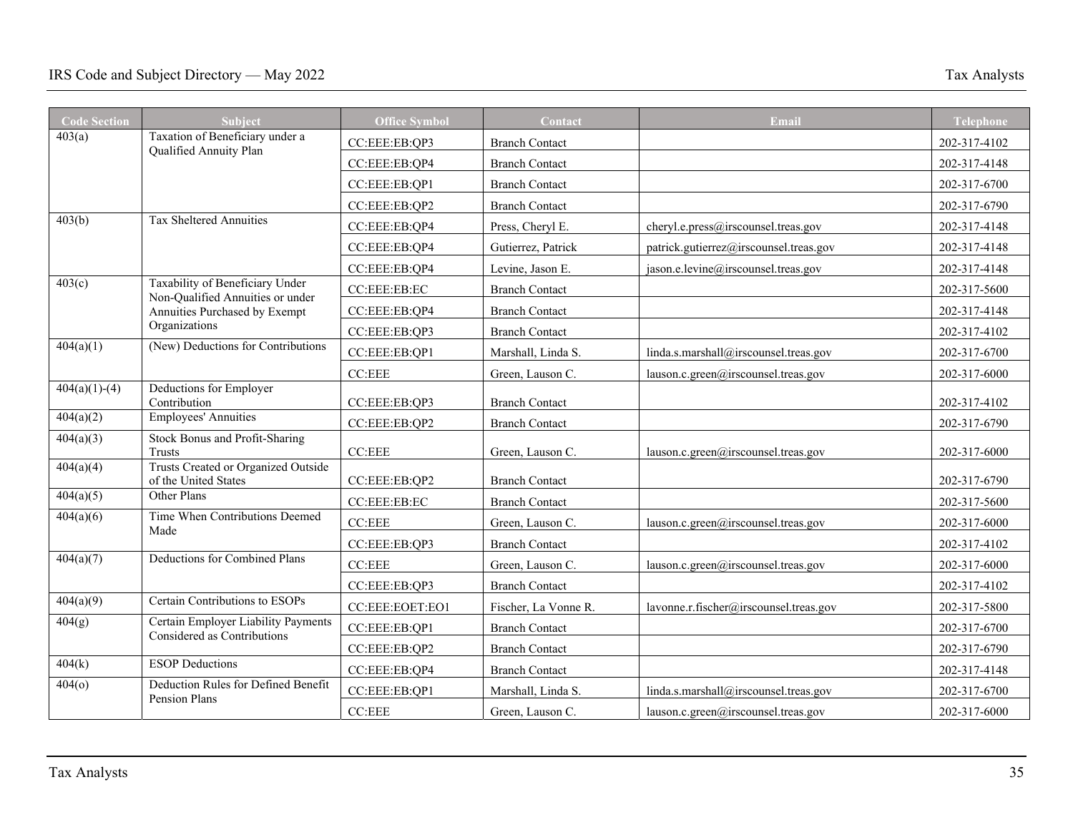| <b>Code Section</b>                       | <b>Subject</b>                                                     | <b>Office Symbol</b>        | Contact                                | Email                                  | <b>Telephone</b> |
|-------------------------------------------|--------------------------------------------------------------------|-----------------------------|----------------------------------------|----------------------------------------|------------------|
| 403(a)                                    | Taxation of Beneficiary under a<br>Qualified Annuity Plan          | CC:EEE:EB:QP3               | <b>Branch Contact</b>                  |                                        | 202-317-4102     |
|                                           |                                                                    | CC:EEE:EB:QP4               | <b>Branch Contact</b>                  |                                        | 202-317-4148     |
|                                           |                                                                    | CC:EEE:EB:QP1               | <b>Branch Contact</b>                  |                                        | 202-317-6700     |
|                                           |                                                                    | CC:EEE:EB:QP2               | <b>Branch Contact</b>                  |                                        | 202-317-6790     |
| 403(b)                                    | <b>Tax Sheltered Annuities</b>                                     | CC:EEE:EB:QP4               | Press, Chervl E.                       | cheryl.e.press@irscounsel.treas.gov    | 202-317-4148     |
|                                           | CC:EEE:EB:QP4                                                      | Gutierrez, Patrick          | patrick.gutierrez@irscounsel.treas.gov | 202-317-4148                           |                  |
|                                           |                                                                    | CC:EEE:EB:QP4               | Levine, Jason E.                       | jason.e.levine@irscounsel.treas.gov    | 202-317-4148     |
| Taxability of Beneficiary Under<br>403(c) | CC:EEE:EB:EC                                                       | <b>Branch Contact</b>       |                                        | 202-317-5600                           |                  |
|                                           | Non-Qualified Annuities or under<br>Annuities Purchased by Exempt  | CC:EEE:EB:QP4               | <b>Branch Contact</b>                  |                                        | 202-317-4148     |
|                                           | Organizations                                                      | CC:EEE:EB:QP3               | <b>Branch Contact</b>                  |                                        | 202-317-4102     |
| 404(a)(1)                                 | (New) Deductions for Contributions                                 | CC:EEE:EB:QP1               | Marshall, Linda S.                     | linda.s.marshall@irscounsel.treas.gov  | 202-317-6700     |
|                                           |                                                                    | $\mathsf{CC:} \mathsf{EEE}$ | Green, Lauson C.                       | lauson.c.green@irscounsel.treas.gov    | 202-317-6000     |
| $404(a)(1)-(4)$                           | Deductions for Employer<br>Contribution                            | CC:EEE:EB:QP3               | <b>Branch Contact</b>                  |                                        | 202-317-4102     |
| 404(a)(2)                                 | <b>Employees' Annuities</b>                                        | CC:EEE:EB:QP2               | <b>Branch Contact</b>                  |                                        | 202-317-6790     |
| 404(a)(3)                                 | <b>Stock Bonus and Profit-Sharing</b><br>Trusts                    | CC:EEE                      | Green, Lauson C.                       | lauson.c.green@irscounsel.treas.gov    | 202-317-6000     |
| 404(a)(4)                                 | Trusts Created or Organized Outside<br>of the United States        | CC:EEE:EB:QP2               | <b>Branch Contact</b>                  |                                        | 202-317-6790     |
| 404(a)(5)                                 | Other Plans                                                        | CC:EEE:EB:EC                | <b>Branch Contact</b>                  |                                        | 202-317-5600     |
| 404(a)(6)                                 | Time When Contributions Deemed<br>Made                             | CC:EEE                      | Green, Lauson C.                       | lauson.c.green@irscounsel.treas.gov    | 202-317-6000     |
|                                           |                                                                    | CC:EEE:EB:QP3               | <b>Branch Contact</b>                  |                                        | 202-317-4102     |
| 404(a)(7)                                 | Deductions for Combined Plans                                      | CC:EEE                      | Green, Lauson C.                       | lauson.c.green@irscounsel.treas.gov    | 202-317-6000     |
|                                           |                                                                    | CC:EEE:EB:QP3               | <b>Branch Contact</b>                  |                                        | 202-317-4102     |
| 404(a)(9)                                 | Certain Contributions to ESOPs                                     | CC:EEE:EOET:EO1             | Fischer, La Vonne R.                   | lavonne.r.fischer@irscounsel.treas.gov | 202-317-5800     |
| 404(g)                                    | Certain Employer Liability Payments<br>Considered as Contributions | CC:EEE:EB:QP1               | <b>Branch Contact</b>                  |                                        | 202-317-6700     |
|                                           |                                                                    | CC:EEE:EB:QP2               | <b>Branch Contact</b>                  |                                        | 202-317-6790     |
| 404(k)                                    | <b>ESOP</b> Deductions                                             | CC:EEE:EB:QP4               | <b>Branch Contact</b>                  |                                        | 202-317-4148     |
| 404(o)                                    | Deduction Rules for Defined Benefit                                | CC:EEE:EB:QP1               | Marshall, Linda S.                     | linda.s.marshall@irscounsel.treas.gov  | 202-317-6700     |
|                                           | Pension Plans                                                      | CC:EEE                      | Green, Lauson C.                       | lauson.c. green@irscounsel. treas.gov  | 202-317-6000     |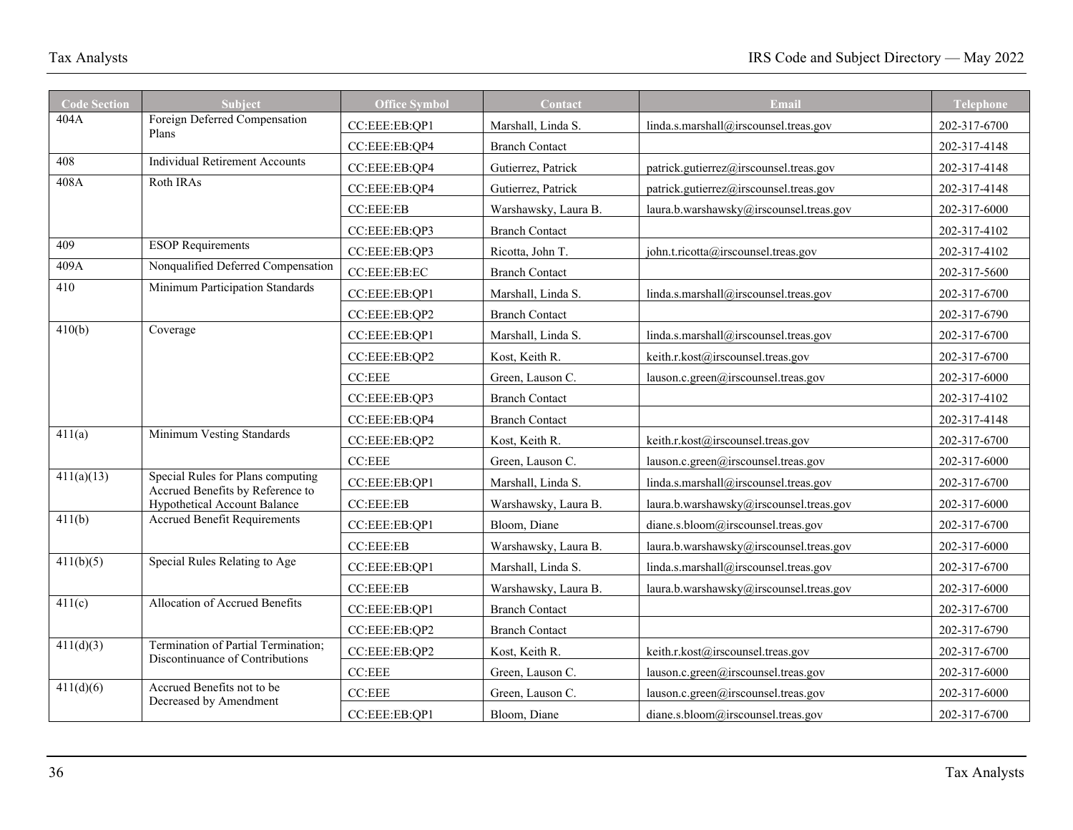| <b>Code Section</b> | <b>Subject</b>                                                         | <b>Office Symbol</b> | Contact               | Email                                   | <b>Telephone</b> |
|---------------------|------------------------------------------------------------------------|----------------------|-----------------------|-----------------------------------------|------------------|
| 404A                | Foreign Deferred Compensation<br>Plans                                 | CC:EEE:EB:OP1        | Marshall, Linda S.    | linda.s.marshall@irscounsel.treas.gov   | 202-317-6700     |
|                     |                                                                        | CC:EEE:EB:QP4        | <b>Branch Contact</b> |                                         | 202-317-4148     |
| 408                 | <b>Individual Retirement Accounts</b>                                  | CC:EEE:EB:QP4        | Gutierrez, Patrick    | patrick.gutierrez@irscounsel.treas.gov  | 202-317-4148     |
| 408A                | Roth IRAs                                                              | CC:EEE:EB:QP4        | Gutierrez, Patrick    | patrick.gutierrez@irscounsel.treas.gov  | 202-317-4148     |
|                     |                                                                        | CC:EEE:EB            | Warshawsky, Laura B.  | laura.b.warshawsky@irscounsel.treas.gov | 202-317-6000     |
|                     |                                                                        | CC:EEE:EB:QP3        | <b>Branch Contact</b> |                                         | 202-317-4102     |
| 409                 | <b>ESOP</b> Requirements                                               | CC:EEE:EB:QP3        | Ricotta, John T.      | john.t.ricotta@irscounsel.treas.gov     | 202-317-4102     |
| 409A                | Nonqualified Deferred Compensation                                     | CC:EEE:EB:EC         | <b>Branch Contact</b> |                                         | 202-317-5600     |
| 410                 | Minimum Participation Standards                                        | CC:EEE:EB:OP1        | Marshall, Linda S.    | linda.s.marshall@irscounsel.treas.gov   | 202-317-6700     |
|                     |                                                                        | CC:EEE:EB:QP2        | <b>Branch Contact</b> |                                         | 202-317-6790     |
| 410(b)              | Coverage                                                               | CC:EEE:EB:QP1        | Marshall, Linda S.    | linda.s.marshall@irscounsel.treas.gov   | 202-317-6700     |
|                     |                                                                        | CC:EEE:EB:QP2        | Kost, Keith R.        | keith.r.kost@irscounsel.treas.gov       | 202-317-6700     |
|                     |                                                                        | CC: EEE              | Green, Lauson C.      | lauson.c.green@irscounsel.treas.gov     | 202-317-6000     |
|                     |                                                                        | CC:EEE:EB:QP3        | <b>Branch Contact</b> |                                         | 202-317-4102     |
|                     |                                                                        | CC:EEE:EB:QP4        | <b>Branch Contact</b> |                                         | 202-317-4148     |
| 411(a)              | Minimum Vesting Standards                                              | CC:EEE:EB:QP2        | Kost, Keith R.        | keith.r.kost@irscounsel.treas.gov       | 202-317-6700     |
|                     |                                                                        | CC:EEE               | Green, Lauson C.      | lauson.c.green@irscounsel.treas.gov     | 202-317-6000     |
| 411(a)(13)          | Special Rules for Plans computing<br>Accrued Benefits by Reference to  | CC:EEE:EB:QP1        | Marshall, Linda S.    | linda.s.marshall@irscounsel.treas.gov   | 202-317-6700     |
|                     | <b>Hypothetical Account Balance</b>                                    | CC:EEE:EB            | Warshawsky, Laura B.  | laura.b.warshawsky@irscounsel.treas.gov | 202-317-6000     |
| 411(b)              | <b>Accrued Benefit Requirements</b>                                    | CC:EEE:EB:QP1        | Bloom, Diane          | diane.s.bloom@irscounsel.treas.gov      | 202-317-6700     |
|                     |                                                                        | CC:EEE:EB            | Warshawsky, Laura B.  | laura.b.warshawsky@irscounsel.treas.gov | 202-317-6000     |
| 411(b)(5)           | Special Rules Relating to Age                                          | CC:EEE:EB:QP1        | Marshall, Linda S.    | linda.s.marshall@irscounsel.treas.gov   | 202-317-6700     |
|                     |                                                                        | CC:EEE:EB            | Warshawsky, Laura B.  | laura.b.warshawsky@irscounsel.treas.gov | 202-317-6000     |
| 411(c)              | Allocation of Accrued Benefits                                         | CC:EEE:EB:QP1        | <b>Branch Contact</b> |                                         | 202-317-6700     |
|                     |                                                                        | CC:EEE:EB:QP2        | <b>Branch Contact</b> |                                         | 202-317-6790     |
| 411(d)(3)           | Termination of Partial Termination;<br>Discontinuance of Contributions | CC:EEE:EB:QP2        | Kost, Keith R.        | keith.r.kost@irscounsel.treas.gov       | 202-317-6700     |
|                     |                                                                        | CC:EEE               | Green, Lauson C.      | lauson.c.green@irscounsel.treas.gov     | 202-317-6000     |
| 411(d)(6)           | Accrued Benefits not to be<br>Decreased by Amendment                   | CC: EEE              | Green, Lauson C.      | lauson.c.green@irscounsel.treas.gov     | 202-317-6000     |
|                     |                                                                        | CC:EEE:EB:QP1        | Bloom, Diane          | diane.s.bloom@irscounsel.treas.gov      | 202-317-6700     |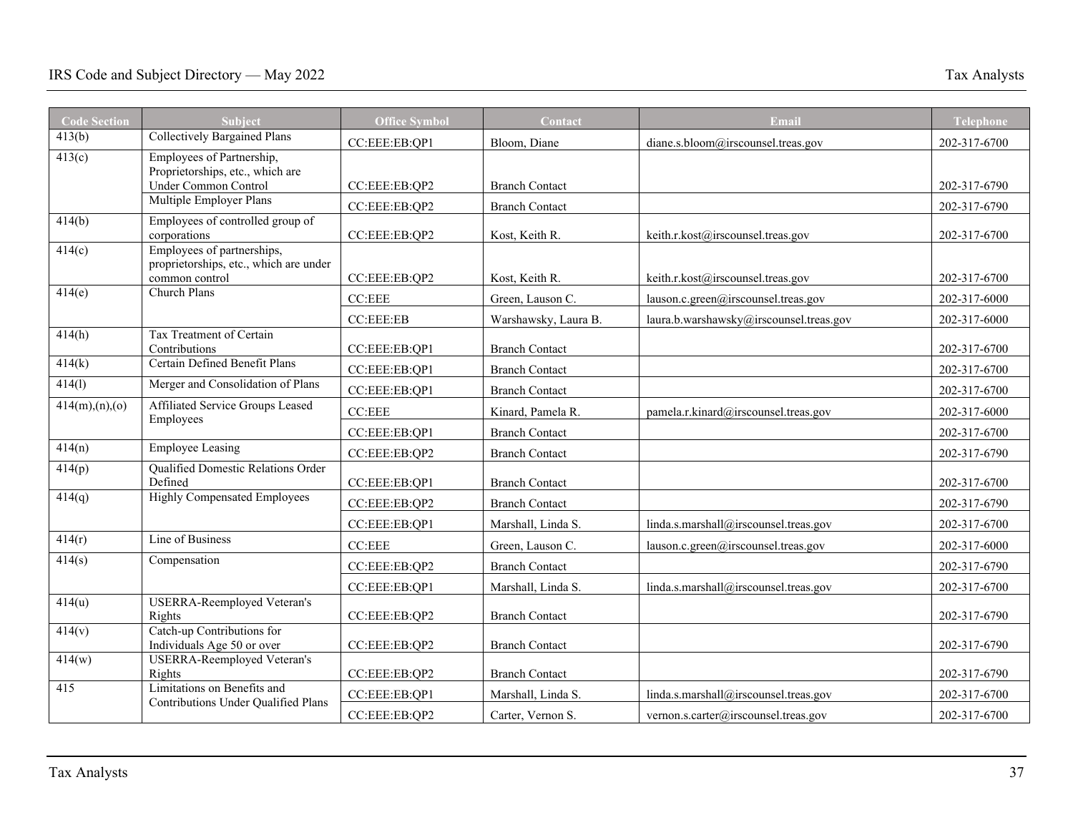| <b>Code Section</b>       | <b>Subject</b>                                                                                                   | <b>Office Symbol</b>           | Contact                                        | Email                                   | <b>Telephone</b>             |
|---------------------------|------------------------------------------------------------------------------------------------------------------|--------------------------------|------------------------------------------------|-----------------------------------------|------------------------------|
| 413(b)                    | <b>Collectively Bargained Plans</b>                                                                              | CC:EEE:EB:QP1                  | Bloom, Diane                                   | diane.s.bloom@irscounsel.treas.gov      | 202-317-6700                 |
| 413(c)                    | Employees of Partnership,<br>Proprietorships, etc., which are<br>Under Common Control<br>Multiple Employer Plans | CC:EEE:EB:QP2<br>CC:EEE:EB:QP2 | <b>Branch Contact</b><br><b>Branch Contact</b> |                                         | 202-317-6790<br>202-317-6790 |
| 414(b)                    | Employees of controlled group of<br>corporations                                                                 | CC:EEE:EB:QP2                  | Kost, Keith R.                                 | keith.r.kost@irscounsel.treas.gov       | 202-317-6700                 |
| 414(c)                    | Employees of partnerships,<br>proprietorships, etc., which are under<br>common control                           | CC:EEE:EB:QP2                  | Kost, Keith R.                                 | keith.r.kost@irscounsel.treas.gov       | 202-317-6700                 |
| 414(e)                    | Church Plans                                                                                                     | <b>CC:EEE</b>                  | Green, Lauson C.                               | lauson.c.green@irscounsel.treas.gov     | 202-317-6000                 |
|                           |                                                                                                                  | CC:EEE:EB                      | Warshawsky, Laura B.                           | laura.b.warshawsky@irscounsel.treas.gov | 202-317-6000                 |
| 414(h)                    | Tax Treatment of Certain<br>Contributions                                                                        | CC:EEE:EB:QP1                  | <b>Branch Contact</b>                          |                                         | 202-317-6700                 |
| 414(k)                    | Certain Defined Benefit Plans                                                                                    | CC:EEE:EB:QP1                  | <b>Branch Contact</b>                          |                                         | 202-317-6700                 |
| 414(1)                    | Merger and Consolidation of Plans                                                                                | CC:EEE:EB:QP1                  | <b>Branch Contact</b>                          |                                         | 202-317-6700                 |
| $\frac{1}{41}4(m),(n)(o)$ | Affiliated Service Groups Leased<br>Employees                                                                    | $\mathsf{CC:} \mathsf{EEE}$    | Kinard, Pamela R.                              | pamela.r.kinard@irscounsel.treas.gov    | 202-317-6000                 |
|                           |                                                                                                                  | CC:EEE:EB:QP1                  | <b>Branch Contact</b>                          |                                         | 202-317-6700                 |
| 414(n)                    | <b>Employee Leasing</b>                                                                                          | CC:EEE:EB:QP2                  | <b>Branch Contact</b>                          |                                         | 202-317-6790                 |
| 414(p)                    | Qualified Domestic Relations Order<br>Defined                                                                    | CC:EEE:EB:QP1                  | <b>Branch Contact</b>                          |                                         | 202-317-6700                 |
| 414(q)                    | <b>Highly Compensated Employees</b>                                                                              | CC:EEE:EB:QP2                  | <b>Branch Contact</b>                          |                                         | 202-317-6790                 |
|                           |                                                                                                                  | CC:EEE:EB:QP1                  | Marshall, Linda S.                             | linda.s.marshall@irscounsel.treas.gov   | 202-317-6700                 |
| 414(r)                    | Line of Business                                                                                                 | <b>CC:EEE</b>                  | Green, Lauson C.                               | lauson.c.green@irscounsel.treas.gov     | 202-317-6000                 |
| 414(s)                    | Compensation                                                                                                     | CC:EEE:EB:QP2                  | <b>Branch Contact</b>                          |                                         | 202-317-6790                 |
|                           |                                                                                                                  | CC:EEE:EB:QP1                  | Marshall, Linda S.                             | linda.s.marshall@irscounsel.treas.gov   | 202-317-6700                 |
| 414(u)                    | <b>USERRA-Reemployed Veteran's</b><br>Rights                                                                     | CC:EEE:EB:QP2                  | <b>Branch Contact</b>                          |                                         | 202-317-6790                 |
| 414(v)                    | Catch-up Contributions for<br>Individuals Age 50 or over                                                         | CC:EEE:EB:QP2                  | <b>Branch Contact</b>                          |                                         | 202-317-6790                 |
| 414(w)                    | <b>USERRA-Reemployed Veteran's</b><br>Rights                                                                     | CC:EEE:EB:QP2                  | <b>Branch Contact</b>                          |                                         | 202-317-6790                 |
| 415                       | Limitations on Benefits and<br>Contributions Under Qualified Plans                                               | CC:EEE:EB:QP1                  | Marshall, Linda S.                             | linda.s.marshall@irscounsel.treas.gov   | 202-317-6700                 |
|                           |                                                                                                                  | CC:EEE:EB:QP2                  | Carter, Vernon S.                              | vernon.s.carter@irscounsel.treas.gov    | 202-317-6700                 |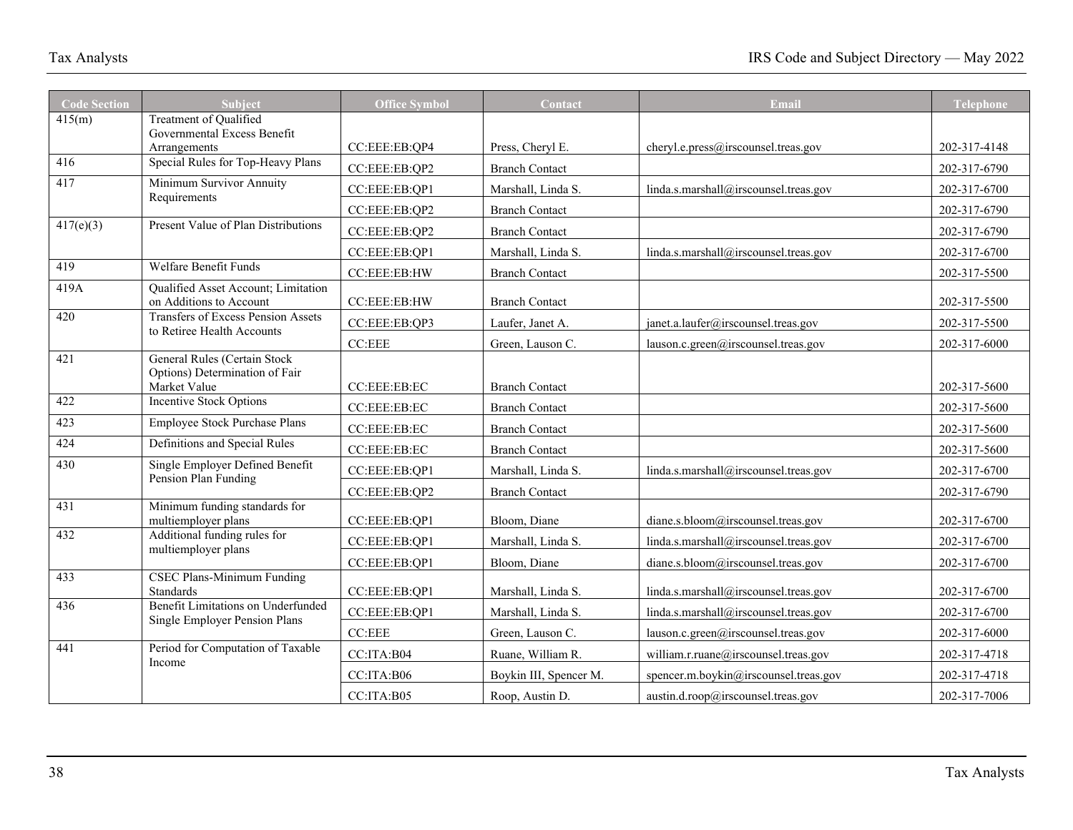| <b>Code Section</b> | <b>Subject</b>                                                 | <b>Office Symbol</b> | Contact                | Email                                 | Telephone    |
|---------------------|----------------------------------------------------------------|----------------------|------------------------|---------------------------------------|--------------|
| 415(m)              | <b>Treatment of Qualified</b>                                  |                      |                        |                                       |              |
|                     | Governmental Excess Benefit<br>Arrangements                    | CC:EEE:EB:QP4        | Press, Cheryl E.       | cheryl.e.press@irscounsel.treas.gov   | 202-317-4148 |
| 416                 | Special Rules for Top-Heavy Plans                              | CC:EEE:EB:QP2        | <b>Branch Contact</b>  |                                       | 202-317-6790 |
| 417                 | Minimum Survivor Annuity                                       | CC:EEE:EB:QP1        | Marshall, Linda S.     | linda.s.marshall@irscounsel.treas.gov | 202-317-6700 |
|                     | Requirements                                                   | CC:EEE:EB:QP2        | <b>Branch Contact</b>  |                                       | 202-317-6790 |
| 417(e)(3)           | Present Value of Plan Distributions                            | CC:EEE:EB:QP2        | <b>Branch Contact</b>  |                                       | 202-317-6790 |
|                     |                                                                | CC:EEE:EB:QP1        | Marshall, Linda S.     | linda.s.marshall@irscounsel.treas.gov | 202-317-6700 |
| 419                 | Welfare Benefit Funds                                          | CC:EEE:EB:HW         | <b>Branch Contact</b>  |                                       | 202-317-5500 |
| 419A                | Qualified Asset Account; Limitation<br>on Additions to Account | CC:EEE:EB:HW         | <b>Branch Contact</b>  |                                       | 202-317-5500 |
| 420                 | Transfers of Excess Pension Assets                             | CC:EEE:EB:QP3        | Laufer, Janet A.       | janet.a.laufer@irscounsel.treas.gov   | 202-317-5500 |
|                     | to Retiree Health Accounts                                     |                      |                        |                                       |              |
| 421                 | General Rules (Certain Stock                                   | CC:EEE               | Green, Lauson C.       | lauson.c.green@irscounsel.treas.gov   | 202-317-6000 |
|                     | Options) Determination of Fair<br>Market Value                 | CC:EEE:EB:EC         | <b>Branch Contact</b>  |                                       | 202-317-5600 |
| 422                 | Incentive Stock Options                                        | CC:EEE:EB:EC         | <b>Branch Contact</b>  |                                       | 202-317-5600 |
| 423                 | Employee Stock Purchase Plans                                  | CC:EEE:EB:EC         | <b>Branch Contact</b>  |                                       | 202-317-5600 |
| 424                 | Definitions and Special Rules                                  | CC:EEE:EB:EC         | <b>Branch Contact</b>  |                                       | 202-317-5600 |
| 430                 | Single Employer Defined Benefit                                | CC:EEE:EB:QP1        | Marshall, Linda S.     | linda.s.marshall@irscounsel.treas.gov | 202-317-6700 |
|                     | Pension Plan Funding                                           | CC:EEE:EB:QP2        | <b>Branch Contact</b>  |                                       | 202-317-6790 |
| 431                 | Minimum funding standards for<br>multiemployer plans           | CC:EEE:EB:QP1        | Bloom, Diane           | diane.s.bloom@irscounsel.treas.gov    | 202-317-6700 |
| 432                 | Additional funding rules for                                   | CC:EEE:EB:QP1        | Marshall, Linda S.     | linda.s.marshall@irscounsel.treas.gov | 202-317-6700 |
|                     | multiemployer plans                                            | CC:EEE:EB:QP1        | Bloom, Diane           | diane.s.bloom@irscounsel.treas.gov    | 202-317-6700 |
| 433                 | <b>CSEC Plans-Minimum Funding</b><br><b>Standards</b>          | CC:EEE:EB:QP1        | Marshall, Linda S.     | linda.s.marshall@irscounsel.treas.gov | 202-317-6700 |
| 436                 | <b>Benefit Limitations on Underfunded</b>                      | CC:EEE:EB:QP1        | Marshall, Linda S.     | linda.s.marshall@irscounsel.treas.gov | 202-317-6700 |
|                     | Single Employer Pension Plans                                  | CC:EEE               | Green, Lauson C.       | lauson.c.green@irscounsel.treas.gov   | 202-317-6000 |
| 441                 | Period for Computation of Taxable                              | CC:ITA:B04           | Ruane, William R.      | william.r.ruane@irscounsel.treas.gov  | 202-317-4718 |
|                     | Income                                                         |                      |                        |                                       |              |
|                     |                                                                | CC:ITA:B06           | Boykin III, Spencer M. | spencer.m.boykin@irscounsel.treas.gov | 202-317-4718 |
|                     |                                                                | CC:ITA:B05           | Roop, Austin D.        | austin.d.roop@irscounsel.treas.gov    | 202-317-7006 |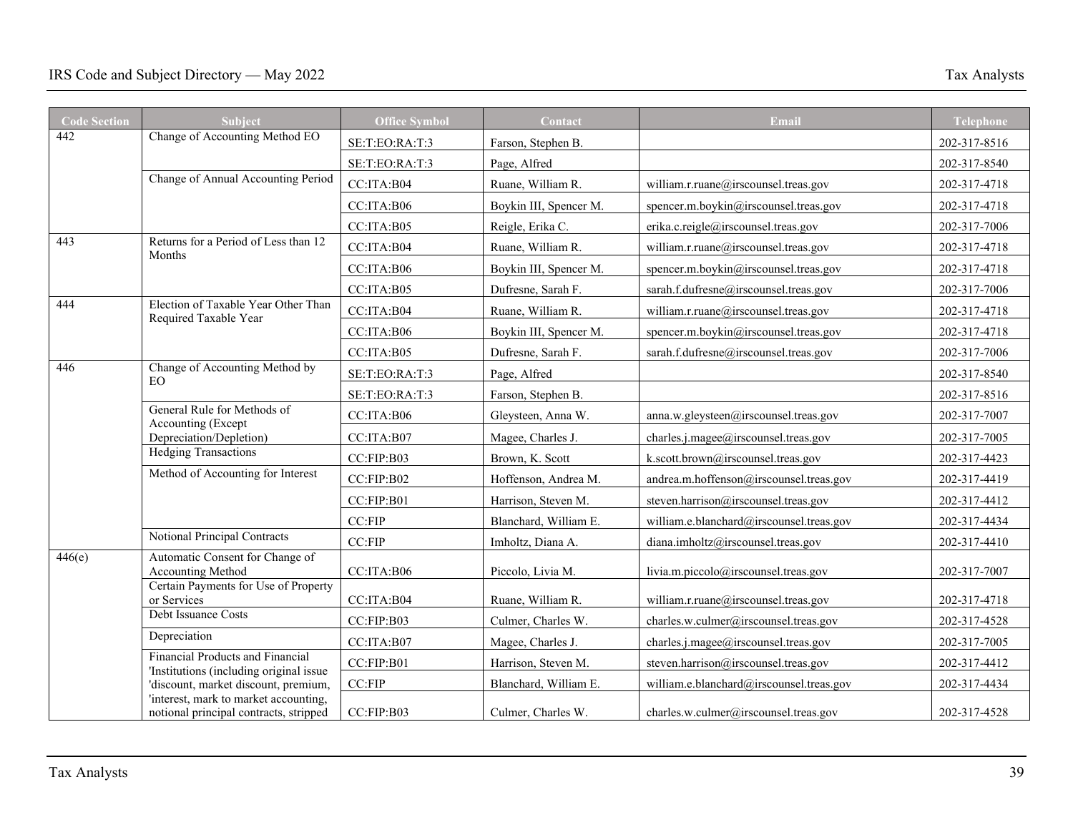| <b>Code Section</b> | <b>Subject</b>                                                                  | <b>Office Symbol</b> | Contact                | Email                                    | Telephone    |
|---------------------|---------------------------------------------------------------------------------|----------------------|------------------------|------------------------------------------|--------------|
| 442                 | Change of Accounting Method EO                                                  | SE:T:EO:RA:T:3       | Farson, Stephen B.     |                                          | 202-317-8516 |
|                     |                                                                                 | SE:T:EO:RA:T:3       | Page, Alfred           |                                          | 202-317-8540 |
|                     | Change of Annual Accounting Period                                              | CC:ITA:B04           | Ruane, William R.      | william.r.ruane@irscounsel.treas.gov     | 202-317-4718 |
|                     |                                                                                 | CC:ITA:B06           | Boykin III, Spencer M. | spencer.m.boykin@irscounsel.treas.gov    | 202-317-4718 |
|                     |                                                                                 | CC:ITA:B05           | Reigle, Erika C.       | erika.c.reigle@irscounsel.treas.gov      | 202-317-7006 |
| 443                 | Returns for a Period of Less than 12                                            | CC:ITA:B04           | Ruane, William R.      | william.r.ruane@irscounsel.treas.gov     | 202-317-4718 |
|                     | Months                                                                          | CC:ITA:B06           | Boykin III, Spencer M. | spencer.m.boykin@irscounsel.treas.gov    | 202-317-4718 |
|                     |                                                                                 | CC:ITA:B05           | Dufresne, Sarah F.     | sarah.f.dufresne@irscounsel.treas.gov    | 202-317-7006 |
| 444                 | Election of Taxable Year Other Than<br>Required Taxable Year                    | CC:ITA:B04           | Ruane, William R.      | william.r.ruane@irscounsel.treas.gov     | 202-317-4718 |
|                     |                                                                                 | CC:ITA:B06           | Boykin III, Spencer M. | spencer.m.boykin@irscounsel.treas.gov    | 202-317-4718 |
|                     |                                                                                 | CC:ITA:B05           | Dufresne, Sarah F.     | sarah.f.dufresne@irscounsel.treas.gov    | 202-317-7006 |
| 446                 | Change of Accounting Method by<br>EO.                                           | SE:T:EO:RA:T:3       | Page, Alfred           |                                          | 202-317-8540 |
|                     |                                                                                 | SE:T:EO:RA:T:3       | Farson, Stephen B.     |                                          | 202-317-8516 |
|                     | General Rule for Methods of<br>Accounting (Except                               | CC:ITA:B06           | Gleysteen, Anna W.     | anna.w.gleysteen@irscounsel.treas.gov    | 202-317-7007 |
|                     | Depreciation/Depletion)                                                         | CC:ITA:B07           | Magee, Charles J.      | charles.j.magee@irscounsel.treas.gov     | 202-317-7005 |
|                     | <b>Hedging Transactions</b>                                                     | CC:FIP:B03           | Brown, K. Scott        | k.scott.brown@irscounsel.treas.gov       | 202-317-4423 |
|                     | Method of Accounting for Interest                                               | CC:FIP:B02           | Hoffenson, Andrea M.   | andrea.m.hoffenson@irscounsel.treas.gov  | 202-317-4419 |
|                     |                                                                                 | CC:FIP:B01           | Harrison, Steven M.    | steven.harrison@irscounsel.treas.gov     | 202-317-4412 |
|                     |                                                                                 | CC:FIP               | Blanchard, William E.  | william.e.blanchard@irscounsel.treas.gov | 202-317-4434 |
|                     | Notional Principal Contracts                                                    | CC:FIP               | Imholtz, Diana A.      | diana.imholtz@irscounsel.treas.gov       | 202-317-4410 |
| 446(e)              | Automatic Consent for Change of<br>Accounting Method                            | CC:ITA:B06           | Piccolo, Livia M.      | livia.m.piccolo@irscounsel.treas.gov     | 202-317-7007 |
|                     | Certain Payments for Use of Property                                            |                      |                        |                                          |              |
|                     | or Services<br>Debt Issuance Costs                                              | CC:ITA:B04           | Ruane, William R.      | william.r.ruane@irscounsel.treas.gov     | 202-317-4718 |
|                     |                                                                                 | CC:FIP:B03           | Culmer, Charles W.     | charles.w.culmer@irscounsel.treas.gov    | 202-317-4528 |
|                     | Depreciation                                                                    | CC:ITA:B07           | Magee, Charles J.      | charles.j.magee@irscounsel.treas.gov     | 202-317-7005 |
|                     | Financial Products and Financial<br>'Institutions (including original issue     | CC:FIP:B01           | Harrison, Steven M.    | steven.harrison@irscounsel.treas.gov     | 202-317-4412 |
|                     | 'discount, market discount, premium,                                            | CC:FIP               | Blanchard, William E.  | william.e.blanchard@irscounsel.treas.gov | 202-317-4434 |
|                     | 'interest, mark to market accounting,<br>notional principal contracts, stripped | CC:FIP:B03           | Culmer, Charles W.     | charles.w.culmer@irscounsel.treas.gov    | 202-317-4528 |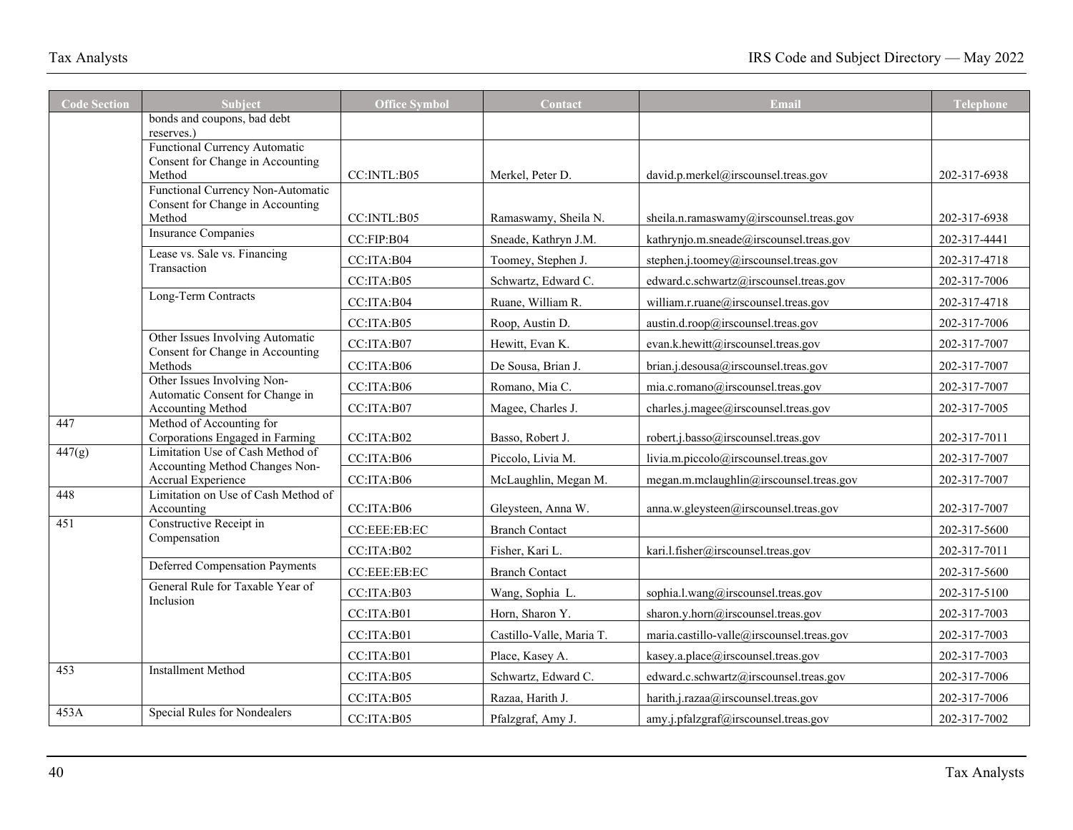| <b>Code Section</b> | Subject                                                               | <b>Office Symbol</b> | Contact                  | Email                                     | Telephone    |
|---------------------|-----------------------------------------------------------------------|----------------------|--------------------------|-------------------------------------------|--------------|
|                     | bonds and coupons, bad debt                                           |                      |                          |                                           |              |
|                     | reserves.)<br>Functional Currency Automatic                           |                      |                          |                                           |              |
|                     | Consent for Change in Accounting                                      |                      |                          |                                           |              |
|                     | Method                                                                | CC: INTL: B05        | Merkel, Peter D.         | david.p.merkel@irscounsel.treas.gov       | 202-317-6938 |
|                     | Functional Currency Non-Automatic<br>Consent for Change in Accounting |                      |                          |                                           |              |
|                     | Method                                                                | CC:INTL:B05          | Ramaswamy, Sheila N.     | sheila.n.ramaswamy@irscounsel.treas.gov   | 202-317-6938 |
|                     | <b>Insurance Companies</b>                                            | CC:FIP:B04           | Sneade, Kathryn J.M.     | kathrynjo.m.sneade@irscounsel.treas.gov   | 202-317-4441 |
|                     | Lease vs. Sale vs. Financing<br>Transaction                           | CC:ITA:B04           | Toomey, Stephen J.       | stephen.j.toomey@irscounsel.treas.gov     | 202-317-4718 |
|                     |                                                                       | CC:ITA:B05           | Schwartz, Edward C.      | edward.c.schwartz@irscounsel.treas.gov    | 202-317-7006 |
|                     | Long-Term Contracts                                                   | CC:ITA:B04           | Ruane, William R.        | william.r.ruane@irscounsel.treas.gov      | 202-317-4718 |
|                     |                                                                       | CC:ITA:B05           | Roop, Austin D.          | austin.d.roop@irscounsel.treas.gov        | 202-317-7006 |
|                     | Other Issues Involving Automatic<br>Consent for Change in Accounting  | CC:ITA:B07           | Hewitt, Evan K.          | evan.k.hewitt@irscounsel.treas.gov        | 202-317-7007 |
|                     | Methods                                                               | CC:ITA:B06           | De Sousa, Brian J.       | brian.j.desousa@irscounsel.treas.gov      | 202-317-7007 |
|                     | Other Issues Involving Non-<br>Automatic Consent for Change in        | CC:ITA:B06           | Romano, Mia C.           | mia.c.romano@irscounsel.treas.gov         | 202-317-7007 |
|                     | Accounting Method                                                     | CC:ITA:B07           | Magee, Charles J.        | charles.j.magee@irscounsel.treas.gov      | 202-317-7005 |
| 447                 | Method of Accounting for<br>Corporations Engaged in Farming           | CC:ITA:B02           | Basso, Robert J.         | robert.j.basso@irscounsel.treas.gov       | 202-317-7011 |
| 447(g)              | Limitation Use of Cash Method of<br>Accounting Method Changes Non-    | CC:ITA:B06           | Piccolo, Livia M.        | livia.m.piccolo@irscounsel.treas.gov      | 202-317-7007 |
|                     | Accrual Experience                                                    | CC:ITA:B06           | McLaughlin, Megan M.     | megan.m.mclaughlin@irscounsel.treas.gov   | 202-317-7007 |
| 448                 | Limitation on Use of Cash Method of                                   |                      |                          |                                           |              |
| 451                 | Accounting<br>Constructive Receipt in                                 | CC:ITA:BO6           | Gleysteen, Anna W.       | anna.w.gleysteen@irscounsel.treas.gov     | 202-317-7007 |
|                     | Compensation                                                          | CC:EEE:EB:EC         | <b>Branch Contact</b>    |                                           | 202-317-5600 |
|                     |                                                                       | CC:ITA:B02           | Fisher, Kari L.          | kari.l.fisher@irscounsel.treas.gov        | 202-317-7011 |
|                     | <b>Deferred Compensation Payments</b>                                 | CC:EEE:EB:EC         | <b>Branch Contact</b>    |                                           | 202-317-5600 |
|                     | General Rule for Taxable Year of<br>Inclusion                         | CC:ITA:B03           | Wang, Sophia L.          | sophia.l.wang@irscounsel.treas.gov        | 202-317-5100 |
|                     |                                                                       | CC:ITA:B01           | Horn, Sharon Y.          | sharon.y.horn@irscounsel.treas.gov        | 202-317-7003 |
|                     |                                                                       | CC:ITA:B01           | Castillo-Valle, Maria T. | maria.castillo-valle@irscounsel.treas.gov | 202-317-7003 |
|                     |                                                                       | CC:ITA:B01           | Place, Kasey A.          | kasey.a.place@irscounsel.treas.gov        | 202-317-7003 |
| 453                 | Installment Method                                                    | CC:ITA:B05           | Schwartz, Edward C.      | edward.c.schwartz@irscounsel.treas.gov    | 202-317-7006 |
|                     |                                                                       | CC:ITA:B05           | Razaa, Harith J.         | harith.j.razaa@irscounsel.treas.gov       | 202-317-7006 |
| 453A                | Special Rules for Nondealers                                          | CC:ITA:B05           | Pfalzgraf, Amy J.        | amy.j.pfalzgraf@irscounsel.treas.gov      | 202-317-7002 |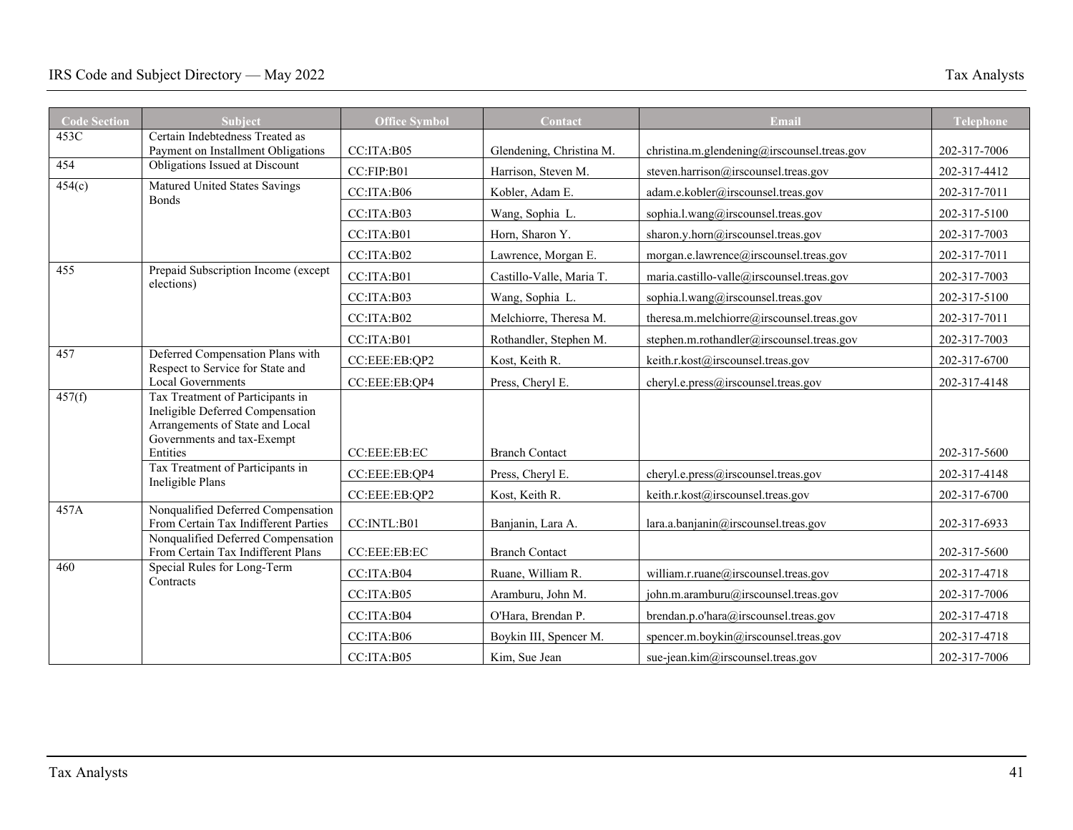| <b>Code Section</b> | <b>Subject</b>                                                                                                                                    | <b>Office Symbol</b> | Contact                  | Email                                       | <b>Telephone</b> |
|---------------------|---------------------------------------------------------------------------------------------------------------------------------------------------|----------------------|--------------------------|---------------------------------------------|------------------|
| 453C                | Certain Indebtedness Treated as                                                                                                                   |                      |                          |                                             |                  |
| 454                 | Payment on Installment Obligations<br>Obligations Issued at Discount                                                                              | CC:ITA:B05           | Glendening, Christina M. | christina.m.glendening@irscounsel.treas.gov | 202-317-7006     |
|                     |                                                                                                                                                   | CC:FIP:B01           | Harrison, Steven M.      | steven.harrison@irscounsel.treas.gov        | 202-317-4412     |
| 454(c)              | Matured United States Savings<br><b>Bonds</b>                                                                                                     | CC:ITA:B06           | Kobler, Adam E.          | adam.e.kobler@irscounsel.treas.gov          | 202-317-7011     |
|                     |                                                                                                                                                   | CC:ITA:B03           | Wang, Sophia L.          | sophia.l.wang@irscounsel.treas.gov          | 202-317-5100     |
|                     |                                                                                                                                                   | CC:ITA:B01           | Horn, Sharon Y.          | sharon.y.horn@irscounsel.treas.gov          | 202-317-7003     |
|                     |                                                                                                                                                   | CC:ITA:B02           | Lawrence, Morgan E.      | morgan.e.lawrence@irscounsel.treas.gov      | 202-317-7011     |
| 455                 | Prepaid Subscription Income (except<br>elections)                                                                                                 | CC:ITA:B01           | Castillo-Valle, Maria T. | maria.castillo-valle@irscounsel.treas.gov   | 202-317-7003     |
|                     |                                                                                                                                                   | CC:ITA:B03           | Wang, Sophia L.          | sophia.l.wang@irscounsel.treas.gov          | 202-317-5100     |
|                     |                                                                                                                                                   | CC:ITA:B02           | Melchiorre, Theresa M.   | theresa.m.melchiorre@irscounsel.treas.gov   | 202-317-7011     |
|                     |                                                                                                                                                   | CC:ITA:B01           | Rothandler, Stephen M.   | stephen.m.rothandler@irscounsel.treas.gov   | 202-317-7003     |
| 457                 | Deferred Compensation Plans with<br>Respect to Service for State and                                                                              | CC:EEE:EB:QP2        | Kost, Keith R.           | keith.r.kost@irscounsel.treas.gov           | 202-317-6700     |
|                     | <b>Local Governments</b>                                                                                                                          | CC:EEE:EB:QP4        | Press, Cheryl E.         | cheryl.e.press@irscounsel.treas.gov         | 202-317-4148     |
| 457(f)              | Tax Treatment of Participants in<br>Ineligible Deferred Compensation<br>Arrangements of State and Local<br>Governments and tax-Exempt<br>Entities | CC:EEE:EB:EC         | <b>Branch Contact</b>    |                                             | 202-317-5600     |
|                     | Tax Treatment of Participants in                                                                                                                  | CC:EEE:EB:QP4        | Press, Cheryl E.         | cheryl.e.press@irscounsel.treas.gov         | 202-317-4148     |
|                     | Ineligible Plans                                                                                                                                  | CC:EEE:EB:QP2        | Kost, Keith R.           | keith.r.kost@irscounsel.treas.gov           | 202-317-6700     |
| 457A                | Nonqualified Deferred Compensation<br>From Certain Tax Indifferent Parties                                                                        | CC:INTL:B01          | Banjanin, Lara A.        | lara.a.banjanin@irscounsel.treas.gov        | 202-317-6933     |
|                     | Nonqualified Deferred Compensation<br>From Certain Tax Indifferent Plans                                                                          | CC:EEE:EB:EC         | <b>Branch Contact</b>    |                                             | 202-317-5600     |
| 460                 | Special Rules for Long-Term<br>Contracts                                                                                                          | CC:ITA:B04           | Ruane, William R.        | william.r.ruane@irscounsel.treas.gov        | 202-317-4718     |
|                     |                                                                                                                                                   | CC:ITA:B05           | Aramburu, John M.        | john.m.aramburu@irscounsel.treas.gov        | 202-317-7006     |
|                     |                                                                                                                                                   | CC:ITA:B04           | O'Hara, Brendan P.       | brendan.p.o'hara@irscounsel.treas.gov       | 202-317-4718     |
|                     |                                                                                                                                                   | CC:ITA:B06           | Boykin III, Spencer M.   | spencer.m.boykin@irscounsel.treas.gov       | 202-317-4718     |
|                     |                                                                                                                                                   | CC:ITA:B05           | Kim, Sue Jean            | sue-jean.kim@irscounsel.treas.gov           | 202-317-7006     |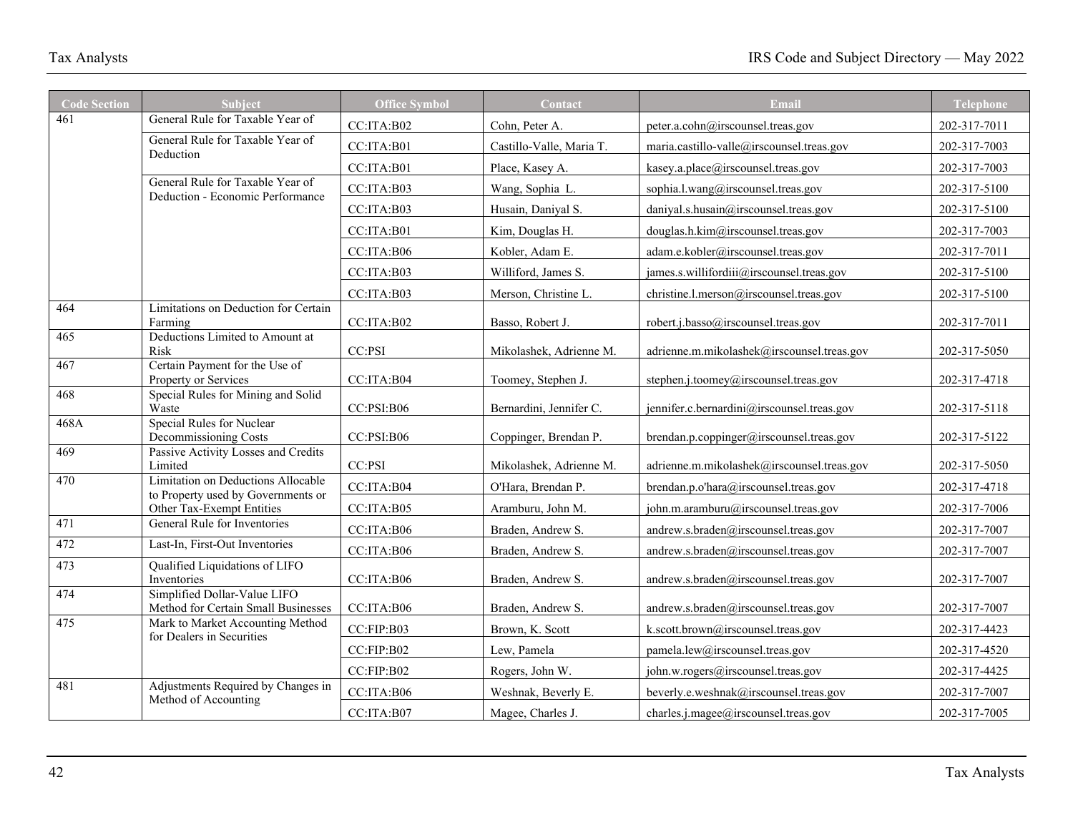| <b>Code Section</b> | <b>Subject</b>                                                       | <b>Office Symbol</b> | Contact                  | Email                                      | <b>Telephone</b> |
|---------------------|----------------------------------------------------------------------|----------------------|--------------------------|--------------------------------------------|------------------|
| 461                 | General Rule for Taxable Year of                                     | CC:ITA:B02           | Cohn, Peter A.           | peter.a.cohn@irscounsel.treas.gov          | 202-317-7011     |
|                     | General Rule for Taxable Year of<br>Deduction                        | CC:ITA:B01           | Castillo-Valle, Maria T. | maria.castillo-valle@irscounsel.treas.gov  | 202-317-7003     |
|                     |                                                                      | CC:ITA:B01           | Place, Kasey A.          | kasey.a.place@irscounsel.treas.gov         | 202-317-7003     |
|                     | General Rule for Taxable Year of<br>Deduction - Economic Performance | CC:ITA:B03           | Wang, Sophia L.          | sophia.l.wang@irscounsel.treas.gov         | 202-317-5100     |
|                     |                                                                      | CC:ITA:B03           | Husain, Daniyal S.       | daniyal.s.husain@irscounsel.treas.gov      | 202-317-5100     |
|                     |                                                                      | CC:ITA:B01           | Kim, Douglas H.          | douglas.h.kim@irscounsel.treas.gov         | 202-317-7003     |
|                     |                                                                      | CC:ITA:B06           | Kobler, Adam E.          | adam.e.kobler@irscounsel.treas.gov         | 202-317-7011     |
|                     |                                                                      | CC:ITA:B03           | Williford, James S.      | james.s.willifordiii@irscounsel.treas.gov  | 202-317-5100     |
|                     |                                                                      | CC:ITA:B03           | Merson, Christine L.     | christine.l.merson@irscounsel.treas.gov    | 202-317-5100     |
| 464                 | Limitations on Deduction for Certain<br>Farming                      | CC:ITA:B02           | Basso, Robert J.         | robert.j.basso@irscounsel.treas.gov        | 202-317-7011     |
| 465                 | Deductions Limited to Amount at<br>Risk                              | CC:PSI               | Mikolashek, Adrienne M.  | adrienne.m.mikolashek@irscounsel.treas.gov | 202-317-5050     |
| 467                 | Certain Payment for the Use of<br>Property or Services               | CC:ITA:B04           | Toomey, Stephen J.       | stephen.j.toomey@irscounsel.treas.gov      | 202-317-4718     |
| 468                 | Special Rules for Mining and Solid<br>Waste                          | CC:PSI:B06           | Bernardini, Jennifer C.  | jennifer.c.bernardini@irscounsel.treas.gov | 202-317-5118     |
| 468A                | <b>Special Rules for Nuclear</b><br>Decommissioning Costs            | CC:PSI:B06           | Coppinger, Brendan P.    | brendan.p.coppinger@irscounsel.treas.gov   | 202-317-5122     |
| 469                 | Passive Activity Losses and Credits<br>Limited                       | CC:PSI               | Mikolashek, Adrienne M.  | adrienne.m.mikolashek@irscounsel.treas.gov | 202-317-5050     |
| 470                 | <b>Limitation on Deductions Allocable</b>                            | CC:ITA:B04           | O'Hara, Brendan P.       | brendan.p.o'hara@irscounsel.treas.gov      | 202-317-4718     |
|                     | to Property used by Governments or<br>Other Tax-Exempt Entities      | CC:ITA:B05           | Aramburu, John M.        | john.m.aramburu@irscounsel.treas.gov       | 202-317-7006     |
| 471                 | General Rule for Inventories                                         | CC:ITA:B06           | Braden, Andrew S.        | andrew.s.braden@irscounsel.treas.gov       | 202-317-7007     |
| 472                 | Last-In, First-Out Inventories                                       | CC:ITA:B06           | Braden, Andrew S.        | andrew.s.braden@irscounsel.treas.gov       | 202-317-7007     |
| 473                 | Qualified Liquidations of LIFO<br>Inventories                        | CC:ITA:B06           | Braden, Andrew S.        | andrew.s.braden@irscounsel.treas.gov       | 202-317-7007     |
| 474                 | Simplified Dollar-Value LIFO<br>Method for Certain Small Businesses  | CC:ITA:B06           | Braden, Andrew S.        | andrew.s.braden@irscounsel.treas.gov       | 202-317-7007     |
| 475                 | Mark to Market Accounting Method                                     | CC:FIP:B03           | Brown, K. Scott          | k.scott.brown@irscounsel.treas.gov         | 202-317-4423     |
|                     | for Dealers in Securities                                            | CC:FIP:B02           | Lew, Pamela              | pamela.lew@irscounsel.treas.gov            | 202-317-4520     |
|                     |                                                                      | CC:FIP:B02           | Rogers, John W.          | john.w.rogers@irscounsel.treas.gov         | 202-317-4425     |
| 481                 | Adjustments Required by Changes in                                   | CC:ITA:B06           | Weshnak, Beverly E.      | beverly.e.weshnak@irscounsel.treas.gov     | 202-317-7007     |
|                     | Method of Accounting                                                 | CC:ITA:B07           | Magee, Charles J.        | charles.j.magee@irscounsel.treas.gov       | 202-317-7005     |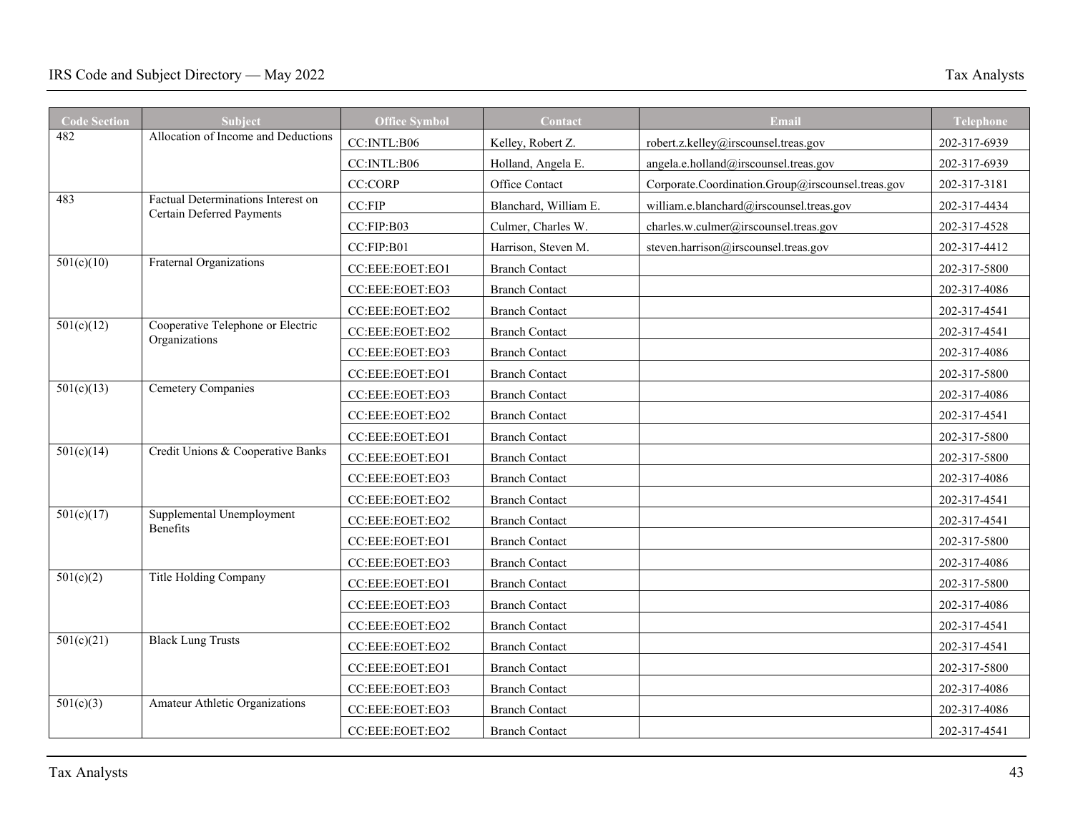| <b>Code Section</b>     | Subject                                                         | <b>Office Symbol</b> | Contact               | Email                                             | <b>Telephone</b> |
|-------------------------|-----------------------------------------------------------------|----------------------|-----------------------|---------------------------------------------------|------------------|
| 482                     | Allocation of Income and Deductions                             | CC:INTL:B06          | Kelley, Robert Z.     | robert.z.kelley@irscounsel.treas.gov              | 202-317-6939     |
|                         |                                                                 | CC:INTL:B06          | Holland, Angela E.    | angela.e.holland@irscounsel.treas.gov             | 202-317-6939     |
|                         |                                                                 | <b>CC:CORP</b>       | Office Contact        | Corporate.Coordination.Group@irscounsel.treas.gov | 202-317-3181     |
| 483                     | Factual Determinations Interest on<br>Certain Deferred Payments | CC:FIP               | Blanchard, William E. | william.e.blanchard@irscounsel.treas.gov          | 202-317-4434     |
|                         |                                                                 | CC:FIP:B03           | Culmer, Charles W.    | charles.w.culmer@irscounsel.treas.gov             | 202-317-4528     |
|                         |                                                                 | CC:FIP:B01           | Harrison, Steven M.   | steven.harrison@irscounsel.treas.gov              | 202-317-4412     |
| 501(c)(10)              | Fraternal Organizations                                         | CC:EEE:EOET:EO1      | <b>Branch Contact</b> |                                                   | 202-317-5800     |
|                         |                                                                 | CC:EEE:EOET:EO3      | <b>Branch Contact</b> |                                                   | 202-317-4086     |
|                         |                                                                 | CC:EEE:EOET:EO2      | <b>Branch Contact</b> |                                                   | 202-317-4541     |
| 501(c)(12)              | Cooperative Telephone or Electric<br>Organizations              | CC:EEE:EOET:EO2      | <b>Branch Contact</b> |                                                   | 202-317-4541     |
|                         |                                                                 | CC:EEE:EOET:EO3      | <b>Branch Contact</b> |                                                   | 202-317-4086     |
|                         |                                                                 | CC:EEE:EOET:EO1      | <b>Branch Contact</b> |                                                   | 202-317-5800     |
| 501(c)(13)              | Cemetery Companies                                              | CC:EEE:EOET:EO3      | <b>Branch Contact</b> |                                                   | 202-317-4086     |
|                         |                                                                 | CC:EEE:EOET:EO2      | <b>Branch Contact</b> |                                                   | 202-317-4541     |
|                         |                                                                 | CC:EEE:EOET:EO1      | <b>Branch Contact</b> |                                                   | 202-317-5800     |
| $\overline{501(c)(14)}$ | Credit Unions & Cooperative Banks                               | CC:EEE:EOET:EO1      | <b>Branch Contact</b> |                                                   | 202-317-5800     |
|                         |                                                                 | CC:EEE:EOET:EO3      | <b>Branch Contact</b> |                                                   | 202-317-4086     |
|                         |                                                                 | CC:EEE:EOET:EO2      | <b>Branch Contact</b> |                                                   | 202-317-4541     |
| 501(c)(17)              | Supplemental Unemployment<br>Benefits                           | CC:EEE:EOET:EO2      | <b>Branch Contact</b> |                                                   | 202-317-4541     |
|                         |                                                                 | CC:EEE:EOET:EO1      | <b>Branch Contact</b> |                                                   | 202-317-5800     |
|                         |                                                                 | CC:EEE:EOET:EO3      | <b>Branch Contact</b> |                                                   | 202-317-4086     |
| 501(c)(2)               | Title Holding Company                                           | CC:EEE:EOET:EO1      | <b>Branch Contact</b> |                                                   | 202-317-5800     |
|                         |                                                                 | CC:EEE:EOET:EO3      | <b>Branch Contact</b> |                                                   | 202-317-4086     |
|                         |                                                                 | CC:EEE:EOET:EO2      | <b>Branch Contact</b> |                                                   | 202-317-4541     |
| 501(c)(21)              | <b>Black Lung Trusts</b>                                        | CC:EEE:EOET:EO2      | <b>Branch Contact</b> |                                                   | 202-317-4541     |
|                         |                                                                 | CC:EEE:EOET:EO1      | <b>Branch Contact</b> |                                                   | 202-317-5800     |
|                         |                                                                 | CC:EEE:EOET:EO3      | <b>Branch Contact</b> |                                                   | 202-317-4086     |
| 501(c)(3)               | Amateur Athletic Organizations                                  | CC:EEE:EOET:EO3      | <b>Branch Contact</b> |                                                   | 202-317-4086     |
|                         |                                                                 | CC:EEE:EOET:EO2      | <b>Branch Contact</b> |                                                   | 202-317-4541     |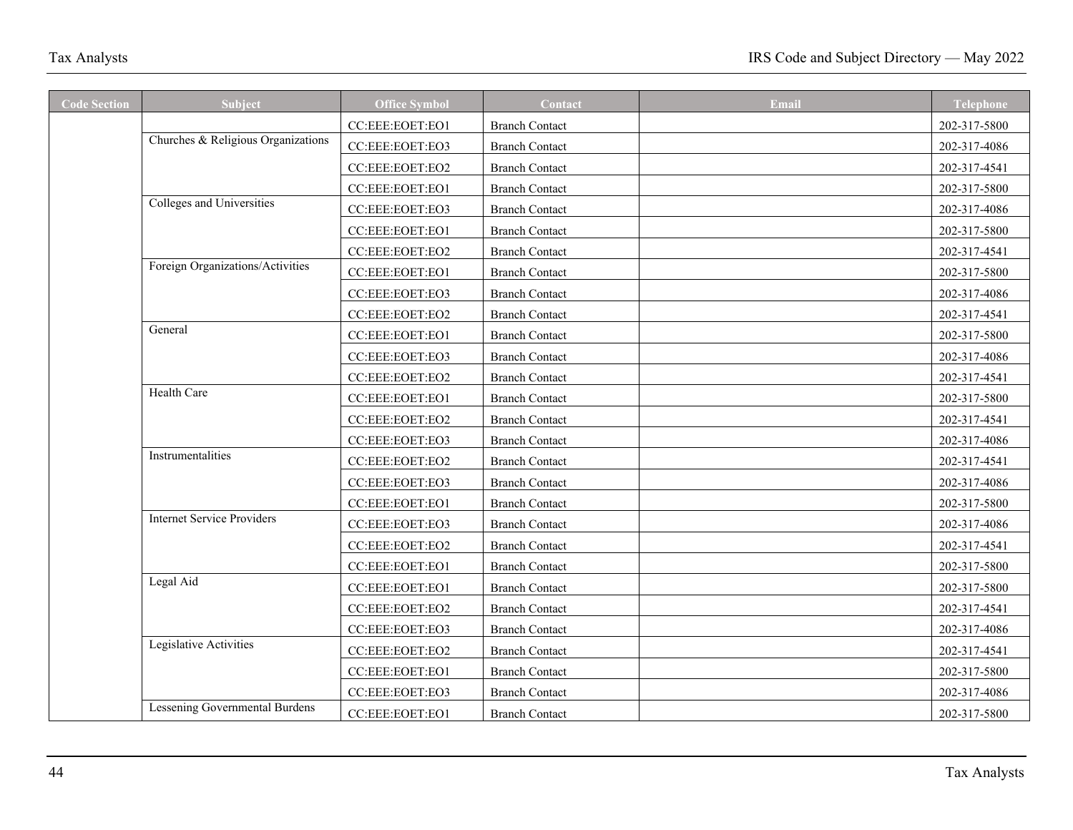| <b>Code Section</b> | Subject                            | Office Symbol   | Contact               | <b>Email</b> | <b>Telephone</b> |
|---------------------|------------------------------------|-----------------|-----------------------|--------------|------------------|
|                     |                                    | CC:EEE:EOET:EO1 | <b>Branch Contact</b> |              | 202-317-5800     |
|                     | Churches & Religious Organizations | CC:EEE:EOET:EO3 | <b>Branch Contact</b> |              | 202-317-4086     |
|                     |                                    | CC:EEE:EOET:EO2 | <b>Branch Contact</b> |              | 202-317-4541     |
|                     |                                    | CC:EEE:EOET:EO1 | <b>Branch Contact</b> |              | 202-317-5800     |
|                     | Colleges and Universities          | CC:EEE:EOET:EO3 | <b>Branch Contact</b> |              | 202-317-4086     |
|                     |                                    | CC:EEE:EOET:EO1 | <b>Branch Contact</b> |              | 202-317-5800     |
|                     |                                    | CC:EEE:EOET:EO2 | <b>Branch Contact</b> |              | 202-317-4541     |
|                     | Foreign Organizations/Activities   | CC:EEE:EOET:EO1 | <b>Branch Contact</b> |              | 202-317-5800     |
|                     |                                    | CC:EEE:EOET:EO3 | <b>Branch Contact</b> |              | 202-317-4086     |
|                     |                                    | CC:EEE:EOET:EO2 | <b>Branch Contact</b> |              | 202-317-4541     |
|                     | General                            | CC:EEE:EOET:EO1 | <b>Branch Contact</b> |              | 202-317-5800     |
|                     |                                    | CC:EEE:EOET:EO3 | <b>Branch Contact</b> |              | 202-317-4086     |
|                     |                                    | CC:EEE:EOET:EO2 | <b>Branch Contact</b> |              | 202-317-4541     |
|                     | <b>Health Care</b>                 | CC:EEE:EOET:EO1 | <b>Branch Contact</b> |              | 202-317-5800     |
|                     |                                    | CC:EEE:EOET:EO2 | <b>Branch Contact</b> |              | 202-317-4541     |
|                     |                                    | CC:EEE:EOET:EO3 | <b>Branch Contact</b> |              | 202-317-4086     |
|                     | Instrumentalities                  | CC:EEE:EOET:EO2 | <b>Branch Contact</b> |              | 202-317-4541     |
|                     |                                    | CC:EEE:EOET:EO3 | <b>Branch Contact</b> |              | 202-317-4086     |
|                     |                                    | CC:EEE:EOET:EO1 | <b>Branch Contact</b> |              | 202-317-5800     |
|                     | <b>Internet Service Providers</b>  | CC:EEE:EOET:EO3 | <b>Branch Contact</b> |              | 202-317-4086     |
|                     |                                    | CC:EEE:EOET:EO2 | <b>Branch Contact</b> |              | 202-317-4541     |
|                     |                                    | CC:EEE:EOET:EO1 | <b>Branch Contact</b> |              | 202-317-5800     |
|                     | Legal Aid                          | CC:EEE:EOET:EO1 | <b>Branch Contact</b> |              | 202-317-5800     |
|                     |                                    | CC:EEE:EOET:EO2 | <b>Branch Contact</b> |              | 202-317-4541     |
|                     |                                    | CC:EEE:EOET:EO3 | <b>Branch Contact</b> |              | 202-317-4086     |
|                     | Legislative Activities             | CC:EEE:EOET:EO2 | <b>Branch Contact</b> |              | 202-317-4541     |
|                     |                                    | CC:EEE:EOET:EO1 | <b>Branch Contact</b> |              | 202-317-5800     |
|                     |                                    | CC:EEE:EOET:EO3 | <b>Branch Contact</b> |              | 202-317-4086     |
|                     | Lessening Governmental Burdens     | CC:EEE:EOET:EO1 | <b>Branch Contact</b> |              | 202-317-5800     |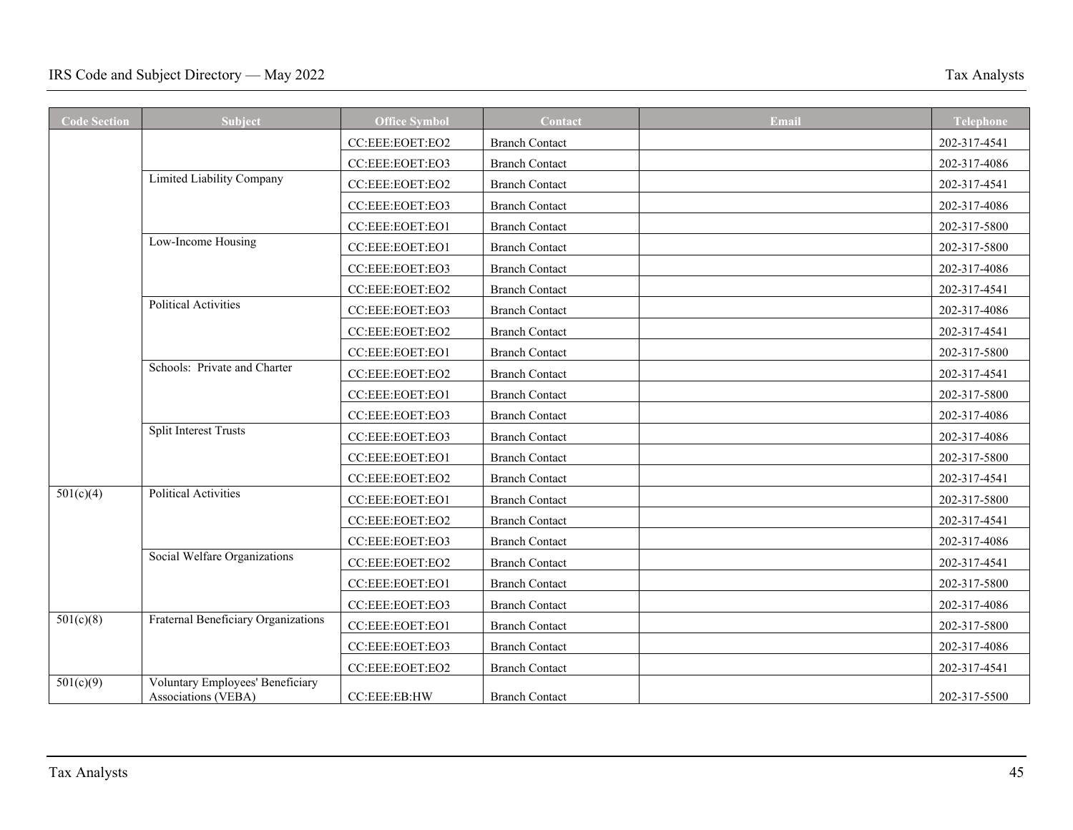| <b>Code Section</b>    | <b>Subject</b>                                                 | <b>Office Symbol</b> | <b>Contact</b>        | <b>Email</b> | <b>Telephone</b> |
|------------------------|----------------------------------------------------------------|----------------------|-----------------------|--------------|------------------|
|                        |                                                                | CC:EEE:EOET:EO2      | <b>Branch Contact</b> |              | 202-317-4541     |
|                        |                                                                | CC:EEE:EOET:EO3      | <b>Branch Contact</b> |              | 202-317-4086     |
|                        | Limited Liability Company                                      | CC:EEE:EOET:EO2      | <b>Branch Contact</b> |              | 202-317-4541     |
|                        |                                                                | CC:EEE:EOET:EO3      | <b>Branch Contact</b> |              | 202-317-4086     |
|                        |                                                                | CC:EEE:EOET:EO1      | <b>Branch Contact</b> |              | 202-317-5800     |
|                        | Low-Income Housing                                             | CC:EEE:EOET:EO1      | <b>Branch Contact</b> |              | 202-317-5800     |
|                        |                                                                | CC:EEE:EOET:EO3      | <b>Branch Contact</b> |              | 202-317-4086     |
|                        |                                                                | CC:EEE:EOET:EO2      | <b>Branch Contact</b> |              | 202-317-4541     |
|                        | <b>Political Activities</b>                                    | CC:EEE:EOET:EO3      | <b>Branch Contact</b> |              | 202-317-4086     |
|                        |                                                                | CC:EEE:EOET:EO2      | <b>Branch Contact</b> |              | 202-317-4541     |
|                        |                                                                | CC:EEE:EOET:EO1      | <b>Branch Contact</b> |              | 202-317-5800     |
|                        | Schools: Private and Charter                                   | CC:EEE:EOET:EO2      | <b>Branch Contact</b> |              | 202-317-4541     |
|                        |                                                                | CC:EEE:EOET:EO1      | <b>Branch Contact</b> |              | 202-317-5800     |
|                        |                                                                | CC:EEE:EOET:EO3      | <b>Branch Contact</b> |              | 202-317-4086     |
|                        | <b>Split Interest Trusts</b>                                   | CC:EEE:EOET:EO3      | <b>Branch Contact</b> |              | 202-317-4086     |
|                        |                                                                | CC:EEE:EOET:EO1      | <b>Branch Contact</b> |              | 202-317-5800     |
|                        |                                                                | CC:EEE:EOET:EO2      | <b>Branch Contact</b> |              | 202-317-4541     |
|                        | <b>Political Activities</b>                                    | CC:EEE:EOET:EO1      | <b>Branch Contact</b> |              | 202-317-5800     |
| 501(c)(4)<br>501(c)(8) |                                                                | CC:EEE:EOET:EO2      | <b>Branch Contact</b> |              | 202-317-4541     |
|                        |                                                                | CC:EEE:EOET:EO3      | <b>Branch Contact</b> |              | 202-317-4086     |
|                        | Social Welfare Organizations                                   | CC:EEE:EOET:EO2      | <b>Branch Contact</b> |              | 202-317-4541     |
|                        |                                                                | CC:EEE:EOET:EO1      | <b>Branch Contact</b> |              | 202-317-5800     |
|                        |                                                                | CC:EEE:EOET:EO3      | <b>Branch Contact</b> |              | 202-317-4086     |
|                        | Fraternal Beneficiary Organizations                            | CC:EEE:EOET:EO1      | <b>Branch Contact</b> |              | 202-317-5800     |
|                        |                                                                | CC:EEE:EOET:EO3      | <b>Branch Contact</b> |              | 202-317-4086     |
|                        |                                                                | CC:EEE:EOET:EO2      | <b>Branch Contact</b> |              | 202-317-4541     |
| 501(c)(9)              | <b>Voluntary Employees' Beneficiary</b><br>Associations (VEBA) | CC:EEE:EB:HW         | <b>Branch Contact</b> |              | 202-317-5500     |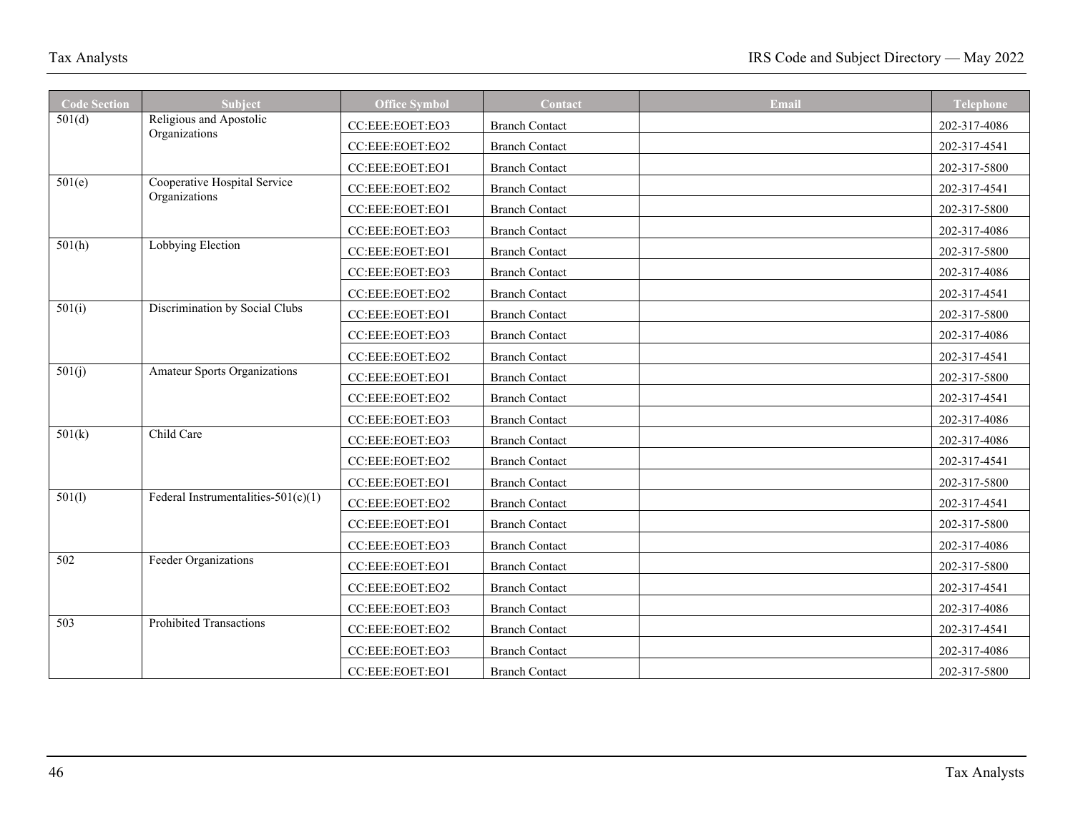| <b>Code Section</b> | <b>Subject</b>                                | <b>Office Symbol</b>  | Contact               | Email        | <b>Telephone</b> |
|---------------------|-----------------------------------------------|-----------------------|-----------------------|--------------|------------------|
| 501(d)              | Religious and Apostolic<br>Organizations      | CC:EEE:EOET:EO3       | <b>Branch Contact</b> |              | 202-317-4086     |
|                     | CC:EEE:EOET:EO2                               | <b>Branch Contact</b> |                       | 202-317-4541 |                  |
|                     |                                               | CC:EEE:EOET:EO1       | <b>Branch Contact</b> |              | 202-317-5800     |
| 501(e)              | Cooperative Hospital Service<br>Organizations | CC:EEE:EOET:EO2       | <b>Branch Contact</b> |              | 202-317-4541     |
|                     |                                               | CC:EEE:EOET:EO1       | <b>Branch Contact</b> |              | 202-317-5800     |
|                     |                                               | CC:EEE:EOET:EO3       | <b>Branch Contact</b> |              | 202-317-4086     |
| 501(h)              | Lobbying Election                             | CC:EEE:EOET:EO1       | <b>Branch Contact</b> |              | 202-317-5800     |
|                     |                                               | CC:EEE:EOET:EO3       | <b>Branch Contact</b> |              | 202-317-4086     |
|                     |                                               | CC:EEE:EOET:EO2       | <b>Branch Contact</b> |              | 202-317-4541     |
| 501(i)              | Discrimination by Social Clubs                | CC:EEE:EOET:EO1       | <b>Branch Contact</b> |              | 202-317-5800     |
|                     |                                               | CC:EEE:EOET:EO3       | <b>Branch Contact</b> |              | 202-317-4086     |
|                     |                                               | CC:EEE:EOET:EO2       | <b>Branch Contact</b> |              | 202-317-4541     |
| 501(j)              | <b>Amateur Sports Organizations</b>           | CC:EEE:EOET:EO1       | <b>Branch Contact</b> |              | 202-317-5800     |
|                     |                                               | CC:EEE:EOET:EO2       | <b>Branch Contact</b> |              | 202-317-4541     |
|                     |                                               | CC:EEE:EOET:EO3       | <b>Branch Contact</b> |              | 202-317-4086     |
| 501(k)              | Child Care                                    | CC:EEE:EOET:EO3       | <b>Branch Contact</b> |              | 202-317-4086     |
|                     |                                               | CC:EEE:EOET:EO2       | <b>Branch Contact</b> |              | 202-317-4541     |
|                     |                                               | CC:EEE:EOET:EO1       | <b>Branch Contact</b> |              | 202-317-5800     |
| 501(1)              | Federal Instrumentalities- $501(c)(1)$        | CC:EEE:EOET:EO2       | <b>Branch Contact</b> |              | 202-317-4541     |
|                     |                                               | CC:EEE:EOET:EO1       | <b>Branch Contact</b> |              | 202-317-5800     |
|                     |                                               | CC:EEE:EOET:EO3       | <b>Branch Contact</b> |              | 202-317-4086     |
| 502                 | Feeder Organizations                          | CC:EEE:EOET:EO1       | <b>Branch Contact</b> |              | 202-317-5800     |
|                     |                                               | CC:EEE:EOET:EO2       | <b>Branch Contact</b> |              | 202-317-4541     |
|                     |                                               | CC:EEE:EOET:EO3       | <b>Branch Contact</b> |              | 202-317-4086     |
| 503                 | <b>Prohibited Transactions</b>                | CC:EEE:EOET:EO2       | <b>Branch Contact</b> |              | 202-317-4541     |
|                     |                                               | CC:EEE:EOET:EO3       | <b>Branch Contact</b> |              | 202-317-4086     |
|                     |                                               | CC:EEE:EOET:EO1       | <b>Branch Contact</b> |              | 202-317-5800     |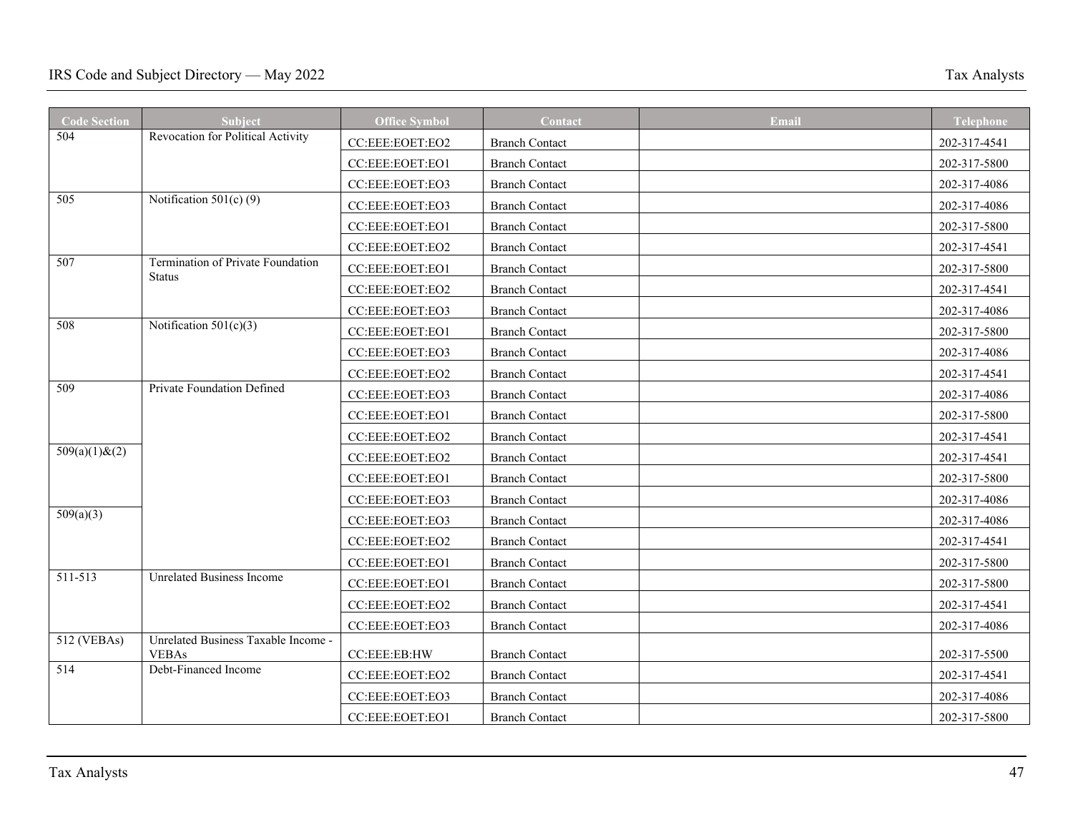| <b>Code Section</b>         | Subject                              | <b>Office Symbol</b> | <b>Contact</b>        | <b>Email</b> | <b>Telephone</b> |
|-----------------------------|--------------------------------------|----------------------|-----------------------|--------------|------------------|
| 504                         | Revocation for Political Activity    | CC:EEE:EOET:EO2      | <b>Branch Contact</b> |              | 202-317-4541     |
|                             |                                      | CC:EEE:EOET:EO1      | <b>Branch Contact</b> |              | 202-317-5800     |
|                             |                                      | CC:EEE:EOET:EO3      | <b>Branch Contact</b> |              | 202-317-4086     |
| 505                         | Notification $501(c)$ (9)            | CC:EEE:EOET:EO3      | <b>Branch Contact</b> |              | 202-317-4086     |
|                             |                                      | CC:EEE:EOET:EO1      | <b>Branch Contact</b> |              | 202-317-5800     |
|                             |                                      | CC:EEE:EOET:EO2      | <b>Branch Contact</b> |              | 202-317-4541     |
| 507                         | Termination of Private Foundation    | CC:EEE:EOET:EO1      | <b>Branch Contact</b> |              | 202-317-5800     |
|                             | <b>Status</b>                        | CC:EEE:EOET:EO2      | <b>Branch Contact</b> |              | 202-317-4541     |
|                             |                                      | CC:EEE:EOET:EO3      | <b>Branch Contact</b> |              | 202-317-4086     |
| 508                         | Notification $501(c)(3)$             | CC:EEE:EOET:EO1      | <b>Branch Contact</b> |              | 202-317-5800     |
|                             |                                      | CC:EEE:EOET:EO3      | <b>Branch Contact</b> |              | 202-317-4086     |
|                             |                                      | CC:EEE:EOET:EO2      | <b>Branch Contact</b> |              | 202-317-4541     |
| 509                         | Private Foundation Defined           | CC:EEE:EOET:EO3      | <b>Branch Contact</b> |              | 202-317-4086     |
|                             |                                      | CC:EEE:EOET:EO1      | <b>Branch Contact</b> |              | 202-317-5800     |
|                             |                                      | CC:EEE:EOET:EO2      | <b>Branch Contact</b> |              | 202-317-4541     |
| $\overline{509}(a)(1)$ &(2) |                                      | CC:EEE:EOET:EO2      | <b>Branch Contact</b> |              | 202-317-4541     |
|                             |                                      | CC:EEE:EOET:EO1      | <b>Branch Contact</b> |              | 202-317-5800     |
|                             |                                      | CC:EEE:EOET:EO3      | <b>Branch Contact</b> |              | 202-317-4086     |
| 509(a)(3)                   |                                      | CC:EEE:EOET:EO3      | <b>Branch Contact</b> |              | 202-317-4086     |
|                             |                                      | CC:EEE:EOET:EO2      | <b>Branch Contact</b> |              | 202-317-4541     |
|                             |                                      | CC:EEE:EOET:EO1      | <b>Branch Contact</b> |              | 202-317-5800     |
| 511-513                     | Unrelated Business Income            | CC:EEE:EOET:EO1      | <b>Branch Contact</b> |              | 202-317-5800     |
|                             |                                      | CC:EEE:EOET:EO2      | <b>Branch Contact</b> |              | 202-317-4541     |
|                             |                                      | CC:EEE:EOET:EO3      | <b>Branch Contact</b> |              | 202-317-4086     |
| $512$ (VEBAs)               | Unrelated Business Taxable Income -  |                      |                       |              |                  |
| 514                         | <b>VEBAs</b><br>Debt-Financed Income | CC:EEE:EB:HW         | <b>Branch Contact</b> |              | 202-317-5500     |
|                             |                                      | CC:EEE:EOET:EO2      | <b>Branch Contact</b> |              | 202-317-4541     |
|                             |                                      | CC:EEE:EOET:EO3      | <b>Branch Contact</b> |              | 202-317-4086     |
|                             |                                      | CC:EEE:EOET:EO1      | <b>Branch Contact</b> |              | 202-317-5800     |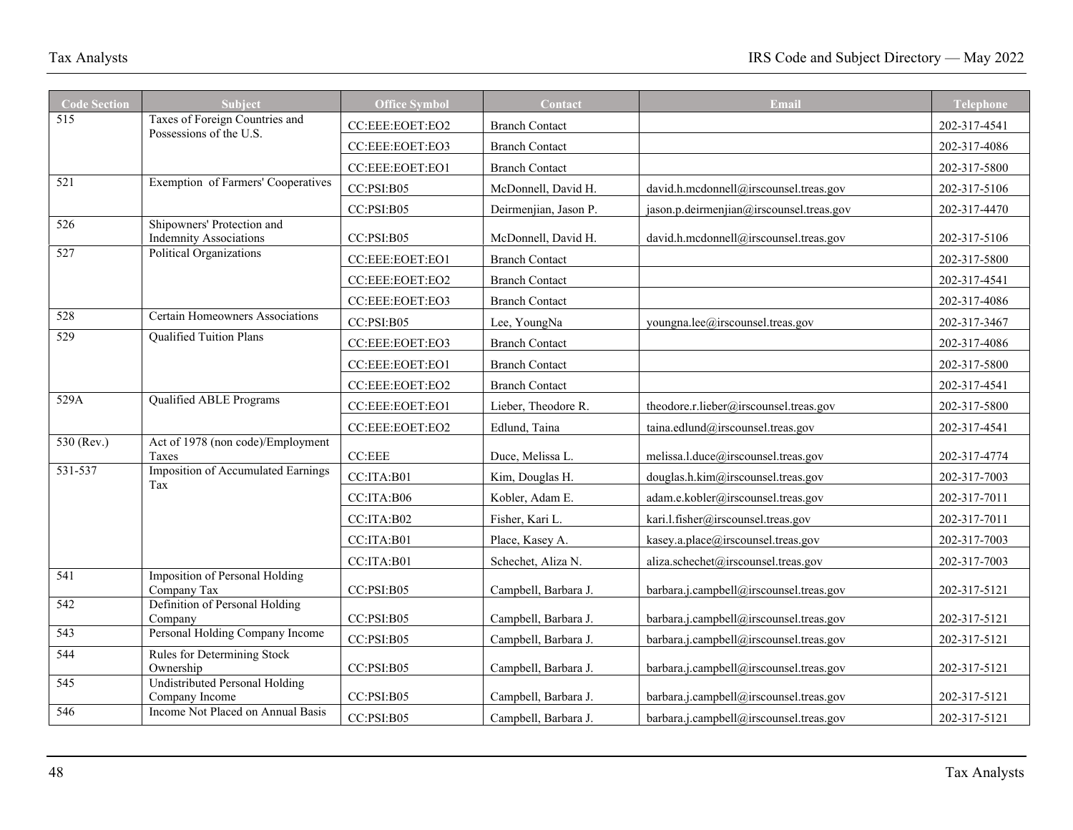| <b>Code Section</b> | <b>Subject</b>                                              | <b>Office Symbol</b> | Contact               | Email                                    | <b>Telephone</b> |
|---------------------|-------------------------------------------------------------|----------------------|-----------------------|------------------------------------------|------------------|
| $\overline{515}$    | Taxes of Foreign Countries and<br>Possessions of the U.S.   | CC:EEE:EOET:EO2      | <b>Branch Contact</b> |                                          | 202-317-4541     |
|                     |                                                             | CC:EEE:EOET:EO3      | <b>Branch Contact</b> |                                          | 202-317-4086     |
|                     |                                                             | CC:EEE:EOET:EO1      | <b>Branch Contact</b> |                                          | 202-317-5800     |
| 521                 | Exemption of Farmers' Cooperatives                          | CC:PSI:B05           | McDonnell, David H.   | david.h.mcdonnell@irscounsel.treas.gov   | 202-317-5106     |
|                     |                                                             | CC:PSI:B05           | Deirmenjian, Jason P. | jason.p.deirmenjian@irscounsel.treas.gov | 202-317-4470     |
| $\overline{526}$    | Shipowners' Protection and<br><b>Indemnity Associations</b> | CC:PSI:B05           | McDonnell, David H.   | david.h.mcdonnell@irscounsel.treas.gov   | 202-317-5106     |
| 527                 | Political Organizations                                     | CC:EEE:EOET:EO1      | <b>Branch Contact</b> |                                          | 202-317-5800     |
|                     |                                                             | CC:EEE:EOET:EO2      | <b>Branch Contact</b> |                                          | 202-317-4541     |
|                     |                                                             | CC:EEE:EOET:EO3      | <b>Branch Contact</b> |                                          | 202-317-4086     |
| $\overline{528}$    | Certain Homeowners Associations                             | CC:PSI:B05           | Lee, YoungNa          | youngna.lee@irscounsel.treas.gov         | 202-317-3467     |
| $\overline{529}$    | Qualified Tuition Plans                                     | CC:EEE:EOET:EO3      | <b>Branch Contact</b> |                                          | 202-317-4086     |
|                     |                                                             | CC:EEE:EOET:EO1      | <b>Branch Contact</b> |                                          | 202-317-5800     |
|                     |                                                             | CC:EEE:EOET:EO2      | <b>Branch Contact</b> |                                          | 202-317-4541     |
| 529A                | <b>Qualified ABLE Programs</b>                              | CC:EEE:EOET:EO1      | Lieber, Theodore R.   | theodore.r.lieber@irscounsel.treas.gov   | 202-317-5800     |
|                     |                                                             | CC:EEE:EOET:EO2      | Edlund, Taina         | taina.edlund@irscounsel.treas.gov        | 202-317-4541     |
| $530$ (Rev.)        | Act of 1978 (non code)/Employment<br>Taxes                  | $CC: EEE$            | Duce, Melissa L.      | melissa.l.duce@irscounsel.treas.gov      | 202-317-4774     |
| 531-537             | <b>Imposition of Accumulated Earnings</b>                   | CC:ITA:B01           | Kim, Douglas H.       | douglas.h.kim@irscounsel.treas.gov       | 202-317-7003     |
|                     | Tax                                                         | CC:ITA:B06           | Kobler, Adam E.       | adam.e.kobler@irscounsel.treas.gov       | 202-317-7011     |
|                     |                                                             | CC:ITA:B02           | Fisher, Kari L.       | kari.l.fisher@irscounsel.treas.gov       | 202-317-7011     |
|                     |                                                             | CC:ITA:B01           | Place, Kasey A.       | kasey.a.place@irscounsel.treas.gov       | 202-317-7003     |
|                     |                                                             | CC:ITA:B01           | Schechet, Aliza N.    | aliza.schechet@irscounsel.treas.gov      | 202-317-7003     |
| 541                 | Imposition of Personal Holding<br>Company Tax               | CC:PSI:B05           | Campbell, Barbara J.  | barbara.j.campbell@irscounsel.treas.gov  | 202-317-5121     |
| 542                 | Definition of Personal Holding<br>Company                   | CC:PSI:B05           | Campbell, Barbara J.  | barbara.j.campbell@irscounsel.treas.gov  | 202-317-5121     |
| $\sqrt{543}$        | Personal Holding Company Income                             | CC:PSI:B05           | Campbell, Barbara J.  | barbara.j.campbell@irscounsel.treas.gov  | 202-317-5121     |
| 544                 | Rules for Determining Stock<br>Ownership                    | CC:PSI:B05           | Campbell, Barbara J.  | barbara.j.campbell@irscounsel.treas.gov  | 202-317-5121     |
| $\overline{545}$    | <b>Undistributed Personal Holding</b><br>Company Income     | CC:PSI:B05           | Campbell, Barbara J.  | barbara.j.campbell@irscounsel.treas.gov  | 202-317-5121     |
| $\overline{546}$    | Income Not Placed on Annual Basis                           | CC:PSI:B05           | Campbell, Barbara J.  | barbara.j.campbell@irscounsel.treas.gov  | 202-317-5121     |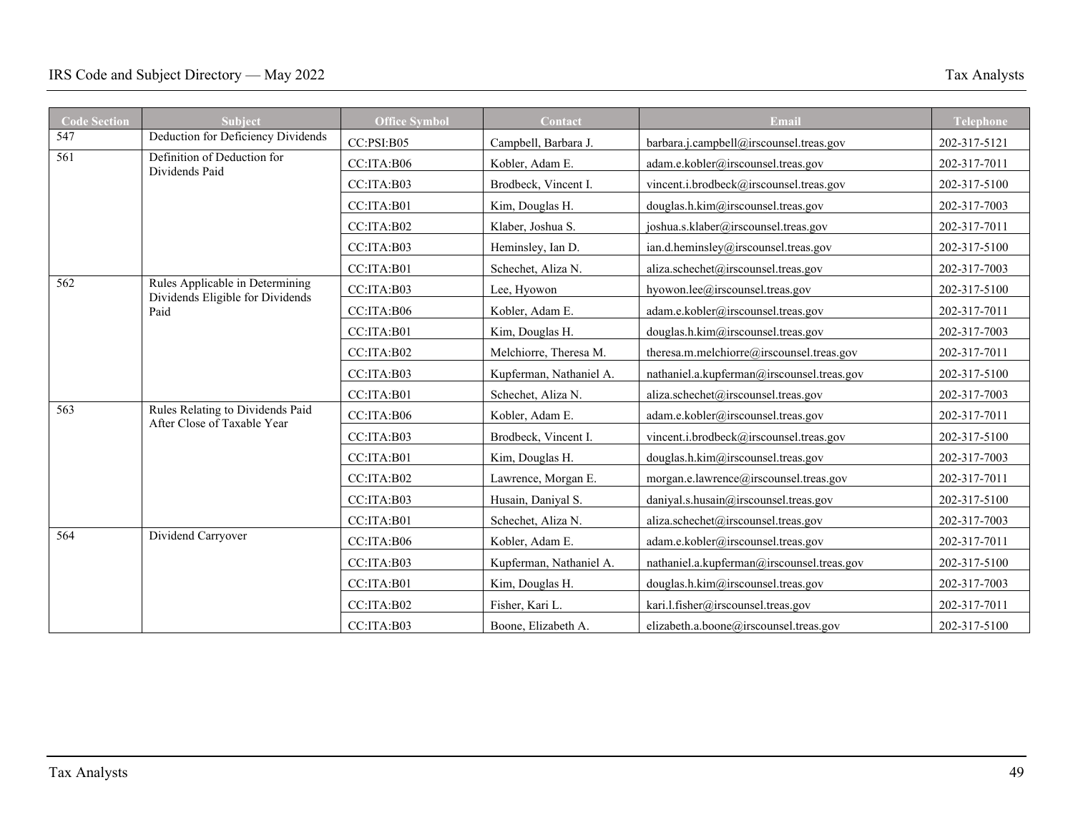| <b>Code Section</b> | <b>Subject</b>                                                      | <b>Office Symbol</b> | Contact                 | Email                                      | Telephone    |
|---------------------|---------------------------------------------------------------------|----------------------|-------------------------|--------------------------------------------|--------------|
| 547                 | Deduction for Deficiency Dividends                                  | CC:PSI: B05          | Campbell, Barbara J.    | barbara.j.campbell@irscounsel.treas.gov    | 202-317-5121 |
| $\overline{561}$    | Definition of Deduction for<br>Dividends Paid                       | CC:ITA:B06           | Kobler, Adam E.         | adam.e.kobler@irscounsel.treas.gov         | 202-317-7011 |
|                     |                                                                     | CC:ITA:B03           | Brodbeck, Vincent I.    | vincent.i.brodbeck@irscounsel.treas.gov    | 202-317-5100 |
|                     |                                                                     | CC:ITA:B01           | Kim, Douglas H.         | douglas.h.kim@irscounsel.treas.gov         | 202-317-7003 |
|                     |                                                                     | CC:ITA:B02           | Klaber, Joshua S.       | joshua.s.klaber@irscounsel.treas.gov       | 202-317-7011 |
|                     |                                                                     | CC:ITA:B03           | Heminsley, Ian D.       | ian.d.heminsley@irscounsel.treas.gov       | 202-317-5100 |
|                     |                                                                     | CC:ITA:B01           | Schechet, Aliza N.      | aliza.schechet@irscounsel.treas.gov        | 202-317-7003 |
| 562                 | Rules Applicable in Determining<br>Dividends Eligible for Dividends | CC:ITA:B03           | Lee, Hyowon             | hyowon.lee@irscounsel.treas.gov            | 202-317-5100 |
|                     | Paid                                                                | CC:ITA:B06           | Kobler, Adam E.         | adam.e.kobler@irscounsel.treas.gov         | 202-317-7011 |
|                     |                                                                     | CC:ITA:B01           | Kim, Douglas H.         | douglas.h.kim@irscounsel.treas.gov         | 202-317-7003 |
|                     |                                                                     | CC:ITA:B02           | Melchiorre, Theresa M.  | theresa.m.melchiorre@irscounsel.treas.gov  | 202-317-7011 |
|                     |                                                                     | CC:ITA:B03           | Kupferman, Nathaniel A. | nathaniel.a.kupferman@irscounsel.treas.gov | 202-317-5100 |
|                     |                                                                     | CC:ITA:B01           | Schechet, Aliza N.      | aliza.schechet@irscounsel.treas.gov        | 202-317-7003 |
| 563                 | Rules Relating to Dividends Paid<br>After Close of Taxable Year     | CC:ITA:B06           | Kobler, Adam E.         | adam.e.kobler@irscounsel.treas.gov         | 202-317-7011 |
|                     |                                                                     | CC:ITA:B03           | Brodbeck, Vincent I.    | vincent.i.brodbeck@irscounsel.treas.gov    | 202-317-5100 |
|                     |                                                                     | CC:ITA:B01           | Kim, Douglas H.         | douglas.h.kim@irscounsel.treas.gov         | 202-317-7003 |
|                     |                                                                     | CC:ITA:B02           | Lawrence, Morgan E.     | morgan.e.lawrence@irscounsel.treas.gov     | 202-317-7011 |
|                     |                                                                     | CC:ITA:B03           | Husain, Daniyal S.      | daniyal.s.husain@irscounsel.treas.gov      | 202-317-5100 |
|                     |                                                                     | CC:ITA:B01           | Schechet, Aliza N.      | aliza.schechet@irscounsel.treas.gov        | 202-317-7003 |
| 564                 | Dividend Carryover                                                  | CC:ITA:B06           | Kobler, Adam E.         | adam.e.kobler@irscounsel.treas.gov         | 202-317-7011 |
|                     |                                                                     | CC:ITA:B03           | Kupferman, Nathaniel A. | nathaniel.a.kupferman@irscounsel.treas.gov | 202-317-5100 |
|                     |                                                                     | CC:ITA:B01           | Kim, Douglas H.         | douglas.h.kim@irscounsel.treas.gov         | 202-317-7003 |
|                     |                                                                     | CC:ITA:B02           | Fisher, Kari L.         | kari.l.fisher@irscounsel.treas.gov         | 202-317-7011 |
|                     |                                                                     | CC:ITA:B03           | Boone, Elizabeth A.     | elizabeth.a.boone@irscounsel.treas.gov     | 202-317-5100 |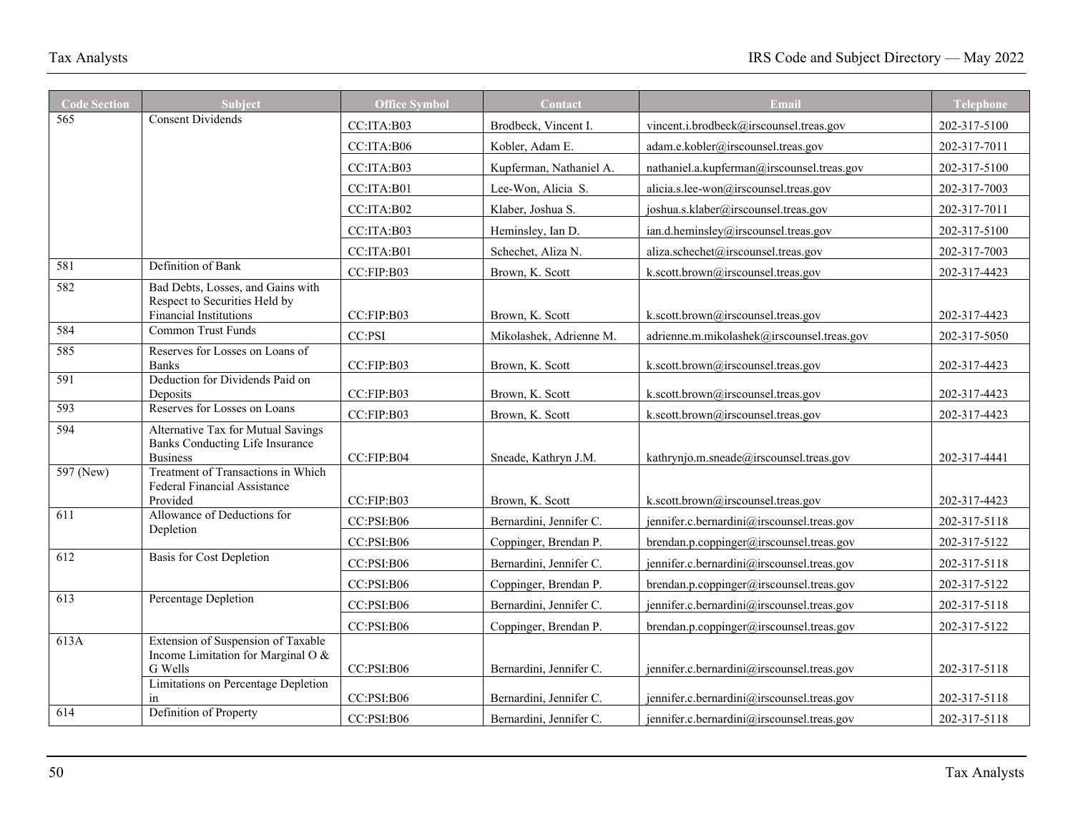| <b>Code Section</b> | <b>Subject</b>                                                                           | <b>Office Symbol</b> | Contact                 | <b>Email</b>                               | <b>Telephone</b> |
|---------------------|------------------------------------------------------------------------------------------|----------------------|-------------------------|--------------------------------------------|------------------|
| $\overline{565}$    | <b>Consent Dividends</b>                                                                 | CC:ITA:B03           | Brodbeck, Vincent I.    | vincent.i.brodbeck@irscounsel.treas.gov    | 202-317-5100     |
|                     |                                                                                          | CC:ITA:B06           | Kobler, Adam E.         | adam.e.kobler@irscounsel.treas.gov         | 202-317-7011     |
|                     |                                                                                          | CC:ITA:B03           | Kupferman, Nathaniel A. | nathaniel.a.kupferman@irscounsel.treas.gov | 202-317-5100     |
|                     |                                                                                          | CC:ITA:B01           | Lee-Won, Alicia S.      | alicia.s.lee-won@irscounsel.treas.gov      | 202-317-7003     |
|                     |                                                                                          | CC:ITA:B02           | Klaber, Joshua S.       | joshua.s.klaber@irscounsel.treas.gov       | 202-317-7011     |
|                     |                                                                                          | CC:ITA:B03           | Heminsley, Ian D.       | ian.d.heminsley@irscounsel.treas.gov       | 202-317-5100     |
|                     |                                                                                          | CC:ITA:B01           | Schechet, Aliza N.      | aliza.schechet@irscounsel.treas.gov        | 202-317-7003     |
| 581                 | Definition of Bank                                                                       | CC:FIP:B03           | Brown, K. Scott         | k.scott.brown@irscounsel.treas.gov         | 202-317-4423     |
| 582                 | Bad Debts, Losses, and Gains with<br>Respect to Securities Held by                       |                      |                         |                                            |                  |
|                     | Financial Institutions                                                                   | CC:FIP:B03           | Brown, K. Scott         | k.scott.brown@irscounsel.treas.gov         | 202-317-4423     |
| 584                 | Common Trust Funds                                                                       | CC:PSI               | Mikolashek, Adrienne M. | adrienne.m.mikolashek@irscounsel.treas.gov | 202-317-5050     |
| 585                 | Reserves for Losses on Loans of<br><b>Banks</b>                                          | CC:FIP:B03           | Brown, K. Scott         | k.scott.brown@irscounsel.treas.gov         | 202-317-4423     |
| 591                 | Deduction for Dividends Paid on<br>Deposits                                              | CC:FIP:B03           | Brown, K. Scott         | k.scott.brown@irscounsel.treas.gov         | 202-317-4423     |
| 593                 | Reserves for Losses on Loans                                                             | CC:FIP:B03           | Brown, K. Scott         | k.scott.brown@irscounsel.treas.gov         | 202-317-4423     |
| 594                 | Alternative Tax for Mutual Savings<br>Banks Conducting Life Insurance<br><b>Business</b> | CC:FIP:B04           | Sneade, Kathryn J.M.    | kathrynjo.m.sneade@irscounsel.treas.gov    | 202-317-4441     |
| 597 (New)           | Treatment of Transactions in Which<br>Federal Financial Assistance<br>Provided           | CC:FIP:B03           | Brown, K. Scott         | k.scott.brown@irscounsel.treas.gov         | 202-317-4423     |
| 611                 | Allowance of Deductions for                                                              | CC:PSI: B06          | Bernardini, Jennifer C. | jennifer.c.bernardini@irscounsel.treas.gov | 202-317-5118     |
|                     | Depletion                                                                                | CC:PSI:B06           | Coppinger, Brendan P.   | brendan.p.coppinger@irscounsel.treas.gov   | 202-317-5122     |
| 612                 | <b>Basis for Cost Depletion</b>                                                          | CC:PSI:B06           | Bernardini, Jennifer C. | jennifer.c.bernardini@irscounsel.treas.gov | 202-317-5118     |
|                     |                                                                                          | CC:PSI:B06           | Coppinger, Brendan P.   | brendan.p.coppinger@irscounsel.treas.gov   | 202-317-5122     |
| 613                 | Percentage Depletion                                                                     | CC:PSI:B06           | Bernardini, Jennifer C. | jennifer.c.bernardini@irscounsel.treas.gov | 202-317-5118     |
|                     |                                                                                          | CC:PSI:B06           | Coppinger, Brendan P.   | brendan.p.coppinger@irscounsel.treas.gov   | 202-317-5122     |
| 613A                | Extension of Suspension of Taxable<br>Income Limitation for Marginal O &<br>G Wells      | CC:PSI:B06           | Bernardini, Jennifer C. | jennifer.c.bernardini@irscounsel.treas.gov | 202-317-5118     |
|                     | Limitations on Percentage Depletion<br>$\sin$                                            | CC:PSI:B06           | Bernardini, Jennifer C. | jennifer.c.bernardini@irscounsel.treas.gov | 202-317-5118     |
| 614                 | Definition of Property                                                                   | CC:PSI:B06           | Bernardini, Jennifer C. | jennifer.c.bernardini@irscounsel.treas.gov | 202-317-5118     |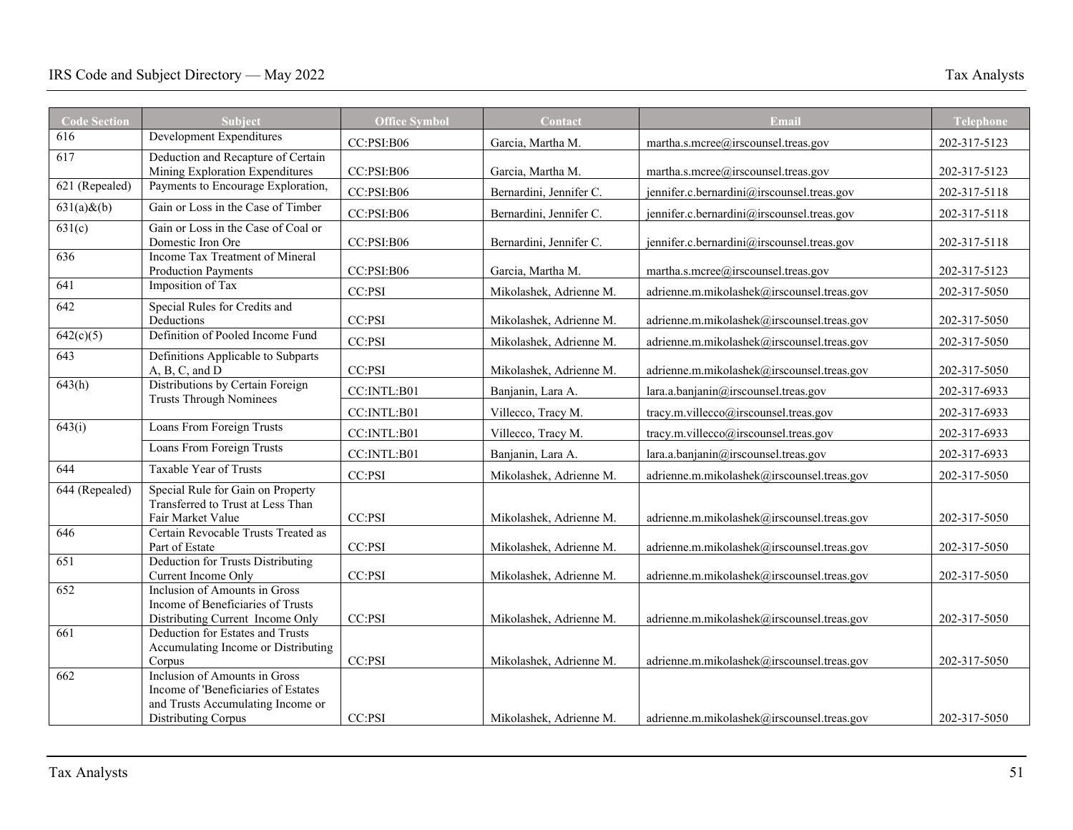| <b>Code Section</b>      | <b>Subject</b>                                                                                                                          | <b>Office Symbol</b> | Contact                 | Email                                      | <b>Telephone</b> |
|--------------------------|-----------------------------------------------------------------------------------------------------------------------------------------|----------------------|-------------------------|--------------------------------------------|------------------|
| 616                      | Development Expenditures                                                                                                                | CC:PSI:B06           | Garcia, Martha M.       | martha.s.mcree@irscounsel.treas.gov        | 202-317-5123     |
| 617                      | Deduction and Recapture of Certain<br>Mining Exploration Expenditures                                                                   | CC:PSI:B06           | Garcia, Martha M.       | martha.s.mcree@irscounsel.treas.gov        | 202-317-5123     |
| 621 (Repealed)           | Payments to Encourage Exploration,                                                                                                      | CC:PSI:B06           | Bernardini, Jennifer C. | jennifer.c.bernardini@irscounsel.treas.gov | 202-317-5118     |
| $\overline{631(a)\&(b)}$ | Gain or Loss in the Case of Timber                                                                                                      | CC:PSI:B06           | Bernardini, Jennifer C. | jennifer.c.bernardini@irscounsel.treas.gov | 202-317-5118     |
| 631(c)                   | Gain or Loss in the Case of Coal or<br>Domestic Iron Ore                                                                                | CC:PSI:B06           | Bernardini, Jennifer C. | jennifer.c.bernardini@irscounsel.treas.gov | 202-317-5118     |
| 636                      | Income Tax Treatment of Mineral<br><b>Production Payments</b>                                                                           | CC:PSI:B06           | Garcia, Martha M.       | martha.s.mcree@irscounsel.treas.gov        | 202-317-5123     |
| 641                      | <b>Imposition of Tax</b>                                                                                                                | CC:PSI               | Mikolashek, Adrienne M. | adrienne.m.mikolashek@irscounsel.treas.gov | 202-317-5050     |
| $\overline{642}$         | Special Rules for Credits and<br>Deductions                                                                                             | CC:PSI               | Mikolashek, Adrienne M. | adrienne.m.mikolashek@irscounsel.treas.gov | 202-317-5050     |
| 642(c)(5)                | Definition of Pooled Income Fund                                                                                                        | CC:PSI               | Mikolashek, Adrienne M. | adrienne.m.mikolashek@irscounsel.treas.gov | 202-317-5050     |
| 643                      | Definitions Applicable to Subparts<br>A, B, C, and D                                                                                    | CC:PSI               | Mikolashek, Adrienne M. | adrienne.m.mikolashek@irscounsel.treas.gov | 202-317-5050     |
| $\overline{643(h)}$      | Distributions by Certain Foreign                                                                                                        | CC:INTL:B01          | Banjanin, Lara A.       | lara.a.banjanin@irscounsel.treas.gov       | 202-317-6933     |
|                          | <b>Trusts Through Nominees</b>                                                                                                          | CC:INTL:B01          | Villecco, Tracy M.      | tracy.m.villecco@irscounsel.treas.gov      | 202-317-6933     |
| $\overline{643(i)}$      | <b>Loans From Foreign Trusts</b>                                                                                                        | CC:INTL:B01          | Villecco, Tracy M.      | tracy.m.villecco@irscounsel.treas.gov      | 202-317-6933     |
|                          | Loans From Foreign Trusts                                                                                                               | CC:INTL:B01          | Banjanin, Lara A.       | lara.a.banjanin@irscounsel.treas.gov       | 202-317-6933     |
| 644                      | Taxable Year of Trusts                                                                                                                  | CC:PSI               | Mikolashek, Adrienne M. | adrienne.m.mikolashek@irscounsel.treas.gov | 202-317-5050     |
| 644 (Repealed)           | Special Rule for Gain on Property<br>Transferred to Trust at Less Than<br>Fair Market Value                                             | CC:PSI               | Mikolashek, Adrienne M. | adrienne.m.mikolashek@irscounsel.treas.gov | 202-317-5050     |
| 646                      | Certain Revocable Trusts Treated as<br>Part of Estate                                                                                   | CC:PSI               | Mikolashek, Adrienne M. | adrienne.m.mikolashek@irscounsel.treas.gov | 202-317-5050     |
| 651                      | Deduction for Trusts Distributing<br>Current Income Only                                                                                | CC:PSI               | Mikolashek, Adrienne M. | adrienne.m.mikolashek@irscounsel.treas.gov | 202-317-5050     |
| $\overline{652}$         | Inclusion of Amounts in Gross<br>Income of Beneficiaries of Trusts<br>Distributing Current Income Only                                  | CC:PSI               | Mikolashek, Adrienne M. | adrienne.m.mikolashek@irscounsel.treas.gov | 202-317-5050     |
| 661                      | Deduction for Estates and Trusts<br>Accumulating Income or Distributing<br>Corpus                                                       | CC:PSI               | Mikolashek, Adrienne M. | adrienne.m.mikolashek@irscounsel.treas.gov | 202-317-5050     |
| 662                      | Inclusion of Amounts in Gross<br>Income of 'Beneficiaries of Estates<br>and Trusts Accumulating Income or<br><b>Distributing Corpus</b> | CC:PSI               | Mikolashek, Adrienne M. | adrienne.m.mikolashek@irscounsel.treas.gov | 202-317-5050     |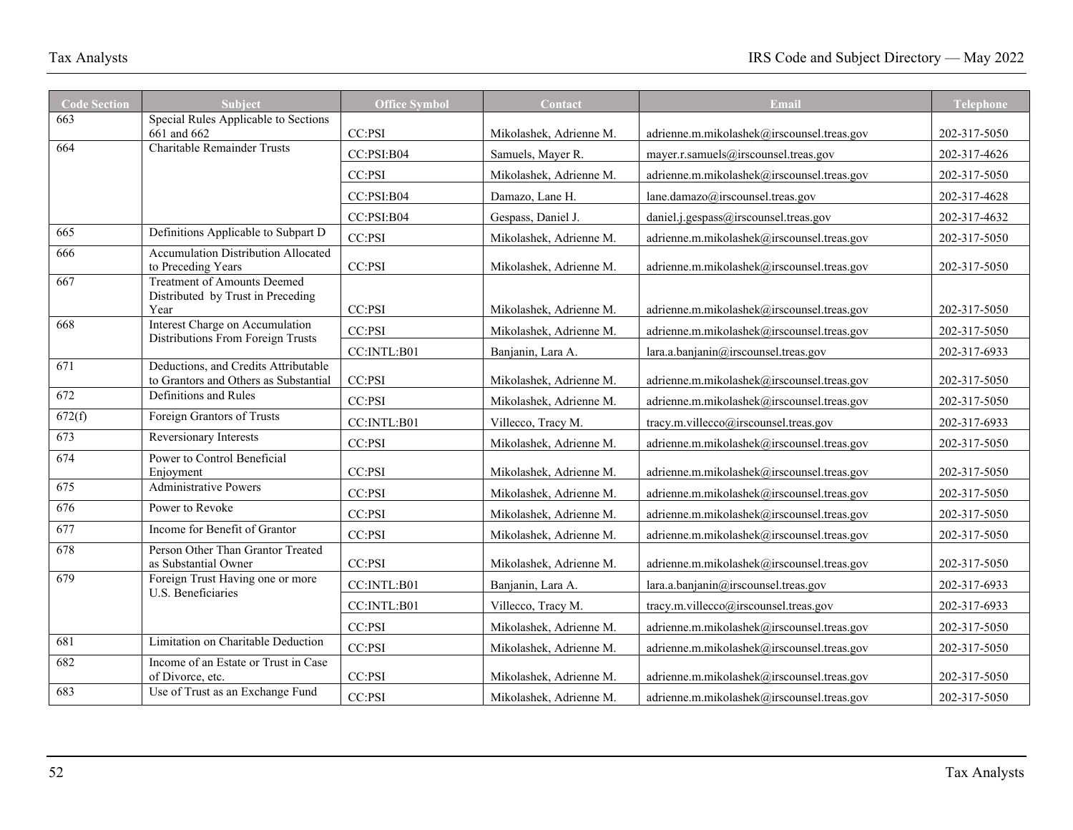| <b>Code Section</b> | <b>Subject</b>                                                                  | <b>Office Symbol</b> | Contact                 | Email                                      | Telephone    |
|---------------------|---------------------------------------------------------------------------------|----------------------|-------------------------|--------------------------------------------|--------------|
| 663                 | Special Rules Applicable to Sections<br>661 and 662                             | CC:PSI               | Mikolashek, Adrienne M. | adrienne.m.mikolashek@irscounsel.treas.gov | 202-317-5050 |
| 664                 | <b>Charitable Remainder Trusts</b>                                              | CC:PSI: B04          | Samuels, Mayer R.       | mayer.r.samuels@irscounsel.treas.gov       | 202-317-4626 |
|                     |                                                                                 | CC:PSI               | Mikolashek, Adrienne M. | adrienne.m.mikolashek@irscounsel.treas.gov | 202-317-5050 |
|                     |                                                                                 | CC:PSI:B04           | Damazo, Lane H.         | lane.damazo@irscounsel.treas.gov           | 202-317-4628 |
|                     |                                                                                 | CC:PSI:B04           | Gespass, Daniel J.      | daniel.j.gespass@irscounsel.treas.gov      | 202-317-4632 |
| 665                 | Definitions Applicable to Subpart D                                             | CC:PSI               | Mikolashek, Adrienne M. | adrienne.m.mikolashek@irscounsel.treas.gov | 202-317-5050 |
| 666                 | <b>Accumulation Distribution Allocated</b><br>to Preceding Years                | CC:PSI               | Mikolashek, Adrienne M. | adrienne.m.mikolashek@irscounsel.treas.gov | 202-317-5050 |
| 667                 | <b>Treatment of Amounts Deemed</b><br>Distributed by Trust in Preceding<br>Year | CC:PSI               | Mikolashek, Adrienne M. | adrienne.m.mikolashek@irscounsel.treas.gov | 202-317-5050 |
| 668                 | Interest Charge on Accumulation                                                 | CC:PSI               | Mikolashek, Adrienne M. | adrienne.m.mikolashek@irscounsel.treas.gov | 202-317-5050 |
|                     | Distributions From Foreign Trusts                                               | CC:INTL:B01          |                         |                                            | 202-317-6933 |
| $\overline{671}$    | Deductions, and Credits Attributable                                            |                      | Banjanin, Lara A.       | lara.a.banjanin@irscounsel.treas.gov       |              |
|                     | to Grantors and Others as Substantial                                           | CC:PSI               | Mikolashek, Adrienne M. | adrienne.m.mikolashek@irscounsel.treas.gov | 202-317-5050 |
| 672                 | Definitions and Rules                                                           | CC:PSI               | Mikolashek, Adrienne M. | adrienne.m.mikolashek@irscounsel.treas.gov | 202-317-5050 |
| 672(f)              | Foreign Grantors of Trusts                                                      | CC:INTL:B01          | Villecco, Tracy M.      | tracy.m.villecco@irscounsel.treas.gov      | 202-317-6933 |
| 673                 | Reversionary Interests                                                          | CC:PSI               | Mikolashek, Adrienne M. | adrienne.m.mikolashek@irscounsel.treas.gov | 202-317-5050 |
| $\overline{674}$    | Power to Control Beneficial<br>Enjoyment                                        | CC:PSI               | Mikolashek, Adrienne M. | adrienne.m.mikolashek@irscounsel.treas.gov | 202-317-5050 |
| 675                 | <b>Administrative Powers</b>                                                    | CC:PSI               | Mikolashek, Adrienne M. | adrienne.m.mikolashek@irscounsel.treas.gov | 202-317-5050 |
| 676                 | Power to Revoke                                                                 | CC:PSI               | Mikolashek, Adrienne M. | adrienne.m.mikolashek@irscounsel.treas.gov | 202-317-5050 |
| 677                 | Income for Benefit of Grantor                                                   | CC:PSI               | Mikolashek, Adrienne M. | adrienne.m.mikolashek@irscounsel.treas.gov | 202-317-5050 |
| 678                 | Person Other Than Grantor Treated<br>as Substantial Owner                       | CC:PSI               | Mikolashek, Adrienne M. | adrienne.m.mikolashek@irscounsel.treas.gov | 202-317-5050 |
| 679                 | Foreign Trust Having one or more<br>U.S. Beneficiaries                          | CC:INTL:B01          | Banjanin, Lara A.       | lara.a.banjanin@irscounsel.treas.gov       | 202-317-6933 |
|                     |                                                                                 | CC:INTL:B01          | Villecco, Tracy M.      | tracy.m.villecco@irscounsel.treas.gov      | 202-317-6933 |
|                     |                                                                                 | CC:PSI               | Mikolashek, Adrienne M. | adrienne.m.mikolashek@irscounsel.treas.gov | 202-317-5050 |
| 681                 | Limitation on Charitable Deduction                                              | CC:PSI               | Mikolashek, Adrienne M. | adrienne.m.mikolashek@irscounsel.treas.gov | 202-317-5050 |
| 682                 | Income of an Estate or Trust in Case<br>of Divorce, etc.                        | CC:PSI               | Mikolashek, Adrienne M. | adrienne.m.mikolashek@irscounsel.treas.gov | 202-317-5050 |
| 683                 | Use of Trust as an Exchange Fund                                                | CC:PSI               | Mikolashek, Adrienne M. | adrienne.m.mikolashek@irscounsel.treas.gov | 202-317-5050 |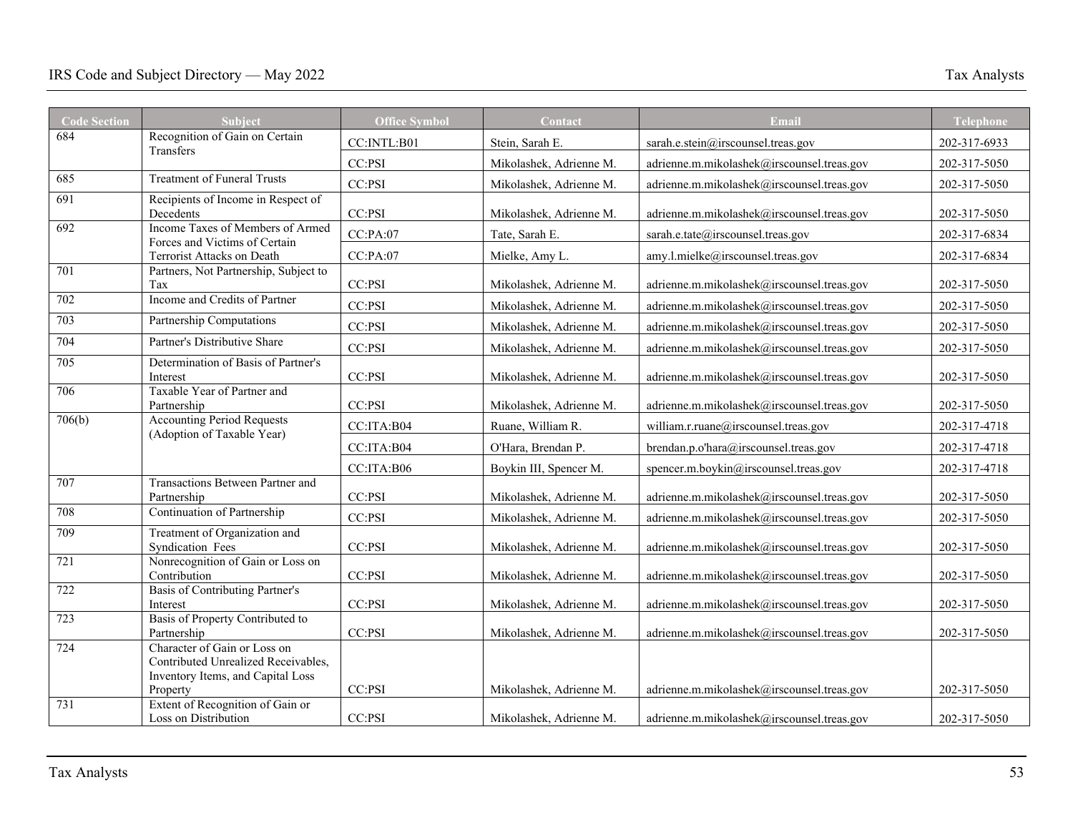| <b>Code Section</b> | <b>Subject</b>                                                      | <b>Office Symbol</b> | Contact                 | Email                                      | <b>Telephone</b> |
|---------------------|---------------------------------------------------------------------|----------------------|-------------------------|--------------------------------------------|------------------|
| 684                 | Recognition of Gain on Certain<br>Transfers                         | CC:INTL:B01          | Stein, Sarah E.         | sarah.e.stein@irscounsel.treas.gov         | 202-317-6933     |
|                     |                                                                     | CC:PSI               | Mikolashek, Adrienne M. | adrienne.m.mikolashek@irscounsel.treas.gov | 202-317-5050     |
| 685                 | <b>Treatment of Funeral Trusts</b>                                  | CC:PSI               | Mikolashek, Adrienne M. | adrienne.m.mikolashek@irscounsel.treas.gov | 202-317-5050     |
| 691                 | Recipients of Income in Respect of<br>Decedents                     | CC:PSI               | Mikolashek, Adrienne M. | adrienne.m.mikolashek@irscounsel.treas.gov | 202-317-5050     |
| $\overline{692}$    | Income Taxes of Members of Armed<br>Forces and Victims of Certain   | CC:PA:07             | Tate, Sarah E.          | sarah.e.tate@irscounsel.treas.gov          | 202-317-6834     |
|                     | <b>Terrorist Attacks on Death</b>                                   | CC:PA:07             | Mielke, Amy L.          | amy.l.mielke@irscounsel.treas.gov          | 202-317-6834     |
| 701                 | Partners, Not Partnership, Subject to<br>Tax                        | CC:PSI               | Mikolashek, Adrienne M. | adrienne.m.mikolashek@irscounsel.treas.gov | 202-317-5050     |
| 702                 | Income and Credits of Partner                                       | CC:PSI               | Mikolashek, Adrienne M. | adrienne.m.mikolashek@irscounsel.treas.gov | 202-317-5050     |
| 703                 | Partnership Computations                                            | CC:PSI               | Mikolashek, Adrienne M. | adrienne.m.mikolashek@irscounsel.treas.gov | 202-317-5050     |
| 704                 | Partner's Distributive Share                                        | CC:PSI               | Mikolashek, Adrienne M. | adrienne.m.mikolashek@irscounsel.treas.gov | 202-317-5050     |
| $\overline{705}$    | Determination of Basis of Partner's<br>Interest                     | CC:PSI               | Mikolashek, Adrienne M. | adrienne.m.mikolashek@irscounsel.treas.gov | 202-317-5050     |
| 706                 | Taxable Year of Partner and<br>Partnership                          | CC:PSI               | Mikolashek, Adrienne M. | adrienne.m.mikolashek@irscounsel.treas.gov | 202-317-5050     |
| 706(b)              | <b>Accounting Period Requests</b><br>(Adoption of Taxable Year)     | CC:ITA:B04           | Ruane, William R.       | william.r.ruane@irscounsel.treas.gov       | 202-317-4718     |
|                     |                                                                     | CC:ITA:B04           | O'Hara, Brendan P.      | brendan.p.o'hara@irscounsel.treas.gov      | 202-317-4718     |
|                     |                                                                     | CC:ITA:B06           | Boykin III, Spencer M.  | spencer.m.boykin@irscounsel.treas.gov      | 202-317-4718     |
| 707                 | Transactions Between Partner and<br>Partnership                     | CC:PSI               | Mikolashek, Adrienne M. | adrienne.m.mikolashek@irscounsel.treas.gov | 202-317-5050     |
| 708                 | <b>Continuation of Partnership</b>                                  | CC:PSI               | Mikolashek, Adrienne M. | adrienne.m.mikolashek@irscounsel.treas.gov | 202-317-5050     |
| 709                 | Treatment of Organization and<br>Syndication Fees                   | CC:PSI               | Mikolashek, Adrienne M. | adrienne.m.mikolashek@irscounsel.treas.gov | 202-317-5050     |
| $\overline{721}$    | Nonrecognition of Gain or Loss on<br>Contribution                   | CC:PSI               | Mikolashek, Adrienne M. | adrienne.m.mikolashek@irscounsel.treas.gov | 202-317-5050     |
| 722                 | Basis of Contributing Partner's                                     | CC:PSI               |                         |                                            |                  |
| 723                 | Interest<br>Basis of Property Contributed to                        |                      | Mikolashek, Adrienne M. | adrienne.m.mikolashek@irscounsel.treas.gov | 202-317-5050     |
|                     | Partnership                                                         | CC:PSI               | Mikolashek, Adrienne M. | adrienne.m.mikolashek@irscounsel.treas.gov | 202-317-5050     |
| 724                 | Character of Gain or Loss on<br>Contributed Unrealized Receivables, |                      |                         |                                            |                  |
|                     | Inventory Items, and Capital Loss                                   |                      |                         |                                            |                  |
|                     | Property                                                            | CC:PSI               | Mikolashek, Adrienne M. | adrienne.m.mikolashek@irscounsel.treas.gov | 202-317-5050     |
| 731                 | Extent of Recognition of Gain or<br>Loss on Distribution            | CC:PSI               | Mikolashek, Adrienne M. | adrienne.m.mikolashek@irscounsel.treas.gov | 202-317-5050     |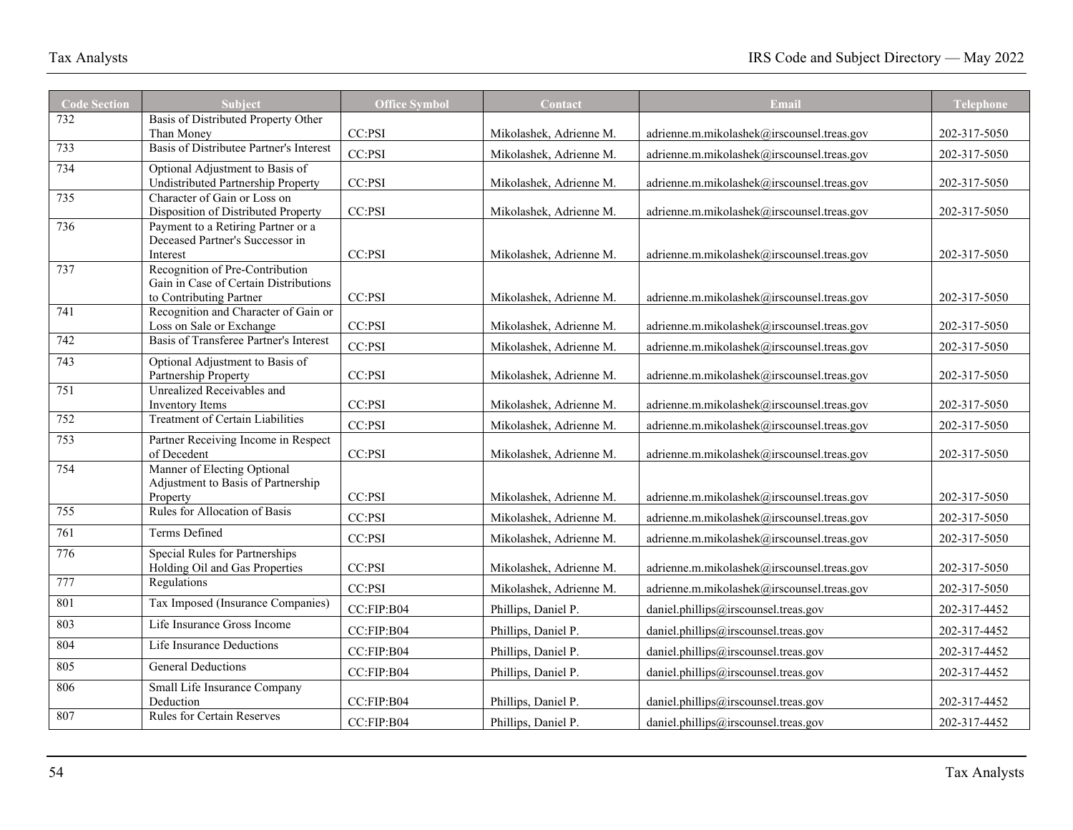| <b>Code Section</b> | Subject                                                               | <b>Office Symbol</b> | Contact                 | Email                                      | Telephone    |
|---------------------|-----------------------------------------------------------------------|----------------------|-------------------------|--------------------------------------------|--------------|
| 732                 | Basis of Distributed Property Other                                   |                      |                         |                                            |              |
|                     | Than Money                                                            | CC:PSI               | Mikolashek, Adrienne M. | adrienne.m.mikolashek@irscounsel.treas.gov | 202-317-5050 |
| 733                 | Basis of Distributee Partner's Interest                               | CC:PSI               | Mikolashek, Adrienne M. | adrienne.m.mikolashek@irscounsel.treas.gov | 202-317-5050 |
| 734                 | Optional Adjustment to Basis of<br>Undistributed Partnership Property | CC:PSI               | Mikolashek, Adrienne M. | adrienne.m.mikolashek@irscounsel.treas.gov | 202-317-5050 |
| 735                 | Character of Gain or Loss on<br>Disposition of Distributed Property   | CC:PSI               | Mikolashek, Adrienne M. | adrienne.m.mikolashek@irscounsel.treas.gov | 202-317-5050 |
| 736                 | Payment to a Retiring Partner or a                                    |                      |                         |                                            |              |
|                     | Deceased Partner's Successor in                                       |                      |                         |                                            |              |
|                     | Interest                                                              | CC:PSI               | Mikolashek, Adrienne M. | adrienne.m.mikolashek@irscounsel.treas.gov | 202-317-5050 |
| 737                 | Recognition of Pre-Contribution                                       |                      |                         |                                            |              |
|                     | Gain in Case of Certain Distributions<br>to Contributing Partner      | CC:PSI               | Mikolashek, Adrienne M. | adrienne.m.mikolashek@irscounsel.treas.gov | 202-317-5050 |
| 741                 | Recognition and Character of Gain or                                  |                      |                         |                                            |              |
|                     | Loss on Sale or Exchange                                              | CC:PSI               | Mikolashek, Adrienne M. | adrienne.m.mikolashek@irscounsel.treas.gov | 202-317-5050 |
| 742                 | Basis of Transferee Partner's Interest                                | CC:PSI               | Mikolashek, Adrienne M. | adrienne.m.mikolashek@irscounsel.treas.gov | 202-317-5050 |
| 743                 | Optional Adjustment to Basis of                                       |                      |                         |                                            |              |
|                     | Partnership Property                                                  | CC:PSI               | Mikolashek, Adrienne M. | adrienne.m.mikolashek@irscounsel.treas.gov | 202-317-5050 |
| 751                 | Unrealized Receivables and                                            |                      |                         |                                            |              |
| 752                 | <b>Inventory Items</b><br><b>Treatment of Certain Liabilities</b>     | CC:PSI               | Mikolashek, Adrienne M. | adrienne.m.mikolashek@irscounsel.treas.gov | 202-317-5050 |
|                     |                                                                       | CC:PSI               | Mikolashek, Adrienne M. | adrienne.m.mikolashek@irscounsel.treas.gov | 202-317-5050 |
| 753                 | Partner Receiving Income in Respect<br>of Decedent                    |                      |                         |                                            |              |
| 754                 | Manner of Electing Optional                                           | CC:PSI               | Mikolashek, Adrienne M. | adrienne.m.mikolashek@irscounsel.treas.gov | 202-317-5050 |
|                     | Adjustment to Basis of Partnership                                    |                      |                         |                                            |              |
|                     | Property                                                              | CC:PSI               | Mikolashek, Adrienne M. | adrienne.m.mikolashek@irscounsel.treas.gov | 202-317-5050 |
| 755                 | Rules for Allocation of Basis                                         | CC:PSI               | Mikolashek, Adrienne M. | adrienne.m.mikolashek@irscounsel.treas.gov | 202-317-5050 |
| 761                 | Terms Defined                                                         | CC:PSI               | Mikolashek, Adrienne M. | adrienne.m.mikolashek@irscounsel.treas.gov | 202-317-5050 |
| 776                 | Special Rules for Partnerships<br>Holding Oil and Gas Properties      | CC:PSI               | Mikolashek, Adrienne M. | adrienne.m.mikolashek@irscounsel.treas.gov | 202-317-5050 |
| 777                 | Regulations                                                           | CC:PSI               | Mikolashek, Adrienne M. | adrienne.m.mikolashek@irscounsel.treas.gov | 202-317-5050 |
| 801                 | Tax Imposed (Insurance Companies)                                     | CC:FIP:B04           | Phillips, Daniel P.     | daniel.phillips@irscounsel.treas.gov       | 202-317-4452 |
| 803                 | Life Insurance Gross Income                                           | CC:FIP:B04           | Phillips, Daniel P.     | daniel.phillips@irscounsel.treas.gov       | 202-317-4452 |
| 804                 | Life Insurance Deductions                                             | CC:FIP:B04           | Phillips, Daniel P.     | daniel.phillips@irscounsel.treas.gov       | 202-317-4452 |
| 805                 | General Deductions                                                    | CC:FIP:B04           | Phillips, Daniel P.     | daniel.phillips@irscounsel.treas.gov       | 202-317-4452 |
| 806                 | Small Life Insurance Company                                          |                      |                         |                                            |              |
|                     | Deduction                                                             | CC:FIP:B04           | Phillips, Daniel P.     | daniel.phillips@irscounsel.treas.gov       | 202-317-4452 |
| 807                 | <b>Rules for Certain Reserves</b>                                     | CC:FIP:B04           | Phillips, Daniel P.     | daniel.phillips@irscounsel.treas.gov       | 202-317-4452 |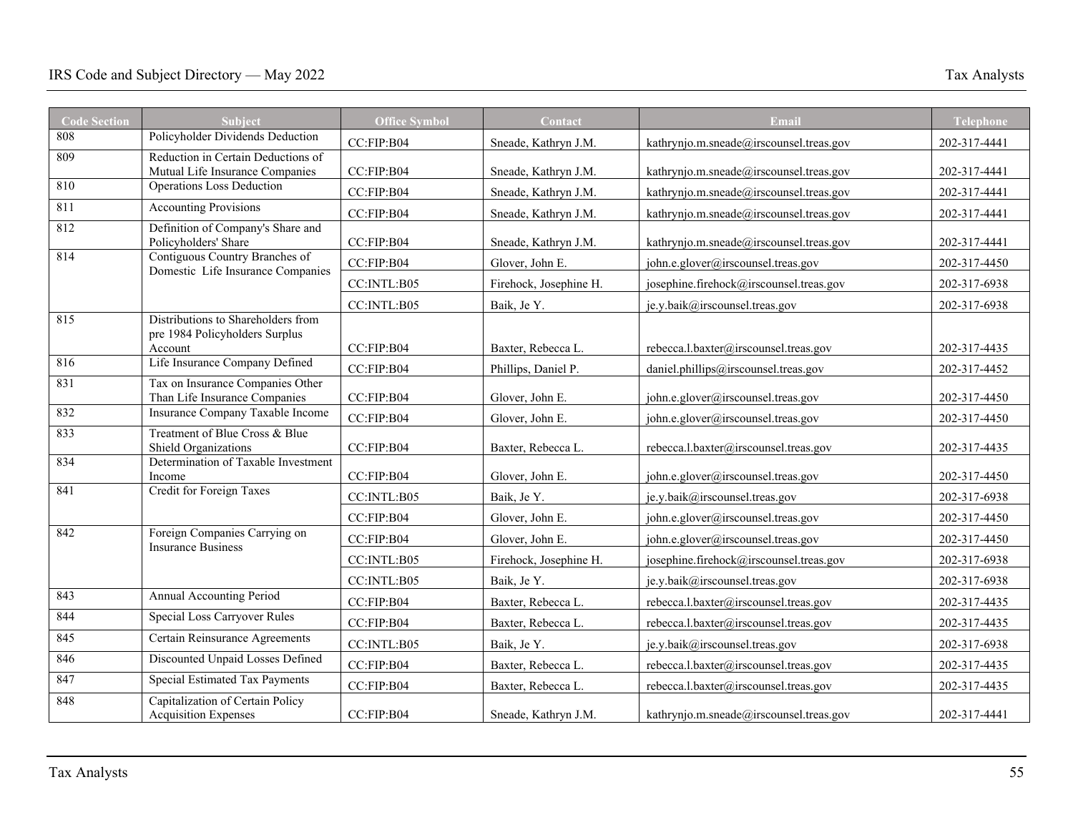| Code Section | <b>Subject</b>                                                                  | <b>Office Symbol</b> | Contact                | Email                                   | <b>Telephone</b> |
|--------------|---------------------------------------------------------------------------------|----------------------|------------------------|-----------------------------------------|------------------|
| 808          | Policyholder Dividends Deduction                                                | CC:FIP:B04           | Sneade, Kathryn J.M.   | kathrynjo.m.sneade@irscounsel.treas.gov | 202-317-4441     |
| 809          | Reduction in Certain Deductions of<br>Mutual Life Insurance Companies           | CC:FIP:B04           | Sneade, Kathryn J.M.   | kathrynjo.m.sneade@irscounsel.treas.gov | 202-317-4441     |
| 810          | Operations Loss Deduction                                                       | CC:FIP:B04           | Sneade, Kathryn J.M.   | kathrynjo.m.sneade@irscounsel.treas.gov | 202-317-4441     |
| 811          | <b>Accounting Provisions</b>                                                    | CC:FIP:B04           | Sneade, Kathryn J.M.   | kathrynjo.m.sneade@irscounsel.treas.gov | 202-317-4441     |
| 812          | Definition of Company's Share and<br>Policyholders' Share                       | CC:FIP:B04           | Sneade, Kathryn J.M.   | kathrynjo.m.sneade@irscounsel.treas.gov | 202-317-4441     |
| 814          | Contiguous Country Branches of<br>Domestic Life Insurance Companies             | CC:FIP:B04           | Glover, John E.        | john.e.glover@irscounsel.treas.gov      | 202-317-4450     |
|              |                                                                                 | CC:INTL:B05          | Firehock, Josephine H. | josephine.firehock@irscounsel.treas.gov | 202-317-6938     |
|              |                                                                                 | CC: INTL: B05        | Baik, Je Y.            | je.y.baik@irscounsel.treas.gov          | 202-317-6938     |
| 815          | Distributions to Shareholders from<br>pre 1984 Policyholders Surplus<br>Account | CC:FIP:B04           | Baxter, Rebecca L.     | rebecca.l.baxter@irscounsel.treas.gov   | 202-317-4435     |
| 816          | Life Insurance Company Defined                                                  | CC:FIP:B04           | Phillips, Daniel P.    | daniel.phillips@irscounsel.treas.gov    | 202-317-4452     |
| 831          | Tax on Insurance Companies Other<br>Than Life Insurance Companies               | CC:FIP:B04           | Glover, John E.        | john.e.glover@irscounsel.treas.gov      | 202-317-4450     |
| 832          | Insurance Company Taxable Income                                                | CC:FIP:B04           | Glover, John E.        | john.e.glover@irscounsel.treas.gov      | 202-317-4450     |
| 833          | Treatment of Blue Cross & Blue<br>Shield Organizations                          | CC:FIP:B04           | Baxter, Rebecca L.     | rebecca.l.baxter@irscounsel.treas.gov   | 202-317-4435     |
| 834          | Determination of Taxable Investment<br>Income                                   | CC:FIP:B04           | Glover, John E.        | john.e.glover@irscounsel.treas.gov      | 202-317-4450     |
| 841          | Credit for Foreign Taxes                                                        | CC: INTL: B05        | Baik, Je Y.            | je.y.baik@irscounsel.treas.gov          | 202-317-6938     |
|              |                                                                                 | CC:FIP:B04           | Glover, John E.        | john.e.glover@irscounsel.treas.gov      | 202-317-4450     |
| 842          | Foreign Companies Carrying on<br><b>Insurance Business</b>                      | CC:FIP:B04           | Glover, John E.        | john.e.glover@irscounsel.treas.gov      | 202-317-4450     |
|              |                                                                                 | CC:INTL:B05          | Firehock, Josephine H. | josephine.firehock@irscounsel.treas.gov | 202-317-6938     |
|              |                                                                                 | CC: INTL: B05        | Baik, Je Y.            | je.y.baik@irscounsel.treas.gov          | 202-317-6938     |
| 843          | Annual Accounting Period                                                        | CC:FIP:B04           | Baxter, Rebecca L.     | rebecca.l.baxter@irscounsel.treas.gov   | 202-317-4435     |
| 844          | <b>Special Loss Carryover Rules</b>                                             | CC:FIP:B04           | Baxter, Rebecca L.     | rebecca.l.baxter@irscounsel.treas.gov   | 202-317-4435     |
| 845          | Certain Reinsurance Agreements                                                  | CC: INTL: B05        | Baik. Je Y.            | je.y.baik@irscounsel.treas.gov          | 202-317-6938     |
| 846          | Discounted Unpaid Losses Defined                                                | CC:FIP:B04           | Baxter, Rebecca L.     | rebecca.l.baxter@irscounsel.treas.gov   | 202-317-4435     |
| 847          | <b>Special Estimated Tax Payments</b>                                           | CC:FIP:B04           | Baxter, Rebecca L.     | rebecca.l.baxter@irscounsel.treas.gov   | 202-317-4435     |
| 848          | Capitalization of Certain Policy<br><b>Acquisition Expenses</b>                 | CC:FIP:B04           | Sneade, Kathryn J.M.   | kathrynjo.m.sneade@irscounsel.treas.gov | 202-317-4441     |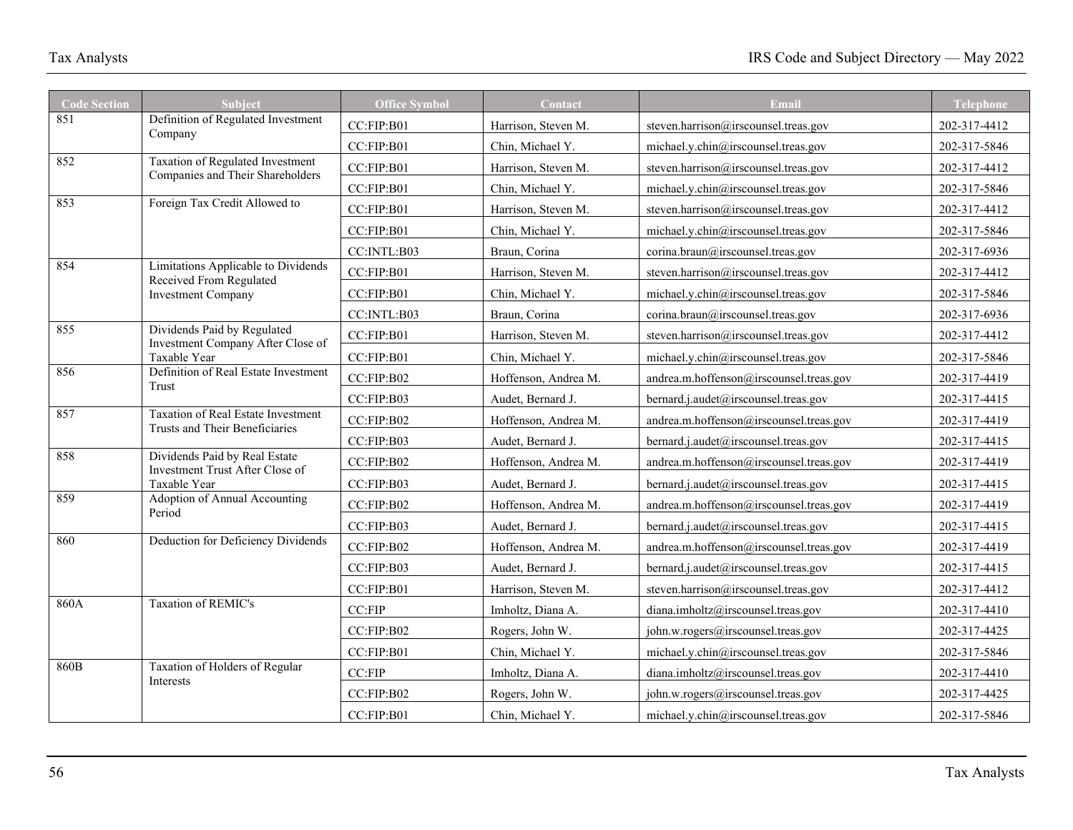| <b>Code Section</b> | Subject                                                                     | <b>Office Symbol</b> | Contact              | Email                                   | <b>Telephone</b> |
|---------------------|-----------------------------------------------------------------------------|----------------------|----------------------|-----------------------------------------|------------------|
| 851                 | Definition of Regulated Investment                                          | CC:FIP:B01           | Harrison, Steven M.  | steven.harrison@irscounsel.treas.gov    | 202-317-4412     |
|                     | Company                                                                     | CC:FIP:B01           | Chin, Michael Y.     | michael.y.chin@irscounsel.treas.gov     | 202-317-5846     |
| 852                 | <b>Taxation of Regulated Investment</b><br>Companies and Their Shareholders | CC:FIP:B01           | Harrison, Steven M.  | steven.harrison@irscounsel.treas.gov    | 202-317-4412     |
|                     |                                                                             | CC:FIP:B01           | Chin, Michael Y.     | michael.y.chin@irscounsel.treas.gov     | 202-317-5846     |
| 853                 | Foreign Tax Credit Allowed to                                               | CC:FIP:B01           | Harrison, Steven M.  | steven.harrison@irscounsel.treas.gov    | 202-317-4412     |
|                     |                                                                             | CC:FIP:B01           | Chin, Michael Y.     | michael.y.chin@irscounsel.treas.gov     | 202-317-5846     |
|                     |                                                                             | CC:INTL:B03          | Braun, Corina        | corina.braun@irscounsel.treas.gov       | 202-317-6936     |
| 854                 | Limitations Applicable to Dividends<br>Received From Regulated              | CC:FIP:B01           | Harrison, Steven M.  | steven.harrison@irscounsel.treas.gov    | 202-317-4412     |
|                     | <b>Investment Company</b>                                                   | CC:FIP:B01           | Chin, Michael Y.     | michael.y.chin@irscounsel.treas.gov     | 202-317-5846     |
|                     |                                                                             | CC:INTL:B03          | Braun, Corina        | corina.braun@irscounsel.treas.gov       | 202-317-6936     |
| 855                 | Dividends Paid by Regulated<br>Investment Company After Close of            | CC:FIP:B01           | Harrison, Steven M.  | steven.harrison@irscounsel.treas.gov    | 202-317-4412     |
|                     | Taxable Year                                                                | CC:FIP:B01           | Chin, Michael Y.     | michael.y.chin@irscounsel.treas.gov     | 202-317-5846     |
| 856                 | Definition of Real Estate Investment<br>Trust                               | CC:FIP:B02           | Hoffenson, Andrea M. | andrea.m.hoffenson@irscounsel.treas.gov | 202-317-4419     |
|                     |                                                                             | CC:FIP:B03           | Audet, Bernard J.    | bernard.j.audet@irscounsel.treas.gov    | 202-317-4415     |
| 857                 | <b>Taxation of Real Estate Investment</b><br>Trusts and Their Beneficiaries | CC:FIP:B02           | Hoffenson, Andrea M. | andrea.m.hoffenson@irscounsel.treas.gov | 202-317-4419     |
|                     |                                                                             | CC:FIP:B03           | Audet, Bernard J.    | bernard.j.audet@irscounsel.treas.gov    | 202-317-4415     |
| 858                 | Dividends Paid by Real Estate<br>Investment Trust After Close of            | CC:FIP:B02           | Hoffenson, Andrea M. | andrea.m.hoffenson@irscounsel.treas.gov | 202-317-4419     |
|                     | Taxable Year                                                                | CC:FIP:B03           | Audet, Bernard J.    | bernard.j.audet@irscounsel.treas.gov    | 202-317-4415     |
| 859                 | Adoption of Annual Accounting<br>Period                                     | CC:FIP:B02           | Hoffenson, Andrea M. | andrea.m.hoffenson@irscounsel.treas.gov | 202-317-4419     |
|                     |                                                                             | CC:FIP:B03           | Audet, Bernard J.    | bernard.j.audet@irscounsel.treas.gov    | 202-317-4415     |
| 860                 | Deduction for Deficiency Dividends                                          | CC:FIP:B02           | Hoffenson, Andrea M. | andrea.m.hoffenson@irscounsel.treas.gov | 202-317-4419     |
|                     |                                                                             | CC:FIP:B03           | Audet, Bernard J.    | bernard.j.audet@irscounsel.treas.gov    | 202-317-4415     |
|                     |                                                                             | CC:FIP:B01           | Harrison, Steven M.  | steven.harrison@irscounsel.treas.gov    | 202-317-4412     |
| 860A                | Taxation of REMIC's                                                         | CC:FIP               | Imholtz, Diana A.    | diana.imholtz@irscounsel.treas.gov      | 202-317-4410     |
|                     |                                                                             | CC:FIP:B02           | Rogers, John W.      | john.w.rogers@irscounsel.treas.gov      | 202-317-4425     |
|                     |                                                                             | CC:FIP:B01           | Chin, Michael Y.     | michael.y.chin@irscounsel.treas.gov     | 202-317-5846     |
| 860B                | Taxation of Holders of Regular<br>Interests                                 | CC:FIP               | Imholtz, Diana A.    | diana.imholtz@irscounsel.treas.gov      | 202-317-4410     |
|                     |                                                                             | CC:FIP:B02           | Rogers, John W.      | john.w.rogers@irscounsel.treas.gov      | 202-317-4425     |
|                     |                                                                             | CC:FIP:B01           | Chin, Michael Y.     | michael.y.chin@irscounsel.treas.gov     | 202-317-5846     |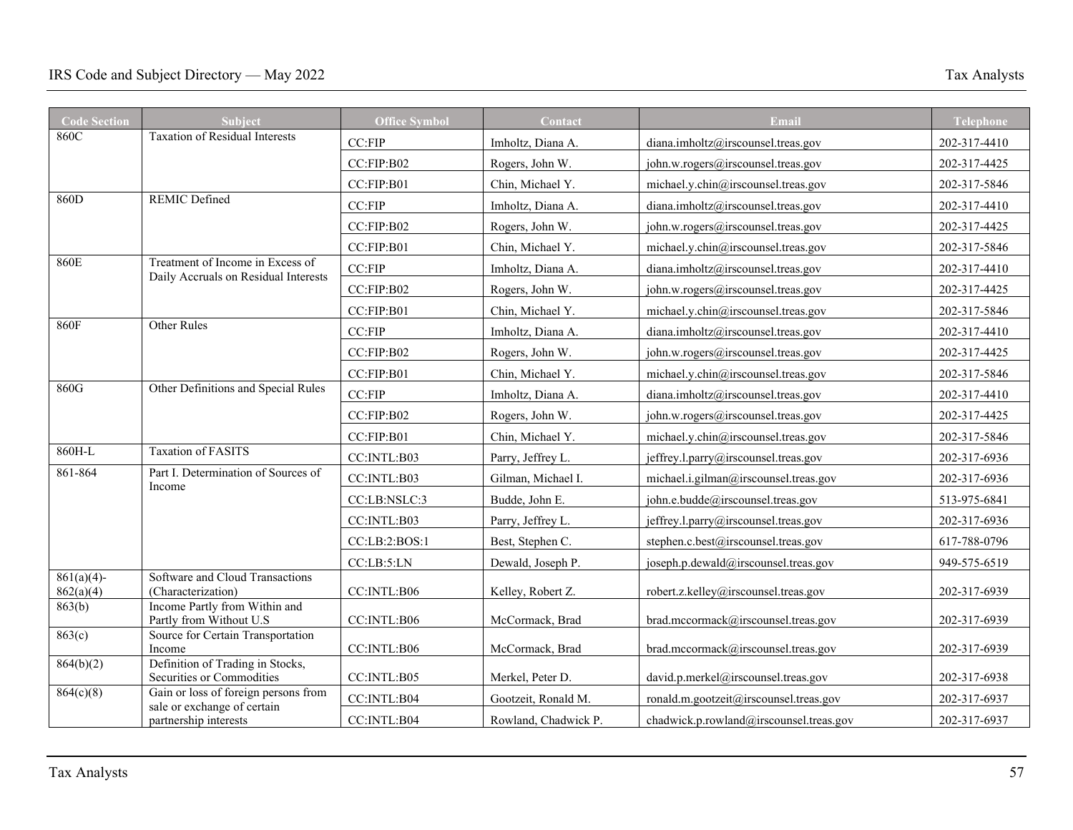| <b>Code Section</b>        | Subject                                                             | <b>Office Symbol</b> | Contact              | Email                                   | Telephone    |
|----------------------------|---------------------------------------------------------------------|----------------------|----------------------|-----------------------------------------|--------------|
| 860C                       | <b>Taxation of Residual Interests</b>                               | CC:FIP               | Imholtz, Diana A.    | diana.imholtz@irscounsel.treas.gov      | 202-317-4410 |
|                            |                                                                     | CC:FIP:B02           | Rogers, John W.      | john.w.rogers@irscounsel.treas.gov      | 202-317-4425 |
|                            |                                                                     | CC:FIP:B01           | Chin, Michael Y.     | michael.y.chin@irscounsel.treas.gov     | 202-317-5846 |
| 860D                       | <b>REMIC Defined</b>                                                | CC:FIP               | Imholtz, Diana A.    | diana.imholtz@irscounsel.treas.gov      | 202-317-4410 |
|                            |                                                                     | CC:FIP:B02           | Rogers, John W.      | john.w.rogers@irscounsel.treas.gov      | 202-317-4425 |
|                            |                                                                     | CC:FIP:B01           | Chin, Michael Y.     | michael.y.chin@irscounsel.treas.gov     | 202-317-5846 |
| 860E                       | Treatment of Income in Excess of                                    | CC:FIP               | Imholtz, Diana A.    | diana.imholtz@irscounsel.treas.gov      | 202-317-4410 |
|                            | Daily Accruals on Residual Interests                                | CC:FIP:B02           | Rogers, John W.      | john.w.rogers@irscounsel.treas.gov      | 202-317-4425 |
|                            |                                                                     | CC:FIP:B01           | Chin, Michael Y.     | michael.y.chin@irscounsel.treas.gov     | 202-317-5846 |
| 860F                       | Other Rules                                                         | CC:FIP               | Imholtz, Diana A.    | diana.imholtz@irscounsel.treas.gov      | 202-317-4410 |
|                            |                                                                     | CC:FIP:B02           | Rogers, John W.      | john.w.rogers@irscounsel.treas.gov      | 202-317-4425 |
|                            |                                                                     | CC:FIP:B01           | Chin, Michael Y.     | michael.y.chin@irscounsel.treas.gov     | 202-317-5846 |
| 860G                       | Other Definitions and Special Rules                                 | CC:FIP               | Imholtz, Diana A.    | diana.imholtz@irscounsel.treas.gov      | 202-317-4410 |
|                            |                                                                     | CC:FIP:B02           | Rogers, John W.      | john.w.rogers@irscounsel.treas.gov      | 202-317-4425 |
|                            |                                                                     | CC:FIP:B01           | Chin, Michael Y.     | michael.y.chin@irscounsel.treas.gov     | 202-317-5846 |
| 860H-L                     | <b>Taxation of FASITS</b>                                           | CC:INTL:B03          | Parry, Jeffrey L.    | jeffrey.l.parry@irscounsel.treas.gov    | 202-317-6936 |
| 861-864                    | Part I. Determination of Sources of                                 | CC:INTL:B03          | Gilman, Michael I.   | michael.i.gilman@irscounsel.treas.gov   | 202-317-6936 |
|                            | Income                                                              | CC:LB:NSLC:3         | Budde, John E.       | john.e.budde@irscounsel.treas.gov       | 513-975-6841 |
|                            |                                                                     | CC:INTL:B03          | Parry, Jeffrey L.    | jeffrey.l.parry@irscounsel.treas.gov    | 202-317-6936 |
|                            |                                                                     | CC:LB:2:BOS:1        | Best, Stephen C.     | stephen.c.best@irscounsel.treas.gov     | 617-788-0796 |
|                            |                                                                     | CC:LB:5:LN           | Dewald, Joseph P.    | joseph.p.dewald@irscounsel.treas.gov    | 949-575-6519 |
| $861(a)(4)$ -<br>862(a)(4) | Software and Cloud Transactions<br>(Characterization)               | CC:INTL:B06          | Kelley, Robert Z.    | robert.z.kelley@irscounsel.treas.gov    | 202-317-6939 |
| 863(b)                     | Income Partly from Within and<br>Partly from Without U.S            | CC: INTL: B06        | McCormack, Brad      | brad.mccormack@irscounsel.treas.gov     | 202-317-6939 |
| 863(c)                     | Source for Certain Transportation<br>Income                         | CC:INTL:B06          | McCormack, Brad      | brad.mccormack@irscounsel.treas.gov     | 202-317-6939 |
| 864(b)(2)                  | Definition of Trading in Stocks,<br>Securities or Commodities       | CC:INTL:B05          | Merkel, Peter D.     | david.p.merkel@irscounsel.treas.gov     | 202-317-6938 |
| 864(c)(8)                  | Gain or loss of foreign persons from<br>sale or exchange of certain | CC:INTL:B04          | Gootzeit, Ronald M.  | ronald.m.gootzeit@irscounsel.treas.gov  | 202-317-6937 |
|                            | partnership interests                                               | CC:INTL:B04          | Rowland, Chadwick P. | chadwick.p.rowland@irscounsel.treas.gov | 202-317-6937 |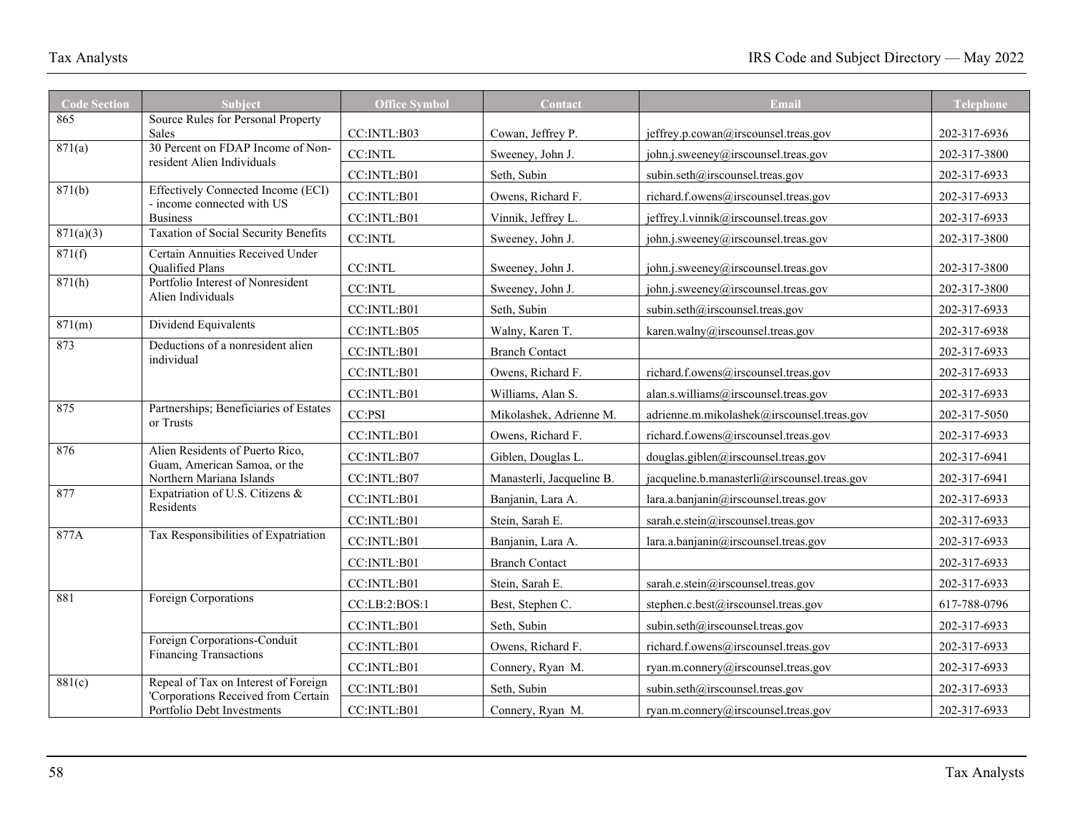| <b>Code Section</b> | Subject                                                           | <b>Office Symbol</b> | Contact                   | Email                                        | Telephone    |
|---------------------|-------------------------------------------------------------------|----------------------|---------------------------|----------------------------------------------|--------------|
| 865                 | Source Rules for Personal Property                                |                      |                           |                                              |              |
| 871(a)              | Sales<br>30 Percent on FDAP Income of Non-                        | CC: INTL: B03        | Cowan, Jeffrey P.         | jeffrey.p.cowan@irscounsel.treas.gov         | 202-317-6936 |
|                     | resident Alien Individuals                                        | $CC:\mathrm{INTL}$   | Sweeney, John J.          | john.j.sweeney@irscounsel.treas.gov          | 202-317-3800 |
|                     |                                                                   | CC:INTL:B01          | Seth, Subin               | subin.seth@irscounsel.treas.gov              | 202-317-6933 |
| 871(b)              | Effectively Connected Income (ECI)<br>- income connected with US  | CC:INTL:B01          | Owens, Richard F.         | richard.f.owens@irscounsel.treas.gov         | 202-317-6933 |
|                     | <b>Business</b>                                                   | CC:INTL:B01          | Vinnik, Jeffrey L.        | jeffrey.l.vinnik@irscounsel.treas.gov        | 202-317-6933 |
| 871(a)(3)           | Taxation of Social Security Benefits                              | $CC:\mathrm{INTL}$   | Sweeney, John J.          | john.j.sweeney@irscounsel.treas.gov          | 202-317-3800 |
| 871(f)              | Certain Annuities Received Under<br>Qualified Plans               | $\rm CC{:}INTL$      | Sweeney, John J.          | john.j.sweeney@irscounsel.treas.gov          | 202-317-3800 |
| 871(h)              | Portfolio Interest of Nonresident                                 | $CC:\mathrm{INTL}$   | Sweeney, John J.          | john.j.sweeney@irscounsel.treas.gov          | 202-317-3800 |
|                     | Alien Individuals                                                 | CC:INTL:B01          | Seth, Subin               | subin.seth@irscounsel.treas.gov              | 202-317-6933 |
| 871(m)              | Dividend Equivalents                                              | CC:INTL:B05          | Walny, Karen T.           | karen.walny@irscounsel.treas.gov             | 202-317-6938 |
| 873                 | Deductions of a nonresident alien                                 | CC:INTL:B01          | <b>Branch Contact</b>     |                                              | 202-317-6933 |
|                     | individual                                                        | CC:INTL:B01          | Owens, Richard F.         | richard.f.owens@irscounsel.treas.gov         | 202-317-6933 |
|                     |                                                                   | CC:INTL:B01          | Williams, Alan S.         | alan.s.williams@irscounsel.treas.gov         | 202-317-6933 |
| 875                 | Partnerships; Beneficiaries of Estates<br>or Trusts               | CC:PSI               | Mikolashek, Adrienne M.   | adrienne.m.mikolashek@irscounsel.treas.gov   | 202-317-5050 |
|                     |                                                                   | CC:INTL:B01          | Owens, Richard F.         | richard.f.owens@irscounsel.treas.gov         | 202-317-6933 |
| 876                 | Alien Residents of Puerto Rico,<br>Guam, American Samoa, or the   | CC:INTL:B07          | Giblen, Douglas L.        | douglas.giblen@irscounsel.treas.gov          | 202-317-6941 |
|                     | Northern Mariana Islands                                          | CC: INTL: B07        | Manasterli, Jacqueline B. | jacqueline.b.manasterli@irscounsel.treas.gov | 202-317-6941 |
| 877                 | Expatriation of U.S. Citizens &<br>Residents                      | CC:INTL:B01          | Banjanin, Lara A.         | lara.a.banjanin@irscounsel.treas.gov         | 202-317-6933 |
|                     |                                                                   | CC:INTL:B01          | Stein, Sarah E.           | sarah.e.stein@irscounsel.treas.gov           | 202-317-6933 |
| 877A                | Tax Responsibilities of Expatriation                              | CC:INTL:B01          | Banjanin, Lara A.         | lara.a.banjanin@irscounsel.treas.gov         | 202-317-6933 |
|                     |                                                                   | CC:INTL:B01          | <b>Branch Contact</b>     |                                              | 202-317-6933 |
|                     |                                                                   | CC:INTL:B01          | Stein, Sarah E.           | sarah.e.stein@irscounsel.treas.gov           | 202-317-6933 |
| 881                 | Foreign Corporations                                              | CC:LB:2:BOS:1        | Best, Stephen C.          | stephen.c.best@irscounsel.treas.gov          | 617-788-0796 |
|                     |                                                                   | CC:INTL:B01          | Seth, Subin               | subin.seth@irscounsel.treas.gov              | 202-317-6933 |
|                     | Foreign Corporations-Conduit                                      | CC:INTL:B01          | Owens, Richard F.         | richard.f.owens@irscounsel.treas.gov         | 202-317-6933 |
|                     | <b>Financing Transactions</b>                                     | CC:INTL:B01          | Connery, Ryan M.          | ryan.m.connery@irscounsel.treas.gov          | 202-317-6933 |
| 881(c)              | Repeal of Tax on Interest of Foreign                              | CC:INTL:B01          | Seth, Subin               | subin.seth@irscounsel.treas.gov              | 202-317-6933 |
|                     | 'Corporations Received from Certain<br>Portfolio Debt Investments | CC:INTL:B01          | Connery, Ryan M.          | ryan.m.connery@irscounsel.treas.gov          | 202-317-6933 |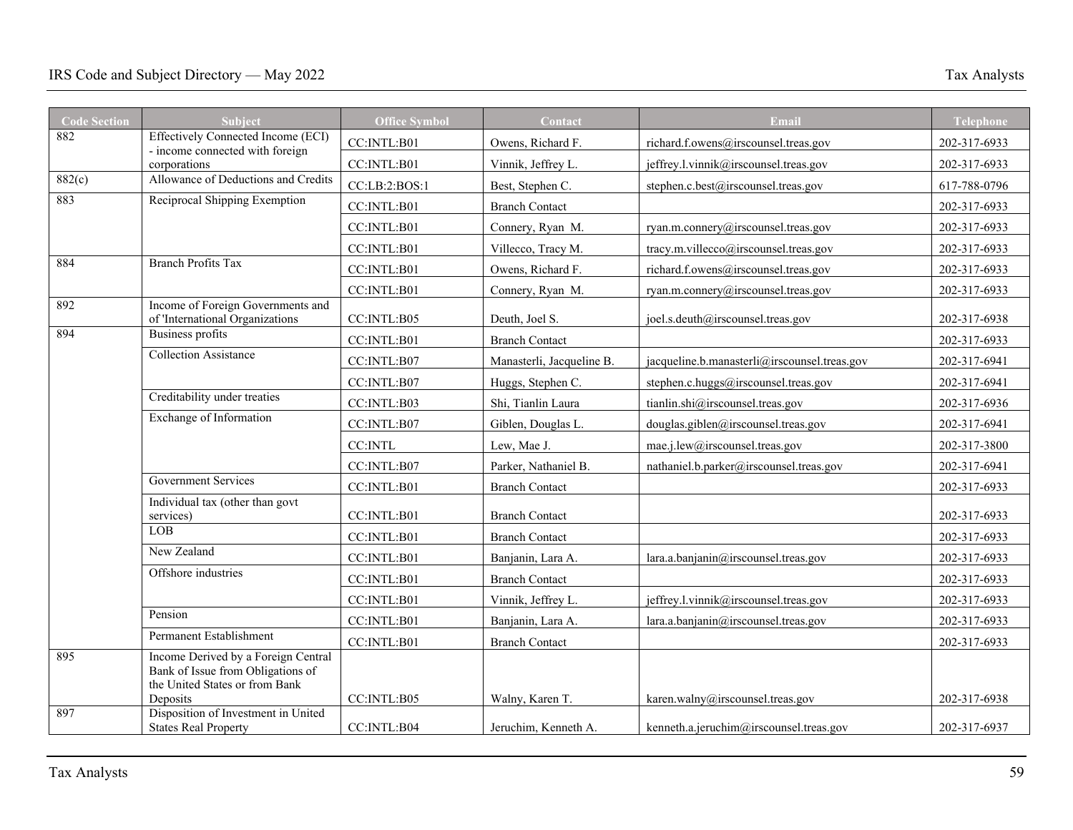| <b>Code Section</b> | <b>Subject</b>                                                                                                         | <b>Office Symbol</b> | Contact                   | Email                                        | <b>Telephone</b> |
|---------------------|------------------------------------------------------------------------------------------------------------------------|----------------------|---------------------------|----------------------------------------------|------------------|
| 882                 | Effectively Connected Income (ECI)<br>- income connected with foreign                                                  | CC:INTL:B01          | Owens, Richard F.         | richard.f.owens@irscounsel.treas.gov         | 202-317-6933     |
|                     | corporations                                                                                                           | CC:INTL:B01          | Vinnik, Jeffrey L.        | jeffrey.l.vinnik@irscounsel.treas.gov        | 202-317-6933     |
| 882(c)              | Allowance of Deductions and Credits                                                                                    | CC:LB:2:BOS:1        | Best, Stephen C.          | stephen.c.best@irscounsel.treas.gov          | 617-788-0796     |
| 883                 | Reciprocal Shipping Exemption                                                                                          | CC:INTL:B01          | <b>Branch Contact</b>     |                                              | 202-317-6933     |
|                     |                                                                                                                        | CC:INTL:B01          | Connery, Ryan M.          | ryan.m.connery@irscounsel.treas.gov          | 202-317-6933     |
|                     |                                                                                                                        | CC:INTL:B01          | Villecco, Tracy M.        | tracy.m.villecco@irscounsel.treas.gov        | 202-317-6933     |
| 884                 | <b>Branch Profits Tax</b>                                                                                              | CC:INTL:B01          | Owens, Richard F.         | richard.f.owens@irscounsel.treas.gov         | 202-317-6933     |
|                     |                                                                                                                        | CC:INTL:B01          | Connery, Ryan M.          | ryan.m.connery@irscounsel.treas.gov          | 202-317-6933     |
| 892                 | Income of Foreign Governments and<br>of 'International Organizations                                                   | CC: INTL: B05        | Deuth, Joel S.            | joel.s.deuth@irscounsel.treas.gov            | 202-317-6938     |
| 894                 | <b>Business profits</b>                                                                                                | CC:INTL:B01          | <b>Branch Contact</b>     |                                              | 202-317-6933     |
|                     | <b>Collection Assistance</b>                                                                                           | CC:INTL:B07          | Manasterli, Jacqueline B. | jacqueline.b.manasterli@irscounsel.treas.gov | 202-317-6941     |
|                     |                                                                                                                        | CC:INTL:B07          | Huggs, Stephen C.         | stephen.c.huggs@irscounsel.treas.gov         | 202-317-6941     |
|                     | Creditability under treaties                                                                                           | CC:INTL:B03          | Shi, Tianlin Laura        | tianlin.shi@irscounsel.treas.gov             | 202-317-6936     |
|                     | Exchange of Information                                                                                                | CC:INTL:B07          | Giblen, Douglas L.        | douglas.giblen@irscounsel.treas.gov          | 202-317-6941     |
|                     |                                                                                                                        | <b>CC:INTL</b>       | Lew, Mae J.               | mae.j.lew@irscounsel.treas.gov               | 202-317-3800     |
|                     |                                                                                                                        | CC:INTL:B07          | Parker, Nathaniel B.      | nathaniel.b.parker@irscounsel.treas.gov      | 202-317-6941     |
|                     | <b>Government Services</b>                                                                                             | CC:INTL:B01          | <b>Branch Contact</b>     |                                              | 202-317-6933     |
|                     | Individual tax (other than govt                                                                                        |                      |                           |                                              |                  |
|                     | services)<br><b>LOB</b>                                                                                                | CC:INTL:B01          | <b>Branch Contact</b>     |                                              | 202-317-6933     |
|                     | New Zealand                                                                                                            | CC:INTL:B01          | <b>Branch Contact</b>     |                                              | 202-317-6933     |
|                     |                                                                                                                        | CC:INTL:B01          | Banjanin, Lara A.         | lara.a.banjanin@irscounsel.treas.gov         | 202-317-6933     |
|                     | Offshore industries                                                                                                    | CC:INTL:B01          | <b>Branch Contact</b>     |                                              | 202-317-6933     |
|                     |                                                                                                                        | CC:INTL:B01          | Vinnik, Jeffrey L.        | jeffrey.l.vinnik@irscounsel.treas.gov        | 202-317-6933     |
|                     | Pension                                                                                                                | CC:INTL:B01          | Banjanin, Lara A.         | lara.a.banjanin@irscounsel.treas.gov         | 202-317-6933     |
|                     | Permanent Establishment                                                                                                | CC:INTL:B01          | <b>Branch Contact</b>     |                                              | 202-317-6933     |
| 895                 | Income Derived by a Foreign Central<br>Bank of Issue from Obligations of<br>the United States or from Bank<br>Deposits | CC:INTL:B05          | Walny, Karen T.           | karen.walny@irscounsel.treas.gov             | 202-317-6938     |
| 897                 | Disposition of Investment in United<br><b>States Real Property</b>                                                     | CC:INTL:B04          | Jeruchim. Kenneth A.      | kenneth.a.jeruchim@irscounsel.treas.gov      | 202-317-6937     |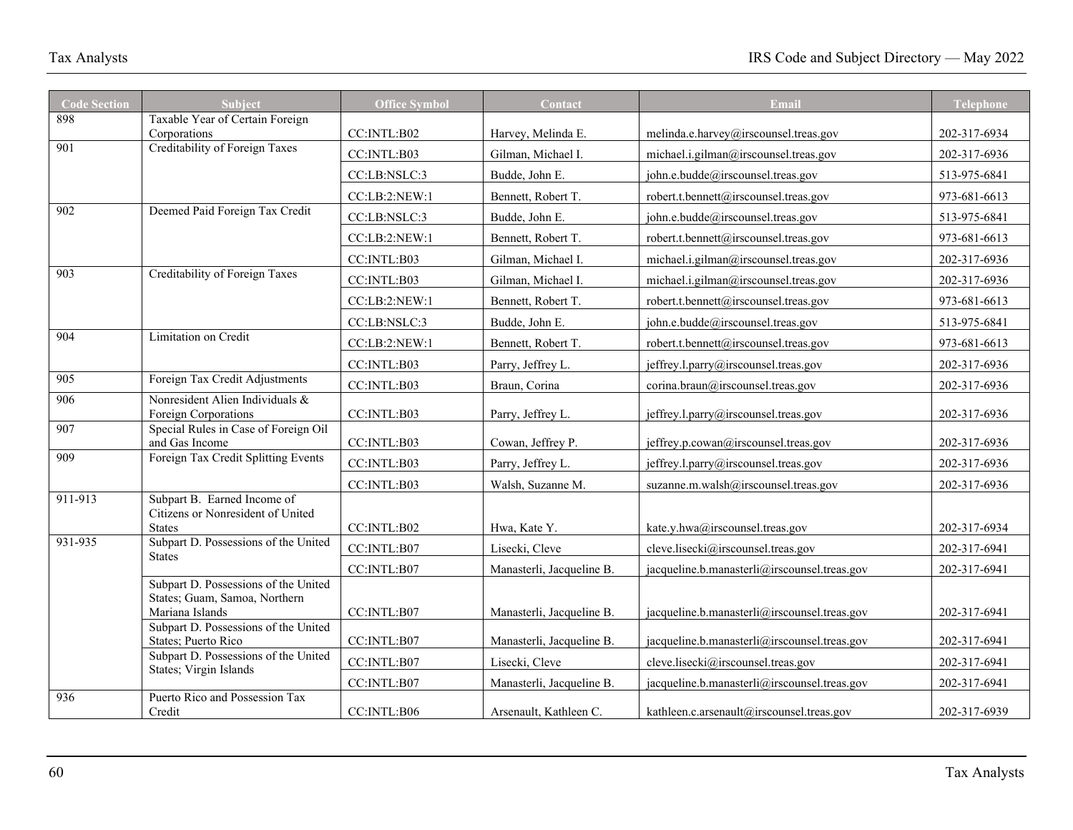| <b>Code Section</b> | <b>Subject</b>                                                                           | <b>Office Symbol</b> | Contact                   | Email                                        | <b>Telephone</b> |
|---------------------|------------------------------------------------------------------------------------------|----------------------|---------------------------|----------------------------------------------|------------------|
| 898                 | Taxable Year of Certain Foreign<br>Corporations                                          | CC: INTL: B02        | Harvey, Melinda E.        | melinda.e.harvey@irscounsel.treas.gov        | 202-317-6934     |
| 901                 | Creditability of Foreign Taxes                                                           | CC:INTL:B03          | Gilman, Michael I.        | michael.i.gilman@irscounsel.treas.gov        | 202-317-6936     |
|                     |                                                                                          | CC:LB:NSLC:3         | Budde, John E.            | john.e.budde@irscounsel.treas.gov            | 513-975-6841     |
|                     |                                                                                          | CC:LB:2:NEW:1        | Bennett, Robert T.        | robert.t.bennett@irscounsel.treas.gov        | 973-681-6613     |
| 902                 | Deemed Paid Foreign Tax Credit                                                           | CC:LB:NSLC:3         | Budde, John E.            | john.e.budde@irscounsel.treas.gov            | 513-975-6841     |
|                     |                                                                                          | CC:LB:2:NEW:1        | Bennett, Robert T.        | robert.t.bennett@irscounsel.treas.gov        | 973-681-6613     |
|                     |                                                                                          | CC:INTL:B03          | Gilman, Michael I.        | michael.i.gilman@irscounsel.treas.gov        | 202-317-6936     |
| 903                 | Creditability of Foreign Taxes                                                           | CC:INTL:B03          | Gilman, Michael I.        | michael.i.gilman@irscounsel.treas.gov        | 202-317-6936     |
|                     |                                                                                          | CC:LB:2:NEW:1        | Bennett, Robert T.        | robert.t.bennett@irscounsel.treas.gov        | 973-681-6613     |
|                     |                                                                                          | CC:LB:NSLC:3         | Budde, John E.            | john.e.budde@irscounsel.treas.gov            | 513-975-6841     |
| 904                 | Limitation on Credit                                                                     | CC:LB:2:NEW:1        | Bennett, Robert T.        | robert.t.bennett@irscounsel.treas.gov        | 973-681-6613     |
|                     |                                                                                          | CC:INTL:B03          | Parry, Jeffrey L.         | jeffrey.l.parry@irscounsel.treas.gov         | 202-317-6936     |
| 905                 | Foreign Tax Credit Adjustments                                                           | CC:INTL:B03          | Braun, Corina             | corina.braun@irscounsel.treas.gov            | 202-317-6936     |
| 906                 | Nonresident Alien Individuals &<br>Foreign Corporations                                  | CC: INTL: B03        | Parry, Jeffrey L.         | jeffrey.l.parry@irscounsel.treas.gov         | 202-317-6936     |
| 907                 | Special Rules in Case of Foreign Oil<br>and Gas Income                                   | CC: INTL: B03        | Cowan, Jeffrey P.         | jeffrey.p.cowan@irscounsel.treas.gov         | 202-317-6936     |
| 909                 | Foreign Tax Credit Splitting Events                                                      | CC:INTL:B03          | Parry, Jeffrey L.         | jeffrey.l.parry@irscounsel.treas.gov         | 202-317-6936     |
|                     |                                                                                          | CC:INTL:B03          | Walsh, Suzanne M.         | suzanne.m.walsh@irscounsel.treas.gov         | 202-317-6936     |
| 911-913             | Subpart B. Earned Income of<br>Citizens or Nonresident of United<br><b>States</b>        | CC:INTL:B02          | Hwa, Kate Y.              | kate.y.hwa@irscounsel.treas.gov              | 202-317-6934     |
| 931-935             | Subpart D. Possessions of the United                                                     | CC:INTL:B07          | Lisecki, Cleve            | cleve.lisecki@irscounsel.treas.gov           | 202-317-6941     |
|                     | <b>States</b>                                                                            | CC:INTL:B07          | Manasterli, Jacqueline B. | jacqueline.b.manasterli@irscounsel.treas.gov | 202-317-6941     |
|                     | Subpart D. Possessions of the United<br>States; Guam, Samoa, Northern<br>Mariana Islands | CC: INTL: B07        | Manasterli, Jacqueline B. | jacqueline.b.manasterli@irscounsel.treas.gov | 202-317-6941     |
|                     | Subpart D. Possessions of the United<br>States; Puerto Rico                              | CC: INTL: B07        | Manasterli, Jacqueline B. | jacqueline.b.manasterli@irscounsel.treas.gov | 202-317-6941     |
|                     | Subpart D. Possessions of the United<br>States; Virgin Islands                           | CC:INTL:B07          | Lisecki, Cleve            | cleve.lisecki@irscounsel.treas.gov           | 202-317-6941     |
|                     |                                                                                          | CC:INTL:B07          | Manasterli, Jacqueline B. | jacqueline.b.manasterli@irscounsel.treas.gov | 202-317-6941     |
| 936                 | Puerto Rico and Possession Tax<br>Credit                                                 | CC:INTL:B06          | Arsenault, Kathleen C.    | kathleen.c.arsenault@irscounsel.treas.gov    | 202-317-6939     |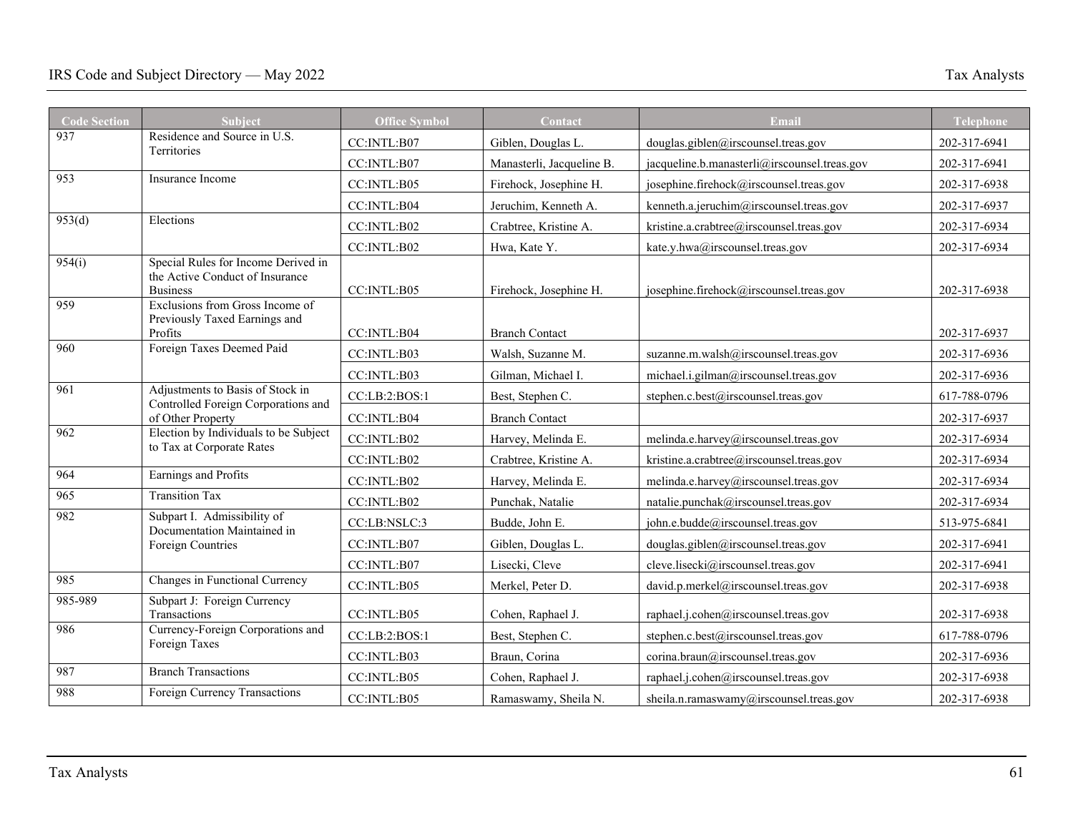| <b>Code Section</b> | <b>Subject</b>                                                                            | <b>Office Symbol</b> | <b>Contact</b>            | Email                                        | <b>Telephone</b> |
|---------------------|-------------------------------------------------------------------------------------------|----------------------|---------------------------|----------------------------------------------|------------------|
| 937                 | Residence and Source in U.S.<br>Territories                                               | CC:INTL:B07          | Giblen, Douglas L.        | douglas.giblen@irscounsel.treas.gov          | 202-317-6941     |
|                     |                                                                                           | CC:INTL:B07          | Manasterli, Jacqueline B. | jacqueline.b.manasterli@irscounsel.treas.gov | 202-317-6941     |
| 953                 | Insurance Income                                                                          | CC:INTL: B05         | Firehock. Josephine H.    | josephine.firehock@irscounsel.treas.gov      | 202-317-6938     |
|                     |                                                                                           | CC:INTL:B04          | Jeruchim, Kenneth A.      | kenneth.a.jeruchim@irscounsel.treas.gov      | 202-317-6937     |
| 953(d)              | Elections                                                                                 | CC:INTL:B02          | Crabtree, Kristine A.     | kristine.a.crabtree@irscounsel.treas.gov     | 202-317-6934     |
|                     |                                                                                           | CC:INTL:B02          | Hwa, Kate Y.              | kate.y.hwa@irscounsel.treas.gov              | 202-317-6934     |
| 954(i)              | Special Rules for Income Derived in<br>the Active Conduct of Insurance<br><b>Business</b> | CC:INTL:B05          | Firehock, Josephine H.    | josephine.firehock@irscounsel.treas.gov      | 202-317-6938     |
| 959                 | Exclusions from Gross Income of<br>Previously Taxed Earnings and<br>Profits               | CC:INTL:B04          | <b>Branch Contact</b>     |                                              | 202-317-6937     |
| 960                 | Foreign Taxes Deemed Paid                                                                 | CC:INTL:B03          | Walsh, Suzanne M.         | suzanne.m.walsh@irscounsel.treas.gov         | 202-317-6936     |
|                     |                                                                                           | CC: INTL: B03        | Gilman, Michael I.        | michael.i.gilman@irscounsel.treas.gov        | 202-317-6936     |
| 961                 | Adjustments to Basis of Stock in<br>Controlled Foreign Corporations and                   | CC:LB:2:BOS:1        | Best, Stephen C.          | stephen.c.best@irscounsel.treas.gov          | 617-788-0796     |
|                     | of Other Property                                                                         | CC: INTL: B04        | <b>Branch Contact</b>     |                                              | 202-317-6937     |
| 962                 | Election by Individuals to be Subject<br>to Tax at Corporate Rates                        | CC:INTL:B02          | Harvey, Melinda E.        | melinda.e.harvey@irscounsel.treas.gov        | 202-317-6934     |
|                     |                                                                                           | CC:INTL:B02          | Crabtree, Kristine A.     | kristine.a.crabtree@irscounsel.treas.gov     | 202-317-6934     |
| 964                 | Earnings and Profits                                                                      | CC:INTL:B02          | Harvey, Melinda E.        | melinda.e.harvey@irscounsel.treas.gov        | 202-317-6934     |
| 965                 | <b>Transition Tax</b>                                                                     | CC:INTL: B02         | Punchak, Natalie          | natalie.punchak@irscounsel.treas.gov         | 202-317-6934     |
| 982                 | Subpart I. Admissibility of<br>Documentation Maintained in                                | CC:LB:NSLC:3         | Budde, John E.            | john.e.budde@irscounsel.treas.gov            | 513-975-6841     |
|                     | Foreign Countries                                                                         | CC:INTL:B07          | Giblen, Douglas L.        | douglas.giblen@irscounsel.treas.gov          | 202-317-6941     |
|                     |                                                                                           | CC:INTL:B07          | Lisecki, Cleve            | cleve.lisecki@irscounsel.treas.gov           | 202-317-6941     |
| 985                 | Changes in Functional Currency                                                            | CC:INTL:B05          | Merkel, Peter D.          | david.p.merkel@irscounsel.treas.gov          | 202-317-6938     |
| 985-989             | Subpart J: Foreign Currency<br>Transactions                                               | CC: INTL: B05        | Cohen, Raphael J.         | raphael.j.cohen@irscounsel.treas.gov         | 202-317-6938     |
| 986                 | Currency-Foreign Corporations and<br>Foreign Taxes                                        | CC:LB:2:BOS:1        | Best, Stephen C.          | stephen.c.best@irscounsel.treas.gov          | 617-788-0796     |
|                     |                                                                                           | CC:INTL:B03          | Braun, Corina             | corina.braun@irscounsel.treas.gov            | 202-317-6936     |
| 987                 | <b>Branch Transactions</b>                                                                | CC:INTL:B05          | Cohen, Raphael J.         | raphael.j.cohen@irscounsel.treas.gov         | 202-317-6938     |
| 988                 | Foreign Currency Transactions                                                             | CC:INTL:B05          | Ramaswamy, Sheila N.      | sheila.n.ramaswamy@irscounsel.treas.gov      | 202-317-6938     |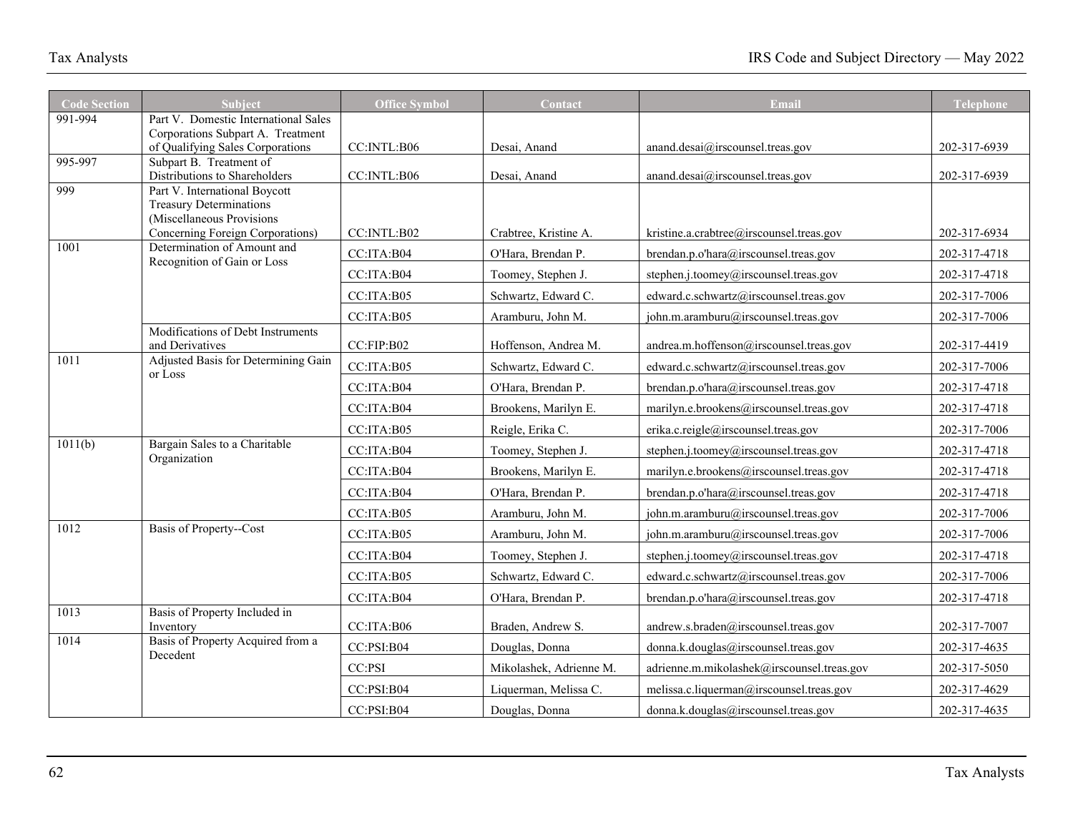| <b>Code Section</b> | <b>Subject</b>                                                                               | <b>Office Symbol</b> | Contact                 | Email                                      | <b>Telephone</b> |
|---------------------|----------------------------------------------------------------------------------------------|----------------------|-------------------------|--------------------------------------------|------------------|
| 991-994             | Part V. Domestic International Sales                                                         |                      |                         |                                            |                  |
|                     | Corporations Subpart A. Treatment<br>of Qualifying Sales Corporations                        | CC:INTL:B06          | Desai, Anand            | anand.desai@irscounsel.treas.gov           | 202-317-6939     |
| 995-997             | Subpart B. Treatment of                                                                      |                      |                         |                                            |                  |
|                     | Distributions to Shareholders                                                                | CC:INTL:B06          | Desai, Anand            | anand.desai@irscounsel.treas.gov           | 202-317-6939     |
| 999                 | Part V. International Boycott<br><b>Treasury Determinations</b><br>(Miscellaneous Provisions |                      |                         |                                            |                  |
|                     | Concerning Foreign Corporations)                                                             | CC:INTL:B02          | Crabtree, Kristine A.   | kristine.a.crabtree@irscounsel.treas.gov   | 202-317-6934     |
| 1001                | Determination of Amount and<br>Recognition of Gain or Loss                                   | CC:ITA:B04           | O'Hara, Brendan P.      | brendan.p.o'hara@irscounsel.treas.gov      | 202-317-4718     |
|                     |                                                                                              | CC:ITA:B04           | Toomey, Stephen J.      | stephen.j.toomey@irscounsel.treas.gov      | 202-317-4718     |
|                     |                                                                                              | CC:ITA:B05           | Schwartz, Edward C.     | edward.c.schwartz@irscounsel.treas.gov     | 202-317-7006     |
|                     |                                                                                              | CC:ITA:B05           | Aramburu, John M.       | john.m.aramburu@irscounsel.treas.gov       | 202-317-7006     |
|                     | Modifications of Debt Instruments<br>and Derivatives                                         | CC:FIP:B02           | Hoffenson, Andrea M.    | andrea.m.hoffenson@irscounsel.treas.gov    | 202-317-4419     |
| 1011                | Adjusted Basis for Determining Gain<br>or Loss                                               | CC:ITA:B05           | Schwartz, Edward C.     | edward.c.schwartz@irscounsel.treas.gov     | 202-317-7006     |
|                     |                                                                                              | CC:ITA:B04           | O'Hara, Brendan P.      | brendan.p.o'hara@irscounsel.treas.gov      | 202-317-4718     |
|                     |                                                                                              | CC:ITA:B04           | Brookens, Marilyn E.    | marilyn.e.brookens@irscounsel.treas.gov    | 202-317-4718     |
|                     |                                                                                              | CC:ITA:B05           | Reigle, Erika C.        | erika.c.reigle@irscounsel.treas.gov        | 202-317-7006     |
| 1011(b)             | Bargain Sales to a Charitable<br>Organization                                                | CC:ITA:B04           | Toomey, Stephen J.      | stephen.j.toomey@irscounsel.treas.gov      | 202-317-4718     |
|                     |                                                                                              | CC:ITA:B04           | Brookens, Marilyn E.    | marilyn.e.brookens@irscounsel.treas.gov    | 202-317-4718     |
|                     |                                                                                              | CC:ITA:B04           | O'Hara, Brendan P.      | brendan.p.o'hara@irscounsel.treas.gov      | 202-317-4718     |
|                     |                                                                                              | CC:ITA:B05           | Aramburu, John M.       | john.m.aramburu@irscounsel.treas.gov       | 202-317-7006     |
| 1012                | <b>Basis of Property--Cost</b>                                                               | CC:ITA:B05           | Aramburu, John M.       | john.m.aramburu@irscounsel.treas.gov       | 202-317-7006     |
|                     |                                                                                              | CC:ITA:B04           | Toomey, Stephen J.      | stephen.j.toomey@irscounsel.treas.gov      | 202-317-4718     |
|                     |                                                                                              | CC:ITA:B05           | Schwartz, Edward C.     | edward.c.schwartz@irscounsel.treas.gov     | 202-317-7006     |
|                     |                                                                                              | CC:ITA:B04           | O'Hara, Brendan P.      | brendan.p.o'hara@irscounsel.treas.gov      | 202-317-4718     |
| 1013                | Basis of Property Included in<br>Inventory                                                   | CC:ITA:B06           | Braden, Andrew S.       | andrew.s.braden@irscounsel.treas.gov       | 202-317-7007     |
| 1014                | Basis of Property Acquired from a<br>Decedent                                                | CC:PSI:B04           | Douglas, Donna          | donna.k.douglas@irscounsel.treas.gov       | 202-317-4635     |
|                     |                                                                                              | CC:PSI               | Mikolashek, Adrienne M. | adrienne.m.mikolashek@irscounsel.treas.gov | 202-317-5050     |
|                     |                                                                                              | CC:PSI:B04           | Liquerman, Melissa C.   | melissa.c.liquerman@irscounsel.treas.gov   | 202-317-4629     |
|                     |                                                                                              | CC:PSI:B04           | Douglas, Donna          | donna.k.douglas@irscounsel.treas.gov       | 202-317-4635     |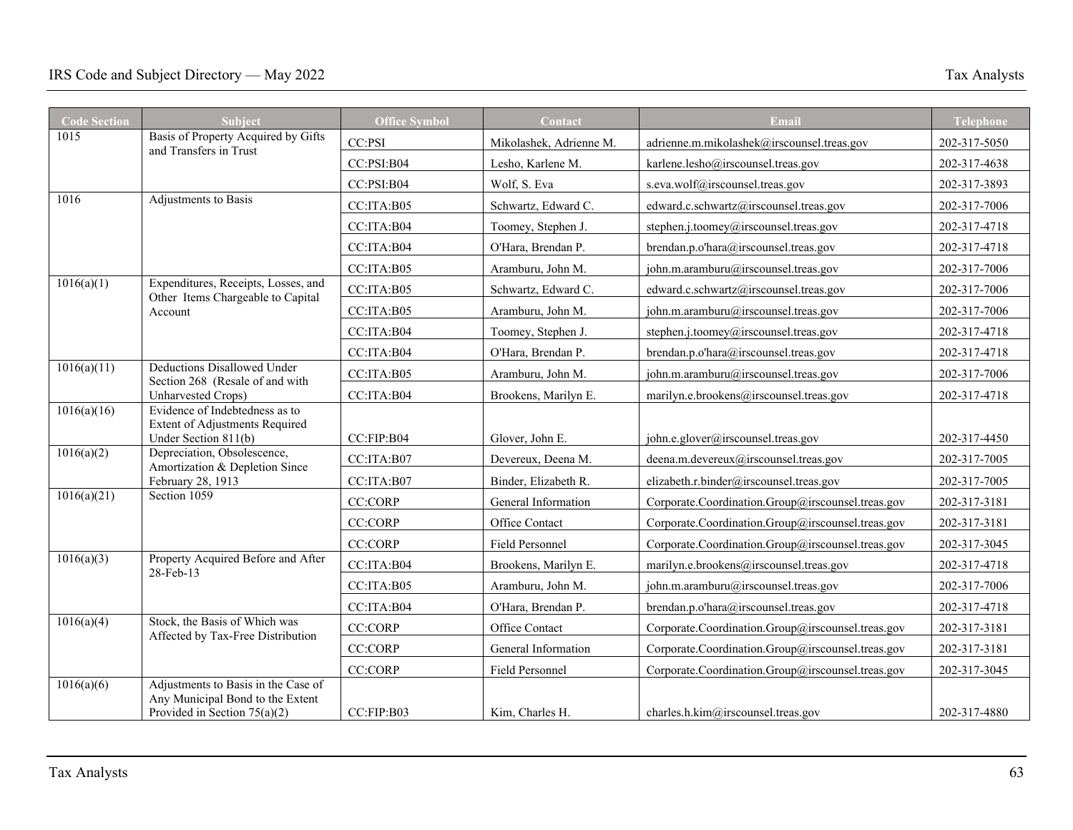| <b>Code Section</b> | Subject                                                                                                   | <b>Office Symbol</b> | Contact                            | Email                                             | <b>Telephone</b> |
|---------------------|-----------------------------------------------------------------------------------------------------------|----------------------|------------------------------------|---------------------------------------------------|------------------|
| 1015                | Basis of Property Acquired by Gifts<br>and Transfers in Trust                                             | CC:PSI               | Mikolashek, Adrienne M.            | adrienne.m.mikolashek@irscounsel.treas.gov        | 202-317-5050     |
|                     | CC:PSI:B04                                                                                                | Lesho, Karlene M.    | karlene.lesho@irscounsel.treas.gov | 202-317-4638                                      |                  |
|                     |                                                                                                           | CC:PSI:B04           | Wolf, S. Eva                       | s.eva.wolf@irscounsel.treas.gov                   | 202-317-3893     |
| 1016                | Adjustments to Basis                                                                                      | CC:ITA:B05           | Schwartz, Edward C.                | edward.c.schwartz@irscounsel.treas.gov            | 202-317-7006     |
|                     |                                                                                                           | CC:ITA:B04           | Toomey, Stephen J.                 | stephen.j.toomey@irscounsel.treas.gov             | 202-317-4718     |
|                     |                                                                                                           | CC:ITA:B04           | O'Hara, Brendan P.                 | brendan.p.o'hara@irscounsel.treas.gov             | 202-317-4718     |
|                     |                                                                                                           | CC:ITA:B05           | Aramburu, John M.                  | john.m.aramburu@irscounsel.treas.gov              | 202-317-7006     |
| 1016(a)(1)          | Expenditures, Receipts, Losses, and<br>Other Items Chargeable to Capital                                  | CC:ITA:B05           | Schwartz, Edward C.                | edward.c.schwartz@irscounsel.treas.gov            | 202-317-7006     |
|                     | Account                                                                                                   | CC:ITA:B05           | Aramburu, John M.                  | john.m.aramburu@irscounsel.treas.gov              | 202-317-7006     |
|                     |                                                                                                           | CC:ITA:B04           | Toomey, Stephen J.                 | stephen.j.toomey@irscounsel.treas.gov             | 202-317-4718     |
|                     |                                                                                                           | CC:ITA:B04           | O'Hara, Brendan P.                 | brendan.p.o'hara@irscounsel.treas.gov             | 202-317-4718     |
| 1016(a)(11)         | Deductions Disallowed Under<br>Section 268 (Resale of and with                                            | CC:ITA:B05           | Aramburu, John M.                  | john.m.aramburu@irscounsel.treas.gov              | 202-317-7006     |
|                     | Unharvested Crops)                                                                                        | CC:ITA:B04           | Brookens, Marilyn E.               | marilyn.e.brookens@irscounsel.treas.gov           | 202-317-4718     |
| 1016(a)(16)         | Evidence of Indebtedness as to<br>Extent of Adjustments Required                                          |                      |                                    |                                                   |                  |
|                     | Under Section 811(b)                                                                                      | CC:FIP:B04           | Glover, John E.                    | john.e.glover@irscounsel.treas.gov                | 202-317-4450     |
| 1016(a)(2)          | Depreciation, Obsolescence,<br>Amortization & Depletion Since                                             | CC:ITA:B07           | Devereux, Deena M.                 | deena.m.devereux@irscounsel.treas.gov             | 202-317-7005     |
|                     | February 28, 1913                                                                                         | CC:ITA:B07           | Binder, Elizabeth R.               | elizabeth.r.binder@irscounsel.treas.gov           | 202-317-7005     |
| 1016(a)(21)         | Section 1059                                                                                              | <b>CC:CORP</b>       | General Information                | Corporate.Coordination.Group@irscounsel.treas.gov | 202-317-3181     |
|                     |                                                                                                           | <b>CC:CORP</b>       | Office Contact                     | Corporate.Coordination.Group@irscounsel.treas.gov | 202-317-3181     |
|                     |                                                                                                           | <b>CC:CORP</b>       | Field Personnel                    | Corporate.Coordination.Group@irscounsel.treas.gov | 202-317-3045     |
| 1016(a)(3)          | Property Acquired Before and After<br>28-Feb-13                                                           | CC:ITA:B04           | Brookens, Marilyn E.               | marilyn.e.brookens@irscounsel.treas.gov           | 202-317-4718     |
|                     |                                                                                                           | CC:ITA:B05           | Aramburu, John M.                  | john.m.aramburu@irscounsel.treas.gov              | 202-317-7006     |
|                     |                                                                                                           | CC:ITA:B04           | O'Hara, Brendan P.                 | brendan.p.o'hara@irscounsel.treas.gov             | 202-317-4718     |
| 1016(a)(4)          | Stock, the Basis of Which was<br>Affected by Tax-Free Distribution                                        | <b>CC:CORP</b>       | Office Contact                     | Corporate.Coordination.Group@irscounsel.treas.gov | 202-317-3181     |
|                     |                                                                                                           | <b>CC:CORP</b>       | General Information                | Corporate.Coordination.Group@irscounsel.treas.gov | 202-317-3181     |
|                     |                                                                                                           | <b>CC:CORP</b>       | Field Personnel                    | Corporate.Coordination.Group@irscounsel.treas.gov | 202-317-3045     |
| 1016(a)(6)          | Adjustments to Basis in the Case of<br>Any Municipal Bond to the Extent<br>Provided in Section $75(a)(2)$ | CC:FIP:B03           | Kim. Charles H.                    | charles.h.kim@irscounsel.treas.gov                | 202-317-4880     |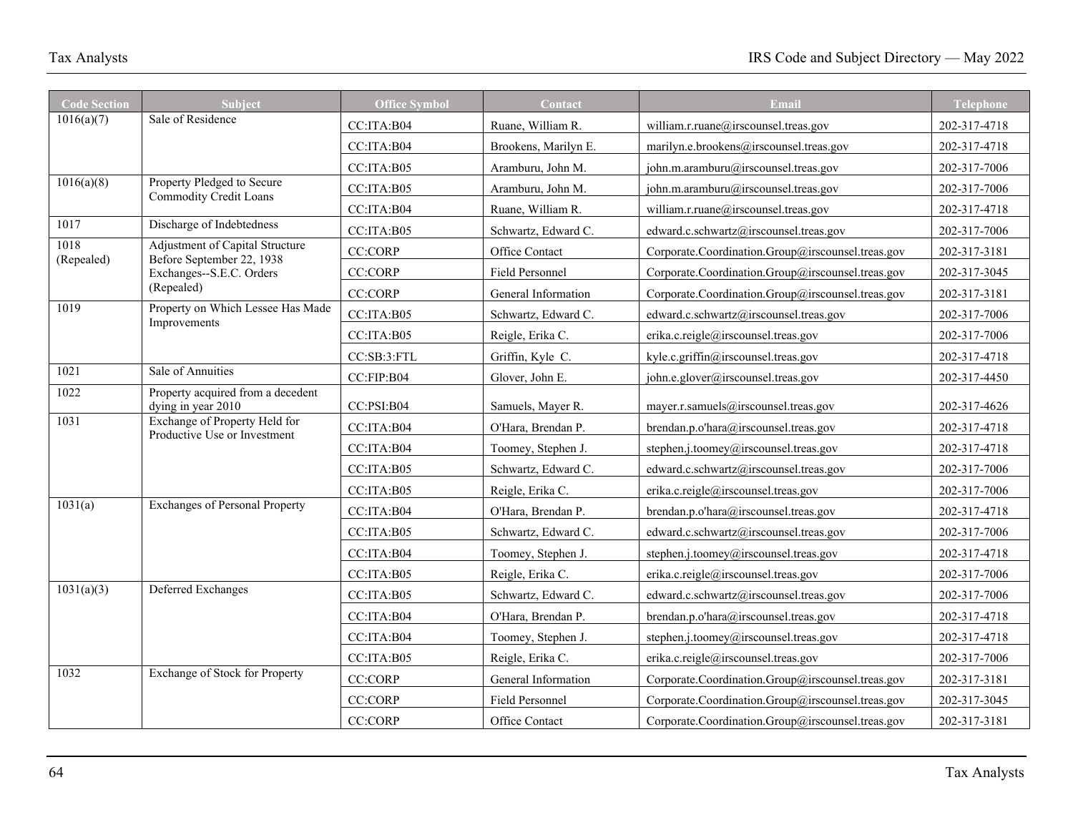| <b>Code Section</b> | <b>Subject</b>                                                | <b>Office Symbol</b> | Contact              | <b>Email</b>                                      | <b>Telephone</b> |
|---------------------|---------------------------------------------------------------|----------------------|----------------------|---------------------------------------------------|------------------|
| 1016(a)(7)          | Sale of Residence                                             | CC:ITA:B04           | Ruane, William R.    | william.r.ruane@irscounsel.treas.gov              | 202-317-4718     |
|                     |                                                               | CC:ITA:B04           | Brookens, Marilyn E. | marilyn.e.brookens@irscounsel.treas.gov           | 202-317-4718     |
|                     |                                                               | CC:ITA:B05           | Aramburu, John M.    | john.m.aramburu@irscounsel.treas.gov              | 202-317-7006     |
| 1016(a)(8)          | Property Pledged to Secure<br><b>Commodity Credit Loans</b>   | CC:ITA:B05           | Aramburu, John M.    | john.m.aramburu@irscounsel.treas.gov              | 202-317-7006     |
|                     |                                                               | CC:ITA:B04           | Ruane, William R.    | william.r.ruane@irscounsel.treas.gov              | 202-317-4718     |
| 1017                | Discharge of Indebtedness                                     | CC:ITA:B05           | Schwartz, Edward C.  | edward.c.schwartz@irscounsel.treas.gov            | 202-317-7006     |
| 1018<br>(Repealed)  | Adjustment of Capital Structure<br>Before September 22, 1938  | <b>CC:CORP</b>       | Office Contact       | Corporate.Coordination.Group@irscounsel.treas.gov | 202-317-3181     |
|                     | Exchanges--S.E.C. Orders                                      | <b>CC:CORP</b>       | Field Personnel      | Corporate.Coordination.Group@irscounsel.treas.gov | 202-317-3045     |
|                     | (Repealed)                                                    | <b>CC:CORP</b>       | General Information  | Corporate.Coordination.Group@irscounsel.treas.gov | 202-317-3181     |
| 1019                | Property on Which Lessee Has Made<br>Improvements             | CC:ITA:B05           | Schwartz, Edward C.  | edward.c.schwartz@irscounsel.treas.gov            | 202-317-7006     |
|                     |                                                               | CC:ITA:B05           | Reigle, Erika C.     | erika.c.reigle@irscounsel.treas.gov               | 202-317-7006     |
|                     |                                                               | CC:SB:3:FTL          | Griffin, Kyle C.     | kyle.c.griffin@irscounsel.treas.gov               | 202-317-4718     |
| 1021                | Sale of Annuities                                             | CC:FIP:B04           | Glover, John E.      | john.e.glover@irscounsel.treas.gov                | 202-317-4450     |
| 1022                | Property acquired from a decedent<br>dying in year 2010       | CC:PSI: B04          | Samuels, Mayer R.    | mayer.r.samuels@irscounsel.treas.gov              | 202-317-4626     |
| 1031                | Exchange of Property Held for<br>Productive Use or Investment | CC:ITA:B04           | O'Hara, Brendan P.   | brendan.p.o'hara@irscounsel.treas.gov             | 202-317-4718     |
|                     |                                                               | CC:ITA:B04           | Toomey, Stephen J.   | stephen.j.toomey@irscounsel.treas.gov             | 202-317-4718     |
|                     |                                                               | CC:ITA:B05           | Schwartz, Edward C.  | edward.c.schwartz@irscounsel.treas.gov            | 202-317-7006     |
|                     |                                                               | CC:ITA:B05           | Reigle, Erika C.     | erika.c.reigle@irscounsel.treas.gov               | 202-317-7006     |
| 1031(a)             | <b>Exchanges of Personal Property</b>                         | CC:ITA:B04           | O'Hara, Brendan P.   | brendan.p.o'hara@irscounsel.treas.gov             | 202-317-4718     |
|                     |                                                               | CC:ITA:B05           | Schwartz, Edward C.  | edward.c.schwartz@irscounsel.treas.gov            | 202-317-7006     |
|                     |                                                               | CC:ITA:B04           | Toomey, Stephen J.   | stephen.j.toomey@irscounsel.treas.gov             | 202-317-4718     |
|                     |                                                               | CC:ITA:B05           | Reigle, Erika C.     | erika.c.reigle@irscounsel.treas.gov               | 202-317-7006     |
| 1031(a)(3)          | Deferred Exchanges                                            | CC:ITA:B05           | Schwartz, Edward C.  | edward.c.schwartz@irscounsel.treas.gov            | 202-317-7006     |
|                     |                                                               | CC:ITA:B04           | O'Hara, Brendan P.   | brendan.p.o'hara@irscounsel.treas.gov             | 202-317-4718     |
|                     |                                                               | CC:ITA:B04           | Toomey, Stephen J.   | stephen.j.toomey@irscounsel.treas.gov             | 202-317-4718     |
|                     |                                                               | CC:ITA:B05           | Reigle, Erika C.     | erika.c.reigle@irscounsel.treas.gov               | 202-317-7006     |
| 1032                | Exchange of Stock for Property                                | <b>CC:CORP</b>       | General Information  | Corporate.Coordination.Group@irscounsel.treas.gov | 202-317-3181     |
|                     |                                                               | <b>CC:CORP</b>       | Field Personnel      | Corporate.Coordination.Group@irscounsel.treas.gov | 202-317-3045     |
|                     |                                                               | <b>CC:CORP</b>       | Office Contact       | Corporate.Coordination.Group@irscounsel.treas.gov | 202-317-3181     |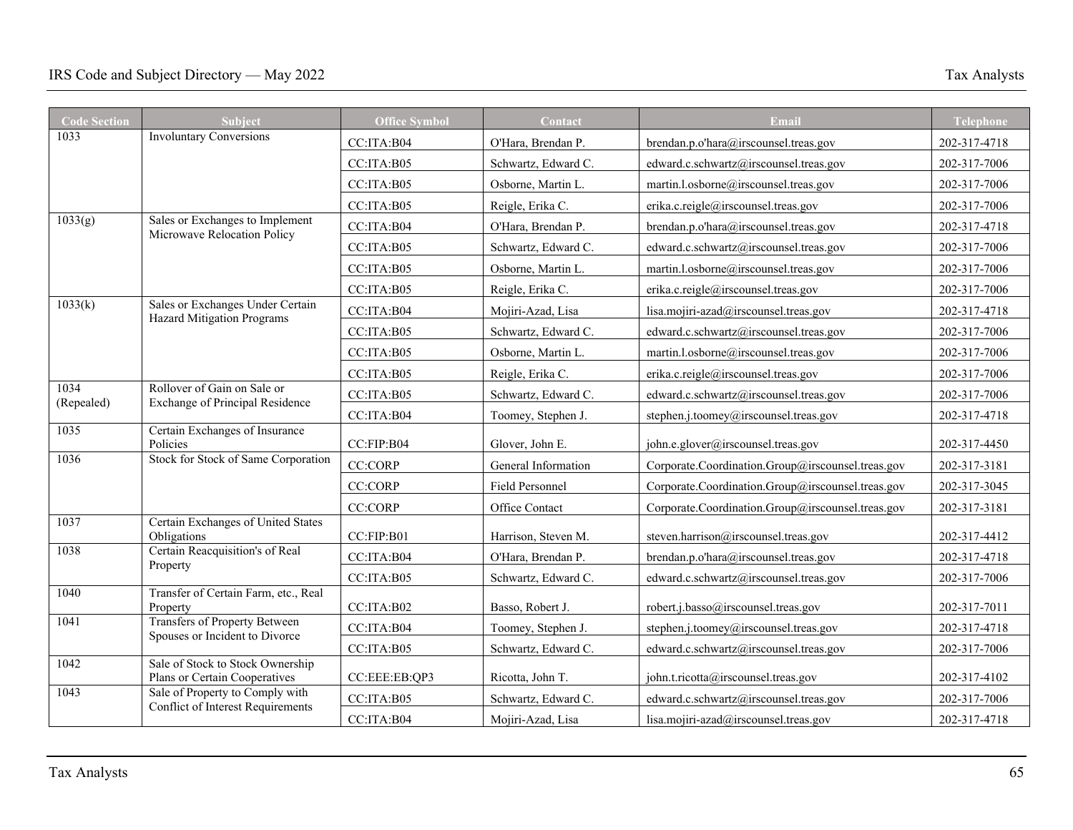| <b>Code Section</b> | Subject                                                                     | <b>Office Symbol</b> | Contact             | <b>Email</b>                                      | Telephone    |
|---------------------|-----------------------------------------------------------------------------|----------------------|---------------------|---------------------------------------------------|--------------|
| 1033                | <b>Involuntary Conversions</b>                                              | CC:ITA:B04           | O'Hara, Brendan P.  | brendan.p.o'hara@irscounsel.treas.gov             | 202-317-4718 |
|                     |                                                                             | CC:ITA:B05           | Schwartz, Edward C. | edward.c.schwartz@irscounsel.treas.gov            | 202-317-7006 |
|                     |                                                                             | CC:ITA:B05           | Osborne, Martin L.  | martin.l.osborne@irscounsel.treas.gov             | 202-317-7006 |
|                     |                                                                             | CC:ITA:B05           | Reigle, Erika C.    | erika.c.reigle@irscounsel.treas.gov               | 202-317-7006 |
| 1033(g)             | Sales or Exchanges to Implement<br>Microwave Relocation Policy              | CC:ITA:B04           | O'Hara, Brendan P.  | brendan.p.o'hara@irscounsel.treas.gov             | 202-317-4718 |
|                     |                                                                             | CC:ITA:B05           | Schwartz, Edward C. | edward.c.schwartz@irscounsel.treas.gov            | 202-317-7006 |
|                     |                                                                             | CC:ITA:B05           | Osborne, Martin L.  | martin.l.osborne@irscounsel.treas.gov             | 202-317-7006 |
|                     |                                                                             | CC:ITA:B05           | Reigle, Erika C.    | erika.c.reigle@irscounsel.treas.gov               | 202-317-7006 |
| 1033(k)             | Sales or Exchanges Under Certain                                            | CC:ITA:B04           | Mojiri-Azad, Lisa   | lisa.mojiri-azad@irscounsel.treas.gov             | 202-317-4718 |
|                     | <b>Hazard Mitigation Programs</b>                                           | CC:ITA:B05           | Schwartz, Edward C. | edward.c.schwartz@irscounsel.treas.gov            | 202-317-7006 |
|                     |                                                                             | CC:ITA:B05           | Osborne, Martin L.  | martin.l.osborne@irscounsel.treas.gov             | 202-317-7006 |
|                     |                                                                             | CC:ITA:B05           | Reigle, Erika C.    | erika.c.reigle@irscounsel.treas.gov               | 202-317-7006 |
| 1034                | Rollover of Gain on Sale or<br><b>Exchange of Principal Residence</b>       | CC:ITA:B05           | Schwartz, Edward C. | edward.c.schwartz@irscounsel.treas.gov            | 202-317-7006 |
| (Repealed)          |                                                                             | CC:ITA:B04           | Toomey, Stephen J.  | stephen.j.toomey@irscounsel.treas.gov             | 202-317-4718 |
| 1035                | Certain Exchanges of Insurance<br>Policies                                  | CC:FIP:B04           | Glover, John E.     | john.e.glover@irscounsel.treas.gov                | 202-317-4450 |
| 1036                | Stock for Stock of Same Corporation                                         | <b>CC:CORP</b>       | General Information | Corporate.Coordination.Group@irscounsel.treas.gov | 202-317-3181 |
|                     |                                                                             | <b>CC:CORP</b>       | Field Personnel     | Corporate.Coordination.Group@irscounsel.treas.gov | 202-317-3045 |
|                     |                                                                             | <b>CC:CORP</b>       | Office Contact      | Corporate.Coordination.Group@irscounsel.treas.gov | 202-317-3181 |
| 1037                | Certain Exchanges of United States<br>Obligations                           | CC:FIP:B01           | Harrison, Steven M. | steven.harrison@irscounsel.treas.gov              | 202-317-4412 |
| 1038                | Certain Reacquisition's of Real                                             | CC:ITA:B04           | O'Hara, Brendan P.  | brendan.p.o'hara@irscounsel.treas.gov             | 202-317-4718 |
|                     | Property                                                                    | CC:ITA:B05           | Schwartz, Edward C. | edward.c.schwartz@irscounsel.treas.gov            | 202-317-7006 |
| 1040                | Transfer of Certain Farm, etc., Real                                        |                      |                     |                                                   |              |
| 1041                | Property<br>Transfers of Property Between                                   | CC:ITA:B02           | Basso, Robert J.    | robert.j.basso@irscounsel.treas.gov               | 202-317-7011 |
|                     | Spouses or Incident to Divorce                                              | CC:ITA:B04           | Toomey, Stephen J.  | stephen.j.toomey@irscounsel.treas.gov             | 202-317-4718 |
| 1042                | Sale of Stock to Stock Ownership                                            | CC:ITA:B05           | Schwartz, Edward C. | edward.c.schwartz@irscounsel.treas.gov            | 202-317-7006 |
|                     | Plans or Certain Cooperatives                                               | CC:EEE:EB:QP3        | Ricotta, John T.    | john.t.ricotta@irscounsel.treas.gov               | 202-317-4102 |
| 1043                | Sale of Property to Comply with<br><b>Conflict of Interest Requirements</b> | CC:ITA:B05           | Schwartz, Edward C. | edward.c.schwartz@irscounsel.treas.gov            | 202-317-7006 |
|                     |                                                                             | CC:ITA:B04           | Mojiri-Azad, Lisa   | lisa.mojiri-azad@irscounsel.treas.gov             | 202-317-4718 |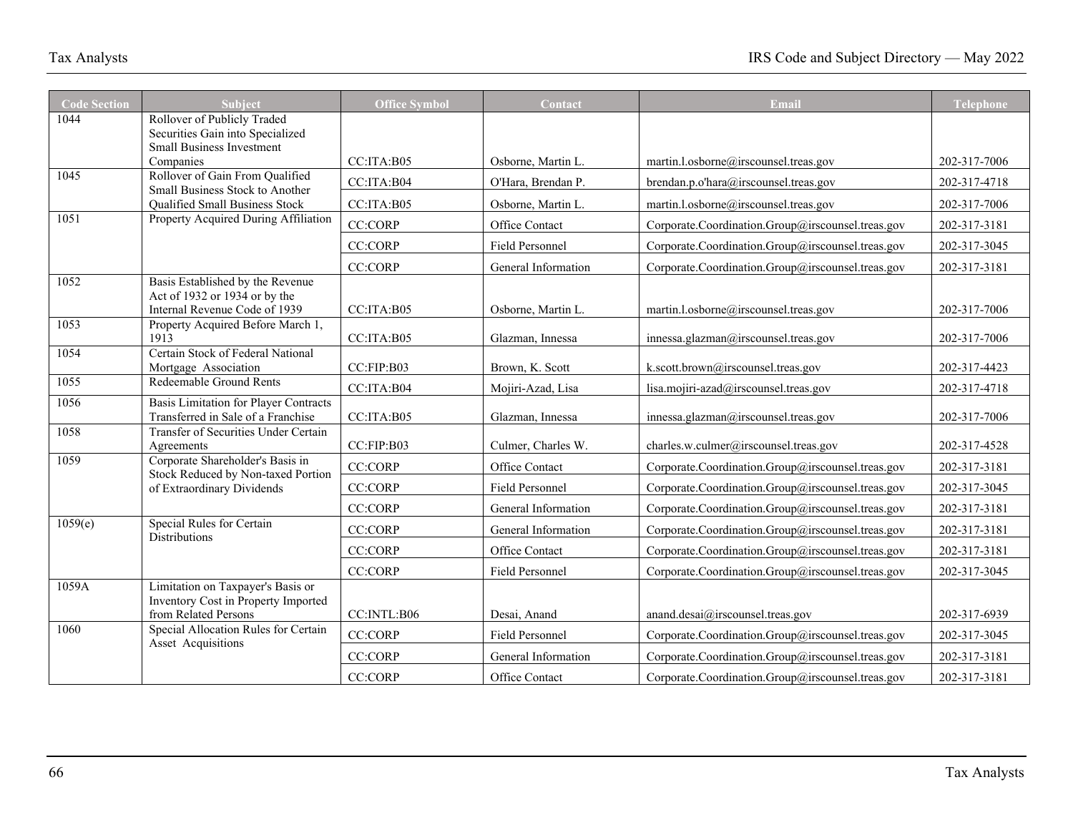| <b>Code Section</b> | Subject                                                                                             | <b>Office Symbol</b> | Contact             | Email                                             | <b>Telephone</b> |
|---------------------|-----------------------------------------------------------------------------------------------------|----------------------|---------------------|---------------------------------------------------|------------------|
| 1044                | Rollover of Publicly Traded<br>Securities Gain into Specialized<br><b>Small Business Investment</b> |                      |                     |                                                   |                  |
|                     | Companies                                                                                           | CC:ITA:B05           | Osborne, Martin L.  | martin.l.osborne@irscounsel.treas.gov             | 202-317-7006     |
| 1045                | Rollover of Gain From Qualified<br>Small Business Stock to Another                                  | CC:ITA:B04           | O'Hara, Brendan P.  | brendan.p.o'hara@irscounsel.treas.gov             | 202-317-4718     |
|                     | Qualified Small Business Stock                                                                      | CC:ITA:B05           | Osborne, Martin L.  | martin.l.osborne@irscounsel.treas.gov             | 202-317-7006     |
| 1051                | Property Acquired During Affiliation                                                                | <b>CC:CORP</b>       | Office Contact      | Corporate.Coordination.Group@irscounsel.treas.gov | 202-317-3181     |
|                     |                                                                                                     | CC:CORP              | Field Personnel     | Corporate.Coordination.Group@irscounsel.treas.gov | 202-317-3045     |
|                     |                                                                                                     | <b>CC:CORP</b>       | General Information | Corporate.Coordination.Group@irscounsel.treas.gov | 202-317-3181     |
| 1052                | Basis Established by the Revenue<br>Act of 1932 or 1934 or by the<br>Internal Revenue Code of 1939  | CC:ITA:B05           | Osborne, Martin L.  | martin.l.osborne@irscounsel.treas.gov             | 202-317-7006     |
| 1053                | Property Acquired Before March 1,<br>1913                                                           | CC:ITA:B05           | Glazman, Innessa    | innessa.glazman@irscounsel.treas.gov              | 202-317-7006     |
| 1054                | Certain Stock of Federal National<br>Mortgage Association                                           | CC:FIP:B03           | Brown, K. Scott     | k.scott.brown@irscounsel.treas.gov                | 202-317-4423     |
| 1055                | Redeemable Ground Rents                                                                             | CC:ITA:B04           | Mojiri-Azad, Lisa   | lisa.mojiri-azad@irscounsel.treas.gov             | 202-317-4718     |
| 1056                | Basis Limitation for Player Contracts<br>Transferred in Sale of a Franchise                         | CC:ITA:B05           | Glazman, Innessa    | innessa.glazman@irscounsel.treas.gov              | 202-317-7006     |
| 1058                | Transfer of Securities Under Certain<br>Agreements                                                  | CC:FIP:B03           | Culmer, Charles W.  | charles.w.culmer@irscounsel.treas.gov             | 202-317-4528     |
| 1059                | Corporate Shareholder's Basis in<br>Stock Reduced by Non-taxed Portion                              | <b>CC:CORP</b>       | Office Contact      | Corporate.Coordination.Group@irscounsel.treas.gov | 202-317-3181     |
|                     | of Extraordinary Dividends                                                                          | <b>CC:CORP</b>       | Field Personnel     | Corporate.Coordination.Group@irscounsel.treas.gov | 202-317-3045     |
|                     |                                                                                                     | <b>CC:CORP</b>       | General Information | Corporate.Coordination.Group@irscounsel.treas.gov | 202-317-3181     |
| 1059(e)             | Special Rules for Certain<br><b>Distributions</b>                                                   | <b>CC:CORP</b>       | General Information | Corporate.Coordination.Group@irscounsel.treas.gov | 202-317-3181     |
|                     |                                                                                                     | <b>CC:CORP</b>       | Office Contact      | Corporate.Coordination.Group@irscounsel.treas.gov | 202-317-3181     |
|                     |                                                                                                     | <b>CC:CORP</b>       | Field Personnel     | Corporate.Coordination.Group@irscounsel.treas.gov | 202-317-3045     |
| 1059A               | Limitation on Taxpayer's Basis or<br>Inventory Cost in Property Imported<br>from Related Persons    | CC: INTL: B06        | Desai, Anand        | anand.desai@irscounsel.treas.gov                  | 202-317-6939     |
| 1060                | Special Allocation Rules for Certain                                                                |                      |                     |                                                   |                  |
|                     | Asset Acquisitions                                                                                  | <b>CC:CORP</b>       | Field Personnel     | Corporate.Coordination.Group@irscounsel.treas.gov | 202-317-3045     |
|                     |                                                                                                     | <b>CC:CORP</b>       | General Information | Corporate.Coordination.Group@irscounsel.treas.gov | 202-317-3181     |
|                     |                                                                                                     | <b>CC:CORP</b>       | Office Contact      | Corporate.Coordination.Group@irscounsel.treas.gov | 202-317-3181     |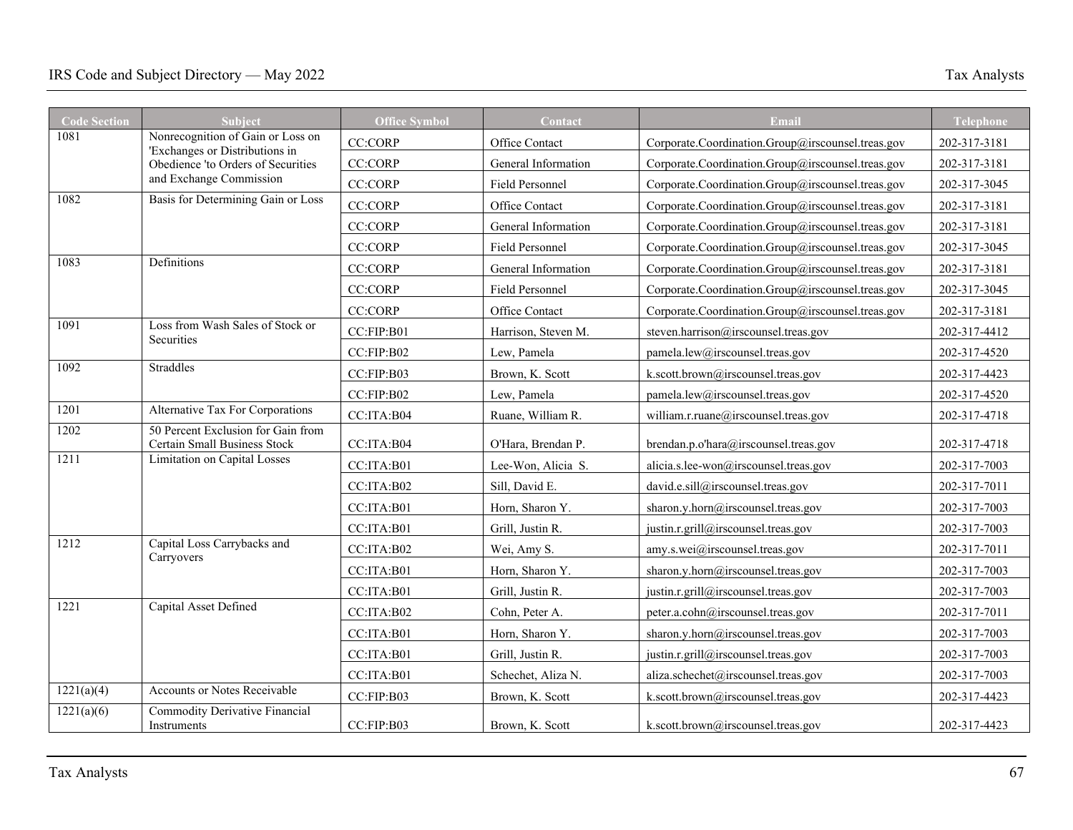| <b>Code Section</b> | <b>Subject</b>                                                      | <b>Office Symbol</b> | Contact             | Email                                             | <b>Telephone</b> |
|---------------------|---------------------------------------------------------------------|----------------------|---------------------|---------------------------------------------------|------------------|
| 1081                | Nonrecognition of Gain or Loss on<br>'Exchanges or Distributions in | <b>CC:CORP</b>       | Office Contact      | Corporate.Coordination.Group@irscounsel.treas.gov | 202-317-3181     |
|                     | Obedience 'to Orders of Securities                                  | <b>CC:CORP</b>       | General Information | Corporate.Coordination.Group@irscounsel.treas.gov | 202-317-3181     |
|                     | and Exchange Commission                                             | CC:CORP              | Field Personnel     | Corporate.Coordination.Group@irscounsel.treas.gov | 202-317-3045     |
| 1082                | Basis for Determining Gain or Loss                                  | <b>CC:CORP</b>       | Office Contact      | Corporate.Coordination.Group@irscounsel.treas.gov | 202-317-3181     |
|                     |                                                                     | <b>CC:CORP</b>       | General Information | Corporate.Coordination.Group@irscounsel.treas.gov | 202-317-3181     |
|                     |                                                                     | <b>CC:CORP</b>       | Field Personnel     | Corporate.Coordination.Group@irscounsel.treas.gov | 202-317-3045     |
| 1083                | Definitions                                                         | <b>CC:CORP</b>       | General Information | Corporate.Coordination.Group@irscounsel.treas.gov | 202-317-3181     |
|                     |                                                                     | <b>CC:CORP</b>       | Field Personnel     | Corporate.Coordination.Group@irscounsel.treas.gov | 202-317-3045     |
|                     |                                                                     | <b>CC:CORP</b>       | Office Contact      | Corporate.Coordination.Group@irscounsel.treas.gov | 202-317-3181     |
| 1091                | Loss from Wash Sales of Stock or<br>Securities                      | CC:FIP:B01           | Harrison, Steven M. | steven.harrison@irscounsel.treas.gov              | 202-317-4412     |
|                     |                                                                     | CC:FIP:B02           | Lew, Pamela         | pamela.lew@irscounsel.treas.gov                   | 202-317-4520     |
| 1092                | Straddles                                                           | CC:FIP:B03           | Brown, K. Scott     | k.scott.brown@irscounsel.treas.gov                | 202-317-4423     |
|                     |                                                                     | CC:FIP:B02           | Lew, Pamela         | pamela.lew@irscounsel.treas.gov                   | 202-317-4520     |
| 1201                | Alternative Tax For Corporations                                    | CC:ITA:B04           | Ruane, William R.   | william.r.ruane@irscounsel.treas.gov              | 202-317-4718     |
| 1202                | 50 Percent Exclusion for Gain from<br>Certain Small Business Stock  | CC:ITA:B04           | O'Hara, Brendan P.  | brendan.p.o'hara@irscounsel.treas.gov             | 202-317-4718     |
| 1211                | <b>Limitation on Capital Losses</b>                                 | CC:ITA:B01           | Lee-Won, Alicia S.  | alicia.s.lee-won@irscounsel.treas.gov             | 202-317-7003     |
|                     |                                                                     | CC:ITA:B02           | Sill, David E.      | david.e.sill@irscounsel.treas.gov                 | 202-317-7011     |
|                     |                                                                     | CC:ITA:B01           | Horn, Sharon Y.     | sharon.y.horn@irscounsel.treas.gov                | 202-317-7003     |
|                     |                                                                     | CC:ITA:B01           | Grill, Justin R.    | justin.r.grill@irscounsel.treas.gov               | 202-317-7003     |
| 1212                | Capital Loss Carrybacks and<br>Carryovers                           | CC:ITA:B02           | Wei, Amy S.         | amy.s.wei@irscounsel.treas.gov                    | 202-317-7011     |
|                     |                                                                     | CC:ITA:B01           | Horn, Sharon Y.     | sharon.y.horn@irscounsel.treas.gov                | 202-317-7003     |
|                     |                                                                     | CC:ITA:B01           | Grill, Justin R.    | justin.r.grill@irscounsel.treas.gov               | 202-317-7003     |
| 1221                | Capital Asset Defined                                               | CC:ITA:B02           | Cohn, Peter A.      | peter.a.cohn@irscounsel.treas.gov                 | 202-317-7011     |
|                     |                                                                     | CC:ITA:B01           | Horn, Sharon Y.     | sharon.y.horn@irscounsel.treas.gov                | 202-317-7003     |
|                     |                                                                     | CC:ITA:B01           | Grill, Justin R.    | justin.r.grill@irscounsel.treas.gov               | 202-317-7003     |
|                     |                                                                     | CC:ITA:B01           | Schechet, Aliza N.  | aliza.schechet@irscounsel.treas.gov               | 202-317-7003     |
| 1221(a)(4)          | <b>Accounts or Notes Receivable</b>                                 | CC:FIP:B03           | Brown, K. Scott     | k.scott.brown@irscounsel.treas.gov                | 202-317-4423     |
| 1221(a)(6)          | Commodity Derivative Financial<br>Instruments                       | CC:FIP:B03           | Brown, K. Scott     | k.scott.brown@irscounsel.treas.gov                | 202-317-4423     |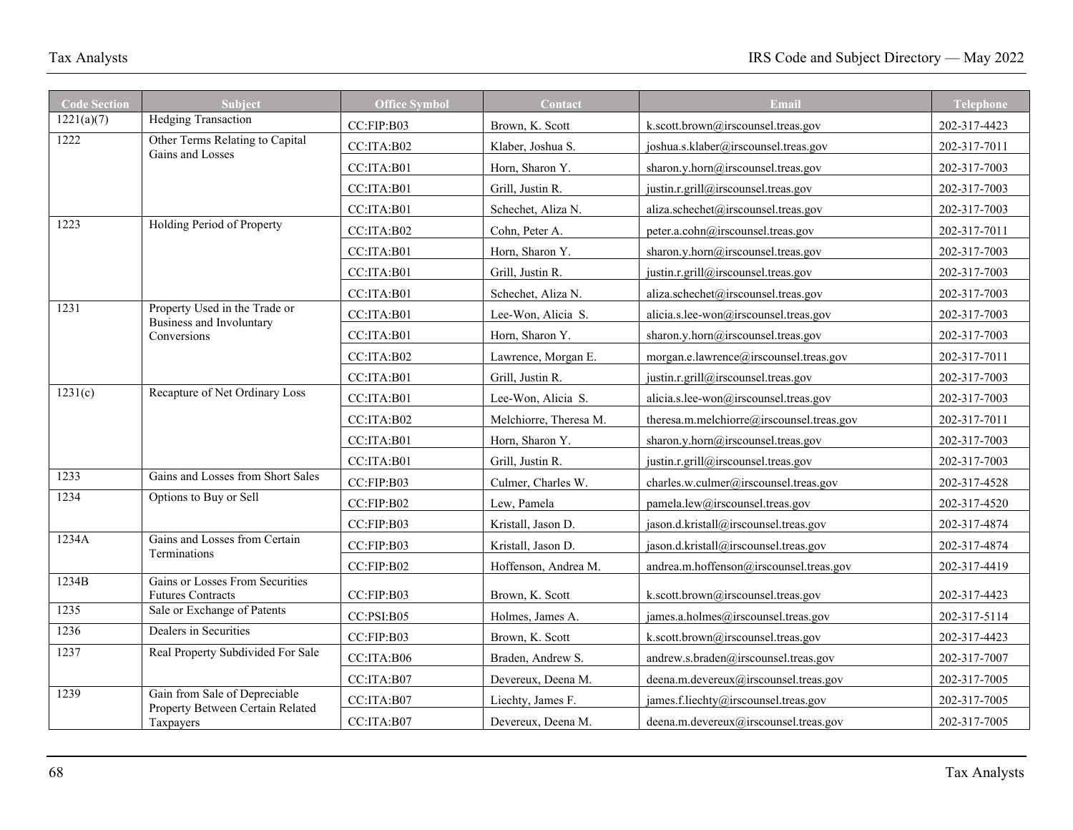| <b>Code Section</b> | Subject                                                           | <b>Office Symbol</b> | Contact                | Email                                     | Telephone    |
|---------------------|-------------------------------------------------------------------|----------------------|------------------------|-------------------------------------------|--------------|
| 1221(a)(7)          | <b>Hedging Transaction</b>                                        | CC:FIP:B03           | Brown, K. Scott        | k.scott.brown@irscounsel.treas.gov        | 202-317-4423 |
| 1222                | Other Terms Relating to Capital                                   | CC:ITA:B02           | Klaber, Joshua S.      | joshua.s.klaber@irscounsel.treas.gov      | 202-317-7011 |
|                     | Gains and Losses                                                  | CC:ITA:B01           | Horn, Sharon Y.        | sharon.y.horn@irscounsel.treas.gov        | 202-317-7003 |
|                     |                                                                   | CC:ITA:B01           | Grill, Justin R.       | justin.r.grill@irscounsel.treas.gov       | 202-317-7003 |
|                     |                                                                   | CC:ITA:B01           | Schechet, Aliza N.     | aliza.schechet@irscounsel.treas.gov       | 202-317-7003 |
| 1223                | Holding Period of Property                                        | CC:ITA:B02           | Cohn, Peter A.         | peter.a.cohn@irscounsel.treas.gov         | 202-317-7011 |
|                     |                                                                   | CC:ITA:B01           | Horn, Sharon Y.        | sharon.y.horn@irscounsel.treas.gov        | 202-317-7003 |
|                     |                                                                   | CC:ITA:B01           | Grill, Justin R.       | justin.r.grill@irscounsel.treas.gov       | 202-317-7003 |
|                     |                                                                   | CC:ITA:B01           | Schechet, Aliza N.     | aliza.schechet@irscounsel.treas.gov       | 202-317-7003 |
| 1231                | Property Used in the Trade or<br>Business and Involuntary         | CC:ITA:B01           | Lee-Won, Alicia S.     | alicia.s.lee-won@irscounsel.treas.gov     | 202-317-7003 |
|                     | Conversions                                                       | CC:ITA:B01           | Horn, Sharon Y.        | sharon.y.horn@irscounsel.treas.gov        | 202-317-7003 |
|                     |                                                                   | CC:ITA:B02           | Lawrence, Morgan E.    | morgan.e.lawrence@irscounsel.treas.gov    | 202-317-7011 |
|                     |                                                                   | CC:ITA:B01           | Grill, Justin R.       | justin.r.grill@irscounsel.treas.gov       | 202-317-7003 |
| 1231(c)             | Recapture of Net Ordinary Loss                                    | CC:ITA:B01           | Lee-Won, Alicia S.     | alicia.s.lee-won@irscounsel.treas.gov     | 202-317-7003 |
|                     |                                                                   | CC:ITA:B02           | Melchiorre, Theresa M. | theresa.m.melchiorre@irscounsel.treas.gov | 202-317-7011 |
|                     |                                                                   | CC:ITA:B01           | Horn, Sharon Y.        | sharon.y.horn@irscounsel.treas.gov        | 202-317-7003 |
|                     |                                                                   | CC:ITA:B01           | Grill, Justin R.       | justin.r.grill@irscounsel.treas.gov       | 202-317-7003 |
| 1233                | Gains and Losses from Short Sales                                 | CC:FIP:B03           | Culmer, Charles W.     | charles.w.culmer@irscounsel.treas.gov     | 202-317-4528 |
| 1234                | Options to Buy or Sell                                            | CC:FIP:B02           | Lew, Pamela            | pamela.lew@irscounsel.treas.gov           | 202-317-4520 |
|                     |                                                                   | CC:FIP:B03           | Kristall, Jason D.     | jason.d.kristall@irscounsel.treas.gov     | 202-317-4874 |
| 1234A               | Gains and Losses from Certain<br>Terminations                     | CC:FIP:B03           | Kristall, Jason D.     | jason.d.kristall@irscounsel.treas.gov     | 202-317-4874 |
|                     |                                                                   | CC:FIP:B02           | Hoffenson, Andrea M.   | andrea.m.hoffenson@irscounsel.treas.gov   | 202-317-4419 |
| 1234B               | Gains or Losses From Securities<br><b>Futures Contracts</b>       | CC:FIP:B03           | Brown, K. Scott        | k.scott.brown@irscounsel.treas.gov        | 202-317-4423 |
| 1235                | Sale or Exchange of Patents                                       | CC:PSI: B05          | Holmes, James A.       | james.a.holmes@irscounsel.treas.gov       | 202-317-5114 |
| 1236                | Dealers in Securities                                             | CC:FIP:B03           | Brown, K. Scott        | k.scott.brown@irscounsel.treas.gov        | 202-317-4423 |
| 1237                | Real Property Subdivided For Sale                                 | CC:ITA:B06           | Braden, Andrew S.      | andrew.s.braden@irscounsel.treas.gov      | 202-317-7007 |
|                     |                                                                   | CC:ITA:B07           | Devereux, Deena M.     | deena.m.devereux@irscounsel.treas.gov     | 202-317-7005 |
| 1239                | Gain from Sale of Depreciable<br>Property Between Certain Related | CC:ITA:B07           | Liechty, James F.      | james.f.liechty@irscounsel.treas.gov      | 202-317-7005 |
|                     | Taxpayers                                                         | CC:ITA:B07           | Devereux, Deena M.     | deena.m.devereux@irscounsel.treas.gov     | 202-317-7005 |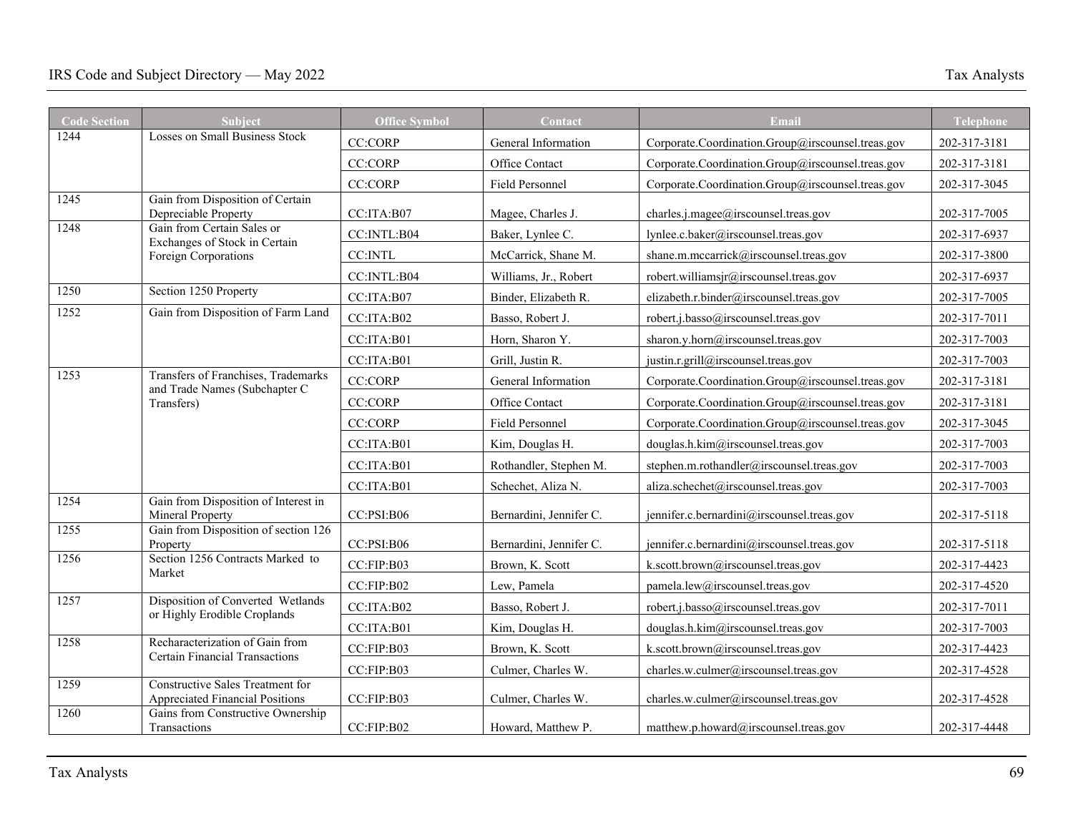| <b>Code Section</b> | Subject                                                                    | <b>Office Symbol</b> | Contact                 | Email                                             | <b>Telephone</b> |
|---------------------|----------------------------------------------------------------------------|----------------------|-------------------------|---------------------------------------------------|------------------|
| 1244                | Losses on Small Business Stock                                             | <b>CC:CORP</b>       | General Information     | Corporate.Coordination.Group@irscounsel.treas.gov | 202-317-3181     |
|                     |                                                                            | <b>CC:CORP</b>       | Office Contact          | Corporate.Coordination.Group@irscounsel.treas.gov | 202-317-3181     |
|                     |                                                                            | <b>CC:CORP</b>       | Field Personnel         | Corporate.Coordination.Group@irscounsel.treas.gov | 202-317-3045     |
| 1245                | Gain from Disposition of Certain<br>Depreciable Property                   | CC:ITA:B07           | Magee, Charles J.       | charles.j.magee@irscounsel.treas.gov              | 202-317-7005     |
| 1248                | Gain from Certain Sales or                                                 | CC:INTL:B04          | Baker, Lynlee C.        | lynlee.c.baker@irscounsel.treas.gov               | 202-317-6937     |
|                     | Exchanges of Stock in Certain<br>Foreign Corporations                      | <b>CC:INTL</b>       | McCarrick, Shane M.     | shane.m.mccarrick@irscounsel.treas.gov            | 202-317-3800     |
|                     |                                                                            | CC:INTL:B04          | Williams, Jr., Robert   | robert.williamsjr@irscounsel.treas.gov            | 202-317-6937     |
| 1250                | Section 1250 Property                                                      | CC:ITA:B07           | Binder, Elizabeth R.    | elizabeth.r.binder@irscounsel.treas.gov           | 202-317-7005     |
| 1252                | Gain from Disposition of Farm Land                                         | CC:ITA:B02           | Basso, Robert J.        | robert.j.basso@irscounsel.treas.gov               | 202-317-7011     |
|                     |                                                                            | CC:ITA:B01           | Horn, Sharon Y.         | sharon.y.horn@irscounsel.treas.gov                | 202-317-7003     |
|                     |                                                                            | CC:ITA:B01           | Grill. Justin R.        | justin.r.grill@irscounsel.treas.gov               | 202-317-7003     |
| 1253                | Transfers of Franchises, Trademarks<br>and Trade Names (Subchapter C       | <b>CC:CORP</b>       | General Information     | Corporate.Coordination.Group@irscounsel.treas.gov | 202-317-3181     |
|                     | Transfers)                                                                 | <b>CC:CORP</b>       | Office Contact          | Corporate.Coordination.Group@irscounsel.treas.gov | 202-317-3181     |
|                     |                                                                            | <b>CC:CORP</b>       | Field Personnel         | Corporate.Coordination.Group@irscounsel.treas.gov | 202-317-3045     |
|                     |                                                                            | CC:ITA:B01           | Kim, Douglas H.         | douglas.h.kim@irscounsel.treas.gov                | 202-317-7003     |
|                     |                                                                            | CC:ITA:B01           | Rothandler, Stephen M.  | stephen.m.rothandler@irscounsel.treas.gov         | 202-317-7003     |
|                     |                                                                            | CC:ITA:B01           | Schechet, Aliza N.      | aliza.schechet@irscounsel.treas.gov               | 202-317-7003     |
| 1254                | Gain from Disposition of Interest in<br>Mineral Property                   | CC:PSI:B06           | Bernardini, Jennifer C. | jennifer.c.bernardini@irscounsel.treas.gov        | 202-317-5118     |
| 1255                | Gain from Disposition of section 126<br>Property                           | CC:PSI:B06           | Bernardini, Jennifer C. | jennifer.c.bernardini@irscounsel.treas.gov        | 202-317-5118     |
| 1256                | Section 1256 Contracts Marked to<br>Market                                 | CC:FIP:B03           | Brown, K. Scott         | k.scott.brown@irscounsel.treas.gov                | 202-317-4423     |
|                     |                                                                            | CC:FIP:B02           | Lew, Pamela             | pamela.lew@irscounsel.treas.gov                   | 202-317-4520     |
| 1257                | Disposition of Converted Wetlands<br>or Highly Erodible Croplands          | CC:ITA:B02           | Basso, Robert J.        | robert.j.basso@irscounsel.treas.gov               | 202-317-7011     |
|                     |                                                                            | CC:ITA:B01           | Kim, Douglas H.         | douglas.h.kim@irscounsel.treas.gov                | 202-317-7003     |
| 1258                | Recharacterization of Gain from<br><b>Certain Financial Transactions</b>   | CC:FIP:B03           | Brown, K. Scott         | k.scott.brown@irscounsel.treas.gov                | 202-317-4423     |
|                     |                                                                            | CC:FIP:B03           | Culmer, Charles W.      | charles.w.culmer@irscounsel.treas.gov             | 202-317-4528     |
| 1259                | Constructive Sales Treatment for<br><b>Appreciated Financial Positions</b> | CC:FIP:B03           | Culmer, Charles W.      | charles.w.culmer@irscounsel.treas.gov             | 202-317-4528     |
| 1260                | Gains from Constructive Ownership<br>Transactions                          | CC:FIP:B02           | Howard, Matthew P.      | matthew.p.howard@irscounsel.treas.gov             | 202-317-4448     |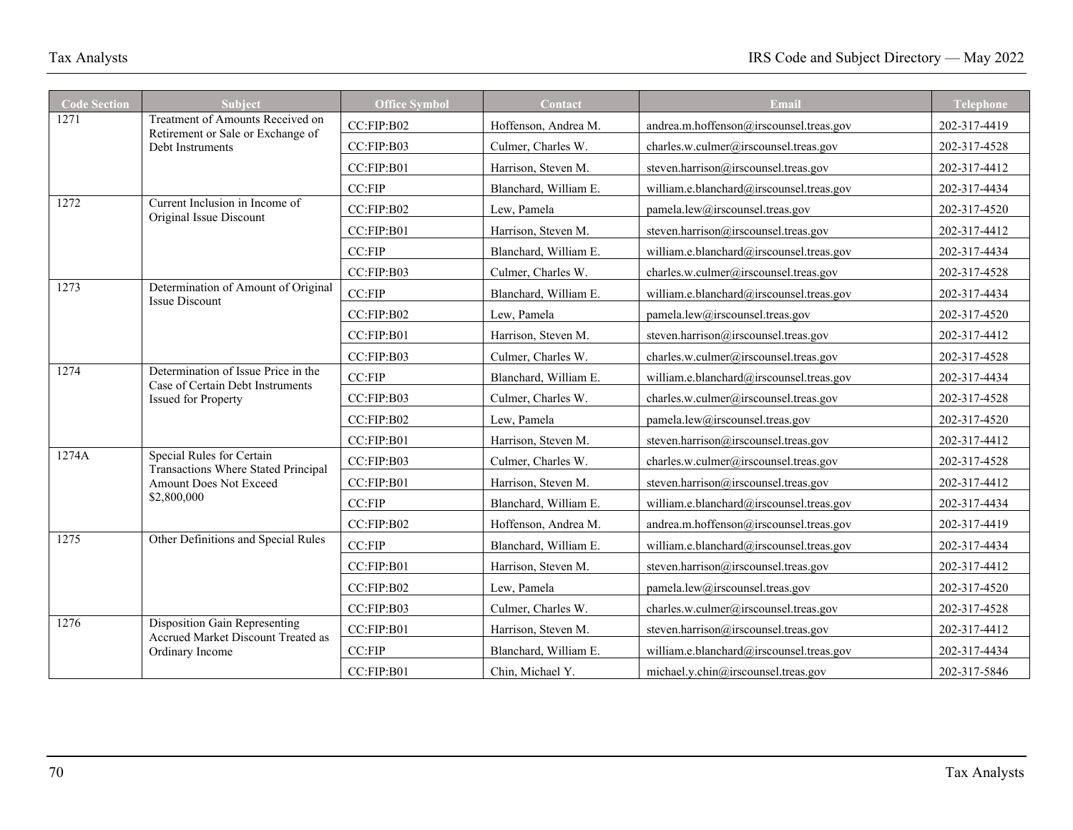| <b>Code Section</b> | <b>Subject</b>                                                                                                  | <b>Office Symbol</b> | Contact               | Email                                    | Telephone    |
|---------------------|-----------------------------------------------------------------------------------------------------------------|----------------------|-----------------------|------------------------------------------|--------------|
| 1271                | Treatment of Amounts Received on<br>Retirement or Sale or Exchange of                                           | CC:FTP: B02          | Hoffenson, Andrea M.  | andrea.m.hoffenson@irscounsel.treas.gov  | 202-317-4419 |
|                     | Debt Instruments                                                                                                | CC:FIP:B03           | Culmer, Charles W.    | charles.w.culmer@irscounsel.treas.gov    | 202-317-4528 |
|                     |                                                                                                                 | CC:FIP:B01           | Harrison, Steven M.   | steven.harrison@irscounsel.treas.gov     | 202-317-4412 |
|                     |                                                                                                                 | CC:FIP               | Blanchard, William E. | william.e.blanchard@irscounsel.treas.gov | 202-317-4434 |
| 1272                | Current Inclusion in Income of<br>Original Issue Discount                                                       | CC:FIP:B02           | Lew, Pamela           | pamela.lew@irscounsel.treas.gov          | 202-317-4520 |
|                     |                                                                                                                 | CC:FIP:B01           | Harrison, Steven M.   | steven.harrison@irscounsel.treas.gov     | 202-317-4412 |
|                     |                                                                                                                 | CC:FIP               | Blanchard, William E. | william.e.blanchard@irscounsel.treas.gov | 202-317-4434 |
|                     |                                                                                                                 | CC:FIP:B03           | Culmer, Charles W.    | charles.w.culmer@irscounsel.treas.gov    | 202-317-4528 |
| 1273                | Determination of Amount of Original                                                                             | CC:FIP               | Blanchard, William E. | william.e.blanchard@irscounsel.treas.gov | 202-317-4434 |
|                     |                                                                                                                 | CC:FIP:B02           | Lew, Pamela           | pamela.lew@irscounsel.treas.gov          | 202-317-4520 |
|                     |                                                                                                                 | CC:FIP:B01           | Harrison, Steven M.   | steven.harrison@irscounsel.treas.gov     | 202-317-4412 |
|                     |                                                                                                                 | CC:FIP:B03           | Culmer, Charles W.    | charles.w.culmer@irscounsel.treas.gov    | 202-317-4528 |
| 1274                | Determination of Issue Price in the                                                                             | CC:FIP               | Blanchard, William E. | william.e.blanchard@irscounsel.treas.gov | 202-317-4434 |
|                     | <b>Issued for Property</b>                                                                                      | CC:FIP:B03           | Culmer, Charles W.    | charles.w.culmer@irscounsel.treas.gov    | 202-317-4528 |
|                     |                                                                                                                 | CC:FIP:B02           | Lew, Pamela           | pamela.lew@irscounsel.treas.gov          | 202-317-4520 |
|                     |                                                                                                                 | CC:FIP:B01           | Harrison, Steven M.   | steven.harrison@irscounsel.treas.gov     | 202-317-4412 |
| 1274A               | Special Rules for Certain                                                                                       | CC:FIP:B03           | Culmer, Charles W.    | charles.w.culmer@irscounsel.treas.gov    | 202-317-4528 |
|                     | <b>Amount Does Not Exceed</b>                                                                                   | CC:FIP:B01           | Harrison, Steven M.   | steven.harrison@irscounsel.treas.gov     | 202-317-4412 |
|                     | <b>Issue Discount</b><br>Case of Certain Debt Instruments<br>Transactions Where Stated Principal<br>\$2,800,000 | CC:FIP               | Blanchard, William E. | william.e.blanchard@irscounsel.treas.gov | 202-317-4434 |
|                     |                                                                                                                 | CC:FIP:B02           | Hoffenson, Andrea M.  | andrea.m.hoffenson@irscounsel.treas.gov  | 202-317-4419 |
| 1275                | Other Definitions and Special Rules                                                                             | CC:FIP               | Blanchard, William E. | william.e.blanchard@irscounsel.treas.gov | 202-317-4434 |
|                     |                                                                                                                 | CC:FIP:B01           | Harrison, Steven M.   | steven.harrison@irscounsel.treas.gov     | 202-317-4412 |
|                     |                                                                                                                 | CC:FIP:B02           | Lew. Pamela           | pamela.lew@irscounsel.treas.gov          | 202-317-4520 |
|                     |                                                                                                                 | CC:FIP:B03           | Culmer, Charles W.    | charles.w.culmer@irscounsel.treas.gov    | 202-317-4528 |
| 1276                | Disposition Gain Representing                                                                                   | CC:FIP:B01           | Harrison, Steven M.   | steven.harrison@irscounsel.treas.gov     | 202-317-4412 |
|                     | Accrued Market Discount Treated as<br>Ordinary Income                                                           | CC:FIP               | Blanchard, William E. | william.e.blanchard@irscounsel.treas.gov | 202-317-4434 |
|                     |                                                                                                                 | CC:FIP:B01           | Chin, Michael Y.      | michael.y.chin@irscounsel.treas.gov      | 202-317-5846 |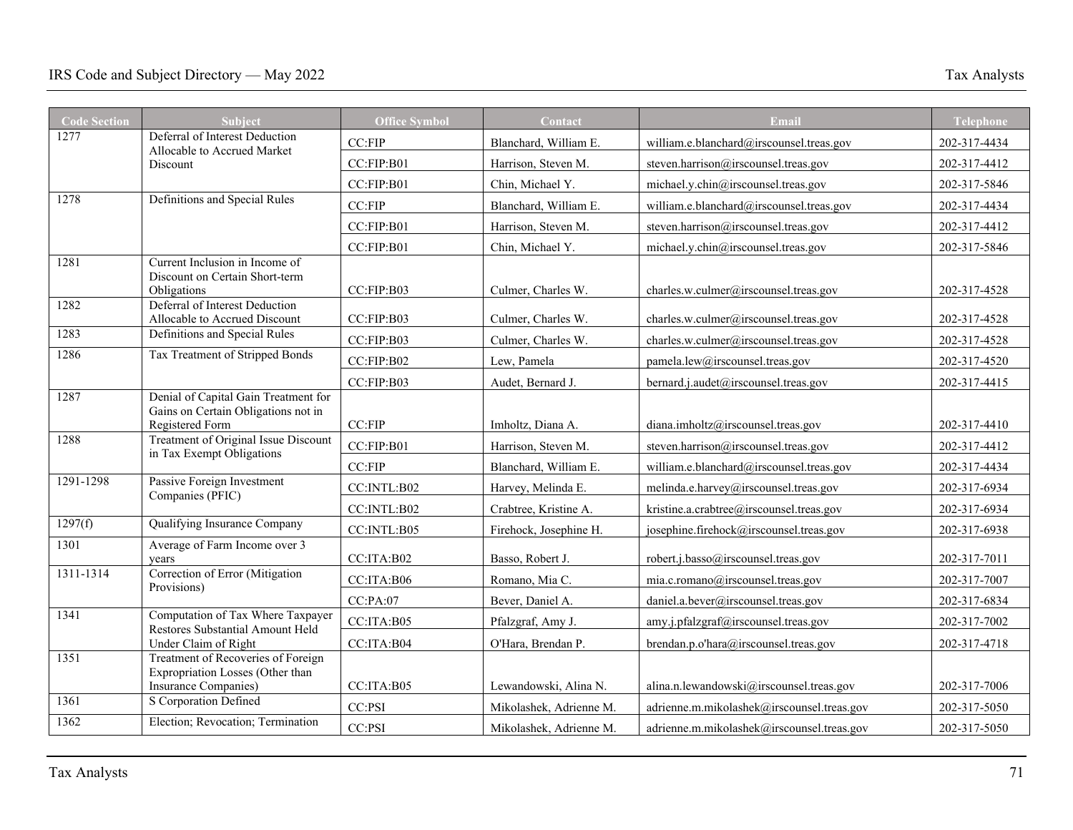| <b>Code Section</b> | <b>Subject</b>                                                                                 | <b>Office Symbol</b> | Contact                 | Email                                      | <b>Telephone</b> |
|---------------------|------------------------------------------------------------------------------------------------|----------------------|-------------------------|--------------------------------------------|------------------|
| 1277                | Deferral of Interest Deduction                                                                 | CC:FIP               | Blanchard, William E.   | william.e.blanchard@irscounsel.treas.gov   | 202-317-4434     |
|                     | Allocable to Accrued Market<br>Discount                                                        | CC:FIP:B01           | Harrison, Steven M.     | steven.harrison@irscounsel.treas.gov       | 202-317-4412     |
|                     |                                                                                                | CC:FIP:B01           | Chin, Michael Y.        | michael.y.chin@irscounsel.treas.gov        | 202-317-5846     |
| 1278                | Definitions and Special Rules                                                                  | CC:FIP               | Blanchard, William E.   | william.e.blanchard@irscounsel.treas.gov   | 202-317-4434     |
|                     |                                                                                                | CC:FIP:B01           | Harrison, Steven M.     | steven.harrison@irscounsel.treas.gov       | 202-317-4412     |
|                     |                                                                                                | CC:FIP:B01           | Chin, Michael Y.        | michael.y.chin@irscounsel.treas.gov        | 202-317-5846     |
| 1281                | Current Inclusion in Income of<br>Discount on Certain Short-term<br>Obligations                | CC:FIP:B03           | Culmer, Charles W.      | charles.w.culmer@irscounsel.treas.gov      | 202-317-4528     |
| 1282                | Deferral of Interest Deduction<br>Allocable to Accrued Discount                                | CC:FIP:B03           | Culmer, Charles W.      | charles.w.culmer@irscounsel.treas.gov      | 202-317-4528     |
| 1283                | Definitions and Special Rules                                                                  | CC:FIP:B03           | Culmer, Charles W.      | charles.w.culmer@irscounsel.treas.gov      | 202-317-4528     |
| 1286                | Tax Treatment of Stripped Bonds                                                                | CC:FIP:B02           | Lew, Pamela             | pamela.lew@irscounsel.treas.gov            | 202-317-4520     |
|                     |                                                                                                | CC:FIP:B03           | Audet, Bernard J.       | bernard.j.audet@irscounsel.treas.gov       | 202-317-4415     |
| 1287                | Denial of Capital Gain Treatment for<br>Gains on Certain Obligations not in<br>Registered Form | CC:FIP               | Imholtz, Diana A.       | diana.imholtz@irscounsel.treas.gov         | 202-317-4410     |
| 1288                | Treatment of Original Issue Discount                                                           | CC:FIP:B01           | Harrison, Steven M.     | steven.harrison@irscounsel.treas.gov       | 202-317-4412     |
|                     | in Tax Exempt Obligations                                                                      | CC:FIP               | Blanchard, William E.   | william.e.blanchard@irscounsel.treas.gov   | 202-317-4434     |
| 1291-1298           | Passive Foreign Investment                                                                     | CC:INTL:B02          | Harvey, Melinda E.      | melinda.e.harvey@irscounsel.treas.gov      | 202-317-6934     |
|                     | Companies (PFIC)                                                                               | CC:INTL:B02          | Crabtree, Kristine A.   | kristine.a.crabtree@irscounsel.treas.gov   | 202-317-6934     |
| 1297(f)             | Qualifying Insurance Company                                                                   | CC: INTL: B05        | Firehock, Josephine H.  | josephine.firehock@irscounsel.treas.gov    | 202-317-6938     |
| 1301                | Average of Farm Income over 3<br>years                                                         | CC:ITA:B02           | Basso, Robert J.        | robert.j.basso@irscounsel.treas.gov        | 202-317-7011     |
| 1311-1314           | Correction of Error (Mitigation<br>Provisions)                                                 | CC:ITA:B06           | Romano, Mia C.          | mia.c.romano@irscounsel.treas.gov          | 202-317-7007     |
|                     |                                                                                                | CC:PA:07             | Bever, Daniel A.        | daniel.a.bever@irscounsel.treas.gov        | 202-317-6834     |
| 1341                | Computation of Tax Where Taxpayer<br>Restores Substantial Amount Held                          | CC:ITA:B05           | Pfalzgraf, Amy J.       | amy.j.pfalzgraf@irscounsel.treas.gov       | 202-317-7002     |
|                     | Under Claim of Right                                                                           | CC:ITA:B04           | O'Hara, Brendan P.      | brendan.p.o'hara@irscounsel.treas.gov      | 202-317-4718     |
| 1351                | Treatment of Recoveries of Foreign<br>Expropriation Losses (Other than<br>Insurance Companies) | CC:ITA:B05           | Lewandowski, Alina N.   | alina.n.lewandowski@irscounsel.treas.gov   | 202-317-7006     |
| 1361                | S Corporation Defined                                                                          | CC:PSI               | Mikolashek, Adrienne M. | adrienne.m.mikolashek@irscounsel.treas.gov | 202-317-5050     |
| 1362                | Election; Revocation; Termination                                                              | CC:PSI               | Mikolashek, Adrienne M. | adrienne.m.mikolashek@irscounsel.treas.gov | 202-317-5050     |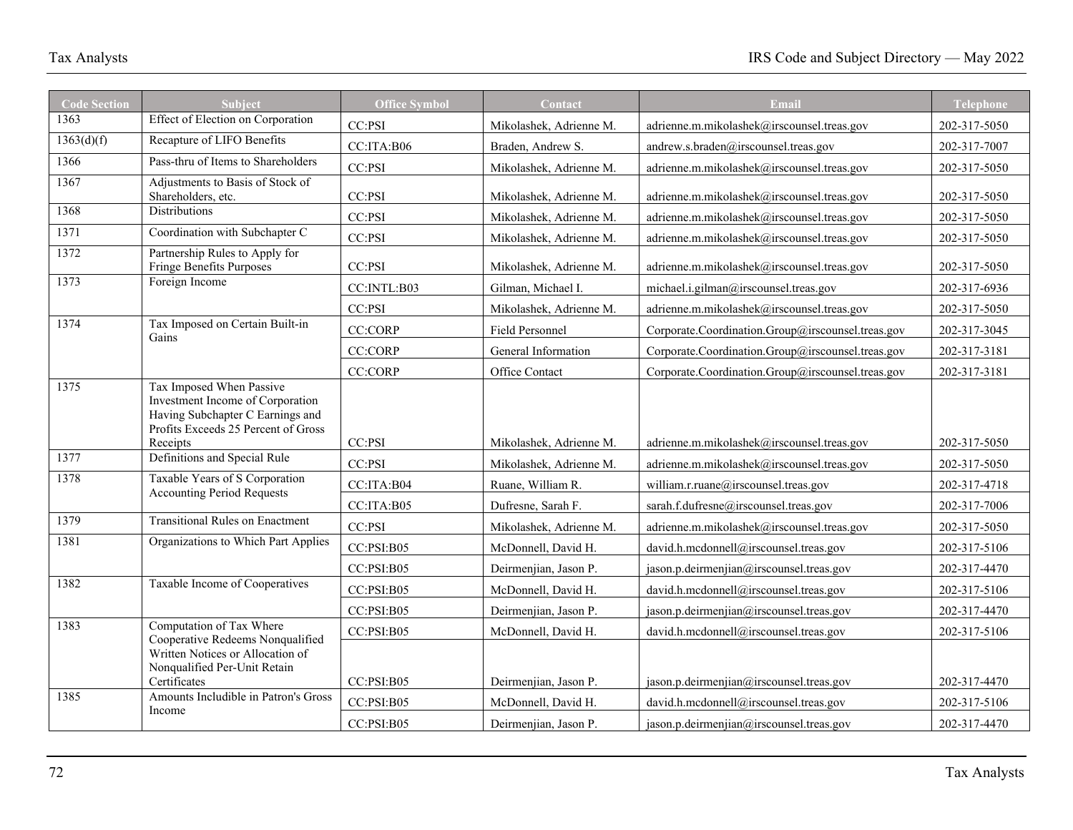| <b>Code Section</b> | Subject                                                                                                                                             | <b>Office Symbol</b>     | Contact                                      | Email                                                                              | <b>Telephone</b>             |
|---------------------|-----------------------------------------------------------------------------------------------------------------------------------------------------|--------------------------|----------------------------------------------|------------------------------------------------------------------------------------|------------------------------|
| 1363                | Effect of Election on Corporation                                                                                                                   | CC:PSI                   | Mikolashek, Adrienne M.                      | adrienne.m.mikolashek@irscounsel.treas.gov                                         | 202-317-5050                 |
| 1363(d)(f)          | Recapture of LIFO Benefits                                                                                                                          | CC:ITA:B06               | Braden, Andrew S.                            | andrew.s.braden@irscounsel.treas.gov                                               | 202-317-7007                 |
| 1366                | Pass-thru of Items to Shareholders                                                                                                                  | CC:PSI                   | Mikolashek, Adrienne M.                      | adrienne.m.mikolashek@irscounsel.treas.gov                                         | 202-317-5050                 |
| 1367                | Adjustments to Basis of Stock of<br>Shareholders, etc.                                                                                              | CC:PSI                   | Mikolashek, Adrienne M.                      | adrienne.m.mikolashek@irscounsel.treas.gov                                         | 202-317-5050                 |
| 1368                | <b>Distributions</b>                                                                                                                                | CC:PSI                   | Mikolashek, Adrienne M.                      | adrienne.m.mikolashek@irscounsel.treas.gov                                         | 202-317-5050                 |
| 1371                | Coordination with Subchapter C                                                                                                                      | CC:PSI                   | Mikolashek, Adrienne M.                      | adrienne.m.mikolashek@irscounsel.treas.gov                                         | 202-317-5050                 |
| 1372                | Partnership Rules to Apply for<br>Fringe Benefits Purposes                                                                                          | CC:PSI                   | Mikolashek, Adrienne M.                      | adrienne.m.mikolashek@irscounsel.treas.gov                                         | 202-317-5050                 |
| 1373                | Foreign Income                                                                                                                                      | CC:INTL:B03              | Gilman, Michael I.                           | michael.i.gilman@irscounsel.treas.gov                                              | 202-317-6936                 |
|                     |                                                                                                                                                     | CC:PSI                   | Mikolashek, Adrienne M.                      | adrienne.m.mikolashek@irscounsel.treas.gov                                         | 202-317-5050                 |
| 1374                | Tax Imposed on Certain Built-in<br>Gains                                                                                                            | <b>CC:CORP</b>           | Field Personnel                              | Corporate.Coordination.Group@irscounsel.treas.gov                                  | 202-317-3045                 |
|                     |                                                                                                                                                     | <b>CC:CORP</b>           | General Information                          | Corporate.Coordination.Group@irscounsel.treas.gov                                  | 202-317-3181                 |
|                     |                                                                                                                                                     | <b>CC:CORP</b>           | Office Contact                               | Corporate.Coordination.Group@irscounsel.treas.gov                                  | 202-317-3181                 |
| 1375                | Tax Imposed When Passive<br>Investment Income of Corporation<br>Having Subchapter C Earnings and<br>Profits Exceeds 25 Percent of Gross<br>Receipts | CC:PSI                   | Mikolashek, Adrienne M.                      | adrienne.m.mikolashek@irscounsel.treas.gov                                         | 202-317-5050                 |
| 1377                | Definitions and Special Rule                                                                                                                        | CC:PSI                   | Mikolashek, Adrienne M.                      | adrienne.m.mikolashek@irscounsel.treas.gov                                         | 202-317-5050                 |
| 1378                | Taxable Years of S Corporation                                                                                                                      | CC:ITA:B04               | Ruane, William R.                            | william.r.ruane@irscounsel.treas.gov                                               | 202-317-4718                 |
|                     | <b>Accounting Period Requests</b>                                                                                                                   | CC:ITA:B05               | Dufresne, Sarah F.                           | sarah.f.dufresne@irscounsel.treas.gov                                              | 202-317-7006                 |
| 1379                | <b>Transitional Rules on Enactment</b>                                                                                                              | CC:PSI                   | Mikolashek, Adrienne M.                      | adrienne.m.mikolashek@irscounsel.treas.gov                                         | 202-317-5050                 |
| 1381                | Organizations to Which Part Applies                                                                                                                 | CC:PSI:B05               | McDonnell, David H.                          | david.h.mcdonnell@irscounsel.treas.gov                                             | 202-317-5106                 |
|                     |                                                                                                                                                     | CC:PSI:B05               | Deirmenjian, Jason P.                        |                                                                                    | 202-317-4470                 |
| 1382                | Taxable Income of Cooperatives                                                                                                                      | CC:PSI:B05               | McDonnell, David H.                          | jason.p.deirmenjian@irscounsel.treas.gov<br>david.h.mcdonnell@irscounsel.treas.gov | 202-317-5106                 |
|                     |                                                                                                                                                     | CC:PSI:B05               | Deirmenjian, Jason P.                        | jason.p.deirmenjian@irscounsel.treas.gov                                           |                              |
| 1383                | Computation of Tax Where                                                                                                                            |                          |                                              |                                                                                    | 202-317-4470                 |
|                     | Cooperative Redeems Nonqualified<br>Written Notices or Allocation of<br>Nonqualified Per-Unit Retain<br>Certificates                                | CC:PSI:B05<br>CC:PSI:B05 | McDonnell, David H.<br>Deirmenjian, Jason P. | david.h.mcdonnell@irscounsel.treas.gov<br>jason.p.deirmenjian@irscounsel.treas.gov | 202-317-5106<br>202-317-4470 |
| 1385                | Amounts Includible in Patron's Gross                                                                                                                | CC:PSI:B05               | McDonnell, David H.                          | david.h.mcdonnell@irscounsel.treas.gov                                             | 202-317-5106                 |
|                     | Income                                                                                                                                              | CC:PSI:B05               | Deirmenjian, Jason P.                        | jason.p.deirmenjian@irscounsel.treas.gov                                           | 202-317-4470                 |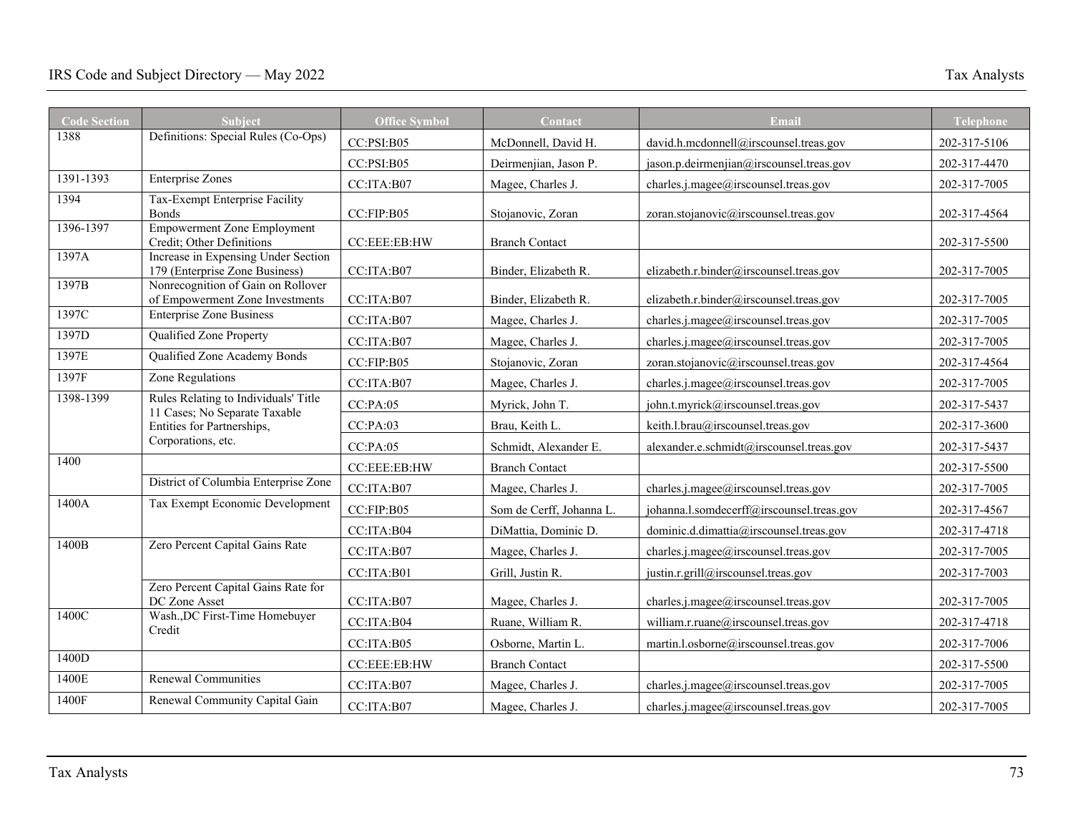| <b>Code Section</b> | Subject                                                                                             | <b>Office Symbol</b> | Contact                  | Email                                     | Telephone    |
|---------------------|-----------------------------------------------------------------------------------------------------|----------------------|--------------------------|-------------------------------------------|--------------|
| 1388                | Definitions: Special Rules (Co-Ops)                                                                 | CC:PSI:B05           | McDonnell, David H.      | david.h.mcdonnell@irscounsel.treas.gov    | 202-317-5106 |
|                     |                                                                                                     | CC:PSI:B05           | Deirmenjian, Jason P.    | jason.p.deirmenjian@irscounsel.treas.gov  | 202-317-4470 |
| 1391-1393           | <b>Enterprise Zones</b>                                                                             | CC:ITA:B07           | Magee, Charles J.        | charles.j.magee@irscounsel.treas.gov      | 202-317-7005 |
| 1394                | Tax-Exempt Enterprise Facility<br><b>Bonds</b>                                                      | CC:FIP:B05           | Stojanovic, Zoran        | zoran.stojanovic@irscounsel.treas.gov     | 202-317-4564 |
| 1396-1397           | <b>Empowerment Zone Employment</b><br>Credit; Other Definitions                                     | CC:EEE:EB:HW         | <b>Branch Contact</b>    |                                           | 202-317-5500 |
| 1397A               | Increase in Expensing Under Section<br>179 (Enterprise Zone Business)                               | CC:ITA:B07           | Binder, Elizabeth R.     | elizabeth.r.binder@irscounsel.treas.gov   | 202-317-7005 |
| 1397B               | Nonrecognition of Gain on Rollover<br>of Empowerment Zone Investments                               | CC:ITA:B07           | Binder, Elizabeth R.     | elizabeth.r.binder@irscounsel.treas.gov   | 202-317-7005 |
| 1397C               | <b>Enterprise Zone Business</b>                                                                     | CC:ITA:B07           | Magee, Charles J.        | charles.j.magee@irscounsel.treas.gov      | 202-317-7005 |
| 1397D               | Qualified Zone Property                                                                             | CC:ITA:B07           | Magee, Charles J.        | charles.j.magee@irscounsel.treas.gov      | 202-317-7005 |
| 1397E               | Qualified Zone Academy Bonds                                                                        | CC:FIP:B05           | Stojanovic, Zoran        | zoran.stojanovic@irscounsel.treas.gov     | 202-317-4564 |
| 1397F               | Zone Regulations                                                                                    | CC:ITA:B07           | Magee, Charles J.        | charles.j.magee@irscounsel.treas.gov      | 202-317-7005 |
| 1398-1399           | Rules Relating to Individuals' Title<br>11 Cases; No Separate Taxable<br>Entities for Partnerships, | CC:PA:05             | Myrick, John T.          | john.t.myrick@irscounsel.treas.gov        | 202-317-5437 |
|                     |                                                                                                     | CC:PA:03             | Brau, Keith L.           | keith.l.brau@irscounsel.treas.gov         | 202-317-3600 |
|                     | Corporations, etc.                                                                                  | CC:PA:05             | Schmidt, Alexander E.    | alexander.e.schmidt@irscounsel.treas.gov  | 202-317-5437 |
| 1400                |                                                                                                     | CC:EEE:EB:HW         | <b>Branch Contact</b>    |                                           | 202-317-5500 |
|                     | District of Columbia Enterprise Zone                                                                | CC:ITA:B07           | Magee, Charles J.        | charles.j.magee@irscounsel.treas.gov      | 202-317-7005 |
| 1400A               | Tax Exempt Economic Development                                                                     | CC:FIP:B05           | Som de Cerff, Johanna L. | johanna.l.somdecerff@irscounsel.treas.gov | 202-317-4567 |
|                     |                                                                                                     | CC:ITA:B04           | DiMattia, Dominic D.     | dominic.d.dimattia@irscounsel.treas.gov   | 202-317-4718 |
| 1400B               | Zero Percent Capital Gains Rate                                                                     | CC:ITA:B07           | Magee, Charles J.        | charles.j.magee@irscounsel.treas.gov      | 202-317-7005 |
|                     |                                                                                                     | CC:ITA:B01           | Grill, Justin R.         | justin.r.grill@irscounsel.treas.gov       | 202-317-7003 |
|                     | Zero Percent Capital Gains Rate for<br>DC Zone Asset                                                | CC:ITA:B07           | Magee, Charles J.        | charles.j.magee@irscounsel.treas.gov      | 202-317-7005 |
| 1400C               | Wash., DC First-Time Homebuyer                                                                      | CC:ITA:B04           | Ruane, William R.        | william.r.ruane@irscounsel.treas.gov      | 202-317-4718 |
|                     | Credit                                                                                              | CC:ITA:B05           | Osborne, Martin L.       | martin.l.osborne@irscounsel.treas.gov     | 202-317-7006 |
| 1400D               |                                                                                                     | CC:EEE:EB:HW         | <b>Branch Contact</b>    |                                           | 202-317-5500 |
| 1400E               | <b>Renewal Communities</b>                                                                          | CC:ITA:B07           | Magee, Charles J.        | charles.j.magee@irscounsel.treas.gov      | 202-317-7005 |
| $1400\overline{F}$  | Renewal Community Capital Gain                                                                      | CC:ITA:B07           | Magee, Charles J.        | charles.j.magee@irscounsel.treas.gov      | 202-317-7005 |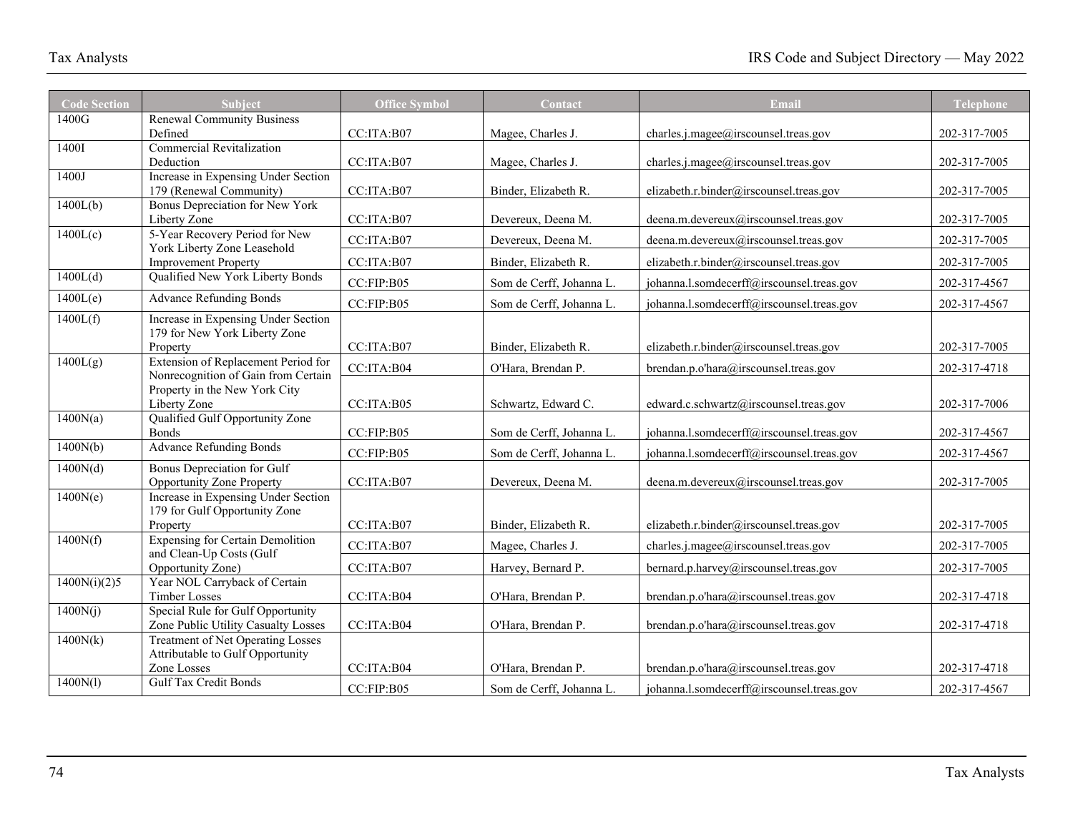| <b>Code Section</b> | <b>Subject</b>                                                                  | <b>Office Symbol</b> | Contact                  | <b>Email</b>                              | <b>Telephone</b> |
|---------------------|---------------------------------------------------------------------------------|----------------------|--------------------------|-------------------------------------------|------------------|
| 1400G               | Renewal Community Business                                                      |                      |                          |                                           |                  |
|                     | Defined                                                                         | CC:ITA:B07           | Magee, Charles J.        | charles.j.magee@irscounsel.treas.gov      | 202-317-7005     |
| 1400I               | <b>Commercial Revitalization</b><br>Deduction                                   | CC:ITA:B07           | Magee, Charles J.        | charles.j.magee@irscounsel.treas.gov      | 202-317-7005     |
| 1400J               | Increase in Expensing Under Section                                             |                      |                          |                                           |                  |
|                     | 179 (Renewal Community)                                                         | CC:ITA:B07           | Binder, Elizabeth R.     | elizabeth.r.binder@irscounsel.treas.gov   | 202-317-7005     |
| 1400L(b)            | Bonus Depreciation for New York                                                 |                      |                          |                                           |                  |
|                     | Liberty Zone                                                                    | CC:ITA:B07           | Devereux, Deena M.       | deena.m.devereux@irscounsel.treas.gov     | 202-317-7005     |
| 1400L(c)            | 5-Year Recovery Period for New<br>York Liberty Zone Leasehold                   | CC:ITA:B07           | Devereux, Deena M.       | deena.m.devereux@irscounsel.treas.gov     | 202-317-7005     |
|                     | <b>Improvement Property</b>                                                     | CC:ITA:B07           | Binder, Elizabeth R.     | elizabeth.r.binder@irscounsel.treas.gov   | 202-317-7005     |
| 1400L(d)            | Qualified New York Liberty Bonds                                                | CC:FIP:B05           | Som de Cerff, Johanna L. | johanna.l.somdecerff@irscounsel.treas.gov | 202-317-4567     |
| 1400L(e)            | <b>Advance Refunding Bonds</b>                                                  | CC:FIP:B05           | Som de Cerff, Johanna L. | johanna.l.somdecerff@irscounsel.treas.gov | 202-317-4567     |
| 1400L(f)            | Increase in Expensing Under Section                                             |                      |                          |                                           |                  |
|                     | 179 for New York Liberty Zone                                                   |                      |                          |                                           |                  |
| 1400L(g)            | Property<br>Extension of Replacement Period for                                 | CC:ITA:B07           | Binder, Elizabeth R.     | elizabeth.r.binder@irscounsel.treas.gov   | 202-317-7005     |
|                     | Nonrecognition of Gain from Certain                                             | CC:ITA:B04           | O'Hara, Brendan P.       | brendan.p.o'hara@irscounsel.treas.gov     | 202-317-4718     |
|                     | Property in the New York City                                                   |                      |                          |                                           |                  |
|                     | Liberty Zone                                                                    | CC:ITA:B05           | Schwartz, Edward C.      | edward.c.schwartz@irscounsel.treas.gov    | 202-317-7006     |
| 1400N(a)            | Qualified Gulf Opportunity Zone<br><b>Bonds</b>                                 | CC:FIP:B05           | Som de Cerff, Johanna L. | johanna.l.somdecerff@irscounsel.treas.gov | 202-317-4567     |
| 1400N(b)            | <b>Advance Refunding Bonds</b>                                                  |                      |                          |                                           |                  |
| 1400N(d)            | <b>Bonus Depreciation for Gulf</b>                                              | CC:FIP:B05           | Som de Cerff, Johanna L. | johanna.l.somdecerff@irscounsel.treas.gov | 202-317-4567     |
|                     | Opportunity Zone Property                                                       | CC:ITA:B07           | Devereux, Deena M.       | deena.m.devereux@irscounsel.treas.gov     | 202-317-7005     |
| 1400N(e)            | Increase in Expensing Under Section                                             |                      |                          |                                           |                  |
|                     | 179 for Gulf Opportunity Zone                                                   |                      |                          |                                           |                  |
|                     | Property                                                                        | CC:ITA:B07           | Binder, Elizabeth R.     | elizabeth.r.binder@irscounsel.treas.gov   | 202-317-7005     |
| 1400N(f)            | <b>Expensing for Certain Demolition</b><br>and Clean-Up Costs (Gulf             | CC:ITA:B07           | Magee, Charles J.        | charles.j.magee@irscounsel.treas.gov      | 202-317-7005     |
|                     | Opportunity Zone)                                                               | CC:ITA:B07           | Harvey, Bernard P.       | bernard.p.harvey@irscounsel.treas.gov     | 202-317-7005     |
| 1400N(i)(2)5        | Year NOL Carryback of Certain                                                   |                      |                          |                                           |                  |
|                     | <b>Timber Losses</b>                                                            | CC:ITA:B04           | O'Hara, Brendan P.       | brendan.p.o'hara@irscounsel.treas.gov     | 202-317-4718     |
| 1400N(i)            | Special Rule for Gulf Opportunity                                               |                      | O'Hara, Brendan P.       |                                           |                  |
| 1400N(k)            | Zone Public Utility Casualty Losses<br><b>Treatment of Net Operating Losses</b> | CC:ITA:B04           |                          | brendan.p.o'hara@irscounsel.treas.gov     | 202-317-4718     |
|                     | Attributable to Gulf Opportunity                                                |                      |                          |                                           |                  |
|                     | Zone Losses                                                                     | CC:ITA:B04           | O'Hara, Brendan P.       | brendan.p.o'hara@irscounsel.treas.gov     | 202-317-4718     |
| 1400N(1)            | <b>Gulf Tax Credit Bonds</b>                                                    | CC:FIP:B05           | Som de Cerff, Johanna L. | johanna.l.somdecerff@irscounsel.treas.gov | 202-317-4567     |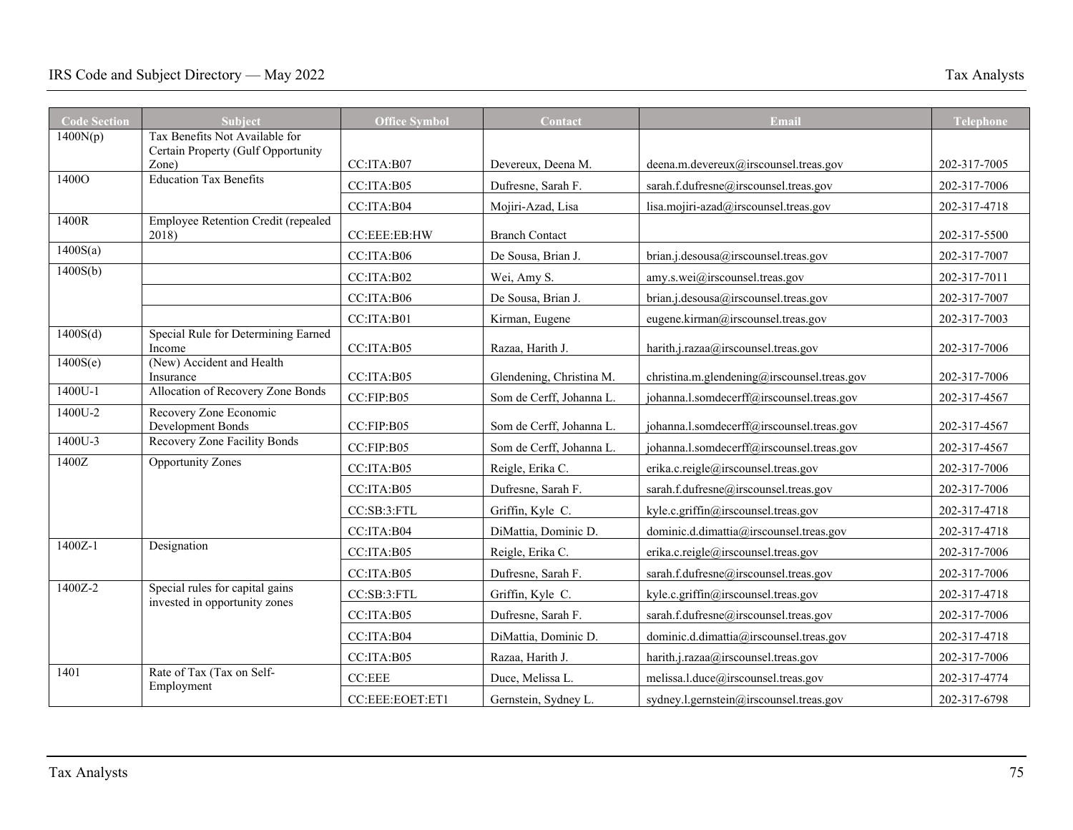| <b>Code Section</b> | <b>Subject</b>                                                   | <b>Office Symbol</b> | Contact                  | Email                                       | <b>Telephone</b> |
|---------------------|------------------------------------------------------------------|----------------------|--------------------------|---------------------------------------------|------------------|
| 1400N(p)            | Tax Benefits Not Available for                                   |                      |                          |                                             |                  |
|                     | Certain Property (Gulf Opportunity<br>Zone)                      | CC:ITA:B07           | Devereux, Deena M.       | deena.m.devereux@irscounsel.treas.gov       | 202-317-7005     |
| 1400O               | <b>Education Tax Benefits</b>                                    | CC:ITA:B05           | Dufresne, Sarah F.       | sarah.f.dufresne@irscounsel.treas.gov       | 202-317-7006     |
|                     |                                                                  | CC:ITA:B04           | Mojiri-Azad, Lisa        | lisa.mojiri-azad@irscounsel.treas.gov       | 202-317-4718     |
| 1400R               | Employee Retention Credit (repealed<br>2018)                     | CC:EEE:EB:HW         | <b>Branch Contact</b>    |                                             | 202-317-5500     |
| 1400S(a)            |                                                                  | CC:ITA:B06           | De Sousa, Brian J.       | brian.j.desousa@irscounsel.treas.gov        | 202-317-7007     |
| 1400S(b)            |                                                                  | CC:ITA:B02           | Wei, Amy S.              | amy.s.wei@irscounsel.treas.gov              | 202-317-7011     |
|                     |                                                                  | CC:ITA:B06           | De Sousa, Brian J.       | brian.j.desousa@irscounsel.treas.gov        | 202-317-7007     |
|                     |                                                                  | CC:ITA:B01           | Kirman, Eugene           | eugene.kirman@irscounsel.treas.gov          | 202-317-7003     |
| 1400S(d)            | Special Rule for Determining Earned<br>Income                    | CC:ITA:B05           | Razaa, Harith J.         | harith.j.razaa@irscounsel.treas.gov         | 202-317-7006     |
| 1400S(e)            | (New) Accident and Health<br>Insurance                           | CC:ITA:B05           | Glendening, Christina M. | christina.m.glendening@irscounsel.treas.gov | 202-317-7006     |
| $1400U-1$           | Allocation of Recovery Zone Bonds                                | CC:FIP:B05           | Som de Cerff, Johanna L. | johanna.l.somdecerff@irscounsel.treas.gov   | 202-317-4567     |
| 1400U-2             | Recovery Zone Economic<br>Development Bonds                      | CC:FIP:B05           | Som de Cerff, Johanna L. | johanna.l.somdecerff@irscounsel.treas.gov   | 202-317-4567     |
| 1400U-3             | Recovery Zone Facility Bonds                                     | CC:FIP:B05           | Som de Cerff, Johanna L. | johanna.l.somdecerff@irscounsel.treas.gov   | 202-317-4567     |
| 1400Z               | <b>Opportunity Zones</b>                                         | CC:ITA:B05           | Reigle, Erika C.         | erika.c.reigle@irscounsel.treas.gov         | 202-317-7006     |
|                     |                                                                  | CC:ITA:B05           | Dufresne, Sarah F.       | sarah.f.dufresne@irscounsel.treas.gov       | 202-317-7006     |
|                     |                                                                  | CC:SB:3:FTL          | Griffin, Kyle C.         | kyle.c.griffin@irscounsel.treas.gov         | 202-317-4718     |
|                     |                                                                  | CC:ITA:B04           | DiMattia, Dominic D.     | dominic.d.dimattia@irscounsel.treas.gov     | 202-317-4718     |
| 1400Z-1             | Designation                                                      | CC:ITA:B05           | Reigle, Erika C.         | erika.c.reigle@irscounsel.treas.gov         | 202-317-7006     |
|                     |                                                                  | CC:ITA:B05           | Dufresne, Sarah F.       | sarah.f.dufresne@irscounsel.treas.gov       | 202-317-7006     |
| 1400Z-2             | Special rules for capital gains<br>invested in opportunity zones | CC:SB:3:FTL          | Griffin, Kyle C.         | kyle.c.griffin@irscounsel.treas.gov         | 202-317-4718     |
|                     |                                                                  | CC:ITA:B05           | Dufresne, Sarah F.       | sarah.f.dufresne@irscounsel.treas.gov       | 202-317-7006     |
|                     |                                                                  | CC:ITA:B04           | DiMattia, Dominic D.     | dominic.d.dimattia@irscounsel.treas.gov     | 202-317-4718     |
|                     |                                                                  | CC:ITA:B05           | Razaa, Harith J.         | harith.j.razaa@irscounsel.treas.gov         | 202-317-7006     |
| 1401                | Rate of Tax (Tax on Self-                                        | CC: EEE              | Duce, Melissa L.         | melissa.l.duce@irscounsel.treas.gov         | 202-317-4774     |
|                     | Employment                                                       | CC:EEE:EOET:ET1      | Gernstein, Sydney L.     | sydney.l.gernstein@irscounsel.treas.gov     | 202-317-6798     |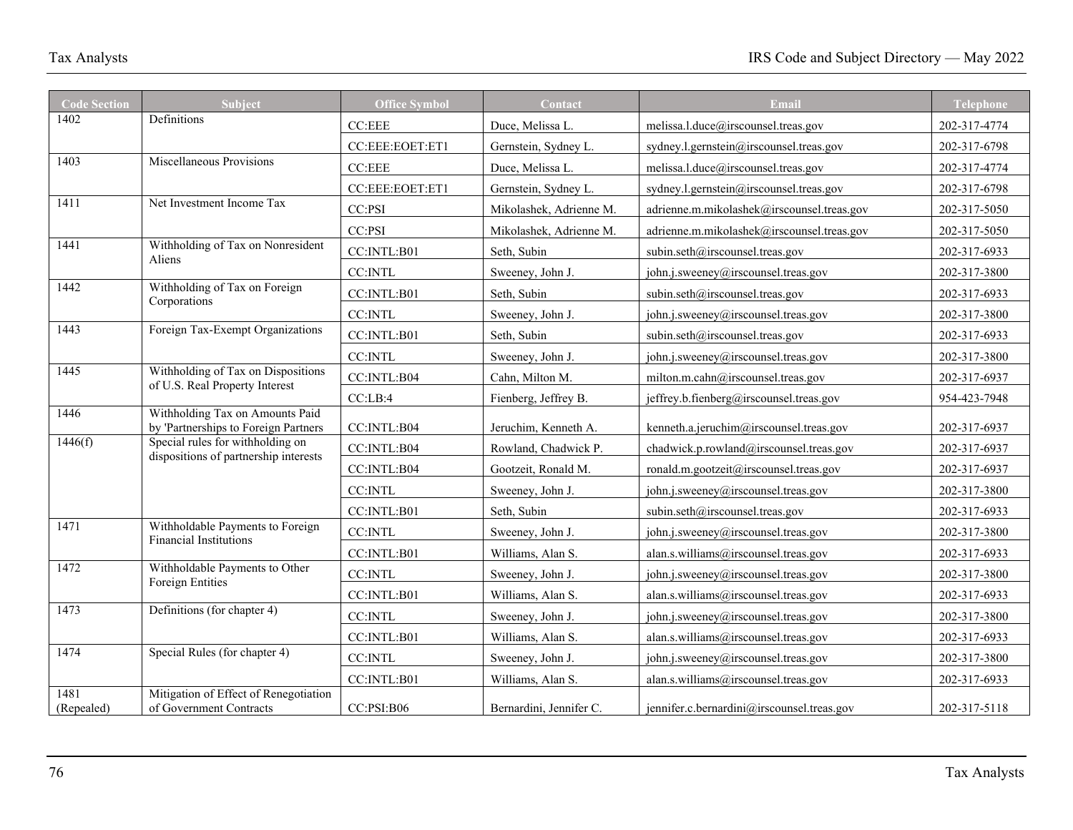| <b>Code Section</b> | Subject                                                                   | <b>Office Symbol</b> | Contact                 | <b>Email</b>                               | Telephone    |
|---------------------|---------------------------------------------------------------------------|----------------------|-------------------------|--------------------------------------------|--------------|
| 1402                | Definitions                                                               | <b>CC:EEE</b>        | Duce, Melissa L.        | melissa.l.duce@irscounsel.treas.gov        | 202-317-4774 |
|                     |                                                                           | CC:EEE:EOET:ET1      | Gernstein, Sydney L.    | sydney.l.gernstein@irscounsel.treas.gov    | 202-317-6798 |
| 1403                | Miscellaneous Provisions                                                  | CC: EEE              | Duce, Melissa L.        | melissa.l.duce@irscounsel.treas.gov        | 202-317-4774 |
|                     |                                                                           | CC:EEE:EOET:ET1      | Gernstein, Sydney L.    | sydney.l.gernstein@irscounsel.treas.gov    | 202-317-6798 |
| 1411                | Net Investment Income Tax                                                 | CC:PSI               | Mikolashek, Adrienne M. | adrienne.m.mikolashek@irscounsel.treas.gov | 202-317-5050 |
|                     |                                                                           | CC:PSI               | Mikolashek, Adrienne M. | adrienne.m.mikolashek@irscounsel.treas.gov | 202-317-5050 |
| 1441                | Withholding of Tax on Nonresident<br>Aliens                               | CC:INTL:B01          | Seth, Subin             | subin.seth@irscounsel.treas.gov            | 202-317-6933 |
|                     |                                                                           | <b>CC:INTL</b>       | Sweeney, John J.        | john.j.sweeney@irscounsel.treas.gov        | 202-317-3800 |
| 1442                | Withholding of Tax on Foreign<br>Corporations                             | CC:INTL:B01          | Seth, Subin             | subin.seth@irscounsel.treas.gov            | 202-317-6933 |
|                     |                                                                           | $CC:\!INTL$          | Sweeney, John J.        | john.j.sweeney@irscounsel.treas.gov        | 202-317-3800 |
| 1443                | Foreign Tax-Exempt Organizations                                          | CC:INTL:B01          | Seth, Subin             | subin.seth@irscounsel.treas.gov            | 202-317-6933 |
|                     |                                                                           | CC:INTL              | Sweeney, John J.        | john.j.sweeney@irscounsel.treas.gov        | 202-317-3800 |
| 1445                | Withholding of Tax on Dispositions<br>of U.S. Real Property Interest      | CC:INTL:B04          | Cahn, Milton M.         | milton.m.cahn@irscounsel.treas.gov         | 202-317-6937 |
|                     |                                                                           | CC:LB:4              | Fienberg, Jeffrey B.    | jeffrey.b.fienberg@irscounsel.treas.gov    | 954-423-7948 |
| 1446                | Withholding Tax on Amounts Paid<br>by 'Partnerships to Foreign Partners   | CC:INTL:B04          | Jeruchim. Kenneth A.    | kenneth.a.jeruchim@irscounsel.treas.gov    | 202-317-6937 |
| 1446(f)             | Special rules for withholding on<br>dispositions of partnership interests | CC:INTL:B04          | Rowland, Chadwick P.    | chadwick.p.rowland@irscounsel.treas.gov    | 202-317-6937 |
|                     |                                                                           | CC:INTL:B04          | Gootzeit, Ronald M.     | ronald.m.gootzeit@irscounsel.treas.gov     | 202-317-6937 |
|                     |                                                                           | <b>CC:INTL</b>       | Sweeney, John J.        | john.j.sweeney@irscounsel.treas.gov        | 202-317-3800 |
|                     |                                                                           | CC:INTL:B01          | Seth, Subin             | subin.seth@irscounsel.treas.gov            | 202-317-6933 |
| 1471                | Withholdable Payments to Foreign<br><b>Financial Institutions</b>         | <b>CC:INTL</b>       | Sweeney, John J.        | john.j.sweeney@irscounsel.treas.gov        | 202-317-3800 |
|                     |                                                                           | CC:INTL:B01          | Williams, Alan S.       | alan.s.williams@irscounsel.treas.gov       | 202-317-6933 |
| 1472                | Withholdable Payments to Other<br>Foreign Entities                        | <b>CC:INTL</b>       | Sweeney, John J.        | john.j.sweeney@irscounsel.treas.gov        | 202-317-3800 |
|                     |                                                                           | CC:INTL:B01          | Williams, Alan S.       | alan.s.williams@irscounsel.treas.gov       | 202-317-6933 |
| 1473                | Definitions (for chapter 4)                                               | <b>CC:INTL</b>       | Sweeney, John J.        | john.j.sweeney@irscounsel.treas.gov        | 202-317-3800 |
|                     |                                                                           | CC:INTL:B01          | Williams, Alan S.       | alan.s.williams@irscounsel.treas.gov       | 202-317-6933 |
| 1474                | Special Rules (for chapter 4)                                             | <b>CC:INTL</b>       | Sweeney, John J.        | john.j.sweeney@irscounsel.treas.gov        | 202-317-3800 |
|                     |                                                                           | CC:INTL:B01          | Williams, Alan S.       | alan.s.williams@irscounsel.treas.gov       | 202-317-6933 |
| 1481<br>(Repealed)  | Mitigation of Effect of Renegotiation<br>of Government Contracts          | CC:PSI:B06           | Bernardini, Jennifer C. | jennifer.c.bernardini@irscounsel.treas.gov | 202-317-5118 |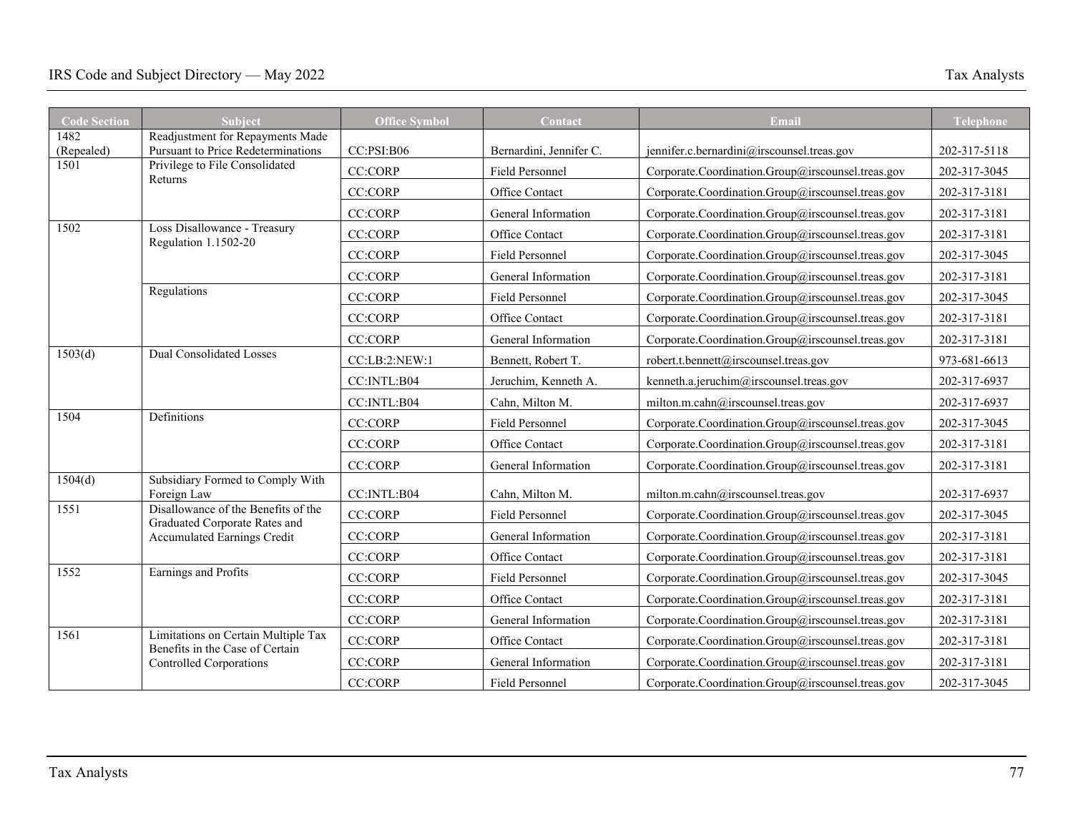| <b>Code Section</b> | <b>Subject</b>                                                         | <b>Office Symbol</b> | Contact                 | Email                                             | <b>Telephone</b> |
|---------------------|------------------------------------------------------------------------|----------------------|-------------------------|---------------------------------------------------|------------------|
| 1482                | Readjustment for Repayments Made                                       |                      |                         |                                                   |                  |
| (Repealed)<br>1501  | Pursuant to Price Redeterminations<br>Privilege to File Consolidated   | CC:PSI:B06           | Bernardini, Jennifer C. | jennifer.c.bernardini@irscounsel.treas.gov        | 202-317-5118     |
|                     | Returns                                                                | <b>CC:CORP</b>       | <b>Field Personnel</b>  | Corporate.Coordination.Group@irscounsel.treas.gov | 202-317-3045     |
|                     |                                                                        | <b>CC:CORP</b>       | Office Contact          | Corporate.Coordination.Group@irscounsel.treas.gov | 202-317-3181     |
| 1502                |                                                                        | <b>CC:CORP</b>       | General Information     | Corporate.Coordination.Group@irscounsel.treas.gov | 202-317-3181     |
|                     | Loss Disallowance - Treasury<br>Regulation 1.1502-20                   | <b>CC:CORP</b>       | Office Contact          | Corporate.Coordination.Group@irscounsel.treas.gov | 202-317-3181     |
|                     |                                                                        | <b>CC:CORP</b>       | <b>Field Personnel</b>  | Corporate.Coordination.Group@irscounsel.treas.gov | 202-317-3045     |
|                     |                                                                        | <b>CC:CORP</b>       | General Information     | Corporate.Coordination.Group@irscounsel.treas.gov | 202-317-3181     |
|                     | Regulations                                                            | <b>CC:CORP</b>       | Field Personnel         | Corporate.Coordination.Group@irscounsel.treas.gov | 202-317-3045     |
|                     |                                                                        | <b>CC:CORP</b>       | Office Contact          | Corporate.Coordination.Group@irscounsel.treas.gov | 202-317-3181     |
|                     |                                                                        | <b>CC:CORP</b>       | General Information     | Corporate.Coordination.Group@irscounsel.treas.gov | 202-317-3181     |
| 1503(d)             | <b>Dual Consolidated Losses</b>                                        | CC:LB:2:NEW:1        | Bennett, Robert T.      | robert.t.bennett@irscounsel.treas.gov             | 973-681-6613     |
|                     |                                                                        | CC:INTL:B04          | Jeruchim. Kenneth A.    | kenneth.a.jeruchim@irscounsel.treas.gov           | 202-317-6937     |
|                     |                                                                        | CC:INTL:B04          | Cahn, Milton M.         | milton.m.cahn@irscounsel.treas.gov                | 202-317-6937     |
| 1504                | Definitions                                                            | <b>CC:CORP</b>       | <b>Field Personnel</b>  | Corporate.Coordination.Group@irscounsel.treas.gov | 202-317-3045     |
|                     |                                                                        | <b>CC:CORP</b>       | Office Contact          | Corporate.Coordination.Group@irscounsel.treas.gov | 202-317-3181     |
|                     |                                                                        | <b>CC:CORP</b>       | General Information     | Corporate.Coordination.Group@irscounsel.treas.gov | 202-317-3181     |
| 1504(d)             | Subsidiary Formed to Comply With<br>Foreign Law                        | CC:INTL:B04          | Cahn, Milton M.         | milton.m.cahn@irscounsel.treas.gov                | 202-317-6937     |
| 1551                | Disallowance of the Benefits of the                                    | <b>CC:CORP</b>       | <b>Field Personnel</b>  | Corporate.Coordination.Group@irscounsel.treas.gov | 202-317-3045     |
|                     | Graduated Corporate Rates and<br><b>Accumulated Earnings Credit</b>    | <b>CC:CORP</b>       | General Information     | Corporate.Coordination.Group@irscounsel.treas.gov | 202-317-3181     |
|                     |                                                                        | <b>CC:CORP</b>       | Office Contact          | Corporate.Coordination.Group@irscounsel.treas.gov | 202-317-3181     |
| 1552                | Earnings and Profits                                                   | <b>CC:CORP</b>       | Field Personnel         | Corporate.Coordination.Group@irscounsel.treas.gov | 202-317-3045     |
|                     |                                                                        | <b>CC:CORP</b>       | Office Contact          | Corporate.Coordination.Group@irscounsel.treas.gov | 202-317-3181     |
|                     |                                                                        | <b>CC:CORP</b>       | General Information     | Corporate.Coordination.Group@irscounsel.treas.gov | 202-317-3181     |
| 1561                | Limitations on Certain Multiple Tax<br>Benefits in the Case of Certain | <b>CC:CORP</b>       | Office Contact          | Corporate.Coordination.Group@irscounsel.treas.gov | 202-317-3181     |
|                     | <b>Controlled Corporations</b>                                         | <b>CC:CORP</b>       | General Information     | Corporate.Coordination.Group@irscounsel.treas.gov | 202-317-3181     |
|                     |                                                                        | <b>CC:CORP</b>       | Field Personnel         | Corporate.Coordination.Group@irscounsel.treas.gov | 202-317-3045     |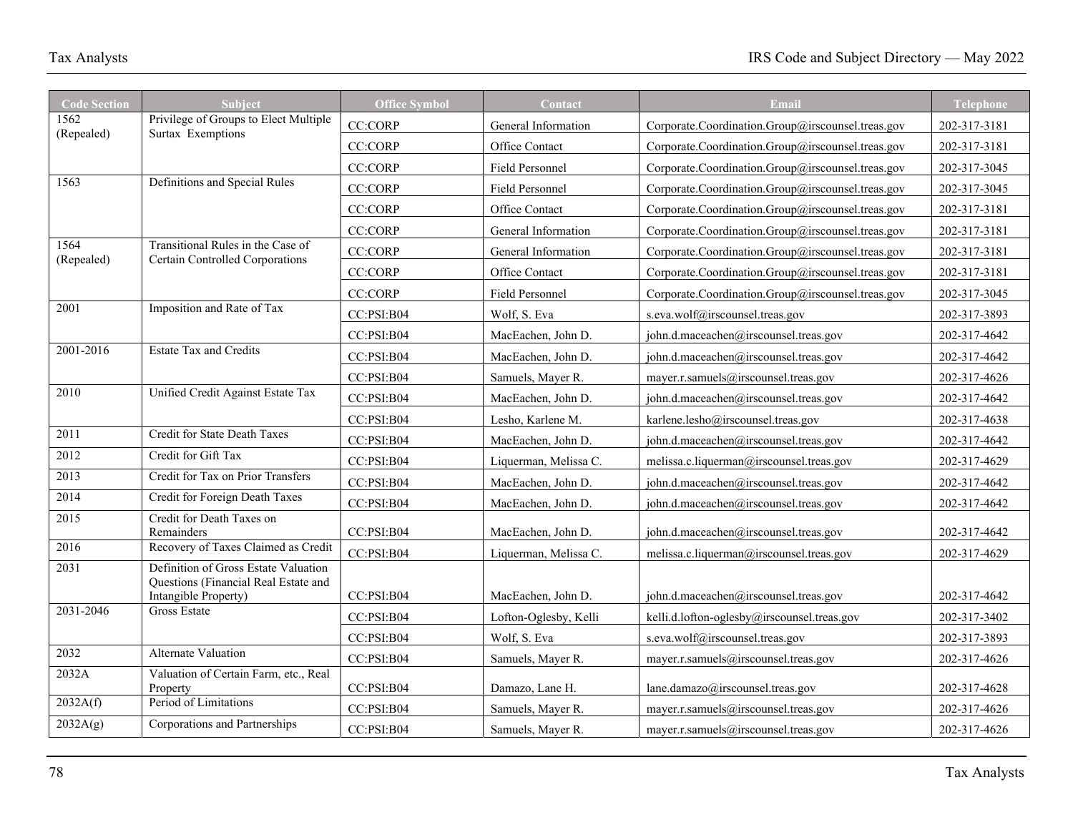| <b>Code Section</b> | <b>Subject</b>                                                       | <b>Office Symbol</b>     | Contact                           | Email                                                                   | <b>Telephone</b>             |
|---------------------|----------------------------------------------------------------------|--------------------------|-----------------------------------|-------------------------------------------------------------------------|------------------------------|
| 1562<br>(Repealed)  | Privilege of Groups to Elect Multiple<br>Surtax Exemptions           | <b>CC:CORP</b>           | General Information               | Corporate.Coordination.Group@irscounsel.treas.gov                       | 202-317-3181                 |
|                     |                                                                      | <b>CC:CORP</b>           | Office Contact                    | Corporate.Coordination.Group@irscounsel.treas.gov                       | 202-317-3181                 |
|                     |                                                                      | CC:CORP                  | Field Personnel                   | Corporate.Coordination.Group@irscounsel.treas.gov                       | 202-317-3045                 |
| 1563                | Definitions and Special Rules                                        | <b>CC:CORP</b>           | Field Personnel                   | Corporate.Coordination.Group@irscounsel.treas.gov                       | 202-317-3045                 |
|                     |                                                                      | <b>CC:CORP</b>           | Office Contact                    | Corporate.Coordination.Group@irscounsel.treas.gov                       | 202-317-3181                 |
|                     |                                                                      | <b>CC:CORP</b>           | General Information               | Corporate.Coordination.Group@irscounsel.treas.gov                       | 202-317-3181                 |
| 1564<br>(Repealed)  | Transitional Rules in the Case of<br>Certain Controlled Corporations | <b>CC:CORP</b>           | General Information               | Corporate.Coordination.Group@irscounsel.treas.gov                       | 202-317-3181                 |
|                     |                                                                      | <b>CC:CORP</b>           | Office Contact                    | Corporate.Coordination.Group@irscounsel.treas.gov                       | 202-317-3181                 |
|                     |                                                                      | <b>CC:CORP</b>           | Field Personnel                   | Corporate.Coordination.Group@irscounsel.treas.gov                       | 202-317-3045                 |
| 2001                | Imposition and Rate of Tax                                           | CC:PSI:B04               | Wolf, S. Eva                      | s.eva.wolf@irscounsel.treas.gov                                         | 202-317-3893                 |
|                     |                                                                      | CC:PSI:B04               | MacEachen, John D.                | john.d.maceachen@irscounsel.treas.gov                                   | 202-317-4642                 |
| 2001-2016           | <b>Estate Tax and Credits</b>                                        | CC:PSI:B04               | MacEachen, John D.                | john.d.maceachen@irscounsel.treas.gov                                   | 202-317-4642                 |
|                     |                                                                      | CC:PSI:B04               | Samuels, Mayer R.                 | mayer.r.samuels@irscounsel.treas.gov                                    | 202-317-4626                 |
| 2010                | Unified Credit Against Estate Tax                                    | CC:PSI:B04               | MacEachen, John D.                | john.d.maceachen@irscounsel.treas.gov                                   | 202-317-4642                 |
|                     |                                                                      | CC:PSI:B04               | Lesho, Karlene M.                 | karlene.lesho@irscounsel.treas.gov                                      | 202-317-4638                 |
| 2011                | Credit for State Death Taxes                                         | CC:PSI:B04               | MacEachen, John D.                | john.d.maceachen@irscounsel.treas.gov                                   | 202-317-4642                 |
| 2012                | Credit for Gift Tax                                                  | CC:PSI:B04               | Liquerman, Melissa C.             | melissa.c.liquerman@irscounsel.treas.gov                                | 202-317-4629                 |
| $\overline{2013}$   | Credit for Tax on Prior Transfers                                    | CC:PSI:B04               | MacEachen, John D.                | john.d.maceachen@irscounsel.treas.gov                                   | 202-317-4642                 |
| 2014                | Credit for Foreign Death Taxes                                       | CC:PSI:B04               | MacEachen, John D.                | john.d.maceachen@irscounsel.treas.gov                                   | 202-317-4642                 |
| 2015                | Credit for Death Taxes on<br>Remainders                              | CC:PSI:B04               | MacEachen, John D.                | john.d.maceachen@irscounsel.treas.gov                                   | 202-317-4642                 |
| 2016                | Recovery of Taxes Claimed as Credit                                  | CC:PSI:B04               | Liquerman, Melissa C.             | melissa.c.liquerman@irscounsel.treas.gov                                | 202-317-4629                 |
| 2031                | Definition of Gross Estate Valuation                                 |                          |                                   |                                                                         |                              |
|                     | Questions (Financial Real Estate and<br>Intangible Property)         | CC:PSI:B04               | MacEachen, John D.                | john.d.maceachen@irscounsel.treas.gov                                   | 202-317-4642                 |
| 2031-2046           | <b>Gross Estate</b>                                                  | CC:PSI:B04               | Lofton-Oglesby, Kelli             | kelli.d.lofton-oglesby@irscounsel.treas.gov                             | 202-317-3402                 |
|                     |                                                                      |                          |                                   |                                                                         |                              |
| 2032                | <b>Alternate Valuation</b>                                           | CC:PSI:B04<br>CC:PSI:B04 | Wolf, S. Eva<br>Samuels, Mayer R. | s.eva.wolf@irscounsel.treas.gov<br>mayer.r.samuels@irscounsel.treas.gov | 202-317-3893<br>202-317-4626 |
| 2032A               | Valuation of Certain Farm, etc., Real                                |                          |                                   |                                                                         |                              |
|                     | Property                                                             | CC:PSI:B04               | Damazo, Lane H.                   | lane.damazo@irscounsel.treas.gov                                        | 202-317-4628                 |
| 2032A(f)            | Period of Limitations                                                | CC:PSI:B04               | Samuels, Mayer R.                 | mayer.r.samuels@irscounsel.treas.gov                                    | 202-317-4626                 |
| 2032A(g)            | Corporations and Partnerships                                        | CC:PSI:B04               | Samuels, Mayer R.                 | mayer.r.samuels@irscounsel.treas.gov                                    | 202-317-4626                 |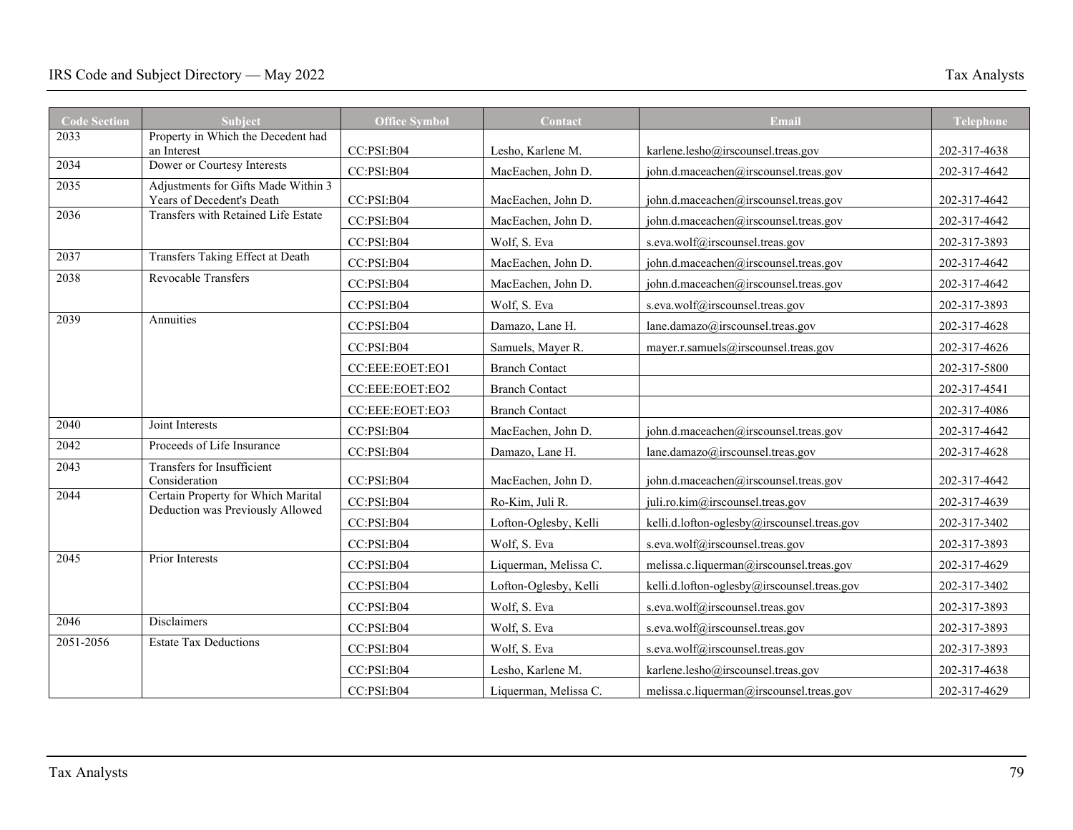| <b>Code Section</b> | <b>Subject</b>                                                         | <b>Office Symbol</b> | Contact               | Email                                       | <b>Telephone</b> |
|---------------------|------------------------------------------------------------------------|----------------------|-----------------------|---------------------------------------------|------------------|
| 2033                | Property in Which the Decedent had                                     |                      |                       |                                             |                  |
| 2034                | an Interest<br>Dower or Courtesy Interests                             | CC:PSI:B04           | Lesho, Karlene M.     | karlene.lesho@irscounsel.treas.gov          | 202-317-4638     |
|                     |                                                                        | CC:PSI:B04           | MacEachen, John D.    | john.d.maceachen@irscounsel.treas.gov       | 202-317-4642     |
| 2035                | Adjustments for Gifts Made Within 3<br>Years of Decedent's Death       | CC:PSI:B04           | MacEachen, John D.    | john.d.maceachen@irscounsel.treas.gov       | 202-317-4642     |
| 2036                | Transfers with Retained Life Estate                                    | CC:PSI:B04           | MacEachen, John D.    | john.d.maceachen@irscounsel.treas.gov       | 202-317-4642     |
|                     |                                                                        | CC:PSI:B04           | Wolf, S. Eva          | s.eva.wolf@irscounsel.treas.gov             | 202-317-3893     |
| 2037                | Transfers Taking Effect at Death                                       | CC:PSI:B04           | MacEachen, John D.    | john.d.maceachen@irscounsel.treas.gov       | 202-317-4642     |
| 2038                | Revocable Transfers                                                    | CC:PSI: B04          | MacEachen, John D.    | john.d.maceachen@irscounsel.treas.gov       | 202-317-4642     |
|                     |                                                                        | CC:PSI: B04          | Wolf, S. Eva          | s.eva.wolf@irscounsel.treas.gov             | 202-317-3893     |
| 2039                | Annuities                                                              | CC:PSI: B04          | Damazo, Lane H.       | lane.damazo@irscounsel.treas.gov            | 202-317-4628     |
|                     |                                                                        | CC:PSI: B04          | Samuels, Mayer R.     | mayer.r.samuels@irscounsel.treas.gov        | 202-317-4626     |
|                     |                                                                        | CC:EEE:EOET:EO1      | <b>Branch Contact</b> |                                             | 202-317-5800     |
|                     |                                                                        | CC:EEE:EOET:EO2      | <b>Branch Contact</b> |                                             | 202-317-4541     |
|                     |                                                                        | CC:EEE:EOET:EO3      | <b>Branch Contact</b> |                                             | 202-317-4086     |
| 2040                | Joint Interests                                                        | CC:PSI: B04          | MacEachen, John D.    | john.d.maceachen@irscounsel.treas.gov       | 202-317-4642     |
| 2042                | Proceeds of Life Insurance                                             | CC:PSI:B04           | Damazo, Lane H.       | lane.damazo@irscounsel.treas.gov            | 202-317-4628     |
| 2043                | Transfers for Insufficient<br>Consideration                            | CC:PSI:B04           | MacEachen, John D.    | john.d.maceachen@irscounsel.treas.gov       | 202-317-4642     |
| 2044                | Certain Property for Which Marital<br>Deduction was Previously Allowed | CC:PSI:B04           | Ro-Kim, Juli R.       | juli.ro.kim@irscounsel.treas.gov            | 202-317-4639     |
|                     |                                                                        | CC:PSI:B04           | Lofton-Oglesby, Kelli | kelli.d.lofton-oglesby@irscounsel.treas.gov | 202-317-3402     |
|                     |                                                                        | CC:PSI:B04           | Wolf, S. Eva          | s.eva.wolf@irscounsel.treas.gov             | 202-317-3893     |
| 2045                | Prior Interests                                                        | CC:PSI:B04           | Liquerman, Melissa C. | melissa.c.liquerman@irscounsel.treas.gov    | 202-317-4629     |
|                     |                                                                        | CC:PSI:B04           | Lofton-Oglesby, Kelli | kelli.d.lofton-oglesby@irscounsel.treas.gov | 202-317-3402     |
|                     |                                                                        | CC:PSI:B04           | Wolf, S. Eva          | s.eva.wolf@irscounsel.treas.gov             | 202-317-3893     |
| 2046                | Disclaimers                                                            | CC:PSI:B04           | Wolf, S. Eva          | s.eva.wolf@irscounsel.treas.gov             | 202-317-3893     |
| 2051-2056           | <b>Estate Tax Deductions</b>                                           | CC:PSI:B04           | Wolf, S. Eva          | s.eva.wolf@irscounsel.treas.gov             | 202-317-3893     |
|                     |                                                                        | CC:PSI:B04           | Lesho, Karlene M.     | karlene.lesho@irscounsel.treas.gov          | 202-317-4638     |
|                     |                                                                        | CC:PSI:B04           | Liquerman, Melissa C. | melissa.c.liquerman@irscounsel.treas.gov    | 202-317-4629     |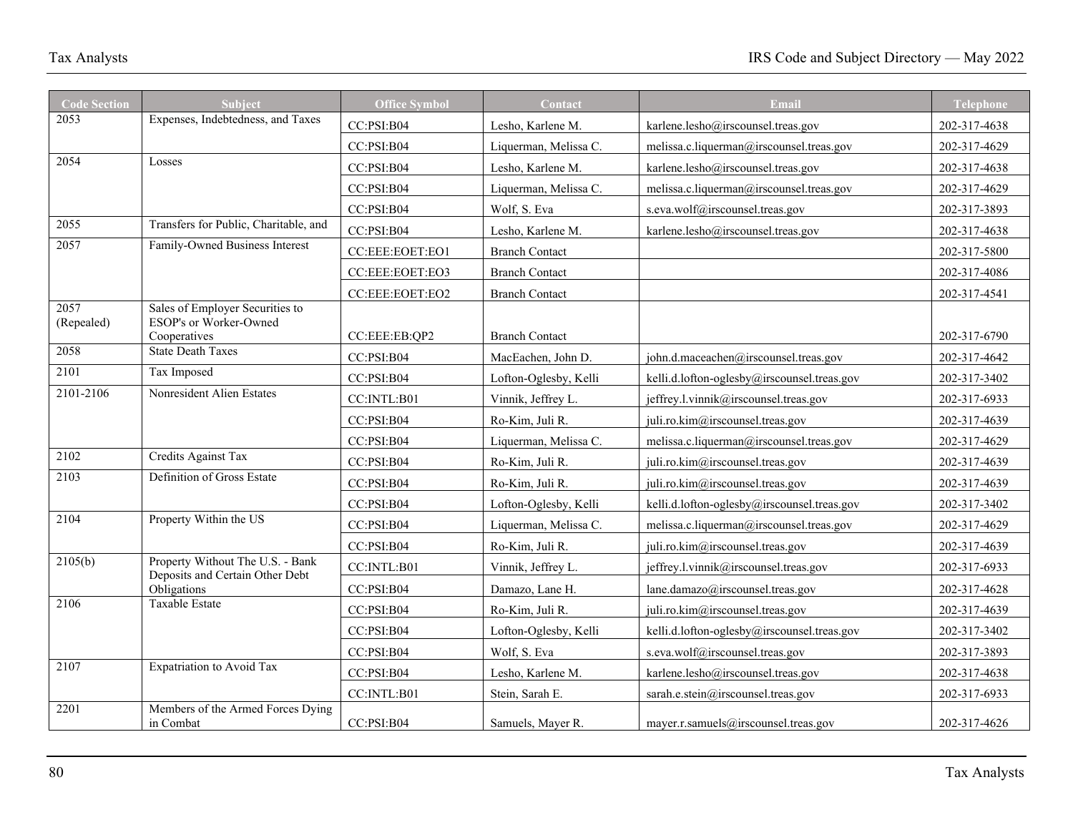| <b>Code Section</b> | <b>Subject</b>                                                      | <b>Office Symbol</b> | Contact               | Email                                       | <b>Telephone</b> |
|---------------------|---------------------------------------------------------------------|----------------------|-----------------------|---------------------------------------------|------------------|
| 2053                | Expenses, Indebtedness, and Taxes                                   | CC:PSI:B04           | Lesho, Karlene M.     | karlene.lesho@irscounsel.treas.gov          | 202-317-4638     |
|                     |                                                                     | CC:PSI:B04           | Liquerman, Melissa C. | melissa.c.liquerman@irscounsel.treas.gov    | 202-317-4629     |
| $205\overline{4}$   | Losses                                                              | CC:PSI:B04           | Lesho, Karlene M.     | karlene.lesho@irscounsel.treas.gov          | 202-317-4638     |
|                     |                                                                     | CC:PSI:B04           | Liquerman, Melissa C. | melissa.c.liquerman@irscounsel.treas.gov    | 202-317-4629     |
|                     |                                                                     | CC:PSI:B04           | Wolf, S. Eva          | s.eva.wolf@irscounsel.treas.gov             | 202-317-3893     |
| $205\overline{5}$   | Transfers for Public, Charitable, and                               | CC:PSI:B04           | Lesho, Karlene M.     | karlene.lesho@irscounsel.treas.gov          | 202-317-4638     |
| 2057                | Family-Owned Business Interest                                      | CC:EEE:EOET:EO1      | <b>Branch Contact</b> |                                             | 202-317-5800     |
|                     |                                                                     | CC:EEE:EOET:EO3      | <b>Branch Contact</b> |                                             | 202-317-4086     |
|                     |                                                                     | CC:EEE:EOET:EO2      | <b>Branch Contact</b> |                                             | 202-317-4541     |
| 2057<br>(Repealed)  | Sales of Employer Securities to<br>ESOP's or Worker-Owned           |                      |                       |                                             |                  |
|                     | Cooperatives                                                        | CC:EEE:EB:QP2        | <b>Branch Contact</b> |                                             | 202-317-6790     |
| 2058                | <b>State Death Taxes</b>                                            | CC:PSI:B04           | MacEachen, John D.    | john.d.maceachen@irscounsel.treas.gov       | 202-317-4642     |
| 2101                | Tax Imposed                                                         | CC:PSI:B04           | Lofton-Oglesby, Kelli | kelli.d.lofton-oglesby@irscounsel.treas.gov | 202-317-3402     |
| 2101-2106           | Nonresident Alien Estates                                           | CC:INTL:B01          | Vinnik, Jeffrey L.    | jeffrey.l.vinnik@irscounsel.treas.gov       | 202-317-6933     |
|                     |                                                                     | CC:PSI:B04           | Ro-Kim. Juli R.       | juli.ro.kim@irscounsel.treas.gov            | 202-317-4639     |
|                     |                                                                     | CC:PSI: B04          | Liquerman, Melissa C. | melissa.c.liquerman@irscounsel.treas.gov    | 202-317-4629     |
| 2102                | Credits Against Tax                                                 | CC:PSI:B04           | Ro-Kim, Juli R.       | juli.ro.kim@irscounsel.treas.gov            | 202-317-4639     |
| 2103                | Definition of Gross Estate                                          | CC:PSI:B04           | Ro-Kim, Juli R.       | juli.ro.kim@irscounsel.treas.gov            | 202-317-4639     |
|                     |                                                                     | CC:PSI:B04           | Lofton-Oglesby, Kelli | kelli.d.lofton-oglesby@irscounsel.treas.gov | 202-317-3402     |
| 2104                | Property Within the US                                              | CC:PSI:B04           | Liquerman, Melissa C. | melissa.c.liquerman@irscounsel.treas.gov    | 202-317-4629     |
|                     |                                                                     | CC:PSI:B04           | Ro-Kim, Juli R.       | juli.ro.kim@irscounsel.treas.gov            | 202-317-4639     |
| 2105(b)             | Property Without The U.S. - Bank<br>Deposits and Certain Other Debt | CC:INTL:B01          | Vinnik, Jeffrey L.    | jeffrey.l.vinnik@irscounsel.treas.gov       | 202-317-6933     |
|                     | Obligations                                                         | CC:PSI:B04           | Damazo, Lane H.       | lane.damazo@irscounsel.treas.gov            | 202-317-4628     |
| 2106                | Taxable Estate                                                      | CC:PSI:B04           | Ro-Kim, Juli R.       | juli.ro.kim@irscounsel.treas.gov            | 202-317-4639     |
|                     |                                                                     | CC:PSI:B04           | Lofton-Oglesby, Kelli | kelli.d.lofton-oglesby@irscounsel.treas.gov | 202-317-3402     |
|                     |                                                                     | CC:PSI:B04           | Wolf, S. Eva          | s.eva.wolf@irscounsel.treas.gov             | 202-317-3893     |
| 2107                | <b>Expatriation to Avoid Tax</b>                                    | CC:PSI:B04           | Lesho, Karlene M.     | karlene.lesho@irscounsel.treas.gov          | 202-317-4638     |
|                     |                                                                     | CC:INTL:B01          | Stein, Sarah E.       | sarah.e.stein@irscounsel.treas.gov          | 202-317-6933     |
| 2201                | Members of the Armed Forces Dying<br>in Combat                      | CC:PSI:B04           | Samuels, Mayer R.     | mayer.r.samuels@irscounsel.treas.gov        | 202-317-4626     |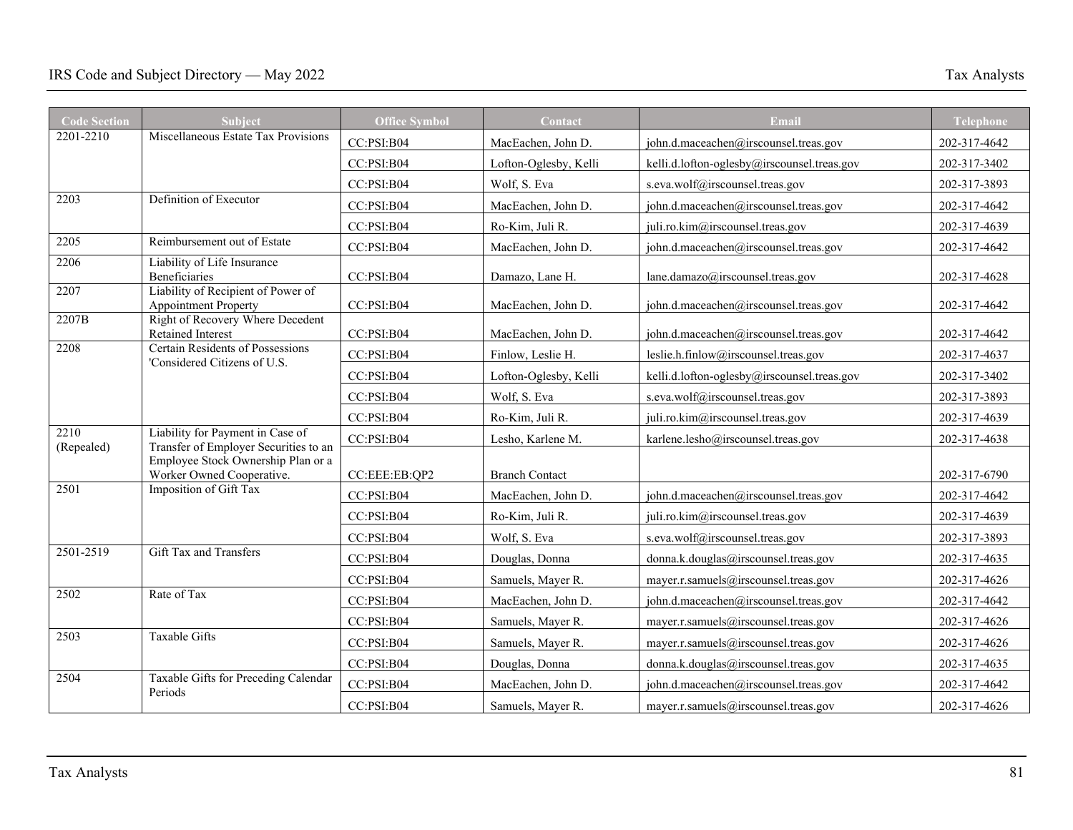| <b>Code Section</b> | <b>Subject</b>                                                            | <b>Office Symbol</b> | Contact               | Email                                       | Telephone    |
|---------------------|---------------------------------------------------------------------------|----------------------|-----------------------|---------------------------------------------|--------------|
| 2201-2210           | Miscellaneous Estate Tax Provisions                                       | CC:PSI:B04           | MacEachen, John D.    | john.d.maceachen@irscounsel.treas.gov       | 202-317-4642 |
|                     |                                                                           | CC:PSI:B04           | Lofton-Oglesby, Kelli | kelli.d.lofton-oglesby@irscounsel.treas.gov | 202-317-3402 |
|                     |                                                                           | CC:PSI:B04           | Wolf, S. Eva          | s.eva.wolf@irscounsel.treas.gov             | 202-317-3893 |
| $220\overline{3}$   | Definition of Executor                                                    | CC:PSI:B04           | MacEachen, John D.    | john.d.maceachen@irscounsel.treas.gov       | 202-317-4642 |
|                     |                                                                           | CC:PSI:B04           | Ro-Kim, Juli R.       | juli.ro.kim@irscounsel.treas.gov            | 202-317-4639 |
| 2205                | Reimbursement out of Estate                                               | CC:PSI:B04           | MacEachen, John D.    | john.d.maceachen@irscounsel.treas.gov       | 202-317-4642 |
| 2206                | Liability of Life Insurance<br>Beneficiaries                              | CC:PSI:B04           | Damazo, Lane H.       | lane.damazo@irscounsel.treas.gov            | 202-317-4628 |
| 2207                | Liability of Recipient of Power of<br><b>Appointment Property</b>         | CC:PSI:B04           | MacEachen, John D.    | john.d.maceachen@irscounsel.treas.gov       | 202-317-4642 |
| 2207B               | Right of Recovery Where Decedent<br>Retained Interest                     | CC:PSI:B04           | MacEachen, John D.    | john.d.maceachen@irscounsel.treas.gov       | 202-317-4642 |
| 2208                | <b>Certain Residents of Possessions</b><br>'Considered Citizens of U.S.   | CC:PSI:B04           | Finlow, Leslie H.     | leslie.h.finlow@irscounsel.treas.gov        | 202-317-4637 |
|                     |                                                                           | CC:PSI:B04           | Lofton-Oglesby, Kelli | kelli.d.lofton-oglesby@irscounsel.treas.gov | 202-317-3402 |
|                     |                                                                           | CC:PSI:B04           | Wolf, S. Eva          | s.eva.wolf@irscounsel.treas.gov             | 202-317-3893 |
|                     |                                                                           | CC:PSI:B04           | Ro-Kim, Juli R.       | juli.ro.kim@irscounsel.treas.gov            | 202-317-4639 |
| 2210<br>(Repealed)  | Liability for Payment in Case of<br>Transfer of Employer Securities to an | CC:PSI:B04           | Lesho, Karlene M.     | karlene.lesho@irscounsel.treas.gov          | 202-317-4638 |
|                     | Employee Stock Ownership Plan or a<br>Worker Owned Cooperative.           | CC:EEE:EB:QP2        | <b>Branch Contact</b> |                                             | 202-317-6790 |
| 2501                | Imposition of Gift Tax                                                    | CC:PSI:B04           | MacEachen, John D.    | john.d.maceachen@irscounsel.treas.gov       | 202-317-4642 |
|                     |                                                                           | CC:PSI:B04           | Ro-Kim, Juli R.       | juli.ro.kim@irscounsel.treas.gov            | 202-317-4639 |
|                     |                                                                           | CC:PSI:B04           | Wolf, S. Eva          | s.eva.wolf@irscounsel.treas.gov             | 202-317-3893 |
| 2501-2519           | Gift Tax and Transfers                                                    | CC:PSI:B04           | Douglas, Donna        | donna.k.douglas@irscounsel.treas.gov        | 202-317-4635 |
|                     |                                                                           | CC:PSI:B04           | Samuels, Mayer R.     | mayer.r.samuels@irscounsel.treas.gov        | 202-317-4626 |
| 2502                | Rate of Tax                                                               | CC:PSI:B04           | MacEachen, John D.    | john.d.maceachen@irscounsel.treas.gov       | 202-317-4642 |
|                     |                                                                           | CC:PSI:B04           | Samuels, Mayer R.     | mayer.r.samuels@irscounsel.treas.gov        | 202-317-4626 |
| 2503                | Taxable Gifts                                                             | CC:PSI:B04           | Samuels, Mayer R.     | mayer.r.samuels@irscounsel.treas.gov        | 202-317-4626 |
|                     |                                                                           | CC:PSI:B04           | Douglas, Donna        | donna.k.douglas@irscounsel.treas.gov        | 202-317-4635 |
| 2504                | Taxable Gifts for Preceding Calendar                                      | CC:PSI:B04           | MacEachen, John D.    | john.d.maceachen@irscounsel.treas.gov       | 202-317-4642 |
|                     | Periods                                                                   | CC:PSI:B04           | Samuels, Mayer R.     | mayer.r.samuels@irscounsel.treas.gov        | 202-317-4626 |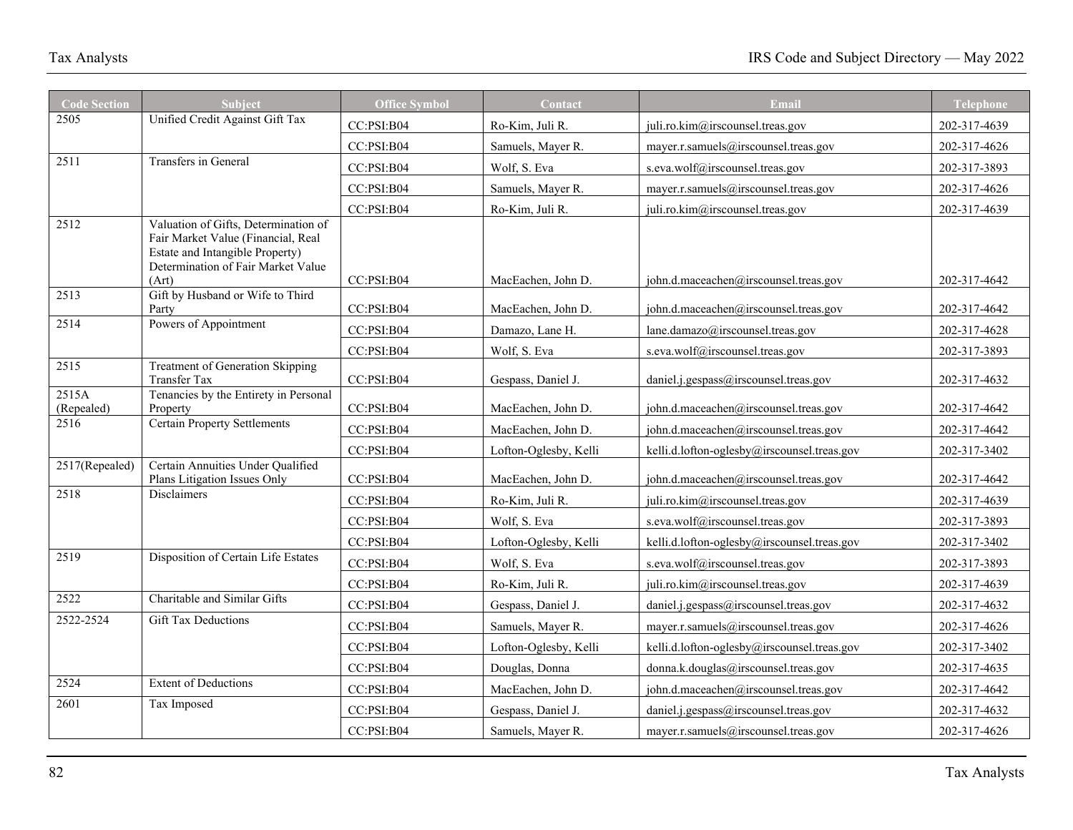| <b>Code Section</b> | <b>Subject</b>                                                                                                                                               | <b>Office Symbol</b> | Contact               | <b>Email</b>                                | <b>Telephone</b> |
|---------------------|--------------------------------------------------------------------------------------------------------------------------------------------------------------|----------------------|-----------------------|---------------------------------------------|------------------|
| 2505                | Unified Credit Against Gift Tax                                                                                                                              | CC:PSI:B04           | Ro-Kim, Juli R.       | juli.ro.kim@irscounsel.treas.gov            | 202-317-4639     |
|                     |                                                                                                                                                              | CC:PSI:B04           | Samuels, Mayer R.     | mayer.r.samuels@irscounsel.treas.gov        | 202-317-4626     |
| 2511                | Transfers in General                                                                                                                                         | CC:PSI:B04           | Wolf, S. Eva          | s.eva.wolf@irscounsel.treas.gov             | 202-317-3893     |
|                     |                                                                                                                                                              | CC:PSI:B04           | Samuels, Mayer R.     | mayer.r.samuels@irscounsel.treas.gov        | 202-317-4626     |
|                     |                                                                                                                                                              | CC:PSI:B04           | Ro-Kim, Juli R.       | juli.ro.kim@irscounsel.treas.gov            | 202-317-4639     |
| 2512                | Valuation of Gifts, Determination of<br>Fair Market Value (Financial, Real<br>Estate and Intangible Property)<br>Determination of Fair Market Value<br>(Art) | CC:PSI:B04           | MacEachen, John D.    | john.d.maceachen@irscounsel.treas.gov       | 202-317-4642     |
| 2513                | Gift by Husband or Wife to Third                                                                                                                             |                      |                       |                                             |                  |
| 2514                | Party<br>Powers of Appointment                                                                                                                               | CC:PSI:B04           | MacEachen, John D.    | john.d.maceachen@irscounsel.treas.gov       | 202-317-4642     |
|                     |                                                                                                                                                              | CC:PSI:B04           | Damazo, Lane H.       | lane.damazo@irscounsel.treas.gov            | 202-317-4628     |
|                     |                                                                                                                                                              | CC:PSI:B04           | Wolf, S. Eva          | s.eva.wolf@irscounsel.treas.gov             | 202-317-3893     |
| 2515                | <b>Treatment of Generation Skipping</b><br>Transfer Tax                                                                                                      | CC:PSI:B04           | Gespass, Daniel J.    | daniel.j.gespass@irscounsel.treas.gov       | 202-317-4632     |
| 2515A<br>(Repealed) | Tenancies by the Entirety in Personal<br>Property                                                                                                            | CC:PSI:B04           | MacEachen, John D.    | john.d.maceachen@irscounsel.treas.gov       | 202-317-4642     |
| 2516                | <b>Certain Property Settlements</b>                                                                                                                          | CC:PSI:B04           | MacEachen, John D.    | john.d.maceachen@irscounsel.treas.gov       | 202-317-4642     |
|                     |                                                                                                                                                              | CC:PSI:B04           | Lofton-Oglesby, Kelli | kelli.d.lofton-oglesby@irscounsel.treas.gov | 202-317-3402     |
| 2517(Repealed)      | Certain Annuities Under Qualified<br>Plans Litigation Issues Only                                                                                            | CC:PSI:B04           | MacEachen, John D.    | john.d.maceachen@irscounsel.treas.gov       | 202-317-4642     |
| 2518                | Disclaimers                                                                                                                                                  | CC:PSI:B04           | Ro-Kim, Juli R.       | juli.ro.kim@irscounsel.treas.gov            | 202-317-4639     |
|                     |                                                                                                                                                              | CC:PSI:B04           | Wolf, S. Eva          | s.eva.wolf@irscounsel.treas.gov             | 202-317-3893     |
|                     |                                                                                                                                                              | CC:PSI:B04           | Lofton-Oglesby, Kelli | kelli.d.lofton-oglesby@irscounsel.treas.gov | 202-317-3402     |
| 2519                | Disposition of Certain Life Estates                                                                                                                          | CC:PSI:B04           | Wolf, S. Eva          | s.eva.wolf@irscounsel.treas.gov             | 202-317-3893     |
|                     |                                                                                                                                                              | CC:PSI:B04           | Ro-Kim, Juli R.       | juli.ro.kim@irscounsel.treas.gov            | 202-317-4639     |
| 2522                | Charitable and Similar Gifts                                                                                                                                 | CC:PSI:B04           | Gespass, Daniel J.    | daniel.j.gespass@irscounsel.treas.gov       | 202-317-4632     |
| 2522-2524           | <b>Gift Tax Deductions</b>                                                                                                                                   | CC:PSI:B04           | Samuels, Mayer R.     | mayer.r.samuels@irscounsel.treas.gov        | 202-317-4626     |
|                     |                                                                                                                                                              | CC:PSI:B04           | Lofton-Oglesby, Kelli | kelli.d.lofton-oglesby@irscounsel.treas.gov | 202-317-3402     |
|                     |                                                                                                                                                              | CC:PSI:B04           | Douglas, Donna        | donna.k.douglas@irscounsel.treas.gov        | 202-317-4635     |
| 2524                | <b>Extent of Deductions</b>                                                                                                                                  | CC:PSI:B04           | MacEachen, John D.    | john.d.maceachen@irscounsel.treas.gov       | 202-317-4642     |
| 2601                | Tax Imposed                                                                                                                                                  | CC:PSI:B04           | Gespass, Daniel J.    | daniel.j.gespass@irscounsel.treas.gov       | 202-317-4632     |
|                     |                                                                                                                                                              | CC:PSI:B04           | Samuels, Mayer R.     | mayer.r.samuels@irscounsel.treas.gov        | 202-317-4626     |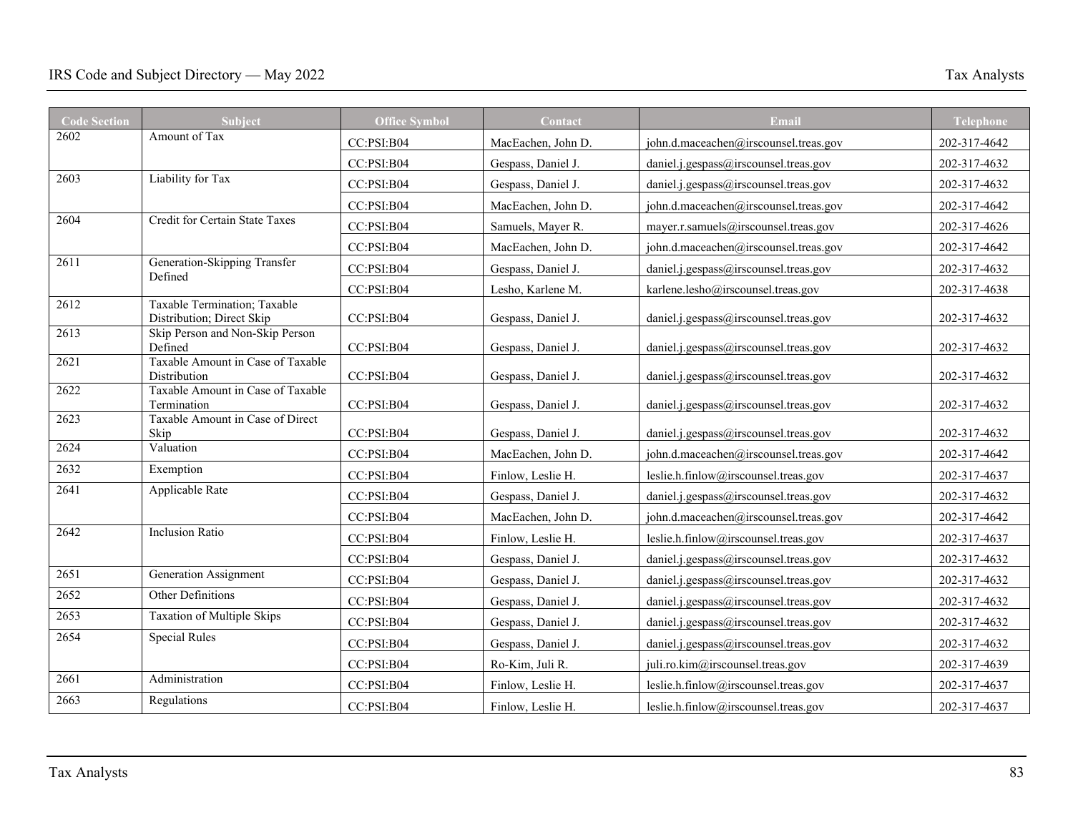| <b>Code Section</b> | Subject                                                   | <b>Office Symbol</b> | Contact            | Email                                 | <b>Telephone</b> |
|---------------------|-----------------------------------------------------------|----------------------|--------------------|---------------------------------------|------------------|
| 2602                | Amount of Tax                                             | CC:PSI:B04           | MacEachen, John D. | john.d.maceachen@irscounsel.treas.gov | 202-317-4642     |
|                     |                                                           | CC:PSI:B04           | Gespass, Daniel J. | daniel.j.gespass@irscounsel.treas.gov | 202-317-4632     |
| 2603                | Liability for Tax                                         | CC:PSI:B04           | Gespass, Daniel J. | daniel.j.gespass@irscounsel.treas.gov | 202-317-4632     |
|                     |                                                           | CC:PSI:B04           | MacEachen, John D. | john.d.maceachen@irscounsel.treas.gov | 202-317-4642     |
| 2604                | Credit for Certain State Taxes                            | CC:PSI:B04           | Samuels, Mayer R.  | mayer.r.samuels@irscounsel.treas.gov  | 202-317-4626     |
|                     |                                                           | CC:PSI:B04           | MacEachen, John D. | john.d.maceachen@irscounsel.treas.gov | 202-317-4642     |
| 2611                | Generation-Skipping Transfer                              | CC:PSI:B04           | Gespass, Daniel J. | daniel.j.gespass@irscounsel.treas.gov | 202-317-4632     |
|                     | Defined                                                   | CC:PSI:B04           | Lesho, Karlene M.  | karlene.lesho@irscounsel.treas.gov    | 202-317-4638     |
| 2612                | Taxable Termination; Taxable<br>Distribution; Direct Skip | CC:PSI:B04           | Gespass, Daniel J. | daniel.j.gespass@irscounsel.treas.gov | 202-317-4632     |
| 2613                | Skip Person and Non-Skip Person<br>Defined                | CC:PSI:B04           | Gespass, Daniel J. | daniel.j.gespass@irscounsel.treas.gov | 202-317-4632     |
| 2621                | Taxable Amount in Case of Taxable<br>Distribution         | CC:PSI:B04           | Gespass, Daniel J. | daniel.j.gespass@irscounsel.treas.gov | 202-317-4632     |
| 2622                | Taxable Amount in Case of Taxable<br>Termination          | CC:PSI:B04           | Gespass, Daniel J. | daniel.j.gespass@irscounsel.treas.gov | 202-317-4632     |
| 2623                | Taxable Amount in Case of Direct<br>Skip                  | CC:PSI:B04           | Gespass, Daniel J. | daniel.j.gespass@irscounsel.treas.gov | 202-317-4632     |
| 2624                | Valuation                                                 | CC:PSI:B04           | MacEachen, John D. | john.d.maceachen@irscounsel.treas.gov | 202-317-4642     |
| 2632                | Exemption                                                 | CC:PSI:B04           | Finlow, Leslie H.  | leslie.h.finlow@irscounsel.treas.gov  | 202-317-4637     |
| 2641                | Applicable Rate                                           | CC:PSI:B04           | Gespass, Daniel J. | daniel.j.gespass@irscounsel.treas.gov | 202-317-4632     |
|                     |                                                           | CC:PSI:B04           | MacEachen, John D. | john.d.maceachen@irscounsel.treas.gov | 202-317-4642     |
| 2642                | <b>Inclusion Ratio</b>                                    | CC:PSI:B04           | Finlow, Leslie H.  | leslie.h.finlow@irscounsel.treas.gov  | 202-317-4637     |
|                     |                                                           | CC:PSI:B04           | Gespass, Daniel J. | daniel.j.gespass@irscounsel.treas.gov | 202-317-4632     |
| 2651                | <b>Generation Assignment</b>                              | CC:PSI:B04           | Gespass, Daniel J. | daniel.j.gespass@irscounsel.treas.gov | 202-317-4632     |
| 2652                | Other Definitions                                         | CC:PSI:B04           | Gespass, Daniel J. | daniel.j.gespass@irscounsel.treas.gov | 202-317-4632     |
| 2653                | <b>Taxation of Multiple Skips</b>                         | CC:PSI:B04           | Gespass, Daniel J. | daniel.j.gespass@irscounsel.treas.gov | 202-317-4632     |
| 2654                | <b>Special Rules</b>                                      | CC:PSI:B04           | Gespass, Daniel J. | daniel.j.gespass@irscounsel.treas.gov | 202-317-4632     |
|                     |                                                           | CC:PSI:B04           | Ro-Kim, Juli R.    | juli.ro.kim@irscounsel.treas.gov      | 202-317-4639     |
| 2661                | Administration                                            | CC:PSI:B04           | Finlow, Leslie H.  | leslie.h.finlow@irscounsel.treas.gov  | 202-317-4637     |
| 2663                | Regulations                                               | CC:PSI:B04           | Finlow, Leslie H.  | leslie.h.finlow@irscounsel.treas.gov  | 202-317-4637     |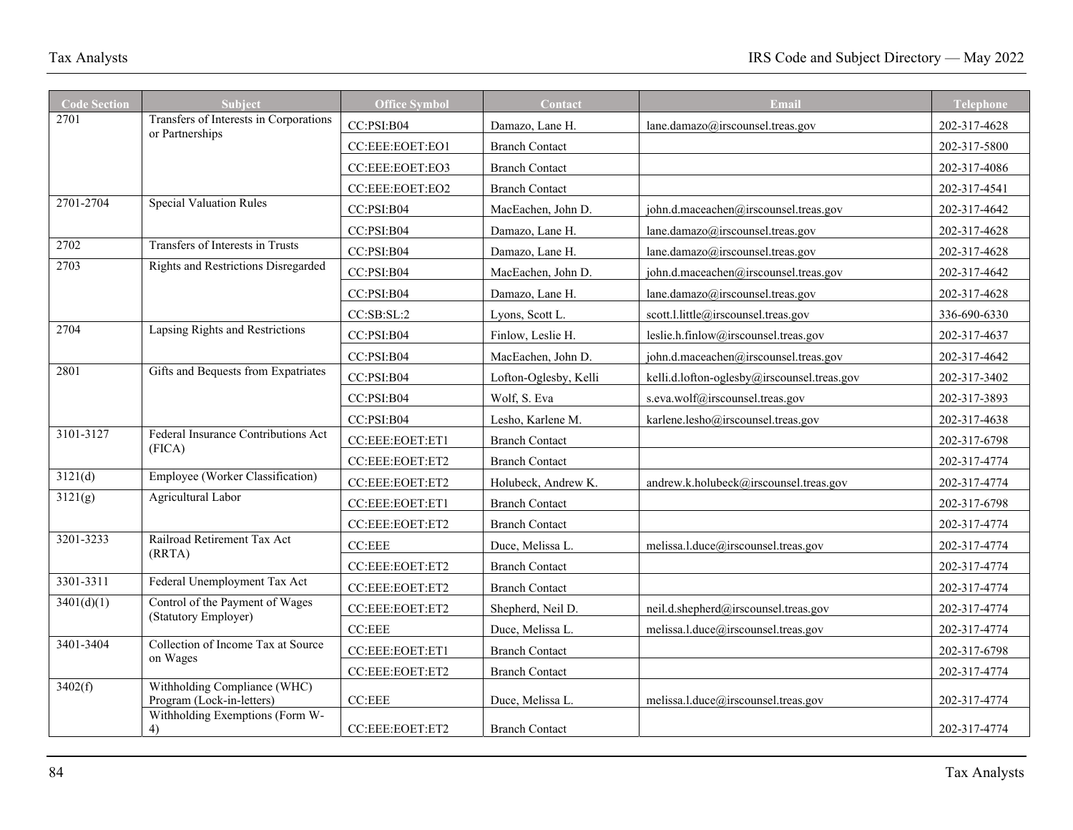| <b>Code Section</b> | <b>Subject</b>                                            | <b>Office Symbol</b>        | $\overline{\text{Contract}}$ | <b>Email</b>                                | <b>Telephone</b> |
|---------------------|-----------------------------------------------------------|-----------------------------|------------------------------|---------------------------------------------|------------------|
| 2701                | Transfers of Interests in Corporations<br>or Partnerships | CC:PSI:B04                  | Damazo, Lane H.              | lane.damazo@irscounsel.treas.gov            | 202-317-4628     |
|                     |                                                           | CC:EEE:EOET:EO1             | <b>Branch Contact</b>        |                                             | 202-317-5800     |
|                     |                                                           | CC:EEE:EOET:EO3             | <b>Branch Contact</b>        |                                             | 202-317-4086     |
|                     |                                                           | CC:EEE:EOET:EO2             | <b>Branch Contact</b>        |                                             | 202-317-4541     |
| 2701-2704           | <b>Special Valuation Rules</b>                            | CC:PSI:B04                  | MacEachen, John D.           | john.d.maceachen@irscounsel.treas.gov       | 202-317-4642     |
|                     |                                                           | CC:PSI:B04                  | Damazo, Lane H.              | lane.damazo@irscounsel.treas.gov            | 202-317-4628     |
| 2702                | Transfers of Interests in Trusts                          | CC:PSI:B04                  | Damazo, Lane H.              | lane.damazo@irscounsel.treas.gov            | 202-317-4628     |
| 2703                | Rights and Restrictions Disregarded                       | CC:PSI:B04                  | MacEachen, John D.           | john.d.maceachen@irscounsel.treas.gov       | 202-317-4642     |
|                     |                                                           | CC:PSI:B04                  | Damazo, Lane H.              | lane.damazo@irscounsel.treas.gov            | 202-317-4628     |
|                     |                                                           | CC:SB:SL:2                  | Lyons, Scott L.              | scott.l.little@irscounsel.treas.gov         | 336-690-6330     |
| 2704                | Lapsing Rights and Restrictions                           | CC:PSI:B04                  | Finlow, Leslie H.            | leslie.h.finlow@irscounsel.treas.gov        | 202-317-4637     |
|                     |                                                           | CC:PSI:B04                  | MacEachen, John D.           | john.d.maceachen@irscounsel.treas.gov       | 202-317-4642     |
| 2801                | Gifts and Bequests from Expatriates                       | CC:PSI:B04                  | Lofton-Oglesby, Kelli        | kelli.d.lofton-oglesby@irscounsel.treas.gov | 202-317-3402     |
|                     |                                                           | CC:PSI:B04                  | Wolf, S. Eva                 | s.eva.wolf@irscounsel.treas.gov             | 202-317-3893     |
|                     |                                                           | CC:PSI:B04                  | Lesho, Karlene M.            | karlene.lesho@irscounsel.treas.gov          | 202-317-4638     |
| 3101-3127           | Federal Insurance Contributions Act<br>(FICA)             | CC:EEE:EOET:ET1             | <b>Branch Contact</b>        |                                             | 202-317-6798     |
|                     |                                                           | CC:EEE:EOET:ET2             | <b>Branch Contact</b>        |                                             | 202-317-4774     |
| 3121(d)             | Employee (Worker Classification)                          | CC:EEE:EOET:ET2             | Holubeck, Andrew K.          | andrew.k.holubeck@irscounsel.treas.gov      | 202-317-4774     |
| 3121(g)             | Agricultural Labor                                        | CC:EEE:EOET:ET1             | <b>Branch Contact</b>        |                                             | 202-317-6798     |
|                     |                                                           | CC:EEE:EOET:ET2             | <b>Branch Contact</b>        |                                             | 202-317-4774     |
| 3201-3233           | Railroad Retirement Tax Act<br>(RRTA)                     | CC: EEE                     | Duce, Melissa L.             | melissa.l.duce@irscounsel.treas.gov         | 202-317-4774     |
|                     |                                                           | CC:EEE:EOET:ET2             | <b>Branch Contact</b>        |                                             | 202-317-4774     |
| 3301-3311           | Federal Unemployment Tax Act                              | CC:EEE:EOET:ET2             | <b>Branch Contact</b>        |                                             | 202-317-4774     |
| 3401(d)(1)          | Control of the Payment of Wages<br>(Statutory Employer)   | CC:EEE:EOET:ET2             | Shepherd, Neil D.            | neil.d.shepherd@irscounsel.treas.gov        | 202-317-4774     |
|                     |                                                           | $\mathbf{CC:} \mathbf{EEE}$ | Duce, Melissa L.             | melissa.l.duce@irscounsel.treas.gov         | 202-317-4774     |
| 3401-3404           | Collection of Income Tax at Source<br>on Wages            | CC:EEE:EOET:ET1             | <b>Branch Contact</b>        |                                             | 202-317-6798     |
|                     |                                                           | CC:EEE:EOET:ET2             | <b>Branch Contact</b>        |                                             | 202-317-4774     |
| 3402(f)             | Withholding Compliance (WHC)<br>Program (Lock-in-letters) | $\mathbf{CC:} \mathbf{EEE}$ | Duce, Melissa L.             | melissa.l.duce@irscounsel.treas.gov         | 202-317-4774     |
|                     | Withholding Exemptions (Form W-<br>4)                     | CC:EEE:EOET:ET2             | <b>Branch Contact</b>        |                                             | 202-317-4774     |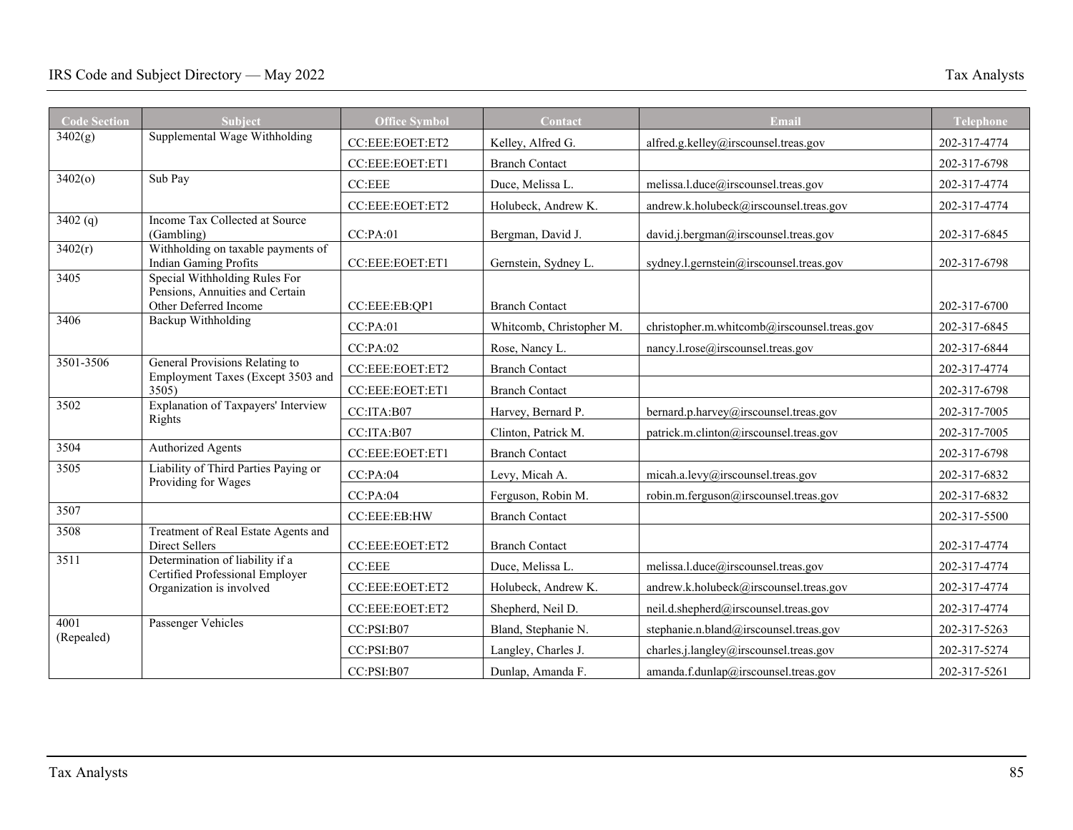| <b>Code Section</b> | <b>Subject</b>                                                                            | <b>Office Symbol</b> | Contact                  | Email                                       | <b>Telephone</b> |
|---------------------|-------------------------------------------------------------------------------------------|----------------------|--------------------------|---------------------------------------------|------------------|
| 3402(g)             | Supplemental Wage Withholding                                                             | CC:EEE:EOET:ET2      | Kelley, Alfred G.        | alfred.g.kelley@irscounsel.treas.gov        | 202-317-4774     |
|                     |                                                                                           | CC:EEE:EOET:ET1      | <b>Branch Contact</b>    |                                             | 202-317-6798     |
| 3402(o)             | Sub Pay                                                                                   | CC:EEE               | Duce, Melissa L.         | melissa.l.duce@irscounsel.treas.gov         | 202-317-4774     |
|                     |                                                                                           | CC:EEE:EOET:ET2      | Holubeck, Andrew K.      | andrew.k.holubeck@irscounsel.treas.gov      | 202-317-4774     |
| 3402(q)             | Income Tax Collected at Source<br>(Gambling)                                              | CC:PA:01             | Bergman, David J.        | david.j.bergman@irscounsel.treas.gov        | 202-317-6845     |
| 3402(r)             | Withholding on taxable payments of<br><b>Indian Gaming Profits</b>                        | CC:EEE:EOET:ET1      | Gernstein, Sydney L.     | sydney.l.gernstein@irscounsel.treas.gov     | 202-317-6798     |
| 3405                | Special Withholding Rules For<br>Pensions, Annuities and Certain<br>Other Deferred Income | CC:EEE:EB:QP1        | <b>Branch Contact</b>    |                                             | 202-317-6700     |
| 3406                | Backup Withholding                                                                        | CC:PA:01             | Whitcomb, Christopher M. | christopher.m.whitcomb@irscounsel.treas.gov | 202-317-6845     |
|                     |                                                                                           | CC:PA:02             | Rose, Nancy L.           | nancy.l.rose@irscounsel.treas.gov           | 202-317-6844     |
| 3501-3506           | General Provisions Relating to<br>Employment Taxes (Except 3503 and                       | CC:EEE:EOET:ET2      | <b>Branch Contact</b>    |                                             | 202-317-4774     |
|                     | 3505)                                                                                     | CC:EEE:EOET:ET1      | <b>Branch Contact</b>    |                                             | 202-317-6798     |
| 3502                | <b>Explanation of Taxpayers' Interview</b><br>Rights                                      | CC:ITA:B07           | Harvey, Bernard P.       | bernard.p.harvey@irscounsel.treas.gov       | 202-317-7005     |
|                     |                                                                                           | CC:ITA:B07           | Clinton, Patrick M.      | patrick.m.clinton@irscounsel.treas.gov      | 202-317-7005     |
| 3504                | <b>Authorized Agents</b>                                                                  | CC:EEE:EOET:ET1      | <b>Branch Contact</b>    |                                             | 202-317-6798     |
| 3505                | Liability of Third Parties Paying or<br>Providing for Wages                               | CC:PA:04             | Levy, Micah A.           | micah.a.levy@irscounsel.treas.gov           | 202-317-6832     |
|                     |                                                                                           | CC:PA:04             | Ferguson, Robin M.       | robin.m.ferguson@irscounsel.treas.gov       | 202-317-6832     |
| 3507                |                                                                                           | CC:EEE:EB:HW         | <b>Branch Contact</b>    |                                             | 202-317-5500     |
| 3508                | Treatment of Real Estate Agents and<br>Direct Sellers                                     | CC:EEE:EOET:ET2      | <b>Branch Contact</b>    |                                             | 202-317-4774     |
| 3511                | Determination of liability if a<br>Certified Professional Employer                        | <b>CC:EEE</b>        | Duce, Melissa L.         | melissa.l.duce@irscounsel.treas.gov         | 202-317-4774     |
|                     | Organization is involved                                                                  | CC:EEE:EOET:ET2      | Holubeck, Andrew K.      | andrew.k.holubeck@irscounsel.treas.gov      | 202-317-4774     |
|                     |                                                                                           | CC:EEE:EOET:ET2      | Shepherd, Neil D.        | neil.d.shepherd@irscounsel.treas.gov        | 202-317-4774     |
| 4001<br>(Repealed)  | Passenger Vehicles                                                                        | CC:PSI:B07           | Bland, Stephanie N.      | stephanie.n.bland@irscounsel.treas.gov      | 202-317-5263     |
|                     |                                                                                           | CC:PSI:B07           | Langley, Charles J.      | charles.j.langley@irscounsel.treas.gov      | 202-317-5274     |
|                     |                                                                                           | CC:PSI:B07           | Dunlap, Amanda F.        | amanda.f.dunlap@irscounsel.treas.gov        | 202-317-5261     |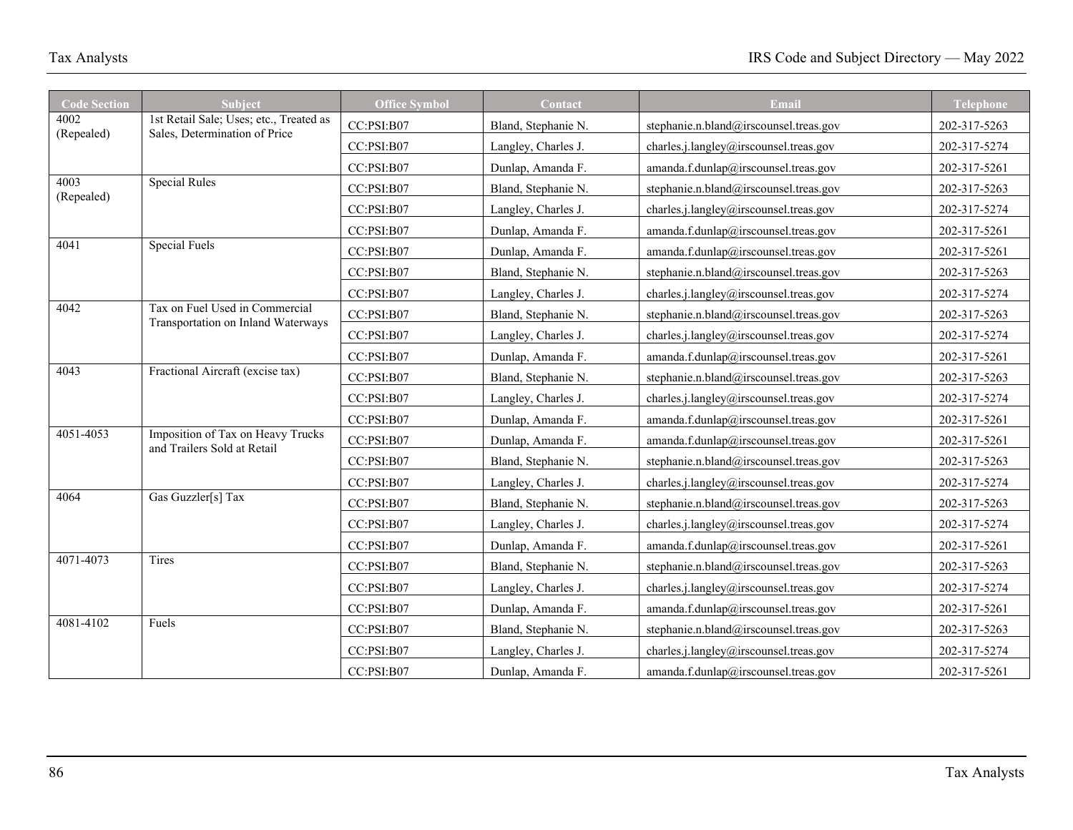| <b>Code Section</b> | <b>Subject</b>                                                           | <b>Office Symbol</b> | Contact             | Email                                  | Telephone    |
|---------------------|--------------------------------------------------------------------------|----------------------|---------------------|----------------------------------------|--------------|
| 4002<br>(Repealed)  | 1st Retail Sale; Uses; etc., Treated as<br>Sales, Determination of Price | CC:PSI:B07           | Bland, Stephanie N. | stephanie.n.bland@irscounsel.treas.gov | 202-317-5263 |
|                     |                                                                          | CC:PSI: B07          | Langley, Charles J. | charles.j.langley@irscounsel.treas.gov | 202-317-5274 |
|                     |                                                                          | CC:PSI:B07           | Dunlap, Amanda F.   | amanda.f.dunlap@irscounsel.treas.gov   | 202-317-5261 |
| 4003<br>(Repealed)  | <b>Special Rules</b>                                                     | CC:PSI:B07           | Bland, Stephanie N. | stephanie.n.bland@irscounsel.treas.gov | 202-317-5263 |
|                     |                                                                          | CC:PSI:B07           | Langley, Charles J. | charles.j.langley@irscounsel.treas.gov | 202-317-5274 |
|                     |                                                                          | CC:PSI:B07           | Dunlap, Amanda F.   | amanda.f.dunlap@irscounsel.treas.gov   | 202-317-5261 |
| 4041                | <b>Special Fuels</b>                                                     | CC:PSI:B07           | Dunlap, Amanda F.   | amanda.f.dunlap@irscounsel.treas.gov   | 202-317-5261 |
|                     |                                                                          | CC:PSI:B07           | Bland, Stephanie N. | stephanie.n.bland@irscounsel.treas.gov | 202-317-5263 |
|                     |                                                                          | CC:PSI:B07           | Langley, Charles J. | charles.j.langley@irscounsel.treas.gov | 202-317-5274 |
| 4042                | Tax on Fuel Used in Commercial<br>Transportation on Inland Waterways     | CC:PSI:B07           | Bland, Stephanie N. | stephanie.n.bland@irscounsel.treas.gov | 202-317-5263 |
|                     |                                                                          | CC:PSI:B07           | Langley, Charles J. | charles.j.langley@irscounsel.treas.gov | 202-317-5274 |
|                     |                                                                          | CC:PSI:B07           | Dunlap, Amanda F.   | amanda.f.dunlap@irscounsel.treas.gov   | 202-317-5261 |
| 4043                | Fractional Aircraft (excise tax)                                         | CC:PSI: B07          | Bland, Stephanie N. | stephanie.n.bland@irscounsel.treas.gov | 202-317-5263 |
|                     |                                                                          | CC:PSI:B07           | Langley, Charles J. | charles.j.langley@irscounsel.treas.gov | 202-317-5274 |
|                     |                                                                          | CC:PSI:B07           | Dunlap, Amanda F.   | amanda.f.dunlap@irscounsel.treas.gov   | 202-317-5261 |
| 4051-4053           | Imposition of Tax on Heavy Trucks<br>and Trailers Sold at Retail         | CC:PSI:B07           | Dunlap, Amanda F.   | amanda.f.dunlap@irscounsel.treas.gov   | 202-317-5261 |
|                     |                                                                          | CC:PSI:B07           | Bland, Stephanie N. | stephanie.n.bland@irscounsel.treas.gov | 202-317-5263 |
|                     |                                                                          | CC:PSI:B07           | Langley, Charles J. | charles.j.langley@irscounsel.treas.gov | 202-317-5274 |
| 4064                | Gas Guzzler[s] Tax                                                       | CC:PSI:B07           | Bland, Stephanie N. | stephanie.n.bland@irscounsel.treas.gov | 202-317-5263 |
|                     |                                                                          | CC:PSI:B07           | Langley, Charles J. | charles.j.langley@irscounsel.treas.gov | 202-317-5274 |
|                     |                                                                          | CC:PSI:B07           | Dunlap, Amanda F.   | amanda.f.dunlap@irscounsel.treas.gov   | 202-317-5261 |
| 4071-4073           | Tires                                                                    | CC:PSI:B07           | Bland, Stephanie N. | stephanie.n.bland@irscounsel.treas.gov | 202-317-5263 |
|                     |                                                                          | CC:PSI:B07           | Langley, Charles J. | charles.j.langley@irscounsel.treas.gov | 202-317-5274 |
|                     |                                                                          | CC:PSI:B07           | Dunlap, Amanda F.   | amanda.f.dunlap@irscounsel.treas.gov   | 202-317-5261 |
| 4081-4102           | Fuels                                                                    | CC:PSI:B07           | Bland, Stephanie N. | stephanie.n.bland@irscounsel.treas.gov | 202-317-5263 |
|                     |                                                                          | CC:PSI:B07           | Langley, Charles J. | charles.j.langley@irscounsel.treas.gov | 202-317-5274 |
|                     |                                                                          | CC:PSI:B07           | Dunlap, Amanda F.   | amanda.f.dunlap@irscounsel.treas.gov   | 202-317-5261 |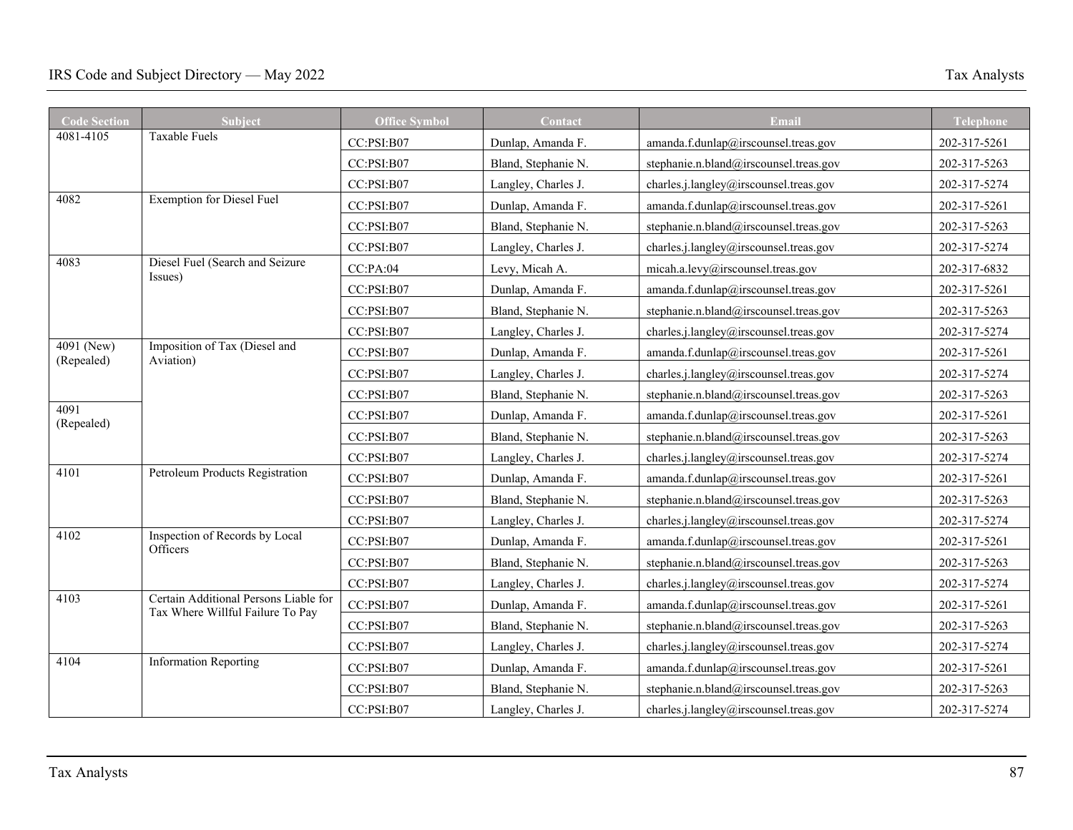| <b>Code Section</b> | Subject                                                                   | <b>Office Symbol</b> | Contact             | Email                                  | <b>Telephone</b> |
|---------------------|---------------------------------------------------------------------------|----------------------|---------------------|----------------------------------------|------------------|
| 4081-4105           | Taxable Fuels                                                             | CC:PSI:B07           | Dunlap, Amanda F.   | amanda.f.dunlap@irscounsel.treas.gov   | 202-317-5261     |
|                     |                                                                           | CC:PSI: B07          | Bland, Stephanie N. | stephanie.n.bland@irscounsel.treas.gov | 202-317-5263     |
|                     |                                                                           | CC:PSI:B07           | Langley, Charles J. | charles.j.langley@irscounsel.treas.gov | 202-317-5274     |
| 4082                | <b>Exemption for Diesel Fuel</b>                                          | CC:PSI:B07           | Dunlap, Amanda F.   | amanda.f.dunlap@irscounsel.treas.gov   | 202-317-5261     |
|                     |                                                                           | CC:PSI: B07          | Bland, Stephanie N. | stephanie.n.bland@irscounsel.treas.gov | 202-317-5263     |
|                     |                                                                           | CC:PSI:B07           | Langley, Charles J. | charles.j.langley@irscounsel.treas.gov | 202-317-5274     |
| 4083                | Diesel Fuel (Search and Seizure                                           | CC:PA:04             | Levy, Micah A.      | micah.a.levy@irscounsel.treas.gov      | 202-317-6832     |
|                     | Issues)                                                                   | CC:PSI:B07           | Dunlap, Amanda F.   | amanda.f.dunlap@irscounsel.treas.gov   | 202-317-5261     |
|                     |                                                                           | CC:PSI:B07           | Bland, Stephanie N. | stephanie.n.bland@irscounsel.treas.gov | 202-317-5263     |
|                     |                                                                           | CC:PSI:B07           | Langley, Charles J. | charles.j.langley@irscounsel.treas.gov | 202-317-5274     |
| 4091 (New)          | Imposition of Tax (Diesel and                                             | CC:PSI:B07           | Dunlap, Amanda F.   | amanda.f.dunlap@irscounsel.treas.gov   | 202-317-5261     |
| (Repealed)          | Aviation)                                                                 | CC:PSI:B07           | Langley, Charles J. | charles.j.langley@irscounsel.treas.gov | 202-317-5274     |
|                     |                                                                           | CC:PSI: B07          | Bland, Stephanie N. | stephanie.n.bland@irscounsel.treas.gov | 202-317-5263     |
| 4091<br>(Repealed)  |                                                                           | CC:PSI:B07           | Dunlap, Amanda F.   | amanda.f.dunlap@irscounsel.treas.gov   | 202-317-5261     |
|                     |                                                                           | CC:PSI:B07           | Bland, Stephanie N. | stephanie.n.bland@irscounsel.treas.gov | 202-317-5263     |
|                     |                                                                           | CC:PSI:B07           | Langley, Charles J. | charles.j.langley@irscounsel.treas.gov | 202-317-5274     |
| 4101                | Petroleum Products Registration                                           | CC:PSI:B07           | Dunlap, Amanda F.   | amanda.f.dunlap@irscounsel.treas.gov   | 202-317-5261     |
|                     |                                                                           | CC:PSI:B07           | Bland, Stephanie N. | stephanie.n.bland@irscounsel.treas.gov | 202-317-5263     |
|                     |                                                                           | CC:PSI:B07           | Langley, Charles J. | charles.j.langley@irscounsel.treas.gov | 202-317-5274     |
| 4102                | Inspection of Records by Local<br>Officers                                | CC:PSI: B07          | Dunlap, Amanda F.   | amanda.f.dunlap@irscounsel.treas.gov   | 202-317-5261     |
|                     |                                                                           | CC:PSI:B07           | Bland, Stephanie N. | stephanie.n.bland@irscounsel.treas.gov | 202-317-5263     |
|                     |                                                                           | CC:PSI:B07           | Langley, Charles J. | charles.j.langley@irscounsel.treas.gov | 202-317-5274     |
| 4103                | Certain Additional Persons Liable for<br>Tax Where Willful Failure To Pay | CC:PSI:B07           | Dunlap, Amanda F.   | amanda.f.dunlap@irscounsel.treas.gov   | 202-317-5261     |
|                     |                                                                           | CC:PSI:B07           | Bland, Stephanie N. | stephanie.n.bland@irscounsel.treas.gov | 202-317-5263     |
|                     |                                                                           | CC:PSI:B07           | Langley, Charles J. | charles.j.langley@irscounsel.treas.gov | 202-317-5274     |
| 4104                | <b>Information Reporting</b>                                              | CC:PSI:B07           | Dunlap, Amanda F.   | amanda.f.dunlap@irscounsel.treas.gov   | 202-317-5261     |
|                     |                                                                           | CC:PSI:B07           | Bland, Stephanie N. | stephanie.n.bland@irscounsel.treas.gov | 202-317-5263     |
|                     |                                                                           | CC:PSI: B07          | Langley, Charles J. | charles.j.langley@irscounsel.treas.gov | 202-317-5274     |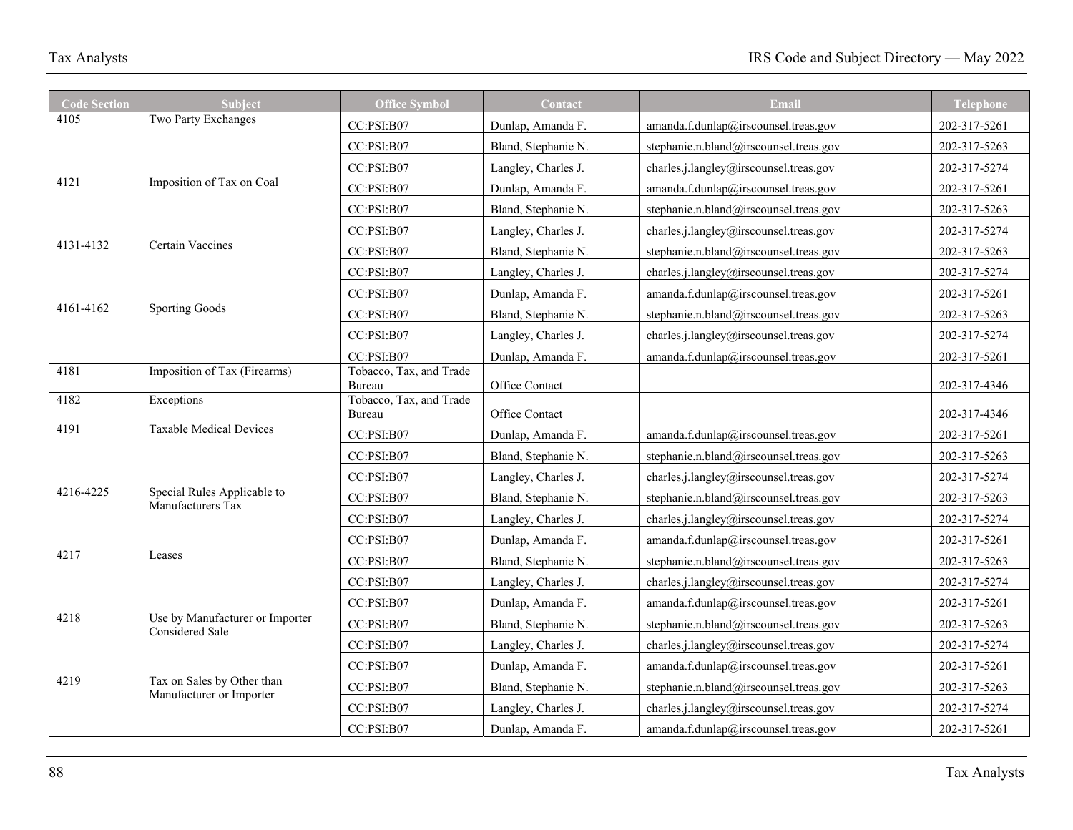| <b>Code Section</b> | Subject                                                | <b>Office Symbol</b>              | Contact             | Email                                  | <b>Telephone</b> |
|---------------------|--------------------------------------------------------|-----------------------------------|---------------------|----------------------------------------|------------------|
| 4105                | Two Party Exchanges                                    | CC:PSI: B07                       | Dunlap, Amanda F.   | amanda.f.dunlap@irscounsel.treas.gov   | 202-317-5261     |
|                     |                                                        | CC:PSI:B07                        | Bland, Stephanie N. | stephanie.n.bland@irscounsel.treas.gov | 202-317-5263     |
|                     |                                                        | CC:PSI:B07                        | Langley, Charles J. | charles.j.langley@irscounsel.treas.gov | 202-317-5274     |
| 4121                | Imposition of Tax on Coal                              | CC:PSI:B07                        | Dunlap, Amanda F.   | amanda.f.dunlap@irscounsel.treas.gov   | 202-317-5261     |
|                     |                                                        | CC:PSI:B07                        | Bland, Stephanie N. | stephanie.n.bland@irscounsel.treas.gov | 202-317-5263     |
|                     |                                                        | CC:PSI:B07                        | Langley, Charles J. | charles.j.langley@irscounsel.treas.gov | 202-317-5274     |
| 4131-4132           | Certain Vaccines                                       | CC:PSI:B07                        | Bland, Stephanie N. | stephanie.n.bland@irscounsel.treas.gov | 202-317-5263     |
|                     |                                                        | CC:PSI:B07                        | Langley, Charles J. | charles.j.langley@irscounsel.treas.gov | 202-317-5274     |
|                     |                                                        | CC:PSI:B07                        | Dunlap, Amanda F.   | amanda.f.dunlap@irscounsel.treas.gov   | 202-317-5261     |
| 4161-4162           | <b>Sporting Goods</b>                                  | CC:PSI:B07                        | Bland, Stephanie N. | stephanie.n.bland@irscounsel.treas.gov | 202-317-5263     |
|                     |                                                        | CC:PSI:B07                        | Langley, Charles J. | charles.j.langley@irscounsel.treas.gov | 202-317-5274     |
|                     |                                                        | CC:PSI:B07                        | Dunlap, Amanda F.   | amanda.f.dunlap@irscounsel.treas.gov   | 202-317-5261     |
| 4181                | Imposition of Tax (Firearms)                           | Tobacco, Tax, and Trade<br>Bureau | Office Contact      |                                        | 202-317-4346     |
| 4182                | Exceptions                                             | Tobacco, Tax, and Trade<br>Bureau | Office Contact      |                                        | 202-317-4346     |
| 4191                | <b>Taxable Medical Devices</b>                         | CC:PSI:B07                        | Dunlap, Amanda F.   | amanda.f.dunlap@irscounsel.treas.gov   | 202-317-5261     |
|                     |                                                        | CC:PSI:B07                        | Bland, Stephanie N. | stephanie.n.bland@irscounsel.treas.gov | 202-317-5263     |
|                     |                                                        | CC:PSI:B07                        | Langley, Charles J. | charles.j.langley@irscounsel.treas.gov | 202-317-5274     |
| 4216-4225           | Special Rules Applicable to<br>Manufacturers Tax       | CC:PSI:B07                        | Bland, Stephanie N. | stephanie.n.bland@irscounsel.treas.gov | 202-317-5263     |
|                     |                                                        | CC:PSI:B07                        | Langley, Charles J. | charles.j.langley@irscounsel.treas.gov | 202-317-5274     |
|                     |                                                        | CC:PSI:B07                        | Dunlap, Amanda F.   | amanda.f.dunlap@irscounsel.treas.gov   | 202-317-5261     |
| 4217                | Leases                                                 | CC:PSI:B07                        | Bland, Stephanie N. | stephanie.n.bland@irscounsel.treas.gov | 202-317-5263     |
|                     |                                                        | CC:PSI:B07                        | Langley, Charles J. | charles.j.langley@irscounsel.treas.gov | 202-317-5274     |
|                     |                                                        | CC:PSI:B07                        | Dunlap, Amanda F.   | amanda.f.dunlap@irscounsel.treas.gov   | 202-317-5261     |
| 4218                | Use by Manufacturer or Importer<br>Considered Sale     | CC:PSI:B07                        | Bland, Stephanie N. | stephanie.n.bland@irscounsel.treas.gov | 202-317-5263     |
|                     |                                                        | CC:PSI:B07                        | Langley, Charles J. | charles.j.langley@irscounsel.treas.gov | 202-317-5274     |
|                     |                                                        | CC:PSI:B07                        | Dunlap, Amanda F.   | amanda.f.dunlap@irscounsel.treas.gov   | 202-317-5261     |
| 4219                | Tax on Sales by Other than<br>Manufacturer or Importer | CC:PSI:B07                        | Bland, Stephanie N. | stephanie.n.bland@irscounsel.treas.gov | 202-317-5263     |
|                     |                                                        | CC:PSI:B07                        | Langley, Charles J. | charles.j.langley@irscounsel.treas.gov | 202-317-5274     |
|                     |                                                        | CC:PSI:B07                        | Dunlap, Amanda F.   | amanda.f.dunlap@irscounsel.treas.gov   | 202-317-5261     |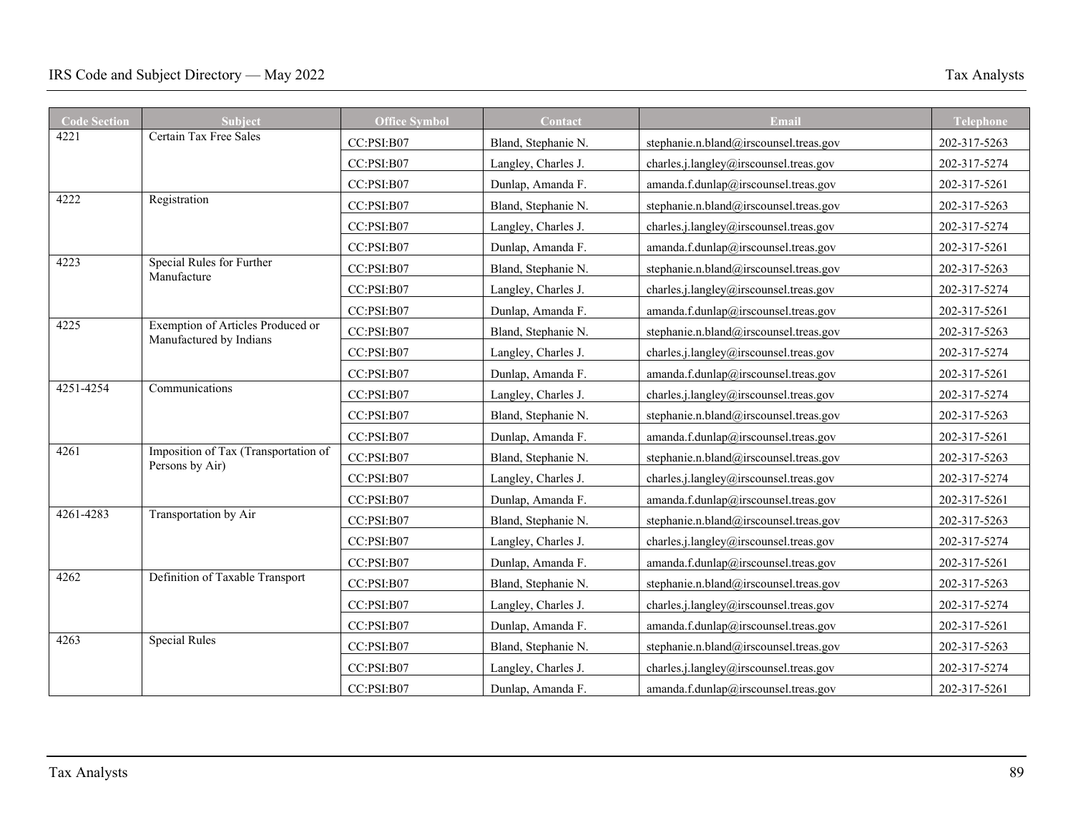| Code Section | <b>Subject</b>                           | <b>Office Symbol</b> | Contact                                | Email                                  | <b>Telephone</b> |
|--------------|------------------------------------------|----------------------|----------------------------------------|----------------------------------------|------------------|
| 4221         | Certain Tax Free Sales                   | CC:PSI:B07           | Bland, Stephanie N.                    | stephanie.n.bland@irscounsel.treas.gov | 202-317-5263     |
|              | CC:PSI: B07                              | Langley, Charles J.  | charles.j.langley@irscounsel.treas.gov | 202-317-5274                           |                  |
|              |                                          | CC:PSI:B07           | Dunlap, Amanda F.                      | amanda.f.dunlap@irscounsel.treas.gov   | 202-317-5261     |
| 4222         | Registration                             | CC:PSI:B07           | Bland, Stephanie N.                    | stephanie.n.bland@irscounsel.treas.gov | 202-317-5263     |
|              |                                          | CC:PSI: B07          | Langley, Charles J.                    | charles.j.langley@irscounsel.treas.gov | 202-317-5274     |
|              |                                          | CC:PSI: B07          | Dunlap, Amanda F.                      | amanda.f.dunlap@irscounsel.treas.gov   | 202-317-5261     |
| 4223         | Special Rules for Further<br>Manufacture | CC:PSI:B07           | Bland, Stephanie N.                    | stephanie.n.bland@irscounsel.treas.gov | 202-317-5263     |
|              |                                          | CC:PSI:B07           | Langley, Charles J.                    | charles.j.langley@irscounsel.treas.gov | 202-317-5274     |
|              | CC:PSI: B07                              | Dunlap, Amanda F.    | amanda.f.dunlap@irscounsel.treas.gov   | 202-317-5261                           |                  |
| 4225         | Exemption of Articles Produced or        | CC:PSI:B07           | Bland, Stephanie N.                    | stephanie.n.bland@irscounsel.treas.gov | 202-317-5263     |
|              | Manufactured by Indians                  | CC:PSI:B07           | Langley, Charles J.                    | charles.j.langley@irscounsel.treas.gov | 202-317-5274     |
|              |                                          | CC:PSI:B07           | Dunlap, Amanda F.                      | amanda.f.dunlap@irscounsel.treas.gov   | 202-317-5261     |
| 4251-4254    | Communications                           | CC:PSI:B07           | Langley, Charles J.                    | charles.j.langley@irscounsel.treas.gov | 202-317-5274     |
|              |                                          | CC:PSI: B07          | Bland, Stephanie N.                    | stephanie.n.bland@irscounsel.treas.gov | 202-317-5263     |
|              |                                          | CC:PSI:B07           | Dunlap, Amanda F.                      | amanda.f.dunlap@irscounsel.treas.gov   | 202-317-5261     |
| 4261         | Imposition of Tax (Transportation of     | CC:PSI:B07           | Bland, Stephanie N.                    | stephanie.n.bland@irscounsel.treas.gov | 202-317-5263     |
|              | Persons by Air)                          | CC:PSI:B07           | Langley, Charles J.                    | charles.j.langley@irscounsel.treas.gov | 202-317-5274     |
|              |                                          | CC:PSI: B07          | Dunlap, Amanda F.                      | amanda.f.dunlap@irscounsel.treas.gov   | 202-317-5261     |
| 4261-4283    | Transportation by Air                    | CC:PSI:B07           | Bland, Stephanie N.                    | stephanie.n.bland@irscounsel.treas.gov | 202-317-5263     |
|              |                                          | CC:PSI:B07           | Langley, Charles J.                    | charles.j.langley@irscounsel.treas.gov | 202-317-5274     |
|              |                                          | CC:PSI:B07           | Dunlap, Amanda F.                      | amanda.f.dunlap@irscounsel.treas.gov   | 202-317-5261     |
| 4262         | Definition of Taxable Transport          | CC:PSI:B07           | Bland, Stephanie N.                    | stephanie.n.bland@irscounsel.treas.gov | 202-317-5263     |
|              |                                          | CC:PSI:B07           | Langley, Charles J.                    | charles.j.langley@irscounsel.treas.gov | 202-317-5274     |
|              |                                          | CC:PSI: B07          | Dunlap, Amanda F.                      | amanda.f.dunlap@irscounsel.treas.gov   | 202-317-5261     |
| 4263         | <b>Special Rules</b>                     | CC:PSI:B07           | Bland, Stephanie N.                    | stephanie.n.bland@irscounsel.treas.gov | 202-317-5263     |
|              |                                          | CC:PSI:B07           | Langley, Charles J.                    | charles.j.langley@irscounsel.treas.gov | 202-317-5274     |
|              |                                          | CC:PSI: B07          | Dunlap, Amanda F.                      | amanda.f.dunlap@irscounsel.treas.gov   | 202-317-5261     |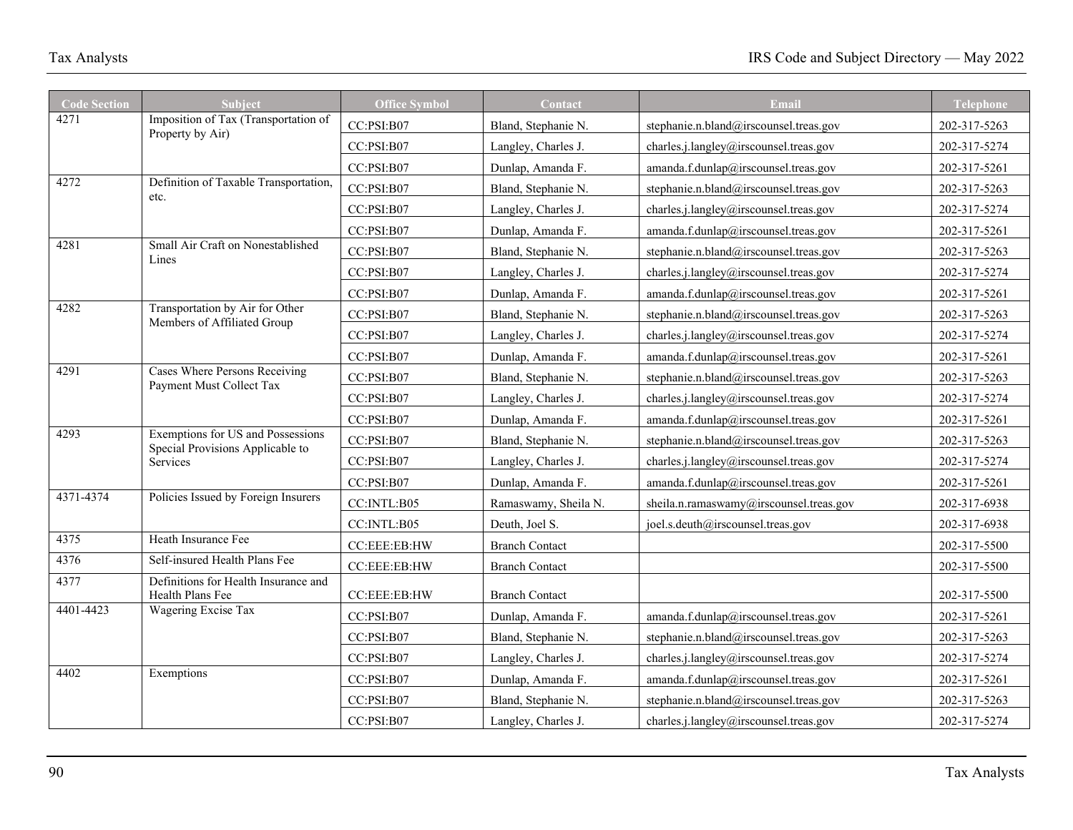| <b>Code Section</b> | <b>Subject</b>                                                        | <b>Office Symbol</b> | Contact               | Email                                   | <b>Telephone</b> |
|---------------------|-----------------------------------------------------------------------|----------------------|-----------------------|-----------------------------------------|------------------|
| 4271                | Imposition of Tax (Transportation of<br>Property by Air)              | CC:PSI:B07           | Bland, Stephanie N.   | stephanie.n.bland@irscounsel.treas.gov  | 202-317-5263     |
|                     |                                                                       | CC:PSI:B07           | Langley, Charles J.   | charles.j.langley@irscounsel.treas.gov  | 202-317-5274     |
|                     |                                                                       | CC:PSI:B07           | Dunlap, Amanda F.     | amanda.f.dunlap@irscounsel.treas.gov    | 202-317-5261     |
| 4272                | Definition of Taxable Transportation,                                 | CC:PSI:B07           | Bland, Stephanie N.   | stephanie.n.bland@irscounsel.treas.gov  | 202-317-5263     |
|                     | etc.                                                                  | CC:PSI:B07           | Langley, Charles J.   | charles.j.langley@irscounsel.treas.gov  | 202-317-5274     |
|                     |                                                                       | CC:PSI:B07           | Dunlap, Amanda F.     | amanda.f.dunlap@irscounsel.treas.gov    | 202-317-5261     |
| 4281                | Small Air Craft on Nonestablished<br>Lines                            | CC:PSI:B07           | Bland, Stephanie N.   | stephanie.n.bland@irscounsel.treas.gov  | 202-317-5263     |
|                     |                                                                       | CC:PSI:B07           | Langley, Charles J.   | charles.j.langley@irscounsel.treas.gov  | 202-317-5274     |
|                     |                                                                       | CC:PSI:B07           | Dunlap, Amanda F.     | amanda.f.dunlap@irscounsel.treas.gov    | 202-317-5261     |
| 4282                | Transportation by Air for Other<br>Members of Affiliated Group        | CC:PSI:B07           | Bland, Stephanie N.   | stephanie.n.bland@irscounsel.treas.gov  | 202-317-5263     |
|                     |                                                                       | CC:PSI:B07           | Langley, Charles J.   | charles.j.langley@irscounsel.treas.gov  | 202-317-5274     |
|                     |                                                                       | CC:PSI:B07           | Dunlap, Amanda F.     | amanda.f.dunlap@irscounsel.treas.gov    | 202-317-5261     |
| 4291                | Cases Where Persons Receiving<br>Payment Must Collect Tax             | CC:PSI:B07           | Bland, Stephanie N.   | stephanie.n.bland@irscounsel.treas.gov  | 202-317-5263     |
|                     |                                                                       | CC:PSI:B07           | Langley, Charles J.   | charles.j.langley@irscounsel.treas.gov  | 202-317-5274     |
|                     |                                                                       | CC:PSI:B07           | Dunlap, Amanda F.     | amanda.f.dunlap@irscounsel.treas.gov    | 202-317-5261     |
| 4293                | Exemptions for US and Possessions<br>Special Provisions Applicable to | CC:PSI:B07           | Bland, Stephanie N.   | stephanie.n.bland@irscounsel.treas.gov  | 202-317-5263     |
|                     | Services                                                              | CC:PSI:B07           | Langley, Charles J.   | charles.j.langley@irscounsel.treas.gov  | 202-317-5274     |
|                     |                                                                       | CC:PSI:B07           | Dunlap, Amanda F.     | amanda.f.dunlap@irscounsel.treas.gov    | 202-317-5261     |
| 4371-4374           | Policies Issued by Foreign Insurers                                   | CC:INTL:B05          | Ramaswamy, Sheila N.  | sheila.n.ramaswamy@irscounsel.treas.gov | 202-317-6938     |
|                     |                                                                       | CC: INTL: B05        | Deuth, Joel S.        | joel.s.deuth@irscounsel.treas.gov       | 202-317-6938     |
| 4375                | Heath Insurance Fee                                                   | CC:EEE:EB:HW         | <b>Branch Contact</b> |                                         | 202-317-5500     |
| 4376                | Self-insured Health Plans Fee                                         | CC:EEE:EB:HW         | <b>Branch Contact</b> |                                         | 202-317-5500     |
| 4377                | Definitions for Health Insurance and<br>Health Plans Fee              | CC:EEE:EB:HW         | <b>Branch Contact</b> |                                         | 202-317-5500     |
| 4401-4423           | Wagering Excise Tax                                                   | CC:PSI:B07           | Dunlap, Amanda F.     | amanda.f.dunlap@irscounsel.treas.gov    | 202-317-5261     |
|                     |                                                                       | CC:PSI:B07           | Bland, Stephanie N.   | stephanie.n.bland@irscounsel.treas.gov  | 202-317-5263     |
|                     |                                                                       | CC:PSI:B07           | Langley, Charles J.   | charles.j.langley@irscounsel.treas.gov  | 202-317-5274     |
| 4402                | Exemptions                                                            | CC:PSI:B07           | Dunlap, Amanda F.     | amanda.f.dunlap@irscounsel.treas.gov    | 202-317-5261     |
|                     |                                                                       | CC:PSI:B07           | Bland, Stephanie N.   | stephanie.n.bland@irscounsel.treas.gov  | 202-317-5263     |
|                     |                                                                       | CC:PSI:B07           | Langley, Charles J.   | charles.j.langley@irscounsel.treas.gov  | 202-317-5274     |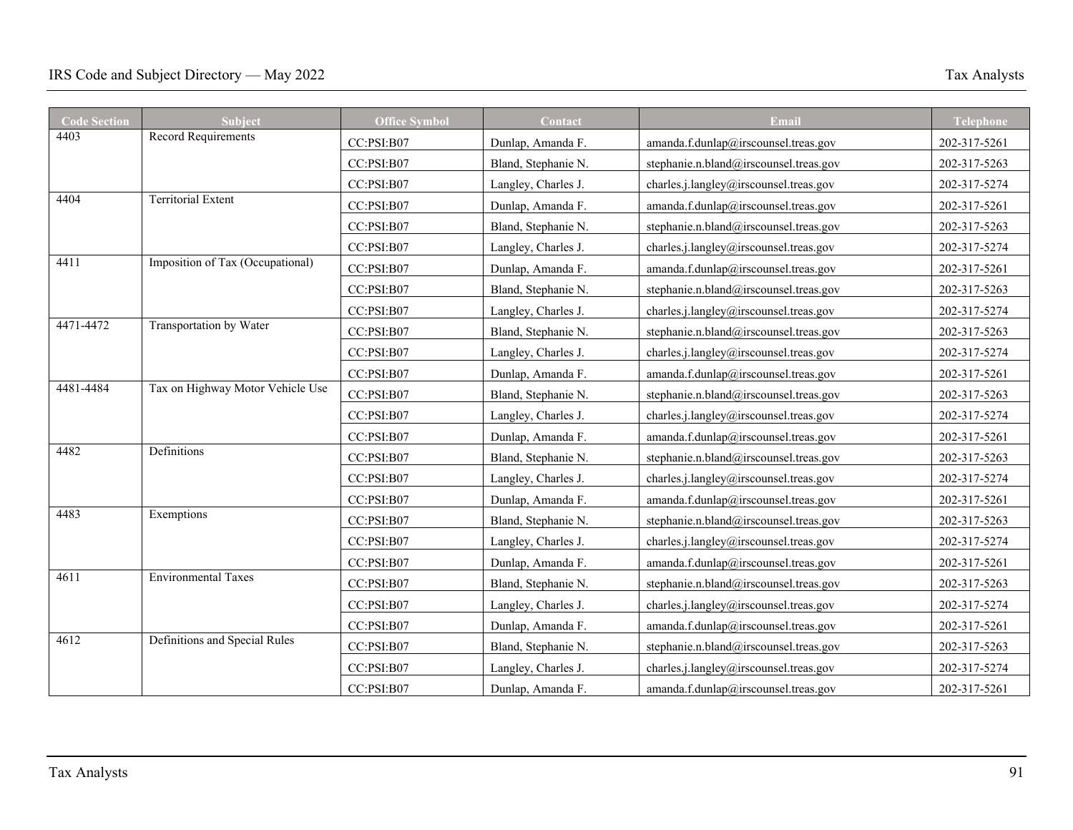| <b>Code Section</b> | Subject                          | <b>Office Symbol</b> | Contact             | Email                                  | <b>Telephone</b> |
|---------------------|----------------------------------|----------------------|---------------------|----------------------------------------|------------------|
| 4403                | Record Requirements              | CC:PSI:B07           | Dunlap, Amanda F.   | amanda.f.dunlap@irscounsel.treas.gov   | 202-317-5261     |
|                     |                                  | CC:PSI:B07           | Bland, Stephanie N. | stephanie.n.bland@irscounsel.treas.gov | 202-317-5263     |
|                     |                                  | CC:PSI:B07           | Langley, Charles J. | charles.j.langley@irscounsel.treas.gov | 202-317-5274     |
| 4404                | <b>Territorial Extent</b>        | CC:PSI:B07           | Dunlap, Amanda F.   | amanda.f.dunlap@irscounsel.treas.gov   | 202-317-5261     |
|                     |                                  | CC:PSI:B07           | Bland, Stephanie N. | stephanie.n.bland@irscounsel.treas.gov | 202-317-5263     |
|                     |                                  | CC:PSI:B07           | Langley, Charles J. | charles.j.langley@irscounsel.treas.gov | 202-317-5274     |
| 4411                | Imposition of Tax (Occupational) | CC:PSI:B07           | Dunlap, Amanda F.   | amanda.f.dunlap@irscounsel.treas.gov   | 202-317-5261     |
|                     |                                  | CC:PSI:B07           | Bland, Stephanie N. | stephanie.n.bland@irscounsel.treas.gov | 202-317-5263     |
|                     |                                  | CC:PSI:B07           | Langley, Charles J. | charles.j.langley@irscounsel.treas.gov | 202-317-5274     |
| 4471-4472           | Transportation by Water          | CC:PSI:B07           | Bland, Stephanie N. | stephanie.n.bland@irscounsel.treas.gov | 202-317-5263     |
|                     |                                  | CC:PSI:B07           | Langley, Charles J. | charles.j.langley@irscounsel.treas.gov | 202-317-5274     |
|                     |                                  | CC:PSI:B07           | Dunlap, Amanda F.   | amanda.f.dunlap@irscounsel.treas.gov   | 202-317-5261     |
| 4481-4484           | Tax on Highway Motor Vehicle Use | CC:PSI:B07           | Bland, Stephanie N. | stephanie.n.bland@irscounsel.treas.gov | 202-317-5263     |
|                     |                                  | CC:PSI:B07           | Langley, Charles J. | charles.j.langley@irscounsel.treas.gov | 202-317-5274     |
|                     |                                  | CC:PSI:B07           | Dunlap, Amanda F.   | amanda.f.dunlap@irscounsel.treas.gov   | 202-317-5261     |
| 4482                | Definitions                      | CC:PSI:B07           | Bland, Stephanie N. | stephanie.n.bland@irscounsel.treas.gov | 202-317-5263     |
|                     |                                  | CC:PSI:B07           | Langley, Charles J. | charles.j.langley@irscounsel.treas.gov | 202-317-5274     |
|                     |                                  | CC:PSI:B07           | Dunlap, Amanda F.   | amanda.f.dunlap@irscounsel.treas.gov   | 202-317-5261     |
| 4483                | Exemptions                       | CC:PSI:B07           | Bland, Stephanie N. | stephanie.n.bland@irscounsel.treas.gov | 202-317-5263     |
|                     |                                  | CC:PSI:B07           | Langley, Charles J. | charles.j.langley@irscounsel.treas.gov | 202-317-5274     |
|                     |                                  | CC:PSI:B07           | Dunlap, Amanda F.   | amanda.f.dunlap@irscounsel.treas.gov   | 202-317-5261     |
| $461\overline{1}$   | <b>Environmental Taxes</b>       | CC:PSI:B07           | Bland, Stephanie N. | stephanie.n.bland@irscounsel.treas.gov | 202-317-5263     |
|                     |                                  | CC:PSI:B07           | Langley, Charles J. | charles.j.langley@irscounsel.treas.gov | 202-317-5274     |
|                     |                                  | CC:PSI:B07           | Dunlap, Amanda F.   | amanda.f.dunlap@irscounsel.treas.gov   | 202-317-5261     |
| 4612                | Definitions and Special Rules    | CC:PSI:B07           | Bland, Stephanie N. | stephanie.n.bland@irscounsel.treas.gov | 202-317-5263     |
|                     |                                  | CC:PSI:B07           | Langley, Charles J. | charles.j.langley@irscounsel.treas.gov | 202-317-5274     |
|                     |                                  | CC:PSI:B07           | Dunlap, Amanda F.   | amanda.f.dunlap@irscounsel.treas.gov   | 202-317-5261     |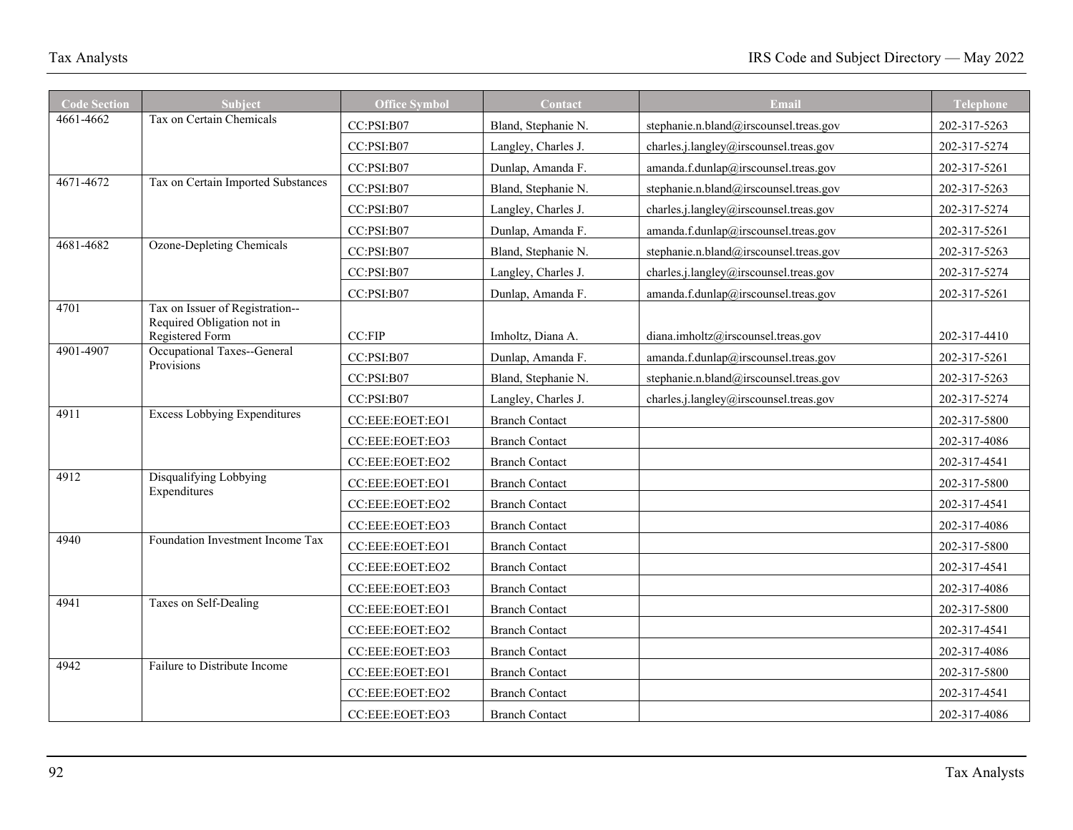| <b>Code Section</b> | <b>Subject</b>                                                | <b>Office Symbol</b> | Contact               | <b>Email</b>                           | Telephone    |
|---------------------|---------------------------------------------------------------|----------------------|-----------------------|----------------------------------------|--------------|
| 4661-4662           | Tax on Certain Chemicals                                      | CC:PSI: B07          | Bland, Stephanie N.   | stephanie.n.bland@irscounsel.treas.gov | 202-317-5263 |
|                     |                                                               | CC:PSI:B07           | Langley, Charles J.   | charles.j.langley@irscounsel.treas.gov | 202-317-5274 |
|                     |                                                               | CC:PSI:B07           | Dunlap, Amanda F.     | amanda.f.dunlap@irscounsel.treas.gov   | 202-317-5261 |
| 4671-4672           | Tax on Certain Imported Substances                            | CC:PSI:B07           | Bland, Stephanie N.   | stephanie.n.bland@irscounsel.treas.gov | 202-317-5263 |
|                     |                                                               | CC:PSI:B07           | Langley, Charles J.   | charles.j.langley@irscounsel.treas.gov | 202-317-5274 |
|                     |                                                               | CC:PSI:B07           | Dunlap, Amanda F.     | amanda.f.dunlap@irscounsel.treas.gov   | 202-317-5261 |
| 4681-4682           | Ozone-Depleting Chemicals                                     | CC:PSI:B07           | Bland, Stephanie N.   | stephanie.n.bland@irscounsel.treas.gov | 202-317-5263 |
|                     |                                                               | CC:PSI:B07           | Langley, Charles J.   | charles.j.langley@irscounsel.treas.gov | 202-317-5274 |
|                     |                                                               | CC:PSI:B07           | Dunlap, Amanda F.     | amanda.f.dunlap@irscounsel.treas.gov   | 202-317-5261 |
| 4701                | Tax on Issuer of Registration--<br>Required Obligation not in |                      |                       |                                        |              |
|                     | Registered Form                                               | CC:FIP               | Imholtz, Diana A.     | diana.imholtz@irscounsel.treas.gov     | 202-317-4410 |
| 4901-4907           | Occupational Taxes--General<br>Provisions                     | CC:PSI:B07           | Dunlap, Amanda F.     | amanda.f.dunlap@irscounsel.treas.gov   | 202-317-5261 |
|                     |                                                               | CC:PSI: B07          | Bland, Stephanie N.   | stephanie.n.bland@irscounsel.treas.gov | 202-317-5263 |
|                     |                                                               | CC:PSI:B07           | Langley, Charles J.   | charles.j.langley@irscounsel.treas.gov | 202-317-5274 |
| 4911                | <b>Excess Lobbying Expenditures</b>                           | CC:EEE:EOET:EO1      | <b>Branch Contact</b> |                                        | 202-317-5800 |
|                     |                                                               | CC:EEE:EOET:EO3      | <b>Branch Contact</b> |                                        | 202-317-4086 |
|                     |                                                               | CC:EEE:EOET:EO2      | <b>Branch Contact</b> |                                        | 202-317-4541 |
| 4912                | Disqualifying Lobbying<br>Expenditures                        | CC:EEE:EOET:EO1      | <b>Branch Contact</b> |                                        | 202-317-5800 |
|                     |                                                               | CC:EEE:EOET:EO2      | <b>Branch Contact</b> |                                        | 202-317-4541 |
|                     |                                                               | CC:EEE:EOET:EO3      | <b>Branch Contact</b> |                                        | 202-317-4086 |
| 4940                | Foundation Investment Income Tax                              | CC:EEE:EOET:EO1      | <b>Branch Contact</b> |                                        | 202-317-5800 |
|                     |                                                               | CC:EEE:EOET:EO2      | <b>Branch Contact</b> |                                        | 202-317-4541 |
|                     |                                                               | CC:EEE:EOET:EO3      | <b>Branch Contact</b> |                                        | 202-317-4086 |
| 4941                | Taxes on Self-Dealing                                         | CC:EEE:EOET:EO1      | <b>Branch Contact</b> |                                        | 202-317-5800 |
|                     |                                                               | CC:EEE:EOET:EO2      | <b>Branch Contact</b> |                                        | 202-317-4541 |
|                     |                                                               | CC:EEE:EOET:EO3      | <b>Branch Contact</b> |                                        | 202-317-4086 |
| 4942                | Failure to Distribute Income                                  | CC:EEE:EOET:EO1      | <b>Branch Contact</b> |                                        | 202-317-5800 |
|                     |                                                               | CC:EEE:EOET:EO2      | <b>Branch Contact</b> |                                        | 202-317-4541 |
|                     |                                                               | CC:EEE:EOET:EO3      | <b>Branch Contact</b> |                                        | 202-317-4086 |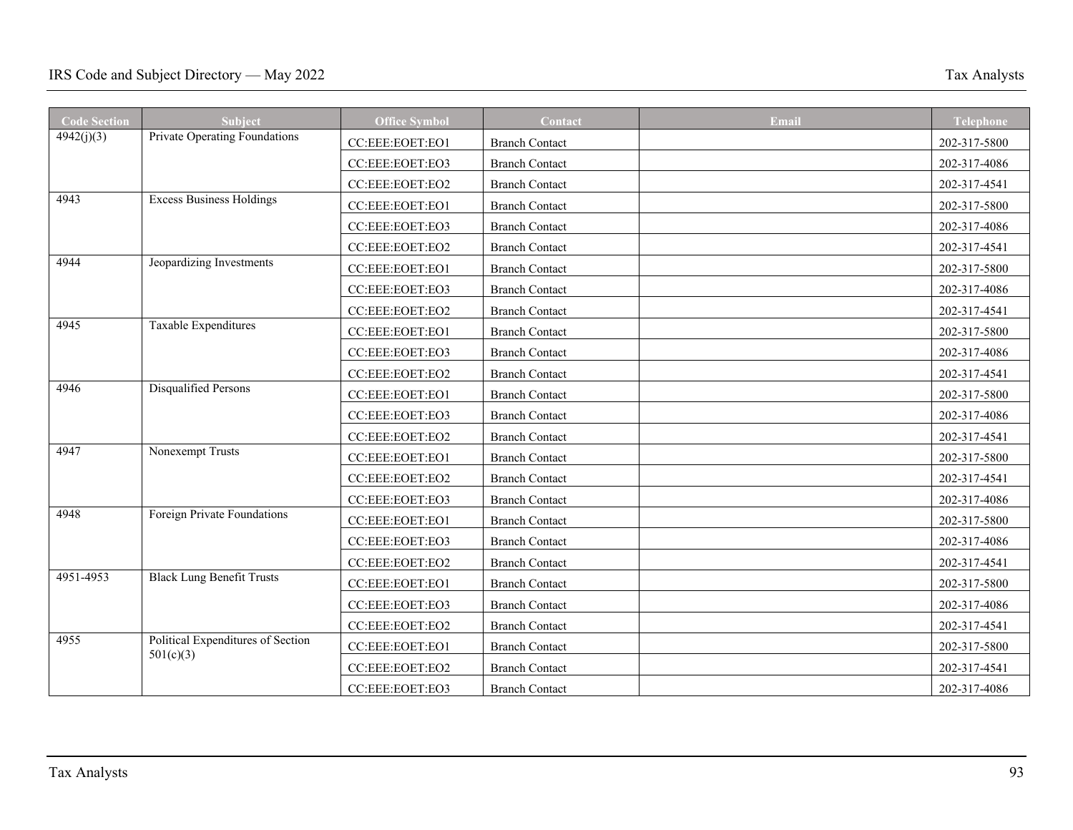| <b>Code Section</b> | <b>Subject</b>                    | <b>Office Symbol</b> | Contact               | Email | <b>Telephone</b> |
|---------------------|-----------------------------------|----------------------|-----------------------|-------|------------------|
| 4942(j)(3)          | Private Operating Foundations     | CC:EEE:EOET:EO1      | <b>Branch Contact</b> |       | 202-317-5800     |
|                     |                                   | CC:EEE:EOET:EO3      | <b>Branch Contact</b> |       | 202-317-4086     |
|                     |                                   | CC:EEE:EOET:EO2      | <b>Branch Contact</b> |       | 202-317-4541     |
| 4943                | <b>Excess Business Holdings</b>   | CC:EEE:EOET:EO1      | <b>Branch Contact</b> |       | 202-317-5800     |
|                     |                                   | CC:EEE:EOET:EO3      | <b>Branch Contact</b> |       | 202-317-4086     |
|                     |                                   | CC:EEE:EOET:EO2      | <b>Branch Contact</b> |       | 202-317-4541     |
| $494\overline{4}$   | Jeopardizing Investments          | CC:EEE:EOET:EO1      | <b>Branch Contact</b> |       | 202-317-5800     |
|                     |                                   | CC:EEE:EOET:EO3      | <b>Branch Contact</b> |       | 202-317-4086     |
|                     |                                   | CC:EEE:EOET:EO2      | <b>Branch Contact</b> |       | 202-317-4541     |
| 4945                | Taxable Expenditures              | CC:EEE:EOET:EO1      | <b>Branch Contact</b> |       | 202-317-5800     |
|                     |                                   | CC:EEE:EOET:EO3      | <b>Branch Contact</b> |       | 202-317-4086     |
|                     |                                   | CC:EEE:EOET:EO2      | <b>Branch Contact</b> |       | 202-317-4541     |
| 4946                | <b>Disqualified Persons</b>       | CC:EEE:EOET:EO1      | <b>Branch Contact</b> |       | 202-317-5800     |
|                     |                                   | CC:EEE:EOET:EO3      | <b>Branch Contact</b> |       | 202-317-4086     |
|                     |                                   | CC:EEE:EOET:EO2      | <b>Branch Contact</b> |       | 202-317-4541     |
| 4947                | Nonexempt Trusts                  | CC:EEE:EOET:EO1      | <b>Branch Contact</b> |       | 202-317-5800     |
|                     |                                   | CC:EEE:EOET:EO2      | <b>Branch Contact</b> |       | 202-317-4541     |
|                     |                                   | CC:EEE:EOET:EO3      | <b>Branch Contact</b> |       | 202-317-4086     |
| 4948                | Foreign Private Foundations       | CC:EEE:EOET:EO1      | <b>Branch Contact</b> |       | 202-317-5800     |
|                     |                                   | CC:EEE:EOET:EO3      | <b>Branch Contact</b> |       | 202-317-4086     |
|                     |                                   | CC:EEE:EOET:EO2      | <b>Branch Contact</b> |       | 202-317-4541     |
| 4951-4953           | <b>Black Lung Benefit Trusts</b>  | CC:EEE:EOET:EO1      | <b>Branch Contact</b> |       | 202-317-5800     |
|                     |                                   | CC:EEE:EOET:EO3      | <b>Branch Contact</b> |       | 202-317-4086     |
|                     |                                   | CC:EEE:EOET:EO2      | <b>Branch Contact</b> |       | 202-317-4541     |
| 4955                | Political Expenditures of Section | CC:EEE:EOET:EO1      | <b>Branch Contact</b> |       | 202-317-5800     |
|                     | 501(c)(3)                         | CC:EEE:EOET:EO2      | <b>Branch Contact</b> |       | 202-317-4541     |
|                     |                                   | CC:EEE:EOET:EO3      | <b>Branch Contact</b> |       | 202-317-4086     |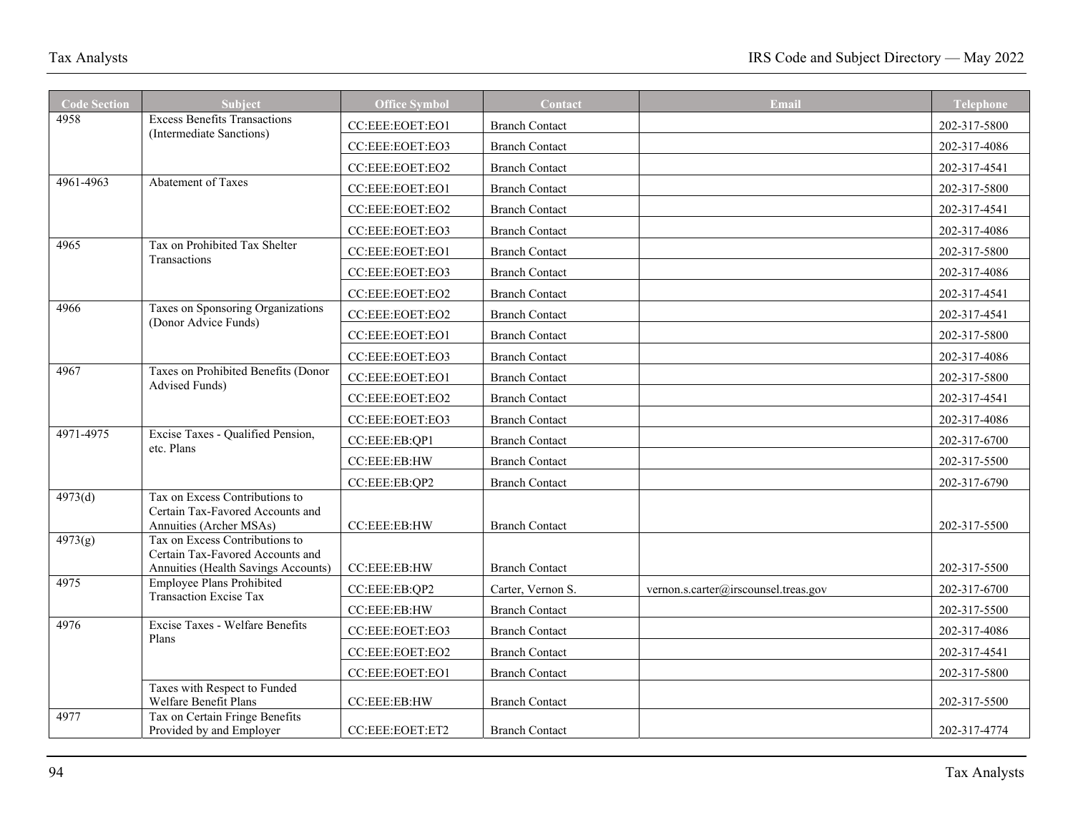| <b>Code Section</b> | <b>Subject</b>                                                                                            | <b>Office Symbol</b> | Contact               | Email                                | <b>Telephone</b> |
|---------------------|-----------------------------------------------------------------------------------------------------------|----------------------|-----------------------|--------------------------------------|------------------|
| 4958                | <b>Excess Benefits Transactions</b><br>(Intermediate Sanctions)                                           | CC:EEE:EOET:EO1      | <b>Branch Contact</b> |                                      | 202-317-5800     |
|                     |                                                                                                           | CC:EEE:EOET:EO3      | <b>Branch Contact</b> |                                      | 202-317-4086     |
|                     |                                                                                                           | CC:EEE:EOET:EO2      | <b>Branch Contact</b> |                                      | 202-317-4541     |
| 4961-4963           | Abatement of Taxes                                                                                        | CC:EEE:EOET:EO1      | <b>Branch Contact</b> |                                      | 202-317-5800     |
|                     |                                                                                                           | CC:EEE:EOET:EO2      | <b>Branch Contact</b> |                                      | 202-317-4541     |
|                     |                                                                                                           | CC:EEE:EOET:EO3      | <b>Branch Contact</b> |                                      | 202-317-4086     |
| 4965                | Tax on Prohibited Tax Shelter<br>Transactions                                                             | CC:EEE:EOET:EO1      | <b>Branch Contact</b> |                                      | 202-317-5800     |
|                     |                                                                                                           | CC:EEE:EOET:EO3      | <b>Branch Contact</b> |                                      | 202-317-4086     |
|                     |                                                                                                           | CC:EEE:EOET:EO2      | <b>Branch Contact</b> |                                      | 202-317-4541     |
| 4966                | Taxes on Sponsoring Organizations<br>(Donor Advice Funds)                                                 | CC:EEE:EOET:EO2      | <b>Branch Contact</b> |                                      | 202-317-4541     |
|                     |                                                                                                           | CC:EEE:EOET:EO1      | <b>Branch Contact</b> |                                      | 202-317-5800     |
|                     |                                                                                                           | CC:EEE:EOET:EO3      | <b>Branch Contact</b> |                                      | 202-317-4086     |
| 4967                | Taxes on Prohibited Benefits (Donor                                                                       | CC:EEE:EOET:EO1      | <b>Branch Contact</b> |                                      | 202-317-5800     |
|                     | Advised Funds)                                                                                            | CC:EEE:EOET:EO2      | <b>Branch Contact</b> |                                      | 202-317-4541     |
|                     |                                                                                                           | CC:EEE:EOET:EO3      | <b>Branch Contact</b> |                                      | 202-317-4086     |
| 4971-4975           | Excise Taxes - Qualified Pension,<br>etc. Plans                                                           | CC:EEE:EB:QP1        | <b>Branch Contact</b> |                                      | 202-317-6700     |
|                     |                                                                                                           | CC:EEE:EB:HW         | <b>Branch Contact</b> |                                      | 202-317-5500     |
|                     |                                                                                                           | CC:EEE:EB:QP2        | <b>Branch Contact</b> |                                      | 202-317-6790     |
| 4973(d)             | Tax on Excess Contributions to<br>Certain Tax-Favored Accounts and<br>Annuities (Archer MSAs)             | CC:EEE:EB:HW         | <b>Branch Contact</b> |                                      | 202-317-5500     |
| 4973(g)             | Tax on Excess Contributions to<br>Certain Tax-Favored Accounts and<br>Annuities (Health Savings Accounts) | CC:EEE:EB:HW         | <b>Branch Contact</b> |                                      | 202-317-5500     |
| 4975                | <b>Employee Plans Prohibited</b>                                                                          | CC:EEE:EB:QP2        | Carter, Vernon S.     | vernon.s.carter@irscounsel.treas.gov | 202-317-6700     |
|                     | <b>Transaction Excise Tax</b>                                                                             | CC:EEE:EB:HW         | <b>Branch Contact</b> |                                      | 202-317-5500     |
| 4976                | Excise Taxes - Welfare Benefits                                                                           | CC:EEE:EOET:EO3      | <b>Branch Contact</b> |                                      | 202-317-4086     |
|                     | Plans                                                                                                     | CC:EEE:EOET:EO2      | <b>Branch Contact</b> |                                      | 202-317-4541     |
|                     |                                                                                                           | CC:EEE:EOET:EO1      | <b>Branch Contact</b> |                                      | 202-317-5800     |
|                     | Taxes with Respect to Funded<br>Welfare Benefit Plans                                                     | CC:EEE:EB:HW         | <b>Branch Contact</b> |                                      | 202-317-5500     |
| 4977                | Tax on Certain Fringe Benefits<br>Provided by and Employer                                                | CC:EEE:EOET:ET2      | <b>Branch Contact</b> |                                      | 202-317-4774     |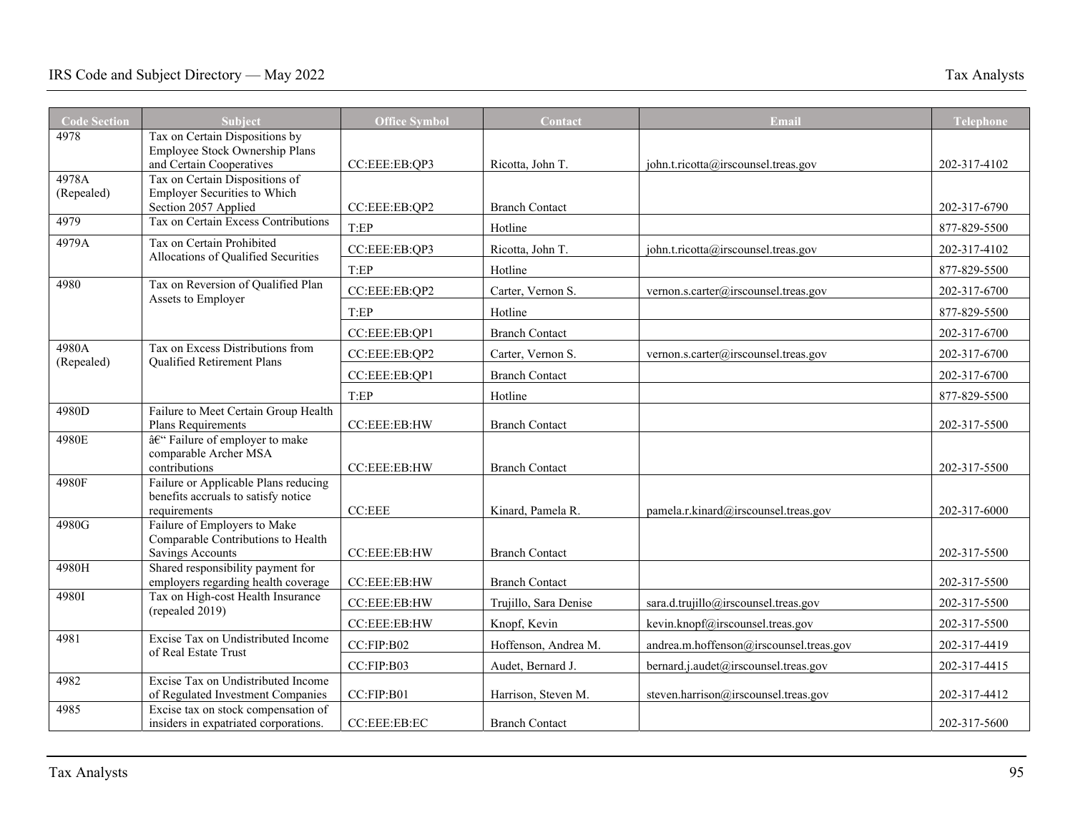| <b>Code Section</b> | <b>Subject</b>                                                                              | <b>Office Symbol</b> | Contact               | Email                                   | <b>Telephone</b> |
|---------------------|---------------------------------------------------------------------------------------------|----------------------|-----------------------|-----------------------------------------|------------------|
| 4978                | Tax on Certain Dispositions by<br>Employee Stock Ownership Plans                            |                      |                       |                                         |                  |
| 4978A               | and Certain Cooperatives<br>Tax on Certain Dispositions of                                  | CC:EEE:EB:QP3        | Ricotta, John T.      | john.t.ricotta@irscounsel.treas.gov     | 202-317-4102     |
| (Repealed)          | <b>Employer Securities to Which</b>                                                         |                      |                       |                                         |                  |
|                     | Section 2057 Applied                                                                        | CC:EEE:EB:QP2        | <b>Branch Contact</b> |                                         | 202-317-6790     |
| 4979                | Tax on Certain Excess Contributions                                                         | T:EP                 | Hotline               |                                         | 877-829-5500     |
| 4979A               | Tax on Certain Prohibited<br>Allocations of Qualified Securities                            | CC:EEE:EB:QP3        | Ricotta, John T.      | john.t.ricotta@irscounsel.treas.gov     | 202-317-4102     |
|                     |                                                                                             | T:EP                 | Hotline               |                                         | 877-829-5500     |
| 4980                | Tax on Reversion of Qualified Plan<br>Assets to Employer                                    | CC:EEE:EB:QP2        | Carter, Vernon S.     | vernon.s.carter@irscounsel.treas.gov    | 202-317-6700     |
|                     |                                                                                             | T:EP                 | Hotline               |                                         | 877-829-5500     |
|                     |                                                                                             | CC:EEE:EB:QP1        | <b>Branch Contact</b> |                                         | 202-317-6700     |
| 4980A<br>(Repealed) | Tax on Excess Distributions from<br>Qualified Retirement Plans                              | CC:EEE:EB:OP2        | Carter, Vernon S.     | vernon.s.carter@irscounsel.treas.gov    | 202-317-6700     |
|                     |                                                                                             | CC:EEE:EB:QP1        | <b>Branch Contact</b> |                                         | 202-317-6700     |
|                     |                                                                                             | T:EP                 | Hotline               |                                         | 877-829-5500     |
| 4980D               | Failure to Meet Certain Group Health                                                        |                      |                       |                                         |                  |
|                     | Plans Requirements                                                                          | CC:EEE:EB:HW         | <b>Branch Contact</b> |                                         | 202-317-5500     |
| 4980E               | – Failure of employer to make<br>comparable Archer MSA<br>contributions                     | CC:EEE:EB:HW         | <b>Branch Contact</b> |                                         | 202-317-5500     |
| 4980F               | Failure or Applicable Plans reducing<br>benefits accruals to satisfy notice<br>requirements | CC:EEE               | Kinard, Pamela R.     | pamela.r.kinard@irscounsel.treas.gov    | 202-317-6000     |
| 4980G               | Failure of Employers to Make<br>Comparable Contributions to Health<br>Savings Accounts      | CC:EEE:EB:HW         | <b>Branch Contact</b> |                                         | 202-317-5500     |
| 4980H               | Shared responsibility payment for                                                           |                      |                       |                                         |                  |
|                     | employers regarding health coverage                                                         | CC:EEE:EB:HW         | <b>Branch Contact</b> |                                         | 202-317-5500     |
| 4980I               | Tax on High-cost Health Insurance<br>(repealed 2019)                                        | CC:EEE:EB:HW         | Trujillo, Sara Denise | sara.d.trujillo@irscounsel.treas.gov    | 202-317-5500     |
|                     |                                                                                             | CC:EEE:EB:HW         | Knopf, Kevin          | kevin.knopf@irscounsel.treas.gov        | 202-317-5500     |
| 4981                | Excise Tax on Undistributed Income<br>of Real Estate Trust                                  | CC:FIP:B02           | Hoffenson, Andrea M.  | andrea.m.hoffenson@irscounsel.treas.gov | 202-317-4419     |
|                     |                                                                                             | CC:FIP:B03           | Audet, Bernard J.     | bernard.j.audet@irscounsel.treas.gov    | 202-317-4415     |
| 4982                | Excise Tax on Undistributed Income<br>of Regulated Investment Companies                     | CC:FIP:B01           | Harrison, Steven M.   | steven.harrison@irscounsel.treas.gov    | 202-317-4412     |
| 4985                | Excise tax on stock compensation of<br>insiders in expatriated corporations.                | CC:EEE:EB:EC         | <b>Branch Contact</b> |                                         | 202-317-5600     |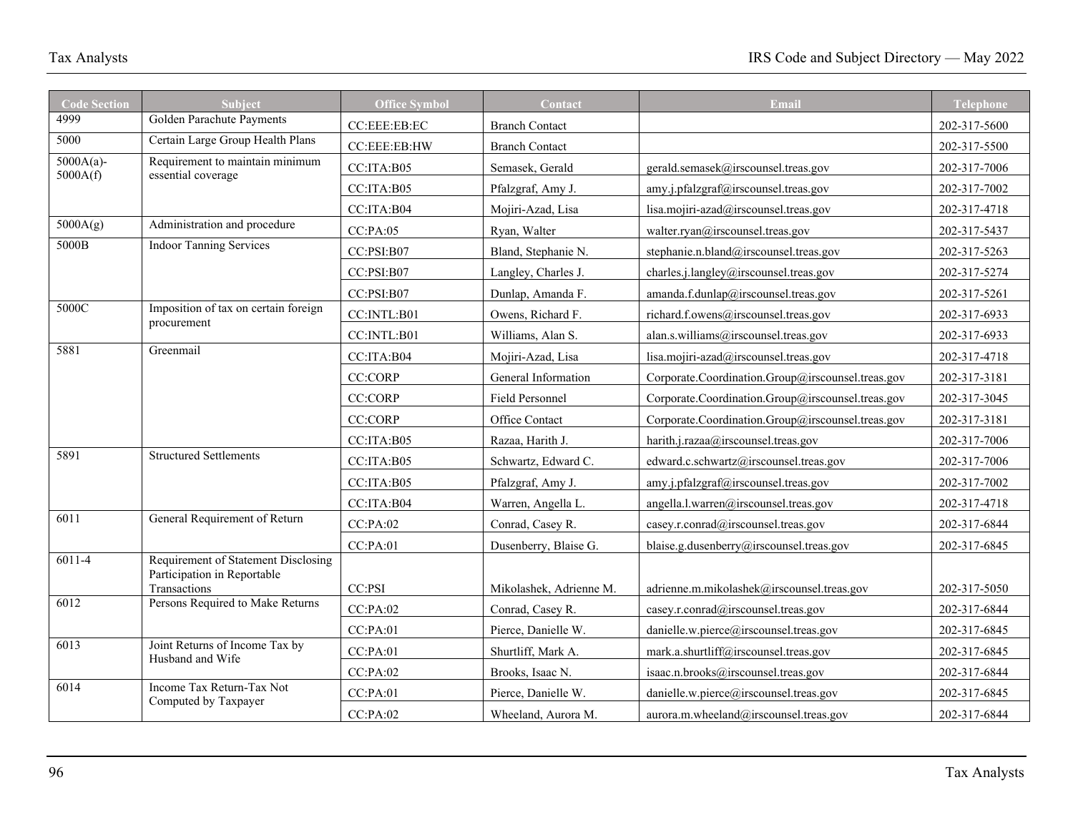| <b>Code Section</b>  | <b>Subject</b>                                                     | <b>Office Symbol</b> | Contact                 | Email                                             | <b>Telephone</b> |
|----------------------|--------------------------------------------------------------------|----------------------|-------------------------|---------------------------------------------------|------------------|
| 4999                 | Golden Parachute Payments                                          | CC:EEE:EB:EC         | <b>Branch Contact</b>   |                                                   | 202-317-5600     |
| 5000                 | Certain Large Group Health Plans                                   | CC:EEE:EB:HW         | <b>Branch Contact</b>   |                                                   | 202-317-5500     |
| 5000A(a)<br>5000A(f) | Requirement to maintain minimum<br>essential coverage              | CC:ITA:B05           | Semasek, Gerald         | gerald.semasek@irscounsel.treas.gov               | 202-317-7006     |
|                      |                                                                    | CC:ITA:B05           | Pfalzgraf, Amy J.       | amy.j.pfalzgraf@irscounsel.treas.gov              | 202-317-7002     |
|                      |                                                                    | CC:ITA:B04           | Mojiri-Azad, Lisa       | lisa.mojiri-azad@irscounsel.treas.gov             | 202-317-4718     |
| 5000A(g)             | Administration and procedure                                       | CC:PA:05             | Ryan, Walter            | walter.ryan@irscounsel.treas.gov                  | 202-317-5437     |
| 5000B                | <b>Indoor Tanning Services</b>                                     | CC:PSI:B07           | Bland, Stephanie N.     | stephanie.n.bland@irscounsel.treas.gov            | 202-317-5263     |
|                      |                                                                    | CC:PSI:B07           | Langley, Charles J.     | charles.j.langley@irscounsel.treas.gov            | 202-317-5274     |
|                      |                                                                    | CC:PSI:B07           | Dunlap, Amanda F.       | amanda.f.dunlap@irscounsel.treas.gov              | 202-317-5261     |
| 5000C                | Imposition of tax on certain foreign<br>procurement                | CC:INTL:B01          | Owens, Richard F.       | richard.f.owens@irscounsel.treas.gov              | 202-317-6933     |
|                      |                                                                    | CC:INTL:B01          | Williams, Alan S.       | alan.s.williams@irscounsel.treas.gov              | 202-317-6933     |
| 5881                 | Greenmail                                                          | CC:ITA:B04           | Mojiri-Azad, Lisa       | lisa.mojiri-azad@irscounsel.treas.gov             | 202-317-4718     |
|                      |                                                                    | <b>CC:CORP</b>       | General Information     | Corporate.Coordination.Group@irscounsel.treas.gov | 202-317-3181     |
|                      |                                                                    | <b>CC:CORP</b>       | Field Personnel         | Corporate.Coordination.Group@irscounsel.treas.gov | 202-317-3045     |
|                      |                                                                    | <b>CC:CORP</b>       | Office Contact          | Corporate.Coordination.Group@irscounsel.treas.gov | 202-317-3181     |
|                      |                                                                    | CC:ITA:B05           | Razaa, Harith J.        | harith.j.razaa@irscounsel.treas.gov               | 202-317-7006     |
| 5891                 | <b>Structured Settlements</b>                                      | CC:ITA:B05           | Schwartz, Edward C.     | edward.c.schwartz@irscounsel.treas.gov            | 202-317-7006     |
|                      |                                                                    | CC:ITA:B05           | Pfalzgraf, Amy J.       | amy.j.pfalzgraf@irscounsel.treas.gov              | 202-317-7002     |
|                      |                                                                    | CC:ITA:B04           | Warren, Angella L.      | angella.l.warren@irscounsel.treas.gov             | 202-317-4718     |
| 6011                 | General Requirement of Return                                      | CC:PA:02             | Conrad, Casey R.        | casey.r.conrad@irscounsel.treas.gov               | 202-317-6844     |
|                      |                                                                    | CC:PA:01             | Dusenberry, Blaise G.   | blaise.g.dusenberry@irscounsel.treas.gov          | 202-317-6845     |
| $6011 - 4$           | Requirement of Statement Disclosing<br>Participation in Reportable |                      |                         |                                                   |                  |
|                      | Transactions                                                       | CC:PSI               | Mikolashek, Adrienne M. | adrienne.m.mikolashek@irscounsel.treas.gov        | 202-317-5050     |
| 6012                 | Persons Required to Make Returns                                   | CC:PA:02             | Conrad, Casey R.        | casey.r.conrad@irscounsel.treas.gov               | 202-317-6844     |
|                      |                                                                    | CC:PA:01             | Pierce, Danielle W.     | danielle.w.pierce@irscounsel.treas.gov            | 202-317-6845     |
| 6013                 | Joint Returns of Income Tax by<br>Husband and Wife                 | CC:PA:01             | Shurtliff, Mark A.      | mark.a.shurtliff@irscounsel.treas.gov             | 202-317-6845     |
|                      |                                                                    | CC:PA:02             | Brooks, Isaac N.        | isaac.n.brooks@irscounsel.treas.gov               | 202-317-6844     |
| 6014                 | Income Tax Return-Tax Not<br>Computed by Taxpayer                  | CC:PA:01             | Pierce, Danielle W.     | danielle.w.pierce@irscounsel.treas.gov            | 202-317-6845     |
|                      |                                                                    | CC:PA:02             | Wheeland, Aurora M.     | $aurora.m. wheel and @irscounsel. treas.gov$      | 202-317-6844     |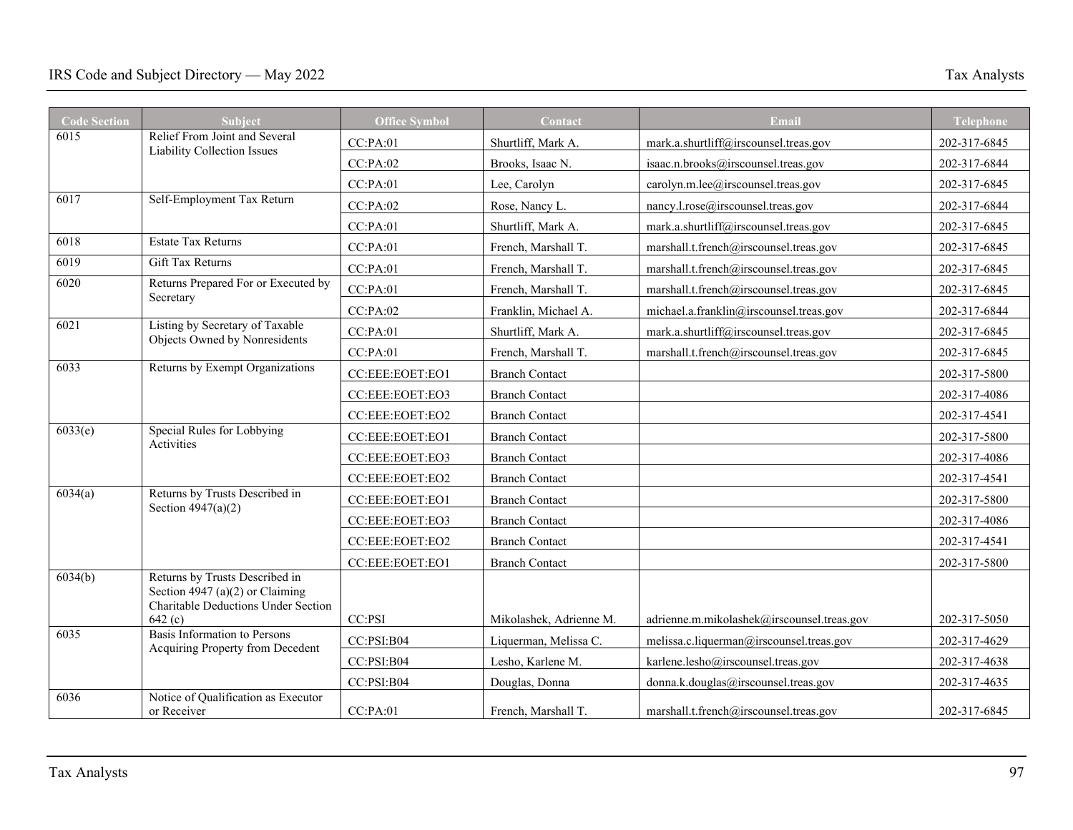| <b>Code Section</b> | Subject                                                                                                  | <b>Office Symbol</b> | Contact                 | Email                                      | <b>Telephone</b> |
|---------------------|----------------------------------------------------------------------------------------------------------|----------------------|-------------------------|--------------------------------------------|------------------|
| 6015                | Relief From Joint and Several<br>Liability Collection Issues                                             | CC:PA:01             | Shurtliff, Mark A.      | mark.a.shurtliff@irscounsel.treas.gov      | 202-317-6845     |
|                     |                                                                                                          | CC:PA:02             | Brooks, Isaac N.        | isaac.n.brooks@irscounsel.treas.gov        | 202-317-6844     |
|                     |                                                                                                          | CC:PA:01             | Lee, Carolyn            | carolyn.m.lee@irscounsel.treas.gov         | 202-317-6845     |
| 6017                | Self-Employment Tax Return                                                                               | CC:PA:02             | Rose, Nancy L.          | nancy.l.rose@irscounsel.treas.gov          | 202-317-6844     |
|                     |                                                                                                          | CC:PA:01             | Shurtliff, Mark A.      | mark.a.shurtliff@irscounsel.treas.gov      | 202-317-6845     |
| 6018                | <b>Estate Tax Returns</b>                                                                                | CC:PA:01             | French, Marshall T.     | marshall.t.french@irscounsel.treas.gov     | 202-317-6845     |
| 6019                | <b>Gift Tax Returns</b>                                                                                  | CC:PA:01             | French, Marshall T.     | marshall.t.french@irscounsel.treas.gov     | 202-317-6845     |
| 6020                | Returns Prepared For or Executed by                                                                      | CC:PA:01             | French, Marshall T.     | marshall.t.french@irscounsel.treas.gov     | 202-317-6845     |
|                     | Secretary                                                                                                | CC:PA:02             | Franklin, Michael A.    | michael.a.franklin@irscounsel.treas.gov    | 202-317-6844     |
| 6021                | Listing by Secretary of Taxable<br>Objects Owned by Nonresidents                                         | CC:PA:01             | Shurtliff, Mark A.      | mark.a.shurtliff@irscounsel.treas.gov      | 202-317-6845     |
|                     |                                                                                                          | CC:PA:01             | French, Marshall T.     | marshall.t.french@irscounsel.treas.gov     | 202-317-6845     |
| 6033                | Returns by Exempt Organizations                                                                          | CC:EEE:EOET:EO1      | <b>Branch Contact</b>   |                                            | 202-317-5800     |
|                     |                                                                                                          | CC:EEE:EOET:EO3      | <b>Branch Contact</b>   |                                            | 202-317-4086     |
|                     |                                                                                                          | CC:EEE:EOET:EO2      | <b>Branch Contact</b>   |                                            | 202-317-4541     |
| 6033(e)             | Special Rules for Lobbying<br>Activities                                                                 | CC:EEE:EOET:EO1      | <b>Branch Contact</b>   |                                            | 202-317-5800     |
|                     |                                                                                                          | CC:EEE:EOET:EO3      | <b>Branch Contact</b>   |                                            | 202-317-4086     |
|                     |                                                                                                          | CC:EEE:EOET:EO2      | <b>Branch Contact</b>   |                                            | 202-317-4541     |
| 6034(a)             | Returns by Trusts Described in<br>Section $4947(a)(2)$                                                   | CC:EEE:EOET:EO1      | <b>Branch Contact</b>   |                                            | 202-317-5800     |
|                     |                                                                                                          | CC:EEE:EOET:EO3      | <b>Branch Contact</b>   |                                            | 202-317-4086     |
|                     |                                                                                                          | CC:EEE:EOET:EO2      | <b>Branch Contact</b>   |                                            | 202-317-4541     |
|                     |                                                                                                          | CC:EEE:EOET:EO1      | <b>Branch Contact</b>   |                                            | 202-317-5800     |
| 6034(b)             | Returns by Trusts Described in<br>Section 4947 (a)(2) or Claiming<br>Charitable Deductions Under Section |                      |                         |                                            |                  |
|                     | 642(c)                                                                                                   | CC:PSI               | Mikolashek, Adrienne M. | adrienne.m.mikolashek@irscounsel.treas.gov | 202-317-5050     |
| 6035                | Basis Information to Persons<br>Acquiring Property from Decedent                                         | CC:PSI:B04           | Liquerman, Melissa C.   | melissa.c.liquerman@irscounsel.treas.gov   | 202-317-4629     |
|                     |                                                                                                          | CC:PSI:B04           | Lesho, Karlene M.       | karlene.lesho@irscounsel.treas.gov         | 202-317-4638     |
|                     |                                                                                                          | CC:PSI:B04           | Douglas, Donna          | donna.k.douglas@irscounsel.treas.gov       | 202-317-4635     |
| 6036                | Notice of Qualification as Executor<br>or Receiver                                                       | CC:PA:01             | French, Marshall T.     | marshall.t.french@irscounsel.treas.gov     | 202-317-6845     |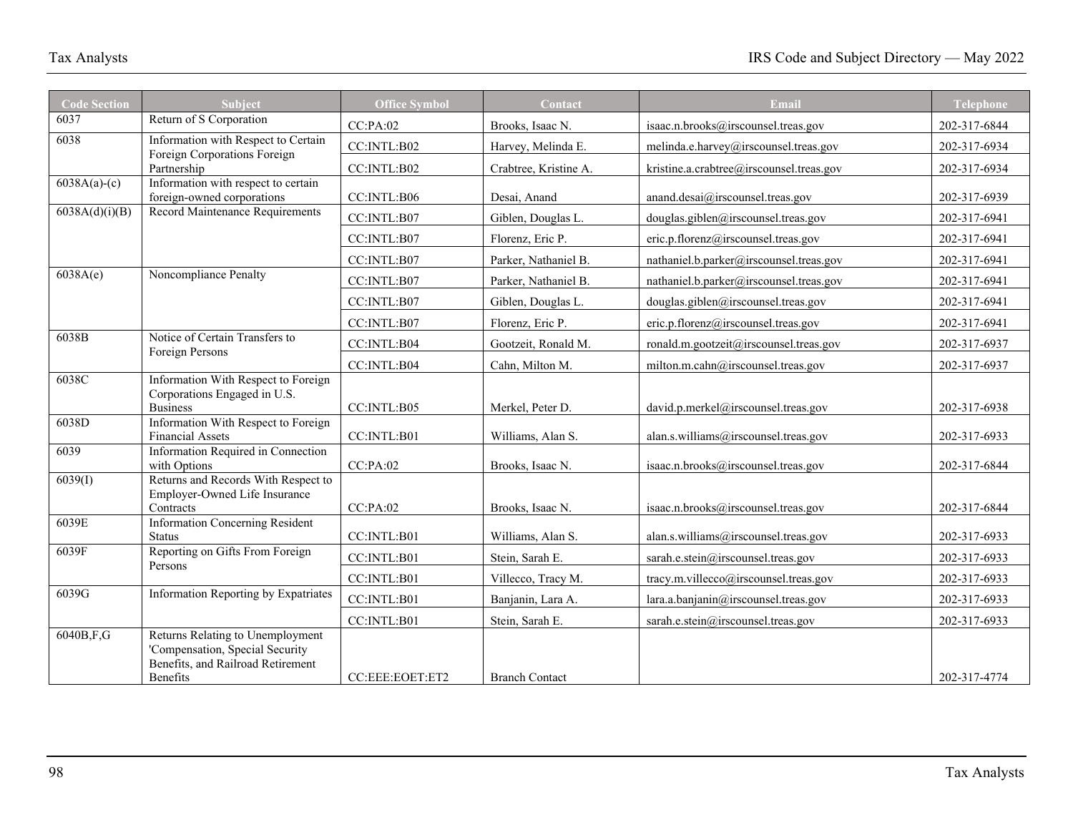| <b>Code Section</b> | <b>Subject</b>                                                                                                       | <b>Office Symbol</b> | Contact               | Email                                    | <b>Telephone</b> |
|---------------------|----------------------------------------------------------------------------------------------------------------------|----------------------|-----------------------|------------------------------------------|------------------|
| 6037                | Return of S Corporation                                                                                              | CC:PA:02             | Brooks, Isaac N.      | isaac.n.brooks@irscounsel.treas.gov      | 202-317-6844     |
| 6038                | Information with Respect to Certain                                                                                  | CC:INTL:B02          | Harvey, Melinda E.    | melinda.e.harvey@irscounsel.treas.gov    | 202-317-6934     |
|                     | Foreign Corporations Foreign<br>Partnership                                                                          | CC:INTL:B02          | Crabtree, Kristine A. | kristine.a.crabtree@irscounsel.treas.gov | 202-317-6934     |
| $6038A(a)-(c)$      | Information with respect to certain<br>foreign-owned corporations                                                    | CC: INTL: B06        | Desai, Anand          | anand.desai@irscounsel.treas.gov         | 202-317-6939     |
| 6038A(d)(i)(B)      | Record Maintenance Requirements                                                                                      | CC:INTL:B07          | Giblen, Douglas L.    | douglas.giblen@irscounsel.treas.gov      | 202-317-6941     |
|                     |                                                                                                                      | CC: INTL: B07        | Florenz, Eric P.      | eric.p.florenz@irscounsel.treas.gov      | 202-317-6941     |
|                     |                                                                                                                      | CC:INTL:B07          | Parker, Nathaniel B.  | nathaniel.b.parker@irscounsel.treas.gov  | 202-317-6941     |
| 6038A(e)            | Noncompliance Penalty                                                                                                | CC:INTL:B07          | Parker, Nathaniel B.  | nathaniel.b.parker@irscounsel.treas.gov  | 202-317-6941     |
|                     |                                                                                                                      | CC:INTL:B07          | Giblen, Douglas L.    | douglas.giblen@irscounsel.treas.gov      | 202-317-6941     |
|                     |                                                                                                                      | CC:INTL:B07          | Florenz, Eric P.      | eric.p.florenz@irscounsel.treas.gov      | 202-317-6941     |
| 6038B               | Notice of Certain Transfers to<br>Foreign Persons                                                                    | CC:INTL:B04          | Gootzeit, Ronald M.   | ronald.m.gootzeit@irscounsel.treas.gov   | 202-317-6937     |
|                     |                                                                                                                      | CC:INTL:B04          | Cahn, Milton M.       | milton.m.cahn@irscounsel.treas.gov       | 202-317-6937     |
| 6038C               | Information With Respect to Foreign<br>Corporations Engaged in U.S.<br><b>Business</b>                               | CC: INTL: B05        | Merkel, Peter D.      | david.p.merkel@irscounsel.treas.gov      | 202-317-6938     |
| 6038D               | Information With Respect to Foreign<br><b>Financial Assets</b>                                                       | CC:INTL:B01          | Williams, Alan S.     | alan.s.williams@irscounsel.treas.gov     | 202-317-6933     |
| 6039                | Information Required in Connection<br>with Options                                                                   | CC:PA:02             | Brooks, Isaac N.      | isaac.n.brooks@irscounsel.treas.gov      | 202-317-6844     |
| 6039(I)             | Returns and Records With Respect to<br>Employer-Owned Life Insurance<br>Contracts                                    | CC:PA:02             | Brooks, Isaac N.      | isaac.n.brooks@irscounsel.treas.gov      | 202-317-6844     |
| 6039E               | <b>Information Concerning Resident</b><br><b>Status</b>                                                              | CC:INTL:B01          | Williams, Alan S.     | alan.s.williams@irscounsel.treas.gov     | 202-317-6933     |
| 6039F               | Reporting on Gifts From Foreign<br>Persons                                                                           | CC:INTL:B01          | Stein, Sarah E.       | sarah.e.stein@irscounsel.treas.gov       | 202-317-6933     |
|                     |                                                                                                                      | CC:INTL:B01          | Villecco, Tracy M.    | tracy.m.villecco@irscounsel.treas.gov    | 202-317-6933     |
| 6039G               | <b>Information Reporting by Expatriates</b>                                                                          | CC:INTL:B01          | Banjanin, Lara A.     | lara.a.banjanin@irscounsel.treas.gov     | 202-317-6933     |
|                     |                                                                                                                      | CC:INTL:B01          | Stein, Sarah E.       | sarah.e.stein@irscounsel.treas.gov       | 202-317-6933     |
| $6040B$ , F, G      | Returns Relating to Unemployment<br>'Compensation, Special Security<br>Benefits, and Railroad Retirement<br>Benefits | CC:EEE:EOET:ET2      | <b>Branch Contact</b> |                                          | 202-317-4774     |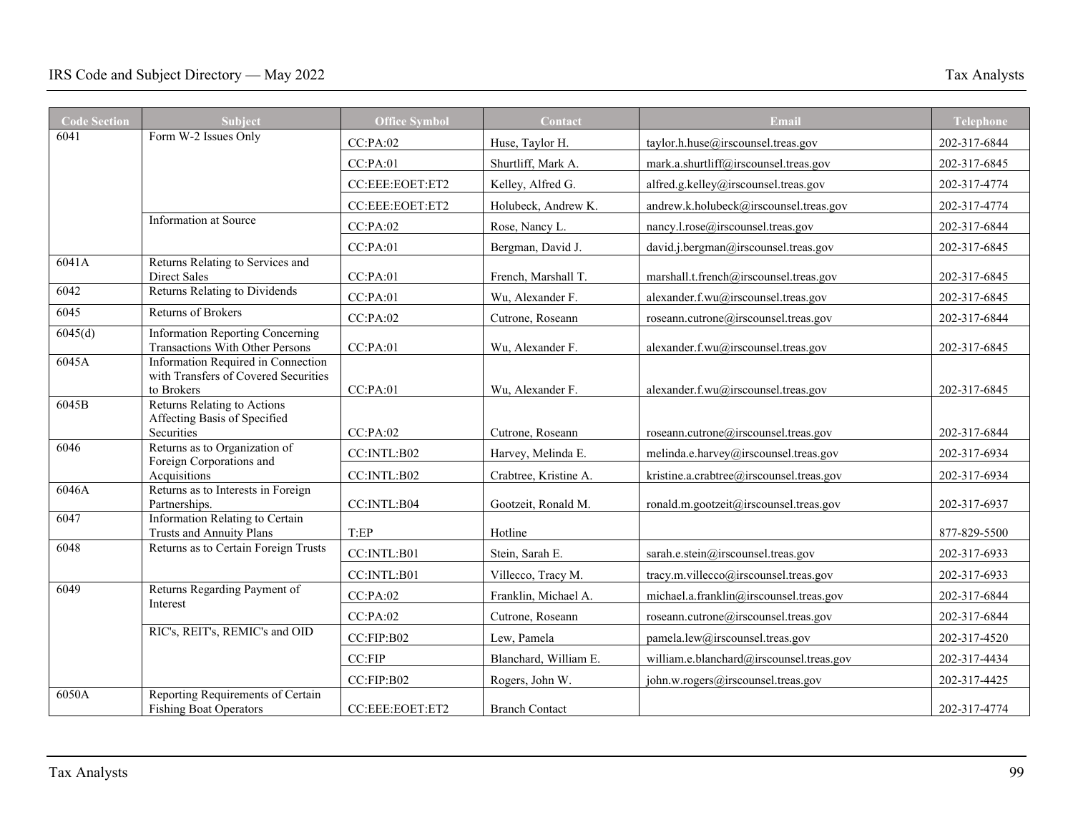| <b>Code Section</b> | Subject                                                                                  | <b>Office Symbol</b> | Contact               | Email                                    | Telephone    |
|---------------------|------------------------------------------------------------------------------------------|----------------------|-----------------------|------------------------------------------|--------------|
| 6041                | Form W-2 Issues Only                                                                     | CC:PA:02             | Huse, Taylor H.       | taylor.h.huse@irscounsel.treas.gov       | 202-317-6844 |
|                     |                                                                                          | CC:PA:01             | Shurtliff, Mark A.    | mark.a.shurtliff@irscounsel.treas.gov    | 202-317-6845 |
|                     |                                                                                          | CC:EEE:EOET:ET2      | Kelley, Alfred G.     | alfred.g.kelley@irscounsel.treas.gov     | 202-317-4774 |
|                     |                                                                                          | CC:EEE:EOET:ET2      | Holubeck, Andrew K.   | andrew.k.holubeck@irscounsel.treas.gov   | 202-317-4774 |
|                     | Information at Source                                                                    | CC:PA:02             | Rose, Nancy L.        | nancy.l.rose@irscounsel.treas.gov        | 202-317-6844 |
|                     |                                                                                          | CC:PA:01             | Bergman, David J.     | david.j.bergman@irscounsel.treas.gov     | 202-317-6845 |
| 6041A               | Returns Relating to Services and<br>Direct Sales                                         | CC:PA:01             | French, Marshall T.   | marshall.t.french@irscounsel.treas.gov   | 202-317-6845 |
| 6042                | <b>Returns Relating to Dividends</b>                                                     | CC:PA:01             | Wu, Alexander F.      | alexander.f.wu@irscounsel.treas.gov      | 202-317-6845 |
| 6045                | Returns of Brokers                                                                       | CC:PA:02             | Cutrone, Roseann      | roseann.cutrone@irscounsel.treas.gov     | 202-317-6844 |
| 6045(d)             | Information Reporting Concerning<br>Transactions With Other Persons                      | CC:PA:01             | Wu, Alexander F.      | alexander.f.wu@irscounsel.treas.gov      | 202-317-6845 |
| 6045A               | Information Required in Connection<br>with Transfers of Covered Securities<br>to Brokers | CC:PA:01             | Wu, Alexander F.      | alexander.f.wu@irscounsel.treas.gov      | 202-317-6845 |
| 6045B               | Returns Relating to Actions<br>Affecting Basis of Specified<br>Securities                | CC:PA:02             | Cutrone, Roseann      | roseann.cutrone@irscounsel.treas.gov     | 202-317-6844 |
| 6046                | Returns as to Organization of<br>Foreign Corporations and                                | CC:INTL:B02          | Harvey, Melinda E.    | melinda.e.harvey@irscounsel.treas.gov    | 202-317-6934 |
|                     | Acquisitions                                                                             | CC:INTL:B02          | Crabtree, Kristine A. | kristine.a.crabtree@irscounsel.treas.gov | 202-317-6934 |
| 6046A               | Returns as to Interests in Foreign<br>Partnerships.                                      | CC:INTL:B04          | Gootzeit, Ronald M.   | ronald.m.gootzeit@irscounsel.treas.gov   | 202-317-6937 |
| 6047                | Information Relating to Certain<br>Trusts and Annuity Plans                              | T:EP                 | Hotline               |                                          | 877-829-5500 |
| 6048                | Returns as to Certain Foreign Trusts                                                     | CC:INTL:B01          | Stein, Sarah E.       | sarah.e.stein@irscounsel.treas.gov       | 202-317-6933 |
|                     |                                                                                          | CC:INTL:B01          | Villecco, Tracy M.    | tracy.m.villecco@irscounsel.treas.gov    | 202-317-6933 |
| 6049                | Returns Regarding Payment of<br>Interest                                                 | CC:PA:02             | Franklin, Michael A.  | michael.a.franklin@irscounsel.treas.gov  | 202-317-6844 |
|                     |                                                                                          | CC:PA:02             | Cutrone, Roseann      | roseann.cutrone@irscounsel.treas.gov     | 202-317-6844 |
|                     | RIC's, REIT's, REMIC's and OID                                                           | CC:FIP:B02           | Lew, Pamela           | pamela.lew@irscounsel.treas.gov          | 202-317-4520 |
|                     |                                                                                          | CC:FIP               | Blanchard, William E. | william.e.blanchard@irscounsel.treas.gov | 202-317-4434 |
|                     |                                                                                          | CC:FIP:B02           | Rogers, John W.       | john.w.rogers@irscounsel.treas.gov       | 202-317-4425 |
| 6050A               | Reporting Requirements of Certain<br><b>Fishing Boat Operators</b>                       | CC:EEE:EOET:ET2      | <b>Branch Contact</b> |                                          | 202-317-4774 |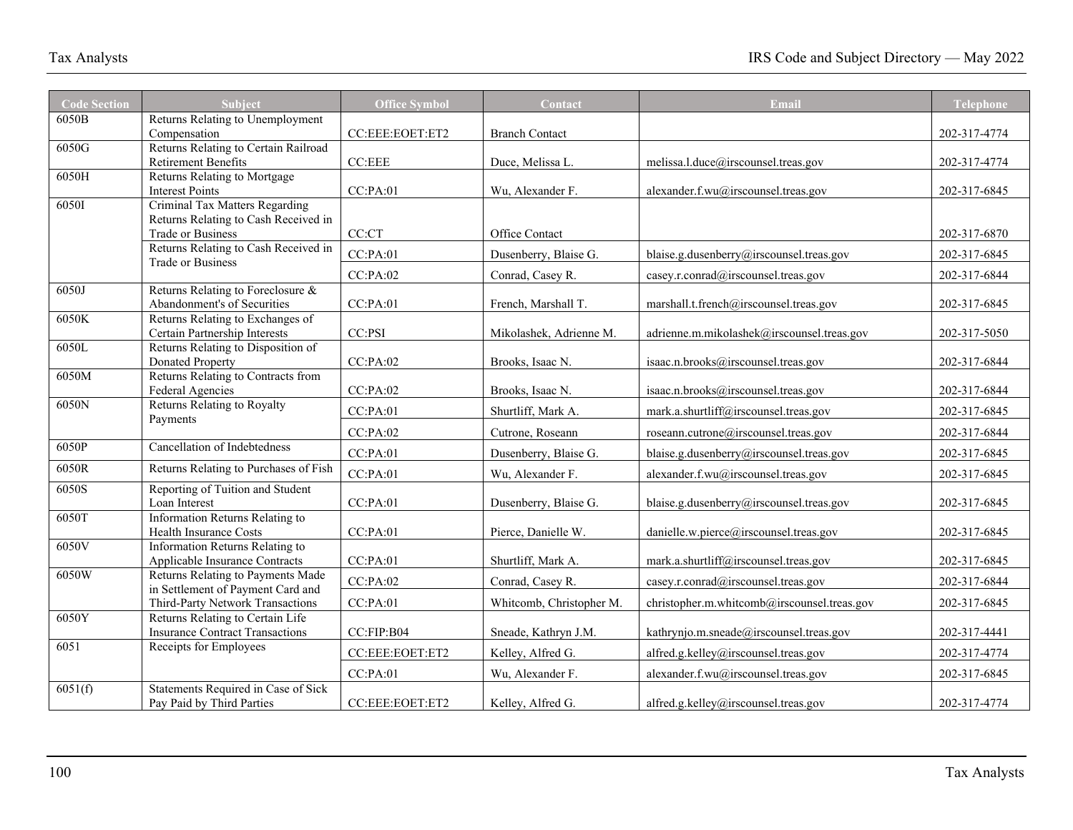| <b>Code Section</b> | <b>Subject</b>                                                         | <b>Office Symbol</b> | Contact                  | <b>Email</b>                                | <b>Telephone</b> |
|---------------------|------------------------------------------------------------------------|----------------------|--------------------------|---------------------------------------------|------------------|
| 6050B               | Returns Relating to Unemployment                                       |                      |                          |                                             |                  |
|                     | Compensation                                                           | CC:EEE:EOET:ET2      | <b>Branch Contact</b>    |                                             | 202-317-4774     |
| 6050G               | Returns Relating to Certain Railroad<br>Retirement Benefits            | CC:EEE               | Duce, Melissa L.         | melissa.l.duce@irscounsel.treas.gov         | 202-317-4774     |
| 6050H               | Returns Relating to Mortgage                                           |                      |                          |                                             |                  |
|                     | <b>Interest Points</b>                                                 | CC:PA:01             | Wu, Alexander F.         | alexander.f.wu@irscounsel.treas.gov         | 202-317-6845     |
| 6050I               | Criminal Tax Matters Regarding                                         |                      |                          |                                             |                  |
|                     | Returns Relating to Cash Received in<br><b>Trade or Business</b>       | CC:CT                |                          |                                             |                  |
|                     | Returns Relating to Cash Received in                                   |                      | Office Contact           |                                             | 202-317-6870     |
|                     | Trade or Business                                                      | CC:PA:01             | Dusenberry, Blaise G.    | blaise.g.dusenberry@irscounsel.treas.gov    | 202-317-6845     |
|                     |                                                                        | CC:PA:02             | Conrad, Casey R.         | casey.r.conrad@irscounsel.treas.gov         | 202-317-6844     |
| 6050J               | Returns Relating to Foreclosure &                                      |                      |                          |                                             |                  |
| 6050K               | Abandonment's of Securities<br>Returns Relating to Exchanges of        | CC:PA:01             | French, Marshall T.      | marshall.t.french@irscounsel.treas.gov      | 202-317-6845     |
|                     | Certain Partnership Interests                                          | CC:PSI               | Mikolashek, Adrienne M.  | adrienne.m.mikolashek@irscounsel.treas.gov  | 202-317-5050     |
| 6050L               | Returns Relating to Disposition of                                     |                      |                          |                                             |                  |
|                     | Donated Property                                                       | CC:PA:02             | Brooks, Isaac N.         | isaac.n.brooks@irscounsel.treas.gov         | 202-317-6844     |
| 6050M               | Returns Relating to Contracts from<br>Federal Agencies                 | CC:PA:02             | Brooks, Isaac N.         | isaac.n.brooks@irscounsel.treas.gov         | 202-317-6844     |
| 6050N               | Returns Relating to Royalty                                            | CC:PA:01             | Shurtliff, Mark A.       | mark.a.shurtliff@irscounsel.treas.gov       | 202-317-6845     |
|                     | Payments                                                               |                      |                          |                                             |                  |
| 6050P               | Cancellation of Indebtedness                                           | CC:PA:02             | Cutrone, Roseann         | roseann.cutrone@irscounsel.treas.gov        | 202-317-6844     |
|                     |                                                                        | CC:PA:01             | Dusenberry, Blaise G.    | blaise.g.dusenberry@irscounsel.treas.gov    | 202-317-6845     |
| 6050R               | Returns Relating to Purchases of Fish                                  | CC:PA:01             | Wu, Alexander F.         | alexander.f.wu@irscounsel.treas.gov         | 202-317-6845     |
| 6050S               | Reporting of Tuition and Student<br>Loan Interest                      | CC:PA:01             | Dusenberry, Blaise G.    | blaise.g.dusenberry@irscounsel.treas.gov    | 202-317-6845     |
| 6050T               | Information Returns Relating to                                        |                      |                          |                                             |                  |
|                     | <b>Health Insurance Costs</b>                                          | CC:PA:01             | Pierce, Danielle W.      | danielle.w.pierce@irscounsel.treas.gov      | 202-317-6845     |
| 6050V               | Information Returns Relating to                                        |                      |                          |                                             |                  |
|                     | Applicable Insurance Contracts                                         | CC:PA:01             | Shurtliff, Mark A.       | mark.a.shurtliff@irscounsel.treas.gov       | 202-317-6845     |
| 6050W               | Returns Relating to Payments Made<br>in Settlement of Payment Card and | CC:PA:02             | Conrad, Casev R.         | casev.r.conrad@irscounsel.treas.gov         | 202-317-6844     |
|                     | Third-Party Network Transactions                                       | CC:PA:01             | Whitcomb, Christopher M. | christopher.m.whitcomb@irscounsel.treas.gov | 202-317-6845     |
| 6050Y               | Returns Relating to Certain Life                                       |                      |                          |                                             |                  |
|                     | <b>Insurance Contract Transactions</b>                                 | CC:FIP:B04           | Sneade, Kathryn J.M.     | kathrynjo.m.sneade@irscounsel.treas.gov     | 202-317-4441     |
| 6051                | Receipts for Employees                                                 | CC:EEE:EOET:ET2      | Kelley, Alfred G.        | alfred.g.kelley@irscounsel.treas.gov        | 202-317-4774     |
|                     |                                                                        | CC:PA:01             | Wu, Alexander F.         | alexander.f.wu@irscounsel.treas.gov         | 202-317-6845     |
| 6051(f)             | Statements Required in Case of Sick                                    | CC:EEE:EOET:ET2      |                          |                                             | 202-317-4774     |
|                     | Pay Paid by Third Parties                                              |                      | Kelley, Alfred G.        | alfred.g.kelley@irscounsel.treas.gov        |                  |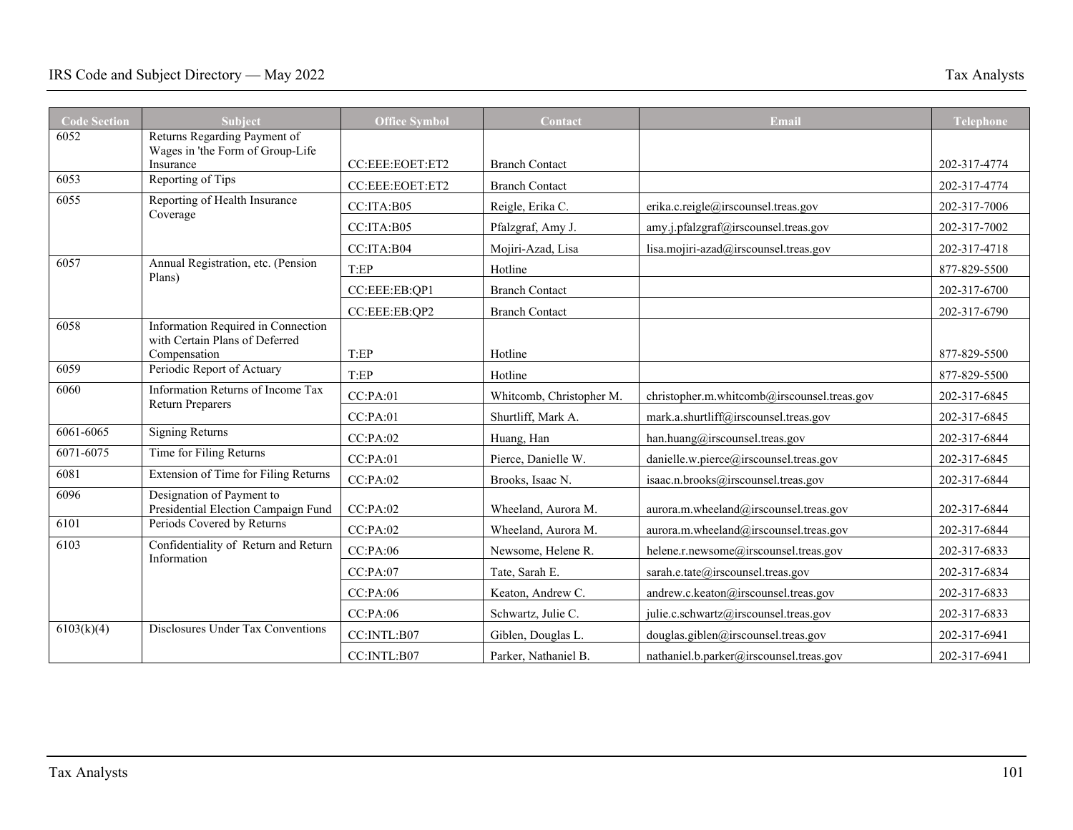| <b>Code Section</b> | <b>Subject</b>                                      | <b>Office Symbol</b> | Contact                  | Email                                       | <b>Telephone</b> |
|---------------------|-----------------------------------------------------|----------------------|--------------------------|---------------------------------------------|------------------|
| 6052                | Returns Regarding Payment of                        |                      |                          |                                             |                  |
|                     | Wages in 'the Form of Group-Life<br>Insurance       | CC:EEE:EOET:ET2      | <b>Branch Contact</b>    |                                             | 202-317-4774     |
| 6053                | Reporting of Tips                                   | CC:EEE:EOET:ET2      | <b>Branch Contact</b>    |                                             | 202-317-4774     |
| 6055                | Reporting of Health Insurance                       | CC:ITA:B05           | Reigle, Erika C.         | erika.c.reigle@irscounsel.treas.gov         | 202-317-7006     |
|                     | Coverage                                            | CC:ITA:B05           | Pfalzgraf, Amy J.        | amy.j.pfalzgraf@irscounsel.treas.gov        | 202-317-7002     |
|                     |                                                     | CC:ITA:B04           | Mojiri-Azad, Lisa        | lisa.mojiri-azad@irscounsel.treas.gov       | 202-317-4718     |
| 6057                | Annual Registration, etc. (Pension                  | T:EP                 | Hotline                  |                                             | 877-829-5500     |
|                     | Plans)                                              | CC:EEE:EB:QP1        | <b>Branch Contact</b>    |                                             | 202-317-6700     |
|                     |                                                     | CC:EEE:EB:QP2        | <b>Branch Contact</b>    |                                             | 202-317-6790     |
| 6058                | Information Required in Connection                  |                      |                          |                                             |                  |
|                     | with Certain Plans of Deferred<br>Compensation      | T:EP                 | Hotline                  |                                             | 877-829-5500     |
| 6059                | Periodic Report of Actuary                          | T:EP                 | Hotline                  |                                             | 877-829-5500     |
| 6060                | Information Returns of Income Tax                   | CC:PA:01             | Whitcomb, Christopher M. | christopher.m.whitcomb@irscounsel.treas.gov | 202-317-6845     |
|                     | <b>Return Preparers</b>                             | CC:PA:01             | Shurtliff, Mark A.       | mark.a.shurtliff@irscounsel.treas.gov       | 202-317-6845     |
| 6061-6065           | <b>Signing Returns</b>                              | CC:PA:02             | Huang, Han               | han.huang@irscounsel.treas.gov              | 202-317-6844     |
| 6071-6075           | Time for Filing Returns                             | CC:PA:01             | Pierce, Danielle W.      | danielle.w.pierce@irscounsel.treas.gov      | 202-317-6845     |
| 6081                | <b>Extension of Time for Filing Returns</b>         | CC:PA:02             | Brooks, Isaac N.         | isaac.n.brooks@irscounsel.treas.gov         | 202-317-6844     |
| 6096                | Designation of Payment to                           |                      |                          |                                             |                  |
|                     | Presidential Election Campaign Fund                 | CC:PA:02             | Wheeland, Aurora M.      | aurora.m.wheeland@irscounsel.treas.gov      | 202-317-6844     |
| 6101                | Periods Covered by Returns                          | CC:PA:02             | Wheeland, Aurora M.      | aurora.m.wheeland@irscounsel.treas.gov      | 202-317-6844     |
| 6103                | Confidentiality of Return and Return<br>Information | CC:PA:06             | Newsome, Helene R.       | helene.r.newsome@irscounsel.treas.gov       | 202-317-6833     |
|                     |                                                     | CC:PA:07             | Tate, Sarah E.           | sarah.e.tate@irscounsel.treas.gov           | 202-317-6834     |
|                     |                                                     | CC:PA:06             | Keaton, Andrew C.        | andrew.c.keaton@irscounsel.treas.gov        | 202-317-6833     |
|                     |                                                     | CC:PA:06             | Schwartz, Julie C.       | julie.c.schwartz@irscounsel.treas.gov       | 202-317-6833     |
| 6103(k)(4)          | Disclosures Under Tax Conventions                   | CC:INTL:B07          | Giblen, Douglas L.       | douglas.giblen@irscounsel.treas.gov         | 202-317-6941     |
|                     |                                                     | CC:INTL: B07         | Parker, Nathaniel B.     | nathaniel.b.parker@irscounsel.treas.gov     | 202-317-6941     |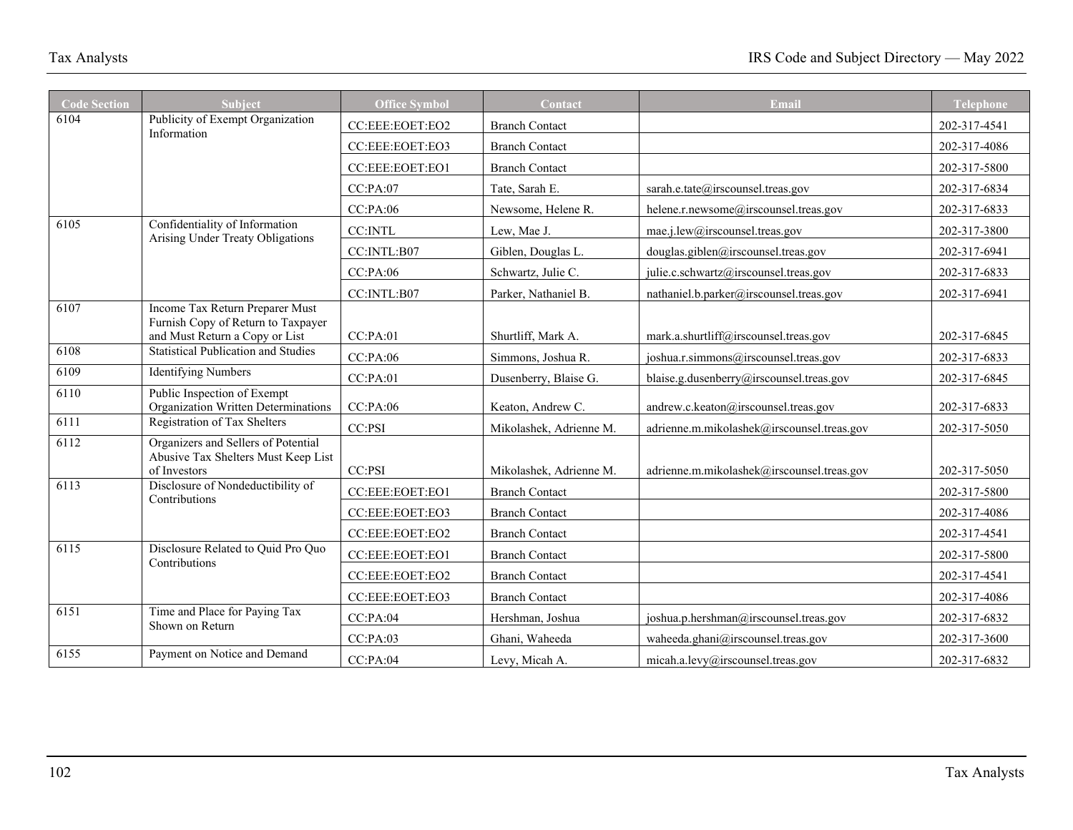| <b>Code Section</b> | Subject                                                                                                 | <b>Office Symbol</b> | Contact                 | Email                                      | <b>Telephone</b> |
|---------------------|---------------------------------------------------------------------------------------------------------|----------------------|-------------------------|--------------------------------------------|------------------|
| $61\overline{04}$   | Publicity of Exempt Organization<br>Information                                                         | CC:EEE:EOET:EO2      | <b>Branch Contact</b>   |                                            | 202-317-4541     |
|                     |                                                                                                         | CC:EEE:EOET:EO3      | <b>Branch Contact</b>   |                                            | 202-317-4086     |
|                     |                                                                                                         | CC:EEE:EOET:EO1      | <b>Branch Contact</b>   |                                            | 202-317-5800     |
|                     |                                                                                                         | CC:PA:07             | Tate, Sarah E.          | sarah.e.tate@irscounsel.treas.gov          | 202-317-6834     |
|                     |                                                                                                         | CC:PA:06             | Newsome, Helene R.      | helene.r.newsome@irscounsel.treas.gov      | 202-317-6833     |
| 6105                | Confidentiality of Information                                                                          | <b>CC:INTL</b>       | Lew, Mae J.             | mae.j.lew@irscounsel.treas.gov             | 202-317-3800     |
|                     | Arising Under Treaty Obligations                                                                        | CC:INTL:B07          | Giblen, Douglas L.      | douglas.giblen@irscounsel.treas.gov        | 202-317-6941     |
|                     |                                                                                                         | CC:PA:06             | Schwartz, Julie C.      | julie.c.schwartz@irscounsel.treas.gov      | 202-317-6833     |
|                     |                                                                                                         | CC:INTL:B07          | Parker, Nathaniel B.    | nathaniel.b.parker@irscounsel.treas.gov    | 202-317-6941     |
| 6107                | Income Tax Return Preparer Must<br>Furnish Copy of Return to Taxpayer<br>and Must Return a Copy or List | CC:PA:01             | Shurtliff, Mark A.      | mark.a.shurtliff@irscounsel.treas.gov      | 202-317-6845     |
| 6108                | <b>Statistical Publication and Studies</b>                                                              | CC:PA:06             | Simmons, Joshua R.      | joshua.r.simmons@irscounsel.treas.gov      | 202-317-6833     |
| 6109                | <b>Identifying Numbers</b>                                                                              | CC:PA:01             | Dusenberry, Blaise G.   | blaise.g.dusenberry@irscounsel.treas.gov   | 202-317-6845     |
| 6110                | Public Inspection of Exempt<br>Organization Written Determinations                                      | CC:PA:06             | Keaton, Andrew C.       | andrew.c.keaton@irscounsel.treas.gov       | 202-317-6833     |
| 6111                | Registration of Tax Shelters                                                                            | CC:PSI               | Mikolashek, Adrienne M. | adrienne.m.mikolashek@irscounsel.treas.gov | 202-317-5050     |
| 6112                | Organizers and Sellers of Potential<br>Abusive Tax Shelters Must Keep List<br>of Investors              | CC:PSI               | Mikolashek, Adrienne M. | adrienne.m.mikolashek@irscounsel.treas.gov | 202-317-5050     |
| 6113                | Disclosure of Nondeductibility of                                                                       | CC:EEE:EOET:EO1      | <b>Branch Contact</b>   |                                            | 202-317-5800     |
|                     | Contributions                                                                                           | CC:EEE:EOET:EO3      | <b>Branch Contact</b>   |                                            | 202-317-4086     |
|                     |                                                                                                         | CC:EEE:EOET:EO2      | <b>Branch Contact</b>   |                                            | 202-317-4541     |
| 6115                | Disclosure Related to Quid Pro Quo                                                                      | CC:EEE:EOET:EO1      | <b>Branch Contact</b>   |                                            | 202-317-5800     |
|                     | Contributions                                                                                           | CC:EEE:EOET:EO2      | <b>Branch Contact</b>   |                                            | 202-317-4541     |
|                     |                                                                                                         | CC:EEE:EOET:EO3      | <b>Branch Contact</b>   |                                            | 202-317-4086     |
| 6151                | Time and Place for Paying Tax<br>Shown on Return                                                        | CC:PA:04             | Hershman, Joshua        | joshua.p.hershman@irscounsel.treas.gov     | 202-317-6832     |
|                     |                                                                                                         | CC:PA:03             | Ghani, Waheeda          | waheeda.ghani@irscounsel.treas.gov         | 202-317-3600     |
| 6155                | Payment on Notice and Demand                                                                            | CC:PA:04             | Levy, Micah A.          | micah.a.levy@irscounsel.treas.gov          | 202-317-6832     |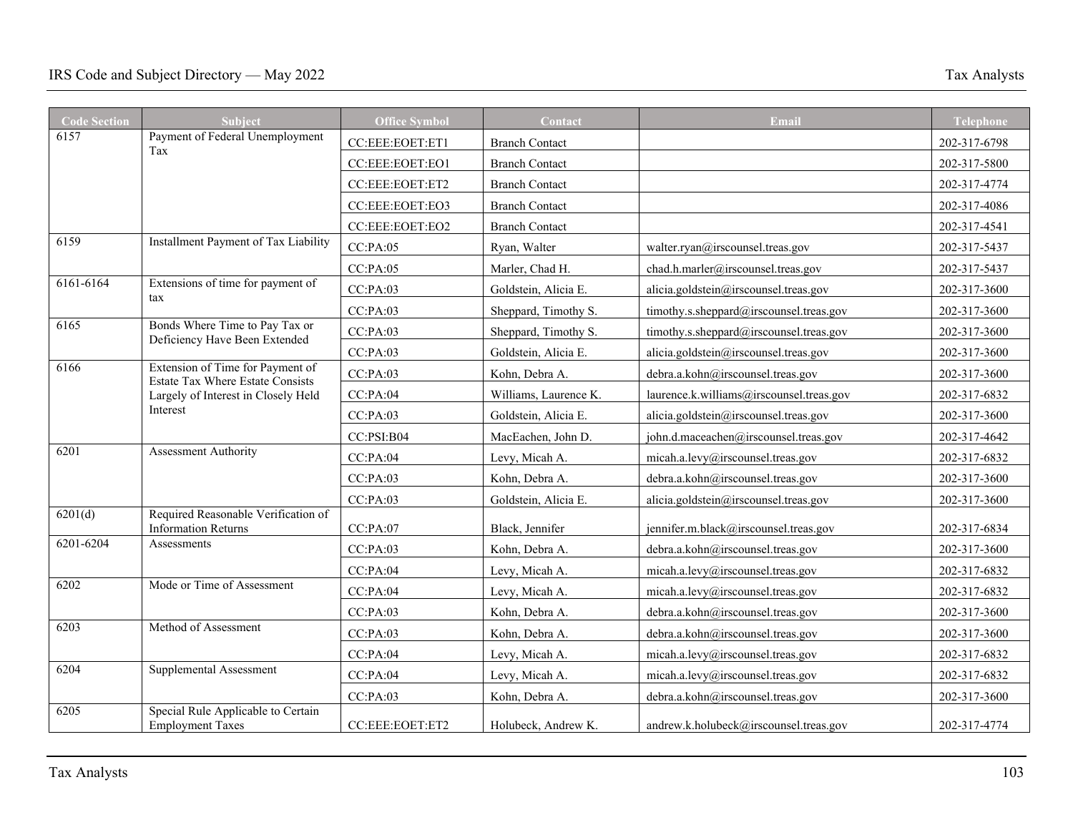| <b>Code Section</b> | <b>Subject</b>                                                                 | <b>Office Symbol</b> | Contact               | Email                                    | <b>Telephone</b> |
|---------------------|--------------------------------------------------------------------------------|----------------------|-----------------------|------------------------------------------|------------------|
| 6157                | Payment of Federal Unemployment<br>Tax                                         | CC:EEE:EOET:ET1      | <b>Branch Contact</b> |                                          | 202-317-6798     |
|                     |                                                                                | CC:EEE:EOET:EO1      | <b>Branch Contact</b> |                                          | 202-317-5800     |
|                     |                                                                                | CC:EEE:EOET:ET2      | <b>Branch Contact</b> |                                          | 202-317-4774     |
|                     |                                                                                | CC:EEE:EOET:EO3      | <b>Branch Contact</b> |                                          | 202-317-4086     |
|                     |                                                                                | CC:EEE:EOET:EO2      | <b>Branch Contact</b> |                                          | 202-317-4541     |
| 6159                | Installment Payment of Tax Liability                                           | CC:PA:05             | Ryan, Walter          | walter.ryan@irscounsel.treas.gov         | 202-317-5437     |
|                     |                                                                                | CC:PA:05             | Marler, Chad H.       | chad.h.marler@irscounsel.treas.gov       | 202-317-5437     |
| 6161-6164           | Extensions of time for payment of                                              | CC:PA:03             | Goldstein, Alicia E.  | alicia.goldstein@irscounsel.treas.gov    | 202-317-3600     |
|                     | tax                                                                            | CC:PA:03             | Sheppard, Timothy S.  | timothy.s.sheppard@irscounsel.treas.gov  | 202-317-3600     |
| 6165                | Bonds Where Time to Pay Tax or<br>Deficiency Have Been Extended                | CC:PA:03             | Sheppard, Timothy S.  | timothy.s.sheppard@irscounsel.treas.gov  | 202-317-3600     |
|                     |                                                                                | CC:PA:03             | Goldstein, Alicia E.  | alicia.goldstein@irscounsel.treas.gov    | 202-317-3600     |
| 6166                | Extension of Time for Payment of                                               | CC:PA:03             | Kohn, Debra A.        | debra.a.kohn@irscounsel.treas.gov        | 202-317-3600     |
|                     | <b>Estate Tax Where Estate Consists</b><br>Largely of Interest in Closely Held | CC:PA:04             | Williams, Laurence K. | laurence.k.williams@irscounsel.treas.gov | 202-317-6832     |
|                     | Interest                                                                       | CC:PA:03             | Goldstein, Alicia E.  | alicia.goldstein@irscounsel.treas.gov    | 202-317-3600     |
|                     |                                                                                | CC:PSI:B04           | MacEachen, John D.    | john.d.maceachen@irscounsel.treas.gov    | 202-317-4642     |
| 6201                | Assessment Authority                                                           | CC:PA:04             | Levy, Micah A.        | micah.a.levy@irscounsel.treas.gov        | 202-317-6832     |
|                     |                                                                                | CC:PA:03             | Kohn, Debra A.        | debra.a.kohn@irscounsel.treas.gov        | 202-317-3600     |
|                     |                                                                                | CC:PA:03             | Goldstein, Alicia E.  | alicia.goldstein@irscounsel.treas.gov    | 202-317-3600     |
| 6201(d)             | Required Reasonable Verification of<br><b>Information Returns</b>              | CC:PA:07             | Black, Jennifer       | jennifer.m.black@irscounsel.treas.gov    | 202-317-6834     |
| 6201-6204           | Assessments                                                                    | CC:PA:03             | Kohn, Debra A.        | debra.a.kohn@irscounsel.treas.gov        | 202-317-3600     |
|                     |                                                                                | CC:PA:04             | Levy, Micah A.        | micah.a.levy@irscounsel.treas.gov        | 202-317-6832     |
| 6202                | Mode or Time of Assessment                                                     | CC:PA:04             | Levy, Micah A.        | micah.a.levy@irscounsel.treas.gov        | 202-317-6832     |
|                     |                                                                                | CC:PA:03             | Kohn, Debra A.        | debra.a.kohn@irscounsel.treas.gov        | 202-317-3600     |
| 6203                | Method of Assessment                                                           | CC:PA:03             | Kohn, Debra A.        | debra.a.kohn@irscounsel.treas.gov        | 202-317-3600     |
|                     |                                                                                | CC:PA:04             | Levy, Micah A.        | micah.a.levy@irscounsel.treas.gov        | 202-317-6832     |
| 6204                | Supplemental Assessment                                                        |                      |                       |                                          |                  |
|                     |                                                                                | CC:PA:04             | Levy, Micah A.        | micah.a.levy@irscounsel.treas.gov        | 202-317-6832     |
| 6205                | Special Rule Applicable to Certain                                             | CC:PA:03             | Kohn, Debra A.        | debra.a.kohn@irscounsel.treas.gov        | 202-317-3600     |
|                     | <b>Employment Taxes</b>                                                        | CC:EEE:EOET:ET2      | Holubeck, Andrew K.   | andrew.k.holubeck@irscounsel.treas.gov   | 202-317-4774     |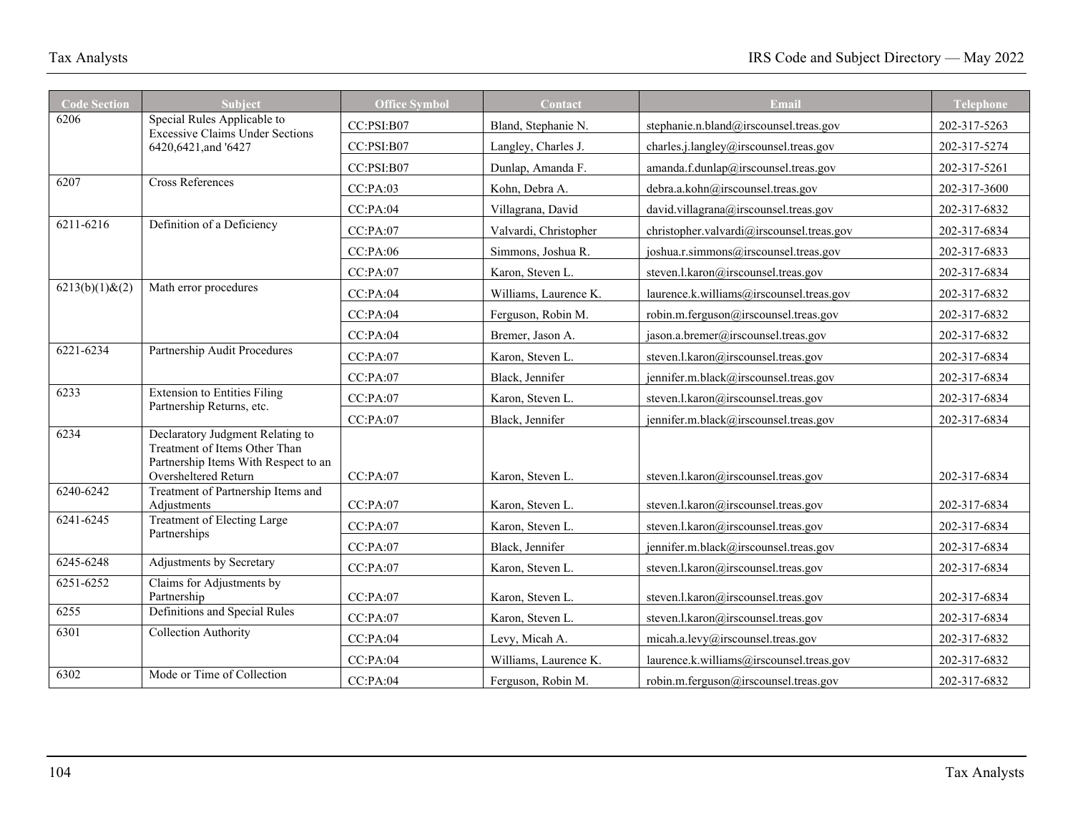| <b>Code Section</b> | Subject                                                                                                                           | <b>Office Symbol</b> | Contact               | Email                                     | <b>Telephone</b> |
|---------------------|-----------------------------------------------------------------------------------------------------------------------------------|----------------------|-----------------------|-------------------------------------------|------------------|
| 6206                | Special Rules Applicable to<br><b>Excessive Claims Under Sections</b>                                                             | CC:PSI:B07           | Bland, Stephanie N.   | stephanie.n.bland@irscounsel.treas.gov    | 202-317-5263     |
|                     | 6420,6421,and '6427                                                                                                               | CC:PSI:B07           | Langley, Charles J.   | charles.j.langley@irscounsel.treas.gov    | 202-317-5274     |
|                     |                                                                                                                                   | CC:PSI:B07           | Dunlap, Amanda F.     | amanda.f.dunlap@irscounsel.treas.gov      | 202-317-5261     |
| 6207                | <b>Cross References</b>                                                                                                           | CC:PA:03             | Kohn. Debra A.        | debra.a.kohn@irscounsel.treas.gov         | 202-317-3600     |
|                     |                                                                                                                                   | CC:PA:04             | Villagrana, David     | david.villagrana@irscounsel.treas.gov     | 202-317-6832     |
| 6211-6216           | Definition of a Deficiency                                                                                                        | CC:PA:07             | Valvardi, Christopher | christopher.valvardi@irscounsel.treas.gov | 202-317-6834     |
|                     |                                                                                                                                   | CC:PA:06             | Simmons, Joshua R.    | joshua.r.simmons@irscounsel.treas.gov     | 202-317-6833     |
|                     |                                                                                                                                   | CC:PA:07             | Karon, Steven L.      | steven.l.karon@irscounsel.treas.gov       | 202-317-6834     |
| 6213(b)(1) & (2)    | Math error procedures                                                                                                             | CC:PA:04             | Williams, Laurence K. | laurence.k.williams@irscounsel.treas.gov  | 202-317-6832     |
|                     |                                                                                                                                   | CC:PA:04             | Ferguson, Robin M.    | robin.m.ferguson@irscounsel.treas.gov     | 202-317-6832     |
|                     |                                                                                                                                   | CC:PA:04             | Bremer, Jason A.      | jason.a.bremer@irscounsel.treas.gov       | 202-317-6832     |
| 6221-6234           | Partnership Audit Procedures                                                                                                      | CC:PA:07             | Karon, Steven L.      | steven.l.karon@irscounsel.treas.gov       | 202-317-6834     |
|                     |                                                                                                                                   | CC:PA:07             | Black, Jennifer       | jennifer.m.black@irscounsel.treas.gov     | 202-317-6834     |
| 6233                | <b>Extension to Entities Filing</b><br>Partnership Returns, etc.                                                                  | CC:PA:07             | Karon, Steven L.      | steven.l.karon@irscounsel.treas.gov       | 202-317-6834     |
|                     |                                                                                                                                   | CC:PA:07             | Black, Jennifer       | jennifer.m.black@irscounsel.treas.gov     | 202-317-6834     |
| 6234                | Declaratory Judgment Relating to<br>Treatment of Items Other Than<br>Partnership Items With Respect to an<br>Oversheltered Return | CC:PA:07             | Karon, Steven L.      | steven.l.karon@irscounsel.treas.gov       | 202-317-6834     |
| 6240-6242           | Treatment of Partnership Items and<br>Adjustments                                                                                 | CC:PA:07             | Karon, Steven L.      | steven.l.karon@irscounsel.treas.gov       | 202-317-6834     |
| 6241-6245           | Treatment of Electing Large                                                                                                       | CC:PA:07             | Karon, Steven L.      | steven.l.karon@irscounsel.treas.gov       | 202-317-6834     |
|                     | Partnerships                                                                                                                      | CC:PA:07             | Black, Jennifer       | jennifer.m.black@irscounsel.treas.gov     | 202-317-6834     |
| 6245-6248           | Adjustments by Secretary                                                                                                          | CC:PA:07             | Karon, Steven L.      | steven.l.karon@irscounsel.treas.gov       | 202-317-6834     |
| 6251-6252           | Claims for Adjustments by<br>Partnership                                                                                          | CC:PA:07             | Karon, Steven L.      | steven.l.karon@irscounsel.treas.gov       | 202-317-6834     |
| 6255                | Definitions and Special Rules                                                                                                     | CC:PA:07             | Karon, Steven L.      | steven.l.karon@irscounsel.treas.gov       | 202-317-6834     |
| 6301                | Collection Authority                                                                                                              | CC:PA:04             | Levy, Micah A.        | micah.a.levy@irscounsel.treas.gov         | 202-317-6832     |
|                     |                                                                                                                                   | CC:PA:04             | Williams, Laurence K. | laurence.k.williams@irscounsel.treas.gov  | 202-317-6832     |
| 6302                | Mode or Time of Collection                                                                                                        | CC:PA:04             | Ferguson, Robin M.    | robin.m.ferguson@irscounsel.treas.gov     | 202-317-6832     |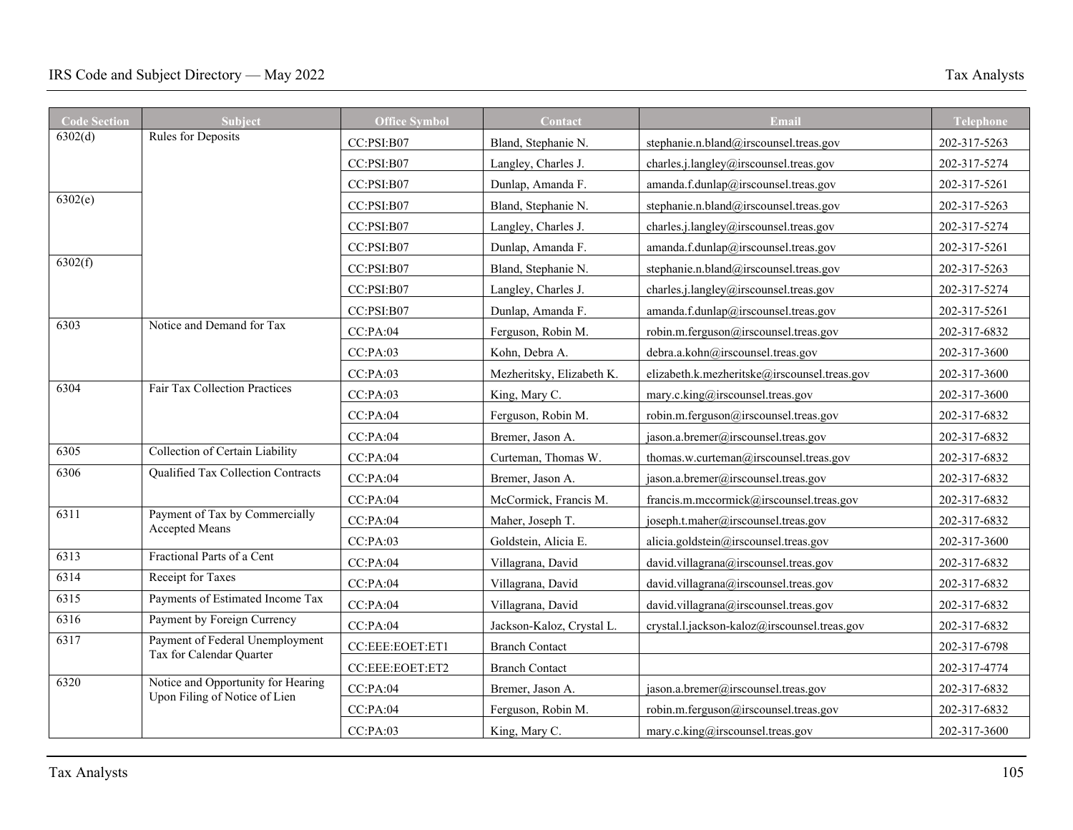| <b>Code Section</b> | <b>Subject</b>                                                      | <b>Office Symbol</b> | Contact                   | Email                                        | <b>Telephone</b> |
|---------------------|---------------------------------------------------------------------|----------------------|---------------------------|----------------------------------------------|------------------|
| 6302(d)             | Rules for Deposits                                                  | CC:PSI: B07          | Bland, Stephanie N.       | stephanie.n.bland@irscounsel.treas.gov       | 202-317-5263     |
|                     |                                                                     | CC:PSI:B07           | Langley, Charles J.       | charles.j.langley@irscounsel.treas.gov       | 202-317-5274     |
|                     |                                                                     | CC:PSI: B07          | Dunlap, Amanda F.         | amanda.f.dunlap@irscounsel.treas.gov         | 202-317-5261     |
| 6302(e)             |                                                                     | CC:PSI:B07           | Bland, Stephanie N.       | stephanie.n.bland@irscounsel.treas.gov       | 202-317-5263     |
|                     |                                                                     | CC:PSI:B07           | Langley, Charles J.       | charles.j.langley@irscounsel.treas.gov       | 202-317-5274     |
|                     |                                                                     | CC:PSI: B07          | Dunlap, Amanda F.         | amanda.f.dunlap@irscounsel.treas.gov         | 202-317-5261     |
| 6302(f)             |                                                                     | CC:PSI:B07           | Bland, Stephanie N.       | stephanie.n.bland@irscounsel.treas.gov       | 202-317-5263     |
|                     |                                                                     | CC:PSI:B07           | Langley, Charles J.       | charles.j.langley@irscounsel.treas.gov       | 202-317-5274     |
|                     |                                                                     | CC:PSI:B07           | Dunlap, Amanda F.         | amanda.f.dunlap@irscounsel.treas.gov         | 202-317-5261     |
| 6303                | Notice and Demand for Tax                                           | CC:PA:04             | Ferguson, Robin M.        | robin.m.ferguson@irscounsel.treas.gov        | 202-317-6832     |
|                     |                                                                     | CC:PA:03             | Kohn, Debra A.            | debra.a.kohn@irscounsel.treas.gov            | 202-317-3600     |
|                     |                                                                     | CC:PA:03             | Mezheritsky, Elizabeth K. | elizabeth.k.mezheritske@irscounsel.treas.gov | 202-317-3600     |
| 6304                | Fair Tax Collection Practices                                       | CC:PA:03             | King, Mary C.             | mary.c.king@irscounsel.treas.gov             | 202-317-3600     |
|                     |                                                                     | CC:PA:04             | Ferguson, Robin M.        | robin.m.ferguson@irscounsel.treas.gov        | 202-317-6832     |
|                     |                                                                     | CC:PA:04             | Bremer, Jason A.          | jason.a.bremer@irscounsel.treas.gov          | 202-317-6832     |
| 6305                | Collection of Certain Liability                                     | CC:PA:04             | Curteman, Thomas W.       | thomas.w.curteman@irscounsel.treas.gov       | 202-317-6832     |
| 6306                | Qualified Tax Collection Contracts                                  | CC:PA:04             | Bremer, Jason A.          | jason.a.bremer@irscounsel.treas.gov          | 202-317-6832     |
|                     |                                                                     | CC:PA:04             | McCormick, Francis M.     | francis.m.mccormick@irscounsel.treas.gov     | 202-317-6832     |
| 6311                | Payment of Tax by Commercially<br>Accepted Means                    | CC:PA:04             | Maher, Joseph T.          | joseph.t.maher@irscounsel.treas.gov          | 202-317-6832     |
|                     |                                                                     | CC:PA:03             | Goldstein, Alicia E.      | alicia.goldstein@irscounsel.treas.gov        | 202-317-3600     |
| 6313                | Fractional Parts of a Cent                                          | CC:PA:04             | Villagrana, David         | david.villagrana@irscounsel.treas.gov        | 202-317-6832     |
| 6314                | Receipt for Taxes                                                   | CC:PA:04             | Villagrana, David         | david.villagrana@irscounsel.treas.gov        | 202-317-6832     |
| 6315                | Payments of Estimated Income Tax                                    | CC:PA:04             | Villagrana, David         | david.villagrana@irscounsel.treas.gov        | 202-317-6832     |
| 6316                | Payment by Foreign Currency                                         | CC:PA:04             | Jackson-Kaloz, Crystal L. | crystal.l.jackson-kaloz@irscounsel.treas.gov | 202-317-6832     |
| 6317                | Payment of Federal Unemployment<br>Tax for Calendar Quarter         | CC:EEE:EOET:ET1      | <b>Branch Contact</b>     |                                              | 202-317-6798     |
|                     |                                                                     | CC:EEE:EOET:ET2      | <b>Branch Contact</b>     |                                              | 202-317-4774     |
| 6320                | Notice and Opportunity for Hearing<br>Upon Filing of Notice of Lien | CC:PA:04             | Bremer, Jason A.          | jason.a.bremer@irscounsel.treas.gov          | 202-317-6832     |
|                     |                                                                     | CC:PA:04             | Ferguson, Robin M.        | robin.m.ferguson@irscounsel.treas.gov        | 202-317-6832     |
|                     |                                                                     | CC:PA:03             | King, Mary C.             | mary.c.king@irscounsel.treas.gov             | 202-317-3600     |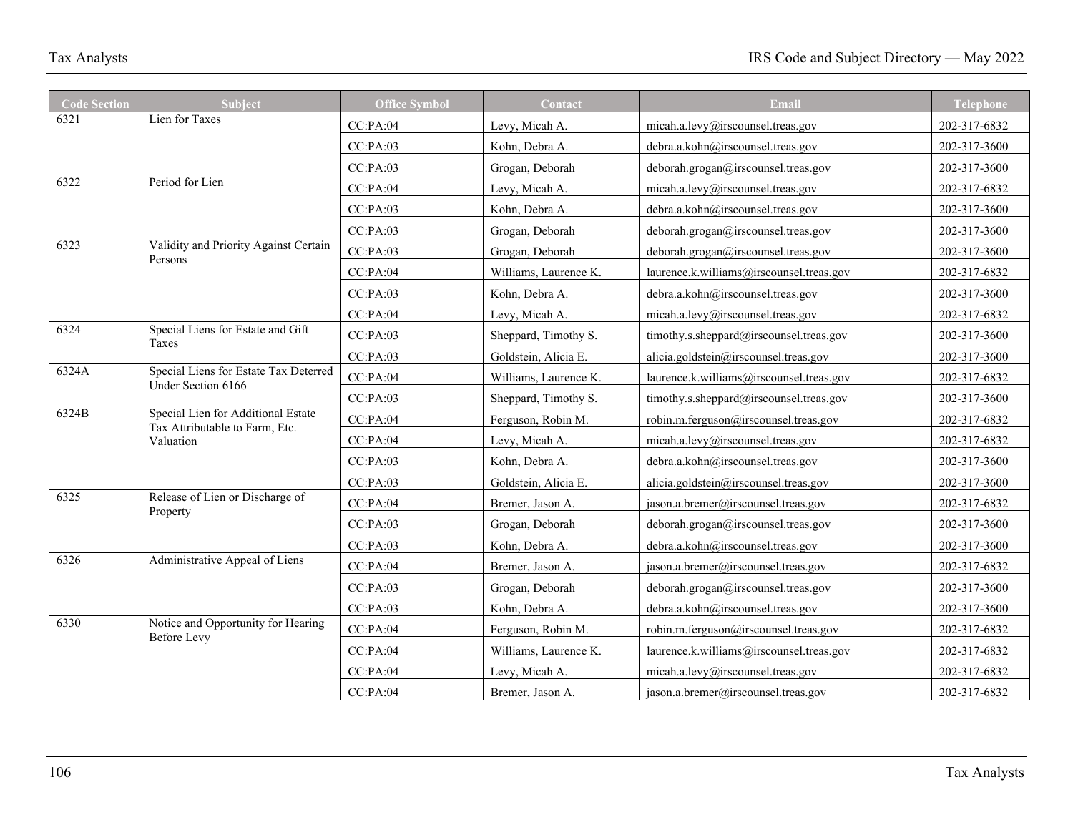| <b>Code Section</b> | <b>Subject</b>                                                       | <b>Office Symbol</b> | Contact               | Email                                    | <b>Telephone</b> |
|---------------------|----------------------------------------------------------------------|----------------------|-----------------------|------------------------------------------|------------------|
| 6321                | Lien for Taxes                                                       | CC:PA:04             | Levy, Micah A.        | micah.a.levy@irscounsel.treas.gov        | 202-317-6832     |
|                     |                                                                      | CC:PA:03             | Kohn. Debra A.        | debra.a.kohn@irscounsel.treas.gov        | 202-317-3600     |
|                     |                                                                      | CC:PA:03             | Grogan, Deborah       | deborah.grogan@irscounsel.treas.gov      | 202-317-3600     |
| 6322                | Period for Lien                                                      | CC:PA:04             | Levy, Micah A.        | micah.a.levy@irscounsel.treas.gov        | 202-317-6832     |
|                     |                                                                      | CC:PA:03             | Kohn, Debra A.        | debra.a.kohn@irscounsel.treas.gov        | 202-317-3600     |
|                     |                                                                      | CC:PA:03             | Grogan, Deborah       | deborah.grogan@irscounsel.treas.gov      | 202-317-3600     |
| 6323                | Validity and Priority Against Certain<br>Persons                     | CC:PA:03             | Grogan, Deborah       | deborah.grogan@irscounsel.treas.gov      | 202-317-3600     |
|                     |                                                                      | CC:PA:04             | Williams, Laurence K. | laurence.k.williams@irscounsel.treas.gov | 202-317-6832     |
|                     |                                                                      | CC:PA:03             | Kohn, Debra A.        | debra.a.kohn@irscounsel.treas.gov        | 202-317-3600     |
|                     |                                                                      | CC:PA:04             | Levy, Micah A.        | micah.a.levy@irscounsel.treas.gov        | 202-317-6832     |
| 6324                | Special Liens for Estate and Gift<br>Taxes                           | CC:PA:03             | Sheppard, Timothy S.  | timothy.s.sheppard@irscounsel.treas.gov  | 202-317-3600     |
|                     |                                                                      | CC:PA:03             | Goldstein, Alicia E.  | alicia.goldstein@irscounsel.treas.gov    | 202-317-3600     |
| 6324A               | Special Liens for Estate Tax Deterred<br>Under Section 6166          | CC:PA:04             | Williams, Laurence K. | laurence.k.williams@irscounsel.treas.gov | 202-317-6832     |
|                     |                                                                      | CC:PA:03             | Sheppard, Timothy S.  | timothy.s.sheppard@irscounsel.treas.gov  | 202-317-3600     |
| 6324B               | Special Lien for Additional Estate<br>Tax Attributable to Farm, Etc. | CC:PA:04             | Ferguson, Robin M.    | robin.m.ferguson@irscounsel.treas.gov    | 202-317-6832     |
|                     | Valuation                                                            | CC:PA:04             | Levy, Micah A.        | micah.a.levy@irscounsel.treas.gov        | 202-317-6832     |
|                     |                                                                      | CC:PA:03             | Kohn. Debra A.        | debra.a.kohn@irscounsel.treas.gov        | 202-317-3600     |
|                     |                                                                      | CC:PA:03             | Goldstein, Alicia E.  | alicia.goldstein@irscounsel.treas.gov    | 202-317-3600     |
| 6325                | Release of Lien or Discharge of                                      | CC:PA:04             | Bremer, Jason A.      | jason.a.bremer@irscounsel.treas.gov      | 202-317-6832     |
|                     | Property                                                             | CC:PA:03             | Grogan, Deborah       | deborah.grogan@irscounsel.treas.gov      | 202-317-3600     |
|                     |                                                                      | CC:PA:03             | Kohn, Debra A.        | debra.a.kohn@irscounsel.treas.gov        | 202-317-3600     |
| 6326                | Administrative Appeal of Liens                                       | CC:PA:04             | Bremer, Jason A.      | jason.a.bremer@irscounsel.treas.gov      | 202-317-6832     |
|                     |                                                                      | CC:PA:03             | Grogan, Deborah       | deborah.grogan@irscounsel.treas.gov      | 202-317-3600     |
|                     |                                                                      | CC:PA:03             | Kohn. Debra A.        | debra.a.kohn@irscounsel.treas.gov        | 202-317-3600     |
| 6330                | Notice and Opportunity for Hearing<br>Before Levy                    | CC:PA:04             | Ferguson, Robin M.    | robin.m.ferguson@irscounsel.treas.gov    | 202-317-6832     |
|                     |                                                                      | CC:PA:04             | Williams, Laurence K. | laurence.k.williams@irscounsel.treas.gov | 202-317-6832     |
|                     |                                                                      | CC:PA:04             | Levy, Micah A.        | micah.a.levy@irscounsel.treas.gov        | 202-317-6832     |
|                     |                                                                      | CC:PA:04             | Bremer, Jason A.      | jason.a.bremer@irscounsel.treas.gov      | 202-317-6832     |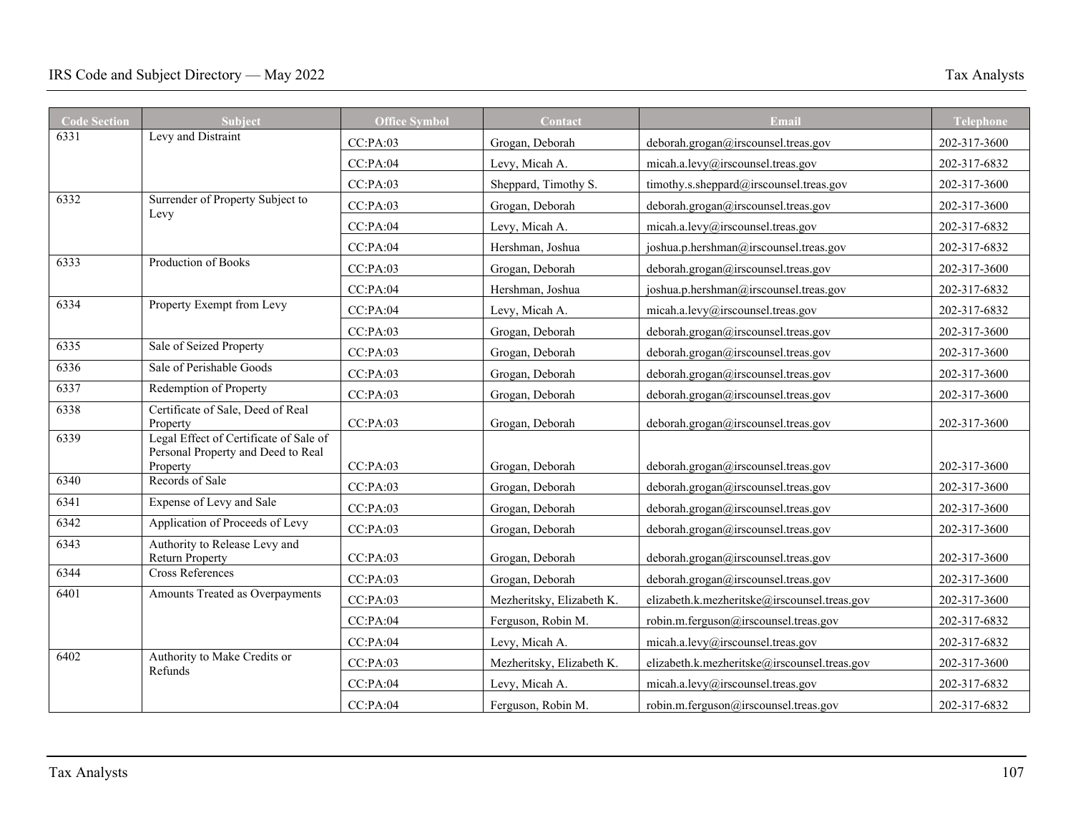| <b>Code Section</b> | <b>Subject</b>                                                               | <b>Office Symbol</b> | <b>Contact</b>            | Email                                        | Telephone    |
|---------------------|------------------------------------------------------------------------------|----------------------|---------------------------|----------------------------------------------|--------------|
| 6331                | Levy and Distraint                                                           | CC:PA:03             | Grogan, Deborah           | deborah.grogan@irscounsel.treas.gov          | 202-317-3600 |
|                     |                                                                              | CC:PA:04             | Levy, Micah A.            | micah.a.levy@irscounsel.treas.gov            | 202-317-6832 |
|                     |                                                                              | CC:PA:03             | Sheppard, Timothy S.      | timothy.s.sheppard@irscounsel.treas.gov      | 202-317-3600 |
| 6332                | Surrender of Property Subject to<br>Levy                                     | CC:PA:03             | Grogan, Deborah           | deborah.grogan@irscounsel.treas.gov          | 202-317-3600 |
|                     |                                                                              | CC:PA:04             | Levy, Micah A.            | micah.a.levy@irscounsel.treas.gov            | 202-317-6832 |
|                     |                                                                              | CC:PA:04             | Hershman, Joshua          | joshua.p.hershman@irscounsel.treas.gov       | 202-317-6832 |
| 6333                | Production of Books                                                          | CC:PA:03             | Grogan, Deborah           | deborah.grogan@irscounsel.treas.gov          | 202-317-3600 |
|                     |                                                                              | CC:PA:04             | Hershman, Joshua          | joshua.p.hershman@irscounsel.treas.gov       | 202-317-6832 |
| 6334                | Property Exempt from Levy                                                    | CC:PA:04             | Levy, Micah A.            | micah.a.levy@irscounsel.treas.gov            | 202-317-6832 |
|                     |                                                                              | CC:PA:03             | Grogan, Deborah           | deborah.grogan@irscounsel.treas.gov          | 202-317-3600 |
| 6335                | Sale of Seized Property                                                      | CC:PA:03             | Grogan, Deborah           | deborah.grogan@irscounsel.treas.gov          | 202-317-3600 |
| 6336                | Sale of Perishable Goods                                                     | CC:PA:03             | Grogan, Deborah           | deborah.grogan@irscounsel.treas.gov          | 202-317-3600 |
| 6337                | Redemption of Property                                                       | CC:PA:03             | Grogan, Deborah           | deborah.grogan@irscounsel.treas.gov          | 202-317-3600 |
| 6338                | Certificate of Sale, Deed of Real<br>Property                                | CC:PA:03             | Grogan, Deborah           | deborah.grogan@irscounsel.treas.gov          | 202-317-3600 |
| 6339                | Legal Effect of Certificate of Sale of<br>Personal Property and Deed to Real |                      |                           |                                              |              |
|                     | Property                                                                     | CC:PA:03             | Grogan, Deborah           | deborah.grogan@irscounsel.treas.gov          | 202-317-3600 |
| 6340                | Records of Sale                                                              | CC:PA:03             | Grogan, Deborah           | deborah.grogan@irscounsel.treas.gov          | 202-317-3600 |
| 6341                | Expense of Levy and Sale                                                     | CC:PA:03             | Grogan, Deborah           | deborah.grogan@irscounsel.treas.gov          | 202-317-3600 |
| 6342                | Application of Proceeds of Levy                                              | CC:PA:03             | Grogan, Deborah           | deborah.grogan@irscounsel.treas.gov          | 202-317-3600 |
| 6343                | Authority to Release Levy and<br><b>Return Property</b>                      | CC:PA:03             | Grogan, Deborah           | deborah.grogan@irscounsel.treas.gov          | 202-317-3600 |
| 6344                | <b>Cross References</b>                                                      | CC:PA:03             | Grogan, Deborah           | deborah.grogan@irscounsel.treas.gov          | 202-317-3600 |
| 6401                | Amounts Treated as Overpayments                                              | CC:PA:03             | Mezheritsky, Elizabeth K. | elizabeth.k.mezheritske@irscounsel.treas.gov | 202-317-3600 |
|                     |                                                                              | CC:PA:04             | Ferguson, Robin M.        | robin.m.ferguson@irscounsel.treas.gov        | 202-317-6832 |
|                     |                                                                              | CC:PA:04             | Levy, Micah A.            | micah.a.levy@irscounsel.treas.gov            | 202-317-6832 |
| 6402                | Authority to Make Credits or                                                 | CC:PA:03             | Mezheritsky, Elizabeth K. | elizabeth.k.mezheritske@irscounsel.treas.gov | 202-317-3600 |
|                     | Refunds                                                                      | CC:PA:04             | Levy, Micah A.            | micah.a.levy@irscounsel.treas.gov            | 202-317-6832 |
|                     |                                                                              | CC:PA:04             | Ferguson, Robin M.        | robin.m.ferguson@irscounsel.treas.gov        | 202-317-6832 |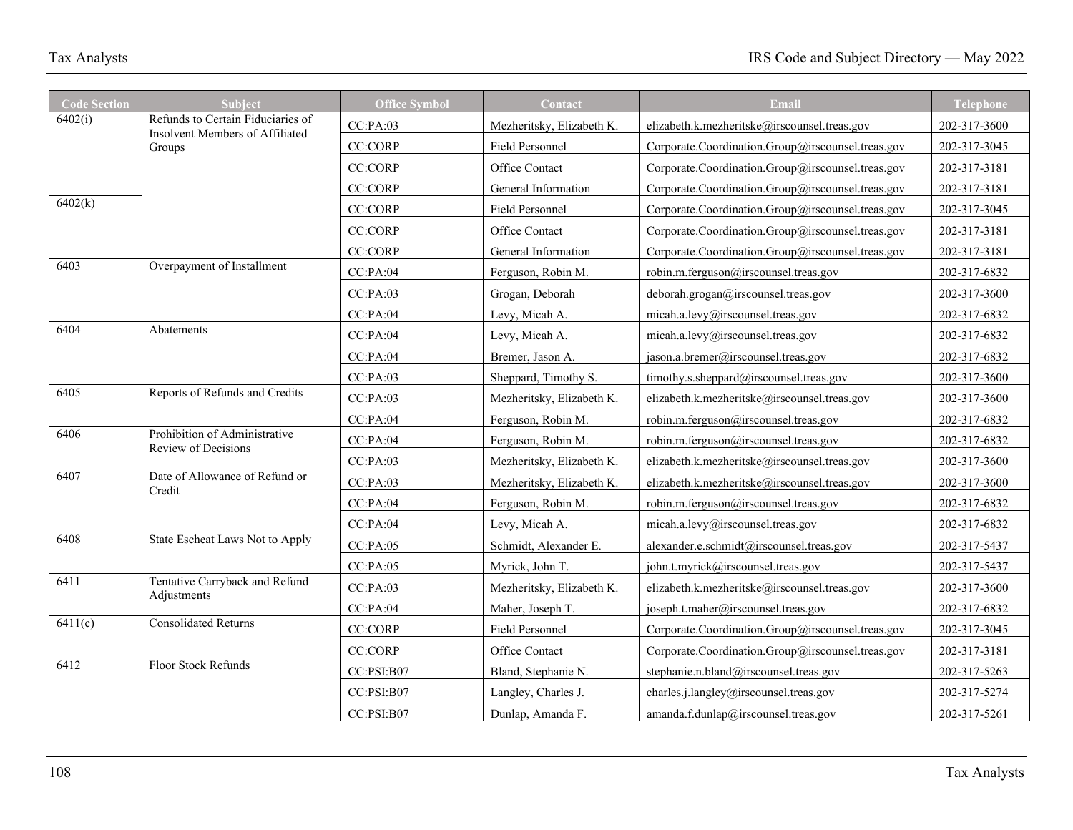| <b>Code Section</b> | <b>Subject</b>                                                       | <b>Office Symbol</b> | Contact                   | <b>Email</b>                                      | <b>Telephone</b> |
|---------------------|----------------------------------------------------------------------|----------------------|---------------------------|---------------------------------------------------|------------------|
| 6402(i)             | Refunds to Certain Fiduciaries of<br>Insolvent Members of Affiliated | CC:PA:03             | Mezheritsky, Elizabeth K. | elizabeth.k.mezheritske@irscounsel.treas.gov      | 202-317-3600     |
|                     | Groups                                                               | <b>CC:CORP</b>       | Field Personnel           | Corporate.Coordination.Group@irscounsel.treas.gov | 202-317-3045     |
|                     |                                                                      | <b>CC:CORP</b>       | Office Contact            | Corporate.Coordination.Group@irscounsel.treas.gov | 202-317-3181     |
|                     |                                                                      | <b>CC:CORP</b>       | General Information       | Corporate.Coordination.Group@irscounsel.treas.gov | 202-317-3181     |
| 6402(k)             |                                                                      | <b>CC:CORP</b>       | Field Personnel           | Corporate.Coordination.Group@irscounsel.treas.gov | 202-317-3045     |
|                     |                                                                      | <b>CC:CORP</b>       | Office Contact            | Corporate.Coordination.Group@irscounsel.treas.gov | 202-317-3181     |
|                     |                                                                      | <b>CC:CORP</b>       | General Information       | Corporate.Coordination.Group@irscounsel.treas.gov | 202-317-3181     |
| 6403                | Overpayment of Installment                                           | CC:PA:04             | Ferguson, Robin M.        | robin.m.ferguson@irscounsel.treas.gov             | 202-317-6832     |
|                     |                                                                      | CC:PA:03             | Grogan, Deborah           | deborah.grogan@irscounsel.treas.gov               | 202-317-3600     |
|                     |                                                                      | CC:PA:04             | Levy, Micah A.            | micah.a.levy@irscounsel.treas.gov                 | 202-317-6832     |
| 6404                | Abatements                                                           | CC:PA:04             | Levy, Micah A.            | micah.a.levy@irscounsel.treas.gov                 | 202-317-6832     |
|                     |                                                                      | CC:PA:04             | Bremer, Jason A.          | jason.a.bremer@irscounsel.treas.gov               | 202-317-6832     |
|                     |                                                                      | CC:PA:03             | Sheppard, Timothy S.      | timothy.s.sheppard@irscounsel.treas.gov           | 202-317-3600     |
| 6405                | Reports of Refunds and Credits                                       | CC:PA:03             | Mezheritsky, Elizabeth K. | elizabeth.k.mezheritske@irscounsel.treas.gov      | 202-317-3600     |
|                     |                                                                      | CC:PA:04             | Ferguson, Robin M.        | robin.m.ferguson@irscounsel.treas.gov             | 202-317-6832     |
| 6406                | Prohibition of Administrative<br>Review of Decisions                 | CC:PA:04             | Ferguson, Robin M.        | robin.m.ferguson@irscounsel.treas.gov             | 202-317-6832     |
|                     |                                                                      | CC:PA:03             | Mezheritsky, Elizabeth K. | elizabeth.k.mezheritske@irscounsel.treas.gov      | 202-317-3600     |
| 6407                | Date of Allowance of Refund or<br>Credit                             | CC:PA:03             | Mezheritsky, Elizabeth K. | elizabeth.k.mezheritske@irscounsel.treas.gov      | 202-317-3600     |
|                     |                                                                      | CC:PA:04             | Ferguson, Robin M.        | robin.m.ferguson@irscounsel.treas.gov             | 202-317-6832     |
|                     |                                                                      | CC:PA:04             | Levy, Micah A.            | micah.a.levy@irscounsel.treas.gov                 | 202-317-6832     |
| 6408                | State Escheat Laws Not to Apply                                      | CC:PA:05             | Schmidt, Alexander E.     | alexander.e.schmidt@irscounsel.treas.gov          | 202-317-5437     |
|                     |                                                                      | CC:PA:05             | Myrick. John T.           | john.t.myrick@irscounsel.treas.gov                | 202-317-5437     |
| 6411                | Tentative Carryback and Refund<br>Adjustments                        | CC:PA:03             | Mezheritsky, Elizabeth K. | elizabeth.k.mezheritske@irscounsel.treas.gov      | 202-317-3600     |
|                     |                                                                      | CC:PA:04             | Maher, Joseph T.          | joseph.t.maher@irscounsel.treas.gov               | 202-317-6832     |
| 6411(c)             | <b>Consolidated Returns</b>                                          | CC:CORP              | Field Personnel           | Corporate.Coordination.Group@irscounsel.treas.gov | 202-317-3045     |
|                     |                                                                      | CC:CORP              | Office Contact            | Corporate.Coordination.Group@irscounsel.treas.gov | 202-317-3181     |
| 6412                | Floor Stock Refunds                                                  | CC:PSI:B07           | Bland, Stephanie N.       | stephanie.n.bland@irscounsel.treas.gov            | 202-317-5263     |
|                     |                                                                      | CC:PSI:B07           | Langley, Charles J.       | charles.j.langley@irscounsel.treas.gov            | 202-317-5274     |
|                     |                                                                      | CC:PSI:B07           | Dunlap, Amanda F.         | amanda.f.dunlap@irscounsel.treas.gov              | 202-317-5261     |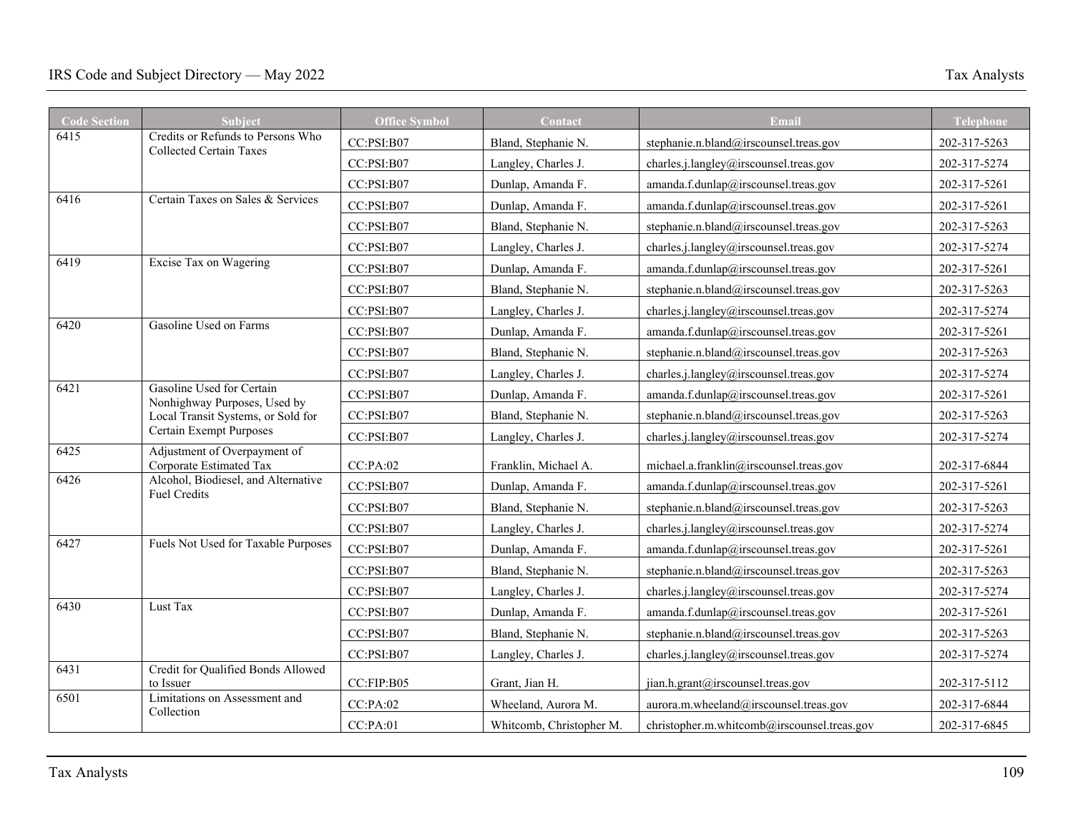| <b>Code Section</b> | Subject                                                    | <b>Office Symbol</b> | <b>Contact</b>                                                                                                                                                                                     | <b>Email</b>                                | <b>Telephone</b> |
|---------------------|------------------------------------------------------------|----------------------|----------------------------------------------------------------------------------------------------------------------------------------------------------------------------------------------------|---------------------------------------------|------------------|
| 6415                | Credits or Refunds to Persons Who                          | CC:PSI:B07           | Bland, Stephanie N.                                                                                                                                                                                | stephanie.n.bland@irscounsel.treas.gov      | 202-317-5263     |
|                     | Collected Certain Taxes                                    | CC:PSI:B07           | Langley, Charles J.                                                                                                                                                                                | charles.j.langley@irscounsel.treas.gov      | 202-317-5274     |
|                     |                                                            | CC:PSI:B07           | Dunlap, Amanda F.                                                                                                                                                                                  | amanda.f.dunlap@irscounsel.treas.gov        | 202-317-5261     |
| 6416                | Certain Taxes on Sales & Services                          | CC:PSI:B07           | Dunlap, Amanda F.                                                                                                                                                                                  | amanda.f.dunlap@irscounsel.treas.gov        | 202-317-5261     |
|                     |                                                            | CC:PSI:B07           | Bland, Stephanie N.                                                                                                                                                                                | stephanie.n.bland@irscounsel.treas.gov      | 202-317-5263     |
|                     |                                                            | CC:PSI:B07           | Langley, Charles J.                                                                                                                                                                                | charles.j.langley@irscounsel.treas.gov      | 202-317-5274     |
| 6419                | Excise Tax on Wagering                                     | CC:PSI:B07           | Dunlap, Amanda F.                                                                                                                                                                                  | amanda.f.dunlap@irscounsel.treas.gov        | 202-317-5261     |
|                     |                                                            | CC:PSI:B07           | Bland, Stephanie N.                                                                                                                                                                                | stephanie.n.bland@irscounsel.treas.gov      | 202-317-5263     |
|                     |                                                            | CC:PSI:B07           | Langley, Charles J.                                                                                                                                                                                | charles.j.langley@irscounsel.treas.gov      | 202-317-5274     |
| 6420                | Gasoline Used on Farms                                     | CC:PSI:B07           | Dunlap, Amanda F.                                                                                                                                                                                  | amanda.f.dunlap@irscounsel.treas.gov        | 202-317-5261     |
|                     |                                                            | CC:PSI:B07           | Bland, Stephanie N.                                                                                                                                                                                | stephanie.n.bland@irscounsel.treas.gov      | 202-317-5263     |
|                     |                                                            | CC:PSI:B07           | Langley, Charles J.                                                                                                                                                                                | charles.j.langley@irscounsel.treas.gov      | 202-317-5274     |
| 6421                | Gasoline Used for Certain<br>Nonhighway Purposes, Used by  | CC:PSI:B07           | Dunlap, Amanda F.                                                                                                                                                                                  | amanda.f.dunlap@irscounsel.treas.gov        | 202-317-5261     |
|                     | Local Transit Systems, or Sold for                         | CC:PSI:B07           | Bland, Stephanie N.                                                                                                                                                                                | stephanie.n.bland@irscounsel.treas.gov      | 202-317-5263     |
|                     | Certain Exempt Purposes                                    | CC:PSI:B07           | Langley, Charles J.                                                                                                                                                                                | charles.j.langley@irscounsel.treas.gov      | 202-317-5274     |
| 6425                | Adjustment of Overpayment of<br>Corporate Estimated Tax    | CC:PA:02             | Franklin, Michael A.                                                                                                                                                                               | michael.a.franklin@irscounsel.treas.gov     | 202-317-6844     |
| 6426                | Alcohol, Biodiesel, and Alternative<br><b>Fuel Credits</b> | CC:PSI:B07           | Dunlap, Amanda F.                                                                                                                                                                                  | amanda.f.dunlap@irscounsel.treas.gov        | 202-317-5261     |
|                     |                                                            | CC:PSI:B07           | Bland, Stephanie N.                                                                                                                                                                                | stephanie.n.bland@irscounsel.treas.gov      | 202-317-5263     |
|                     |                                                            | CC:PSI:B07           | Langley, Charles J.<br>Dunlap, Amanda F.<br>Bland, Stephanie N.<br>Langley, Charles J.<br>Dunlap, Amanda F.<br>Bland, Stephanie N.<br>Langley, Charles J.<br>Grant, Jian H.<br>Wheeland, Aurora M. | charles.j.langley@irscounsel.treas.gov      | 202-317-5274     |
| 6427                | Fuels Not Used for Taxable Purposes                        | CC:PSI:B07           |                                                                                                                                                                                                    | amanda.f.dunlap@irscounsel.treas.gov        | 202-317-5261     |
|                     |                                                            | CC:PSI:B07           |                                                                                                                                                                                                    | stephanie.n.bland@irscounsel.treas.gov      | 202-317-5263     |
|                     |                                                            | CC:PSI:B07           |                                                                                                                                                                                                    | charles.j.langley@irscounsel.treas.gov      | 202-317-5274     |
| 6430                | Lust Tax                                                   | CC:PSI: B07          |                                                                                                                                                                                                    | amanda.f.dunlap@irscounsel.treas.gov        | 202-317-5261     |
|                     |                                                            | CC:PSI:B07           |                                                                                                                                                                                                    | stephanie.n.bland@irscounsel.treas.gov      | 202-317-5263     |
|                     |                                                            | CC:PSI:B07           |                                                                                                                                                                                                    | charles.j.langley@irscounsel.treas.gov      | 202-317-5274     |
| 6431                | Credit for Qualified Bonds Allowed<br>to Issuer            | CC:FIP:B05           |                                                                                                                                                                                                    | jian.h.grant@irscounsel.treas.gov           | 202-317-5112     |
| 6501                | Limitations on Assessment and<br>Collection                | CC:PA:02             |                                                                                                                                                                                                    | aurora.m.wheeland@irscounsel.treas.gov      | 202-317-6844     |
|                     |                                                            | CC:PA:01             | Whitcomb, Christopher M.                                                                                                                                                                           | christopher.m.whitcomb@irscounsel.treas.gov | 202-317-6845     |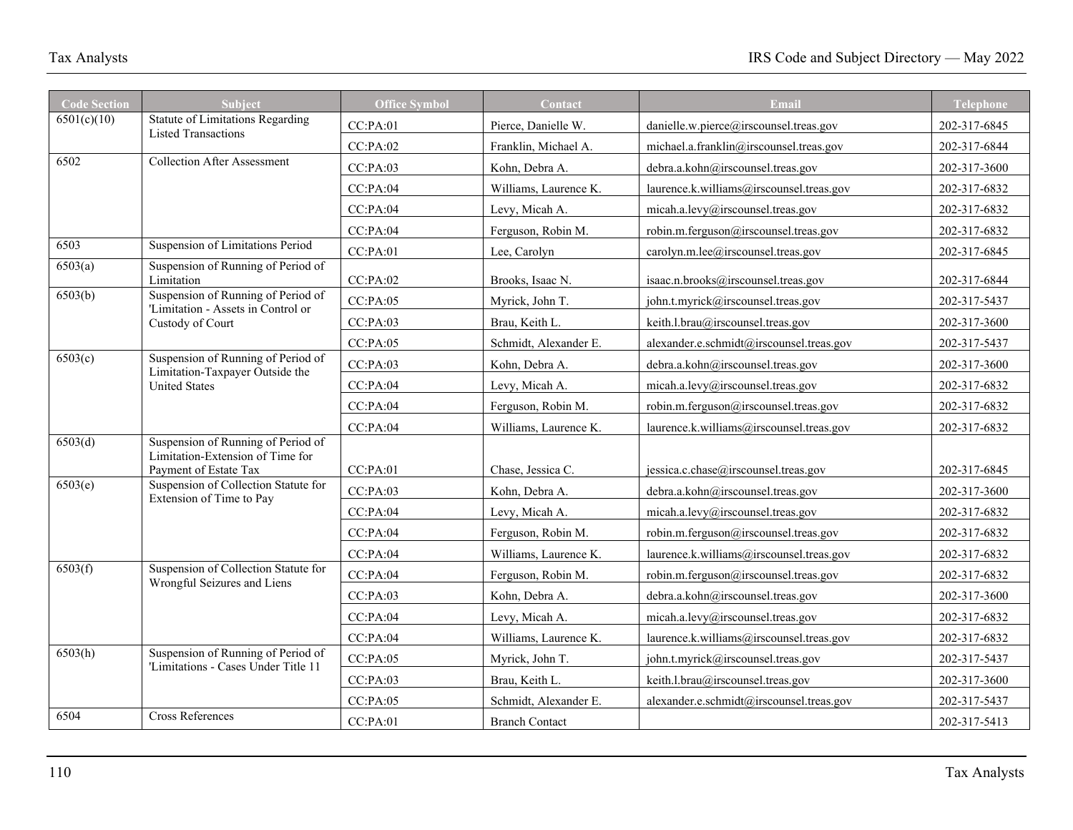| <b>Code Section</b> | <b>Subject</b>                                                            | <b>Office Symbol</b> | Contact               | Email                                    | <b>Telephone</b> |
|---------------------|---------------------------------------------------------------------------|----------------------|-----------------------|------------------------------------------|------------------|
| 6501(c)(10)         | Statute of Limitations Regarding<br><b>Listed Transactions</b>            | CC:PA:01             | Pierce, Danielle W.   | danielle.w.pierce@irscounsel.treas.gov   | 202-317-6845     |
|                     |                                                                           | CC:PA:02             | Franklin, Michael A.  | michael.a.franklin@irscounsel.treas.gov  | 202-317-6844     |
| 6502                | <b>Collection After Assessment</b>                                        | CC:PA:03             | Kohn, Debra A.        | debra.a.kohn@irscounsel.treas.gov        | 202-317-3600     |
|                     |                                                                           | CC:PA:04             | Williams, Laurence K. | laurence.k.williams@irscounsel.treas.gov | 202-317-6832     |
|                     |                                                                           | CC:PA:04             | Levy, Micah A.        | micah.a.levy@irscounsel.treas.gov        | 202-317-6832     |
|                     |                                                                           | CC:PA:04             | Ferguson, Robin M.    | robin.m.ferguson@irscounsel.treas.gov    | 202-317-6832     |
| 6503                | Suspension of Limitations Period                                          | CC:PA:01             | Lee, Carolyn          | carolyn.m.lee@irscounsel.treas.gov       | 202-317-6845     |
| 6503(a)             | Suspension of Running of Period of<br>Limitation                          | CC:PA:02             | Brooks, Isaac N.      | isaac.n.brooks@irscounsel.treas.gov      | 202-317-6844     |
| 6503(b)             | Suspension of Running of Period of                                        | CC:PA:05             | Myrick, John T.       | john.t.myrick@irscounsel.treas.gov       | 202-317-5437     |
|                     | 'Limitation - Assets in Control or<br>Custody of Court                    | CC:PA:03             | Brau, Keith L.        | keith.l.brau@irscounsel.treas.gov        | 202-317-3600     |
|                     |                                                                           | CC:PA:05             | Schmidt, Alexander E. | alexander.e.schmidt@irscounsel.treas.gov | 202-317-5437     |
| 6503(c)             | Suspension of Running of Period of<br>Limitation-Taxpayer Outside the     | CC:PA:03             | Kohn, Debra A.        | debra.a.kohn@irscounsel.treas.gov        | 202-317-3600     |
|                     | <b>United States</b>                                                      | CC:PA:04             | Levy, Micah A.        | micah.a.levy@irscounsel.treas.gov        | 202-317-6832     |
|                     |                                                                           | CC:PA:04             | Ferguson, Robin M.    | robin.m.ferguson@irscounsel.treas.gov    | 202-317-6832     |
|                     |                                                                           | CC:PA:04             | Williams, Laurence K. | laurence.k.williams@irscounsel.treas.gov | 202-317-6832     |
| 6503(d)             | Suspension of Running of Period of<br>Limitation-Extension of Time for    |                      |                       |                                          |                  |
|                     | Payment of Estate Tax                                                     | CC:PA:01             | Chase, Jessica C.     | jessica.c.chase@irscounsel.treas.gov     | 202-317-6845     |
| 6503(e)             | Suspension of Collection Statute for<br>Extension of Time to Pay          | CC:PA:03             | Kohn. Debra A.        | debra.a.kohn@irscounsel.treas.gov        | 202-317-3600     |
|                     |                                                                           | CC:PA:04             | Levy, Micah A.        | micah.a.levy@irscounsel.treas.gov        | 202-317-6832     |
|                     |                                                                           | CC:PA:04             | Ferguson, Robin M.    | robin.m.ferguson@irscounsel.treas.gov    | 202-317-6832     |
|                     |                                                                           | CC:PA:04             | Williams, Laurence K. | laurence.k.williams@irscounsel.treas.gov | 202-317-6832     |
| 6503(f)             | Suspension of Collection Statute for<br>Wrongful Seizures and Liens       | CC:PA:04             | Ferguson, Robin M.    | robin.m.ferguson@irscounsel.treas.gov    | 202-317-6832     |
|                     |                                                                           | CC:PA:03             | Kohn, Debra A.        | debra.a.kohn@irscounsel.treas.gov        | 202-317-3600     |
|                     |                                                                           | CC:PA:04             | Levy, Micah A.        | micah.a.levy@irscounsel.treas.gov        | 202-317-6832     |
|                     |                                                                           | CC:PA:04             | Williams, Laurence K. | laurence.k.williams@irscounsel.treas.gov | 202-317-6832     |
| 6503(h)             | Suspension of Running of Period of<br>'Limitations - Cases Under Title 11 | CC:PA:05             | Myrick, John T.       | john.t.myrick@irscounsel.treas.gov       | 202-317-5437     |
|                     |                                                                           | CC:PA:03             | Brau, Keith L.        | keith.l.brau@irscounsel.treas.gov        | 202-317-3600     |
|                     |                                                                           | CC:PA:05             | Schmidt, Alexander E. | alexander.e.schmidt@irscounsel.treas.gov | 202-317-5437     |
| 6504                | <b>Cross References</b>                                                   | CC:PA:01             | <b>Branch Contact</b> |                                          | 202-317-5413     |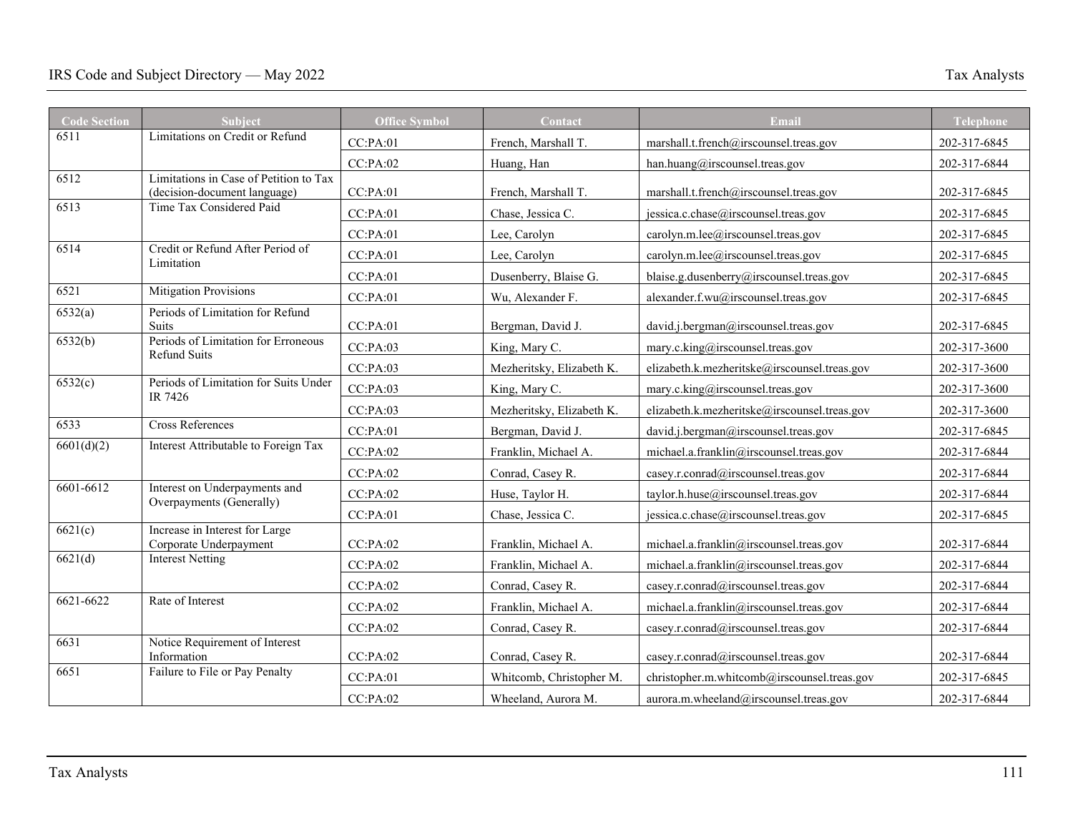| <b>Code Section</b> | <b>Subject</b>                                                         | <b>Office Symbol</b> | Contact                   | Email                                        | <b>Telephone</b> |
|---------------------|------------------------------------------------------------------------|----------------------|---------------------------|----------------------------------------------|------------------|
| 6511                | Limitations on Credit or Refund                                        | CC:PA:01             | French, Marshall T.       | marshall.t.french@irscounsel.treas.gov       | 202-317-6845     |
|                     |                                                                        | CC:PA:02             | Huang, Han                | han.huang@irscounsel.treas.gov               | 202-317-6844     |
| 6512                | Limitations in Case of Petition to Tax<br>(decision-document language) | CC:PA:01             | French, Marshall T.       | marshall.t.french@irscounsel.treas.gov       | 202-317-6845     |
| 6513                | Time Tax Considered Paid                                               | CC:PA:01             | Chase, Jessica C.         | jessica.c.chase@irscounsel.treas.gov         | 202-317-6845     |
|                     |                                                                        | CC:PA:01             | Lee, Carolyn              | carolyn.m.lee@irscounsel.treas.gov           | 202-317-6845     |
| 6514                | Credit or Refund After Period of<br>Limitation                         | CC:PA:01             | Lee, Carolyn              | carolyn.m.lee@irscounsel.treas.gov           | 202-317-6845     |
|                     |                                                                        | CC:PA:01             | Dusenberry, Blaise G.     | blaise.g.dusenberry@irscounsel.treas.gov     | 202-317-6845     |
| 6521                | Mitigation Provisions                                                  | CC:PA:01             | Wu, Alexander F.          | alexander.f.wu@irscounsel.treas.gov          | 202-317-6845     |
| 6532(a)             | Periods of Limitation for Refund<br>Suits                              | CC:PA:01             | Bergman, David J.         | david.j.bergman@irscounsel.treas.gov         | 202-317-6845     |
| 6532(b)             | Periods of Limitation for Erroneous                                    | CC:PA:03             | King, Mary C.             | mary.c.king@irscounsel.treas.gov             | 202-317-3600     |
|                     | Refund Suits                                                           | CC:PA:03             | Mezheritsky, Elizabeth K. | elizabeth.k.mezheritske@irscounsel.treas.gov | 202-317-3600     |
| 6532(c)             | Periods of Limitation for Suits Under<br>IR 7426                       | CC:PA:03             | King, Mary C.             | mary.c.king@irscounsel.treas.gov             | 202-317-3600     |
|                     |                                                                        | CC:PA:03             | Mezheritsky, Elizabeth K. | elizabeth.k.mezheritske@irscounsel.treas.gov | 202-317-3600     |
| 6533                | <b>Cross References</b>                                                | CC:PA:01             | Bergman, David J.         | david.j.bergman@irscounsel.treas.gov         | 202-317-6845     |
| 6601(d)(2)          | Interest Attributable to Foreign Tax                                   | CC:PA:02             | Franklin, Michael A.      | michael.a.franklin@irscounsel.treas.gov      | 202-317-6844     |
|                     |                                                                        | CC:PA:02             | Conrad, Casey R.          | casey.r.conrad@irscounsel.treas.gov          | 202-317-6844     |
| 6601-6612           | Interest on Underpayments and<br>Overpayments (Generally)              | CC:PA:02             | Huse, Tavlor H.           | taylor.h.huse@irscounsel.treas.gov           | 202-317-6844     |
|                     |                                                                        | CC:PA:01             | Chase, Jessica C.         | jessica.c.chase@irscounsel.treas.gov         | 202-317-6845     |
| 6621(c)             | Increase in Interest for Large<br>Corporate Underpayment               | CC:PA:02             | Franklin, Michael A.      | michael.a.franklin@irscounsel.treas.gov      | 202-317-6844     |
| 6621(d)             | <b>Interest Netting</b>                                                | CC:PA:02             | Franklin, Michael A.      | michael.a.franklin@irscounsel.treas.gov      | 202-317-6844     |
|                     |                                                                        | CC:PA:02             | Conrad, Casey R.          | casey.r.conrad@irscounsel.treas.gov          | 202-317-6844     |
| $6621 - 6622$       | Rate of Interest                                                       | CC:PA:02             | Franklin, Michael A.      | michael.a.franklin@irscounsel.treas.gov      | 202-317-6844     |
|                     |                                                                        | CC:PA:02             | Conrad, Casey R.          | casey.r.conrad@irscounsel.treas.gov          | 202-317-6844     |
| 6631                | Notice Requirement of Interest<br>Information                          | CC:PA:02             | Conrad, Casey R.          | casey.r.conrad@irscounsel.treas.gov          | 202-317-6844     |
| 6651                | Failure to File or Pay Penalty                                         | CC:PA:01             | Whitcomb, Christopher M.  | christopher.m.whitcomb@irscounsel.treas.gov  | 202-317-6845     |
|                     |                                                                        | CC:PA:02             | Wheeland, Aurora M.       | aurora.m.wheeland@irscounsel.treas.gov       | 202-317-6844     |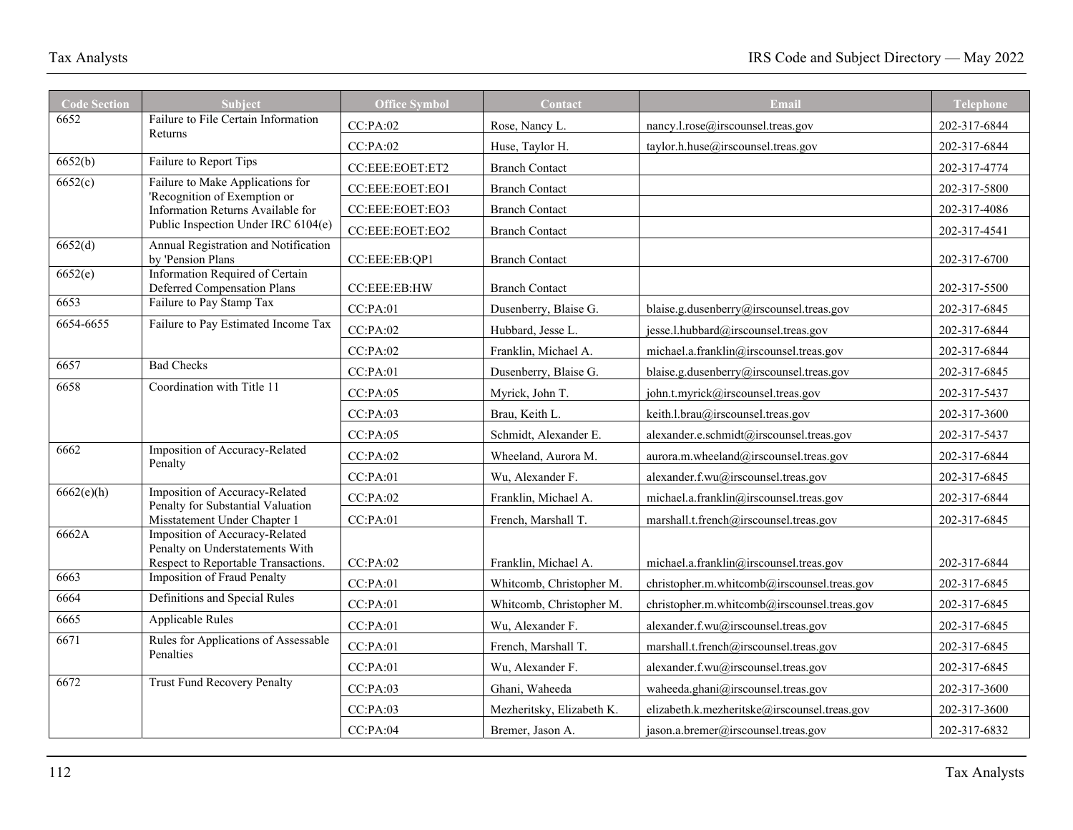| <b>Code Section</b> | <b>Subject</b>                                                            | <b>Office Symbol</b> | Contact                   | <b>Email</b>                                 | <b>Telephone</b> |
|---------------------|---------------------------------------------------------------------------|----------------------|---------------------------|----------------------------------------------|------------------|
| 6652                | Failure to File Certain Information                                       | CC:PA:02             | Rose, Nancy L.            | nancy.l.rose@irscounsel.treas.gov            | 202-317-6844     |
|                     | Returns                                                                   | CC:PA:02             | Huse, Taylor H.           | taylor.h.huse@irscounsel.treas.gov           | 202-317-6844     |
| 6652(b)             | Failure to Report Tips                                                    | CC:EEE:EOET:ET2      | <b>Branch Contact</b>     |                                              | 202-317-4774     |
| 6652(c)             | Failure to Make Applications for<br>'Recognition of Exemption or          | CC:EEE:EOET:EO1      | <b>Branch Contact</b>     |                                              | 202-317-5800     |
|                     | Information Returns Available for                                         | CC:EEE:EOET:EO3      | <b>Branch Contact</b>     |                                              | 202-317-4086     |
|                     | Public Inspection Under IRC 6104(e)                                       | CC:EEE:EOET:EO2      | <b>Branch Contact</b>     |                                              | 202-317-4541     |
| 6652(d)             | Annual Registration and Notification<br>by 'Pension Plans                 | CC:EEE:EB:QP1        | <b>Branch Contact</b>     |                                              | 202-317-6700     |
| 6652(e)             | Information Required of Certain<br>Deferred Compensation Plans            | CC:EEE:EB:HW         | <b>Branch Contact</b>     |                                              | 202-317-5500     |
| 6653                | Failure to Pay Stamp Tax                                                  | CC:PA:01             | Dusenberry, Blaise G.     | blaise.g.dusenberry@irscounsel.treas.gov     | 202-317-6845     |
| 6654-6655           | Failure to Pay Estimated Income Tax                                       | CC:PA:02             | Hubbard, Jesse L.         | jesse.l.hubbard@irscounsel.treas.gov         | 202-317-6844     |
|                     |                                                                           | CC:PA:02             | Franklin, Michael A.      | michael.a.franklin@irscounsel.treas.gov      | 202-317-6844     |
| 6657                | <b>Bad Checks</b>                                                         | CC:PA:01             | Dusenberry, Blaise G.     | blaise.g.dusenberry@irscounsel.treas.gov     | 202-317-6845     |
| 6658                | Coordination with Title 11                                                | CC:PA:05             | Myrick, John T.           | john.t.myrick@irscounsel.treas.gov           | 202-317-5437     |
|                     |                                                                           | CC:PA:03             | Brau, Keith L.            | keith.l.brau@irscounsel.treas.gov            | 202-317-3600     |
|                     |                                                                           | CC:PA:05             | Schmidt, Alexander E.     | alexander.e.schmidt@irscounsel.treas.gov     | 202-317-5437     |
| 6662                | Imposition of Accuracy-Related<br>Penalty                                 | CC:PA:02             | Wheeland, Aurora M.       | aurora.m.wheeland@irscounsel.treas.gov       | 202-317-6844     |
|                     |                                                                           | CC:PA:01             | Wu, Alexander F.          | alexander.f.wu@irscounsel.treas.gov          | 202-317-6845     |
| 6662(e)(h)          | Imposition of Accuracy-Related<br>Penalty for Substantial Valuation       | CC:PA:02             | Franklin, Michael A.      | michael.a.franklin@irscounsel.treas.gov      | 202-317-6844     |
|                     | Misstatement Under Chapter 1                                              | CC:PA:01             | French, Marshall T.       | marshall.t.french@irscounsel.treas.gov       | 202-317-6845     |
| 6662A               | Imposition of Accuracy-Related<br>Penalty on Understatements With         |                      |                           |                                              |                  |
| 6663                | Respect to Reportable Transactions.<br><b>Imposition of Fraud Penalty</b> | CC:PA:02             | Franklin, Michael A.      | michael.a.franklin@irscounsel.treas.gov      | 202-317-6844     |
| 6664                | Definitions and Special Rules                                             | CC:PA:01             | Whitcomb, Christopher M.  | christopher.m.whitcomb@irscounsel.treas.gov  | 202-317-6845     |
| 6665                | Applicable Rules                                                          | CC:PA:01             | Whitcomb, Christopher M.  | christopher.m.whitcomb@irscounsel.treas.gov  | 202-317-6845     |
| 6671                |                                                                           | CC:PA:01             | Wu, Alexander F.          | alexander.f.wu@irscounsel.treas.gov          | 202-317-6845     |
|                     | Rules for Applications of Assessable<br>Penalties                         | CC:PA:01             | French, Marshall T.       | marshall.t.french@irscounsel.treas.gov       | 202-317-6845     |
|                     |                                                                           | CC:PA:01             | Wu, Alexander F.          | alexander.f.wu@irscounsel.treas.gov          | 202-317-6845     |
| 6672                | Trust Fund Recovery Penalty                                               | CC:PA:03             | Ghani, Waheeda            | waheeda.ghani@irscounsel.treas.gov           | 202-317-3600     |
|                     |                                                                           | CC:PA:03             | Mezheritsky, Elizabeth K. | elizabeth.k.mezheritske@irscounsel.treas.gov | 202-317-3600     |
|                     |                                                                           | CC:PA:04             | Bremer, Jason A.          | jason.a.bremer@irscounsel.treas.gov          | 202-317-6832     |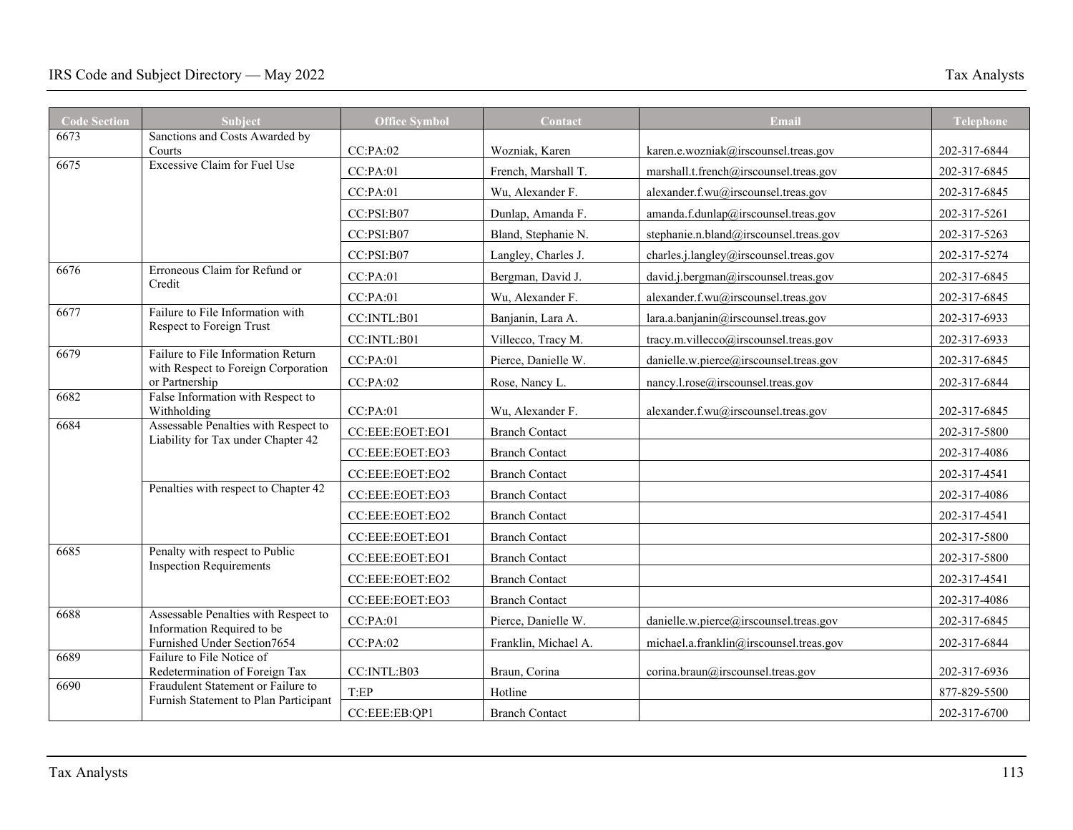| <b>Code Section</b> | <b>Subject</b>                                                              | <b>Office Symbol</b> | Contact               | Email                                   | <b>Telephone</b> |
|---------------------|-----------------------------------------------------------------------------|----------------------|-----------------------|-----------------------------------------|------------------|
| 6673                | Sanctions and Costs Awarded by                                              |                      |                       |                                         |                  |
| 6675                | Courts<br>Excessive Claim for Fuel Use                                      | CC:PA:02             | Wozniak, Karen        | karen.e.wozniak@irscounsel.treas.gov    | 202-317-6844     |
|                     |                                                                             | CC:PA:01             | French, Marshall T.   | marshall.t.french@irscounsel.treas.gov  | 202-317-6845     |
|                     |                                                                             | CC:PA:01             | Wu, Alexander F.      | alexander.f.wu@irscounsel.treas.gov     | 202-317-6845     |
|                     |                                                                             | CC:PSI:B07           | Dunlap, Amanda F.     | amanda.f.dunlap@irscounsel.treas.gov    | 202-317-5261     |
|                     |                                                                             | CC:PSI:B07           | Bland, Stephanie N.   | stephanie.n.bland@irscounsel.treas.gov  | 202-317-5263     |
|                     |                                                                             | CC:PSI: B07          | Langley, Charles J.   | charles.j.langley@irscounsel.treas.gov  | 202-317-5274     |
| 6676                | Erroneous Claim for Refund or<br>Credit                                     | CC:PA:01             | Bergman, David J.     | david.j.bergman@irscounsel.treas.gov    | 202-317-6845     |
|                     |                                                                             | CC:PA:01             | Wu, Alexander F.      | alexander.f.wu@irscounsel.treas.gov     | 202-317-6845     |
| 6677                | Failure to File Information with<br>Respect to Foreign Trust                | CC:INTL:B01          | Banjanin, Lara A.     | lara.a.banjanin@irscounsel.treas.gov    | 202-317-6933     |
|                     |                                                                             | CC:INTL:B01          | Villecco, Tracy M.    | tracy.m.villecco@irscounsel.treas.gov   | 202-317-6933     |
| 6679                | Failure to File Information Return<br>with Respect to Foreign Corporation   | CC:PA:01             | Pierce, Danielle W.   | danielle.w.pierce@irscounsel.treas.gov  | 202-317-6845     |
|                     | or Partnership                                                              | CC:PA:02             | Rose, Nancy L.        | nancy.l.rose@irscounsel.treas.gov       | 202-317-6844     |
| 6682                | False Information with Respect to<br>Withholding                            | CC:PA:01             | Wu, Alexander F.      | alexander.f.wu@irscounsel.treas.gov     | 202-317-6845     |
| 6684                | Assessable Penalties with Respect to                                        | CC:EEE:EOET:EO1      | <b>Branch Contact</b> |                                         | 202-317-5800     |
|                     | Liability for Tax under Chapter 42                                          | CC:EEE:EOET:EO3      | <b>Branch Contact</b> |                                         | 202-317-4086     |
|                     |                                                                             | CC:EEE:EOET:EO2      | <b>Branch Contact</b> |                                         | 202-317-4541     |
|                     | Penalties with respect to Chapter 42                                        | CC:EEE:EOET:EO3      | <b>Branch Contact</b> |                                         | 202-317-4086     |
|                     |                                                                             | CC:EEE:EOET:EO2      | <b>Branch Contact</b> |                                         | 202-317-4541     |
|                     |                                                                             | CC:EEE:EOET:EO1      | <b>Branch Contact</b> |                                         | 202-317-5800     |
| 6685                | Penalty with respect to Public<br><b>Inspection Requirements</b>            | CC:EEE:EOET:EO1      | <b>Branch Contact</b> |                                         | 202-317-5800     |
|                     |                                                                             | CC:EEE:EOET:EO2      | <b>Branch Contact</b> |                                         | 202-317-4541     |
|                     |                                                                             | CC:EEE:EOET:EO3      | <b>Branch Contact</b> |                                         | 202-317-4086     |
| 6688                | Assessable Penalties with Respect to<br>Information Required to be          | CC:PA:01             | Pierce, Danielle W.   | danielle.w.pierce@irscounsel.treas.gov  | 202-317-6845     |
|                     | Furnished Under Section7654                                                 | CC:PA:02             | Franklin, Michael A.  | michael.a.franklin@irscounsel.treas.gov | 202-317-6844     |
| 6689                | Failure to File Notice of<br>Redetermination of Foreign Tax                 | CC:INTL:B03          | Braun, Corina         | corina.braun@irscounsel.treas.gov       | 202-317-6936     |
| 6690                | Fraudulent Statement or Failure to<br>Furnish Statement to Plan Participant | T:EP                 | Hotline               |                                         | 877-829-5500     |
|                     |                                                                             | CC:EEE:EB:QP1        | <b>Branch Contact</b> |                                         | 202-317-6700     |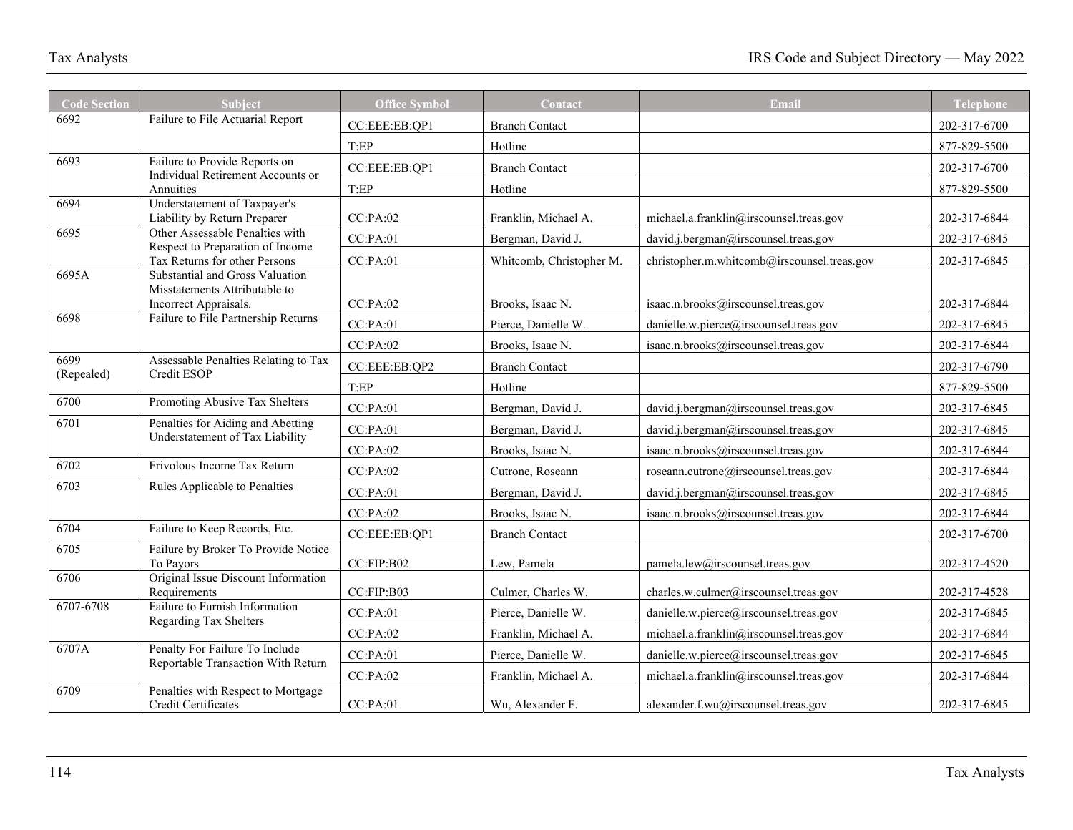| <b>Code Section</b> | <b>Subject</b>                                                                            | <b>Office Symbol</b> | Contact                  | <b>Email</b>                                | Telephone    |
|---------------------|-------------------------------------------------------------------------------------------|----------------------|--------------------------|---------------------------------------------|--------------|
| 6692                | Failure to File Actuarial Report                                                          | CC:EEE:EB:QP1        | <b>Branch Contact</b>    |                                             | 202-317-6700 |
|                     |                                                                                           | T:EP                 | Hotline                  |                                             | 877-829-5500 |
| 6693                | Failure to Provide Reports on<br>Individual Retirement Accounts or                        | CC:EEE:EB:QP1        | <b>Branch Contact</b>    |                                             | 202-317-6700 |
|                     | Annuities                                                                                 | T:EP                 | Hotline                  |                                             | 877-829-5500 |
| 6694                | Understatement of Taxpayer's<br>Liability by Return Preparer                              | CC:PA:02             | Franklin, Michael A.     | michael.a.franklin@irscounsel.treas.gov     | 202-317-6844 |
| 6695                | Other Assessable Penalties with<br>Respect to Preparation of Income                       | CC:PA:01             | Bergman, David J.        | david.j.bergman@irscounsel.treas.gov        | 202-317-6845 |
|                     | Tax Returns for other Persons                                                             | CC:PA:01             | Whitcomb, Christopher M. | christopher.m.whitcomb@irscounsel.treas.gov | 202-317-6845 |
| 6695A               | Substantial and Gross Valuation<br>Misstatements Attributable to<br>Incorrect Appraisals. | CC:PA:02             | Brooks, Isaac N.         | isaac.n.brooks@irscounsel.treas.gov         | 202-317-6844 |
| 6698                | Failure to File Partnership Returns                                                       | CC:PA:01             | Pierce, Danielle W.      | danielle.w.pierce@irscounsel.treas.gov      | 202-317-6845 |
|                     |                                                                                           | CC:PA:02             | Brooks, Isaac N.         | isaac.n.brooks@irscounsel.treas.gov         | 202-317-6844 |
| 6699                | Assessable Penalties Relating to Tax                                                      | CC:EEE:EB:QP2        | <b>Branch Contact</b>    |                                             | 202-317-6790 |
| (Repealed)          | Credit ESOP                                                                               | T:EP                 | Hotline                  |                                             | 877-829-5500 |
| 6700                | Promoting Abusive Tax Shelters                                                            | CC:PA:01             | Bergman, David J.        | david.j.bergman@irscounsel.treas.gov        | 202-317-6845 |
| 6701                | Penalties for Aiding and Abetting<br>Understatement of Tax Liability                      | CC:PA:01             | Bergman, David J.        | david.j.bergman@irscounsel.treas.gov        | 202-317-6845 |
|                     |                                                                                           | CC:PA:02             | Brooks, Isaac N.         | isaac.n.brooks@irscounsel.treas.gov         | 202-317-6844 |
| 6702                | Frivolous Income Tax Return                                                               | CC:PA:02             | Cutrone, Roseann         | roseann.cutrone@irscounsel.treas.gov        | 202-317-6844 |
| 6703                | Rules Applicable to Penalties                                                             | CC:PA:01             | Bergman, David J.        | david.j.bergman@irscounsel.treas.gov        | 202-317-6845 |
|                     |                                                                                           | CC:PA:02             | Brooks, Isaac N.         | isaac.n.brooks@irscounsel.treas.gov         | 202-317-6844 |
| 6704                | Failure to Keep Records, Etc.                                                             | CC:EEE:EB:QP1        | <b>Branch Contact</b>    |                                             | 202-317-6700 |
| 6705                | Failure by Broker To Provide Notice<br>To Payors                                          | CC:FIP:B02           | Lew, Pamela              | pamela.lew@irscounsel.treas.gov             | 202-317-4520 |
| 6706                | Original Issue Discount Information<br>Requirements                                       | CC:FIP:B03           | Culmer, Charles W.       | charles.w.culmer@irscounsel.treas.gov       | 202-317-4528 |
| 6707-6708           | Failure to Furnish Information                                                            | CC:PA:01             | Pierce, Danielle W.      | danielle.w.pierce@irscounsel.treas.gov      | 202-317-6845 |
|                     | Regarding Tax Shelters                                                                    | CC:PA:02             | Franklin, Michael A.     | michael.a.franklin@irscounsel.treas.gov     | 202-317-6844 |
| 6707A               | Penalty For Failure To Include<br>Reportable Transaction With Return                      | CC:PA:01             | Pierce, Danielle W.      | danielle.w.pierce@irscounsel.treas.gov      | 202-317-6845 |
|                     |                                                                                           | CC:PA:02             | Franklin, Michael A.     | michael.a.franklin@irscounsel.treas.gov     | 202-317-6844 |
| 6709                | Penalties with Respect to Mortgage<br>Credit Certificates                                 | CC:PA:01             | Wu, Alexander F.         | alexander.f.wu@irscounsel.treas.gov         | 202-317-6845 |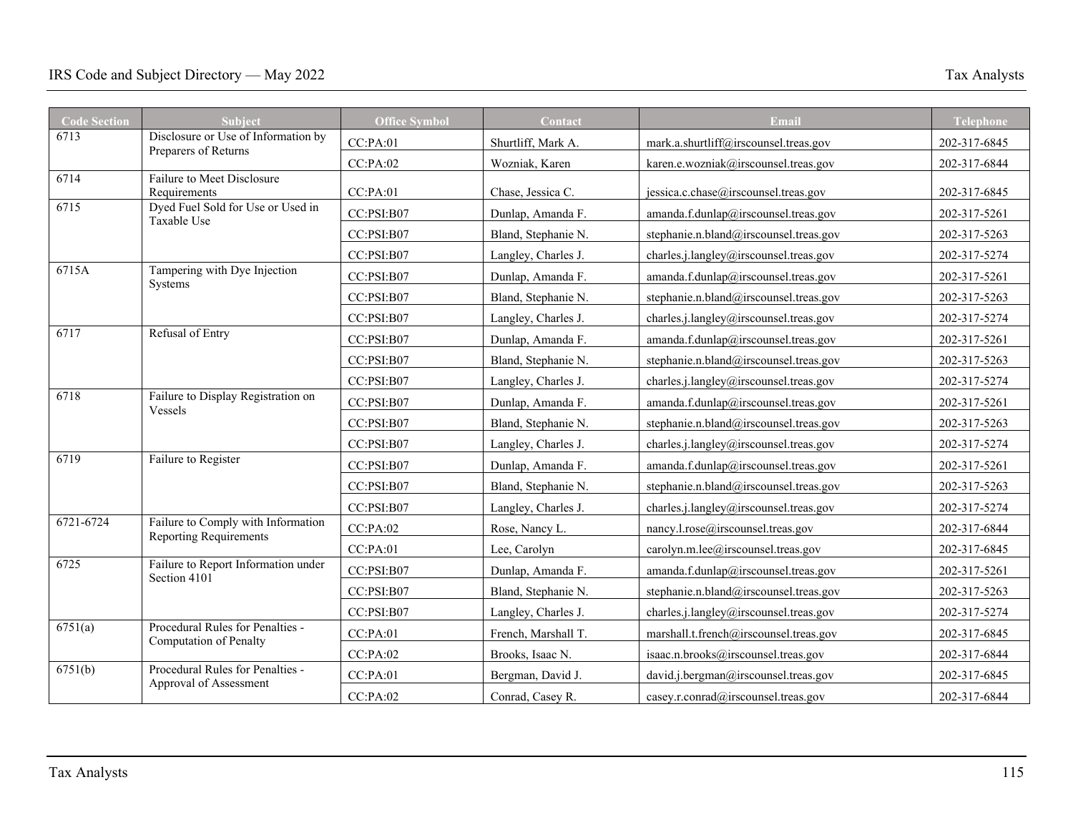| <b>Code Section</b> | Subject                                                             | <b>Office Symbol</b> | Contact                                                                                                                                                                                                                                                                                                                                                                                                                                                                                                                                                                                                                                                                                                                                                                                                                                                                                                                                                                                                                                                                                                                                                         | Email                                  | <b>Telephone</b> |
|---------------------|---------------------------------------------------------------------|----------------------|-----------------------------------------------------------------------------------------------------------------------------------------------------------------------------------------------------------------------------------------------------------------------------------------------------------------------------------------------------------------------------------------------------------------------------------------------------------------------------------------------------------------------------------------------------------------------------------------------------------------------------------------------------------------------------------------------------------------------------------------------------------------------------------------------------------------------------------------------------------------------------------------------------------------------------------------------------------------------------------------------------------------------------------------------------------------------------------------------------------------------------------------------------------------|----------------------------------------|------------------|
| 6713                | Disclosure or Use of Information by                                 | CC:PA:01             | Shurtliff, Mark A.                                                                                                                                                                                                                                                                                                                                                                                                                                                                                                                                                                                                                                                                                                                                                                                                                                                                                                                                                                                                                                                                                                                                              | mark.a.shurtliff@irscounsel.treas.gov  | 202-317-6845     |
|                     | Preparers of Returns                                                | CC:PA:02             | Wozniak, Karen                                                                                                                                                                                                                                                                                                                                                                                                                                                                                                                                                                                                                                                                                                                                                                                                                                                                                                                                                                                                                                                                                                                                                  | karen.e.wozniak@irscounsel.treas.gov   | 202-317-6844     |
| 6714                | Failure to Meet Disclosure<br>Requirements                          | CC:PA:01             | Chase, Jessica C.                                                                                                                                                                                                                                                                                                                                                                                                                                                                                                                                                                                                                                                                                                                                                                                                                                                                                                                                                                                                                                                                                                                                               | jessica.c.chase@irscounsel.treas.gov   | 202-317-6845     |
| 6715                | Dyed Fuel Sold for Use or Used in<br>Taxable Use                    | CC:PSI:B07           | Dunlap, Amanda F.                                                                                                                                                                                                                                                                                                                                                                                                                                                                                                                                                                                                                                                                                                                                                                                                                                                                                                                                                                                                                                                                                                                                               | amanda.f.dunlap@irscounsel.treas.gov   | 202-317-5261     |
|                     |                                                                     | CC:PSI:B07           | Bland, Stephanie N.                                                                                                                                                                                                                                                                                                                                                                                                                                                                                                                                                                                                                                                                                                                                                                                                                                                                                                                                                                                                                                                                                                                                             | stephanie.n.bland@irscounsel.treas.gov | 202-317-5263     |
|                     |                                                                     | CC:PSI:B07           | Langley, Charles J.                                                                                                                                                                                                                                                                                                                                                                                                                                                                                                                                                                                                                                                                                                                                                                                                                                                                                                                                                                                                                                                                                                                                             | charles.j.langley@irscounsel.treas.gov | 202-317-5274     |
| 6715A               | Tampering with Dye Injection<br>Systems                             | CC:PSI:B07           | Dunlap, Amanda F.                                                                                                                                                                                                                                                                                                                                                                                                                                                                                                                                                                                                                                                                                                                                                                                                                                                                                                                                                                                                                                                                                                                                               | amanda.f.dunlap@irscounsel.treas.gov   | 202-317-5261     |
|                     |                                                                     | CC:PSI:B07           | Bland, Stephanie N.                                                                                                                                                                                                                                                                                                                                                                                                                                                                                                                                                                                                                                                                                                                                                                                                                                                                                                                                                                                                                                                                                                                                             | stephanie.n.bland@irscounsel.treas.gov | 202-317-5263     |
|                     |                                                                     | CC:PSI:B07           | charles.j.langley@irscounsel.treas.gov<br>Langley, Charles J.<br>Dunlap, Amanda F.<br>amanda.f.dunlap@irscounsel.treas.gov<br>Bland, Stephanie N.<br>stephanie.n.bland@irscounsel.treas.gov<br>charles.j.langley@irscounsel.treas.gov<br>Langley, Charles J.<br>Dunlap, Amanda F.<br>amanda.f.dunlap@irscounsel.treas.gov<br>stephanie.n.bland@irscounsel.treas.gov<br>Bland, Stephanie N.<br>charles.j.langley@irscounsel.treas.gov<br>Langley, Charles J.<br>Dunlap, Amanda F.<br>amanda.f.dunlap@irscounsel.treas.gov<br>Bland, Stephanie N.<br>stephanie.n.bland@irscounsel.treas.gov<br>Langley, Charles J.<br>charles.j.langley@irscounsel.treas.gov<br>Rose, Nancy L.<br>nancy.l.rose@irscounsel.treas.gov<br>Lee, Carolyn<br>carolyn.m.lee@irscounsel.treas.gov<br>Dunlap, Amanda F.<br>amanda.f.dunlap@irscounsel.treas.gov<br>Bland, Stephanie N.<br>stephanie.n.bland@irscounsel.treas.gov<br>Langley, Charles J.<br>charles.j.langley@irscounsel.treas.gov<br>French, Marshall T.<br>marshall.t.french@irscounsel.treas.gov<br>Brooks, Isaac N.<br>isaac.n.brooks@irscounsel.treas.gov<br>Bergman, David J.<br>david.j.bergman@irscounsel.treas.gov | 202-317-5274                           |                  |
| 6717                | Refusal of Entry                                                    | CC:PSI:B07           |                                                                                                                                                                                                                                                                                                                                                                                                                                                                                                                                                                                                                                                                                                                                                                                                                                                                                                                                                                                                                                                                                                                                                                 |                                        | 202-317-5261     |
|                     |                                                                     | CC:PSI:B07           |                                                                                                                                                                                                                                                                                                                                                                                                                                                                                                                                                                                                                                                                                                                                                                                                                                                                                                                                                                                                                                                                                                                                                                 |                                        | 202-317-5263     |
|                     |                                                                     | CC:PSI:B07           |                                                                                                                                                                                                                                                                                                                                                                                                                                                                                                                                                                                                                                                                                                                                                                                                                                                                                                                                                                                                                                                                                                                                                                 |                                        | 202-317-5274     |
| 6718                | Failure to Display Registration on<br>Vessels                       | CC:PSI:B07           |                                                                                                                                                                                                                                                                                                                                                                                                                                                                                                                                                                                                                                                                                                                                                                                                                                                                                                                                                                                                                                                                                                                                                                 |                                        | 202-317-5261     |
|                     |                                                                     | CC:PSI:B07           |                                                                                                                                                                                                                                                                                                                                                                                                                                                                                                                                                                                                                                                                                                                                                                                                                                                                                                                                                                                                                                                                                                                                                                 |                                        | 202-317-5263     |
|                     |                                                                     | CC:PSI:B07           |                                                                                                                                                                                                                                                                                                                                                                                                                                                                                                                                                                                                                                                                                                                                                                                                                                                                                                                                                                                                                                                                                                                                                                 |                                        | 202-317-5274     |
| 6719                | Failure to Register                                                 | CC:PSI:B07           |                                                                                                                                                                                                                                                                                                                                                                                                                                                                                                                                                                                                                                                                                                                                                                                                                                                                                                                                                                                                                                                                                                                                                                 |                                        | 202-317-5261     |
|                     |                                                                     | CC:PSI:B07           |                                                                                                                                                                                                                                                                                                                                                                                                                                                                                                                                                                                                                                                                                                                                                                                                                                                                                                                                                                                                                                                                                                                                                                 |                                        | 202-317-5263     |
|                     |                                                                     | CC:PSI:B07           |                                                                                                                                                                                                                                                                                                                                                                                                                                                                                                                                                                                                                                                                                                                                                                                                                                                                                                                                                                                                                                                                                                                                                                 |                                        | 202-317-5274     |
| 6721-6724           | Failure to Comply with Information<br><b>Reporting Requirements</b> | CC:PA:02             |                                                                                                                                                                                                                                                                                                                                                                                                                                                                                                                                                                                                                                                                                                                                                                                                                                                                                                                                                                                                                                                                                                                                                                 |                                        | 202-317-6844     |
|                     |                                                                     | CC:PA:01             |                                                                                                                                                                                                                                                                                                                                                                                                                                                                                                                                                                                                                                                                                                                                                                                                                                                                                                                                                                                                                                                                                                                                                                 |                                        | 202-317-6845     |
| 6725                | Failure to Report Information under<br>Section 4101                 | CC:PSI:B07           |                                                                                                                                                                                                                                                                                                                                                                                                                                                                                                                                                                                                                                                                                                                                                                                                                                                                                                                                                                                                                                                                                                                                                                 |                                        | 202-317-5261     |
|                     |                                                                     | CC:PSI:B07           |                                                                                                                                                                                                                                                                                                                                                                                                                                                                                                                                                                                                                                                                                                                                                                                                                                                                                                                                                                                                                                                                                                                                                                 |                                        | 202-317-5263     |
|                     |                                                                     | CC:PSI:B07           |                                                                                                                                                                                                                                                                                                                                                                                                                                                                                                                                                                                                                                                                                                                                                                                                                                                                                                                                                                                                                                                                                                                                                                 |                                        | 202-317-5274     |
| 6751(a)             | Procedural Rules for Penalties -<br>Computation of Penalty          | CC:PA:01             |                                                                                                                                                                                                                                                                                                                                                                                                                                                                                                                                                                                                                                                                                                                                                                                                                                                                                                                                                                                                                                                                                                                                                                 |                                        | 202-317-6845     |
|                     |                                                                     | CC:PA:02             |                                                                                                                                                                                                                                                                                                                                                                                                                                                                                                                                                                                                                                                                                                                                                                                                                                                                                                                                                                                                                                                                                                                                                                 |                                        | 202-317-6844     |
| 6751(b)             | Procedural Rules for Penalties -                                    | CC:PA:01             |                                                                                                                                                                                                                                                                                                                                                                                                                                                                                                                                                                                                                                                                                                                                                                                                                                                                                                                                                                                                                                                                                                                                                                 |                                        | 202-317-6845     |
|                     | Approval of Assessment                                              | CC:PA:02             | Conrad, Casey R.                                                                                                                                                                                                                                                                                                                                                                                                                                                                                                                                                                                                                                                                                                                                                                                                                                                                                                                                                                                                                                                                                                                                                | casey.r.conrad@irscounsel.treas.gov    | 202-317-6844     |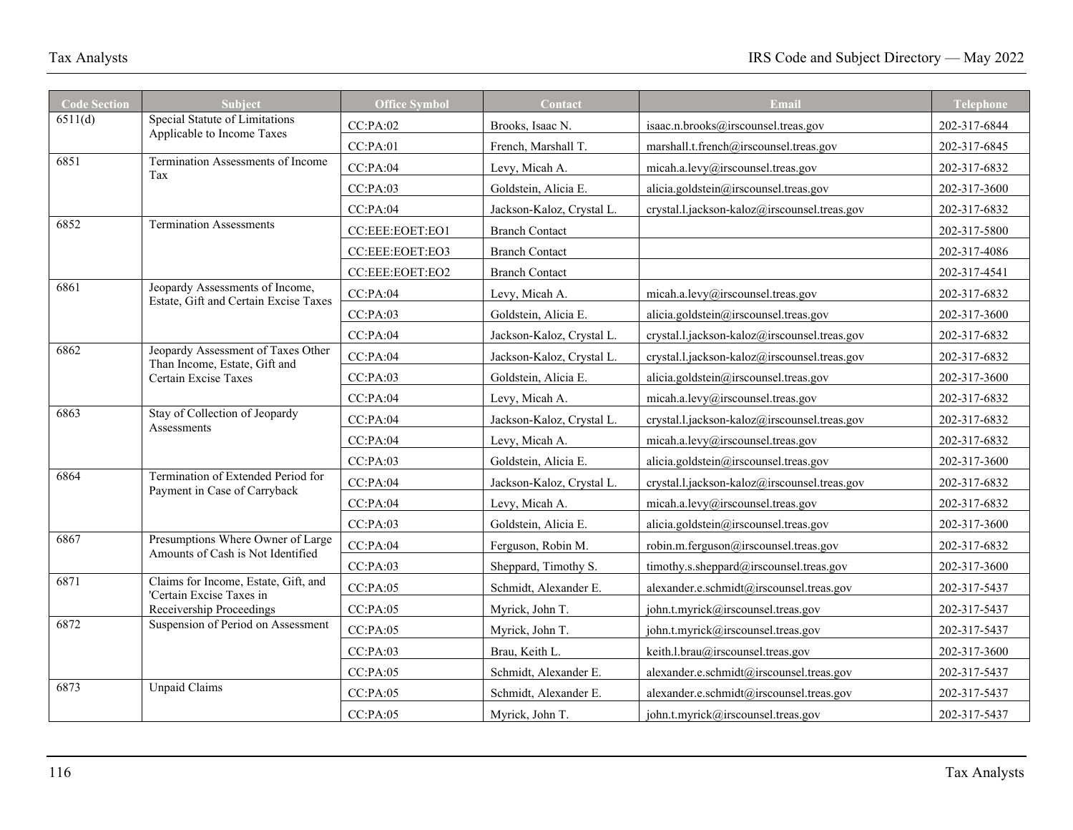| <b>Code Section</b> | <b>Subject</b>                                                           | <b>Office Symbol</b> | Contact                   | Email                                        | <b>Telephone</b> |
|---------------------|--------------------------------------------------------------------------|----------------------|---------------------------|----------------------------------------------|------------------|
| 6511(d)             | Special Statute of Limitations<br>Applicable to Income Taxes             | CC:PA:02             | Brooks, Isaac N.          | isaac.n.brooks@irscounsel.treas.gov          | 202-317-6844     |
|                     |                                                                          | CC:PA:01             | French, Marshall T.       | marshall.t.french@irscounsel.treas.gov       | 202-317-6845     |
| 6851                | Termination Assessments of Income<br>Tax                                 | CC:PA:04             | Levy, Micah A.            | micah.a.levy@irscounsel.treas.gov            | 202-317-6832     |
|                     |                                                                          | CC:PA:03             | Goldstein, Alicia E.      | alicia.goldstein@irscounsel.treas.gov        | 202-317-3600     |
|                     |                                                                          | CC:PA:04             | Jackson-Kaloz, Crystal L. | crystal.l.jackson-kaloz@irscounsel.treas.gov | 202-317-6832     |
| 6852                | <b>Termination Assessments</b>                                           | CC:EEE:EOET:EO1      | <b>Branch Contact</b>     |                                              | 202-317-5800     |
|                     |                                                                          | CC:EEE:EOET:EO3      | <b>Branch Contact</b>     |                                              | 202-317-4086     |
|                     |                                                                          | CC:EEE:EOET:EO2      | <b>Branch Contact</b>     |                                              | 202-317-4541     |
| 6861                | Jeopardy Assessments of Income,<br>Estate, Gift and Certain Excise Taxes | CC:PA:04             | Levy, Micah A.            | micah.a.levy@irscounsel.treas.gov            | 202-317-6832     |
|                     |                                                                          | CC:PA:03             | Goldstein, Alicia E.      | alicia.goldstein@irscounsel.treas.gov        | 202-317-3600     |
|                     |                                                                          | CC:PA:04             | Jackson-Kaloz, Crystal L. | crystal.l.jackson-kaloz@irscounsel.treas.gov | 202-317-6832     |
| 6862                | Jeopardy Assessment of Taxes Other<br>Than Income, Estate, Gift and      | CC:PA:04             | Jackson-Kaloz, Crystal L. | crystal.l.jackson-kaloz@irscounsel.treas.gov | 202-317-6832     |
|                     | Certain Excise Taxes                                                     | CC:PA:03             | Goldstein, Alicia E.      | alicia.goldstein@irscounsel.treas.gov        | 202-317-3600     |
|                     |                                                                          | CC:PA:04             | Levy, Micah A.            | micah.a.levy@irscounsel.treas.gov            | 202-317-6832     |
| 6863                | Stay of Collection of Jeopardy<br>Assessments                            | CC:PA:04             | Jackson-Kaloz, Crystal L. | crystal.l.jackson-kaloz@irscounsel.treas.gov | 202-317-6832     |
|                     |                                                                          | CC:PA:04             | Levy, Micah A.            | micah.a.levy@irscounsel.treas.gov            | 202-317-6832     |
|                     |                                                                          | CC:PA:03             | Goldstein, Alicia E.      | alicia.goldstein@irscounsel.treas.gov        | 202-317-3600     |
| 6864                | Termination of Extended Period for<br>Payment in Case of Carryback       | CC:PA:04             | Jackson-Kaloz, Crystal L. | crystal.l.jackson-kaloz@irscounsel.treas.gov | 202-317-6832     |
|                     |                                                                          | CC:PA:04             | Levy, Micah A.            | micah.a.levy@irscounsel.treas.gov            | 202-317-6832     |
|                     |                                                                          | CC:PA:03             | Goldstein, Alicia E.      | alicia.goldstein@irscounsel.treas.gov        | 202-317-3600     |
| 6867                | Presumptions Where Owner of Large<br>Amounts of Cash is Not Identified   | CC:PA:04             | Ferguson, Robin M.        | robin.m.ferguson@irscounsel.treas.gov        | 202-317-6832     |
|                     |                                                                          | CC:PA:03             | Sheppard, Timothy S.      | timothy.s.sheppard@irscounsel.treas.gov      | 202-317-3600     |
| 6871                | Claims for Income, Estate, Gift, and<br>'Certain Excise Taxes in         | CC:PA:05             | Schmidt, Alexander E.     | alexander.e.schmidt@irscounsel.treas.gov     | 202-317-5437     |
|                     | Receivership Proceedings                                                 | CC:PA:05             | Myrick, John T.           | john.t.myrick@irscounsel.treas.gov           | 202-317-5437     |
| 6872                | Suspension of Period on Assessment                                       | CC:PA:05             | Myrick, John T.           | john.t.myrick@irscounsel.treas.gov           | 202-317-5437     |
|                     |                                                                          | CC:PA:03             | Brau, Keith L.            | keith.l.brau@irscounsel.treas.gov            | 202-317-3600     |
|                     |                                                                          | CC:PA:05             | Schmidt, Alexander E.     | alexander.e.schmidt@irscounsel.treas.gov     | 202-317-5437     |
| 6873                | <b>Unpaid Claims</b>                                                     | CC:PA:05             | Schmidt, Alexander E.     | alexander.e.schmidt@irscounsel.treas.gov     | 202-317-5437     |
|                     |                                                                          | CC:PA:05             | Myrick, John T.           | john.t.myrick@irscounsel.treas.gov           | 202-317-5437     |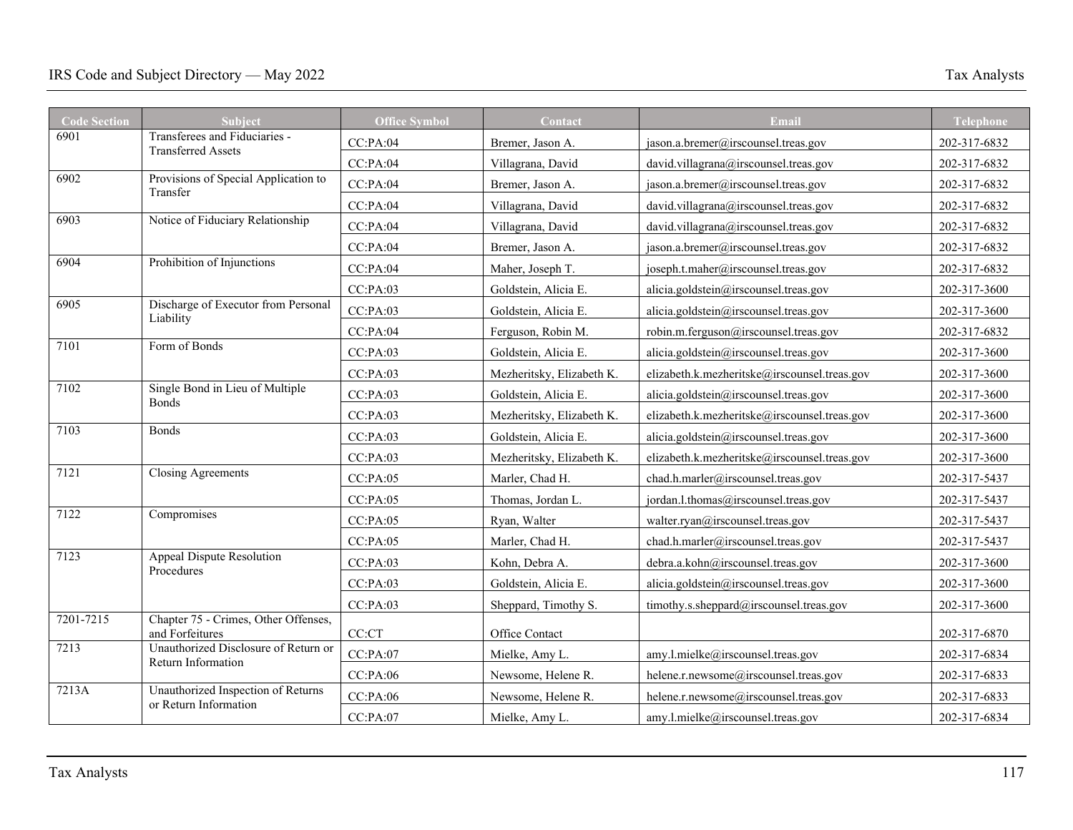| <b>Code Section</b> | Subject                                                 | <b>Office Symbol</b> | Contact                   | Email                                        | Telephone    |
|---------------------|---------------------------------------------------------|----------------------|---------------------------|----------------------------------------------|--------------|
| 6901                | Transferees and Fiduciaries -                           | CC:PA:04             | Bremer, Jason A.          | jason.a.bremer@irscounsel.treas.gov          | 202-317-6832 |
|                     | <b>Transferred Assets</b>                               | CC:PA:04             | Villagrana, David         | david.villagrana@irscounsel.treas.gov        | 202-317-6832 |
| 6902                | Provisions of Special Application to                    | CC:PA:04             | Bremer, Jason A.          | jason.a.bremer@irscounsel.treas.gov          | 202-317-6832 |
|                     | Transfer                                                | CC:PA:04             | Villagrana, David         | david.villagrana@irscounsel.treas.gov        | 202-317-6832 |
| 6903                | Notice of Fiduciary Relationship                        | CC:PA:04             | Villagrana, David         | david.villagrana@irscounsel.treas.gov        | 202-317-6832 |
|                     |                                                         | CC:PA:04             | Bremer, Jason A.          | jason.a.bremer@irscounsel.treas.gov          | 202-317-6832 |
| 6904                | Prohibition of Injunctions                              | CC:PA:04             | Maher, Joseph T.          | joseph.t.maher@irscounsel.treas.gov          | 202-317-6832 |
|                     |                                                         | CC:PA:03             | Goldstein, Alicia E.      | alicia.goldstein@irscounsel.treas.gov        | 202-317-3600 |
| 6905                | Discharge of Executor from Personal                     | CC:PA:03             | Goldstein, Alicia E.      | alicia.goldstein@irscounsel.treas.gov        | 202-317-3600 |
|                     | Liability                                               | CC:PA:04             | Ferguson, Robin M.        | robin.m.ferguson@irscounsel.treas.gov        | 202-317-6832 |
| 7101                | Form of Bonds                                           | CC:PA:03             | Goldstein, Alicia E.      | alicia.goldstein@irscounsel.treas.gov        | 202-317-3600 |
|                     |                                                         | CC:PA:03             | Mezheritsky, Elizabeth K. | elizabeth.k.mezheritske@irscounsel.treas.gov | 202-317-3600 |
| 7102                | Single Bond in Lieu of Multiple                         | CC:PA:03             | Goldstein, Alicia E.      | alicia.goldstein@irscounsel.treas.gov        | 202-317-3600 |
|                     | <b>Bonds</b>                                            | CC:PA:03             | Mezheritsky, Elizabeth K. | elizabeth.k.mezheritske@irscounsel.treas.gov | 202-317-3600 |
| 7103                | <b>Bonds</b>                                            | CC:PA:03             | Goldstein, Alicia E.      | alicia.goldstein@irscounsel.treas.gov        | 202-317-3600 |
|                     |                                                         | CC:PA:03             | Mezheritsky, Elizabeth K. | elizabeth.k.mezheritske@irscounsel.treas.gov | 202-317-3600 |
| 7121                | <b>Closing Agreements</b>                               | CC:PA:05             | Marler, Chad H.           | chad.h.marler@irscounsel.treas.gov           | 202-317-5437 |
|                     |                                                         | CC:PA:05             | Thomas, Jordan L.         | jordan.l.thomas@irscounsel.treas.gov         | 202-317-5437 |
| 7122                | Compromises                                             | CC:PA:05             | Ryan, Walter              | walter.ryan@irscounsel.treas.gov             | 202-317-5437 |
|                     |                                                         | CC:PA:05             | Marler, Chad H.           | chad.h.marler@irscounsel.treas.gov           | 202-317-5437 |
| 7123                | Appeal Dispute Resolution                               | CC:PA:03             | Kohn, Debra A.            | debra.a.kohn@irscounsel.treas.gov            | 202-317-3600 |
|                     | Procedures                                              | CC:PA:03             | Goldstein, Alicia E.      | alicia.goldstein@irscounsel.treas.gov        | 202-317-3600 |
|                     |                                                         | CC:PA:03             | Sheppard, Timothy S.      | timothy.s.sheppard@irscounsel.treas.gov      | 202-317-3600 |
| 7201-7215           | Chapter 75 - Crimes, Other Offenses,<br>and Forfeitures | CC:CT                | Office Contact            |                                              | 202-317-6870 |
| 7213                | Unauthorized Disclosure of Return or                    |                      |                           |                                              |              |
|                     | Return Information                                      | CC:PA:07             | Mielke, Amy L.            | amy.l.mielke@irscounsel.treas.gov            | 202-317-6834 |
| 7213A               | Unauthorized Inspection of Returns                      | CC:PA:06             | Newsome, Helene R.        | helene.r.newsome@irscounsel.treas.gov        | 202-317-6833 |
|                     | or Return Information                                   | CC:PA:06             | Newsome, Helene R.        | helene.r.newsome@irscounsel.treas.gov        | 202-317-6833 |
|                     |                                                         | CC:PA:07             | Mielke, Amy L.            | amy.l.mielke@irscounsel.treas.gov            | 202-317-6834 |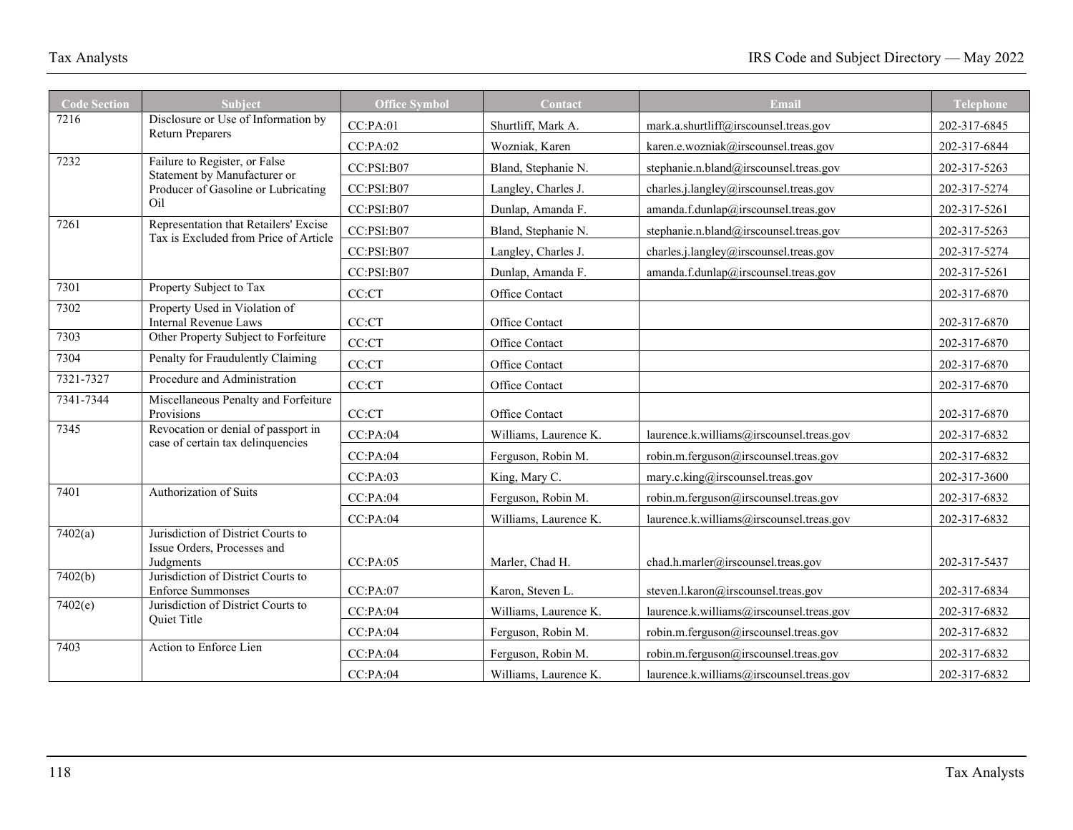| <b>Code Section</b> | Subject                                                                        | <b>Office Symbol</b> | Contact                              | Email                                    | Telephone    |
|---------------------|--------------------------------------------------------------------------------|----------------------|--------------------------------------|------------------------------------------|--------------|
| 7216                | Disclosure or Use of Information by                                            | CC:PA:01             | Shurtliff, Mark A.                   | mark.a.shurtliff@irscounsel.treas.gov    | 202-317-6845 |
|                     | <b>Return Preparers</b>                                                        | CC:PA:02             | Wozniak, Karen                       | karen.e.wozniak@irscounsel.treas.gov     | 202-317-6844 |
| 7232                | Failure to Register, or False<br>Statement by Manufacturer or                  | CC:PSI:B07           | Bland, Stephanie N.                  | stephanie.n.bland@irscounsel.treas.gov   | 202-317-5263 |
|                     | Producer of Gasoline or Lubricating                                            | CC:PSI:B07           | Langley, Charles J.                  | charles.j.langley@irscounsel.treas.gov   | 202-317-5274 |
|                     | Oil                                                                            | CC:PSI:B07           | Dunlap, Amanda F.                    | amanda.f.dunlap@irscounsel.treas.gov     | 202-317-5261 |
| 7261                | Representation that Retailers' Excise                                          | CC:PSI:B07           | Bland, Stephanie N.                  | stephanie.n.bland@irscounsel.treas.gov   | 202-317-5263 |
|                     | Tax is Excluded from Price of Article                                          | CC:PSI: B07          | Langley, Charles J.                  | charles.j.langley@irscounsel.treas.gov   | 202-317-5274 |
|                     | CC:PSI: B07                                                                    | Dunlap, Amanda F.    | amanda.f.dunlap@irscounsel.treas.gov | 202-317-5261                             |              |
| 7301                | Property Subject to Tax                                                        | CC:CT                | Office Contact                       |                                          | 202-317-6870 |
| 7302                | Property Used in Violation of<br><b>Internal Revenue Laws</b>                  | CC:CT                | Office Contact                       |                                          | 202-317-6870 |
| 7303                | Other Property Subject to Forfeiture                                           | CC:CT                | Office Contact                       |                                          | 202-317-6870 |
| 7304                | Penalty for Fraudulently Claiming                                              | CC:CT                | Office Contact                       |                                          | 202-317-6870 |
| 7321-7327           | Procedure and Administration                                                   | CC:CT                | Office Contact                       |                                          | 202-317-6870 |
| 7341-7344           | Miscellaneous Penalty and Forfeiture<br>Provisions                             | CC:CT                | Office Contact                       |                                          | 202-317-6870 |
| 7345                | Revocation or denial of passport in<br>case of certain tax delinquencies       | CC:PA:04             | Williams, Laurence K.                | laurence.k.williams@irscounsel.treas.gov | 202-317-6832 |
|                     |                                                                                | CC:PA:04             | Ferguson, Robin M.                   | robin.m.ferguson@irscounsel.treas.gov    | 202-317-6832 |
|                     |                                                                                | CC:PA:03             | King, Mary C.                        | mary.c.king@irscounsel.treas.gov         | 202-317-3600 |
| 7401                | Authorization of Suits                                                         | CC:PA:04             | Ferguson, Robin M.                   | robin.m.ferguson@irscounsel.treas.gov    | 202-317-6832 |
|                     |                                                                                | CC:PA:04             | Williams, Laurence K.                | laurence.k.williams@irscounsel.treas.gov | 202-317-6832 |
| 7402(a)             | Jurisdiction of District Courts to<br>Issue Orders, Processes and<br>Judgments | CC:PA:05             | Marler, Chad H.                      | chad.h.marler@irscounsel.treas.gov       | 202-317-5437 |
| 7402(b)             | Jurisdiction of District Courts to                                             |                      |                                      |                                          |              |
| 7402(e)             | <b>Enforce Summonses</b><br>Jurisdiction of District Courts to                 | CC:PA:07             | Karon, Steven L.                     | steven.l.karon@irscounsel.treas.gov      | 202-317-6834 |
|                     | Quiet Title                                                                    | CC:PA:04             | Williams, Laurence K.                | laurence.k.williams@irscounsel.treas.gov | 202-317-6832 |
| 7403                | Action to Enforce Lien                                                         | CC:PA:04             | Ferguson, Robin M.                   | robin.m.ferguson@irscounsel.treas.gov    | 202-317-6832 |
|                     |                                                                                | CC:PA:04             | Ferguson, Robin M.                   | robin.m.ferguson@irscounsel.treas.gov    | 202-317-6832 |
|                     |                                                                                | CC:PA:04             | Williams, Laurence K.                | laurence.k.williams@irscounsel.treas.gov | 202-317-6832 |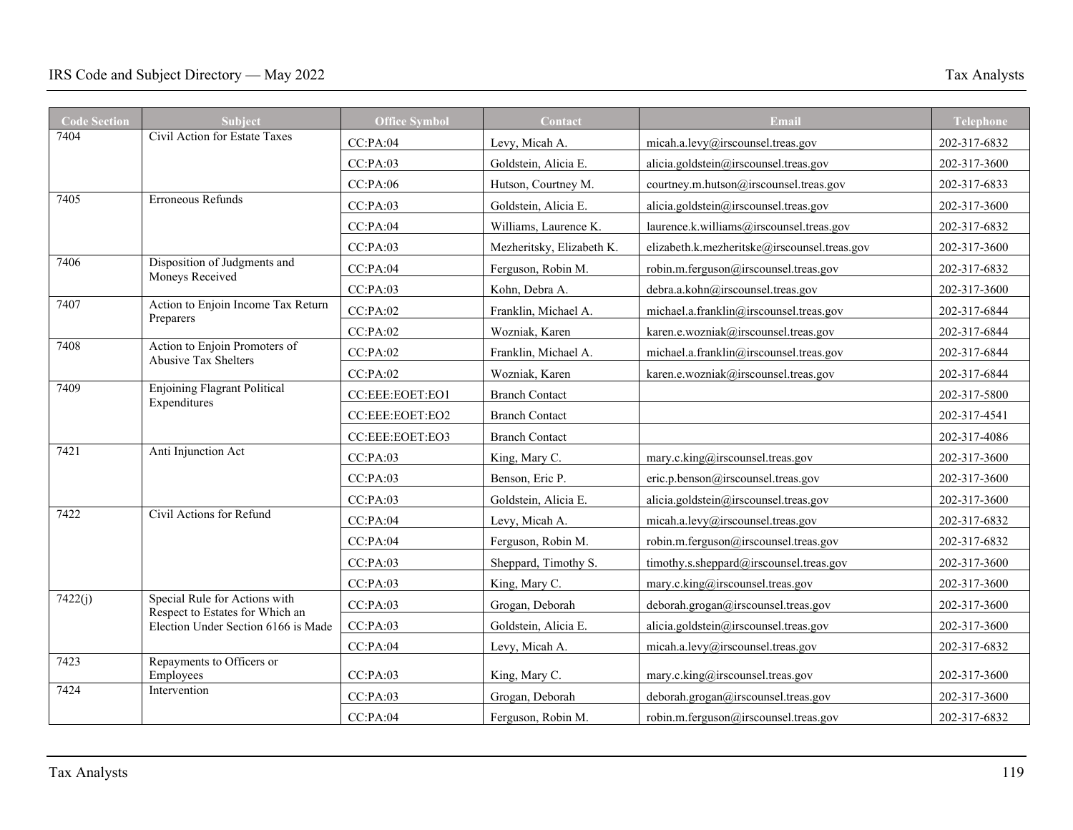| <b>Code Section</b> | <b>Subject</b>                                                         | <b>Office Symbol</b> | <b>Contact</b>            | Email                                                                                                                                                                                                                                    | <b>Telephone</b> |
|---------------------|------------------------------------------------------------------------|----------------------|---------------------------|------------------------------------------------------------------------------------------------------------------------------------------------------------------------------------------------------------------------------------------|------------------|
| 7404                | Civil Action for Estate Taxes                                          | CC:PA:04             | Levy, Micah A.            | micah.a.levy@irscounsel.treas.gov                                                                                                                                                                                                        | 202-317-6832     |
|                     |                                                                        | CC:PA:03             | Goldstein, Alicia E.      | alicia.goldstein@irscounsel.treas.gov                                                                                                                                                                                                    | 202-317-3600     |
|                     |                                                                        | CC:PA:06             | Hutson, Courtney M.       | courtney.m.hutson@irscounsel.treas.gov                                                                                                                                                                                                   | 202-317-6833     |
| 7405                | Erroneous Refunds                                                      | CC:PA:03             | Goldstein, Alicia E.      | alicia.goldstein@irscounsel.treas.gov                                                                                                                                                                                                    | 202-317-3600     |
|                     |                                                                        | CC:PA:04             | Williams, Laurence K.     | laurence.k.williams@irscounsel.treas.gov                                                                                                                                                                                                 | 202-317-6832     |
|                     |                                                                        | CC:PA:03             | Mezheritsky, Elizabeth K. | elizabeth.k.mezheritske@irscounsel.treas.gov                                                                                                                                                                                             | 202-317-3600     |
| 7406                | Disposition of Judgments and                                           | CC:PA:04             | Ferguson, Robin M.        | robin.m.ferguson@irscounsel.treas.gov                                                                                                                                                                                                    | 202-317-6832     |
|                     | Moneys Received                                                        | CC:PA:03             | Kohn, Debra A.            | debra.a.kohn@irscounsel.treas.gov                                                                                                                                                                                                        | 202-317-3600     |
| 7407                | Action to Enjoin Income Tax Return                                     | CC:PA:02             | Franklin, Michael A.      | michael.a.franklin@irscounsel.treas.gov                                                                                                                                                                                                  | 202-317-6844     |
|                     | Preparers                                                              | CC:PA:02             | Wozniak, Karen            | karen.e.wozniak@irscounsel.treas.gov                                                                                                                                                                                                     | 202-317-6844     |
| 7408                | Action to Enjoin Promoters of                                          | CC:PA:02             | Franklin, Michael A.      | michael.a.franklin@irscounsel.treas.gov                                                                                                                                                                                                  | 202-317-6844     |
|                     | Abusive Tax Shelters                                                   | CC:PA:02             | Wozniak, Karen            |                                                                                                                                                                                                                                          | 202-317-6844     |
| 7409                | <b>Enjoining Flagrant Political</b>                                    | CC:EEE:EOET:EO1      | <b>Branch Contact</b>     |                                                                                                                                                                                                                                          | 202-317-5800     |
|                     | Expenditures                                                           | CC:EEE:EOET:EO2      | <b>Branch Contact</b>     |                                                                                                                                                                                                                                          | 202-317-4541     |
|                     |                                                                        | CC:EEE:EOET:EO3      | <b>Branch Contact</b>     |                                                                                                                                                                                                                                          | 202-317-4086     |
| 7421                | Anti Injunction Act                                                    | CC:PA:03             | King, Mary C.             | mary.c.king@irscounsel.treas.gov                                                                                                                                                                                                         | 202-317-3600     |
|                     |                                                                        | CC:PA:03             | Benson, Eric P.           | eric.p.benson@irscounsel.treas.gov                                                                                                                                                                                                       | 202-317-3600     |
|                     |                                                                        | CC:PA:03             | Goldstein, Alicia E.      | alicia.goldstein@irscounsel.treas.gov                                                                                                                                                                                                    | 202-317-3600     |
| 7422                | Civil Actions for Refund                                               | CC:PA:04             | Levy, Micah A.            | micah.a.levy@irscounsel.treas.gov                                                                                                                                                                                                        | 202-317-6832     |
|                     |                                                                        | CC:PA:04             | Ferguson, Robin M.        | robin.m.ferguson@irscounsel.treas.gov                                                                                                                                                                                                    | 202-317-6832     |
|                     |                                                                        | CC:PA:03             | Sheppard, Timothy S.      |                                                                                                                                                                                                                                          | 202-317-3600     |
|                     |                                                                        | CC:PA:03             | King, Mary C.             | karen.e.wozniak@irscounsel.treas.gov<br>timothy.s.sheppard@irscounsel.treas.gov<br>mary.c.king@irscounsel.treas.gov<br>deborah.grogan@irscounsel.treas.gov<br>alicia.goldstein@irscounsel.treas.gov<br>micah.a.levy@irscounsel.treas.gov | 202-317-3600     |
| 7422(j)             | Special Rule for Actions with                                          | CC:PA:03             | Grogan, Deborah           |                                                                                                                                                                                                                                          | 202-317-3600     |
|                     | Respect to Estates for Which an<br>Election Under Section 6166 is Made | CC:PA:03             | Goldstein, Alicia E.      |                                                                                                                                                                                                                                          | 202-317-3600     |
|                     |                                                                        | CC:PA:04             | Levy, Micah A.            |                                                                                                                                                                                                                                          | 202-317-6832     |
| 7423                | Repayments to Officers or<br>Employees                                 | CC:PA:03             | King, Mary C.             | mary.c.king@irscounsel.treas.gov                                                                                                                                                                                                         | 202-317-3600     |
| 7424                | Intervention                                                           | CC:PA:03             | Grogan, Deborah           | deborah.grogan@irscounsel.treas.gov                                                                                                                                                                                                      | 202-317-3600     |
|                     |                                                                        | CC:PA:04             | Ferguson, Robin M.        | robin.m.ferguson@irscounsel.treas.gov                                                                                                                                                                                                    | 202-317-6832     |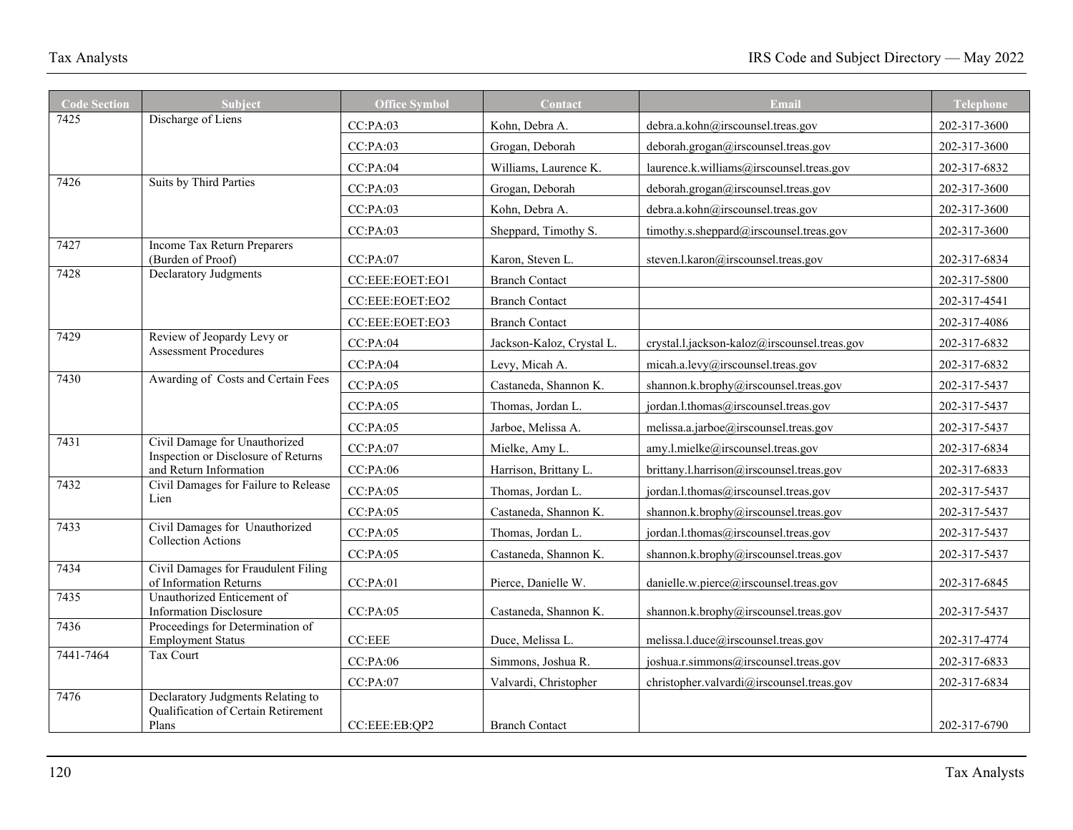| <b>Code Section</b> | <b>Subject</b>                                                       | <b>Office Symbol</b>        | Contact                   | <b>Email</b>                                 | <b>Telephone</b> |
|---------------------|----------------------------------------------------------------------|-----------------------------|---------------------------|----------------------------------------------|------------------|
| 7425                | Discharge of Liens                                                   | CC:PA:03                    | Kohn, Debra A.            | debra.a.kohn@irscounsel.treas.gov            | 202-317-3600     |
|                     |                                                                      | CC:PA:03                    | Grogan, Deborah           | deborah.grogan@irscounsel.treas.gov          | 202-317-3600     |
|                     |                                                                      | CC:PA:04                    | Williams, Laurence K.     | laurence.k.williams@irscounsel.treas.gov     | 202-317-6832     |
| 7426                | Suits by Third Parties                                               | CC:PA:03                    | Grogan, Deborah           | deborah.grogan@irscounsel.treas.gov          | 202-317-3600     |
|                     |                                                                      | CC:PA:03                    | Kohn, Debra A.            | debra.a.kohn@irscounsel.treas.gov            | 202-317-3600     |
|                     |                                                                      | CC:PA:03                    | Sheppard, Timothy S.      | timothy.s.sheppard@irscounsel.treas.gov      | 202-317-3600     |
| 7427                | Income Tax Return Preparers<br>(Burden of Proof)                     | CC:PA:07                    | Karon, Steven L.          | steven.l.karon@irscounsel.treas.gov          | 202-317-6834     |
| 7428                | <b>Declaratory Judgments</b>                                         | CC:EEE:EOET:EO1             | <b>Branch Contact</b>     |                                              | 202-317-5800     |
|                     |                                                                      | CC:EEE:EOET:EO2             | <b>Branch Contact</b>     |                                              | 202-317-4541     |
|                     |                                                                      | CC:EEE:EOET:EO3             | <b>Branch Contact</b>     |                                              | 202-317-4086     |
| 7429                | Review of Jeopardy Levy or<br><b>Assessment Procedures</b>           | CC:PA:04                    | Jackson-Kaloz, Crystal L. | crystal.l.jackson-kaloz@irscounsel.treas.gov | 202-317-6832     |
|                     |                                                                      | CC:PA:04                    | Levy, Micah A.            | micah.a.levy@irscounsel.treas.gov            | 202-317-6832     |
| 7430                | Awarding of Costs and Certain Fees                                   | CC:PA:05                    | Castaneda, Shannon K.     | shannon.k.brophy@irscounsel.treas.gov        | 202-317-5437     |
|                     |                                                                      | CC:PA:05                    | Thomas, Jordan L.         | jordan.l.thomas@irscounsel.treas.gov         | 202-317-5437     |
|                     |                                                                      | CC:PA:05                    | Jarboe, Melissa A.        | melissa.a.jarboe@irscounsel.treas.gov        | 202-317-5437     |
| 7431                | Civil Damage for Unauthorized<br>Inspection or Disclosure of Returns | CC:PA:07                    | Mielke, Amy L.            | amy.l.mielke@irscounsel.treas.gov            | 202-317-6834     |
|                     | and Return Information                                               | CC:PA:06                    | Harrison, Brittany L.     | brittany.l.harrison@irscounsel.treas.gov     | 202-317-6833     |
| 7432                | Civil Damages for Failure to Release<br>Lien                         | CC:PA:05                    | Thomas, Jordan L.         | jordan.l.thomas@irscounsel.treas.gov         | 202-317-5437     |
|                     |                                                                      | CC:PA:05                    | Castaneda, Shannon K.     | shannon.k.brophy@irscounsel.treas.gov        | 202-317-5437     |
| 7433                | Civil Damages for Unauthorized<br>Collection Actions                 | CC:PA:05                    | Thomas, Jordan L.         | jordan.l.thomas@irscounsel.treas.gov         | 202-317-5437     |
|                     |                                                                      | CC:PA:05                    | Castaneda, Shannon K.     | shannon.k.brophy@irscounsel.treas.gov        | 202-317-5437     |
| 7434                | Civil Damages for Fraudulent Filing<br>of Information Returns        | CC:PA:01                    | Pierce, Danielle W.       | danielle.w.pierce@irscounsel.treas.gov       | 202-317-6845     |
| 7435                | Unauthorized Enticement of<br><b>Information Disclosure</b>          | CC:PA:05                    | Castaneda, Shannon K.     | shannon.k.brophy@irscounsel.treas.gov        | 202-317-5437     |
| 7436                | Proceedings for Determination of                                     |                             |                           |                                              |                  |
| 7441-7464           | <b>Employment Status</b><br>Tax Court                                | $\mathbf{CC:} \mathbf{EEE}$ | Duce, Melissa L.          | melissa.l.duce@irscounsel.treas.gov          | 202-317-4774     |
|                     |                                                                      | CC:PA:06                    | Simmons, Joshua R.        | joshua.r.simmons@irscounsel.treas.gov        | 202-317-6833     |
| 7476                | Declaratory Judgments Relating to                                    | CC:PA:07                    | Valvardi, Christopher     | christopher.valvardi@irscounsel.treas.gov    | 202-317-6834     |
|                     | Qualification of Certain Retirement<br>Plans                         | CC:EEE:EB:QP2               | <b>Branch Contact</b>     |                                              | 202-317-6790     |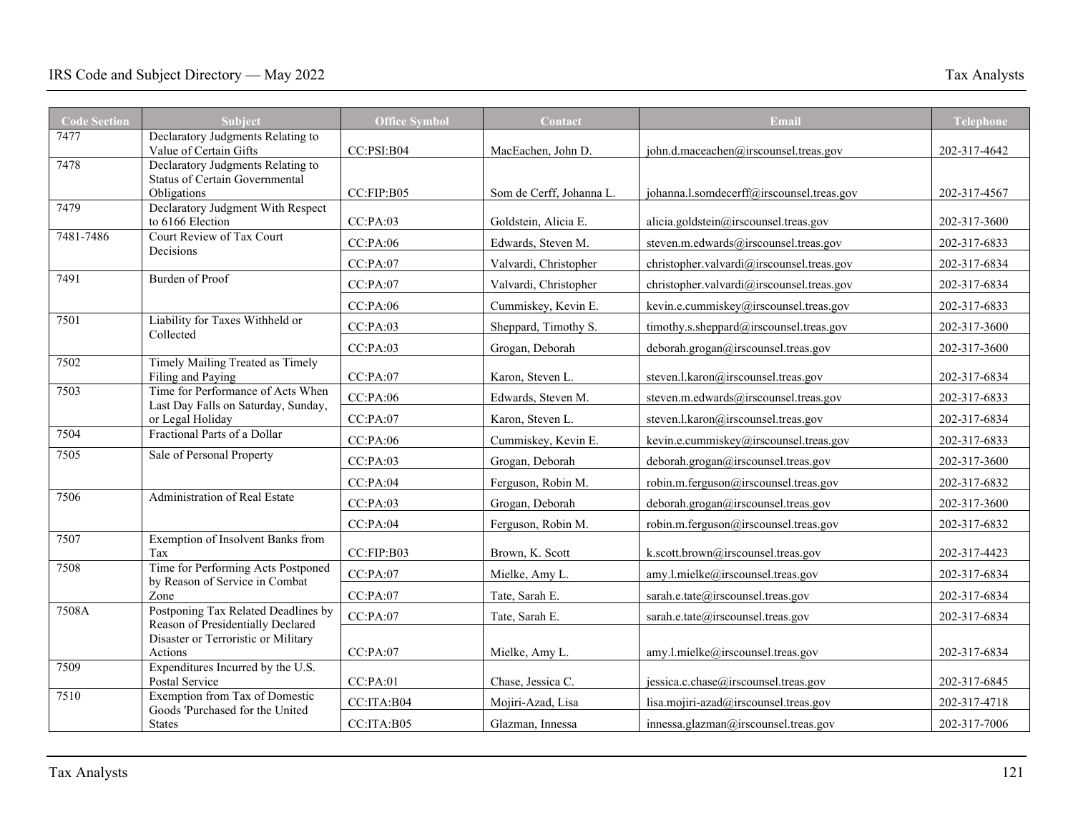| <b>Code Section</b> | <b>Subject</b>                                                                     | <b>Office Symbol</b> | Contact                  | <b>Email</b>                              | <b>Telephone</b> |
|---------------------|------------------------------------------------------------------------------------|----------------------|--------------------------|-------------------------------------------|------------------|
| 7477                | Declaratory Judgments Relating to<br>Value of Certain Gifts                        | CC:PSI:B04           | MacEachen, John D.       | john.d.maceachen@irscounsel.treas.gov     | 202-317-4642     |
| 7478                | Declaratory Judgments Relating to<br>Status of Certain Governmental<br>Obligations | CC:FIP:B05           | Som de Cerff, Johanna L. | johanna.l.somdecerff@irscounsel.treas.gov | 202-317-4567     |
| 7479                | Declaratory Judgment With Respect<br>to 6166 Election                              | CC:PA:03             | Goldstein, Alicia E.     | alicia.goldstein@irscounsel.treas.gov     | 202-317-3600     |
| 7481-7486           | Court Review of Tax Court<br>Decisions                                             | CC:PA:06             | Edwards, Steven M.       | steven.m.edwards@irscounsel.treas.gov     | 202-317-6833     |
|                     |                                                                                    | CC:PA:07             | Valvardi, Christopher    | christopher.valvardi@irscounsel.treas.gov | 202-317-6834     |
| 7491                | <b>Burden of Proof</b>                                                             | CC:PA:07             | Valvardi, Christopher    | christopher.valvardi@irscounsel.treas.gov | 202-317-6834     |
|                     |                                                                                    | CC:PA:06             | Cummiskey, Kevin E.      | kevin.e.cummiskey@irscounsel.treas.gov    | 202-317-6833     |
| 7501                | Liability for Taxes Withheld or<br>Collected                                       | CC:PA:03             | Sheppard, Timothy S.     | timothy.s.sheppard@irscounsel.treas.gov   | 202-317-3600     |
|                     |                                                                                    | CC:PA:03             | Grogan, Deborah          | deborah.grogan@irscounsel.treas.gov       | 202-317-3600     |
| 7502                | Timely Mailing Treated as Timely<br>Filing and Paying                              | CC:PA:07             | Karon, Steven L.         | steven.l.karon@irscounsel.treas.gov       | 202-317-6834     |
| 7503                | Time for Performance of Acts When<br>Last Day Falls on Saturday, Sunday,           | CC:PA:06             | Edwards, Steven M.       | steven.m.edwards@irscounsel.treas.gov     | 202-317-6833     |
|                     | or Legal Holiday                                                                   | CC:PA:07             | Karon, Steven L.         | steven.l.karon@irscounsel.treas.gov       | 202-317-6834     |
| 7504                | Fractional Parts of a Dollar                                                       | CC:PA:06             | Cummiskey, Kevin E.      | kevin.e.cummiskey@irscounsel.treas.gov    | 202-317-6833     |
| 7505                | Sale of Personal Property                                                          | CC:PA:03             | Grogan, Deborah          | deborah.grogan@irscounsel.treas.gov       | 202-317-3600     |
|                     |                                                                                    | CC:PA:04             | Ferguson, Robin M.       | robin.m.ferguson@irscounsel.treas.gov     | 202-317-6832     |
| 7506                | Administration of Real Estate                                                      | CC:PA:03             | Grogan, Deborah          | deborah.grogan@irscounsel.treas.gov       | 202-317-3600     |
|                     |                                                                                    | CC:PA:04             | Ferguson, Robin M.       | robin.m.ferguson@irscounsel.treas.gov     | 202-317-6832     |
| 7507                | Exemption of Insolvent Banks from<br>Tax                                           | CC:FIP:B03           | Brown, K. Scott          | k.scott.brown@irscounsel.treas.gov        | 202-317-4423     |
| 7508                | Time for Performing Acts Postponed<br>by Reason of Service in Combat               | CC:PA:07             | Mielke, Amy L.           | amy.l.mielke@irscounsel.treas.gov         | 202-317-6834     |
|                     | Zone                                                                               | CC:PA:07             | Tate, Sarah E.           | sarah.e.tate@irscounsel.treas.gov         | 202-317-6834     |
| 7508A               | Postponing Tax Related Deadlines by<br>Reason of Presidentially Declared           | CC:PA:07             | Tate, Sarah E.           | sarah.e.tate@irscounsel.treas.gov         | 202-317-6834     |
|                     | Disaster or Terroristic or Military<br>Actions                                     | CC:PA:07             | Mielke, Amy L.           | amy.l.mielke@irscounsel.treas.gov         | 202-317-6834     |
| 7509                | Expenditures Incurred by the U.S.<br>Postal Service                                | CC:PA:01             | Chase, Jessica C.        | jessica.c.chase@irscounsel.treas.gov      | 202-317-6845     |
| 7510                | Exemption from Tax of Domestic<br>Goods 'Purchased for the United                  | CC:ITA:B04           | Mojiri-Azad, Lisa        | lisa.mojiri-azad@irscounsel.treas.gov     | 202-317-4718     |
|                     | <b>States</b>                                                                      | CC:ITA:B05           | Glazman, Innessa         | innessa.glazman@irscounsel.treas.gov      | 202-317-7006     |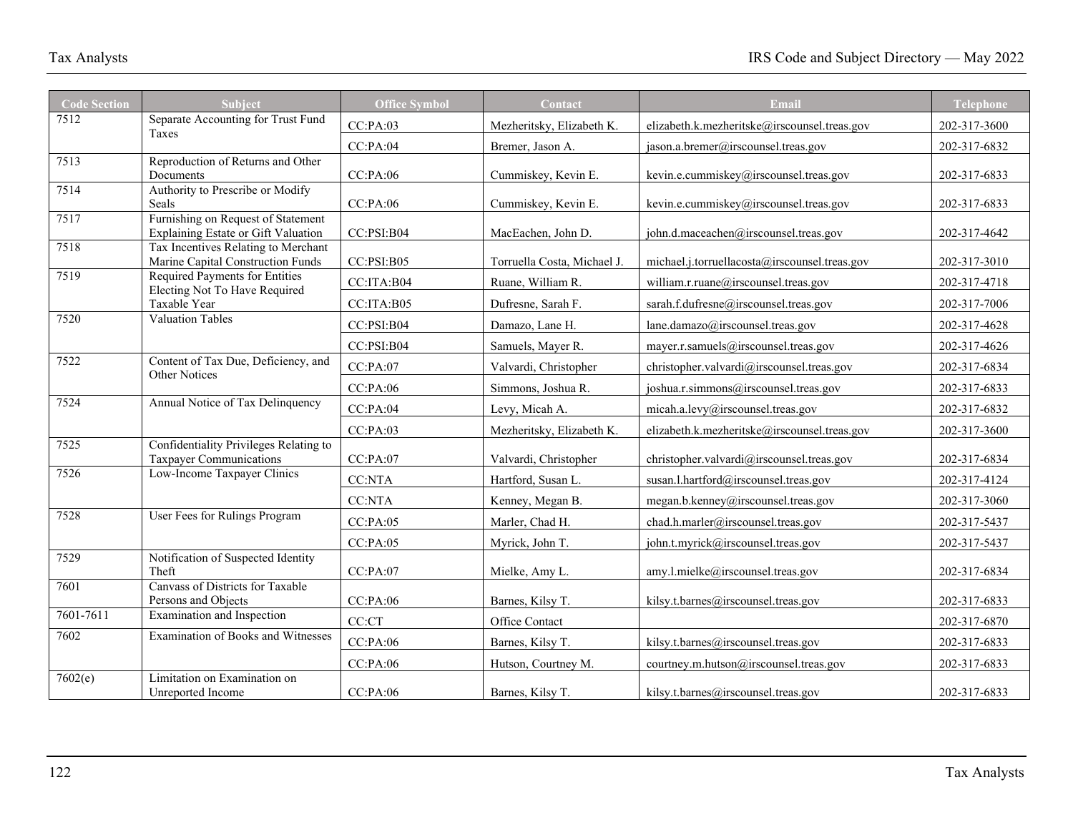| <b>Code Section</b> | <b>Subject</b>                                                            | <b>Office Symbol</b> | Contact                     | Email                                         | <b>Telephone</b> |
|---------------------|---------------------------------------------------------------------------|----------------------|-----------------------------|-----------------------------------------------|------------------|
| 7512                | Separate Accounting for Trust Fund<br>Taxes                               | CC:PA:03             | Mezheritsky, Elizabeth K.   | elizabeth.k.mezheritske@irscounsel.treas.gov  | 202-317-3600     |
|                     |                                                                           | CC:PA:04             | Bremer, Jason A.            | jason.a.bremer@irscounsel.treas.gov           | 202-317-6832     |
| 7513                | Reproduction of Returns and Other<br>Documents                            | CC:PA:06             | Cummiskey, Kevin E.         | kevin.e.cummiskey@irscounsel.treas.gov        | 202-317-6833     |
| 7514                | Authority to Prescribe or Modify<br>Seals                                 | CC:PA:06             | Cummiskey, Kevin E.         | kevin.e.cummiskey@irscounsel.treas.gov        | 202-317-6833     |
| 7517                | Furnishing on Request of Statement<br>Explaining Estate or Gift Valuation | CC:PSI:B04           | MacEachen, John D.          | john.d.maceachen@irscounsel.treas.gov         | 202-317-4642     |
| 7518                | Tax Incentives Relating to Merchant<br>Marine Capital Construction Funds  | CC:PSI:B05           | Torruella Costa, Michael J. | michael.j.torruellacosta@irscounsel.treas.gov | 202-317-3010     |
| 7519                | Required Payments for Entities<br>Electing Not To Have Required           | CC:ITA:B04           | Ruane, William R.           | william.r.ruane@irscounsel.treas.gov          | 202-317-4718     |
|                     | Taxable Year                                                              | CC:ITA:B05           | Dufresne, Sarah F.          | sarah.f.dufresne@irscounsel.treas.gov         | 202-317-7006     |
| 7520                | <b>Valuation Tables</b>                                                   | CC:PSI:B04           | Damazo, Lane H.             | lane.damazo@irscounsel.treas.gov              | 202-317-4628     |
|                     |                                                                           | CC:PSI:B04           | Samuels, Mayer R.           | mayer.r.samuels@irscounsel.treas.gov          | 202-317-4626     |
| 7522                | Content of Tax Due, Deficiency, and<br><b>Other Notices</b>               | CC:PA:07             | Valvardi, Christopher       | christopher.valvardi@irscounsel.treas.gov     | 202-317-6834     |
|                     |                                                                           | CC:PA:06             | Simmons, Joshua R.          | joshua.r.simmons@irscounsel.treas.gov         | 202-317-6833     |
| 7524                | Annual Notice of Tax Delinquency                                          | CC:PA:04             | Levy, Micah A.              | micah.a.levy@irscounsel.treas.gov             | 202-317-6832     |
|                     |                                                                           | CC:PA:03             | Mezheritsky, Elizabeth K.   | elizabeth.k.mezheritske@irscounsel.treas.gov  | 202-317-3600     |
| 7525                | Confidentiality Privileges Relating to<br>Taxpayer Communications         | CC:PA:07             | Valvardi, Christopher       | christopher.valvardi@irscounsel.treas.gov     | 202-317-6834     |
| 7526                | Low-Income Taxpayer Clinics                                               | <b>CC:NTA</b>        | Hartford, Susan L.          | susan.l.hartford@irscounsel.treas.gov         | 202-317-4124     |
|                     |                                                                           | <b>CC:NTA</b>        | Kenney, Megan B.            | megan.b.kenney@irscounsel.treas.gov           | 202-317-3060     |
| 7528                | User Fees for Rulings Program                                             | CC:PA:05             | Marler, Chad H.             | chad.h.marler@irscounsel.treas.gov            | 202-317-5437     |
|                     |                                                                           | CC:PA:05             | Myrick, John T.             | john.t.myrick@irscounsel.treas.gov            | 202-317-5437     |
| 7529                | Notification of Suspected Identity<br>Theft                               | CC:PA:07             | Mielke, Amy L.              | amy.l.mielke@irscounsel.treas.gov             | 202-317-6834     |
| 7601                | Canvass of Districts for Taxable<br>Persons and Objects                   | CC:PA:06             | Barnes, Kilsy T.            | kilsy.t.barnes@irscounsel.treas.gov           | 202-317-6833     |
| 7601-7611           | Examination and Inspection                                                | CC:CT                | Office Contact              |                                               | 202-317-6870     |
| 7602                | Examination of Books and Witnesses                                        | CC:PA:06             | Barnes, Kilsy T.            | kilsy.t.barnes@irscounsel.treas.gov           | 202-317-6833     |
|                     |                                                                           | CC:PA:06             | Hutson, Courtney M.         | courtney.m.hutson@irscounsel.treas.gov        | 202-317-6833     |
| 7602(e)             | Limitation on Examination on<br>Unreported Income                         | CC:PA:06             | Barnes, Kilsy T.            | kilsy.t.barnes@irscounsel.treas.gov           | 202-317-6833     |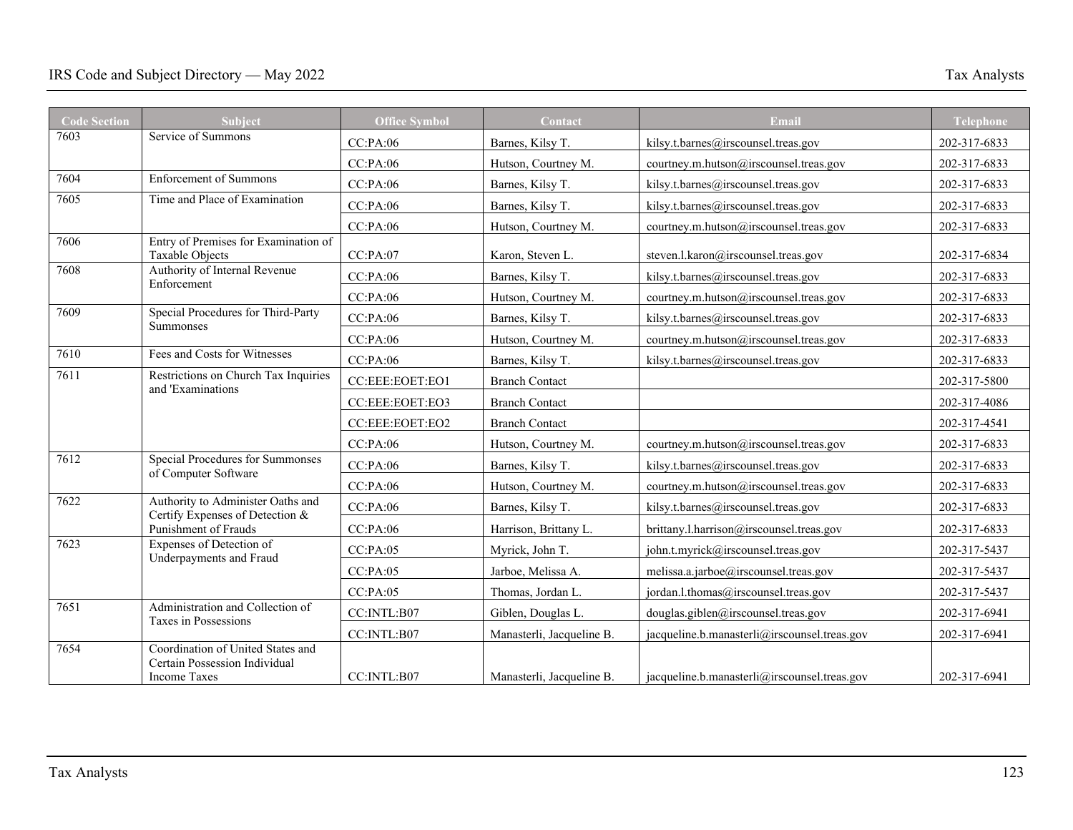| <b>Code Section</b> | <b>Subject</b>                                                                            | <b>Office Symbol</b> | Contact                   | Email                                        | <b>Telephone</b> |
|---------------------|-------------------------------------------------------------------------------------------|----------------------|---------------------------|----------------------------------------------|------------------|
| 7603                | Service of Summons                                                                        | CC:PA:06             | Barnes, Kilsy T.          | kilsy.t.barnes@irscounsel.treas.gov          | 202-317-6833     |
|                     |                                                                                           | CC:PA:06             | Hutson, Courtney M.       | courtney.m.hutson@irscounsel.treas.gov       | 202-317-6833     |
| 7604                | <b>Enforcement of Summons</b>                                                             | CC:PA:06             | Barnes, Kilsy T.          | kilsy.t.barnes@irscounsel.treas.gov          | 202-317-6833     |
| 7605                | Time and Place of Examination                                                             | CC:PA:06             | Barnes, Kilsy T.          | kilsy.t.barnes@irscounsel.treas.gov          | 202-317-6833     |
|                     |                                                                                           | CC:PA:06             | Hutson, Courtney M.       | courtney.m.hutson@irscounsel.treas.gov       | 202-317-6833     |
| 7606                | Entry of Premises for Examination of<br>Taxable Objects                                   | CC:PA:07             | Karon, Steven L.          | steven.l.karon@irscounsel.treas.gov          | 202-317-6834     |
| 7608                | Authority of Internal Revenue<br>Enforcement                                              | CC:PA:06             | Barnes, Kilsy T.          | kilsy.t.barnes@irscounsel.treas.gov          | 202-317-6833     |
|                     |                                                                                           | CC:PA:06             | Hutson, Courtney M.       | courtney.m.hutson@irscounsel.treas.gov       | 202-317-6833     |
| 7609                | Special Procedures for Third-Party<br><b>Summonses</b>                                    | CC:PA:06             | Barnes, Kilsy T.          | kilsy.t.barnes@irscounsel.treas.gov          | 202-317-6833     |
|                     |                                                                                           | CC:PA:06             | Hutson, Courtney M.       | courtney.m.hutson@irscounsel.treas.gov       | 202-317-6833     |
| 7610                | Fees and Costs for Witnesses                                                              | CC:PA:06             | Barnes, Kilsy T.          | kilsy.t.barnes@irscounsel.treas.gov          | 202-317-6833     |
| 7611                | Restrictions on Church Tax Inquiries<br>and 'Examinations                                 | CC:EEE:EOET:EO1      | <b>Branch Contact</b>     |                                              | 202-317-5800     |
|                     |                                                                                           | CC:EEE:EOET:EO3      | <b>Branch Contact</b>     |                                              | 202-317-4086     |
|                     |                                                                                           | CC:EEE:EOET:EO2      | <b>Branch Contact</b>     |                                              | 202-317-4541     |
|                     |                                                                                           | CC:PA:06             | Hutson, Courtney M.       | courtney.m.hutson@irscounsel.treas.gov       | 202-317-6833     |
| 7612                | <b>Special Procedures for Summonses</b><br>of Computer Software                           | CC:PA:06             | Barnes, Kilsy T.          | kilsy.t.barnes@irscounsel.treas.gov          | 202-317-6833     |
|                     |                                                                                           | CC:PA:06             | Hutson, Courtney M.       | courtney.m.hutson@irscounsel.treas.gov       | 202-317-6833     |
| 7622                | Authority to Administer Oaths and<br>Certify Expenses of Detection &                      | CC:PA:06             | Barnes, Kilsy T.          | kilsy.t.barnes@irscounsel.treas.gov          | 202-317-6833     |
|                     | Punishment of Frauds                                                                      | CC:PA:06             | Harrison, Brittany L.     | brittany.l.harrison@irscounsel.treas.gov     | 202-317-6833     |
| 7623                | Expenses of Detection of                                                                  | CC:PA:05             | Myrick, John T.           | john.t.myrick@irscounsel.treas.gov           | 202-317-5437     |
|                     | Underpayments and Fraud                                                                   | CC:PA:05             | Jarboe, Melissa A.        | melissa.a.jarboe@irscounsel.treas.gov        | 202-317-5437     |
|                     |                                                                                           | CC:PA:05             | Thomas, Jordan L.         | jordan.l.thomas@irscounsel.treas.gov         | 202-317-5437     |
| 7651                | Administration and Collection of<br>Taxes in Possessions                                  | CC:INTL:B07          | Giblen, Douglas L.        | douglas.giblen@irscounsel.treas.gov          | 202-317-6941     |
|                     |                                                                                           | CC:INTL:B07          | Manasterli, Jacqueline B. | jacqueline.b.manasterli@irscounsel.treas.gov | 202-317-6941     |
| 7654                | Coordination of United States and<br>Certain Possession Individual<br><b>Income Taxes</b> | CC:INTL:B07          | Manasterli, Jacqueline B. | jacqueline.b.manasterli@irscounsel.treas.gov | 202-317-6941     |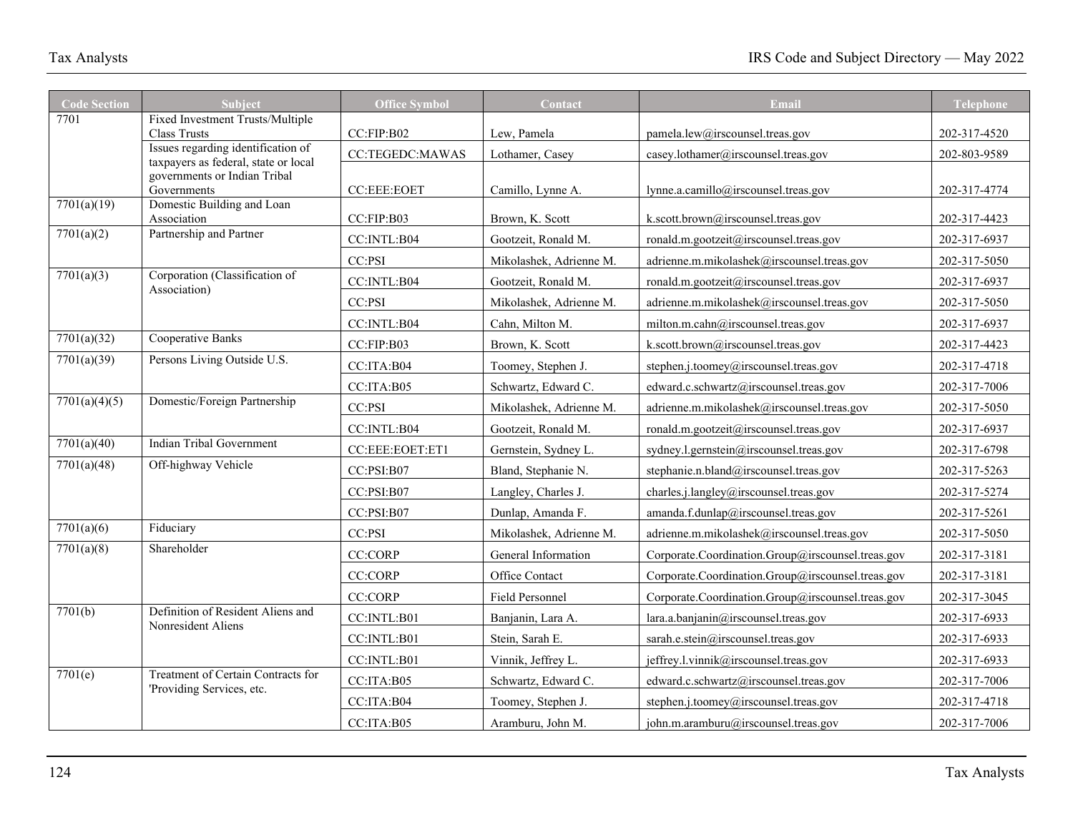| <b>Code Section</b> | Subject                                                 | <b>Office Symbol</b>   | Contact                 | <b>Email</b>                                      | <b>Telephone</b> |
|---------------------|---------------------------------------------------------|------------------------|-------------------------|---------------------------------------------------|------------------|
| 7701                | Fixed Investment Trusts/Multiple<br><b>Class Trusts</b> | CC:FIP:B02             | Lew. Pamela             | pamela.lew@irscounsel.treas.gov                   | 202-317-4520     |
|                     | Issues regarding identification of                      |                        |                         |                                                   |                  |
|                     | taxpayers as federal, state or local                    | <b>CC:TEGEDC:MAWAS</b> | Lothamer, Casey         | casey.lothamer@irscounsel.treas.gov               | 202-803-9589     |
|                     | governments or Indian Tribal<br>Governments             | CC:EEE:EOET            | Camillo, Lynne A.       | lynne.a.camillo@irscounsel.treas.gov              | 202-317-4774     |
| 7701(a)(19)         | Domestic Building and Loan<br>Association               | CC:FIP:B03             | Brown, K. Scott         | k.scott.brown@irscounsel.treas.gov                | 202-317-4423     |
| 7701(a)(2)          | Partnership and Partner                                 | CC:INTL:B04            | Gootzeit, Ronald M.     | ronald.m.gootzeit@irscounsel.treas.gov            | 202-317-6937     |
|                     |                                                         | CC:PSI                 | Mikolashek, Adrienne M. | adrienne.m.mikolashek@irscounsel.treas.gov        | 202-317-5050     |
| 7701(a)(3)          | Corporation (Classification of                          | CC:INTL:B04            | Gootzeit, Ronald M.     | ronald.m.gootzeit@irscounsel.treas.gov            | 202-317-6937     |
|                     | Association)                                            | CC:PSI                 | Mikolashek, Adrienne M. | adrienne.m.mikolashek@irscounsel.treas.gov        | 202-317-5050     |
|                     |                                                         | CC:INTL:B04            | Cahn, Milton M.         | milton.m.cahn@irscounsel.treas.gov                | 202-317-6937     |
| 7701(a)(32)         | Cooperative Banks                                       | CC:FIP:B03             | Brown, K. Scott         | k.scott.brown@irscounsel.treas.gov                | 202-317-4423     |
| 7701(a)(39)         | Persons Living Outside U.S.                             | CC:ITA:B04             | Toomey, Stephen J.      | stephen.j.toomey@irscounsel.treas.gov             | 202-317-4718     |
|                     |                                                         | CC:ITA:B05             | Schwartz, Edward C.     | edward.c.schwartz@irscounsel.treas.gov            | 202-317-7006     |
| 7701(a)(4)(5)       | Domestic/Foreign Partnership                            | CC:PSI                 | Mikolashek, Adrienne M. | adrienne.m.mikolashek@irscounsel.treas.gov        | 202-317-5050     |
|                     |                                                         | CC:INTL:B04            | Gootzeit, Ronald M.     | ronald.m.gootzeit@irscounsel.treas.gov            | 202-317-6937     |
| 7701(a)(40)         | <b>Indian Tribal Government</b>                         | CC:EEE:EOET:ET1        | Gernstein, Sydney L.    | sydney.l.gernstein@irscounsel.treas.gov           | 202-317-6798     |
| 7701(a)(48)         | Off-highway Vehicle                                     | CC:PSI:B07             | Bland, Stephanie N.     | stephanie.n.bland@irscounsel.treas.gov            | 202-317-5263     |
|                     |                                                         | CC:PSI:B07             | Langley, Charles J.     | charles.j.langley@irscounsel.treas.gov            | 202-317-5274     |
|                     |                                                         | CC:PSI:B07             | Dunlap, Amanda F.       | amanda.f.dunlap@irscounsel.treas.gov              | 202-317-5261     |
| 7701(a)(6)          | Fiduciary                                               | CC:PSI                 | Mikolashek, Adrienne M. | adrienne.m.mikolashek@irscounsel.treas.gov        | 202-317-5050     |
| 7701(a)(8)          | Shareholder                                             | <b>CC:CORP</b>         | General Information     | Corporate.Coordination.Group@irscounsel.treas.gov | 202-317-3181     |
|                     |                                                         | <b>CC:CORP</b>         | Office Contact          | Corporate.Coordination.Group@irscounsel.treas.gov | 202-317-3181     |
|                     |                                                         | <b>CC:CORP</b>         | Field Personnel         | Corporate.Coordination.Group@irscounsel.treas.gov | 202-317-3045     |
| 7701(b)             | Definition of Resident Aliens and                       | CC:INTL:B01            | Banjanin, Lara A.       | lara.a.banjanin@irscounsel.treas.gov              | 202-317-6933     |
|                     | Nonresident Aliens                                      | CC:INTL:B01            | Stein, Sarah E.         | sarah.e.stein@irscounsel.treas.gov                | 202-317-6933     |
|                     |                                                         | CC:INTL:B01            | Vinnik, Jeffrey L.      | jeffrey.l.vinnik@irscounsel.treas.gov             | 202-317-6933     |
| 7701(e)             | Treatment of Certain Contracts for                      | CC:ITA:B05             | Schwartz, Edward C.     | edward.c.schwartz@irscounsel.treas.gov            | 202-317-7006     |
|                     | 'Providing Services, etc.                               | CC:ITA:B04             | Toomey, Stephen J.      | stephen.j.toomey@irscounsel.treas.gov             | 202-317-4718     |
|                     |                                                         | CC:ITA:B05             | Aramburu, John M.       | john.m.aramburu@irscounsel.treas.gov              | 202-317-7006     |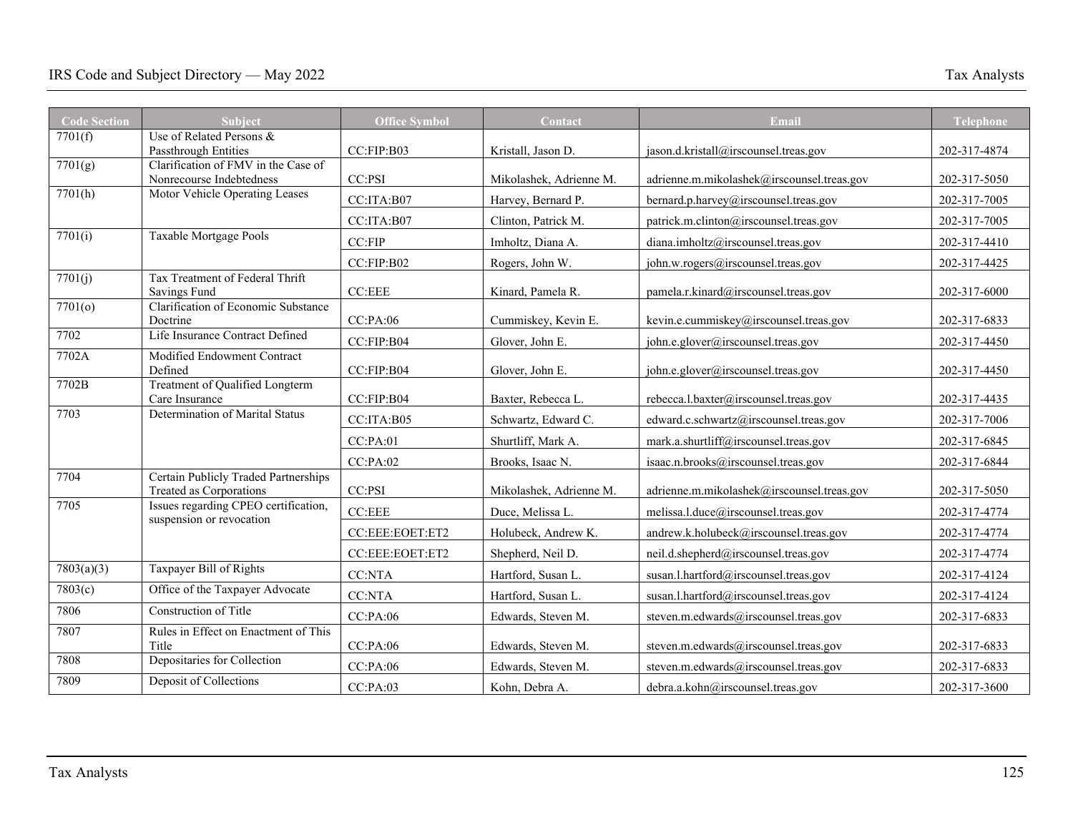| <b>Code Section</b> | <b>Subject</b>                                                  | <b>Office Symbol</b>        | Contact                 | Email                                      | Telephone    |
|---------------------|-----------------------------------------------------------------|-----------------------------|-------------------------|--------------------------------------------|--------------|
| 7701(f)             | Use of Related Persons &                                        |                             |                         |                                            |              |
|                     | Passthrough Entities                                            | CC:FIP:B03                  | Kristall, Jason D.      | jason.d.kristall@irscounsel.treas.gov      | 202-317-4874 |
| 7701(g)             | Clarification of FMV in the Case of<br>Nonrecourse Indebtedness | CC:PSI                      | Mikolashek, Adrienne M. | adrienne.m.mikolashek@irscounsel.treas.gov | 202-317-5050 |
| 7701(h)             | Motor Vehicle Operating Leases                                  |                             |                         |                                            |              |
|                     |                                                                 | CC:ITA:B07                  | Harvey, Bernard P.      | bernard.p.harvey@irscounsel.treas.gov      | 202-317-7005 |
|                     |                                                                 | CC:ITA:B07                  | Clinton, Patrick M.     | patrick.m.clinton@irscounsel.treas.gov     | 202-317-7005 |
| 7701(i)             | Taxable Mortgage Pools                                          | CC:FIP                      | Imholtz, Diana A.       | diana.imholtz@irscounsel.treas.gov         | 202-317-4410 |
|                     |                                                                 | CC:FIP:B02                  | Rogers, John W.         | john.w.rogers@irscounsel.treas.gov         | 202-317-4425 |
| 7701(j)             | Tax Treatment of Federal Thrift                                 |                             |                         |                                            |              |
|                     | Savings Fund                                                    | $\mathsf{CC:} \mathsf{EEE}$ | Kinard, Pamela R.       | pamela.r.kinard@irscounsel.treas.gov       | 202-317-6000 |
| 7701(o)             | Clarification of Economic Substance<br>Doctrine                 | CC:PA:06                    | Cummiskey, Kevin E.     | kevin.e.cummiskey@irscounsel.treas.gov     | 202-317-6833 |
| 7702                | Life Insurance Contract Defined                                 | CC:FIP:B04                  | Glover, John E.         | john.e.glover@irscounsel.treas.gov         | 202-317-4450 |
| 7702A               | Modified Endowment Contract                                     |                             |                         |                                            |              |
|                     | Defined                                                         | CC:FIP:B04                  | Glover, John E.         | john.e.glover@irscounsel.treas.gov         | 202-317-4450 |
| 7702B               | Treatment of Qualified Longterm<br>Care Insurance               | CC:FIP:B04                  | Baxter, Rebecca L.      | rebecca.l.baxter@irscounsel.treas.gov      | 202-317-4435 |
| 7703                | Determination of Marital Status                                 | CC:ITA:B05                  | Schwartz, Edward C.     | edward.c.schwartz@irscounsel.treas.gov     | 202-317-7006 |
|                     |                                                                 | CC:PA:01                    | Shurtliff, Mark A.      | mark.a.shurtliff@irscounsel.treas.gov      | 202-317-6845 |
|                     |                                                                 | CC:PA:02                    | Brooks, Isaac N.        | isaac.n.brooks@irscounsel.treas.gov        | 202-317-6844 |
| 7704                | Certain Publicly Traded Partnerships<br>Treated as Corporations | CC:PSI                      | Mikolashek, Adrienne M. | adrienne.m.mikolashek@irscounsel.treas.gov | 202-317-5050 |
| 7705                | Issues regarding CPEO certification,                            | $\mathbf{CC:} \mathbf{EEE}$ | Duce, Melissa L.        | melissa.l.duce@irscounsel.treas.gov        | 202-317-4774 |
|                     | suspension or revocation                                        | CC:EEE:EOET:ET2             | Holubeck, Andrew K.     | andrew.k.holubeck@irscounsel.treas.gov     | 202-317-4774 |
|                     |                                                                 | CC:EEE:EOET:ET2             | Shepherd, Neil D.       | neil.d.shepherd@irscounsel.treas.gov       | 202-317-4774 |
| 7803(a)(3)          | Taxpayer Bill of Rights                                         | <b>CC:NTA</b>               | Hartford, Susan L.      | susan.l.hartford@irscounsel.treas.gov      | 202-317-4124 |
| 7803(c)             | Office of the Taxpayer Advocate                                 | <b>CC:NTA</b>               | Hartford, Susan L.      | susan.l.hartford@irscounsel.treas.gov      | 202-317-4124 |
| 7806                | Construction of Title                                           | CC:PA:06                    | Edwards, Steven M.      | steven.m.edwards@irscounsel.treas.gov      | 202-317-6833 |
| 7807                | Rules in Effect on Enactment of This<br>Title                   | CC:PA:06                    | Edwards, Steven M.      | steven.m.edwards@irscounsel.treas.gov      | 202-317-6833 |
| 7808                | Depositaries for Collection                                     | CC:PA:06                    | Edwards, Steven M.      | steven.m.edwards@irscounsel.treas.gov      | 202-317-6833 |
| 7809                | Deposit of Collections                                          | CC:PA:03                    | Kohn, Debra A.          | debra.a.kohn@irscounsel.treas.gov          | 202-317-3600 |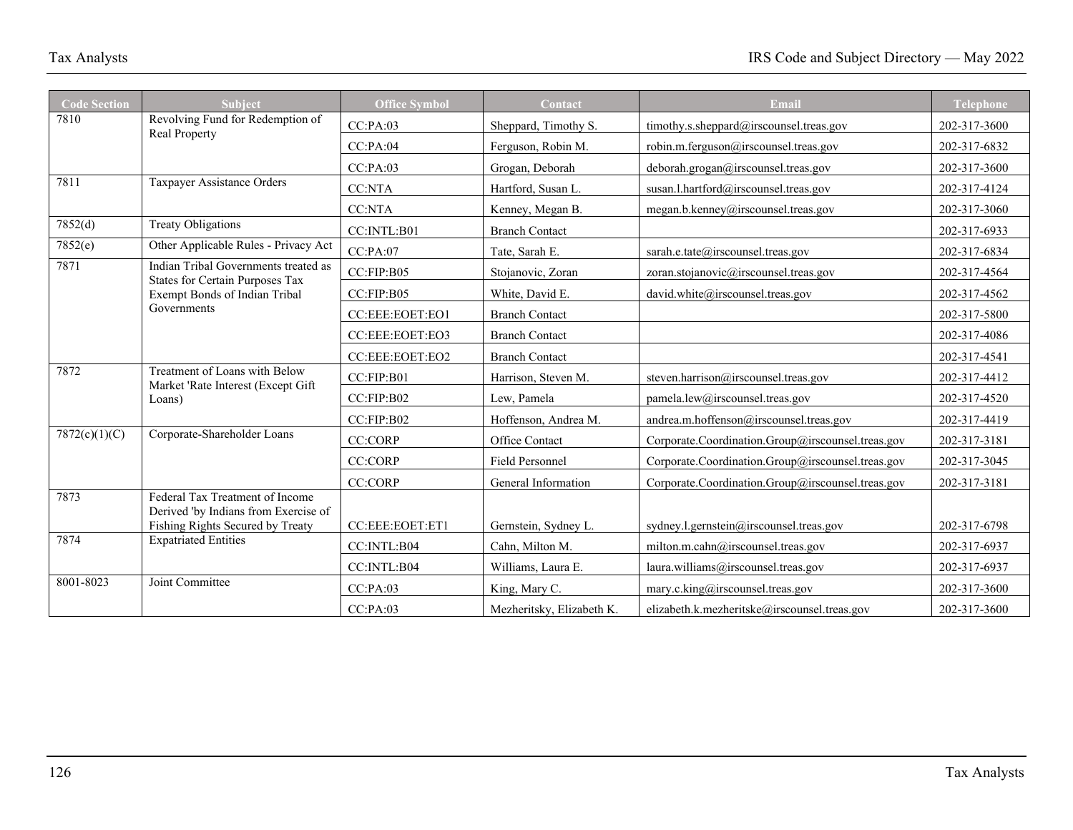| <b>Code Section</b>                                  | <b>Subject</b>                                                          | <b>Office Symbol</b> | Contact                   | Email                                             | <b>Telephone</b> |
|------------------------------------------------------|-------------------------------------------------------------------------|----------------------|---------------------------|---------------------------------------------------|------------------|
| 7810                                                 | Revolving Fund for Redemption of                                        | CC:PA:03             | Sheppard, Timothy S.      | timothy.s.sheppard@irscounsel.treas.gov           | 202-317-3600     |
|                                                      | <b>Real Property</b>                                                    | CC:PA:04             | Ferguson, Robin M.        | robin.m.ferguson@irscounsel.treas.gov             | 202-317-6832     |
|                                                      |                                                                         | CC:PA:03             | Grogan, Deborah           | deborah.grogan@irscounsel.treas.gov               | 202-317-3600     |
| 7811                                                 | Taxpayer Assistance Orders                                              | <b>CC:NTA</b>        | Hartford, Susan L.        | susan.l.hartford@irscounsel.treas.gov             | 202-317-4124     |
|                                                      |                                                                         | <b>CC:NTA</b>        | Kenney, Megan B.          | megan.b.kenney@irscounsel.treas.gov               | 202-317-3060     |
| 7852(d)                                              | <b>Treaty Obligations</b>                                               | CC:INTL:B01          | <b>Branch Contact</b>     |                                                   | 202-317-6933     |
| 7852(e)                                              | Other Applicable Rules - Privacy Act                                    | CC:PA:07             | Tate, Sarah E.            | sarah.e.tate@irscounsel.treas.gov                 | 202-317-6834     |
| 7871                                                 | Indian Tribal Governments treated as<br>States for Certain Purposes Tax | CC:FIP:B05           | Stojanovic, Zoran         | zoran.stojanovic@irscounsel.treas.gov             | 202-317-4564     |
|                                                      | Exempt Bonds of Indian Tribal                                           | CC:FIP:B05           | White, David E.           | david.white@irscounsel.treas.gov                  | 202-317-4562     |
|                                                      | Governments                                                             | CC:EEE:EOET:EO1      | <b>Branch Contact</b>     |                                                   | 202-317-5800     |
|                                                      |                                                                         | CC:EEE:EOET:EO3      | <b>Branch Contact</b>     |                                                   | 202-317-4086     |
|                                                      |                                                                         | CC:EEE:EOET:EO2      | <b>Branch Contact</b>     |                                                   | 202-317-4541     |
| 7872<br>Market 'Rate Interest (Except Gift<br>Loans) | Treatment of Loans with Below                                           | CC:FIP:B01           | Harrison, Steven M.       | steven.harrison@irscounsel.treas.gov              | 202-317-4412     |
|                                                      |                                                                         | CC:FIP:B02           | Lew, Pamela               | pamela.lew@irscounsel.treas.gov                   | 202-317-4520     |
|                                                      |                                                                         | CC:FIP:B02           | Hoffenson, Andrea M.      | andrea.m.hoffenson@irscounsel.treas.gov           | 202-317-4419     |
| 7872(c)(1)(C)                                        | Corporate-Shareholder Loans                                             | <b>CC:CORP</b>       | Office Contact            | Corporate.Coordination.Group@irscounsel.treas.gov | 202-317-3181     |
|                                                      |                                                                         | <b>CC:CORP</b>       | Field Personnel           | Corporate.Coordination.Group@irscounsel.treas.gov | 202-317-3045     |
|                                                      |                                                                         | <b>CC:CORP</b>       | General Information       | Corporate.Coordination.Group@irscounsel.treas.gov | 202-317-3181     |
| 7873                                                 | Federal Tax Treatment of Income<br>Derived 'by Indians from Exercise of |                      |                           |                                                   |                  |
|                                                      | Fishing Rights Secured by Treaty                                        | CC:EEE:EOET:ET1      | Gernstein, Sydney L.      | sydney.l.gernstein@irscounsel.treas.gov           | 202-317-6798     |
| 7874                                                 | <b>Expatriated Entities</b>                                             | CC:INTL:B04          | Cahn, Milton M.           | milton.m.cahn@irscounsel.treas.gov                | 202-317-6937     |
|                                                      |                                                                         | CC: INTL: B04        | Williams, Laura E.        | laura.williams@irscounsel.treas.gov               | 202-317-6937     |
| 8001-8023                                            | Joint Committee                                                         | CC:PA:03             | King, Mary C.             | mary.c.king@irscounsel.treas.gov                  | 202-317-3600     |
|                                                      |                                                                         | CC:PA:03             | Mezheritsky, Elizabeth K. | elizabeth.k.mezheritske@irscounsel.treas.gov      | 202-317-3600     |